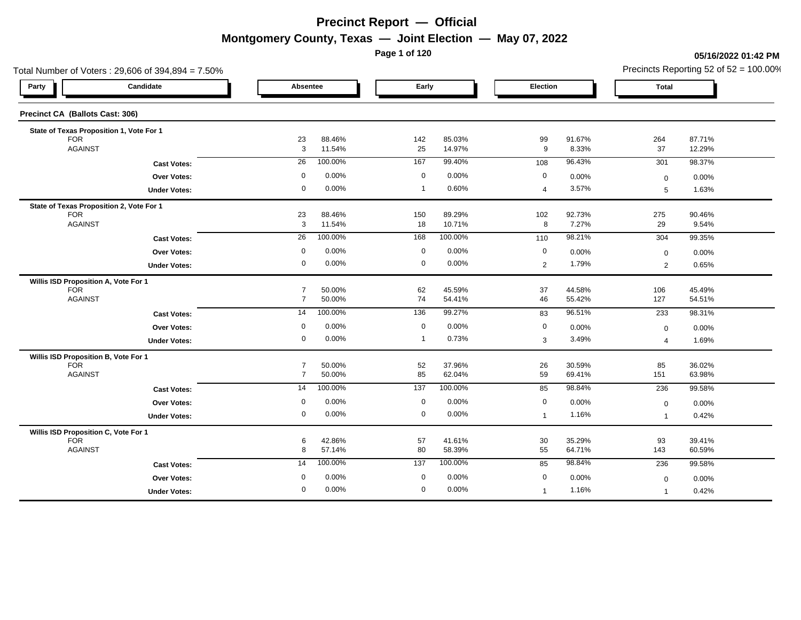**Page 1 of 120**

**05/16/2022 01:42 PM**

|                                          | Total Number of Voters: 29,606 of 394,894 = 7.50% |                    |                  |                  |                  |                |                 |                         | Precincts Reporting 52 of $52 = 100.00\%$ |
|------------------------------------------|---------------------------------------------------|--------------------|------------------|------------------|------------------|----------------|-----------------|-------------------------|-------------------------------------------|
| Party                                    | Candidate                                         | Absentee           |                  | Early            |                  | Election       |                 | <b>Total</b>            |                                           |
| Precinct CA (Ballots Cast: 306)          |                                                   |                    |                  |                  |                  |                |                 |                         |                                           |
| State of Texas Proposition 1, Vote For 1 |                                                   |                    |                  |                  |                  |                |                 |                         |                                           |
| <b>FOR</b><br><b>AGAINST</b>             |                                                   | 23<br>$\mathbf{3}$ | 88.46%<br>11.54% | 142<br>25        | 85.03%<br>14.97% | 99<br>9        | 91.67%<br>8.33% | 264<br>37               | 87.71%<br>12.29%                          |
|                                          |                                                   | 26                 | 100.00%          | 167              | 99.40%           |                | 96.43%          |                         | 98.37%                                    |
|                                          | <b>Cast Votes:</b>                                |                    |                  |                  |                  | 108            |                 | 301                     |                                           |
|                                          | Over Votes:                                       | 0                  | 0.00%            | $\mathbf 0$      | 0.00%            | 0              | 0.00%           | $\mathbf 0$             | 0.00%                                     |
|                                          | <b>Under Votes:</b>                               | $\mathbf 0$        | 0.00%            | $\overline{1}$   | 0.60%            | $\overline{4}$ | 3.57%           | 5                       | 1.63%                                     |
| State of Texas Proposition 2, Vote For 1 |                                                   |                    |                  |                  |                  |                |                 |                         |                                           |
| <b>FOR</b>                               |                                                   | 23                 | 88.46%           | 150              | 89.29%           | 102            | 92.73%          | 275                     | 90.46%                                    |
| <b>AGAINST</b>                           |                                                   | $\mathbf{3}$       | 11.54%           | 18               | 10.71%           | 8              | 7.27%           | 29                      | 9.54%                                     |
|                                          | <b>Cast Votes:</b>                                | 26                 | 100.00%          | 168              | 100.00%          | 110            | 98.21%          | 304                     | 99.35%                                    |
|                                          | <b>Over Votes:</b>                                | $\mathbf 0$        | 0.00%            | $\mathbf 0$      | 0.00%            | $\mathbf 0$    | 0.00%           | $\Omega$                | 0.00%                                     |
|                                          | <b>Under Votes:</b>                               | $\mathbf 0$        | 0.00%            | $\mathbf 0$      | 0.00%            | $\overline{2}$ | 1.79%           | $\overline{2}$          | 0.65%                                     |
| Willis ISD Proposition A, Vote For 1     |                                                   |                    |                  |                  |                  |                |                 |                         |                                           |
| <b>FOR</b>                               |                                                   | $\overline{7}$     | 50.00%           | 62               | 45.59%           | 37             | 44.58%          | 106                     | 45.49%                                    |
| <b>AGAINST</b>                           |                                                   | $\overline{7}$     | 50.00%           | 74               | 54.41%           | 46             | 55.42%          | 127                     | 54.51%                                    |
|                                          | <b>Cast Votes:</b>                                | 14                 | 100.00%          | 136              | 99.27%           | 83             | 96.51%          | 233                     | 98.31%                                    |
|                                          | Over Votes:                                       | 0                  | 0.00%            | $\mathbf 0$      | 0.00%            | 0              | 0.00%           | $\mathbf 0$             | 0.00%                                     |
|                                          | <b>Under Votes:</b>                               | $\mathbf 0$        | 0.00%            | $\overline{1}$   | 0.73%            | 3              | 3.49%           | $\overline{4}$          | 1.69%                                     |
| Willis ISD Proposition B, Vote For 1     |                                                   |                    |                  |                  |                  |                |                 |                         |                                           |
| <b>FOR</b>                               |                                                   | $\overline{7}$     | 50.00%           | 52               | 37.96%           | 26             | 30.59%          | 85                      | 36.02%                                    |
| <b>AGAINST</b>                           |                                                   | $\overline{7}$     | 50.00%           | 85               | 62.04%           | 59             | 69.41%          | 151                     | 63.98%                                    |
|                                          | <b>Cast Votes:</b>                                | 14                 | 100.00%          | $\overline{137}$ | 100.00%          | 85             | 98.84%          | 236                     | 99.58%                                    |
|                                          | Over Votes:                                       | $\mathbf 0$        | 0.00%            | $\mathbf 0$      | 0.00%            | $\mathbf 0$    | 0.00%           | $\Omega$                | 0.00%                                     |
|                                          | <b>Under Votes:</b>                               | $\overline{0}$     | 0.00%            | $\mathbf 0$      | 0.00%            | $\overline{1}$ | 1.16%           | $\overline{\mathbf{1}}$ | 0.42%                                     |
| Willis ISD Proposition C, Vote For 1     |                                                   |                    |                  |                  |                  |                |                 |                         |                                           |
| <b>FOR</b>                               |                                                   | 6                  | 42.86%           | 57               | 41.61%           | 30             | 35.29%          | 93                      | 39.41%                                    |
| <b>AGAINST</b>                           |                                                   | 8                  | 57.14%           | 80               | 58.39%           | 55             | 64.71%          | 143                     | 60.59%                                    |
|                                          | <b>Cast Votes:</b>                                | 14                 | 100.00%          | 137              | 100.00%          | 85             | 98.84%          | 236                     | 99.58%                                    |
|                                          | Over Votes:                                       | 0                  | 0.00%            | $\mathbf 0$      | 0.00%            | 0              | 0.00%           | $\Omega$                | 0.00%                                     |
|                                          | <b>Under Votes:</b>                               | $\mathbf 0$        | 0.00%            | $\overline{0}$   | 0.00%            | $\mathbf 1$    | 1.16%           |                         | 0.42%                                     |
|                                          |                                                   |                    |                  |                  |                  |                |                 |                         |                                           |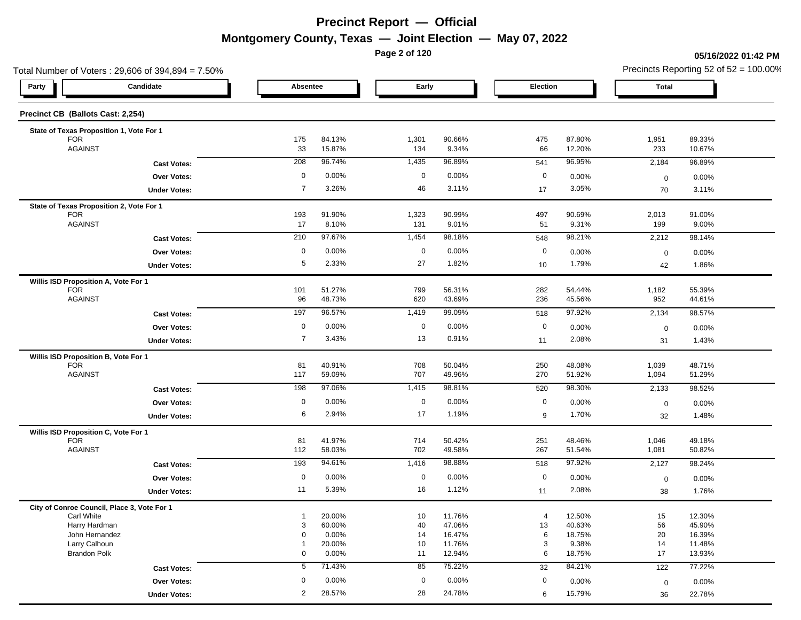**Page 2 of 120**

#### **05/16/2022 01:42 PM**

| Total Number of Voters: 29,606 of 394,894 = 7.50% |                 |                  |              |                  |                      |                  |                | Precincts Reporting 52 of $52 = 100.00\%$ |
|---------------------------------------------------|-----------------|------------------|--------------|------------------|----------------------|------------------|----------------|-------------------------------------------|
| Candidate<br>Party                                | Absentee        |                  | Early        |                  | Election             |                  | <b>Total</b>   |                                           |
| Precinct CB (Ballots Cast: 2,254)                 |                 |                  |              |                  |                      |                  |                |                                           |
| State of Texas Proposition 1, Vote For 1          |                 |                  |              |                  |                      |                  |                |                                           |
| <b>FOR</b>                                        | 175             | 84.13%           | 1,301        | 90.66%           | 475                  | 87.80%           | 1,951          | 89.33%                                    |
| <b>AGAINST</b>                                    | 33              | 15.87%           | 134          | 9.34%            | 66                   | 12.20%           | 233            | 10.67%                                    |
| <b>Cast Votes:</b>                                | 208             | 96.74%           | 1,435        | 96.89%           | 541                  | 96.95%           | 2,184          | 96.89%                                    |
| <b>Over Votes:</b>                                | 0               | 0.00%            | $\mathbf 0$  | 0.00%            | $\mathbf 0$          | 0.00%            | $\mathbf 0$    | 0.00%                                     |
| <b>Under Votes:</b>                               | $\overline{7}$  | 3.26%            | 46           | 3.11%            | 17                   | 3.05%            | 70             | 3.11%                                     |
| State of Texas Proposition 2, Vote For 1          |                 |                  |              |                  |                      |                  |                |                                           |
| <b>FOR</b><br><b>AGAINST</b>                      | 193<br>17       | 91.90%<br>8.10%  | 1,323<br>131 | 90.99%<br>9.01%  | 497                  | 90.69%<br>9.31%  | 2,013<br>199   | 91.00%<br>9.00%                           |
|                                                   |                 |                  |              |                  | 51                   |                  |                |                                           |
| <b>Cast Votes:</b>                                | 210             | 97.67%           | 1,454        | 98.18%           | 548                  | 98.21%           | 2,212          | 98.14%                                    |
| Over Votes:                                       | 0               | 0.00%            | $\mathbf 0$  | 0.00%            | $\mathbf 0$          | 0.00%            | $\mathbf 0$    | 0.00%                                     |
| <b>Under Votes:</b>                               | 5               | 2.33%            | 27           | 1.82%            | 10                   | 1.79%            | 42             | 1.86%                                     |
| Willis ISD Proposition A, Vote For 1              |                 |                  |              |                  |                      |                  |                |                                           |
| <b>FOR</b><br><b>AGAINST</b>                      | 101<br>96       | 51.27%<br>48.73% | 799<br>620   | 56.31%<br>43.69% | 282<br>236           | 54.44%<br>45.56% | 1,182<br>952   | 55.39%<br>44.61%                          |
|                                                   | 197             | 96.57%           | 1,419        | 99.09%           | 518                  | 97.92%           |                | 98.57%                                    |
| <b>Cast Votes:</b>                                |                 |                  |              |                  |                      |                  | 2,134          |                                           |
| Over Votes:                                       | $\mathbf 0$     | 0.00%            | $\mathbf 0$  | 0.00%            | $\mathbf 0$          | 0.00%            | $\mathbf 0$    | 0.00%                                     |
| <b>Under Votes:</b>                               | $\overline{7}$  | 3.43%            | 13           | 0.91%            | 11                   | 2.08%            | 31             | 1.43%                                     |
| Willis ISD Proposition B, Vote For 1              |                 |                  |              |                  |                      |                  |                |                                           |
| <b>FOR</b>                                        | 81              | 40.91%           | 708          | 50.04%           | 250                  | 48.08%           | 1,039          | 48.71%                                    |
| <b>AGAINST</b>                                    | 117             | 59.09%           | 707          | 49.96%           | 270                  | 51.92%           | 1,094          | 51.29%                                    |
| <b>Cast Votes:</b>                                | 198             | 97.06%           | 1,415        | 98.81%           | 520                  | 98.30%           | 2,133          | 98.52%                                    |
| Over Votes:                                       | 0               | 0.00%            | $\mathbf 0$  | 0.00%            | $\mathbf 0$          | 0.00%            | $\mathbf 0$    | 0.00%                                     |
| <b>Under Votes:</b>                               | 6               | 2.94%            | 17           | 1.19%            | 9                    | 1.70%            | 32             | 1.48%                                     |
| Willis ISD Proposition C, Vote For 1              |                 |                  |              |                  |                      |                  |                |                                           |
| <b>FOR</b><br><b>AGAINST</b>                      | 81<br>112       | 41.97%<br>58.03% | 714<br>702   | 50.42%<br>49.58% | 251<br>267           | 48.46%<br>51.54% | 1,046<br>1,081 | 49.18%<br>50.82%                          |
|                                                   |                 |                  |              |                  |                      |                  |                |                                           |
| <b>Cast Votes:</b>                                | 193             | 94.61%           | 1,416        | 98.88%           | 518                  | 97.92%           | 2,127          | 98.24%                                    |
| <b>Over Votes:</b>                                | 0               | 0.00%            | 0            | 0.00%            | $\mathbf 0$          | 0.00%            | $\mathbf 0$    | 0.00%                                     |
| <b>Under Votes:</b>                               | 11              | 5.39%            | 16           | 1.12%            | 11                   | 2.08%            | 38             | 1.76%                                     |
| City of Conroe Council, Place 3, Vote For 1       |                 |                  |              |                  |                      |                  |                |                                           |
| Carl White<br>Harry Hardman                       | -1<br>3         | 20.00%<br>60.00% | 10<br>40     | 11.76%<br>47.06% | $\overline{4}$<br>13 | 12.50%<br>40.63% | 15<br>56       | 12.30%<br>45.90%                          |
| John Hernandez                                    | 0               | 0.00%            | 14           | 16.47%           | 6                    | 18.75%           | 20             | 16.39%                                    |
| Larry Calhoun                                     | $\overline{1}$  | 20.00%           | 10           | 11.76%           | 3                    | 9.38%            | 14             | 11.48%                                    |
| <b>Brandon Polk</b>                               | 0               | 0.00%            | 11           | 12.94%           | 6                    | 18.75%           | 17             | 13.93%                                    |
| <b>Cast Votes:</b>                                | $5\overline{)}$ | 71.43%           | 85           | 75.22%           | 32                   | 84.21%           | 122            | 77.22%                                    |
| Over Votes:                                       | 0               | 0.00%            | 0            | 0.00%            | $\mathbf 0$          | 0.00%            | $\mathbf 0$    | 0.00%                                     |
| <b>Under Votes:</b>                               | $\overline{2}$  | 28.57%           | 28           | 24.78%           | 6                    | 15.79%           | 36             | 22.78%                                    |
|                                                   |                 |                  |              |                  |                      |                  |                |                                           |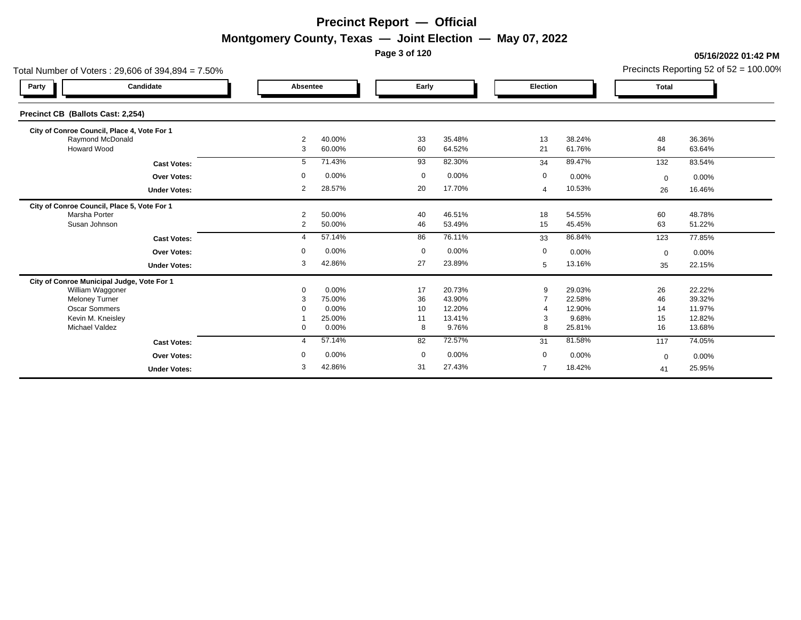**Page 3 of 120**

#### **05/16/2022 01:42 PM**

| Total Number of Voters: 29,606 of 394,894 = 7.50% |                     |        |             |                  |                |                  |             | Precincts Reporting 52 of 52 = 100.00%<br><b>Total</b><br>48<br>36.36%<br>84<br>63.64%<br>83.54%<br>132 |  |  |
|---------------------------------------------------|---------------------|--------|-------------|------------------|----------------|------------------|-------------|---------------------------------------------------------------------------------------------------------|--|--|
| Candidate<br>Party                                | Absentee            |        | Early       |                  | Election       |                  |             |                                                                                                         |  |  |
| Precinct CB (Ballots Cast: 2,254)                 |                     |        |             |                  |                |                  |             |                                                                                                         |  |  |
| City of Conroe Council, Place 4, Vote For 1       |                     |        |             |                  |                |                  |             |                                                                                                         |  |  |
| Raymond McDonald<br>Howard Wood                   | $\overline{2}$<br>3 | 40.00% | 33          | 35.48%<br>64.52% | 13             | 38.24%<br>61.76% |             |                                                                                                         |  |  |
|                                                   |                     | 60.00% | 60          |                  | 21             |                  |             |                                                                                                         |  |  |
| <b>Cast Votes:</b>                                | 5                   | 71.43% | 93          | 82.30%           | 34             | 89.47%           |             |                                                                                                         |  |  |
| <b>Over Votes:</b>                                | 0                   | 0.00%  | $\mathbf 0$ | 0.00%            | 0              | 0.00%            | $\mathbf 0$ | 0.00%                                                                                                   |  |  |
| <b>Under Votes:</b>                               | 2                   | 28.57% | 20          | 17.70%           | 4              | 10.53%           | 26          | 16.46%                                                                                                  |  |  |
| City of Conroe Council, Place 5, Vote For 1       |                     |        |             |                  |                |                  |             |                                                                                                         |  |  |
| Marsha Porter                                     | $\overline{2}$      | 50.00% | 40          | 46.51%           | 18             | 54.55%           | 60          | 48.78%                                                                                                  |  |  |
| Susan Johnson                                     | 2                   | 50.00% | 46          | 53.49%           | 15             | 45.45%           | 63          | 51.22%                                                                                                  |  |  |
| <b>Cast Votes:</b>                                | 4                   | 57.14% | 86          | 76.11%           | 33             | 86.84%           | 123         | 77.85%                                                                                                  |  |  |
| <b>Over Votes:</b>                                | 0                   | 0.00%  | $\mathbf 0$ | 0.00%            | $\mathbf 0$    | 0.00%            | $\mathbf 0$ | 0.00%                                                                                                   |  |  |
| <b>Under Votes:</b>                               | 3                   | 42.86% | 27          | 23.89%           | 5              | 13.16%           | 35          | 22.15%                                                                                                  |  |  |
| City of Conroe Municipal Judge, Vote For 1        |                     |        |             |                  |                |                  |             |                                                                                                         |  |  |
| William Waggoner                                  | $\Omega$            | 0.00%  | 17          | 20.73%           | 9              | 29.03%           | 26          | 22.22%                                                                                                  |  |  |
| <b>Meloney Turner</b>                             | 3                   | 75.00% | 36          | 43.90%           |                | 22.58%           | 46          | 39.32%                                                                                                  |  |  |
| <b>Oscar Sommers</b>                              |                     | 0.00%  | 10          | 12.20%           |                | 12.90%           | 14          | 11.97%                                                                                                  |  |  |
| Kevin M. Kneisley                                 |                     | 25.00% | 11          | 13.41%           | 3              | 9.68%            | 15          | 12.82%                                                                                                  |  |  |
| <b>Michael Valdez</b>                             | $\mathbf{0}$        | 0.00%  | 8           | 9.76%            | 8              | 25.81%           | 16          | 13.68%                                                                                                  |  |  |
| <b>Cast Votes:</b>                                | $\overline{4}$      | 57.14% | 82          | 72.57%           | 31             | 81.58%           | 117         | 74.05%                                                                                                  |  |  |
| <b>Over Votes:</b>                                | $\Omega$            | 0.00%  | $\mathbf 0$ | 0.00%            | $\mathbf 0$    | 0.00%            | $\mathbf 0$ | 0.00%                                                                                                   |  |  |
| <b>Under Votes:</b>                               | 3                   | 42.86% | 31          | 27.43%           | $\overline{7}$ | 18.42%           | 41          | 25.95%                                                                                                  |  |  |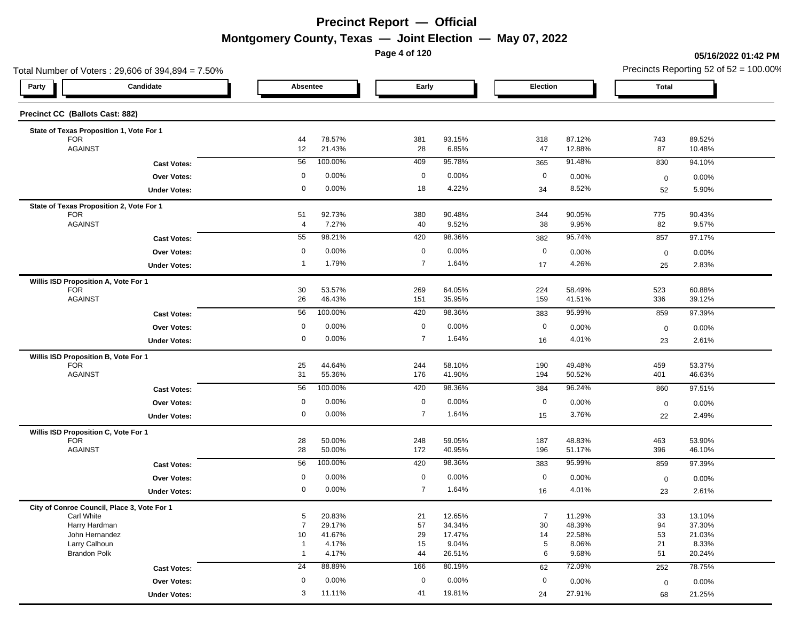**Page 4 of 120**

#### **05/16/2022 01:42 PM**

| Total Number of Voters: 29,606 of 394,894 = 7.50% |                     |                  |                |                  |                      |                  |              | Precincts Reporting 52 of $52 = 100.00\%$ |
|---------------------------------------------------|---------------------|------------------|----------------|------------------|----------------------|------------------|--------------|-------------------------------------------|
| Candidate<br>Party                                | Absentee            |                  | Early          |                  | Election             |                  | <b>Total</b> |                                           |
| Precinct CC (Ballots Cast: 882)                   |                     |                  |                |                  |                      |                  |              |                                           |
| State of Texas Proposition 1, Vote For 1          |                     |                  |                |                  |                      |                  |              |                                           |
| <b>FOR</b>                                        | 44                  | 78.57%           | 381            | 93.15%           | 318                  | 87.12%           | 743          | 89.52%                                    |
| <b>AGAINST</b>                                    | 12                  | 21.43%           | 28             | 6.85%            | 47                   | 12.88%           | 87           | 10.48%                                    |
| <b>Cast Votes:</b>                                | 56                  | 100.00%          | 409            | 95.78%           | 365                  | 91.48%           | 830          | 94.10%                                    |
| <b>Over Votes:</b>                                | 0                   | 0.00%            | 0              | 0.00%            | $\mathbf 0$          | 0.00%            | $\mathbf 0$  | 0.00%                                     |
| <b>Under Votes:</b>                               | 0                   | 0.00%            | 18             | 4.22%            | 34                   | 8.52%            | 52           | 5.90%                                     |
| State of Texas Proposition 2, Vote For 1          |                     |                  |                |                  |                      |                  |              |                                           |
| <b>FOR</b><br><b>AGAINST</b>                      | 51                  | 92.73%           | 380            | 90.48%           | 344                  | 90.05%           | 775          | 90.43%                                    |
|                                                   | 4                   | 7.27%            | 40             | 9.52%            | 38                   | 9.95%            | 82           | 9.57%                                     |
| <b>Cast Votes:</b>                                | 55                  | 98.21%           | 420            | 98.36%           | 382                  | 95.74%           | 857          | 97.17%                                    |
| Over Votes:                                       | $\mathbf 0$         | 0.00%            | $\mathbf 0$    | 0.00%            | $\mathbf 0$          | 0.00%            | $\mathbf 0$  | 0.00%                                     |
| <b>Under Votes:</b>                               | -1                  | 1.79%            | $\overline{7}$ | 1.64%            | 17                   | 4.26%            | 25           | 2.83%                                     |
| Willis ISD Proposition A, Vote For 1              |                     |                  |                |                  |                      |                  |              |                                           |
| <b>FOR</b><br><b>AGAINST</b>                      | 30<br>26            | 53.57%<br>46.43% | 269<br>151     | 64.05%<br>35.95% | 224<br>159           | 58.49%<br>41.51% | 523<br>336   | 60.88%<br>39.12%                          |
|                                                   | 56                  | 100.00%          | 420            | 98.36%           |                      | 95.99%           |              | 97.39%                                    |
| <b>Cast Votes:</b>                                |                     |                  |                |                  | 383                  |                  | 859          |                                           |
| Over Votes:                                       | 0                   | 0.00%            | $\mathbf 0$    | 0.00%            | $\mathbf 0$          | 0.00%            | $\mathbf 0$  | 0.00%                                     |
| <b>Under Votes:</b>                               | 0                   | 0.00%            | $\overline{7}$ | 1.64%            | 16                   | 4.01%            | 23           | 2.61%                                     |
| Willis ISD Proposition B, Vote For 1              |                     |                  |                |                  |                      |                  |              |                                           |
| <b>FOR</b>                                        | 25                  | 44.64%           | 244            | 58.10%           | 190                  | 49.48%           | 459          | 53.37%                                    |
| <b>AGAINST</b>                                    | 31                  | 55.36%           | 176            | 41.90%           | 194                  | 50.52%           | 401          | 46.63%                                    |
| <b>Cast Votes:</b>                                | 56                  | 100.00%          | 420            | 98.36%           | 384                  | 96.24%           | 860          | 97.51%                                    |
| Over Votes:                                       | 0                   | 0.00%            | $\mathbf 0$    | 0.00%            | $\mathbf 0$          | 0.00%            | $\mathbf 0$  | 0.00%                                     |
| <b>Under Votes:</b>                               | 0                   | 0.00%            | $\overline{7}$ | 1.64%            | 15                   | 3.76%            | 22           | 2.49%                                     |
| Willis ISD Proposition C, Vote For 1              |                     |                  |                |                  |                      |                  |              |                                           |
| <b>FOR</b><br><b>AGAINST</b>                      | 28<br>28            | 50.00%<br>50.00% | 248<br>172     | 59.05%<br>40.95% | 187<br>196           | 48.83%<br>51.17% | 463<br>396   | 53.90%<br>46.10%                          |
|                                                   |                     |                  |                |                  |                      |                  |              |                                           |
| <b>Cast Votes:</b>                                | 56                  | 100.00%          | 420            | 98.36%           | 383                  | 95.99%           | 859          | 97.39%                                    |
| <b>Over Votes:</b>                                | 0                   | 0.00%            | 0              | 0.00%            | 0                    | 0.00%            | $\mathbf 0$  | 0.00%                                     |
| <b>Under Votes:</b>                               | 0                   | 0.00%            | $\overline{7}$ | 1.64%            | 16                   | 4.01%            | 23           | 2.61%                                     |
| City of Conroe Council, Place 3, Vote For 1       |                     |                  |                |                  |                      |                  |              |                                           |
| Carl White<br>Harry Hardman                       | 5<br>$\overline{7}$ | 20.83%<br>29.17% | 21<br>57       | 12.65%<br>34.34% | $\overline{7}$<br>30 | 11.29%<br>48.39% | 33<br>94     | 13.10%<br>37.30%                          |
| John Hernandez                                    | 10                  | 41.67%           | 29             | 17.47%           | 14                   | 22.58%           | 53           | 21.03%                                    |
| Larry Calhoun                                     | $\overline{1}$      | 4.17%            | 15             | 9.04%            | $5\phantom{.0}$      | 8.06%            | 21           | 8.33%                                     |
| <b>Brandon Polk</b>                               | $\overline{1}$      | 4.17%            | 44             | 26.51%           | 6                    | 9.68%            | 51           | 20.24%                                    |
| <b>Cast Votes:</b>                                | 24                  | 88.89%           | 166            | 80.19%           | 62                   | 72.09%           | 252          | 78.75%                                    |
| Over Votes:                                       | 0                   | 0.00%            | 0              | 0.00%            | $\mathbf 0$          | 0.00%            | $\mathbf 0$  | 0.00%                                     |
|                                                   |                     |                  |                |                  |                      |                  |              |                                           |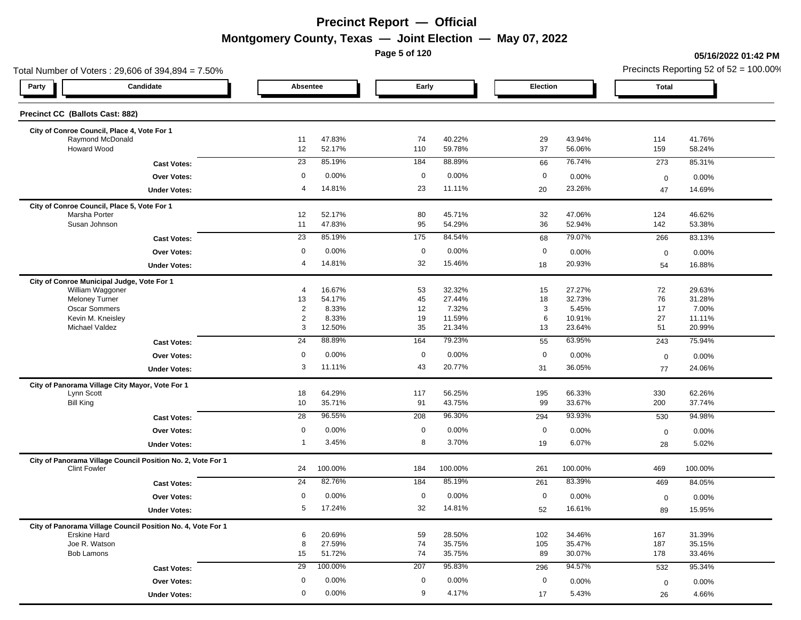**Page 5 of 120**

#### **05/16/2022 01:42 PM**

| Total Number of Voters: 29,606 of 394,894 = 7.50%                                  |                      |                  |             |                  |             |                  |              | Precincts Reporting 52 of $52 = 100.00\%$ |
|------------------------------------------------------------------------------------|----------------------|------------------|-------------|------------------|-------------|------------------|--------------|-------------------------------------------|
| Candidate<br>Party                                                                 | Absentee             |                  | Early       |                  | Election    |                  | <b>Total</b> |                                           |
| Precinct CC (Ballots Cast: 882)                                                    |                      |                  |             |                  |             |                  |              |                                           |
|                                                                                    |                      |                  |             |                  |             |                  |              |                                           |
| City of Conroe Council, Place 4, Vote For 1<br>Raymond McDonald                    | 11                   | 47.83%           | 74          | 40.22%           | 29          | 43.94%           | 114          | 41.76%                                    |
| Howard Wood                                                                        | 12                   | 52.17%           | 110         | 59.78%           | 37          | 56.06%           | 159          | 58.24%                                    |
| <b>Cast Votes:</b>                                                                 | 23                   | 85.19%           | 184         | 88.89%           | 66          | 76.74%           | 273          | 85.31%                                    |
| <b>Over Votes:</b>                                                                 | 0                    | 0.00%            | 0           | 0.00%            | $\mathbf 0$ | 0.00%            | $\mathbf 0$  | 0.00%                                     |
| <b>Under Votes:</b>                                                                | 4                    | 14.81%           | 23          | 11.11%           | 20          | 23.26%           | 47           | 14.69%                                    |
| City of Conroe Council, Place 5, Vote For 1                                        |                      |                  |             |                  |             |                  |              |                                           |
| Marsha Porter                                                                      | 12                   | 52.17%           | 80          | 45.71%           | 32          | 47.06%           | 124          | 46.62%                                    |
| Susan Johnson                                                                      | 11                   | 47.83%           | 95          | 54.29%           | 36          | 52.94%           | 142          | 53.38%                                    |
| <b>Cast Votes:</b>                                                                 | 23                   | 85.19%           | 175         | 84.54%           | 68          | 79.07%           | 266          | 83.13%                                    |
| <b>Over Votes:</b>                                                                 | 0                    | 0.00%            | $\mathbf 0$ | 0.00%            | $\mathbf 0$ | 0.00%            | $\mathbf 0$  | 0.00%                                     |
| <b>Under Votes:</b>                                                                | 4                    | 14.81%           | 32          | 15.46%           | 18          | 20.93%           | 54           | 16.88%                                    |
| City of Conroe Municipal Judge, Vote For 1                                         |                      |                  |             |                  |             |                  |              |                                           |
| William Waggoner<br><b>Meloney Turner</b>                                          | $\overline{4}$<br>13 | 16.67%<br>54.17% | 53<br>45    | 32.32%<br>27.44% | 15<br>18    | 27.27%<br>32.73% | 72<br>76     | 29.63%<br>31.28%                          |
| Oscar Sommers                                                                      | $\overline{2}$       | 8.33%            | 12          | 7.32%            | 3           | 5.45%            | 17           | 7.00%                                     |
| Kevin M. Kneisley                                                                  | $\overline{2}$       | 8.33%            | 19          | 11.59%           | 6           | 10.91%           | 27           | 11.11%                                    |
| Michael Valdez                                                                     | 3                    | 12.50%           | 35          | 21.34%           | 13          | 23.64%           | 51           | 20.99%                                    |
| <b>Cast Votes:</b>                                                                 | $\overline{24}$      | 88.89%           | 164         | 79.23%           | 55          | 63.95%           | 243          | 75.94%                                    |
| <b>Over Votes:</b>                                                                 | $\mathbf 0$          | 0.00%            | $\mathbf 0$ | 0.00%            | $\mathbf 0$ | 0.00%            | $\mathbf 0$  | 0.00%                                     |
| <b>Under Votes:</b>                                                                | 3                    | 11.11%           | 43          | 20.77%           | 31          | 36.05%           | 77           | 24.06%                                    |
| City of Panorama Village City Mayor, Vote For 1                                    |                      |                  |             |                  |             |                  |              |                                           |
| Lynn Scott<br><b>Bill King</b>                                                     | 18<br>10             | 64.29%<br>35.71% | 117<br>91   | 56.25%<br>43.75% | 195<br>99   | 66.33%<br>33.67% | 330<br>200   | 62.26%<br>37.74%                          |
|                                                                                    |                      | 96.55%           |             |                  |             |                  |              |                                           |
| <b>Cast Votes:</b>                                                                 | 28                   |                  | 208         | 96.30%           | 294         | 93.93%           | 530          | 94.98%                                    |
| <b>Over Votes:</b>                                                                 | $\mathbf 0$          | 0.00%            | $\mathbf 0$ | 0.00%            | $\mathbf 0$ | 0.00%            | $\mathbf 0$  | 0.00%                                     |
| <b>Under Votes:</b>                                                                | 1                    | 3.45%            | 8           | 3.70%            | 19          | 6.07%            | 28           | 5.02%                                     |
| City of Panorama Village Council Position No. 2, Vote For 1<br><b>Clint Fowler</b> | 24                   | 100.00%          | 184         | 100.00%          | 261         | 100.00%          | 469          | 100.00%                                   |
| <b>Cast Votes:</b>                                                                 | $\overline{24}$      | 82.76%           | 184         | 85.19%           | 261         | 83.39%           | 469          | 84.05%                                    |
| Over Votes:                                                                        | 0                    | 0.00%            | 0           | 0.00%            | $\mathbf 0$ | 0.00%            | $\mathbf 0$  | 0.00%                                     |
| <b>Under Votes:</b>                                                                | 5                    | 17.24%           | 32          | 14.81%           | 52          | 16.61%           | 89           | 15.95%                                    |
| City of Panorama Village Council Position No. 4, Vote For 1                        |                      |                  |             |                  |             |                  |              |                                           |
| <b>Erskine Hard</b>                                                                | 6                    | 20.69%           | 59          | 28.50%           | 102         | 34.46%           | 167          | 31.39%                                    |
| Joe R. Watson                                                                      | 8                    | 27.59%           | 74          | 35.75%           | 105         | 35.47%           | 187          | 35.15%                                    |
| <b>Bob Lamons</b>                                                                  | 15                   | 51.72%           | 74          | 35.75%           | 89          | 30.07%           | 178          | 33.46%                                    |
| <b>Cast Votes:</b>                                                                 | 29                   | 100.00%          | 207         | 95.83%           | 296         | 94.57%           | 532          | 95.34%                                    |
| Over Votes:                                                                        | 0                    | 0.00%            | 0           | 0.00%            | $\mathbf 0$ | 0.00%            | $\mathbf 0$  | 0.00%                                     |
| <b>Under Votes:</b>                                                                | 0                    | 0.00%            | 9           | 4.17%            | 17          | 5.43%            | 26           | 4.66%                                     |
|                                                                                    |                      |                  |             |                  |             |                  |              |                                           |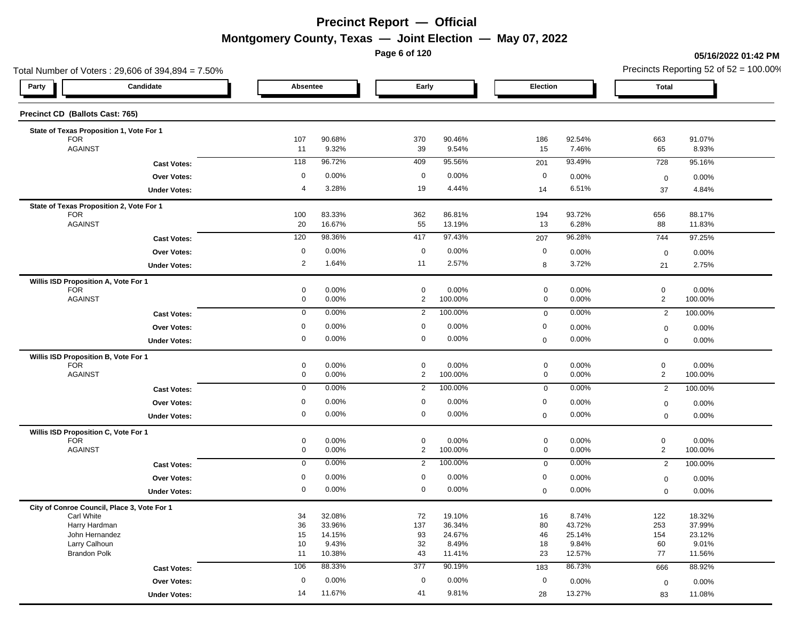**Page 6 of 120**

#### **05/16/2022 01:42 PM**

| Total Number of Voters: 29,606 of 394,894 = 7.50%  |             |                  |                               |                  |                            |                 |                               | Precincts Reporting 52 of $52 = 100.00\%$ |
|----------------------------------------------------|-------------|------------------|-------------------------------|------------------|----------------------------|-----------------|-------------------------------|-------------------------------------------|
| Candidate<br>Party                                 | Absentee    |                  | Early                         |                  | Election                   |                 | <b>Total</b>                  |                                           |
| Precinct CD (Ballots Cast: 765)                    |             |                  |                               |                  |                            |                 |                               |                                           |
| State of Texas Proposition 1, Vote For 1           |             |                  |                               |                  |                            |                 |                               |                                           |
| <b>FOR</b>                                         | 107         | 90.68%           | 370                           | 90.46%           | 186                        | 92.54%          | 663                           | 91.07%                                    |
| <b>AGAINST</b>                                     | 11          | 9.32%            | 39                            | 9.54%            | 15                         | 7.46%           | 65                            | 8.93%                                     |
| <b>Cast Votes:</b>                                 | 118         | 96.72%           | 409                           | 95.56%           | 201                        | 93.49%          | 728                           | 95.16%                                    |
| <b>Over Votes:</b>                                 | 0           | 0.00%            | 0                             | 0.00%            | $\mathbf 0$                | 0.00%           | $\mathbf 0$                   | 0.00%                                     |
| <b>Under Votes:</b>                                | 4           | 3.28%            | 19                            | 4.44%            | 14                         | 6.51%           | 37                            | 4.84%                                     |
| State of Texas Proposition 2, Vote For 1           |             |                  |                               |                  |                            |                 |                               |                                           |
| <b>FOR</b>                                         | 100         | 83.33%           | 362                           | 86.81%           | 194                        | 93.72%          | 656                           | 88.17%                                    |
| <b>AGAINST</b>                                     | 20          | 16.67%           | 55                            | 13.19%           | 13                         | 6.28%           | 88                            | 11.83%                                    |
| <b>Cast Votes:</b>                                 | 120         | 98.36%           | 417                           | 97.43%           | 207                        | 96.28%          | 744                           | 97.25%                                    |
| Over Votes:                                        | 0           | 0.00%            | $\mathbf 0$                   | 0.00%            | $\mathbf 0$                | 0.00%           | $\mathbf 0$                   | 0.00%                                     |
| <b>Under Votes:</b>                                | 2           | 1.64%            | 11                            | 2.57%            | 8                          | 3.72%           | 21                            | 2.75%                                     |
| Willis ISD Proposition A, Vote For 1<br><b>FOR</b> | 0           | 0.00%            | $\mathbf 0$                   |                  | $\pmb{0}$                  |                 | $\mathbf 0$                   |                                           |
| <b>AGAINST</b>                                     | 0           | 0.00%            | $\overline{2}$                | 0.00%<br>100.00% | $\mathbf 0$                | 0.00%<br>0.00%  | $\overline{2}$                | 0.00%<br>100.00%                          |
| <b>Cast Votes:</b>                                 | $\mathbf 0$ | 0.00%            | $\overline{2}$                | 100.00%          | $\mathbf 0$                | 0.00%           | $\overline{2}$                | 100.00%                                   |
|                                                    | 0           | 0.00%            | $\mathbf 0$                   | 0.00%            | $\mathbf 0$                |                 |                               |                                           |
| Over Votes:                                        | 0           | 0.00%            | $\mathbf 0$                   | 0.00%            |                            | 0.00%           | $\mathbf 0$                   | 0.00%                                     |
| <b>Under Votes:</b>                                |             |                  |                               |                  | $\mathbf 0$                | 0.00%           | $\mathbf 0$                   | 0.00%                                     |
| Willis ISD Proposition B, Vote For 1               |             |                  |                               |                  |                            |                 |                               |                                           |
| <b>FOR</b><br><b>AGAINST</b>                       | 0<br>0      | 0.00%<br>0.00%   | $\mathbf 0$<br>$\overline{2}$ | 0.00%<br>100.00% | $\mathbf 0$<br>$\mathbf 0$ | 0.00%<br>0.00%  | $\mathbf 0$<br>$\overline{2}$ | 0.00%<br>100.00%                          |
|                                                    | $\mathbf 0$ | 0.00%            | $\overline{2}$                | 100.00%          |                            | 0.00%           |                               |                                           |
| <b>Cast Votes:</b>                                 |             |                  |                               |                  | $\mathbf 0$                |                 | $\overline{2}$                | 100.00%                                   |
| Over Votes:                                        | 0           | 0.00%            | 0                             | 0.00%            | 0                          | 0.00%           | $\mathbf 0$                   | 0.00%                                     |
| <b>Under Votes:</b>                                | 0           | 0.00%            | $\mathbf 0$                   | 0.00%            | $\mathbf 0$                | 0.00%           | $\mathbf 0$                   | 0.00%                                     |
| Willis ISD Proposition C, Vote For 1               |             |                  |                               |                  |                            |                 |                               |                                           |
| <b>FOR</b><br><b>AGAINST</b>                       | 0<br>0      | 0.00%<br>0.00%   | $\mathbf 0$<br>$\overline{2}$ | 0.00%<br>100.00% | $\mathbf 0$<br>$\mathbf 0$ | 0.00%<br>0.00%  | $\mathbf 0$<br>$\overline{2}$ | 0.00%<br>100.00%                          |
|                                                    |             | 0.00%            |                               | 100.00%          |                            | 0.00%           |                               |                                           |
| <b>Cast Votes:</b>                                 | 0           |                  | $\overline{2}$                |                  | $\mathbf 0$                |                 | $\overline{2}$                | 100.00%                                   |
| Over Votes:                                        | 0           | 0.00%            | 0                             | 0.00%            | 0                          | 0.00%           | $\mathbf 0$                   | 0.00%                                     |
| <b>Under Votes:</b>                                | 0           | 0.00%            | $\mathbf 0$                   | 0.00%            | 0                          | 0.00%           | $\mathbf 0$                   | 0.00%                                     |
| City of Conroe Council, Place 3, Vote For 1        |             |                  |                               |                  |                            |                 |                               |                                           |
| Carl White<br>Harry Hardman                        | 34<br>36    | 32.08%<br>33.96% | 72<br>137                     | 19.10%<br>36.34% | 16<br>80                   | 8.74%<br>43.72% | 122<br>253                    | 18.32%<br>37.99%                          |
| John Hernandez                                     | 15          | 14.15%           | 93                            | 24.67%           | 46                         | 25.14%          | 154                           | 23.12%                                    |
| Larry Calhoun                                      | 10          | 9.43%            | 32                            | 8.49%            | 18                         | 9.84%           | 60                            | 9.01%                                     |
| <b>Brandon Polk</b>                                | 11          | 10.38%           | 43                            | 11.41%           | 23                         | 12.57%          | 77                            | 11.56%                                    |
| <b>Cast Votes:</b>                                 | 106         | 88.33%           | $\overline{377}$              | 90.19%           | 183                        | 86.73%          | 666                           | 88.92%                                    |
| Over Votes:                                        | $\mathbf 0$ | 0.00%            | 0                             | 0.00%            | $\mathbf 0$                | 0.00%           | $\mathbf 0$                   | 0.00%                                     |
| <b>Under Votes:</b>                                | 14          | 11.67%           | 41                            | 9.81%            | 28                         | 13.27%          | 83                            | 11.08%                                    |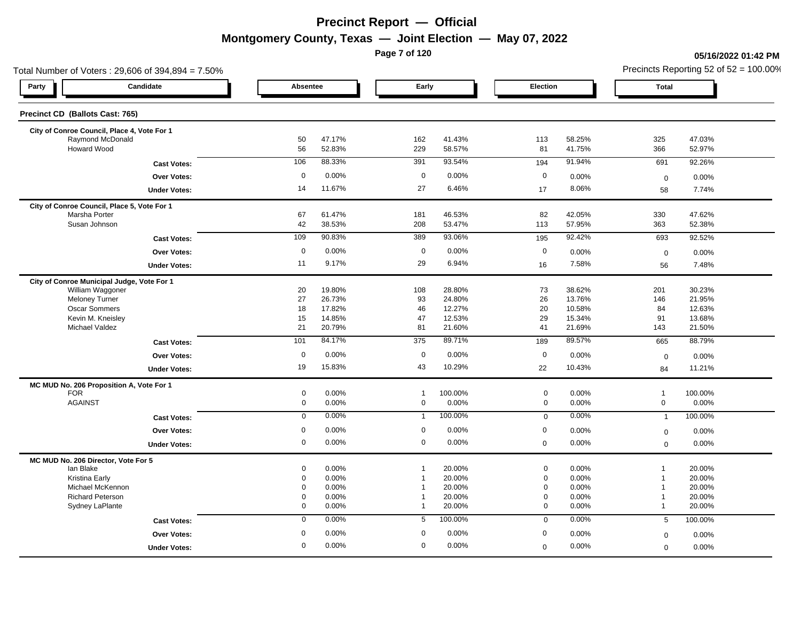**Page 7 of 120**

#### **05/16/2022 01:42 PM**

| Total Number of Voters: 29,606 of 394,894 = 7.50% |                |                  |                                  |                  |                            |                  |                              | Precincts Reporting 52 of $52 = 100.00\%$ |
|---------------------------------------------------|----------------|------------------|----------------------------------|------------------|----------------------------|------------------|------------------------------|-------------------------------------------|
| Candidate<br>Party                                |                | Absentee         |                                  | Early            | Election                   |                  | <b>Total</b>                 |                                           |
| Precinct CD (Ballots Cast: 765)                   |                |                  |                                  |                  |                            |                  |                              |                                           |
| City of Conroe Council, Place 4, Vote For 1       |                |                  |                                  |                  |                            |                  |                              |                                           |
| Raymond McDonald<br><b>Howard Wood</b>            | 50<br>56       | 47.17%<br>52.83% | 162<br>229                       | 41.43%<br>58.57% | 113<br>81                  | 58.25%<br>41.75% | 325<br>366                   | 47.03%<br>52.97%                          |
| <b>Cast Votes:</b>                                | 106            | 88.33%           | 391                              | 93.54%           | 194                        | 91.94%           | 691                          | 92.26%                                    |
| <b>Over Votes:</b>                                | $\mathbf 0$    | 0.00%            | $\mathbf 0$                      | 0.00%            | $\mathbf 0$                | 0.00%            | $\mathbf 0$                  | 0.00%                                     |
| <b>Under Votes:</b>                               | 14             | 11.67%           | 27                               | 6.46%            | 17                         | 8.06%            | 58                           | 7.74%                                     |
| City of Conroe Council, Place 5, Vote For 1       |                |                  |                                  |                  |                            |                  |                              |                                           |
| Marsha Porter                                     | 67             | 61.47%           | 181                              | 46.53%           | 82                         | 42.05%           | 330                          | 47.62%                                    |
| Susan Johnson                                     | 42             | 38.53%           | 208                              | 53.47%           | 113                        | 57.95%           | 363                          | 52.38%                                    |
| <b>Cast Votes:</b>                                | 109            | 90.83%           | 389                              | 93.06%           | 195                        | 92.42%           | 693                          | 92.52%                                    |
| <b>Over Votes:</b>                                | $\mathbf 0$    | 0.00%            | $\mathbf 0$                      | 0.00%            | $\mathbf 0$                | 0.00%            | $\mathbf 0$                  | 0.00%                                     |
| <b>Under Votes:</b>                               | 11             | 9.17%            | 29                               | 6.94%            | 16                         | 7.58%            | 56                           | 7.48%                                     |
| City of Conroe Municipal Judge, Vote For 1        |                |                  |                                  |                  |                            |                  |                              |                                           |
| William Waggoner                                  | 20             | 19.80%           | 108                              | 28.80%           | 73                         | 38.62%           | 201                          | 30.23%                                    |
| <b>Meloney Turner</b>                             | 27             | 26.73%           | 93                               | 24.80%           | 26                         | 13.76%           | 146                          | 21.95%                                    |
| <b>Oscar Sommers</b>                              | 18             | 17.82%           | 46                               | 12.27%           | 20                         | 10.58%           | 84                           | 12.63%                                    |
| Kevin M. Kneisley                                 | 15             | 14.85%           | 47                               | 12.53%           | 29                         | 15.34%           | 91                           | 13.68%                                    |
| <b>Michael Valdez</b>                             | 21             | 20.79%           | 81                               | 21.60%           | 41                         | 21.69%           | 143                          | 21.50%                                    |
| <b>Cast Votes:</b>                                | 101            | 84.17%           | 375                              | 89.71%           | 189                        | 89.57%           | 665                          | 88.79%                                    |
| <b>Over Votes:</b>                                | $\mathbf 0$    | 0.00%            | $\mathbf 0$                      | 0.00%            | $\mathbf 0$                | 0.00%            | $\mathbf 0$                  | 0.00%                                     |
| <b>Under Votes:</b>                               | 19             | 15.83%           | 43                               | 10.29%           | 22                         | 10.43%           | 84                           | 11.21%                                    |
| MC MUD No. 206 Proposition A, Vote For 1          |                |                  |                                  |                  |                            |                  |                              |                                           |
| <b>FOR</b>                                        | 0              | 0.00%            | $\overline{1}$                   | 100.00%          | $\mathbf 0$                | 0.00%            | $\mathbf{1}$                 | 100.00%                                   |
| <b>AGAINST</b>                                    | 0              | 0.00%            | $\mathbf 0$                      | 0.00%            | $\mathbf 0$                | 0.00%            | $\mathbf 0$                  | 0.00%                                     |
| <b>Cast Votes:</b>                                | $\overline{0}$ | 0.00%            | $\mathbf{1}$                     | 100.00%          | $\mathbf 0$                | 0.00%            | $\mathbf{1}$                 | 100.00%                                   |
| Over Votes:                                       | $\mathbf 0$    | 0.00%            | $\mathbf 0$                      | 0.00%            | $\mathbf 0$                | 0.00%            | $\mathbf 0$                  | 0.00%                                     |
| <b>Under Votes:</b>                               | $\mathbf 0$    | 0.00%            | $\mathbf 0$                      | 0.00%            | $\mathbf 0$                | 0.00%            | $\mathbf 0$                  | 0.00%                                     |
| MC MUD No. 206 Director, Vote For 5               |                |                  |                                  |                  |                            |                  |                              |                                           |
| lan Blake                                         | 0              | 0.00%            | $\mathbf 1$                      | 20.00%           | $\mathbf 0$                | 0.00%            | $\overline{1}$               | 20.00%                                    |
| Kristina Early                                    | 0              | 0.00%            | -1                               | 20.00%           | $\mathbf 0$                | 0.00%            | $\mathbf{1}$                 | 20.00%                                    |
| Michael McKennon                                  | 0              | 0.00%            | $\overline{1}$<br>$\overline{1}$ | 20.00%           | $\mathbf 0$<br>$\mathbf 0$ | 0.00%            | $\mathbf{1}$<br>$\mathbf{1}$ | 20.00%                                    |
| <b>Richard Peterson</b><br>Sydney LaPlante        | 0<br>0         | 0.00%<br>0.00%   | $\mathbf{1}$                     | 20.00%<br>20.00% | $\mathbf 0$                | 0.00%<br>0.00%   | $\mathbf{1}$                 | 20.00%<br>20.00%                          |
| <b>Cast Votes:</b>                                | 0              | 0.00%            | 5                                | 100.00%          | $\mathbf 0$                | 0.00%            | 5                            | 100.00%                                   |
| Over Votes:                                       | $\mathbf 0$    | 0.00%            | $\mathbf 0$                      | 0.00%            | 0                          | 0.00%            | $\mathbf 0$                  | 0.00%                                     |
| <b>Under Votes:</b>                               | 0              | 0.00%            | $\mathbf 0$                      | 0.00%            | $\mathbf 0$                | 0.00%            | $\mathbf 0$                  | 0.00%                                     |
|                                                   |                |                  |                                  |                  |                            |                  |                              |                                           |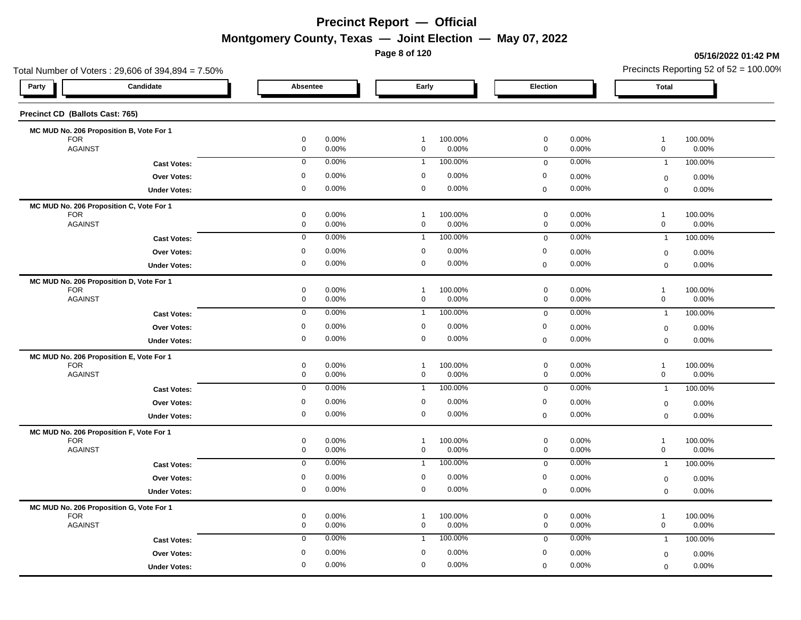**Page 8 of 120**

#### **05/16/2022 01:42 PM**

| Total Number of Voters: 29,606 of 394,894 = 7.50%      |                                    |                |                               |                  |                                    |                | Precincts Reporting 52 of $52 = 100.00\%$               |          |
|--------------------------------------------------------|------------------------------------|----------------|-------------------------------|------------------|------------------------------------|----------------|---------------------------------------------------------|----------|
| Candidate<br>Party                                     | Absentee                           |                | Early                         |                  | Election                           |                | Total                                                   |          |
| Precinct CD (Ballots Cast: 765)                        |                                    |                |                               |                  |                                    |                |                                                         |          |
| MC MUD No. 206 Proposition B, Vote For 1               |                                    |                |                               |                  |                                    |                |                                                         |          |
| <b>FOR</b><br><b>AGAINST</b>                           | $\mathbf 0$<br>$\mathsf{O}\xspace$ | 0.00%<br>0.00% | $\mathbf{1}$<br>$\mathbf 0$   | 100.00%<br>0.00% | $\mathbf 0$<br>$\mathsf{O}\xspace$ | 0.00%<br>0.00% | $\mathbf{1}$<br>100.00%<br>$\mathsf{O}\xspace$<br>0.00% |          |
|                                                        | $\mathbf 0$                        | 0.00%          | $\mathbf{1}$                  | 100.00%          | $\mathbf 0$                        | 0.00%          | 100.00%<br>$\mathbf{1}$                                 |          |
| <b>Cast Votes:</b>                                     | 0                                  | 0.00%          | $\mathbf 0$                   | 0.00%            | $\boldsymbol{0}$                   | 0.00%          |                                                         |          |
| <b>Over Votes:</b>                                     | 0                                  | 0.00%          | $\mathbf 0$                   | 0.00%            |                                    | 0.00%          | $\boldsymbol{0}$                                        | 0.00%    |
| <b>Under Votes:</b>                                    |                                    |                |                               |                  | $\mathbf 0$                        |                | 0.00%<br>$\mathbf 0$                                    |          |
| MC MUD No. 206 Proposition C, Vote For 1<br><b>FOR</b> | 0                                  | 0.00%          | $\mathbf{1}$                  | 100.00%          | $\mathbf 0$                        | 0.00%          | $\overline{1}$<br>100.00%                               |          |
| <b>AGAINST</b>                                         | $\mathsf{O}\xspace$                | 0.00%          | $\mathbf 0$                   | 0.00%            | $\mathsf{O}\xspace$                | 0.00%          | $\mathsf{O}\xspace$<br>0.00%                            |          |
| <b>Cast Votes:</b>                                     | $\mathbf 0$                        | 0.00%          | $\mathbf{1}$                  | 100.00%          | $\mathbf 0$                        | 0.00%          | 100.00%<br>$\overline{1}$                               |          |
| <b>Over Votes:</b>                                     | 0                                  | 0.00%          | $\mathbf 0$                   | 0.00%            | $\boldsymbol{0}$                   | 0.00%          | $\boldsymbol{0}$                                        | 0.00%    |
| <b>Under Votes:</b>                                    | 0                                  | 0.00%          | $\mathbf 0$                   | 0.00%            | $\mathbf 0$                        | 0.00%          | 0.00%<br>$\mathbf 0$                                    |          |
|                                                        |                                    |                |                               |                  |                                    |                |                                                         |          |
| MC MUD No. 206 Proposition D, Vote For 1<br><b>FOR</b> | $\mathbf 0$                        | 0.00%          | $\mathbf{1}$                  | 100.00%          | $\mathbf 0$                        | 0.00%          | $\mathbf{1}$<br>100.00%                                 |          |
| <b>AGAINST</b>                                         | $\mathsf{O}\xspace$                | 0.00%          | $\mathbf 0$                   | 0.00%            | $\mathsf{O}\xspace$                | 0.00%          | $\mathsf{O}\xspace$<br>0.00%                            |          |
| <b>Cast Votes:</b>                                     | $\mathbf 0$                        | 0.00%          | $\mathbf{1}$                  | 100.00%          | $\mathbf 0$                        | 0.00%          | 100.00%<br>$\overline{1}$                               |          |
| <b>Over Votes:</b>                                     | $\mathbf 0$                        | 0.00%          | $\mathbf 0$                   | 0.00%            | $\mathbf 0$                        | 0.00%          | $\boldsymbol{0}$                                        | 0.00%    |
| <b>Under Votes:</b>                                    | 0                                  | 0.00%          | $\mathbf 0$                   | 0.00%            | $\mathbf 0$                        | 0.00%          | $\mathbf 0$                                             | 0.00%    |
| MC MUD No. 206 Proposition E, Vote For 1               |                                    |                |                               |                  |                                    |                |                                                         |          |
| <b>FOR</b>                                             | 0                                  | 0.00%          | $\mathbf{1}$                  | 100.00%          | $\mathbf 0$                        | 0.00%          | $\mathbf{1}$<br>100.00%                                 |          |
| <b>AGAINST</b>                                         | 0                                  | 0.00%          | $\mathbf 0$                   | 0.00%            | $\mathbf 0$                        | 0.00%          | $\mathsf 0$                                             | 0.00%    |
| <b>Cast Votes:</b>                                     | $\mathbf 0$                        | 0.00%          | $\overline{1}$                | 100.00%          | $\mathbf 0$                        | 0.00%          | 100.00%<br>$\overline{1}$                               |          |
| Over Votes:                                            | $\mathbf 0$                        | 0.00%          | $\mathbf 0$                   | 0.00%            | $\mathbf 0$                        | 0.00%          | $\boldsymbol{0}$                                        | 0.00%    |
| <b>Under Votes:</b>                                    | 0                                  | 0.00%          | $\mathbf 0$                   | 0.00%            | $\boldsymbol{0}$                   | 0.00%          | $\mathbf 0$                                             | 0.00%    |
| MC MUD No. 206 Proposition F, Vote For 1               |                                    |                |                               |                  |                                    |                |                                                         |          |
| <b>FOR</b>                                             | $\mathbf 0$                        | 0.00%          | $\mathbf{1}$                  | 100.00%          | $\mathbf 0$                        | 0.00%          | $\mathbf{1}$<br>100.00%                                 |          |
| <b>AGAINST</b>                                         | 0                                  | 0.00%          | $\mathbf 0$                   | 0.00%            | $\mathbf 0$                        | 0.00%          | $\mathsf{O}\xspace$                                     | 0.00%    |
| <b>Cast Votes:</b>                                     | $\mathbf 0$                        | 0.00%          | $\mathbf{1}$                  | 100.00%          | $\mathsf 0$                        | 0.00%          | 100.00%<br>$\overline{1}$                               |          |
| Over Votes:                                            | $\mathbf 0$                        | 0.00%          | $\mathbf 0$                   | 0.00%            | $\mathbf 0$                        | 0.00%          | $\mathbf 0$                                             | 0.00%    |
| <b>Under Votes:</b>                                    | 0                                  | 0.00%          | $\mathbf 0$                   | 0.00%            | $\pmb{0}$                          | 0.00%          | $\mathbf 0$                                             | 0.00%    |
| MC MUD No. 206 Proposition G, Vote For 1               |                                    |                |                               |                  |                                    |                |                                                         |          |
| <b>FOR</b><br><b>AGAINST</b>                           | $\mathbf 0$<br>0                   | 0.00%<br>0.00% | $\overline{1}$<br>$\mathbf 0$ | 100.00%<br>0.00% | $\mathbf 0$<br>$\mathbf 0$         | 0.00%<br>0.00% | $\mathbf{1}$<br>100.00%<br>$\mathsf{O}\xspace$          | 0.00%    |
|                                                        | $\mathbf 0$                        | 0.00%          | $\mathbf{1}$                  | 100.00%          |                                    | 0.00%          | 100.00%                                                 |          |
| <b>Cast Votes:</b>                                     |                                    |                |                               |                  | $\mathbf 0$                        |                | $\overline{1}$                                          |          |
| <b>Over Votes:</b>                                     | 0                                  | 0.00%          | $\mathbf 0$                   | 0.00%            | 0                                  | 0.00%          | $\mathbf 0$                                             | $0.00\%$ |
| <b>Under Votes:</b>                                    | 0                                  | 0.00%          | $\mathbf 0$                   | 0.00%            | $\mathbf 0$                        | 0.00%          | 0.00%<br>$\mathbf 0$                                    |          |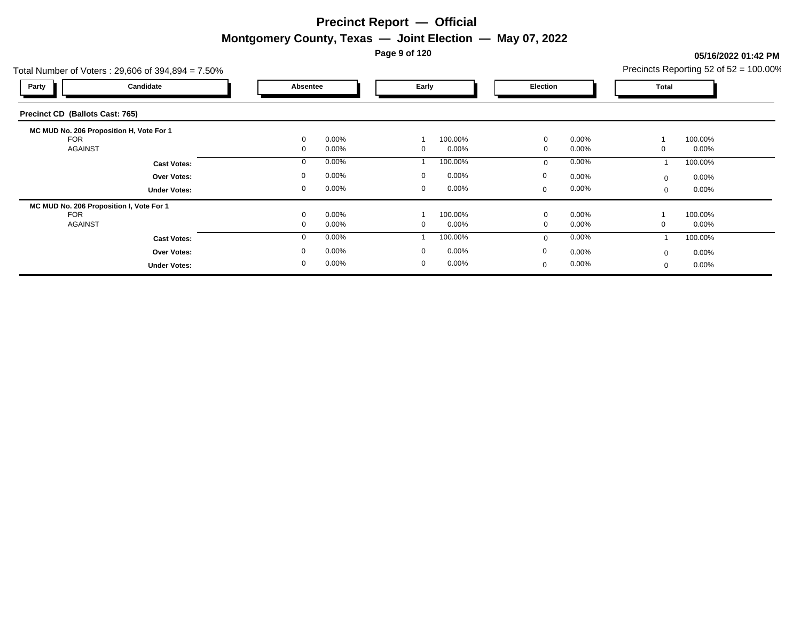**Page 9 of 120**

#### Total Number of Voters : 29,606 of 394,894 = 7.50% **Party Candidate Absentee Early Election Total Precinct CD (Ballots Cast: 765) MC MUD No. 206 Proposition H, Vote For 1** FOR 0 0.00% 1 100.00% 0 0.00% 1 100.00% AGAINST 0 0.00% 0 0.00% 0 0.00% 0 0.00% **Cast Votes:** 0 0.00% 1 100.00% 0 0.00% 1 100.00% **Under Votes: Over Votes:** 0.00% 0.00% 0.00% 0.00% 0.00% 0.00% 0.00% 0.00% 0.00% 0.00% 0.00% 0.00% 0.00% 0.00% 0.00% 0.00% 0.00% 0.00% 0.00% 0.00% 0.00% 0.00% 0.00% 0.00% 0.00% 0.00% 0.00% 0.00% 0.00% 0.00% 0.00% 0.00% 0.00% 0.00% 0.00 0.00% 0 0.00% 0 0.00% 0 0.00% 0 0.00% 0.00% 0 0.00%  $0$  0.00%  $0$  0.00%  $0$  0.00%  $0$  0.00%  $0$  0.00%  $0$  0.00% 0 0.00%  $0.00%$ **MC MUD No. 206 Proposition I, Vote For 1** FOR 0 0.00% 1 100.00% 0 0.00% 1 100.00% AGAINST 0 0.00% 0 0.00% 0 0.00% 0 0.00% **Cast Votes:** 0 0.00% 1 100.00% 0 0.00% 1 100.00% **Under Votes: Over Votes:** 0.00% 0.00% 0.00% 0.00% 0.00% 0.00% 0.00% 0.00% 0.00% 0.00% 0.00% 0.00% 0.00% 0.00% 0.00% 0.00% 0.00% 0.00% 0.00% 0.00% 0.00% 0.00% 0.00% 0.00% 0.00% 0.00% 0.00% 0.00% 0.00% 0.00% 0.00% 0.00% 0.00% 0.00% 0.00 0.00% 0 0.00% 0 0.00% 0.00% 0  $0.00\%$  0.00% 0 0.00%  $0$  0.00%  $0$  0.00%  $0$  0.00%  $0$  0.00%  $0$  0.00%  $0$  0.00% 0 0.00% 0.00% 0

#### **05/16/2022 01:42 PM**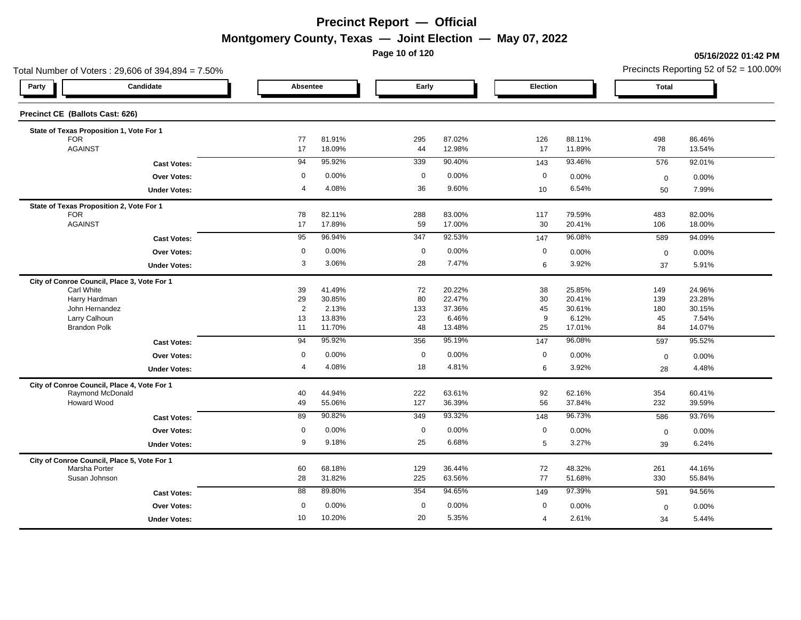**Page 10 of 120**

#### **05/16/2022 01:42 PM**

| Total Number of Voters: 29,606 of 394,894 = 7.50%               |                     |                |                 |             |                 |                |                 |                   | Precincts Reporting 52 of $52 = 100.00\%$ |
|-----------------------------------------------------------------|---------------------|----------------|-----------------|-------------|-----------------|----------------|-----------------|-------------------|-------------------------------------------|
| Party                                                           | Candidate           | Absentee       |                 | Early       |                 | Election       |                 | <b>Total</b>      |                                           |
| Precinct CE (Ballots Cast: 626)                                 |                     |                |                 |             |                 |                |                 |                   |                                           |
| State of Texas Proposition 1, Vote For 1                        |                     |                |                 |             |                 |                |                 |                   |                                           |
| <b>FOR</b>                                                      |                     | 77             | 81.91%          | 295         | 87.02%          | 126            | 88.11%          | 498               | 86.46%                                    |
| <b>AGAINST</b>                                                  |                     | 17             | 18.09%          | 44          | 12.98%          | 17             | 11.89%          | 78                | 13.54%                                    |
|                                                                 | <b>Cast Votes:</b>  | 94             | 95.92%          | 339         | 90.40%          | 143            | 93.46%          | 576               | 92.01%                                    |
|                                                                 | <b>Over Votes:</b>  | $\mathbf 0$    | 0.00%           | $\mathbf 0$ | 0.00%           | $\mathbf 0$    | 0.00%           | $\mathbf 0$       | 0.00%                                     |
|                                                                 | <b>Under Votes:</b> | $\overline{4}$ | 4.08%           | 36          | 9.60%           | 10             | 6.54%           | 50                | 7.99%                                     |
| State of Texas Proposition 2, Vote For 1                        |                     |                |                 |             |                 |                |                 |                   |                                           |
| <b>FOR</b>                                                      |                     | 78             | 82.11%          | 288         | 83.00%          | 117            | 79.59%          | 483               | 82.00%                                    |
| <b>AGAINST</b>                                                  |                     | 17             | 17.89%          | 59          | 17.00%          | 30             | 20.41%          | 106               | 18.00%                                    |
|                                                                 | <b>Cast Votes:</b>  | 95             | 96.94%          | 347         | 92.53%          | 147            | 96.08%          | 589               | 94.09%                                    |
|                                                                 | Over Votes:         | 0              | 0.00%           | $\mathbf 0$ | 0.00%           | $\mathbf 0$    | 0.00%           | $\mathbf 0$       | 0.00%                                     |
|                                                                 | <b>Under Votes:</b> | 3              | 3.06%           | 28          | 7.47%           | $\,6$          | 3.92%           | 37                | 5.91%                                     |
| City of Conroe Council, Place 3, Vote For 1                     |                     |                |                 |             |                 |                |                 |                   |                                           |
| Carl White                                                      |                     | 39             | 41.49%          | 72          | 20.22%          | 38             | 25.85%          | 149               | 24.96%                                    |
| Harry Hardman                                                   |                     | 29             | 30.85%          | 80          | 22.47%          | 30             | 20.41%          | 139               | 23.28%                                    |
| John Hernandez<br>Larry Calhoun                                 |                     | 2<br>13        | 2.13%<br>13.83% | 133<br>23   | 37.36%<br>6.46% | 45<br>9        | 30.61%<br>6.12% | 180<br>45         | 30.15%<br>7.54%                           |
| <b>Brandon Polk</b>                                             |                     | 11             | 11.70%          | 48          | 13.48%          | 25             | 17.01%          | 84                | 14.07%                                    |
|                                                                 | <b>Cast Votes:</b>  | 94             | 95.92%          | 356         | 95.19%          | 147            | 96.08%          | 597               | 95.52%                                    |
|                                                                 | Over Votes:         | $\mathbf 0$    | 0.00%           | $\mathbf 0$ | 0.00%           | $\mathbf 0$    | 0.00%           |                   | 0.00%                                     |
|                                                                 |                     | $\overline{4}$ | 4.08%           | 18          | 4.81%           | 6              | 3.92%           | $\mathbf 0$<br>28 | 4.48%                                     |
|                                                                 | <b>Under Votes:</b> |                |                 |             |                 |                |                 |                   |                                           |
| City of Conroe Council, Place 4, Vote For 1<br>Raymond McDonald |                     | 40             | 44.94%          | 222         | 63.61%          | 92             | 62.16%          | 354               | 60.41%                                    |
| <b>Howard Wood</b>                                              |                     | 49             | 55.06%          | 127         | 36.39%          | 56             | 37.84%          | 232               | 39.59%                                    |
|                                                                 | <b>Cast Votes:</b>  | 89             | 90.82%          | 349         | 93.32%          | 148            | 96.73%          | 586               | 93.76%                                    |
|                                                                 | Over Votes:         | $\mathbf 0$    | 0.00%           | $\mathbf 0$ | 0.00%           | $\mathbf 0$    | 0.00%           | $\mathbf 0$       | 0.00%                                     |
|                                                                 | <b>Under Votes:</b> | 9              | 9.18%           | 25          | 6.68%           | 5              | 3.27%           | 39                | 6.24%                                     |
| City of Conroe Council, Place 5, Vote For 1                     |                     |                |                 |             |                 |                |                 |                   |                                           |
| Marsha Porter                                                   |                     | 60             | 68.18%          | 129         | 36.44%          | 72             | 48.32%          | 261               | 44.16%                                    |
| Susan Johnson                                                   |                     | 28             | 31.82%          | 225         | 63.56%          | 77             | 51.68%          | 330               | 55.84%                                    |
|                                                                 | <b>Cast Votes:</b>  | 88             | 89.80%          | 354         | 94.65%          | 149            | 97.39%          | 591               | 94.56%                                    |
|                                                                 | <b>Over Votes:</b>  | $\mathbf 0$    | 0.00%           | $\mathbf 0$ | 0.00%           | $\mathbf 0$    | 0.00%           | $\mathbf 0$       | 0.00%                                     |
|                                                                 | <b>Under Votes:</b> | 10             | 10.20%          | 20          | 5.35%           | $\overline{4}$ | 2.61%           | 34                | 5.44%                                     |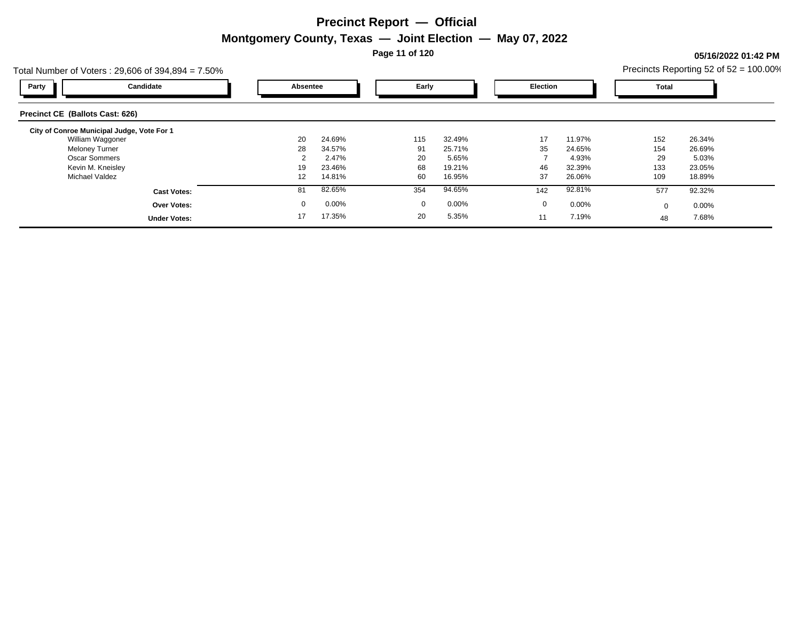**Page 11 of 120**

### **05/16/2022 01:42 PM**

| Total Number of Voters: $29,606$ of $394,894 = 7.50\%$ |             |        |             |          |          |        |          | Precincts Reporting 52 of $52 = 100.00\%$ |
|--------------------------------------------------------|-------------|--------|-------------|----------|----------|--------|----------|-------------------------------------------|
| Candidate<br>Party                                     | Absentee    |        | Early       |          | Election |        | Total    |                                           |
| Precinct CE (Ballots Cast: 626)                        |             |        |             |          |          |        |          |                                           |
| City of Conroe Municipal Judge, Vote For 1             |             |        |             |          |          |        |          |                                           |
| William Waggoner                                       | 20          | 24.69% | 115         | 32.49%   | 17       | 11.97% | 152      | 26.34%                                    |
| <b>Meloney Turner</b>                                  | 28          | 34.57% | 91          | 25.71%   | 35       | 24.65% | 154      | 26.69%                                    |
| <b>Oscar Sommers</b>                                   |             | 2.47%  | 20          | 5.65%    |          | 4.93%  | 29       | 5.03%                                     |
| Kevin M. Kneisley                                      | 19          | 23.46% | 68          | 19.21%   | 46       | 32.39% | 133      | 23.05%                                    |
| Michael Valdez                                         | 12          | 14.81% | 60          | 16.95%   | 37       | 26.06% | 109      | 18.89%                                    |
| <b>Cast Votes:</b>                                     | 81          | 82.65% | 354         | 94.65%   | 142      | 92.81% | 577      | 92.32%                                    |
| <b>Over Votes:</b>                                     | $\mathbf 0$ | 0.00%  | $\mathbf 0$ | $0.00\%$ | 0        | 0.00%  | $\Omega$ | $0.00\%$                                  |
| <b>Under Votes:</b>                                    | 17          | 17.35% | 20          | 5.35%    | 11       | 7.19%  | 48       | 7.68%                                     |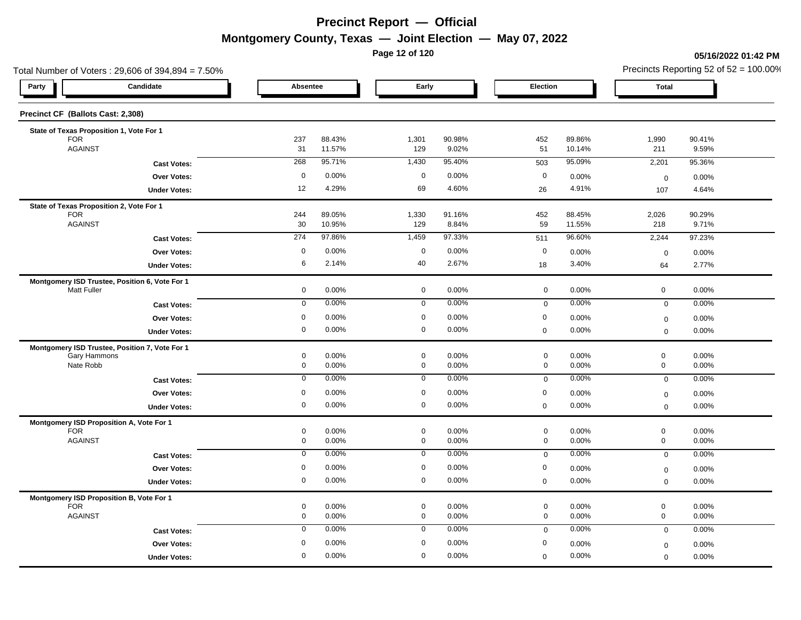**Page 12 of 120**

#### **05/16/2022 01:42 PM**

| Total Number of Voters: 29,606 of 394,894 = 7.50% |                                    |                  |                            |                 |                                    |                  |                                    | Precincts Reporting 52 of $52 = 100.00\%$ |  |  |
|---------------------------------------------------|------------------------------------|------------------|----------------------------|-----------------|------------------------------------|------------------|------------------------------------|-------------------------------------------|--|--|
| Candidate<br>Party                                | Absentee                           |                  | Early                      |                 | Election                           |                  | <b>Total</b>                       |                                           |  |  |
| Precinct CF (Ballots Cast: 2,308)                 |                                    |                  |                            |                 |                                    |                  |                                    |                                           |  |  |
| State of Texas Proposition 1, Vote For 1          |                                    |                  |                            |                 |                                    |                  |                                    |                                           |  |  |
| <b>FOR</b><br><b>AGAINST</b>                      | 237<br>31                          | 88.43%<br>11.57% | 1,301<br>129               | 90.98%<br>9.02% | 452<br>51                          | 89.86%<br>10.14% | 1,990<br>211                       | 90.41%<br>9.59%                           |  |  |
| <b>Cast Votes:</b>                                | 268                                | 95.71%           | 1,430                      | 95.40%          | 503                                | 95.09%           | 2,201                              | 95.36%                                    |  |  |
| Over Votes:                                       | $\mathbf 0$                        | 0.00%            | $\mathbf 0$                | 0.00%           | $\mathbf 0$                        | 0.00%            | $\mathbf 0$                        | 0.00%                                     |  |  |
| <b>Under Votes:</b>                               | 12                                 | 4.29%            | 69                         | 4.60%           | 26                                 | 4.91%            | 107                                | 4.64%                                     |  |  |
| State of Texas Proposition 2, Vote For 1          |                                    |                  |                            |                 |                                    |                  |                                    |                                           |  |  |
| <b>FOR</b><br><b>AGAINST</b>                      | 244<br>$30\,$                      | 89.05%<br>10.95% | 1,330<br>129               | 91.16%<br>8.84% | 452<br>59                          | 88.45%<br>11.55% | 2,026<br>218                       | 90.29%<br>9.71%                           |  |  |
| <b>Cast Votes:</b>                                | 274                                | 97.86%           | 1,459                      | 97.33%          | 511                                | 96.60%           | 2,244                              | 97.23%                                    |  |  |
| <b>Over Votes:</b>                                | $\mathbf 0$                        | 0.00%            | $\mathbf 0$                | 0.00%           | $\mathbf 0$                        | 0.00%            | $\mathbf 0$                        | 0.00%                                     |  |  |
| <b>Under Votes:</b>                               | 6                                  | 2.14%            | 40                         | 2.67%           | 18                                 | 3.40%            | 64                                 | 2.77%                                     |  |  |
| Montgomery ISD Trustee, Position 6, Vote For 1    |                                    |                  |                            |                 |                                    |                  |                                    |                                           |  |  |
| Matt Fuller                                       | 0                                  | 0.00%            | $\mathbf 0$                | 0.00%           | $\mathbf 0$                        | 0.00%            | $\mathbf 0$                        | 0.00%                                     |  |  |
| <b>Cast Votes:</b>                                | $\overline{0}$                     | 0.00%            | $\overline{0}$             | 0.00%           | $\mathsf 0$                        | 0.00%            | $\mathbf 0$                        | 0.00%                                     |  |  |
| <b>Over Votes:</b>                                | $\mathbf 0$                        | 0.00%            | $\mathbf 0$                | 0.00%           | $\mathbf 0$                        | 0.00%            | $\mathbf 0$                        | 0.00%                                     |  |  |
| <b>Under Votes:</b>                               | 0                                  | 0.00%            | $\mathbf 0$                | 0.00%           | $\mathbf 0$                        | 0.00%            | $\mathbf 0$                        | 0.00%                                     |  |  |
| Montgomery ISD Trustee, Position 7, Vote For 1    |                                    |                  |                            |                 |                                    |                  |                                    |                                           |  |  |
| Gary Hammons<br>Nate Robb                         | $\mathbf 0$<br>$\mathsf{O}\xspace$ | 0.00%<br>0.00%   | $\mathbf 0$<br>$\mathbf 0$ | 0.00%<br>0.00%  | $\mathbf 0$<br>$\mathsf{O}\xspace$ | 0.00%<br>0.00%   | $\mathbf 0$<br>$\mathsf{O}\xspace$ | 0.00%<br>0.00%                            |  |  |
| <b>Cast Votes:</b>                                | $\mathbf 0$                        | 0.00%            | $\mathbf 0$                | 0.00%           | $\mathbf 0$                        | 0.00%            | $\mathbf 0$                        | 0.00%                                     |  |  |
| Over Votes:                                       | $\mathbf 0$                        | 0.00%            | $\mathbf 0$                | 0.00%           | $\mathbf 0$                        | 0.00%            | $\boldsymbol{0}$                   | 0.00%                                     |  |  |
| <b>Under Votes:</b>                               | 0                                  | 0.00%            | $\mathbf 0$                | 0.00%           | $\mathbf 0$                        | 0.00%            | $\mathbf 0$                        | 0.00%                                     |  |  |
| Montgomery ISD Proposition A, Vote For 1          |                                    |                  |                            |                 |                                    |                  |                                    |                                           |  |  |
| <b>FOR</b><br><b>AGAINST</b>                      | $\mathbf 0$<br>0                   | 0.00%<br>0.00%   | $\mathbf 0$<br>$\mathbf 0$ | 0.00%<br>0.00%  | $\mathbf 0$<br>$\mathbf 0$         | 0.00%<br>0.00%   | $\mathbf 0$<br>$\mathbf 0$         | 0.00%<br>0.00%                            |  |  |
| <b>Cast Votes:</b>                                | 0                                  | 0.00%            | $\mathbf 0$                | 0.00%           | $\mathsf 0$                        | 0.00%            | $\mathbf 0$                        | 0.00%                                     |  |  |
| <b>Over Votes:</b>                                | $\mathbf 0$                        | 0.00%            | $\mathbf 0$                | 0.00%           | $\mathbf 0$                        | 0.00%            | $\boldsymbol{0}$                   | 0.00%                                     |  |  |
| <b>Under Votes:</b>                               | 0                                  | 0.00%            | $\mathbf 0$                | 0.00%           | $\pmb{0}$                          | 0.00%            | $\mathbf 0$                        | 0.00%                                     |  |  |
| Montgomery ISD Proposition B, Vote For 1          |                                    |                  |                            |                 |                                    |                  |                                    |                                           |  |  |
| <b>FOR</b>                                        | 0                                  | 0.00%            | $\mathbf 0$                | 0.00%           | $\mathbf 0$                        | 0.00%            | $\mathsf{O}\xspace$                | 0.00%                                     |  |  |
| <b>AGAINST</b>                                    | 0                                  | 0.00%            | $\mathbf 0$                | 0.00%           | $\mathbf 0$                        | 0.00%            | $\mathbf 0$                        | 0.00%                                     |  |  |
| <b>Cast Votes:</b>                                | $\mathbf 0$                        | 0.00%            | $\mathbf 0$                | 0.00%           | $\mathbf 0$                        | 0.00%            | $\mathbf 0$                        | 0.00%                                     |  |  |
| Over Votes:                                       | 0                                  | 0.00%            | $\mathbf 0$                | 0.00%           | $\boldsymbol{0}$                   | 0.00%            | $\mathbf 0$                        | 0.00%                                     |  |  |
| <b>Under Votes:</b>                               | $\mathbf 0$                        | 0.00%            | $\mathbf 0$                | 0.00%           | $\mathbf 0$                        | 0.00%            | $\mathbf 0$                        | 0.00%                                     |  |  |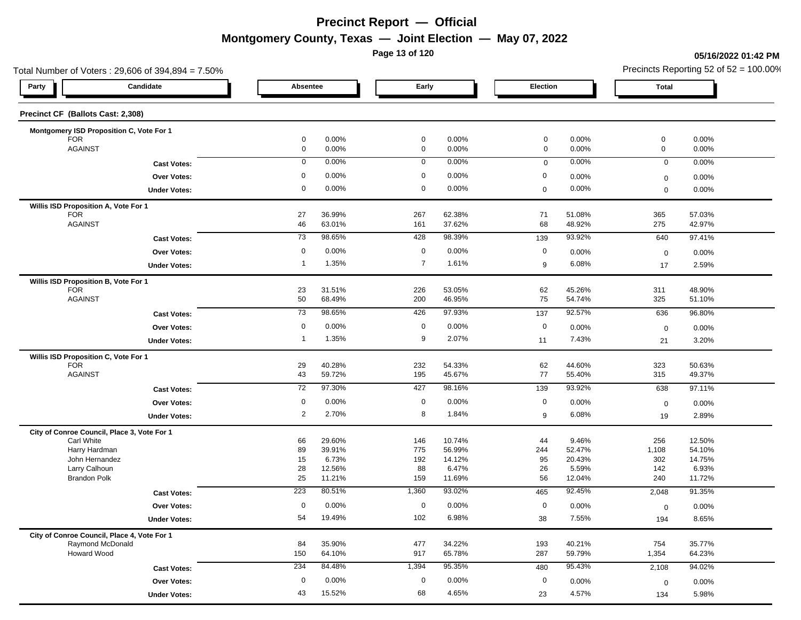**Page 13 of 120**

#### **05/16/2022 01:42 PM**

| Total Number of Voters: 29,606 of 394,894 = 7.50%               |                 |                  |                |                  |             |                  |              | Precincts Reporting 52 of $52 = 100.00\%$ |
|-----------------------------------------------------------------|-----------------|------------------|----------------|------------------|-------------|------------------|--------------|-------------------------------------------|
| Candidate<br>Party                                              | Absentee        |                  | Early          |                  | Election    |                  | <b>Total</b> |                                           |
| Precinct CF (Ballots Cast: 2,308)                               |                 |                  |                |                  |             |                  |              |                                           |
| Montgomery ISD Proposition C, Vote For 1                        |                 |                  |                |                  |             |                  |              |                                           |
| <b>FOR</b>                                                      | 0               | 0.00%            | $\mathbf 0$    | 0.00%            | $\mathbf 0$ | 0.00%            | $\mathbf 0$  | 0.00%                                     |
| <b>AGAINST</b>                                                  | 0               | 0.00%            | $\mathbf 0$    | 0.00%            | $\mathbf 0$ | 0.00%            | $\mathbf 0$  | 0.00%                                     |
| <b>Cast Votes:</b>                                              | 0               | 0.00%            | 0              | 0.00%            | $\mathbf 0$ | 0.00%            | $\mathbf 0$  | 0.00%                                     |
| <b>Over Votes:</b>                                              | 0               | 0.00%            | 0              | 0.00%            | 0           | 0.00%            | $\mathbf 0$  | 0.00%                                     |
| <b>Under Votes:</b>                                             | 0               | 0.00%            | 0              | 0.00%            | $\mathbf 0$ | 0.00%            | $\mathbf 0$  | 0.00%                                     |
| Willis ISD Proposition A, Vote For 1                            |                 |                  |                |                  |             |                  |              |                                           |
| <b>FOR</b><br><b>AGAINST</b>                                    | 27<br>46        | 36.99%<br>63.01% | 267<br>161     | 62.38%<br>37.62% | 71<br>68    | 51.08%<br>48.92% | 365<br>275   | 57.03%<br>42.97%                          |
|                                                                 |                 |                  |                |                  |             |                  |              |                                           |
| <b>Cast Votes:</b>                                              | 73              | 98.65%           | 428            | 98.39%           | 139         | 93.92%           | 640          | 97.41%                                    |
| <b>Over Votes:</b>                                              | 0               | 0.00%            | $\mathbf 0$    | 0.00%            | $\mathbf 0$ | 0.00%            | $\mathbf 0$  | 0.00%                                     |
| <b>Under Votes:</b>                                             | $\overline{1}$  | 1.35%            | $\overline{7}$ | 1.61%            | 9           | 6.08%            | 17           | 2.59%                                     |
| Willis ISD Proposition B, Vote For 1                            |                 |                  |                |                  |             |                  |              |                                           |
| <b>FOR</b><br><b>AGAINST</b>                                    | 23<br>50        | 31.51%<br>68.49% | 226<br>200     | 53.05%<br>46.95% | 62<br>75    | 45.26%<br>54.74% | 311<br>325   | 48.90%<br>51.10%                          |
|                                                                 |                 | 98.65%           |                | 97.93%           |             |                  |              |                                           |
| <b>Cast Votes:</b>                                              | $\overline{73}$ |                  | 426            |                  | 137         | 92.57%           | 636          | 96.80%                                    |
| Over Votes:                                                     | $\mathbf 0$     | 0.00%            | $\mathbf 0$    | 0.00%            | $\mathbf 0$ | 0.00%            | $\mathbf 0$  | 0.00%                                     |
| <b>Under Votes:</b>                                             | 1               | 1.35%            | 9              | 2.07%            | 11          | 7.43%            | 21           | 3.20%                                     |
| Willis ISD Proposition C, Vote For 1                            |                 |                  |                |                  |             |                  |              |                                           |
| <b>FOR</b>                                                      | 29              | 40.28%           | 232            | 54.33%           | 62          | 44.60%           | 323          | 50.63%                                    |
| <b>AGAINST</b>                                                  | 43              | 59.72%           | 195            | 45.67%           | 77          | 55.40%           | 315          | 49.37%                                    |
| <b>Cast Votes:</b>                                              | 72              | 97.30%           | 427            | 98.16%           | 139         | 93.92%           | 638          | 97.11%                                    |
| Over Votes:                                                     | 0               | 0.00%            | $\mathbf 0$    | 0.00%            | $\mathbf 0$ | 0.00%            | $\mathbf 0$  | 0.00%                                     |
| <b>Under Votes:</b>                                             | $\overline{2}$  | 2.70%            | 8              | 1.84%            | 9           | 6.08%            | 19           | 2.89%                                     |
| City of Conroe Council, Place 3, Vote For 1                     |                 |                  |                |                  |             |                  |              |                                           |
| Carl White                                                      | 66              | 29.60%           | 146            | 10.74%           | 44          | 9.46%            | 256          | 12.50%                                    |
| Harry Hardman<br>John Hernandez                                 | 89<br>15        | 39.91%<br>6.73%  | 775<br>192     | 56.99%<br>14.12% | 244<br>95   | 52.47%<br>20.43% | 1,108<br>302 | 54.10%<br>14.75%                          |
| Larry Calhoun                                                   | 28              | 12.56%           | 88             | 6.47%            | 26          | 5.59%            | 142          | 6.93%                                     |
| <b>Brandon Polk</b>                                             | 25              | 11.21%           | 159            | 11.69%           | 56          | 12.04%           | 240          | 11.72%                                    |
| <b>Cast Votes:</b>                                              | 223             | 80.51%           | 1,360          | 93.02%           | 465         | 92.45%           | 2,048        | 91.35%                                    |
| <b>Over Votes:</b>                                              | $\mathbf 0$     | 0.00%            | $\mathbf 0$    | 0.00%            | $\mathbf 0$ | 0.00%            | $\mathbf 0$  | 0.00%                                     |
| <b>Under Votes:</b>                                             | 54              | 19.49%           | 102            | 6.98%            | 38          | 7.55%            | 194          | 8.65%                                     |
|                                                                 |                 |                  |                |                  |             |                  |              |                                           |
| City of Conroe Council, Place 4, Vote For 1<br>Raymond McDonald | 84              | 35.90%           | 477            | 34.22%           | 193         | 40.21%           | 754          | 35.77%                                    |
| Howard Wood                                                     | 150             | 64.10%           | 917            | 65.78%           | 287         | 59.79%           | 1,354        | 64.23%                                    |
| <b>Cast Votes:</b>                                              | 234             | 84.48%           | 1,394          | 95.35%           | 480         | 95.43%           | 2,108        | 94.02%                                    |
| Over Votes:                                                     | $\mathbf 0$     | 0.00%            | 0              | 0.00%            | $\mathbf 0$ | 0.00%            | $\mathbf 0$  | 0.00%                                     |
|                                                                 | 43              | 15.52%           | 68             | 4.65%            |             | 4.57%            |              |                                           |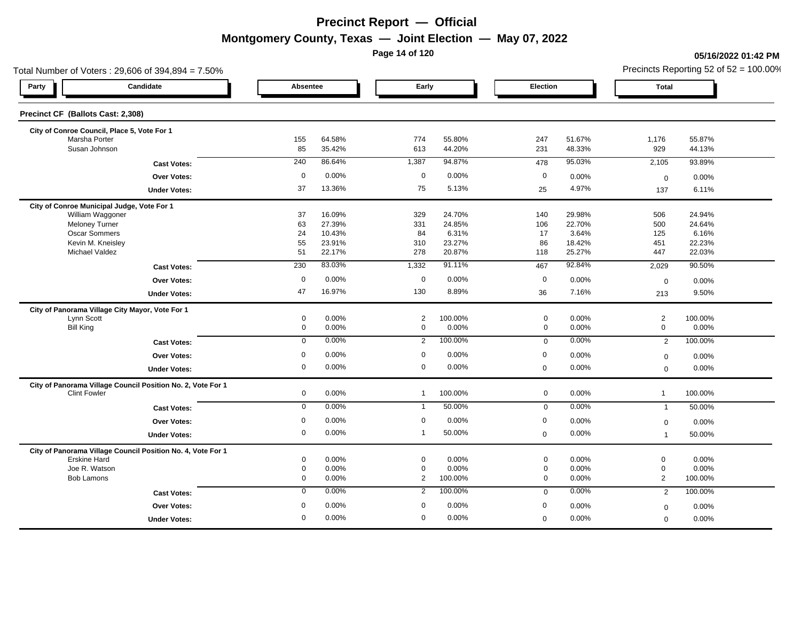**Page 14 of 120**

#### **05/16/2022 01:42 PM**

| Total Number of Voters: 29,606 of 394,894 = 7.50%           |             |                  |                  |                 |                             |                 |                          | Precincts Reporting 52 of $52 = 100.00\%$ |
|-------------------------------------------------------------|-------------|------------------|------------------|-----------------|-----------------------------|-----------------|--------------------------|-------------------------------------------|
| Candidate<br>Party                                          | Absentee    |                  | Early            |                 | Election                    |                 | <b>Total</b>             |                                           |
| Precinct CF (Ballots Cast: 2,308)                           |             |                  |                  |                 |                             |                 |                          |                                           |
| City of Conroe Council, Place 5, Vote For 1                 |             |                  |                  |                 |                             |                 |                          |                                           |
| Marsha Porter                                               | 155         | 64.58%           | 774              | 55.80%          | 247                         | 51.67%          | 1,176                    | 55.87%                                    |
| Susan Johnson                                               | 85          | 35.42%           | 613              | 44.20%          | 231                         | 48.33%          | 929                      | 44.13%                                    |
| <b>Cast Votes:</b>                                          | 240         | 86.64%           | 1,387            | 94.87%          | 478                         | 95.03%          | 2,105                    | 93.89%                                    |
| <b>Over Votes:</b>                                          | $\mathsf 0$ | 0.00%            | $\mathbf 0$      | 0.00%           | $\mathbf 0$                 | 0.00%           | $\mathbf 0$              | 0.00%                                     |
| <b>Under Votes:</b>                                         | 37          | 13.36%           | 75               | 5.13%           | 25                          | 4.97%           | 137                      | 6.11%                                     |
| City of Conroe Municipal Judge, Vote For 1                  |             |                  |                  |                 |                             |                 |                          |                                           |
| William Waggoner                                            | 37          | 16.09%           | 329              | 24.70%          | 140                         | 29.98%          | 506                      | 24.94%                                    |
| Meloney Turner<br>Oscar Sommers                             | 63<br>24    | 27.39%<br>10.43% | 331<br>84        | 24.85%<br>6.31% | 106<br>17                   | 22.70%<br>3.64% | 500<br>125               | 24.64%<br>6.16%                           |
| Kevin M. Kneisley                                           | 55          | 23.91%           | 310              | 23.27%          | 86                          | 18.42%          | 451                      | 22.23%                                    |
| Michael Valdez                                              | 51          | 22.17%           | 278              | 20.87%          | 118                         | 25.27%          | 447                      | 22.03%                                    |
| <b>Cast Votes:</b>                                          | 230         | 83.03%           | 1,332            | 91.11%          | 467                         | 92.84%          | 2,029                    | 90.50%                                    |
| Over Votes:                                                 | $\mathbf 0$ | 0.00%            | $\mathbf 0$      | 0.00%           | $\mathbf 0$                 | 0.00%           | $\mathbf 0$              | 0.00%                                     |
| <b>Under Votes:</b>                                         | 47          | 16.97%           | 130              | 8.89%           | 36                          | 7.16%           | 213                      | 9.50%                                     |
| City of Panorama Village City Mayor, Vote For 1             |             |                  |                  |                 |                             |                 |                          |                                           |
| Lynn Scott                                                  | $\mathbf 0$ | 0.00%            | $\overline{2}$   | 100.00%         | $\mathbf 0$                 | 0.00%           | $\overline{2}$           | 100.00%                                   |
| <b>Bill King</b>                                            | $\mathbf 0$ | 0.00%            | $\mathbf 0$      | 0.00%           | $\mathbf 0$                 | 0.00%           | $\mathbf 0$              | 0.00%                                     |
| <b>Cast Votes:</b>                                          | $\mathbf 0$ | 0.00%            | $\overline{2}$   | 100.00%         | $\mathbf 0$                 | 0.00%           | $\overline{2}$           | 100.00%                                   |
| Over Votes:                                                 | $\mathbf 0$ | 0.00%            | $\mathbf 0$      | 0.00%           | $\boldsymbol{0}$            | 0.00%           | $\mathbf 0$              | 0.00%                                     |
| <b>Under Votes:</b>                                         | 0           | 0.00%            | $\mathbf 0$      | 0.00%           | $\mathbf 0$                 | 0.00%           | $\Omega$                 | 0.00%                                     |
| City of Panorama Village Council Position No. 2, Vote For 1 |             |                  |                  |                 |                             |                 |                          |                                           |
| <b>Clint Fowler</b>                                         | $\mathbf 0$ | 0.00%            | $\mathbf{1}$     | 100.00%         | $\mathbf 0$                 | 0.00%           | $\mathbf{1}$             | 100.00%                                   |
| <b>Cast Votes:</b>                                          | $\mathbf 0$ | 0.00%            | $\mathbf{1}$     | 50.00%          | $\mathbf 0$                 | 0.00%           | $\mathbf{1}$             | 50.00%                                    |
| Over Votes:                                                 | 0           | 0.00%            | $\mathbf 0$      | 0.00%           | $\boldsymbol{0}$            | 0.00%           | $\mathbf 0$              | 0.00%                                     |
| <b>Under Votes:</b>                                         | 0           | 0.00%            | $\mathbf{1}$     | 50.00%          | $\mathbf 0$                 | 0.00%           | $\overline{1}$           | 50.00%                                    |
| City of Panorama Village Council Position No. 4, Vote For 1 |             |                  |                  |                 |                             |                 |                          |                                           |
| <b>Erskine Hard</b>                                         | 0           | 0.00%            | $\mathbf 0$      | 0.00%           | $\mathbf 0$                 | 0.00%           | $\mathbf 0$              | 0.00%                                     |
| Joe R. Watson<br><b>Bob Lamons</b>                          | 0<br>0      | 0.00%            | $\mathbf 0$<br>2 | 0.00%           | $\mathsf{O}$<br>$\mathbf 0$ | 0.00%<br>0.00%  | $\mathsf{O}\xspace$<br>2 | 0.00%                                     |
|                                                             |             | 0.00%            |                  | 100.00%         |                             |                 |                          | 100.00%                                   |
| <b>Cast Votes:</b>                                          | $\mathbf 0$ | 0.00%            | 2                | 100.00%         | $\mathbf 0$                 | 0.00%           | 2                        | 100.00%                                   |
| <b>Over Votes:</b>                                          | $\mathbf 0$ | 0.00%            | $\mathbf 0$      | 0.00%           | 0                           | 0.00%           | $\mathbf 0$              | 0.00%                                     |
| <b>Under Votes:</b>                                         | 0           | 0.00%            | $\mathbf 0$      | 0.00%           | $\mathbf 0$                 | 0.00%           | $\mathbf 0$              | 0.00%                                     |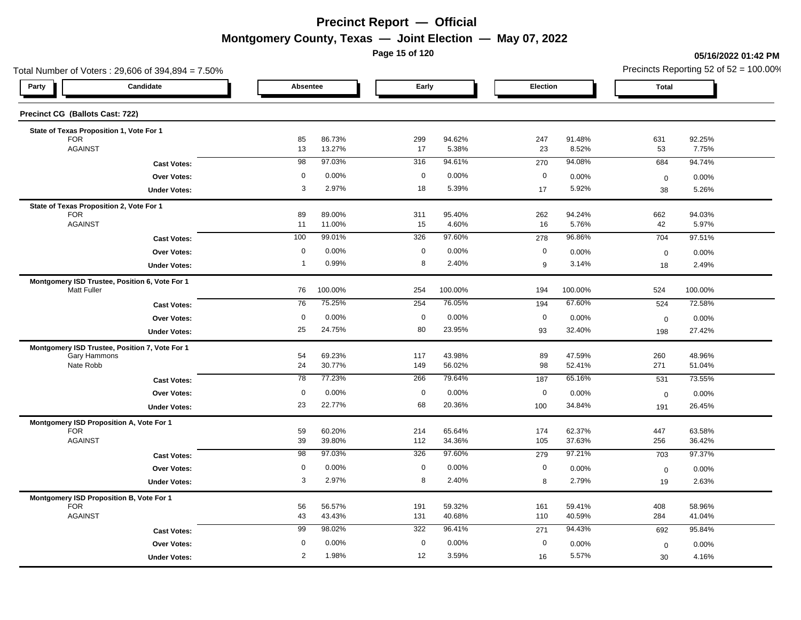**Page 15 of 120**

#### **05/16/2022 01:42 PM**

| Total Number of Voters: 29,606 of 394,894 = 7.50% |                     |                 |                  |             |                  |                  |                  | Precincts Reporting 52 of $52 = 100.00\%$ |                  |  |  |
|---------------------------------------------------|---------------------|-----------------|------------------|-------------|------------------|------------------|------------------|-------------------------------------------|------------------|--|--|
| Candidate<br>Party                                |                     | Absentee        |                  | Early       |                  | Election         |                  | <b>Total</b>                              |                  |  |  |
| Precinct CG (Ballots Cast: 722)                   |                     |                 |                  |             |                  |                  |                  |                                           |                  |  |  |
| State of Texas Proposition 1, Vote For 1          |                     |                 |                  |             |                  |                  |                  |                                           |                  |  |  |
| <b>FOR</b><br><b>AGAINST</b>                      |                     | 85<br>13        | 86.73%<br>13.27% | 299<br>17   | 94.62%<br>5.38%  | 247<br>23        | 91.48%<br>8.52%  | 631<br>53                                 | 92.25%<br>7.75%  |  |  |
|                                                   | <b>Cast Votes:</b>  | $\overline{98}$ | 97.03%           | 316         | 94.61%           | 270              | 94.08%           | 684                                       | 94.74%           |  |  |
|                                                   | Over Votes:         | $\mathbf 0$     | 0.00%            | $\mathbf 0$ | 0.00%            | $\mathbf 0$      | 0.00%            | $\mathbf 0$                               | 0.00%            |  |  |
|                                                   | <b>Under Votes:</b> | 3               | 2.97%            | 18          | 5.39%            | 17               | 5.92%            | 38                                        | 5.26%            |  |  |
| State of Texas Proposition 2, Vote For 1          |                     |                 |                  |             |                  |                  |                  |                                           |                  |  |  |
| <b>FOR</b><br><b>AGAINST</b>                      |                     | 89<br>11        | 89.00%<br>11.00% | 311<br>15   | 95.40%<br>4.60%  | 262<br>16        | 94.24%<br>5.76%  | 662<br>42                                 | 94.03%<br>5.97%  |  |  |
|                                                   | <b>Cast Votes:</b>  | 100             | 99.01%           | 326         | 97.60%           | 278              | 96.86%           | 704                                       | 97.51%           |  |  |
|                                                   | Over Votes:         | $\mathbf 0$     | 0.00%            | $\mathbf 0$ | 0.00%            | $\boldsymbol{0}$ | 0.00%            | $\mathbf 0$                               | 0.00%            |  |  |
|                                                   | <b>Under Votes:</b> | $\overline{1}$  | 0.99%            | 8           | 2.40%            | 9                | 3.14%            | 18                                        | 2.49%            |  |  |
| Montgomery ISD Trustee, Position 6, Vote For 1    |                     |                 |                  |             |                  |                  |                  |                                           |                  |  |  |
| <b>Matt Fuller</b>                                |                     | 76              | 100.00%          | 254         | 100.00%          | 194              | 100.00%          | 524                                       | 100.00%          |  |  |
|                                                   | <b>Cast Votes:</b>  | 76              | 75.25%           | 254         | 76.05%           | 194              | 67.60%           | 524                                       | 72.58%           |  |  |
|                                                   | <b>Over Votes:</b>  | $\mathbf 0$     | 0.00%            | $\mathbf 0$ | 0.00%            | $\mathbf 0$      | 0.00%            | $\mathbf 0$                               | 0.00%            |  |  |
|                                                   | <b>Under Votes:</b> | 25              | 24.75%           | 80          | 23.95%           | 93               | 32.40%           | 198                                       | 27.42%           |  |  |
| Montgomery ISD Trustee, Position 7, Vote For 1    |                     |                 |                  |             |                  |                  |                  |                                           |                  |  |  |
| Gary Hammons<br>Nate Robb                         |                     | 54<br>24        | 69.23%<br>30.77% | 117<br>149  | 43.98%<br>56.02% | 89<br>98         | 47.59%<br>52.41% | 260<br>271                                | 48.96%<br>51.04% |  |  |
|                                                   | <b>Cast Votes:</b>  | 78              | 77.23%           | 266         | 79.64%           | 187              | 65.16%           | 531                                       | 73.55%           |  |  |
|                                                   | Over Votes:         | $\mathbf 0$     | 0.00%            | $\mathbf 0$ | 0.00%            | $\mathbf 0$      | 0.00%            | $\mathbf 0$                               | 0.00%            |  |  |
|                                                   | <b>Under Votes:</b> | 23              | 22.77%           | 68          | 20.36%           | 100              | 34.84%           | 191                                       | 26.45%           |  |  |
| Montgomery ISD Proposition A, Vote For 1          |                     |                 |                  |             |                  |                  |                  |                                           |                  |  |  |
| <b>FOR</b><br><b>AGAINST</b>                      |                     | 59<br>39        | 60.20%<br>39.80% | 214<br>112  | 65.64%<br>34.36% | 174<br>105       | 62.37%<br>37.63% | 447<br>256                                | 63.58%<br>36.42% |  |  |
|                                                   | <b>Cast Votes:</b>  | 98              | 97.03%           | 326         | 97.60%           | 279              | 97.21%           | 703                                       | 97.37%           |  |  |
|                                                   | <b>Over Votes:</b>  | $\mathbf 0$     | 0.00%            | $\mathbf 0$ | 0.00%            | $\mathbf 0$      | 0.00%            | $\mathbf 0$                               | 0.00%            |  |  |
|                                                   | <b>Under Votes:</b> | 3               | 2.97%            | 8           | 2.40%            | 8                | 2.79%            | 19                                        | 2.63%            |  |  |
| Montgomery ISD Proposition B, Vote For 1          |                     |                 |                  |             |                  |                  |                  |                                           |                  |  |  |
| <b>FOR</b>                                        |                     | 56              | 56.57%           | 191         | 59.32%           | 161              | 59.41%           | 408                                       | 58.96%           |  |  |
| <b>AGAINST</b>                                    |                     | 43              | 43.43%           | 131         | 40.68%           | 110              | 40.59%           | 284                                       | 41.04%           |  |  |
|                                                   | <b>Cast Votes:</b>  | 99              | 98.02%           | 322         | 96.41%           | 271              | 94.43%           | 692                                       | 95.84%           |  |  |
|                                                   | <b>Over Votes:</b>  | $\mathbf 0$     | 0.00%            | $\mathbf 0$ | 0.00%            | $\mathbf 0$      | 0.00%            | $\mathbf 0$                               | 0.00%            |  |  |
|                                                   | <b>Under Votes:</b> | 2               | 1.98%            | 12          | 3.59%            | 16               | 5.57%            | 30                                        | 4.16%            |  |  |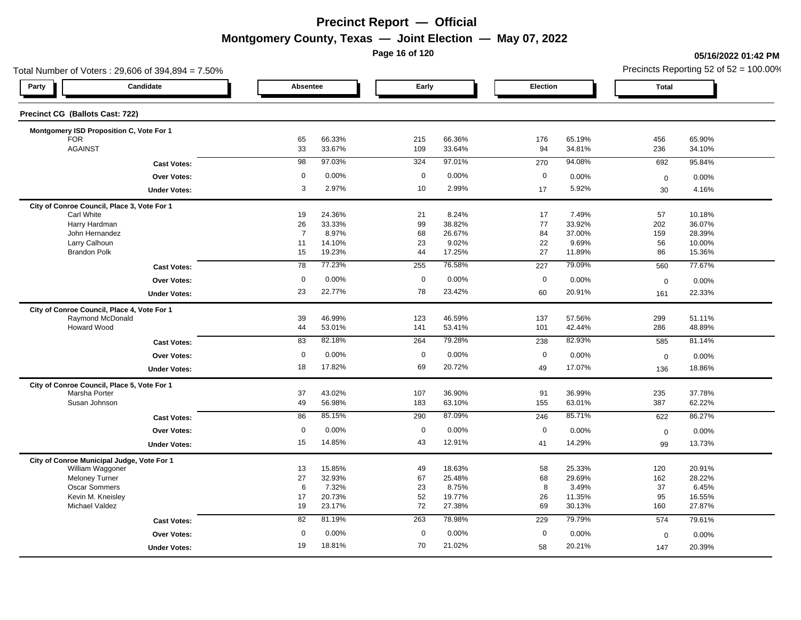**Page 16 of 120**

#### **05/16/2022 01:42 PM**

| Candidate<br>Party<br>Precinct CG (Ballots Cast: 722)<br>Montgomery ISD Proposition C, Vote For 1<br><b>FOR</b><br><b>AGAINST</b> | <b>Absentee</b><br>65<br>33 |                  | Early       |                  | <b>Election</b> |                  | <b>Total</b> |                  |
|-----------------------------------------------------------------------------------------------------------------------------------|-----------------------------|------------------|-------------|------------------|-----------------|------------------|--------------|------------------|
|                                                                                                                                   |                             |                  |             |                  |                 |                  |              |                  |
|                                                                                                                                   |                             |                  |             |                  |                 |                  |              |                  |
|                                                                                                                                   |                             |                  |             |                  |                 |                  |              |                  |
|                                                                                                                                   |                             | 66.33%<br>33.67% | 215<br>109  | 66.36%<br>33.64% | 176<br>94       | 65.19%<br>34.81% | 456<br>236   | 65.90%<br>34.10% |
| <b>Cast Votes:</b>                                                                                                                | 98                          | 97.03%           | 324         | 97.01%           | 270             | 94.08%           | 692          | 95.84%           |
| <b>Over Votes:</b>                                                                                                                | $\mathbf 0$                 | 0.00%            | $\mathbf 0$ | 0.00%            | $\mathbf 0$     | 0.00%            | $\mathbf 0$  | 0.00%            |
| <b>Under Votes:</b>                                                                                                               | 3                           | 2.97%            | 10          | 2.99%            | 17              | 5.92%            | 30           | 4.16%            |
| City of Conroe Council, Place 3, Vote For 1                                                                                       |                             |                  |             |                  |                 |                  |              |                  |
| <b>Carl White</b>                                                                                                                 | 19                          | 24.36%           | 21          | 8.24%            | 17              | 7.49%            | 57           | 10.18%           |
| Harry Hardman                                                                                                                     | 26                          | 33.33%           | 99          | 38.82%           | 77              | 33.92%           | 202          | 36.07%           |
| John Hernandez<br>Larry Calhoun                                                                                                   | $\overline{7}$<br>11        | 8.97%<br>14.10%  | 68<br>23    | 26.67%<br>9.02%  | 84<br>22        | 37.00%<br>9.69%  | 159<br>56    | 28.39%<br>10.00% |
| <b>Brandon Polk</b>                                                                                                               | 15                          | 19.23%           | 44          | 17.25%           | 27              | 11.89%           | 86           | 15.36%           |
| <b>Cast Votes:</b>                                                                                                                | 78                          | 77.23%           | 255         | 76.58%           | 227             | 79.09%           | 560          | 77.67%           |
| Over Votes:                                                                                                                       | $\mathbf 0$                 | 0.00%            | $\mathbf 0$ | 0.00%            | $\mathbf 0$     | 0.00%            | $\mathbf 0$  | 0.00%            |
| <b>Under Votes:</b>                                                                                                               | 23                          | 22.77%           | 78          | 23.42%           | 60              | 20.91%           | 161          | 22.33%           |
| City of Conroe Council, Place 4, Vote For 1                                                                                       |                             |                  |             |                  |                 |                  |              |                  |
| Raymond McDonald                                                                                                                  | 39                          | 46.99%           | 123         | 46.59%           | 137             | 57.56%           | 299          | 51.11%           |
| Howard Wood                                                                                                                       | 44                          | 53.01%           | 141         | 53.41%           | 101             | 42.44%           | 286          | 48.89%           |
| <b>Cast Votes:</b>                                                                                                                | 83                          | 82.18%           | 264         | 79.28%           | 238             | 82.93%           | 585          | 81.14%           |
| Over Votes:                                                                                                                       | $\mathbf 0$                 | 0.00%            | $\mathbf 0$ | 0.00%            | $\mathbf 0$     | 0.00%            | $\mathbf 0$  | 0.00%            |
| <b>Under Votes:</b>                                                                                                               | 18                          | 17.82%           | 69          | 20.72%           | 49              | 17.07%           | 136          | 18.86%           |
| City of Conroe Council, Place 5, Vote For 1                                                                                       |                             |                  |             |                  |                 |                  |              |                  |
| Marsha Porter                                                                                                                     | 37                          | 43.02%           | 107         | 36.90%           | 91              | 36.99%           | 235          | 37.78%           |
| Susan Johnson                                                                                                                     | 49                          | 56.98%           | 183         | 63.10%           | 155             | 63.01%           | 387          | 62.22%           |
| <b>Cast Votes:</b>                                                                                                                | 86                          | 85.15%           | 290         | 87.09%           | 246             | 85.71%           | 622          | 86.27%           |
| <b>Over Votes:</b>                                                                                                                | $\mathbf 0$                 | 0.00%            | $\mathbf 0$ | 0.00%            | $\mathbf 0$     | 0.00%            | $\mathbf 0$  | 0.00%            |
| <b>Under Votes:</b>                                                                                                               | 15                          | 14.85%           | 43          | 12.91%           | 41              | 14.29%           | 99           | 13.73%           |
| City of Conroe Municipal Judge, Vote For 1                                                                                        |                             |                  |             |                  |                 |                  |              |                  |
| William Waggoner                                                                                                                  | 13                          | 15.85%           | 49          | 18.63%           | 58              | 25.33%           | 120          | 20.91%           |
| <b>Meloney Turner</b>                                                                                                             | 27                          | 32.93%           | 67          | 25.48%           | 68              | 29.69%           | 162          | 28.22%           |
| Oscar Sommers                                                                                                                     | 6                           | 7.32%            | 23          | 8.75%            | 8               | 3.49%            | 37           | 6.45%            |
| Kevin M. Kneisley<br><b>Michael Valdez</b>                                                                                        | 17<br>19                    | 20.73%<br>23.17% | 52<br>72    | 19.77%<br>27.38% | 26<br>69        | 11.35%<br>30.13% | 95<br>160    | 16.55%<br>27.87% |
| <b>Cast Votes:</b>                                                                                                                | 82                          | 81.19%           | 263         | 78.98%           | 229             | 79.79%           | 574          | 79.61%           |
| <b>Over Votes:</b>                                                                                                                | $\mathbf 0$                 | 0.00%            | $\mathbf 0$ | 0.00%            | $\mathbf 0$     | 0.00%            | $\mathbf 0$  | 0.00%            |
| <b>Under Votes:</b>                                                                                                               | 19                          | 18.81%           | 70          | 21.02%           | 58              | 20.21%           | 147          | 20.39%           |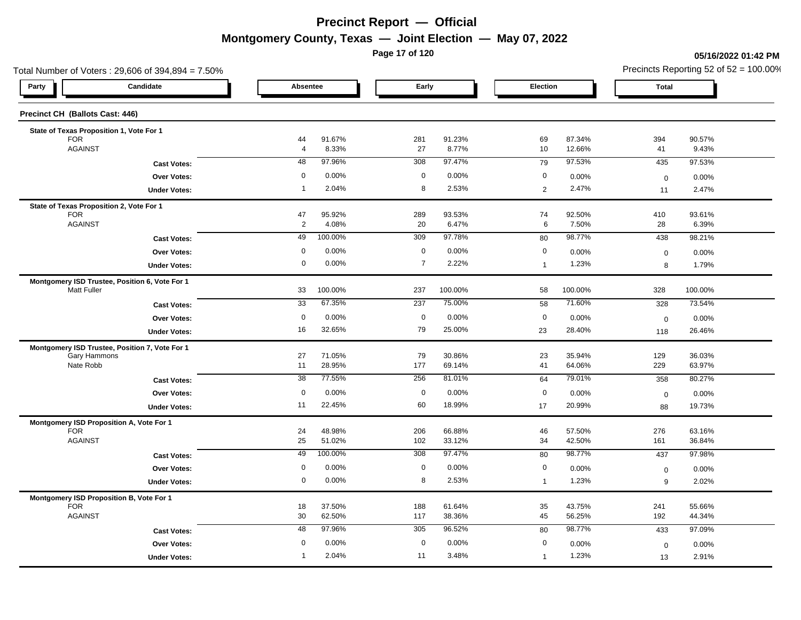**Page 17 of 120**

#### **05/16/2022 01:42 PM**

| Total Number of Voters: 29,606 of 394,894 = 7.50% |                      |                  |                |                  |                       |                  | Precincts Reporting 52 of $52 = 100.00\%$ |                  |  |  |
|---------------------------------------------------|----------------------|------------------|----------------|------------------|-----------------------|------------------|-------------------------------------------|------------------|--|--|
| Candidate<br>Party                                | Absentee             |                  | Early          |                  | Election              |                  | <b>Total</b>                              |                  |  |  |
| Precinct CH (Ballots Cast: 446)                   |                      |                  |                |                  |                       |                  |                                           |                  |  |  |
| State of Texas Proposition 1, Vote For 1          |                      |                  |                |                  |                       |                  |                                           |                  |  |  |
| <b>FOR</b><br><b>AGAINST</b>                      | 44<br>$\overline{4}$ | 91.67%<br>8.33%  | 281<br>27      | 91.23%<br>8.77%  | 69<br>10              | 87.34%<br>12.66% | 394<br>41                                 | 90.57%<br>9.43%  |  |  |
| <b>Cast Votes:</b>                                | 48                   | 97.96%           | 308            | 97.47%           | 79                    | 97.53%           | 435                                       | 97.53%           |  |  |
| Over Votes:                                       | $\mathbf 0$          | 0.00%            | $\mathbf 0$    | 0.00%            | $\mathbf 0$           | 0.00%            | $\pmb{0}$                                 | 0.00%            |  |  |
| <b>Under Votes:</b>                               | $\overline{1}$       | 2.04%            | 8              | 2.53%            | $\sqrt{2}$            | 2.47%            | 11                                        | 2.47%            |  |  |
| State of Texas Proposition 2, Vote For 1          |                      |                  |                |                  |                       |                  |                                           |                  |  |  |
| <b>FOR</b><br><b>AGAINST</b>                      | 47<br>$\overline{2}$ | 95.92%<br>4.08%  | 289<br>20      | 93.53%<br>6.47%  | 74<br>$6\phantom{.}6$ | 92.50%<br>7.50%  | 410<br>28                                 | 93.61%<br>6.39%  |  |  |
| <b>Cast Votes:</b>                                | 49                   | 100.00%          | 309            | 97.78%           | 80                    | 98.77%           | 438                                       | 98.21%           |  |  |
| Over Votes:                                       | $\mathbf 0$          | 0.00%            | $\mathbf 0$    | 0.00%            | $\mathbf 0$           | 0.00%            | $\mathbf 0$                               | 0.00%            |  |  |
| <b>Under Votes:</b>                               | 0                    | 0.00%            | $\overline{7}$ | 2.22%            | $\mathbf{1}$          | 1.23%            | 8                                         | 1.79%            |  |  |
| Montgomery ISD Trustee, Position 6, Vote For 1    |                      |                  |                |                  |                       |                  |                                           |                  |  |  |
| <b>Matt Fuller</b>                                | 33                   | 100.00%          | 237            | 100.00%          | 58                    | 100.00%          | 328                                       | 100.00%          |  |  |
| <b>Cast Votes:</b>                                | 33                   | 67.35%           | 237            | 75.00%           | 58                    | 71.60%           | 328                                       | 73.54%           |  |  |
| Over Votes:                                       | $\mathbf 0$          | 0.00%            | $\mathbf 0$    | 0.00%            | $\mathbf 0$           | 0.00%            | $\mathbf 0$                               | 0.00%            |  |  |
| <b>Under Votes:</b>                               | 16                   | 32.65%           | 79             | 25.00%           | 23                    | 28.40%           | 118                                       | 26.46%           |  |  |
| Montgomery ISD Trustee, Position 7, Vote For 1    |                      |                  |                |                  |                       |                  |                                           |                  |  |  |
| Gary Hammons<br>Nate Robb                         | 27<br>11             | 71.05%<br>28.95% | 79<br>177      | 30.86%<br>69.14% | 23<br>41              | 35.94%<br>64.06% | 129<br>229                                | 36.03%<br>63.97% |  |  |
| <b>Cast Votes:</b>                                | 38                   | 77.55%           | 256            | 81.01%           | 64                    | 79.01%           | 358                                       | 80.27%           |  |  |
| Over Votes:                                       | $\mathbf 0$          | 0.00%            | $\mathbf 0$    | 0.00%            | $\mathbf 0$           | 0.00%            | $\mathsf 0$                               | 0.00%            |  |  |
| <b>Under Votes:</b>                               | 11                   | 22.45%           | 60             | 18.99%           | 17                    | 20.99%           | 88                                        | 19.73%           |  |  |
| Montgomery ISD Proposition A, Vote For 1          |                      |                  |                |                  |                       |                  |                                           |                  |  |  |
| <b>FOR</b><br><b>AGAINST</b>                      | 24<br>25             | 48.98%<br>51.02% | 206<br>102     | 66.88%<br>33.12% | 46<br>34              | 57.50%<br>42.50% | 276<br>161                                | 63.16%<br>36.84% |  |  |
| <b>Cast Votes:</b>                                | 49                   | 100.00%          | 308            | 97.47%           | 80                    | 98.77%           | 437                                       | 97.98%           |  |  |
| <b>Over Votes:</b>                                | 0                    | 0.00%            | $\mathbf 0$    | 0.00%            | $\boldsymbol{0}$      | 0.00%            | $\mathbf 0$                               | 0.00%            |  |  |
| <b>Under Votes:</b>                               | 0                    | 0.00%            | 8              | 2.53%            | $\mathbf{1}$          | 1.23%            | 9                                         | 2.02%            |  |  |
| Montgomery ISD Proposition B, Vote For 1          |                      |                  |                |                  |                       |                  |                                           |                  |  |  |
| <b>FOR</b><br><b>AGAINST</b>                      | 18                   | 37.50%<br>62.50% | 188<br>117     | 61.64%           | 35                    | 43.75%           | 241<br>192                                | 55.66%           |  |  |
|                                                   | 30<br>48             | 97.96%           | 305            | 38.36%<br>96.52% | 45                    | 56.25%<br>98.77% | 433                                       | 44.34%<br>97.09% |  |  |
| <b>Cast Votes:</b>                                | $\mathbf 0$          | 0.00%            | $\mathbf 0$    | 0.00%            | 80<br>$\mathbf 0$     |                  |                                           |                  |  |  |
| <b>Over Votes:</b>                                | 1                    | 2.04%            | 11             | 3.48%            |                       | 0.00%<br>1.23%   | $\mathbf 0$                               | 0.00%            |  |  |
| <b>Under Votes:</b>                               |                      |                  |                |                  | $\overline{1}$        |                  | 13                                        | 2.91%            |  |  |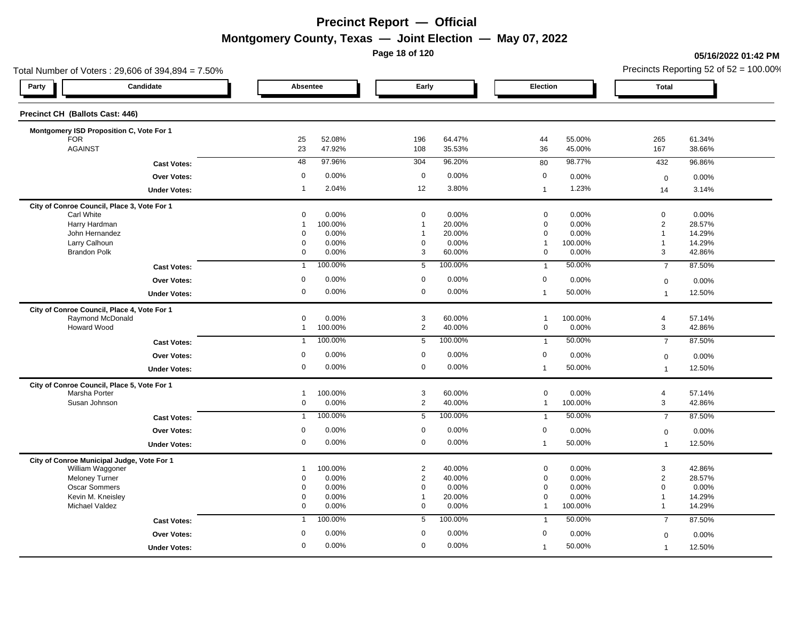**Page 18 of 120**

#### **05/16/2022 01:42 PM**

| Total Number of Voters: 29,606 of 394,894 = 7.50% |                     |                         |                  |                                  |                  |                            |                  | Precincts Reporting 52 of $52 = 100.00\%$ |                  |
|---------------------------------------------------|---------------------|-------------------------|------------------|----------------------------------|------------------|----------------------------|------------------|-------------------------------------------|------------------|
| Party                                             | Candidate           | Absentee                |                  | Early                            |                  | <b>Election</b>            |                  | <b>Total</b>                              |                  |
| Precinct CH (Ballots Cast: 446)                   |                     |                         |                  |                                  |                  |                            |                  |                                           |                  |
| Montgomery ISD Proposition C, Vote For 1          |                     |                         |                  |                                  |                  |                            |                  |                                           |                  |
| <b>FOR</b><br><b>AGAINST</b>                      |                     | 25<br>23                | 52.08%<br>47.92% | 196<br>108                       | 64.47%<br>35.53% | 44<br>36                   | 55.00%<br>45.00% | 265<br>167                                | 61.34%<br>38.66% |
|                                                   | <b>Cast Votes:</b>  | 48                      | 97.96%           | 304                              | 96.20%           | 80                         | 98.77%           | 432                                       | 96.86%           |
|                                                   | Over Votes:         | $\mathbf 0$             | 0.00%            | $\mathbf 0$                      | 0.00%            | $\mathbf 0$                | 0.00%            | $\mathbf 0$                               | 0.00%            |
|                                                   | <b>Under Votes:</b> | $\overline{1}$          | 2.04%            | 12                               | 3.80%            | $\mathbf{1}$               | 1.23%            | 14                                        | 3.14%            |
| City of Conroe Council, Place 3, Vote For 1       |                     |                         |                  |                                  |                  |                            |                  |                                           |                  |
| <b>Carl White</b>                                 |                     | 0                       | 0.00%            | $\mathbf 0$<br>$\overline{1}$    | 0.00%            | $\mathbf 0$                | 0.00%            | $\mathbf 0$                               | 0.00%            |
| Harry Hardman<br>John Hernandez                   |                     | $\overline{1}$<br>0     | 100.00%<br>0.00% | $\overline{1}$                   | 20.00%<br>20.00% | $\mathbf 0$<br>$\mathbf 0$ | 0.00%<br>0.00%   | $\overline{2}$<br>$\overline{1}$          | 28.57%<br>14.29% |
| Larry Calhoun                                     |                     | $\mathbf 0$             | 0.00%            | $\mathbf 0$                      | 0.00%            | $\mathbf{1}$               | 100.00%          | $\mathbf{1}$                              | 14.29%           |
| <b>Brandon Polk</b>                               |                     | $\mathbf 0$             | 0.00%            | 3                                | 60.00%           | $\mathbf 0$                | 0.00%            | 3                                         | 42.86%           |
|                                                   | <b>Cast Votes:</b>  | $\overline{1}$          | 100.00%          | 5                                | 100.00%          | $\overline{1}$             | 50.00%           | $\overline{7}$                            | 87.50%           |
|                                                   | Over Votes:         | $\mathbf 0$             | 0.00%            | $\mathbf 0$                      | 0.00%            | $\mathbf 0$                | 0.00%            | $\mathbf 0$                               | 0.00%            |
|                                                   | <b>Under Votes:</b> | 0                       | 0.00%            | $\mathbf 0$                      | 0.00%            | $\mathbf{1}$               | 50.00%           | $\mathbf{1}$                              | 12.50%           |
| City of Conroe Council, Place 4, Vote For 1       |                     |                         |                  |                                  |                  |                            |                  |                                           |                  |
| Raymond McDonald                                  |                     | $\mathbf 0$             | 0.00%            | 3                                | 60.00%           | $\overline{1}$             | 100.00%          | $\overline{4}$                            | 57.14%           |
| Howard Wood                                       |                     | $\mathbf{1}$            | 100.00%          | $\overline{2}$                   | 40.00%           | $\mathbf 0$                | 0.00%            | $\mathbf{3}$                              | 42.86%           |
|                                                   | <b>Cast Votes:</b>  | $\overline{\mathbf{1}}$ | 100.00%          | 5                                | 100.00%          | $\overline{1}$             | 50.00%           | $\overline{7}$                            | 87.50%           |
|                                                   | Over Votes:         | $\mathbf 0$             | 0.00%            | $\mathbf 0$                      | 0.00%            | $\boldsymbol{0}$           | 0.00%            | $\mathbf 0$                               | 0.00%            |
|                                                   | <b>Under Votes:</b> | $\mathbf 0$             | 0.00%            | $\mathbf 0$                      | 0.00%            | $\mathbf{1}$               | 50.00%           | $\overline{1}$                            | 12.50%           |
| City of Conroe Council, Place 5, Vote For 1       |                     |                         |                  |                                  |                  |                            |                  |                                           |                  |
| Marsha Porter                                     |                     | $\overline{1}$          | 100.00%          | 3                                | 60.00%           | $\mathbf 0$                | 0.00%            | $\overline{4}$                            | 57.14%           |
| Susan Johnson                                     |                     | 0                       | 0.00%            | $\overline{2}$                   | 40.00%           | $\overline{1}$             | 100.00%          | $\mathbf{3}$                              | 42.86%           |
|                                                   | <b>Cast Votes:</b>  | $\overline{1}$          | 100.00%          | 5                                | 100.00%          | $\overline{1}$             | 50.00%           | $\overline{7}$                            | 87.50%           |
|                                                   | <b>Over Votes:</b>  | $\mathbf 0$             | 0.00%            | $\mathbf 0$                      | 0.00%            | $\boldsymbol{0}$           | 0.00%            | $\mathbf 0$                               | 0.00%            |
|                                                   | <b>Under Votes:</b> | 0                       | 0.00%            | $\mathbf 0$                      | 0.00%            | $\mathbf{1}$               | 50.00%           | $\overline{1}$                            | 12.50%           |
| City of Conroe Municipal Judge, Vote For 1        |                     |                         |                  |                                  |                  |                            |                  |                                           |                  |
| William Waggoner<br><b>Meloney Turner</b>         |                     | -1<br>0                 | 100.00%<br>0.00% | $\overline{2}$<br>$\overline{2}$ | 40.00%<br>40.00% | $\pmb{0}$<br>$\mathbf 0$   | 0.00%<br>0.00%   | $\mathbf 3$<br>$\overline{2}$             | 42.86%<br>28.57% |
| Oscar Sommers                                     |                     | $\mathbf 0$             | 0.00%            | $\mathbf 0$                      | 0.00%            | $\mathbf 0$                | 0.00%            | $\mathbf 0$                               | 0.00%            |
| Kevin M. Kneisley                                 |                     | $\mathbf 0$             | 0.00%            | $\overline{1}$                   | 20.00%           | $\Omega$                   | 0.00%            | $\overline{1}$                            | 14.29%           |
| <b>Michael Valdez</b>                             |                     | $\mathbf 0$             | 0.00%            | $\mathbf 0$                      | 0.00%            | $\mathbf{1}$               | 100.00%          | $\mathbf{1}$                              | 14.29%           |
|                                                   | <b>Cast Votes:</b>  | $\overline{1}$          | 100.00%          | 5                                | 100.00%          | $\overline{1}$             | 50.00%           | $\overline{7}$                            | 87.50%           |
|                                                   | <b>Over Votes:</b>  | 0                       | 0.00%            | $\mathbf 0$                      | 0.00%            | 0                          | 0.00%            | $\mathbf 0$                               | 0.00%            |
|                                                   | <b>Under Votes:</b> | $\mathbf 0$             | 0.00%            | $\mathbf 0$                      | 0.00%            | $\mathbf{1}$               | 50.00%           | $\overline{1}$                            | 12.50%           |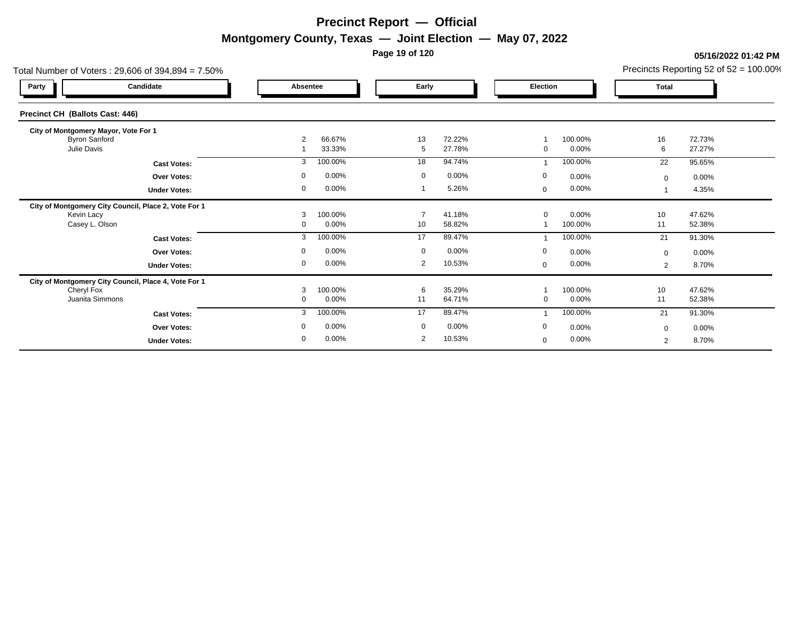**Page 19 of 120**

**05/16/2022 01:42 PM**

|                                        | Total Number of Voters: $29,606$ of $394,894 = 7.50\%$ |                |          |                |          |                         |         | Precincts Reporting 52 of $52 = 100.00\%$ |        |  |
|----------------------------------------|--------------------------------------------------------|----------------|----------|----------------|----------|-------------------------|---------|-------------------------------------------|--------|--|
| Party                                  | Candidate                                              | Absentee       |          | Early          |          | Election                |         | <b>Total</b>                              |        |  |
| <b>Precinct CH (Ballots Cast: 446)</b> |                                                        |                |          |                |          |                         |         |                                           |        |  |
| City of Montgomery Mayor, Vote For 1   |                                                        |                |          |                |          |                         |         |                                           |        |  |
| <b>Byron Sanford</b>                   |                                                        | $\overline{2}$ | 66.67%   | 13             | 72.22%   |                         | 100.00% | 16                                        | 72.73% |  |
| Julie Davis                            |                                                        |                | 33.33%   | 5              | 27.78%   | 0                       | 0.00%   | 6                                         | 27.27% |  |
|                                        | <b>Cast Votes:</b>                                     | 3              | 100.00%  | 18             | 94.74%   | $\overline{\mathbf{1}}$ | 100.00% | 22                                        | 95.65% |  |
|                                        | <b>Over Votes:</b>                                     | $\Omega$       | 0.00%    | $\mathbf 0$    | $0.00\%$ | 0                       | 0.00%   | $\mathbf 0$                               | 0.00%  |  |
|                                        | <b>Under Votes:</b>                                    | $\mathbf 0$    | 0.00%    |                | 5.26%    | $\mathbf 0$             | 0.00%   |                                           | 4.35%  |  |
|                                        | City of Montgomery City Council, Place 2, Vote For 1   |                |          |                |          |                         |         |                                           |        |  |
| Kevin Lacy                             |                                                        | 3              | 100.00%  | 7              | 41.18%   | $\mathbf 0$             | 0.00%   | 10                                        | 47.62% |  |
| Casey L. Olson                         |                                                        | $\Omega$       | 0.00%    | 10             | 58.82%   |                         | 100.00% | 11                                        | 52.38% |  |
|                                        | <b>Cast Votes:</b>                                     | 3              | 100.00%  | 17             | 89.47%   |                         | 100.00% | 21                                        | 91.30% |  |
|                                        | Over Votes:                                            | $\Omega$       | 0.00%    | $\Omega$       | $0.00\%$ | $\mathbf 0$             | 0.00%   | $\mathbf 0$                               | 0.00%  |  |
|                                        | <b>Under Votes:</b>                                    | $\Omega$       | 0.00%    | $\overline{2}$ | 10.53%   | $\mathbf 0$             | 0.00%   | 2                                         | 8.70%  |  |
|                                        | City of Montgomery City Council, Place 4, Vote For 1   |                |          |                |          |                         |         |                                           |        |  |
| Cheryl Fox                             |                                                        | 3              | 100.00%  | 6              | 35.29%   |                         | 100.00% | 10                                        | 47.62% |  |
| Juanita Simmons                        |                                                        | $\mathbf 0$    | 0.00%    | 11             | 64.71%   | $\mathbf 0$             | 0.00%   | 11                                        | 52.38% |  |
|                                        | <b>Cast Votes:</b>                                     | 3              | 100.00%  | 17             | 89.47%   | ٠                       | 100.00% | 21                                        | 91.30% |  |
|                                        | Over Votes:                                            |                | $0.00\%$ | $\Omega$       | $0.00\%$ | $\mathbf 0$             | 0.00%   | $\mathbf 0$                               | 0.00%  |  |
|                                        | <b>Under Votes:</b>                                    | $\Omega$       | 0.00%    | 2              | 10.53%   | $\mathbf 0$             | 0.00%   | 2                                         | 8.70%  |  |
|                                        |                                                        |                |          |                |          |                         |         |                                           |        |  |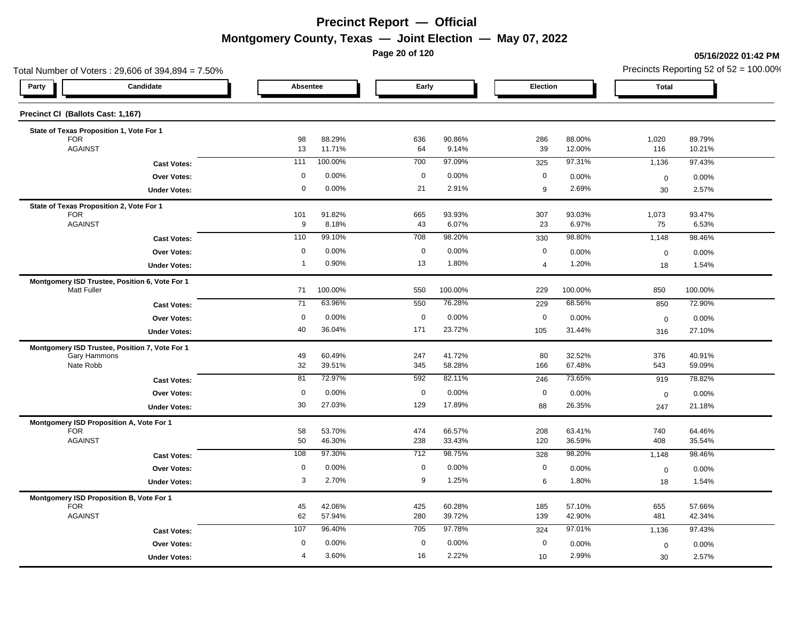**Page 20 of 120**

#### **05/16/2022 01:42 PM**

| Total Number of Voters: 29,606 of 394,894 = 7.50%      |                  |                  |                  |                  |                        |                  | Precincts Reporting 52 of $52 = 100.00\%$ |                  |  |  |
|--------------------------------------------------------|------------------|------------------|------------------|------------------|------------------------|------------------|-------------------------------------------|------------------|--|--|
| Candidate<br>Party                                     | Absentee         |                  | Early            |                  | Election               |                  | <b>Total</b>                              |                  |  |  |
| Precinct CI (Ballots Cast: 1,167)                      |                  |                  |                  |                  |                        |                  |                                           |                  |  |  |
| State of Texas Proposition 1, Vote For 1               |                  |                  |                  |                  |                        |                  |                                           |                  |  |  |
| <b>FOR</b><br><b>AGAINST</b>                           | 98<br>13         | 88.29%<br>11.71% | 636<br>64        | 90.86%<br>9.14%  | 286<br>39              | 88.00%<br>12.00% | 1,020<br>116                              | 89.79%<br>10.21% |  |  |
| <b>Cast Votes:</b>                                     | 111              | 100.00%          | 700              | 97.09%           | 325                    | 97.31%           | 1,136                                     | 97.43%           |  |  |
| Over Votes:                                            | $\mathbf 0$      | 0.00%            | $\mathbf 0$      | 0.00%            | $\mathbf 0$            | 0.00%            | $\mathbf 0$                               | 0.00%            |  |  |
| <b>Under Votes:</b>                                    | $\mathbf 0$      | 0.00%            | 21               | 2.91%            | 9                      | 2.69%            | 30                                        | 2.57%            |  |  |
| State of Texas Proposition 2, Vote For 1               |                  |                  |                  |                  |                        |                  |                                           |                  |  |  |
| <b>FOR</b><br><b>AGAINST</b>                           | 101<br>9         | 91.82%<br>8.18%  | 665<br>43        | 93.93%<br>6.07%  | 307<br>23              | 93.03%<br>6.97%  | 1,073<br>75                               | 93.47%<br>6.53%  |  |  |
| <b>Cast Votes:</b>                                     | 110              | 99.10%           | 708              | 98.20%           | 330                    | 98.80%           | 1,148                                     | 98.46%           |  |  |
| Over Votes:                                            | $\mathsf{O}$     | 0.00%            | $\mathbf 0$      | 0.00%            | $\mathbf 0$            | 0.00%            | $\mathbf 0$                               | 0.00%            |  |  |
| <b>Under Votes:</b>                                    | $\overline{1}$   | 0.90%            | 13               | 1.80%            | $\overline{4}$         | 1.20%            | 18                                        | 1.54%            |  |  |
| Montgomery ISD Trustee, Position 6, Vote For 1         |                  |                  |                  |                  |                        |                  |                                           |                  |  |  |
| <b>Matt Fuller</b>                                     | 71               | 100.00%          | 550              | 100.00%          | 229                    | 100.00%          | 850                                       | 100.00%          |  |  |
| <b>Cast Votes:</b>                                     | 71               | 63.96%           | 550              | 76.28%           | 229                    | 68.56%           | 850                                       | 72.90%           |  |  |
| <b>Over Votes:</b>                                     | $\mathbf 0$      | 0.00%            | $\mathbf 0$      | 0.00%            | $\mathbf 0$            | 0.00%            | $\mathbf 0$                               | 0.00%            |  |  |
| <b>Under Votes:</b>                                    | 40               | 36.04%           | 171              | 23.72%           | 105                    | 31.44%           | 316                                       | 27.10%           |  |  |
| Montgomery ISD Trustee, Position 7, Vote For 1         |                  |                  |                  |                  |                        |                  |                                           |                  |  |  |
| Gary Hammons<br>Nate Robb                              | 49<br>32         | 60.49%<br>39.51% | 247<br>345       | 41.72%<br>58.28% | 80<br>166              | 32.52%<br>67.48% | 376<br>543                                | 40.91%<br>59.09% |  |  |
| <b>Cast Votes:</b>                                     | 81               | 72.97%           | 592              | 82.11%           | 246                    | 73.65%           | 919                                       | 78.82%           |  |  |
| Over Votes:                                            | $\mathsf 0$      | 0.00%            | $\boldsymbol{0}$ | 0.00%            | $\mathbf 0$            | 0.00%            | $\mathbf 0$                               | 0.00%            |  |  |
| <b>Under Votes:</b>                                    | 30               | 27.03%           | 129              | 17.89%           | 88                     | 26.35%           | 247                                       | 21.18%           |  |  |
| Montgomery ISD Proposition A, Vote For 1               |                  |                  |                  |                  |                        |                  |                                           |                  |  |  |
| <b>FOR</b>                                             | 58               | 53.70%           | 474              | 66.57%           | 208                    | 63.41%           | 740                                       | 64.46%           |  |  |
| <b>AGAINST</b>                                         | 50               | 46.30%           | 238              | 33.43%           | 120                    | 36.59%           | 408                                       | 35.54%           |  |  |
| <b>Cast Votes:</b>                                     | 108              | 97.30%           | 712              | 98.75%           | 328                    | 98.20%           | 1,148                                     | 98.46%           |  |  |
| Over Votes:                                            | $\mathbf 0$<br>3 | 0.00%<br>2.70%   | $\mathbf 0$<br>9 | 0.00%<br>1.25%   | $\mathbf 0$<br>$\,6\,$ | 0.00%<br>1.80%   | $\mathbf 0$                               | 0.00%            |  |  |
| <b>Under Votes:</b>                                    |                  |                  |                  |                  |                        |                  | 18                                        | 1.54%            |  |  |
| Montgomery ISD Proposition B, Vote For 1<br><b>FOR</b> | 45               | 42.06%           | 425              | 60.28%           | 185                    | 57.10%           | 655                                       | 57.66%           |  |  |
| <b>AGAINST</b>                                         | 62               | 57.94%           | 280              | 39.72%           | 139                    | 42.90%           | 481                                       | 42.34%           |  |  |
| <b>Cast Votes:</b>                                     | 107              | 96.40%           | 705              | 97.78%           | 324                    | 97.01%           | 1,136                                     | 97.43%           |  |  |
| <b>Over Votes:</b>                                     | 0                | 0.00%            | $\mathbf 0$      | 0.00%            | $\mathbf 0$            | 0.00%            | $\mathbf 0$                               | 0.00%            |  |  |
| <b>Under Votes:</b>                                    | $\overline{4}$   | 3.60%            | 16               | 2.22%            | 10                     | 2.99%            | 30                                        | 2.57%            |  |  |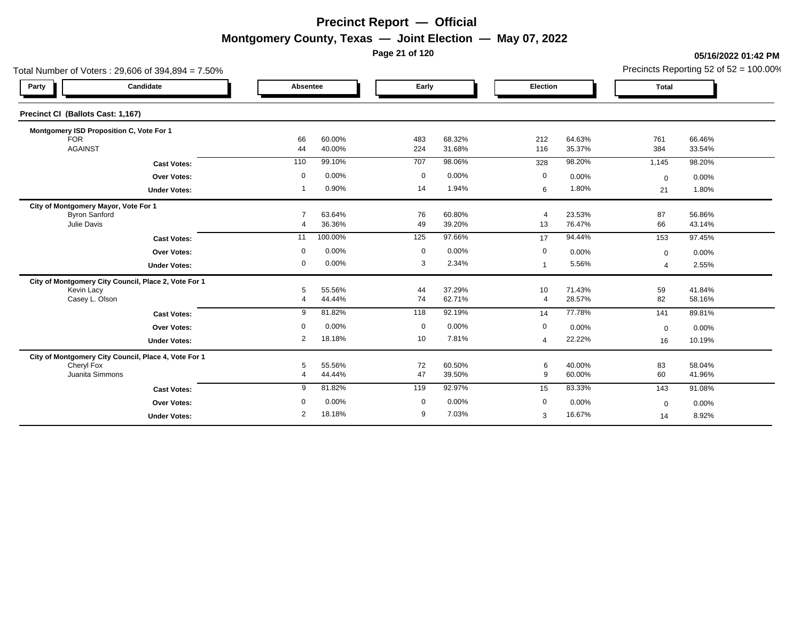**Page 21 of 120**

#### **05/16/2022 01:42 PM**

|                                          | Total Number of Voters: 29,606 of 394,894 = 7.50%    |                     |                  |             |                  |                      | Precincts Reporting 52 of $52 = 100.00\%$ |                          |                  |
|------------------------------------------|------------------------------------------------------|---------------------|------------------|-------------|------------------|----------------------|-------------------------------------------|--------------------------|------------------|
| Party                                    | Candidate                                            | Absentee            |                  | Early       |                  | Election             |                                           | <b>Total</b>             |                  |
| Precinct CI (Ballots Cast: 1,167)        |                                                      |                     |                  |             |                  |                      |                                           |                          |                  |
| Montgomery ISD Proposition C, Vote For 1 |                                                      |                     |                  |             |                  |                      |                                           |                          |                  |
| <b>FOR</b><br><b>AGAINST</b>             |                                                      | 66                  | 60.00%           | 483<br>224  | 68.32%<br>31.68% | 212<br>116           | 64.63%                                    | 761<br>384               | 66.46%           |
|                                          |                                                      | 44                  | 40.00%           |             |                  |                      | 35.37%                                    |                          | 33.54%           |
|                                          | <b>Cast Votes:</b>                                   | 110                 | 99.10%           | 707         | 98.06%           | 328                  | 98.20%                                    | 1,145                    | 98.20%           |
|                                          | <b>Over Votes:</b>                                   | 0                   | 0.00%            | $\mathbf 0$ | 0.00%            | $\mathbf 0$          | 0.00%                                     | $\mathbf 0$              | 0.00%            |
|                                          | <b>Under Votes:</b>                                  |                     | 0.90%            | 14          | 1.94%            | 6                    | 1.80%                                     | 21                       | 1.80%            |
| City of Montgomery Mayor, Vote For 1     |                                                      |                     |                  |             |                  |                      |                                           |                          |                  |
| <b>Byron Sanford</b><br>Julie Davis      |                                                      | $\overline{7}$<br>4 | 63.64%<br>36.36% | 76<br>49    | 60.80%<br>39.20% | $\overline{4}$<br>13 | 23.53%<br>76.47%                          | 87<br>66                 | 56.86%<br>43.14% |
|                                          |                                                      | 11                  | 100.00%          | 125         | 97.66%           | 17                   | 94.44%                                    | 153                      | 97.45%           |
|                                          | <b>Cast Votes:</b>                                   |                     |                  |             |                  |                      |                                           |                          |                  |
|                                          | <b>Over Votes:</b>                                   | 0                   | 0.00%            | 0           | 0.00%            | 0                    | 0.00%                                     | $\mathbf 0$              | 0.00%            |
|                                          | <b>Under Votes:</b>                                  | 0                   | 0.00%            | 3           | 2.34%            | $\mathbf{1}$         | 5.56%                                     | $\boldsymbol{\varDelta}$ | 2.55%            |
|                                          | City of Montgomery City Council, Place 2, Vote For 1 |                     |                  |             |                  |                      |                                           |                          |                  |
| Kevin Lacy<br>Casey L. Olson             |                                                      | 5<br>$\overline{4}$ | 55.56%<br>44.44% | 44<br>74    | 37.29%<br>62.71% | 10<br>$\overline{4}$ | 71.43%<br>28.57%                          | 59<br>82                 | 41.84%<br>58.16% |
|                                          |                                                      |                     |                  |             |                  |                      |                                           |                          |                  |
|                                          | <b>Cast Votes:</b>                                   | 9                   | 81.82%           | 118         | 92.19%           | 14                   | 77.78%                                    | 141                      | 89.81%           |
|                                          | <b>Over Votes:</b>                                   | $\mathbf 0$         | 0.00%            | $\mathbf 0$ | 0.00%            | $\boldsymbol{0}$     | 0.00%                                     | $\mathbf 0$              | 0.00%            |
|                                          | <b>Under Votes:</b>                                  | 2                   | 18.18%           | 10          | 7.81%            | 4                    | 22.22%                                    | 16                       | 10.19%           |
|                                          | City of Montgomery City Council, Place 4, Vote For 1 |                     |                  |             |                  |                      |                                           |                          |                  |
| Cheryl Fox<br>Juanita Simmons            |                                                      | 5                   | 55.56%           | 72          | 60.50%           | 6                    | 40.00%                                    | 83                       | 58.04%           |
|                                          |                                                      | $\overline{4}$      | 44.44%           | 47          | 39.50%           | 9                    | 60.00%                                    | 60                       | 41.96%           |
|                                          | <b>Cast Votes:</b>                                   | 9                   | 81.82%           | 119         | 92.97%           | 15                   | 83.33%                                    | 143                      | 91.08%           |
|                                          | <b>Over Votes:</b>                                   | $\Omega$            | 0.00%            | $\mathbf 0$ | 0.00%            | $\mathbf 0$          | 0.00%                                     | $\mathbf 0$              | 0.00%            |
|                                          | <b>Under Votes:</b>                                  | 2                   | 18.18%           | 9           | 7.03%            | 3                    | 16.67%                                    | 14                       | 8.92%            |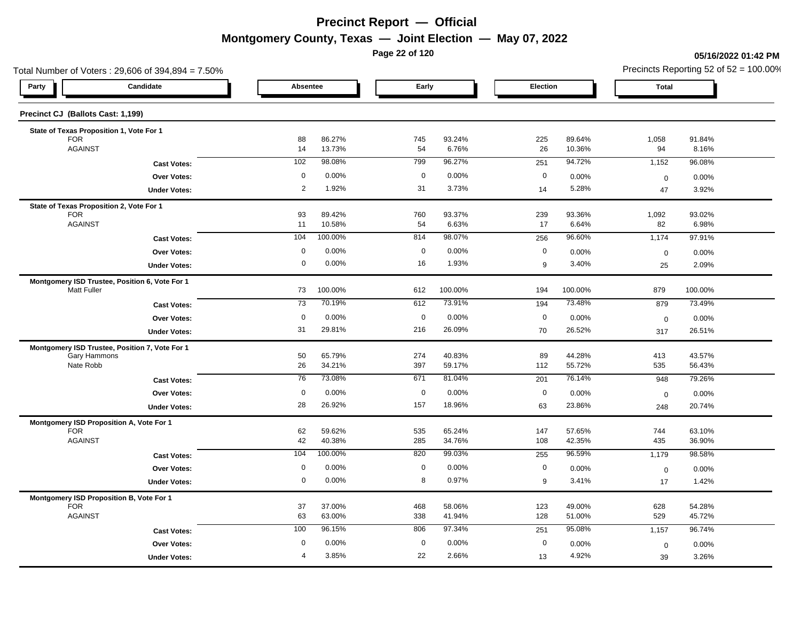**Page 22 of 120**

#### **05/16/2022 01:42 PM**

| Total Number of Voters: 29,606 of 394,894 = 7.50%                    |                   |                  |                         |                  |                  |                  | Precincts Reporting 52 of $52 = 100.00\%$ |                  |  |  |
|----------------------------------------------------------------------|-------------------|------------------|-------------------------|------------------|------------------|------------------|-------------------------------------------|------------------|--|--|
| Candidate<br>Party                                                   | Absentee          |                  | Early                   |                  | Election         |                  | <b>Total</b>                              |                  |  |  |
| Precinct CJ (Ballots Cast: 1,199)                                    |                   |                  |                         |                  |                  |                  |                                           |                  |  |  |
| State of Texas Proposition 1, Vote For 1                             |                   |                  |                         |                  |                  |                  |                                           |                  |  |  |
| <b>FOR</b><br><b>AGAINST</b>                                         | 88<br>14          | 86.27%<br>13.73% | 745<br>54               | 93.24%<br>6.76%  | 225<br>26        | 89.64%<br>10.36% | 1,058<br>94                               | 91.84%<br>8.16%  |  |  |
| <b>Cast Votes:</b>                                                   | 102               | 98.08%           | 799                     | 96.27%           | 251              | 94.72%           | 1,152                                     | 96.08%           |  |  |
| Over Votes:                                                          | $\mathbf 0$       | 0.00%            | $\mathbf 0$             | 0.00%            | $\mathbf 0$      | 0.00%            | $\mathbf 0$                               | 0.00%            |  |  |
| <b>Under Votes:</b>                                                  | $\overline{2}$    | 1.92%            | 31                      | 3.73%            | 14               | 5.28%            | 47                                        | 3.92%            |  |  |
| State of Texas Proposition 2, Vote For 1                             |                   |                  |                         |                  |                  |                  |                                           |                  |  |  |
| <b>FOR</b><br><b>AGAINST</b>                                         | 93<br>11          | 89.42%<br>10.58% | 760<br>54               | 93.37%<br>6.63%  | 239<br>17        | 93.36%<br>6.64%  | 1,092<br>82                               | 93.02%<br>6.98%  |  |  |
| <b>Cast Votes:</b>                                                   | 104               | 100.00%          | 814                     | 98.07%           | 256              | 96.60%           | 1,174                                     | 97.91%           |  |  |
| Over Votes:                                                          | $\mathbf 0$       | 0.00%            | $\mathbf 0$             | 0.00%            | $\mathbf 0$      | 0.00%            |                                           | 0.00%            |  |  |
| <b>Under Votes:</b>                                                  | 0                 | 0.00%            | 16                      | 1.93%            | 9                | 3.40%            | $\pmb{0}$<br>25                           | 2.09%            |  |  |
|                                                                      |                   |                  |                         |                  |                  |                  |                                           |                  |  |  |
| Montgomery ISD Trustee, Position 6, Vote For 1<br><b>Matt Fuller</b> | 73                | 100.00%          | 612                     | 100.00%          | 194              | 100.00%          | 879                                       | 100.00%          |  |  |
| <b>Cast Votes:</b>                                                   | 73                | 70.19%           | 612                     | 73.91%           | 194              | 73.48%           | 879                                       | 73.49%           |  |  |
| <b>Over Votes:</b>                                                   | $\mathbf 0$       | 0.00%            | $\mathbf 0$             | 0.00%            | $\mathbf 0$      | 0.00%            | $\mathbf 0$                               | 0.00%            |  |  |
| <b>Under Votes:</b>                                                  | 31                | 29.81%           | 216                     | 26.09%           | 70               | 26.52%           | 317                                       | 26.51%           |  |  |
| Montgomery ISD Trustee, Position 7, Vote For 1                       |                   |                  |                         |                  |                  |                  |                                           |                  |  |  |
| Gary Hammons<br>Nate Robb                                            | 50<br>26          | 65.79%           | 274                     | 40.83%           | 89               | 44.28%           | 413                                       | 43.57%           |  |  |
|                                                                      | 76                | 34.21%<br>73.08% | 397<br>671              | 59.17%<br>81.04% | 112              | 55.72%<br>76.14% | 535                                       | 56.43%           |  |  |
| <b>Cast Votes:</b>                                                   |                   |                  |                         |                  | 201              |                  | 948                                       | 79.26%           |  |  |
| Over Votes:                                                          | $\mathbf 0$<br>28 | 0.00%<br>26.92%  | $\boldsymbol{0}$<br>157 | 0.00%<br>18.96%  | $\mathbf 0$      | 0.00%<br>23.86%  | $\mathbf 0$                               | 0.00%            |  |  |
| <b>Under Votes:</b>                                                  |                   |                  |                         |                  | 63               |                  | 248                                       | 20.74%           |  |  |
| Montgomery ISD Proposition A, Vote For 1<br><b>FOR</b>               | 62                | 59.62%           | 535                     | 65.24%           | 147              | 57.65%           | 744                                       | 63.10%           |  |  |
| <b>AGAINST</b>                                                       | 42                | 40.38%           | 285                     | 34.76%           | 108              | 42.35%           | 435                                       | 36.90%           |  |  |
| <b>Cast Votes:</b>                                                   | 104               | 100.00%          | 820                     | 99.03%           | 255              | 96.59%           | 1,179                                     | 98.58%           |  |  |
| Over Votes:                                                          | $\mathbf 0$       | 0.00%            | $\mathbf 0$             | 0.00%            | $\mathbf 0$      | 0.00%            | $\boldsymbol{0}$                          | 0.00%            |  |  |
| <b>Under Votes:</b>                                                  | 0                 | 0.00%            | 8                       | 0.97%            | $\boldsymbol{9}$ | 3.41%            | 17                                        | 1.42%            |  |  |
| Montgomery ISD Proposition B, Vote For 1                             |                   |                  |                         |                  |                  |                  |                                           |                  |  |  |
| <b>FOR</b><br><b>AGAINST</b>                                         | 37<br>63          | 37.00%<br>63.00% | 468<br>338              | 58.06%<br>41.94% | 123<br>128       | 49.00%<br>51.00% | 628<br>529                                | 54.28%<br>45.72% |  |  |
| <b>Cast Votes:</b>                                                   | 100               | 96.15%           | 806                     | 97.34%           | 251              | 95.08%           | 1,157                                     | 96.74%           |  |  |
| <b>Over Votes:</b>                                                   | 0                 | 0.00%            | $\mathbf 0$             | 0.00%            | $\mathbf 0$      | 0.00%            | $\mathbf 0$                               | 0.00%            |  |  |
| <b>Under Votes:</b>                                                  | $\overline{4}$    | 3.85%            | 22                      | 2.66%            | 13               | 4.92%            | 39                                        | 3.26%            |  |  |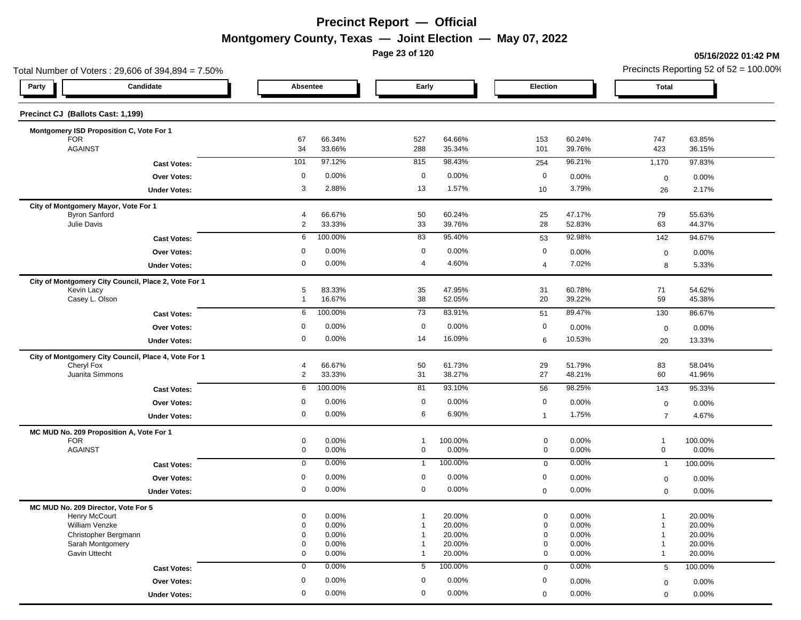**Page 23 of 120**

#### **05/16/2022 01:42 PM**

| Total Number of Voters: 29,606 of 394,894 = 7.50%                  |                                  |                  |                            |                  |                            |                  |                              | Precincts Reporting 52 of $52 = 100.00\%$ |
|--------------------------------------------------------------------|----------------------------------|------------------|----------------------------|------------------|----------------------------|------------------|------------------------------|-------------------------------------------|
| Candidate<br>Party                                                 | Absentee                         |                  | Early                      |                  | Election                   |                  | <b>Total</b>                 |                                           |
| Precinct CJ (Ballots Cast: 1,199)                                  |                                  |                  |                            |                  |                            |                  |                              |                                           |
| Montgomery ISD Proposition C, Vote For 1                           |                                  |                  |                            |                  |                            |                  |                              |                                           |
| <b>FOR</b>                                                         | 67                               | 66.34%           | 527                        | 64.66%           | 153                        | 60.24%           | 747                          | 63.85%                                    |
| <b>AGAINST</b>                                                     | 34                               | 33.66%           | 288                        | 35.34%           | 101                        | 39.76%           | 423                          | 36.15%                                    |
| <b>Cast Votes:</b>                                                 | 101                              | 97.12%           | 815                        | 98.43%           | 254                        | 96.21%           | 1,170                        | 97.83%                                    |
| <b>Over Votes:</b>                                                 | 0                                | 0.00%            | $\mathbf 0$                | 0.00%            | $\mathbf 0$                | 0.00%            | $\mathbf 0$                  | 0.00%                                     |
| <b>Under Votes:</b>                                                | 3                                | 2.88%            | 13                         | 1.57%            | 10                         | 3.79%            | 26                           | 2.17%                                     |
| City of Montgomery Mayor, Vote For 1                               |                                  |                  |                            |                  |                            |                  |                              |                                           |
| <b>Byron Sanford</b><br>Julie Davis                                | $\overline{4}$<br>$\overline{2}$ | 66.67%<br>33.33% | 50<br>33                   | 60.24%<br>39.76% | 25<br>28                   | 47.17%<br>52.83% | 79<br>63                     | 55.63%<br>44.37%                          |
|                                                                    |                                  | 100.00%          | 83                         | 95.40%           |                            | 92.98%           |                              | 94.67%                                    |
| <b>Cast Votes:</b>                                                 | 6                                |                  |                            |                  | 53                         |                  | 142                          |                                           |
| <b>Over Votes:</b>                                                 | 0                                | 0.00%            | $\mathbf 0$                | 0.00%            | $\mathbf 0$                | 0.00%            | $\mathbf 0$                  | 0.00%                                     |
| <b>Under Votes:</b>                                                | 0                                | 0.00%            | 4                          | 4.60%            | 4                          | 7.02%            | 8                            | 5.33%                                     |
| City of Montgomery City Council, Place 2, Vote For 1<br>Kevin Lacy | 5                                | 83.33%           | 35                         | 47.95%           | 31                         | 60.78%           | 71                           | 54.62%                                    |
| Casey L. Olson                                                     | $\mathbf{1}$                     | 16.67%           | 38                         | 52.05%           | 20                         | 39.22%           | 59                           | 45.38%                                    |
| <b>Cast Votes:</b>                                                 | 6                                | 100.00%          | 73                         | 83.91%           | 51                         | 89.47%           | 130                          | 86.67%                                    |
| <b>Over Votes:</b>                                                 | 0                                | 0.00%            | $\mathbf 0$                | 0.00%            | $\mathbf 0$                | 0.00%            |                              | 0.00%                                     |
|                                                                    | 0                                | 0.00%            | 14                         | 16.09%           | 6                          | 10.53%           | $\mathbf 0$                  | 13.33%                                    |
| <b>Under Votes:</b>                                                |                                  |                  |                            |                  |                            |                  | 20                           |                                           |
| City of Montgomery City Council, Place 4, Vote For 1               |                                  |                  |                            |                  |                            |                  |                              |                                           |
| Cheryl Fox<br>Juanita Simmons                                      | 4<br>$\overline{c}$              | 66.67%<br>33.33% | 50<br>31                   | 61.73%<br>38.27% | 29<br>27                   | 51.79%<br>48.21% | 83<br>60                     | 58.04%<br>41.96%                          |
| <b>Cast Votes:</b>                                                 | 6                                | 100.00%          | 81                         | 93.10%           | 56                         | 98.25%           | 143                          | 95.33%                                    |
|                                                                    | 0                                | 0.00%            | $\mathbf 0$                | 0.00%            | $\mathbf 0$                |                  |                              |                                           |
| Over Votes:                                                        |                                  |                  |                            |                  |                            | 0.00%            | $\mathbf 0$                  | 0.00%                                     |
| <b>Under Votes:</b>                                                | 0                                | 0.00%            | 6                          | 6.90%            | $\mathbf{1}$               | 1.75%            | $\overline{7}$               | 4.67%                                     |
| MC MUD No. 209 Proposition A, Vote For 1                           |                                  |                  |                            |                  |                            |                  |                              |                                           |
| <b>FOR</b><br><b>AGAINST</b>                                       | 0<br>0                           | 0.00%<br>0.00%   | $\mathbf 1$<br>$\mathbf 0$ | 100.00%<br>0.00% | $\mathbf 0$<br>$\mathbf 0$ | 0.00%<br>0.00%   | $\mathbf{1}$<br>$\mathbf 0$  | 100.00%<br>0.00%                          |
|                                                                    | $\mathbf 0$                      | 0.00%            | $\mathbf{1}$               | 100.00%          |                            | 0.00%            |                              | 100.00%                                   |
| <b>Cast Votes:</b>                                                 |                                  |                  |                            |                  | $\mathbf 0$                |                  | $\mathbf{1}$                 |                                           |
| <b>Over Votes:</b>                                                 | 0                                | 0.00%            | 0                          | 0.00%            | 0                          | 0.00%            | $\mathbf 0$                  | 0.00%                                     |
| <b>Under Votes:</b>                                                | 0                                | 0.00%            | $\mathbf 0$                | 0.00%            | $\boldsymbol{0}$           | 0.00%            | $\mathbf 0$                  | 0.00%                                     |
| MC MUD No. 209 Director, Vote For 5                                |                                  |                  |                            |                  |                            |                  |                              |                                           |
| Henry McCourt<br>William Venzke                                    | 0<br>0                           | 0.00%<br>0.00%   | $\mathbf 1$<br>-1          | 20.00%<br>20.00% | $\mathbf 0$<br>$\mathbf 0$ | 0.00%<br>0.00%   | $\mathbf{1}$<br>$\mathbf{1}$ | 20.00%<br>20.00%                          |
| Christopher Bergmann                                               | 0                                | 0.00%            |                            | 20.00%           | 0                          | 0.00%            | $\overline{1}$               | 20.00%                                    |
| Sarah Montgomery                                                   | 0                                | 0.00%            |                            | 20.00%           | 0                          | 0.00%            | $\mathbf{1}$                 | 20.00%                                    |
| Gavin Uttecht                                                      | 0                                | 0.00%            | $\mathbf 1$                | 20.00%           | $\mathbf 0$                | 0.00%            | $\mathbf{1}$                 | 20.00%                                    |
| <b>Cast Votes:</b>                                                 | $\mathbf 0$                      | 0.00%            | 5                          | 100.00%          | $\mathbf 0$                | 0.00%            | 5                            | 100.00%                                   |
| Over Votes:                                                        | 0                                | 0.00%            | 0                          | 0.00%            | 0                          | 0.00%            | $\mathbf 0$                  | 0.00%                                     |
| <b>Under Votes:</b>                                                | 0                                | 0.00%            | $\mathbf 0$                | 0.00%            | $\mathbf 0$                | 0.00%            | $\mathbf 0$                  | 0.00%                                     |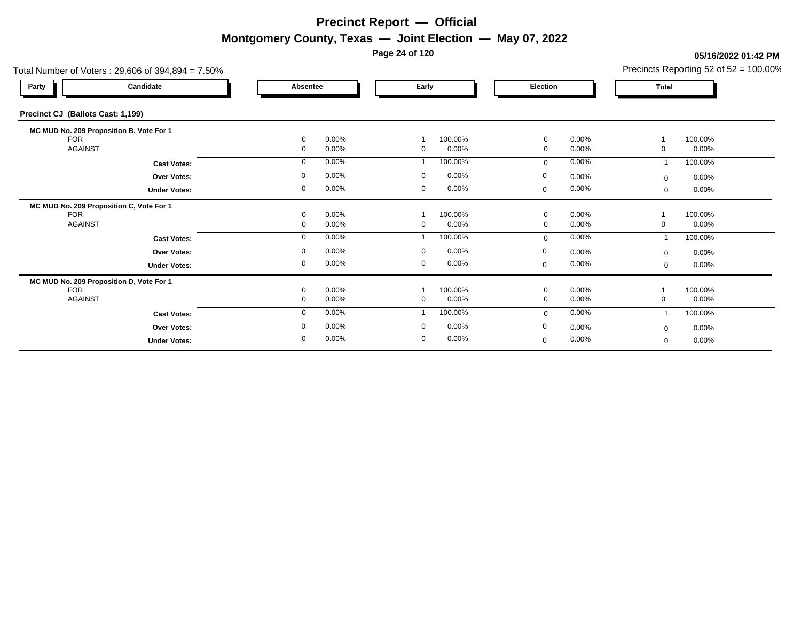**Page 24 of 120**

#### Total Number of Voters : 29,606 of 394,894 = 7.50% Precincts Reporting 52 of 52 = 100.00% **Party Candidate Absentee Early Election Total Precinct CJ (Ballots Cast: 1,199) MC MUD No. 209 Proposition B, Vote For 1** FOR 0 0.00% 1 100.00% 0 0.00% 1 100.00% AGAINST 0 0.00% 0 0.00% 0 0.00% 0 0.00% **Cast Votes:** 0 0.00% 1 100.00% 0 0.00% 1 100.00% **Under Votes: Over Votes:** 0.00% 0.00% 0.00% 0.00% 0.00% 0.00% 0.00% 0.00% 0.00% 0.00% 0.00% 0.00% 0.00% 0.00% 0.00% 0.00% 0.00% 0.00% 0.00% 0.00% 0.00% 0.00% 0.00% 0.00% 0.00% 0.00% 0.00% 0.00% 0.00% 0.00% 0.00% 0.00% 0.00% 0.00% 0.00 0.00% 0 0.00% 0 0.00% 0 0.00% 0 0.00% 0.00% 0 0.00%  $0$  0.00%  $0$  0.00%  $0$  0.00%  $0$  0.00%  $0$  0.00%  $0$  0.00% 0 0.00%  $0.00%$ **MC MUD No. 209 Proposition C, Vote For 1** FOR 0 0.00% 1 100.00% 0 0.00% 1 100.00% AGAINST 0 0.00% 0 0.00% 0 0.00% 0 0.00% **Cast Votes:** 0 0.00% 1 100.00% 0 0.00% 1 100.00% **Under Votes: Over Votes:** 0.00% 0.00% 0.00% 0.00% 0.00% 0.00% 0.00% 0.00% 0.00% 0.00% 0.00% 0.00% 0.00% 0.00% 0.00% 0.00% 0.00% 0.00% 0.00% 0.00% 0.00% 0.00% 0.00% 0.00% 0.00% 0.00% 0.00% 0.00% 0.00% 0.00% 0.00% 0.00% 0.00% 0.00% 0.00 0.00% 0 0.00% 0 0.00% 0 0.00% 0  $0.00\%$  0.00% 0 0.00%  $0$  0.00%  $0$  0.00%  $0$  0.00%  $0$  0.00%  $0$  0.00%  $0$  0.00% 0 0.00% 0.00% **MC MUD No. 209 Proposition D, Vote For 1** FOR 0 0.00% 1 100.00% 0 0.00% 1 100.00% AGAINST 0 0.00% 0 0.00% 0 0.00% 0 0.00% 0 **Cast Votes:** 0 0.00% 1 100.00% 0 0.00% 1 100.00% **Under Votes: Over Votes:** 0.00% 0.00% 0.00% 0.00% 0.00% 0.00% 0.00% 0.00% 0.00% 0.00% 0.00% 0.00% 0.00% 0.00% 0.00% 0.00% 0.00% 0.00% 0.00% 0.00% 0.00% 0.00% 0.00% 0.00% 0.00% 0.00% 0.00% 0.00% 0.00% 0.00% 0.00% 0.00% 0.00% 0.00% 0.00 0.00% 0 0.00% 0 0.00% 0.00% 0 0.00% 0.00%  $0.00\%$  $0$  0.00%  $0$  0.00%  $0$  0.00%  $0$  0.00%  $0$  0.00%  $0$  0.00% 0 0.00%  $0.00%$ 0

**05/16/2022 01:42 PM**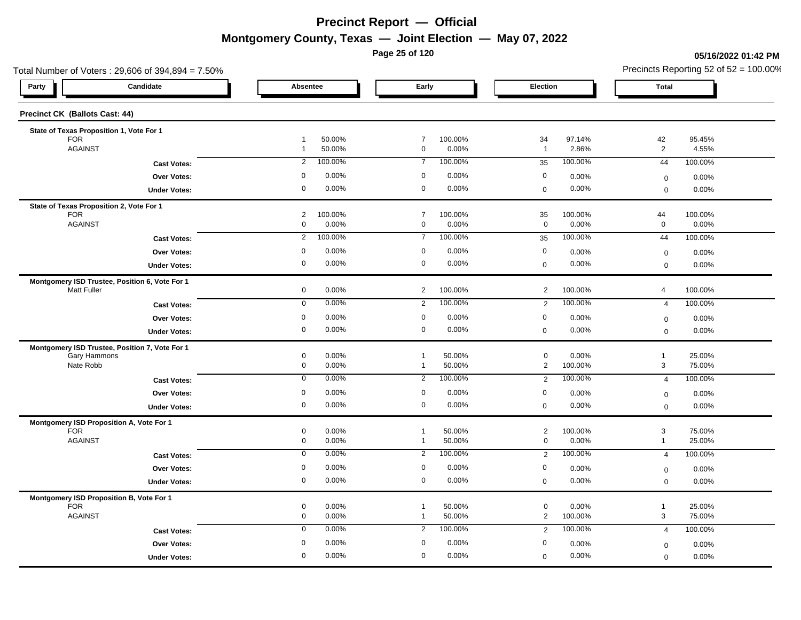**Page 25 of 120**

#### **05/16/2022 01:42 PM**

| Total Number of Voters: 29,606 of 394,894 = 7.50% |                                                    |                                                    |                                                 | Precincts Reporting 52 of $52 = 100.00\%$        |  |  |  |
|---------------------------------------------------|----------------------------------------------------|----------------------------------------------------|-------------------------------------------------|--------------------------------------------------|--|--|--|
| Party<br>Candidate                                | Absentee                                           | Early                                              | Election                                        | <b>Total</b>                                     |  |  |  |
| <b>Precinct CK (Ballots Cast: 44)</b>             |                                                    |                                                    |                                                 |                                                  |  |  |  |
| State of Texas Proposition 1, Vote For 1          |                                                    | $\overline{7}$                                     |                                                 |                                                  |  |  |  |
| <b>FOR</b><br><b>AGAINST</b>                      | 50.00%<br>$\overline{1}$<br>50.00%<br>$\mathbf{1}$ | 100.00%<br>$\mathbf 0$<br>0.00%                    | 34<br>97.14%<br>2.86%<br>$\overline{1}$         | 42<br>95.45%<br>2<br>4.55%                       |  |  |  |
| <b>Cast Votes:</b>                                | 100.00%                                            | 100.00%                                            | 100.00%                                         | 44                                               |  |  |  |
|                                                   | 2                                                  | $\overline{7}$                                     | 35                                              | 100.00%                                          |  |  |  |
| Over Votes:                                       | 0.00%                                              | $\mathbf 0$                                        | $\mathbf 0$                                     | 0.00%                                            |  |  |  |
|                                                   | $\mathbf 0$                                        | 0.00%                                              | 0.00%                                           | $\boldsymbol{0}$                                 |  |  |  |
| <b>Under Votes:</b>                               | 0                                                  | $\mathbf 0$                                        | 0.00%                                           | $\mathsf 0$                                      |  |  |  |
|                                                   | 0.00%                                              | 0.00%                                              | $\mathbf 0$                                     | 0.00%                                            |  |  |  |
| State of Texas Proposition 2, Vote For 1          |                                                    |                                                    |                                                 |                                                  |  |  |  |
| <b>FOR</b><br><b>AGAINST</b>                      | $\overline{c}$<br>100.00%<br>$\mathbf 0$<br>0.00%  | $\overline{7}$<br>100.00%<br>$\mathbf 0$<br>0.00%  | 35<br>100.00%<br>$\mathbf 0$<br>0.00%           | 44<br>100.00%<br>$\mathbf 0$<br>0.00%            |  |  |  |
| <b>Cast Votes:</b>                                | 100.00%                                            | 100.00%                                            | 100.00%                                         | 100.00%                                          |  |  |  |
|                                                   | $\overline{2}$                                     | $\overline{7}$                                     | 35                                              | 44                                               |  |  |  |
| Over Votes:                                       | $\mathbf 0$                                        | $\mathbf 0$                                        | $\mathbf 0$                                     | 0.00%                                            |  |  |  |
|                                                   | 0.00%                                              | 0.00%                                              | 0.00%                                           | $\mathbf 0$                                      |  |  |  |
| <b>Under Votes:</b>                               | 0                                                  | $\mathbf 0$                                        | 0.00%                                           | 0.00%                                            |  |  |  |
|                                                   | 0.00%                                              | 0.00%                                              | $\mathbf 0$                                     | $\mathbf 0$                                      |  |  |  |
| Montgomery ISD Trustee, Position 6, Vote For 1    | $\mathbf 0$                                        | $\overline{2}$                                     | $\overline{2}$                                  | 100.00%                                          |  |  |  |
| <b>Matt Fuller</b>                                | 0.00%                                              | 100.00%                                            | 100.00%                                         | $\overline{4}$                                   |  |  |  |
| <b>Cast Votes:</b>                                | 0.00%                                              | $\overline{2}$                                     | 100.00%                                         | $\overline{4}$                                   |  |  |  |
|                                                   | $\overline{0}$                                     | 100.00%                                            | $\overline{2}$                                  | 100.00%                                          |  |  |  |
| Over Votes:                                       | 0.00%<br>$\mathbf 0$                               | $\mathbf 0$<br>0.00%                               | $\mathbf 0$<br>0.00%                            |                                                  |  |  |  |
| <b>Under Votes:</b>                               | 0<br>0.00%                                         | 0.00%<br>$\mathbf 0$                               | 0.00%<br>$\mathbf 0$                            | 0.00%<br>$\mathbf 0$<br>0.00%<br>$\mathsf 0$     |  |  |  |
| Montgomery ISD Trustee, Position 7, Vote For 1    |                                                    |                                                    |                                                 |                                                  |  |  |  |
| Gary Hammons                                      | $\mathbf 0$                                        | 50.00%                                             | $\mathbf 0$                                     | 25.00%                                           |  |  |  |
|                                                   | 0.00%                                              | $\mathbf{1}$                                       | 0.00%                                           | $\mathbf{1}$                                     |  |  |  |
| Nate Robb                                         | $\mathbf 0$                                        | 50.00%                                             | $\overline{2}$                                  | $\mathbf{3}$                                     |  |  |  |
|                                                   | 0.00%                                              | $\overline{1}$                                     | 100.00%                                         | 75.00%                                           |  |  |  |
| <b>Cast Votes:</b>                                | 0.00%                                              | 100.00%                                            | 100.00%                                         | 100.00%                                          |  |  |  |
|                                                   | $\mathbf 0$                                        | 2                                                  | $\overline{2}$                                  | 4                                                |  |  |  |
| Over Votes:                                       | 0.00%                                              | $\mathbf 0$                                        | 0                                               | 0.00%                                            |  |  |  |
|                                                   | 0                                                  | 0.00%                                              | 0.00%                                           | $\boldsymbol{0}$                                 |  |  |  |
| <b>Under Votes:</b>                               | 0                                                  | $\mathbf 0$                                        | 0.00%                                           | $\mathbf 0$                                      |  |  |  |
|                                                   | 0.00%                                              | 0.00%                                              | $\boldsymbol{0}$                                | 0.00%                                            |  |  |  |
| Montgomery ISD Proposition A, Vote For 1          | $\mathsf{O}\xspace$                                | 50.00%                                             | 100.00%                                         | $\mathbf 3$                                      |  |  |  |
| <b>FOR</b>                                        | 0.00%                                              | -1                                                 |                                                 | 75.00%                                           |  |  |  |
| <b>AGAINST</b>                                    | 0<br>0.00%                                         | 50.00%<br>$\mathbf{1}$                             | $\overline{2}$<br>$\mathbf 0$<br>0.00%          | 25.00%<br>$\mathbf{1}$                           |  |  |  |
| <b>Cast Votes:</b>                                | 0.00%                                              | 100.00%                                            | 100.00%                                         | 100.00%                                          |  |  |  |
|                                                   | $\mathbf 0$                                        | $\overline{2}$                                     | $\overline{2}$                                  | $\overline{4}$                                   |  |  |  |
| <b>Over Votes:</b>                                | 0.00%                                              | $\mathbf 0$                                        | $\boldsymbol{0}$                                | 0.00%                                            |  |  |  |
|                                                   | 0                                                  | 0.00%                                              | 0.00%                                           | $\mathbf 0$                                      |  |  |  |
| <b>Under Votes:</b>                               | 0                                                  | $\mathbf 0$                                        | 0.00%                                           | 0.00%                                            |  |  |  |
|                                                   | 0.00%                                              | 0.00%                                              | $\mathsf{O}\xspace$                             | $\mathbf 0$                                      |  |  |  |
| Montgomery ISD Proposition B, Vote For 1          |                                                    |                                                    |                                                 |                                                  |  |  |  |
| <b>FOR</b><br><b>AGAINST</b>                      | $\mathbf 0$<br>0.00%<br>0.00%<br>0                 | 50.00%<br>$\overline{1}$<br>50.00%<br>$\mathbf{1}$ | $\mathbf 0$<br>0.00%<br>$\mathbf{2}$<br>100.00% | $\mathbf{1}$<br>25.00%<br>$\mathbf{3}$<br>75.00% |  |  |  |
| <b>Cast Votes:</b>                                | 0.00%                                              | 100.00%                                            | 100.00%                                         | 100.00%                                          |  |  |  |
|                                                   | $\mathbf 0$                                        | 2                                                  | $\overline{2}$                                  | $\overline{4}$                                   |  |  |  |
| <b>Over Votes:</b>                                | 0.00%                                              | $\mathbf 0$                                        | $\boldsymbol{0}$                                | 0.00%                                            |  |  |  |
|                                                   | 0                                                  | 0.00%                                              | 0.00%                                           | $\mathbf 0$                                      |  |  |  |
| <b>Under Votes:</b>                               | 0.00%                                              | $\mathbf 0$                                        | 0.00%                                           | 0.00%                                            |  |  |  |
|                                                   | $\mathbf{0}$                                       | 0.00%                                              | $\mathbf 0$                                     | $\mathbf 0$                                      |  |  |  |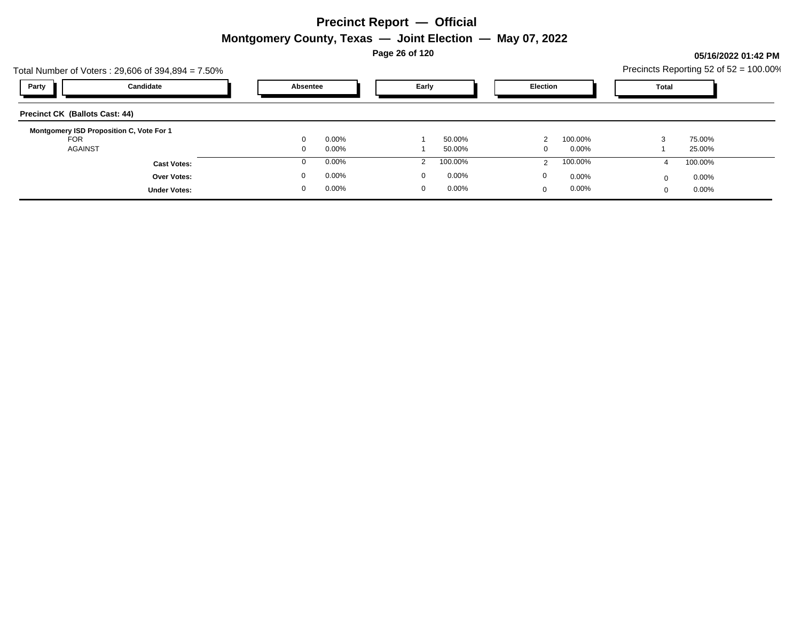**Page 26 of 120**

#### **05/16/2022 01:42 PM**

|                                       | Total Number of Voters: 29,606 of 394,894 = 7.50% |          |       |             |          |                 |         |       |          | Precincts Reporting 52 of 52 = 100.00% |
|---------------------------------------|---------------------------------------------------|----------|-------|-------------|----------|-----------------|---------|-------|----------|----------------------------------------|
| Party                                 | Candidate                                         | Absentee |       | Early       |          | <b>Election</b> |         | Total |          |                                        |
| <b>Precinct CK (Ballots Cast: 44)</b> |                                                   |          |       |             |          |                 |         |       |          |                                        |
| <b>FOR</b>                            | Montgomery ISD Proposition C, Vote For 1          |          | 0.00% |             | 50.00%   |                 | 100.00% |       | 75.00%   |                                        |
| <b>AGAINST</b>                        |                                                   |          | 0.00% |             | 50.00%   |                 | 0.00%   |       | 25.00%   |                                        |
|                                       | <b>Cast Votes:</b>                                |          | 0.00% |             | 100.00%  |                 | 100.00% |       | 100.00%  |                                        |
|                                       | <b>Over Votes:</b>                                | 0        | 0.00% | $\Omega$    | $0.00\%$ | 0               | 0.00%   |       | $0.00\%$ |                                        |
|                                       | <b>Under Votes:</b>                               | $\Omega$ | 0.00% | $\mathbf 0$ | $0.00\%$ | $\Omega$        | 0.00%   |       | $0.00\%$ |                                        |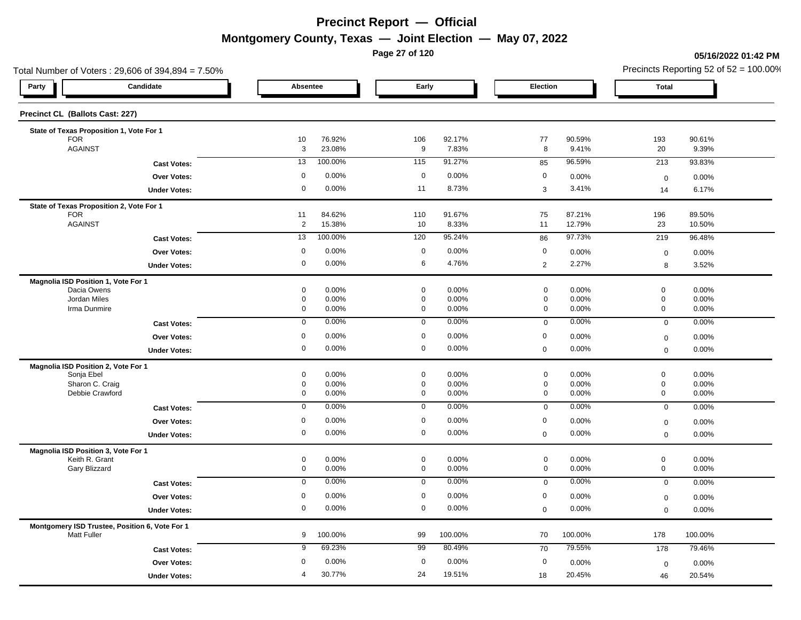**Page 27 of 120**

#### **05/16/2022 01:42 PM**

| Total Number of Voters: 29,606 of 394,894 = 7.50%                    |                     |                  |                            |                 |                            |                 | Precincts Reporting 52 of $52 = 100.00\%$ |                 |  |
|----------------------------------------------------------------------|---------------------|------------------|----------------------------|-----------------|----------------------------|-----------------|-------------------------------------------|-----------------|--|
| Candidate<br>Party                                                   | Absentee            |                  | Early                      |                 | Election                   |                 | Total                                     |                 |  |
| Precinct CL (Ballots Cast: 227)                                      |                     |                  |                            |                 |                            |                 |                                           |                 |  |
| State of Texas Proposition 1, Vote For 1                             |                     |                  |                            |                 |                            |                 |                                           |                 |  |
| <b>FOR</b><br><b>AGAINST</b>                                         | 10<br>3             | 76.92%<br>23.08% | 106<br>9                   | 92.17%<br>7.83% | 77<br>8                    | 90.59%<br>9.41% | 193<br>20                                 | 90.61%<br>9.39% |  |
| <b>Cast Votes:</b>                                                   | 13                  | 100.00%          | 115                        | 91.27%          | 85                         | 96.59%          | 213                                       | 93.83%          |  |
| Over Votes:                                                          | 0                   | 0.00%            | $\mathbf 0$                | 0.00%           | $\mathbf 0$                | 0.00%           | $\mathbf 0$                               | 0.00%           |  |
| <b>Under Votes:</b>                                                  | 0                   | 0.00%            | 11                         | 8.73%           | 3                          | 3.41%           | 14                                        | 6.17%           |  |
| State of Texas Proposition 2, Vote For 1                             |                     |                  |                            |                 |                            |                 |                                           |                 |  |
| <b>FOR</b>                                                           | 11                  | 84.62%           | 110                        | 91.67%          | 75                         | 87.21%          | 196                                       | 89.50%          |  |
| <b>AGAINST</b>                                                       | $\overline{c}$      | 15.38%           | 10                         | 8.33%           | 11                         | 12.79%          | 23                                        | 10.50%          |  |
| <b>Cast Votes:</b>                                                   | 13                  | 100.00%          | 120                        | 95.24%          | 86                         | 97.73%          | 219                                       | 96.48%          |  |
| Over Votes:                                                          | $\mathbf 0$         | 0.00%            | $\mathbf 0$                | 0.00%           | $\mathbf 0$                | 0.00%           | $\mathbf 0$                               | 0.00%           |  |
| <b>Under Votes:</b>                                                  | $\mathbf 0$         | 0.00%            | 6                          | 4.76%           | $\overline{2}$             | 2.27%           | 8                                         | 3.52%           |  |
| Magnolia ISD Position 1, Vote For 1                                  |                     |                  |                            |                 |                            |                 |                                           |                 |  |
| Dacia Owens                                                          | 0                   | 0.00%            | $\mathsf 0$                | 0.00%           | $\mathbf 0$                | 0.00%           | $\mathsf{O}\xspace$                       | 0.00%           |  |
| Jordan Miles<br>Irma Dunmire                                         | 0<br>0              | 0.00%<br>0.00%   | $\mathbf 0$<br>$\mathbf 0$ | 0.00%<br>0.00%  | $\mathbf 0$<br>$\mathbf 0$ | 0.00%<br>0.00%  | $\mathbf 0$<br>$\mathbf 0$                | 0.00%<br>0.00%  |  |
| <b>Cast Votes:</b>                                                   | $\mathbf 0$         | 0.00%            | $\mathbf 0$                | 0.00%           | $\mathbf 0$                | 0.00%           | $\mathsf 0$                               | 0.00%           |  |
|                                                                      | $\mathbf 0$         | 0.00%            | $\mathbf 0$                | 0.00%           | $\mathbf 0$                | 0.00%           |                                           |                 |  |
| Over Votes:<br><b>Under Votes:</b>                                   | $\mathbf 0$         | 0.00%            | $\mathbf 0$                | 0.00%           | $\mathbf 0$                | 0.00%           | $\boldsymbol{0}$<br>$\mathsf 0$           | 0.00%<br>0.00%  |  |
|                                                                      |                     |                  |                            |                 |                            |                 |                                           |                 |  |
| Magnolia ISD Position 2, Vote For 1<br>Sonja Ebel                    | 0                   | 0.00%            | $\mathbf 0$                | 0.00%           | $\mathbf 0$                | 0.00%           | $\mathbf 0$                               | 0.00%           |  |
| Sharon C. Craig                                                      | 0                   | 0.00%            | $\mathbf 0$                | 0.00%           | $\mathbf 0$                | 0.00%           | $\mathsf{O}\xspace$                       | 0.00%           |  |
| Debbie Crawford                                                      | 0                   | 0.00%            | 0                          | 0.00%           | $\mathbf 0$                | 0.00%           | $\mathbf 0$                               | 0.00%           |  |
| <b>Cast Votes:</b>                                                   | $\mathbf 0$         | 0.00%            | $\mathbf 0$                | 0.00%           | $\mathbf 0$                | 0.00%           | $\mathbf 0$                               | 0.00%           |  |
| Over Votes:                                                          | 0                   | 0.00%            | $\mathbf 0$                | 0.00%           | $\mathbf 0$                | 0.00%           | $\mathbf 0$                               | 0.00%           |  |
| <b>Under Votes:</b>                                                  | 0                   | 0.00%            | $\mathbf 0$                | 0.00%           | $\mathbf 0$                | 0.00%           | $\mathbf 0$                               | 0.00%           |  |
| Magnolia ISD Position 3, Vote For 1                                  |                     |                  |                            |                 |                            |                 |                                           |                 |  |
| Keith R. Grant<br>Gary Blizzard                                      | 0<br>0              | 0.00%<br>0.00%   | $\mathbf 0$<br>$\mathbf 0$ | 0.00%<br>0.00%  | $\mathbf 0$<br>$\mathbf 0$ | 0.00%<br>0.00%  | $\mathbf 0$<br>$\mathbf 0$                | 0.00%<br>0.00%  |  |
| <b>Cast Votes:</b>                                                   | 0                   | 0.00%            | $\mathbf 0$                | 0.00%           | $\mathbf 0$                | 0.00%           | $\mathbf 0$                               | 0.00%           |  |
|                                                                      | $\mathbf 0$         | 0.00%            | $\mathbf 0$                | 0.00%           | $\mathbf 0$                | 0.00%           |                                           |                 |  |
| <b>Over Votes:</b>                                                   | $\mathsf{O}\xspace$ | 0.00%            | $\mathbf 0$                | 0.00%           | $\mathbf 0$                | 0.00%           | $\mathbf 0$<br>$\mathbf 0$                | 0.00%<br>0.00%  |  |
| <b>Under Votes:</b>                                                  |                     |                  |                            |                 |                            |                 |                                           |                 |  |
| Montgomery ISD Trustee, Position 6, Vote For 1<br><b>Matt Fuller</b> | 9                   | 100.00%          | 99                         | 100.00%         | 70                         | 100.00%         | 178                                       | 100.00%         |  |
| <b>Cast Votes:</b>                                                   | 9                   | 69.23%           | 99                         | 80.49%          | 70                         | 79.55%          | 178                                       | 79.46%          |  |
| Over Votes:                                                          | 0                   | 0.00%            | $\mathbf 0$                | 0.00%           | $\mathbf 0$                | 0.00%           | $\mathbf 0$                               | 0.00%           |  |
| <b>Under Votes:</b>                                                  | 4                   | 30.77%           | 24                         | 19.51%          | 18                         | 20.45%          | 46                                        | 20.54%          |  |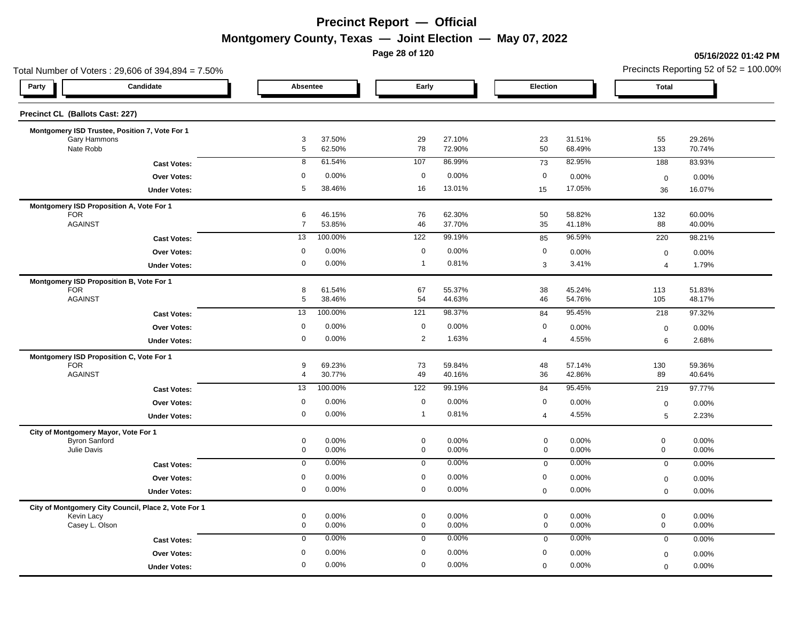**Page 28 of 120**

#### **05/16/2022 01:42 PM**

| Total Number of Voters: 29,606 of 394,894 = 7.50%    |                     |                  |              |                  |                  |                  | Precincts Reporting 52 of $52 = 100.00\%$ |                  |
|------------------------------------------------------|---------------------|------------------|--------------|------------------|------------------|------------------|-------------------------------------------|------------------|
| Candidate<br>Party                                   | Absentee            |                  | Early        |                  | Election         |                  | <b>Total</b>                              |                  |
| Precinct CL (Ballots Cast: 227)                      |                     |                  |              |                  |                  |                  |                                           |                  |
| Montgomery ISD Trustee, Position 7, Vote For 1       |                     |                  |              |                  |                  |                  |                                           |                  |
| Gary Hammons<br>Nate Robb                            | 3<br>5              | 37.50%<br>62.50% | 29<br>78     | 27.10%<br>72.90% | 23<br>50         | 31.51%<br>68.49% | 55<br>133                                 | 29.26%<br>70.74% |
|                                                      | 8                   | 61.54%           | 107          | 86.99%           | 73               | 82.95%           | 188                                       | 83.93%           |
| <b>Cast Votes:</b>                                   |                     |                  |              |                  |                  |                  |                                           |                  |
| Over Votes:                                          | 0                   | 0.00%            | $\mathbf 0$  | 0.00%            | $\mathbf 0$      | 0.00%            | $\mathsf 0$                               | 0.00%            |
| <b>Under Votes:</b>                                  | 5                   | 38.46%           | 16           | 13.01%           | 15               | 17.05%           | 36                                        | 16.07%           |
| Montgomery ISD Proposition A, Vote For 1             |                     |                  |              |                  |                  |                  |                                           |                  |
| <b>FOR</b><br><b>AGAINST</b>                         | 6<br>$\overline{7}$ | 46.15%<br>53.85% | 76<br>46     | 62.30%<br>37.70% | 50<br>35         | 58.82%<br>41.18% | 132<br>88                                 | 60.00%<br>40.00% |
|                                                      | 13                  | 100.00%          | 122          | 99.19%           |                  | 96.59%           | 220                                       | 98.21%           |
| <b>Cast Votes:</b>                                   |                     |                  |              |                  | 85               |                  |                                           |                  |
| Over Votes:                                          | $\mathbf 0$         | 0.00%            | $\mathbf 0$  | 0.00%            | $\mathbf 0$      | 0.00%            | $\mathsf 0$                               | 0.00%            |
| <b>Under Votes:</b>                                  | 0                   | 0.00%            | $\mathbf{1}$ | 0.81%            | 3                | 3.41%            | $\overline{4}$                            | 1.79%            |
| Montgomery ISD Proposition B, Vote For 1             |                     |                  |              |                  |                  |                  |                                           |                  |
| <b>FOR</b><br><b>AGAINST</b>                         | 8<br>5              | 61.54%<br>38.46% | 67<br>54     | 55.37%<br>44.63% | 38<br>46         | 45.24%<br>54.76% | 113<br>105                                | 51.83%<br>48.17% |
|                                                      |                     |                  |              |                  |                  |                  |                                           |                  |
| <b>Cast Votes:</b>                                   | 13                  | 100.00%          | 121          | 98.37%           | 84               | 95.45%           | 218                                       | 97.32%           |
| <b>Over Votes:</b>                                   | $\mathbf 0$         | 0.00%            | $\mathbf 0$  | 0.00%            | $\boldsymbol{0}$ | 0.00%            | $\boldsymbol{0}$                          | 0.00%            |
| <b>Under Votes:</b>                                  | $\mathbf 0$         | 0.00%            | 2            | 1.63%            | $\overline{4}$   | 4.55%            | 6                                         | 2.68%            |
| Montgomery ISD Proposition C, Vote For 1             |                     |                  |              |                  |                  |                  |                                           |                  |
| <b>FOR</b><br><b>AGAINST</b>                         | 9                   | 69.23%           | 73<br>49     | 59.84%           | 48               | 57.14%           | 130                                       | 59.36%           |
|                                                      | $\overline{4}$      | 30.77%           |              | 40.16%           | 36               | 42.86%           | 89                                        | 40.64%           |
| <b>Cast Votes:</b>                                   | 13                  | 100.00%          | 122          | 99.19%           | 84               | 95.45%           | 219                                       | 97.77%           |
| <b>Over Votes:</b>                                   | 0                   | 0.00%            | $\mathbf 0$  | 0.00%            | $\boldsymbol{0}$ | 0.00%            | $\boldsymbol{0}$                          | 0.00%            |
| <b>Under Votes:</b>                                  | 0                   | 0.00%            | $\mathbf{1}$ | 0.81%            | $\overline{4}$   | 4.55%            | 5                                         | 2.23%            |
| City of Montgomery Mayor, Vote For 1                 |                     |                  |              |                  |                  |                  |                                           |                  |
| <b>Byron Sanford</b>                                 | 0                   | 0.00%            | $\mathbf 0$  | 0.00%            | $\mathbf 0$      | 0.00%            | $\mathbf 0$                               | 0.00%            |
| Julie Davis                                          | $\pmb{0}$           | 0.00%            | $\mathbf 0$  | 0.00%            | $\mathbf 0$      | 0.00%            | $\mathbf 0$                               | 0.00%            |
| <b>Cast Votes:</b>                                   | $\mathbf 0$         | 0.00%            | $\mathbf 0$  | 0.00%            | $\mathbf 0$      | 0.00%            | $\mathbf 0$                               | 0.00%            |
| Over Votes:                                          | $\mathbf 0$         | 0.00%            | $\mathbf 0$  | 0.00%            | $\pmb{0}$        | 0.00%            | $\mathsf 0$                               | 0.00%            |
| <b>Under Votes:</b>                                  | 0                   | 0.00%            | $\mathbf 0$  | 0.00%            | $\mathbf 0$      | 0.00%            | $\mathbf 0$                               | 0.00%            |
| City of Montgomery City Council, Place 2, Vote For 1 |                     |                  |              |                  |                  |                  |                                           |                  |
| Kevin Lacy                                           | 0                   | 0.00%            | $\mathbf 0$  | 0.00%            | $\mathbf 0$      | 0.00%            | $\mathbf 0$                               | 0.00%            |
| Casey L. Olson                                       | 0                   | 0.00%            | $\mathbf 0$  | 0.00%            | $\mathbf 0$      | 0.00%            | $\mathbf 0$                               | 0.00%            |
| <b>Cast Votes:</b>                                   | $\mathbf 0$         | 0.00%            | 0            | 0.00%            | $\mathbf 0$      | 0.00%            | $\mathbf 0$                               | 0.00%            |
| Over Votes:                                          | $\mathbf 0$         | 0.00%            | $\mathbf 0$  | 0.00%            | $\boldsymbol{0}$ | 0.00%            | $\mathbf 0$                               | 0.00%            |
| <b>Under Votes:</b>                                  | $\mathbf 0$         | 0.00%            | $\mathbf 0$  | 0.00%            | $\mathbf 0$      | 0.00%            | $\mathbf 0$                               | 0.00%            |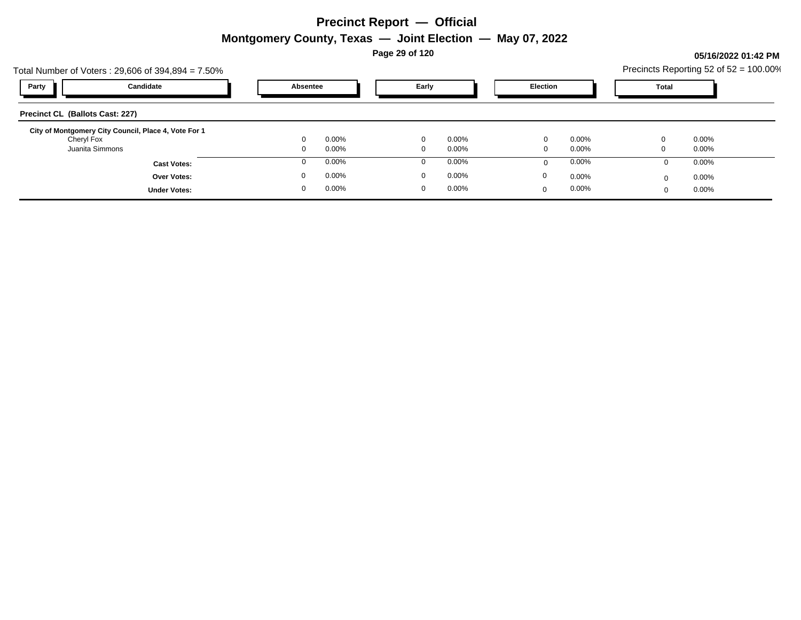**Page 29 of 120**

### **05/16/2022 01:42 PM**

|                                        | Total Number of Voters: 29,606 of 394,894 = 7.50%    |            |          |          |                 |       |       | Precincts Reporting 52 of 52 = 100.00% |
|----------------------------------------|------------------------------------------------------|------------|----------|----------|-----------------|-------|-------|----------------------------------------|
| Party                                  | Candidate                                            | Absentee   |          | Early    | <b>Election</b> |       | Total |                                        |
| <b>Precinct CL (Ballots Cast: 227)</b> |                                                      |            |          |          |                 |       |       |                                        |
| Cheryl Fox                             | City of Montgomery City Council, Place 4, Vote For 1 | 0.00%      | $\Omega$ | $0.00\%$ | $\Omega$        | 0.00% |       | $0.00\%$                               |
|                                        | Juanita Simmons                                      | 0.00%      | $\Omega$ | $0.00\%$ |                 | 0.00% |       | $0.00\%$                               |
|                                        | <b>Cast Votes:</b>                                   | 0.00%      |          | $0.00\%$ |                 | 0.00% |       | $0.00\%$                               |
|                                        | <b>Over Votes:</b>                                   | 0.00%      | $\Omega$ | $0.00\%$ | 0               | 0.00% |       | $0.00\%$                               |
|                                        | <b>Under Votes:</b>                                  | 0.00%<br>0 | 0        | $0.00\%$ | $\Omega$        | 0.00% |       | $0.00\%$                               |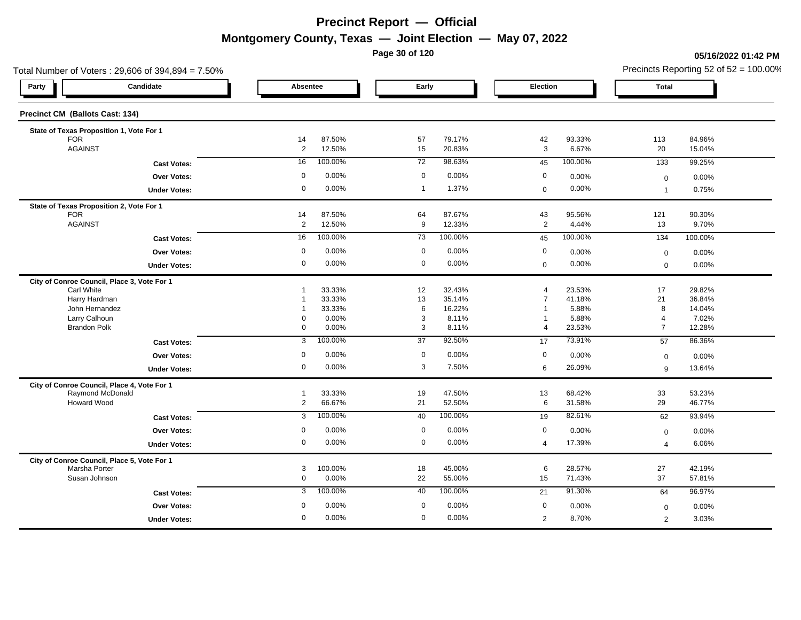**Page 30 of 120**

**05/16/2022 01:42 PM**

|                                          | Total Number of Voters: 29,606 of 394,894 = 7.50% |                |                 |                   |                 |                |                |                | Precincts Reporting 52 of 52 = 100.00% |
|------------------------------------------|---------------------------------------------------|----------------|-----------------|-------------------|-----------------|----------------|----------------|----------------|----------------------------------------|
| Party                                    | Candidate                                         | Absentee       |                 | Early             |                 | Election       |                | <b>Total</b>   |                                        |
| Precinct CM (Ballots Cast: 134)          |                                                   |                |                 |                   |                 |                |                |                |                                        |
| State of Texas Proposition 1, Vote For 1 |                                                   |                |                 |                   |                 |                |                |                |                                        |
| <b>FOR</b>                               |                                                   | 14             | 87.50%          | 57                | 79.17%          | 42             | 93.33%         | 113            | 84.96%                                 |
| <b>AGAINST</b>                           |                                                   | $\overline{2}$ | 12.50%          | 15                | 20.83%          | $\mathbf{3}$   | 6.67%          | 20             | 15.04%                                 |
|                                          | <b>Cast Votes:</b>                                | 16             | 100.00%         | $\overline{72}$   | 98.63%          | 45             | 100.00%        | 133            | 99.25%                                 |
|                                          | Over Votes:                                       | $\mathbf 0$    | 0.00%           | $\overline{0}$    | 0.00%           | $\mathbf 0$    | 0.00%          | $\mathbf 0$    | 0.00%                                  |
|                                          | <b>Under Votes:</b>                               | $\mathbf 0$    | 0.00%           | $\overline{1}$    | 1.37%           | $\mathbf 0$    | 0.00%          | $\overline{1}$ | 0.75%                                  |
| State of Texas Proposition 2, Vote For 1 |                                                   |                |                 |                   |                 |                |                |                |                                        |
| <b>FOR</b>                               |                                                   | 14             | 87.50%          | 64                | 87.67%          | 43             | 95.56%         | 121            | 90.30%                                 |
| <b>AGAINST</b>                           |                                                   | $\overline{2}$ | 12.50%          | 9                 | 12.33%          | $\overline{2}$ | 4.44%          | 13             | 9.70%                                  |
|                                          | <b>Cast Votes:</b>                                | 16             | 100.00%         | 73                | 100.00%         | 45             | 100.00%        | 134            | 100.00%                                |
|                                          | Over Votes:                                       | $\mathbf 0$    | 0.00%           | $\mathbf 0$       | 0.00%           | $\mathbf 0$    | 0.00%          | $\mathbf 0$    | 0.00%                                  |
|                                          | <b>Under Votes:</b>                               | $\mathbf 0$    | 0.00%           | $\mathsf 0$       | 0.00%           | $\mathbf 0$    | 0.00%          | $\mathbf 0$    | 0.00%                                  |
|                                          | City of Conroe Council, Place 3, Vote For 1       |                |                 |                   |                 |                |                |                |                                        |
| Carl White                               |                                                   |                | 33.33%          | 12                | 32.43%          | $\overline{4}$ | 23.53%         | 17             | 29.82%                                 |
| Harry Hardman                            |                                                   |                | 33.33%          | 13                | 35.14%          | $\overline{7}$ | 41.18%         | 21<br>8        | 36.84%                                 |
| John Hernandez<br>Larry Calhoun          |                                                   | $\Omega$       | 33.33%<br>0.00% | 6<br>$\mathbf{3}$ | 16.22%<br>8.11% |                | 5.88%<br>5.88% | $\overline{4}$ | 14.04%<br>7.02%                        |
| <b>Brandon Polk</b>                      |                                                   | $\mathbf 0$    | 0.00%           | $\mathbf{3}$      | 8.11%           | $\overline{4}$ | 23.53%         | $\overline{7}$ | 12.28%                                 |
|                                          | <b>Cast Votes:</b>                                | 3              | 100.00%         | 37                | 92.50%          | 17             | 73.91%         | 57             | 86.36%                                 |
|                                          | Over Votes:                                       | $\mathbf 0$    | 0.00%           | $\overline{0}$    | 0.00%           | $\mathbf 0$    | 0.00%          | $\mathbf 0$    | 0.00%                                  |
|                                          | <b>Under Votes:</b>                               | $\Omega$       | 0.00%           | $\mathbf{3}$      | 7.50%           | 6              | 26.09%         | 9              | 13.64%                                 |
|                                          | City of Conroe Council, Place 4, Vote For 1       |                |                 |                   |                 |                |                |                |                                        |
|                                          | Raymond McDonald                                  | 1              | 33.33%          | 19                | 47.50%          | 13             | 68.42%         | 33             | 53.23%                                 |
| Howard Wood                              |                                                   | $\overline{2}$ | 66.67%          | 21                | 52.50%          | $6\phantom{1}$ | 31.58%         | 29             | 46.77%                                 |
|                                          | <b>Cast Votes:</b>                                | $\mathbf{3}$   | 100.00%         | 40                | 100.00%         | 19             | 82.61%         | 62             | 93.94%                                 |
|                                          | Over Votes:                                       | $\mathbf 0$    | 0.00%           | $\overline{0}$    | 0.00%           | $\mathbf 0$    | 0.00%          | $\mathbf 0$    | 0.00%                                  |
|                                          | <b>Under Votes:</b>                               | $\mathbf 0$    | 0.00%           | $\mathsf 0$       | 0.00%           | $\overline{4}$ | 17.39%         | $\overline{4}$ | 6.06%                                  |
|                                          | City of Conroe Council, Place 5, Vote For 1       |                |                 |                   |                 |                |                |                |                                        |
| Marsha Porter                            |                                                   | 3              | 100.00%         | 18                | 45.00%          | 6              | 28.57%         | $27\,$         | 42.19%                                 |
| Susan Johnson                            |                                                   | $\mathbf 0$    | 0.00%           | 22                | 55.00%          | 15             | 71.43%         | 37             | 57.81%                                 |
|                                          | <b>Cast Votes:</b>                                | 3              | 100.00%         | 40                | 100.00%         | 21             | 91.30%         | 64             | 96.97%                                 |
|                                          | <b>Over Votes:</b>                                | 0              | 0.00%           | $\mathbf 0$       | 0.00%           | 0              | 0.00%          | $\mathbf 0$    | 0.00%                                  |
|                                          | <b>Under Votes:</b>                               | $\mathbf 0$    | 0.00%           | $\overline{0}$    | 0.00%           | 2              | 8.70%          | 2              | 3.03%                                  |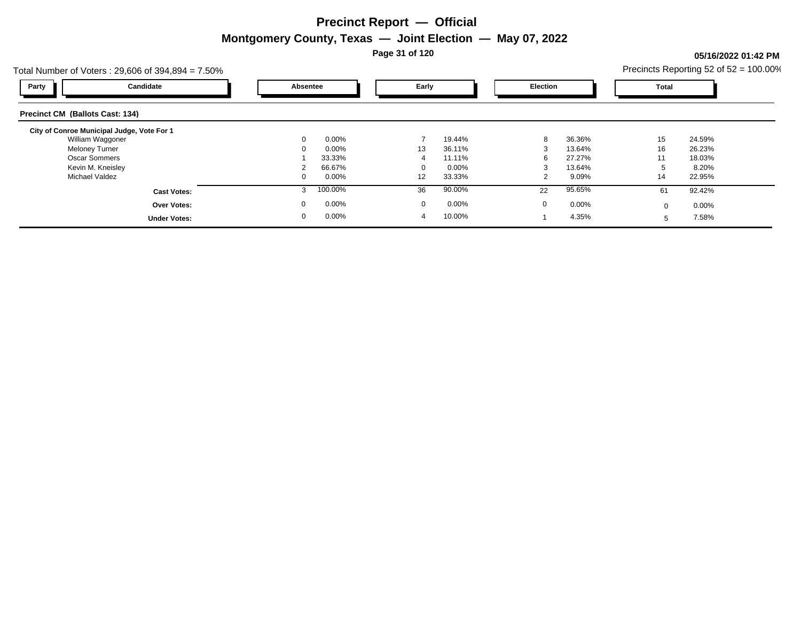**Page 31 of 120**

### **05/16/2022 01:42 PM**

| Total Number of Voters: $29,606$ of $394,894 = 7.50\%$ |              |          |              |          |          |        |          | Precincts Reporting 52 of $52 = 100.00\%$ |
|--------------------------------------------------------|--------------|----------|--------------|----------|----------|--------|----------|-------------------------------------------|
| Candidate<br>Party                                     | Absentee     |          | Early        |          | Election |        | Total    |                                           |
| <b>Precinct CM (Ballots Cast: 134)</b>                 |              |          |              |          |          |        |          |                                           |
| City of Conroe Municipal Judge, Vote For 1             |              |          |              |          |          |        |          |                                           |
| William Waggoner                                       | $\mathbf{0}$ | $0.00\%$ |              | 19.44%   | 8        | 36.36% | 15       | 24.59%                                    |
| <b>Meloney Turner</b>                                  |              | 0.00%    | 13           | 36.11%   |          | 13.64% | 16       | 26.23%                                    |
| <b>Oscar Sommers</b>                                   |              | 33.33%   |              | 11.11%   |          | 27.27% | 11       | 18.03%                                    |
| Kevin M. Kneisley                                      |              | 66.67%   |              | $0.00\%$ |          | 13.64% |          | 8.20%                                     |
| Michael Valdez                                         | 0            | 0.00%    | 12           | 33.33%   |          | 9.09%  | 14       | 22.95%                                    |
| <b>Cast Votes:</b>                                     |              | 100.00%  | 36           | 90.00%   | 22       | 95.65% | 61       | 92.42%                                    |
| <b>Over Votes:</b>                                     | 0            | 0.00%    | $\mathbf{0}$ | $0.00\%$ | 0        | 0.00%  | $\Omega$ | $0.00\%$                                  |
| <b>Under Votes:</b>                                    | 0            | $0.00\%$ | 4            | 10.00%   |          | 4.35%  | 5        | 7.58%                                     |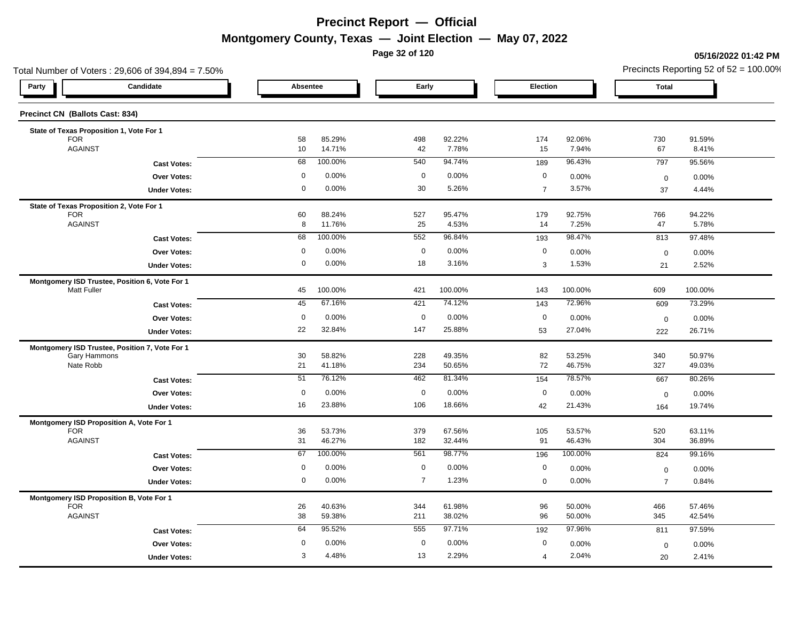**Page 32 of 120**

#### **05/16/2022 01:42 PM**

| Total Number of Voters: 29,606 of 394,894 = 7.50%              |                                          |                   |                  |                |                  |                  | Precincts Reporting 52 of $52 = 100.00\%$ |                   |                  |
|----------------------------------------------------------------|------------------------------------------|-------------------|------------------|----------------|------------------|------------------|-------------------------------------------|-------------------|------------------|
| Candidate<br>Party                                             |                                          | Absentee          |                  | Early          |                  | Election         |                                           | <b>Total</b>      |                  |
| <b>Precinct CN (Ballots Cast: 834)</b>                         |                                          |                   |                  |                |                  |                  |                                           |                   |                  |
| State of Texas Proposition 1, Vote For 1                       |                                          |                   |                  |                |                  |                  |                                           |                   |                  |
| <b>FOR</b><br><b>AGAINST</b>                                   |                                          | 58<br>10          | 85.29%<br>14.71% | 498<br>42      | 92.22%<br>7.78%  | 174<br>15        | 92.06%<br>7.94%                           | 730<br>67         | 91.59%<br>8.41%  |
|                                                                | <b>Cast Votes:</b>                       | 68                | 100.00%          | 540            | 94.74%           | 189              | 96.43%                                    | 797               | 95.56%           |
|                                                                | Over Votes:                              | $\mathbf 0$       | 0.00%            | $\mathbf 0$    | 0.00%            | $\mathbf 0$      | 0.00%                                     | $\pmb{0}$         | 0.00%            |
|                                                                | <b>Under Votes:</b>                      | 0                 | 0.00%            | 30             | 5.26%            | $\overline{7}$   | 3.57%                                     | 37                | 4.44%            |
| State of Texas Proposition 2, Vote For 1                       |                                          |                   |                  |                |                  |                  |                                           |                   |                  |
| <b>FOR</b><br><b>AGAINST</b>                                   |                                          | 60<br>8           | 88.24%<br>11.76% | 527<br>25      | 95.47%<br>4.53%  | 179<br>14        | 92.75%<br>7.25%                           | 766<br>47         | 94.22%<br>5.78%  |
|                                                                | <b>Cast Votes:</b>                       | 68                | 100.00%          | 552            | 96.84%           | 193              | 98.47%                                    | 813               | 97.48%           |
|                                                                | Over Votes:                              | $\mathbf 0$       | 0.00%            | $\mathbf 0$    | 0.00%            | $\mathbf 0$      | 0.00%                                     | $\mathbf 0$       | 0.00%            |
|                                                                | <b>Under Votes:</b>                      | 0                 | 0.00%            | 18             | 3.16%            | 3                | 1.53%                                     | 21                | 2.52%            |
| Montgomery ISD Trustee, Position 6, Vote For 1                 |                                          |                   |                  |                |                  |                  |                                           |                   |                  |
| <b>Matt Fuller</b>                                             |                                          | 45                | 100.00%          | 421            | 100.00%          | 143              | 100.00%                                   | 609               | 100.00%          |
|                                                                | <b>Cast Votes:</b>                       | 45                | 67.16%           | 421            | 74.12%           | 143              | 72.96%                                    | 609               | 73.29%           |
|                                                                | Over Votes:                              | $\mathbf 0$<br>22 | 0.00%<br>32.84%  | $\mathbf 0$    | 0.00%            | $\mathbf 0$      | 0.00%                                     | $\mathbf 0$       | 0.00%            |
|                                                                | <b>Under Votes:</b>                      |                   |                  | 147            | 25.88%           | 53               | 27.04%                                    | 222               | 26.71%           |
| Montgomery ISD Trustee, Position 7, Vote For 1<br>Gary Hammons |                                          | 30                | 58.82%           | 228            | 49.35%           | 82               | 53.25%                                    | 340               | 50.97%           |
| Nate Robb                                                      |                                          | 21                | 41.18%           | 234            | 50.65%           | 72               | 46.75%                                    | 327               | 49.03%           |
|                                                                | <b>Cast Votes:</b>                       | 51                | 76.12%           | 462            | 81.34%           | 154              | 78.57%                                    | 667               | 80.26%           |
|                                                                | Over Votes:                              | $\mathbf 0$       | 0.00%            | $\mathbf 0$    | 0.00%            | $\mathbf 0$      | 0.00%                                     | $\mathbf 0$       | 0.00%            |
|                                                                | <b>Under Votes:</b>                      | 16                | 23.88%           | 106            | 18.66%           | 42               | 21.43%                                    | 164               | 19.74%           |
| Montgomery ISD Proposition A, Vote For 1                       |                                          |                   |                  |                |                  |                  |                                           |                   |                  |
| <b>FOR</b><br><b>AGAINST</b>                                   |                                          | 36<br>31          | 53.73%<br>46.27% | 379<br>182     | 67.56%<br>32.44% | 105<br>91        | 53.57%<br>46.43%                          | 520<br>304        | 63.11%<br>36.89% |
|                                                                | <b>Cast Votes:</b>                       | 67                | 100.00%          | 561            | 98.77%           | 196              | 100.00%                                   | 824               | 99.16%           |
|                                                                | <b>Over Votes:</b>                       | 0                 | 0.00%            | $\mathbf 0$    | 0.00%            | $\boldsymbol{0}$ | 0.00%                                     | $\pmb{0}$         | 0.00%            |
|                                                                | <b>Under Votes:</b>                      | 0                 | 0.00%            | $\overline{7}$ | 1.23%            | $\boldsymbol{0}$ | 0.00%                                     | $\overline{7}$    | 0.84%            |
| Montgomery ISD Proposition B, Vote For 1                       |                                          |                   |                  |                |                  |                  |                                           |                   |                  |
| <b>FOR</b><br><b>AGAINST</b>                                   |                                          | 26<br>38          | 40.63%<br>59.38% | 344<br>211     | 61.98%<br>38.02% | 96<br>96         | 50.00%<br>50.00%                          | 466<br>345        | 57.46%<br>42.54% |
|                                                                |                                          | 64                | 95.52%           | 555            | 97.71%           | 192              | 97.96%                                    | 811               | 97.59%           |
|                                                                | <b>Cast Votes:</b><br><b>Over Votes:</b> | $\mathbf 0$       | 0.00%            | $\mathbf 0$    | 0.00%            | $\mathbf 0$      | 0.00%                                     |                   |                  |
|                                                                | <b>Under Votes:</b>                      | 3                 | 4.48%            | 13             | 2.29%            | $\overline{4}$   | 2.04%                                     | $\mathbf 0$<br>20 | 0.00%<br>2.41%   |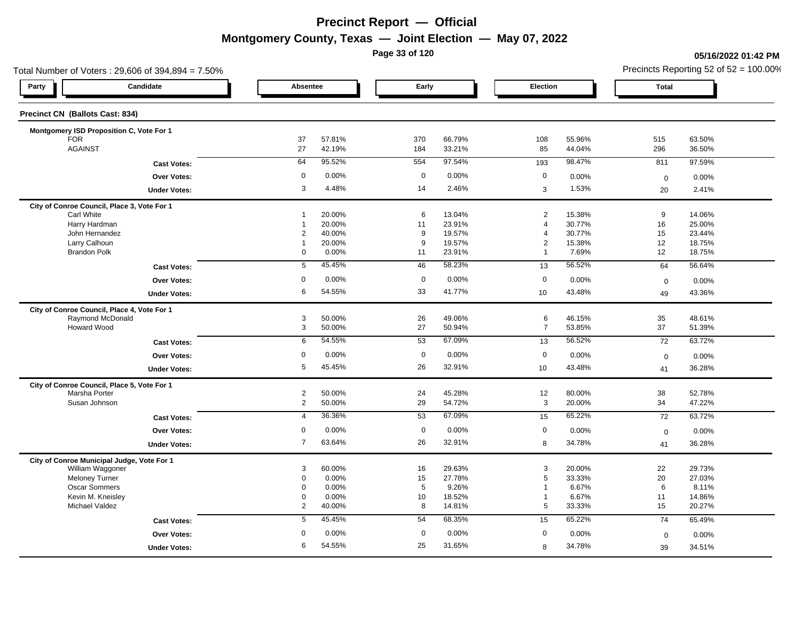**Page 33 of 120**

#### **05/16/2022 01:42 PM**

| Total Number of Voters: 29,606 of 394,894 = 7.50% |                     |                     |                  |             |                  |                              |                  | Precincts Reporting 52 of $52 = 100.00\%$ |                  |
|---------------------------------------------------|---------------------|---------------------|------------------|-------------|------------------|------------------------------|------------------|-------------------------------------------|------------------|
| Party                                             | Candidate           |                     | Absentee         |             | Early            |                              | Election         |                                           |                  |
| Precinct CN (Ballots Cast: 834)                   |                     |                     |                  |             |                  |                              |                  |                                           |                  |
| Montgomery ISD Proposition C, Vote For 1          |                     |                     |                  |             |                  |                              |                  |                                           |                  |
| <b>FOR</b><br><b>AGAINST</b>                      |                     | 37<br>27            | 57.81%<br>42.19% | 370<br>184  | 66.79%<br>33.21% | 108<br>85                    | 55.96%<br>44.04% | 515<br>296                                | 63.50%<br>36.50% |
|                                                   | <b>Cast Votes:</b>  | 64                  | 95.52%           | 554         | 97.54%           | 193                          | 98.47%           | 811                                       | 97.59%           |
|                                                   | Over Votes:         | $\mathbf 0$         | 0.00%            | $\mathbf 0$ | 0.00%            | $\mathbf 0$                  | 0.00%            | $\mathbf 0$                               | 0.00%            |
|                                                   | <b>Under Votes:</b> | 3                   | 4.48%            | 14          | 2.46%            | 3                            | 1.53%            | 20                                        | 2.41%            |
| City of Conroe Council, Place 3, Vote For 1       |                     |                     |                  |             |                  |                              |                  |                                           |                  |
| <b>Carl White</b>                                 |                     | $\overline{1}$      | 20.00%           | 6           | 13.04%           | $\overline{2}$               | 15.38%           | 9                                         | 14.06%           |
| Harry Hardman                                     |                     | $\overline{1}$      | 20.00%           | 11          | 23.91%           | $\overline{4}$               | 30.77%           | 16                                        | 25.00%           |
| John Hernandez<br>Larry Calhoun                   |                     | 2<br>1              | 40.00%<br>20.00% | 9<br>9      | 19.57%<br>19.57% | $\overline{4}$<br>$\sqrt{2}$ | 30.77%<br>15.38% | 15<br>12                                  | 23.44%<br>18.75% |
| <b>Brandon Polk</b>                               |                     | 0                   | 0.00%            | 11          | 23.91%           | $\overline{1}$               | 7.69%            | 12                                        | 18.75%           |
|                                                   | <b>Cast Votes:</b>  | 5                   | 45.45%           | 46          | 58.23%           | 13                           | 56.52%           | 64                                        | 56.64%           |
|                                                   | <b>Over Votes:</b>  | $\mathbf 0$         | 0.00%            | $\mathbf 0$ | 0.00%            | $\mathbf 0$                  | 0.00%            | $\mathbf 0$                               | 0.00%            |
|                                                   | <b>Under Votes:</b> | 6                   | 54.55%           | 33          | 41.77%           | 10                           | 43.48%           | 49                                        | 43.36%           |
| City of Conroe Council, Place 4, Vote For 1       |                     |                     |                  |             |                  |                              |                  |                                           |                  |
| Raymond McDonald                                  |                     | 3                   | 50.00%           | 26          | 49.06%           | 6                            | 46.15%           | 35                                        | 48.61%           |
| Howard Wood                                       |                     | 3                   | 50.00%           | 27          | 50.94%           | $\overline{7}$               | 53.85%           | 37                                        | 51.39%           |
|                                                   | <b>Cast Votes:</b>  | 6                   | 54.55%           | 53          | 67.09%           | 13                           | 56.52%           | 72                                        | 63.72%           |
|                                                   | Over Votes:         | $\mathbf 0$         | 0.00%            | $\mathbf 0$ | 0.00%            | $\mathbf 0$                  | 0.00%            | $\mathbf 0$                               | 0.00%            |
|                                                   | <b>Under Votes:</b> | 5                   | 45.45%           | 26          | 32.91%           | 10                           | 43.48%           | 41                                        | 36.28%           |
| City of Conroe Council, Place 5, Vote For 1       |                     |                     |                  |             |                  |                              |                  |                                           |                  |
| Marsha Porter                                     |                     | $\overline{2}$      | 50.00%           | 24          | 45.28%           | 12                           | 80.00%           | 38                                        | 52.78%           |
| Susan Johnson                                     |                     | $\overline{2}$      | 50.00%           | 29          | 54.72%           | 3                            | 20.00%           | 34                                        | 47.22%           |
|                                                   | <b>Cast Votes:</b>  | $\overline{4}$      | 36.36%           | 53          | 67.09%           | 15                           | 65.22%           | 72                                        | 63.72%           |
|                                                   | Over Votes:         | $\mathbf 0$         | 0.00%            | $\mathbf 0$ | 0.00%            | $\mathbf 0$                  | 0.00%            | $\mathbf 0$                               | 0.00%            |
|                                                   | <b>Under Votes:</b> | $\overline{7}$      | 63.64%           | 26          | 32.91%           | 8                            | 34.78%           | 41                                        | 36.28%           |
| City of Conroe Municipal Judge, Vote For 1        |                     |                     |                  |             |                  |                              |                  |                                           |                  |
| William Waggoner                                  |                     | 3                   | 60.00%           | 16          | 29.63%           | 3                            | 20.00%           | 22                                        | 29.73%           |
| <b>Meloney Turner</b>                             |                     | 0                   | 0.00%            | 15          | 27.78%           | 5                            | 33.33%           | 20                                        | 27.03%           |
| <b>Oscar Sommers</b>                              |                     | 0                   | 0.00%            | 5           | 9.26%            | $\mathbf{1}$                 | 6.67%            | 6                                         | 8.11%            |
| Kevin M. Kneisley<br>Michael Valdez               |                     | 0<br>$\overline{2}$ | 0.00%<br>40.00%  | 10<br>8     | 18.52%<br>14.81% | 1<br>$5\phantom{.0}$         | 6.67%<br>33.33%  | 11<br>15                                  | 14.86%<br>20.27% |
|                                                   | <b>Cast Votes:</b>  | 5                   | 45.45%           | 54          | 68.35%           | 15                           | 65.22%           | 74                                        | 65.49%           |
|                                                   | <b>Over Votes:</b>  | 0                   | 0.00%            | $\mathbf 0$ | 0.00%            | 0                            | 0.00%            |                                           |                  |
|                                                   |                     | 6                   | 54.55%           | 25          | 31.65%           |                              |                  | $\mathbf 0$                               | 0.00%            |
|                                                   | <b>Under Votes:</b> |                     |                  |             |                  | 8                            | 34.78%           | 39                                        | 34.51%           |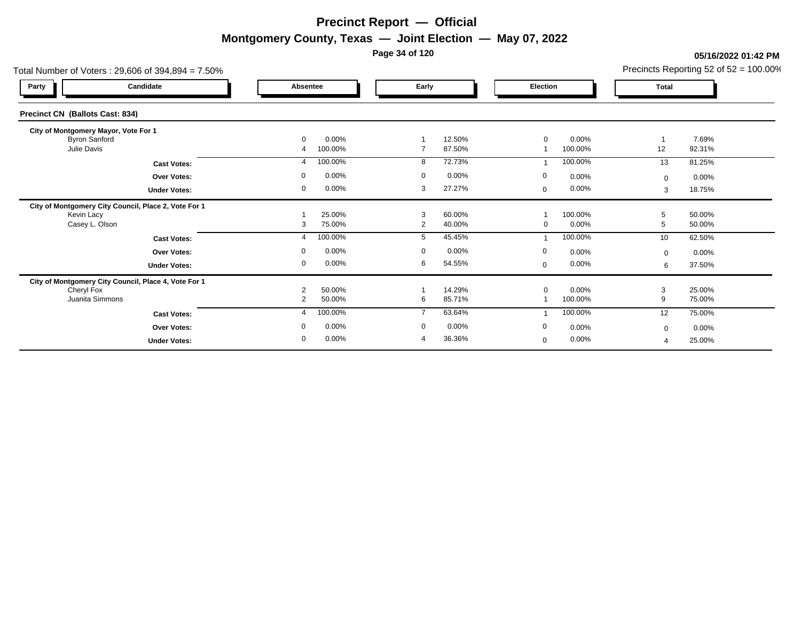**Page 34 of 120**

#### **05/16/2022 01:42 PM**

|              |                                                                                                                                     |                                                                                                 | Precincts Reporting 52 of $52 = 100.00\%$                                                                               |
|--------------|-------------------------------------------------------------------------------------------------------------------------------------|-------------------------------------------------------------------------------------------------|-------------------------------------------------------------------------------------------------------------------------|
| Absentee     | Early                                                                                                                               | Election                                                                                        | <b>Total</b>                                                                                                            |
|              |                                                                                                                                     |                                                                                                 |                                                                                                                         |
|              |                                                                                                                                     |                                                                                                 |                                                                                                                         |
| 100.00%<br>4 | 87.50%<br>$\overline{7}$                                                                                                            | 100.00%                                                                                         | 7.69%<br>12<br>92.31%                                                                                                   |
| 100.00%<br>4 | 72.73%<br>8                                                                                                                         | 100.00%                                                                                         | 81.25%<br>13                                                                                                            |
| 0.00%<br>0   | $\mathbf 0$<br>0.00%                                                                                                                | $\mathbf 0$<br>0.00%                                                                            | $0.00\%$<br>$\Omega$                                                                                                    |
| 0.00%<br>0   | 27.27%<br>3                                                                                                                         | 0.00%<br>$\mathbf 0$                                                                            | 18.75%<br>3                                                                                                             |
|              |                                                                                                                                     |                                                                                                 |                                                                                                                         |
|              |                                                                                                                                     |                                                                                                 | 50.00%<br>5<br>5<br>50.00%                                                                                              |
| 100.00%<br>4 | 45.45%<br>5                                                                                                                         | 100.00%                                                                                         | 62.50%<br>10                                                                                                            |
| 0.00%<br>0   | $\mathbf 0$<br>0.00%                                                                                                                | $\mathbf 0$<br>0.00%                                                                            | 0.00%<br>$\Omega$                                                                                                       |
| 0.00%<br>0   | 6<br>54.55%                                                                                                                         | $0.00\%$<br>$\mathbf 0$                                                                         | 37.50%<br>6                                                                                                             |
|              |                                                                                                                                     |                                                                                                 |                                                                                                                         |
|              |                                                                                                                                     |                                                                                                 | 3<br>25.00%<br>9<br>75.00%                                                                                              |
| 4            | $\overline{7}$                                                                                                                      |                                                                                                 | 75.00%<br>12                                                                                                            |
|              |                                                                                                                                     |                                                                                                 | 0.00%                                                                                                                   |
|              | 36.36%<br>4                                                                                                                         |                                                                                                 | $\mathbf 0$<br>25.00%<br>$\boldsymbol{\varDelta}$                                                                       |
|              | $0.00\%$<br>$\mathbf{0}$<br>25.00%<br>75.00%<br>3<br>50.00%<br>$\overline{2}$<br>50.00%<br>2<br>100.00%<br>0.00%<br>0<br>0.00%<br>0 | 12.50%<br>3<br>60.00%<br>2<br>40.00%<br>14.29%<br>85.71%<br>6<br>63.64%<br>$\mathbf 0$<br>0.00% | 0.00%<br>0<br>100.00%<br>0.00%<br>0<br>0.00%<br>$\mathbf 0$<br>100.00%<br>100.00%<br>0<br>0.00%<br>0.00%<br>$\mathbf 0$ |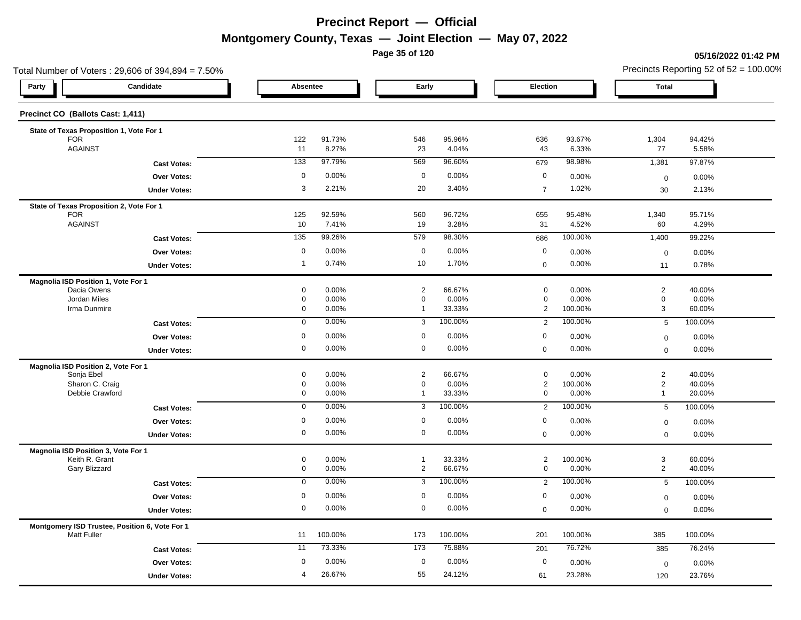**Page 35 of 120**

#### **05/16/2022 01:42 PM**

| Total Number of Voters: 29,606 of 394,894 = 7.50%                    |                     |                     |                 |                             |                  |                               | Precincts Reporting 52 of $52 = 100.00\%$ |                            |                  |
|----------------------------------------------------------------------|---------------------|---------------------|-----------------|-----------------------------|------------------|-------------------------------|-------------------------------------------|----------------------------|------------------|
| Candidate<br>Party                                                   |                     | Absentee            |                 | Early                       |                  | Election                      |                                           | <b>Total</b>               |                  |
| Precinct CO (Ballots Cast: 1,411)                                    |                     |                     |                 |                             |                  |                               |                                           |                            |                  |
| State of Texas Proposition 1, Vote For 1                             |                     |                     |                 |                             |                  |                               |                                           |                            |                  |
| <b>FOR</b><br><b>AGAINST</b>                                         |                     | 122<br>11           | 91.73%<br>8.27% | 546<br>23                   | 95.96%<br>4.04%  | 636<br>43                     | 93.67%<br>6.33%                           | 1,304<br>77                | 94.42%<br>5.58%  |
|                                                                      | <b>Cast Votes:</b>  | 133                 | 97.79%          | 569                         | 96.60%           | 679                           | 98.98%                                    | 1,381                      | 97.87%           |
|                                                                      | Over Votes:         | 0                   | 0.00%           | $\mathbf 0$                 | 0.00%            | $\mathbf 0$                   | 0.00%                                     |                            | 0.00%            |
|                                                                      | <b>Under Votes:</b> | 3                   | 2.21%           | 20                          | 3.40%            | $\overline{7}$                | 1.02%                                     | $\mathbf 0$<br>30          | 2.13%            |
|                                                                      |                     |                     |                 |                             |                  |                               |                                           |                            |                  |
| State of Texas Proposition 2, Vote For 1<br><b>FOR</b>               |                     | 125                 | 92.59%          | 560                         | 96.72%           | 655                           | 95.48%                                    | 1,340                      | 95.71%           |
| <b>AGAINST</b>                                                       |                     | 10                  | 7.41%           | 19                          | 3.28%            | 31                            | 4.52%                                     | 60                         | 4.29%            |
|                                                                      | <b>Cast Votes:</b>  | 135                 | 99.26%          | 579                         | 98.30%           | 686                           | 100.00%                                   | 1,400                      | 99.22%           |
|                                                                      | Over Votes:         | $\mathbf 0$         | 0.00%           | $\mathbf 0$                 | 0.00%            | $\mathbf 0$                   | 0.00%                                     | $\mathbf 0$                | 0.00%            |
|                                                                      | <b>Under Votes:</b> | $\overline{1}$      | 0.74%           | 10                          | 1.70%            | $\mathbf 0$                   | 0.00%                                     | 11                         | 0.78%            |
| Magnolia ISD Position 1, Vote For 1                                  |                     |                     |                 |                             |                  |                               |                                           |                            |                  |
| Dacia Owens                                                          |                     | 0                   | 0.00%           | $\overline{2}$              | 66.67%           | $\mathbf 0$                   | 0.00%                                     | $\sqrt{2}$                 | 40.00%           |
| Jordan Miles<br>Irma Dunmire                                         |                     | 0<br>0              | 0.00%<br>0.00%  | $\mathbf 0$<br>$\mathbf{1}$ | 0.00%<br>33.33%  | $\mathbf 0$<br>$\overline{2}$ | 0.00%<br>100.00%                          | $\mathbf 0$<br>3           | 0.00%<br>60.00%  |
|                                                                      | <b>Cast Votes:</b>  | $\mathbf 0$         | 0.00%           | 3                           | 100.00%          | 2                             | 100.00%                                   | 5                          | 100.00%          |
|                                                                      |                     | $\mathbf 0$         | 0.00%           | $\mathbf 0$                 | 0.00%            | $\mathbf 0$                   | 0.00%                                     |                            |                  |
|                                                                      | Over Votes:         | $\mathbf 0$         | 0.00%           | $\mathbf 0$                 | 0.00%            | $\mathbf 0$                   | 0.00%                                     | $\mathbf 0$<br>$\mathbf 0$ | 0.00%<br>0.00%   |
|                                                                      | <b>Under Votes:</b> |                     |                 |                             |                  |                               |                                           |                            |                  |
| Magnolia ISD Position 2, Vote For 1<br>Sonja Ebel                    |                     | 0                   | 0.00%           | $\overline{c}$              | 66.67%           | $\mathbf 0$                   | 0.00%                                     | $\sqrt{2}$                 | 40.00%           |
| Sharon C. Craig                                                      |                     | 0                   | 0.00%           | $\mathbf 0$                 | 0.00%            | $\overline{a}$                | 100.00%                                   | $\sqrt{2}$                 | 40.00%           |
| Debbie Crawford                                                      |                     | 0                   | 0.00%           | $\mathbf{1}$                | 33.33%           | 0                             | 0.00%                                     | $\mathbf{1}$               | 20.00%           |
|                                                                      | <b>Cast Votes:</b>  | $\mathbf 0$         | 0.00%           | 3                           | 100.00%          | 2                             | 100.00%                                   | 5                          | 100.00%          |
|                                                                      | Over Votes:         | 0                   | 0.00%           | $\mathbf 0$                 | 0.00%            | 0                             | 0.00%                                     | $\mathbf 0$                | 0.00%            |
|                                                                      | <b>Under Votes:</b> | 0                   | 0.00%           | $\mathbf 0$                 | 0.00%            | $\mathbf 0$                   | 0.00%                                     | $\mathbf 0$                | 0.00%            |
| Magnolia ISD Position 3, Vote For 1                                  |                     |                     |                 |                             |                  |                               |                                           |                            |                  |
| Keith R. Grant<br>Gary Blizzard                                      |                     | 0<br>0              | 0.00%<br>0.00%  | $\mathbf{1}$<br>2           | 33.33%<br>66.67% | $\overline{2}$<br>$\mathbf 0$ | 100.00%<br>0.00%                          | 3<br>$\overline{2}$        | 60.00%<br>40.00% |
|                                                                      |                     | 0                   | 0.00%           | 3                           | 100.00%          | 2                             | 100.00%                                   | 5                          | 100.00%          |
|                                                                      | <b>Cast Votes:</b>  | $\mathbf 0$         | 0.00%           | $\mathbf 0$                 | 0.00%            | $\mathbf 0$                   |                                           |                            |                  |
|                                                                      | <b>Over Votes:</b>  | $\mathsf{O}\xspace$ | 0.00%           | $\mathbf 0$                 | 0.00%            | $\mathbf 0$                   | 0.00%<br>0.00%                            | $\mathbf 0$                | 0.00%            |
|                                                                      | <b>Under Votes:</b> |                     |                 |                             |                  |                               |                                           | $\mathbf 0$                | 0.00%            |
| Montgomery ISD Trustee, Position 6, Vote For 1<br><b>Matt Fuller</b> |                     | 11                  | 100.00%         | 173                         | 100.00%          | 201                           | 100.00%                                   | 385                        | 100.00%          |
|                                                                      | <b>Cast Votes:</b>  | 11                  | 73.33%          | 173                         | 75.88%           | 201                           | 76.72%                                    | 385                        | 76.24%           |
|                                                                      | <b>Over Votes:</b>  | 0                   | 0.00%           | $\mathbf 0$                 | 0.00%            | $\mathbf 0$                   | 0.00%                                     | $\mathbf 0$                | 0.00%            |
|                                                                      | <b>Under Votes:</b> | 4                   | 26.67%          | 55                          | 24.12%           | 61                            | 23.28%                                    | 120                        | 23.76%           |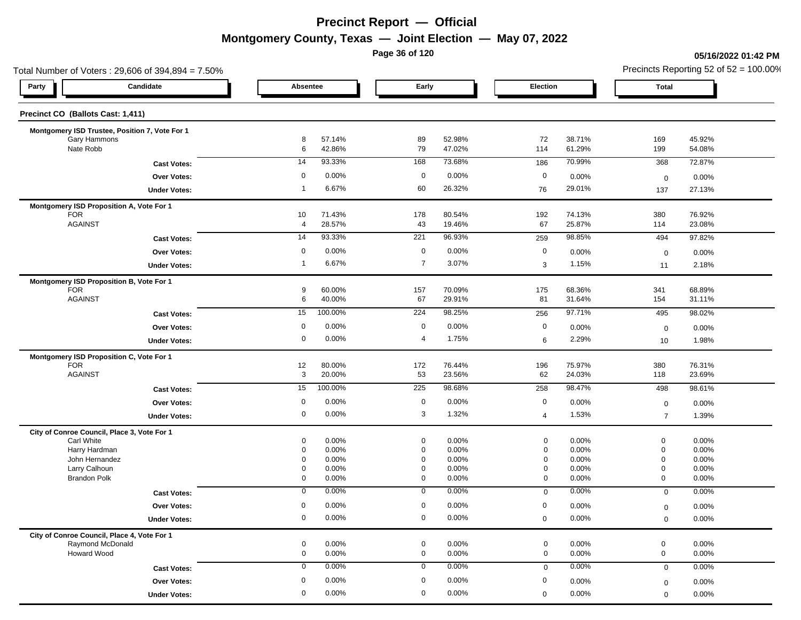**Page 36 of 120**

#### **05/16/2022 01:42 PM**

|                                                | Total Number of Voters: 29,606 of 394,894 = 7.50% |                |                  |                            |                  |                            |                  | Precincts Reporting 52 of $52 = 100.00\%$ |                  |  |
|------------------------------------------------|---------------------------------------------------|----------------|------------------|----------------------------|------------------|----------------------------|------------------|-------------------------------------------|------------------|--|
| Party                                          | Candidate                                         | Absentee       |                  | Early                      |                  | Election                   |                  | <b>Total</b>                              |                  |  |
| Precinct CO (Ballots Cast: 1,411)              |                                                   |                |                  |                            |                  |                            |                  |                                           |                  |  |
| Montgomery ISD Trustee, Position 7, Vote For 1 |                                                   |                |                  |                            |                  |                            |                  |                                           |                  |  |
| Gary Hammons                                   |                                                   | 8              | 57.14%           | 89                         | 52.98%           | 72                         | 38.71%           | 169                                       | 45.92%           |  |
| Nate Robb                                      |                                                   | 6              | 42.86%           | 79                         | 47.02%           | 114                        | 61.29%           | 199                                       | 54.08%           |  |
|                                                | <b>Cast Votes:</b>                                | 14             | 93.33%           | 168                        | 73.68%           | 186                        | 70.99%           | 368                                       | 72.87%           |  |
|                                                | <b>Over Votes:</b>                                | 0              | 0.00%            | $\mathbf 0$                | 0.00%            | $\mathbf 0$                | 0.00%            | $\mathbf 0$                               | 0.00%            |  |
|                                                | <b>Under Votes:</b>                               | $\overline{1}$ | 6.67%            | 60                         | 26.32%           | 76                         | 29.01%           | 137                                       | 27.13%           |  |
| Montgomery ISD Proposition A, Vote For 1       |                                                   |                |                  |                            |                  |                            |                  |                                           |                  |  |
| <b>FOR</b>                                     |                                                   | 10             | 71.43%           | 178                        | 80.54%           | 192                        | 74.13%           | 380                                       | 76.92%           |  |
| <b>AGAINST</b>                                 |                                                   | 4              | 28.57%           | 43                         | 19.46%           | 67                         | 25.87%           | 114                                       | 23.08%           |  |
|                                                | <b>Cast Votes:</b>                                | 14             | 93.33%           | 221                        | 96.93%           | 259                        | 98.85%           | 494                                       | 97.82%           |  |
|                                                | <b>Over Votes:</b>                                | $\mathbf 0$    | 0.00%            | $\mathbf 0$                | 0.00%            | $\mathbf 0$                | 0.00%            | $\mathbf 0$                               | 0.00%            |  |
|                                                | <b>Under Votes:</b>                               | $\overline{1}$ | 6.67%            | $\overline{7}$             | 3.07%            | 3                          | 1.15%            | 11                                        | 2.18%            |  |
| Montgomery ISD Proposition B, Vote For 1       |                                                   |                |                  |                            |                  |                            |                  |                                           |                  |  |
| <b>FOR</b><br><b>AGAINST</b>                   |                                                   | 9<br>6         | 60.00%<br>40.00% | 157<br>67                  | 70.09%<br>29.91% | 175<br>81                  | 68.36%<br>31.64% | 341<br>154                                | 68.89%<br>31.11% |  |
|                                                | <b>Cast Votes:</b>                                | 15             | 100.00%          | $\overline{224}$           | 98.25%           | 256                        | 97.71%           | 495                                       | 98.02%           |  |
|                                                |                                                   | $\mathbf 0$    | 0.00%            | $\mathbf 0$                | 0.00%            | $\mathbf 0$                |                  |                                           |                  |  |
|                                                | Over Votes:                                       | 0              | 0.00%            | 4                          | 1.75%            |                            | 0.00%            | $\mathbf 0$                               | 0.00%            |  |
|                                                | <b>Under Votes:</b>                               |                |                  |                            |                  | 6                          | 2.29%            | 10                                        | 1.98%            |  |
| Montgomery ISD Proposition C, Vote For 1       |                                                   |                |                  |                            |                  |                            |                  |                                           |                  |  |
| <b>FOR</b><br><b>AGAINST</b>                   |                                                   | 12<br>3        | 80.00%<br>20.00% | 172<br>53                  | 76.44%<br>23.56% | 196<br>62                  | 75.97%<br>24.03% | 380<br>118                                | 76.31%<br>23.69% |  |
|                                                |                                                   |                |                  |                            |                  |                            |                  |                                           |                  |  |
|                                                | <b>Cast Votes:</b>                                | 15             | 100.00%          | 225                        | 98.68%           | 258                        | 98.47%           | 498                                       | 98.61%           |  |
|                                                | Over Votes:                                       | $\mathbf 0$    | 0.00%            | $\mathbf 0$                | 0.00%            | $\mathbf 0$                | 0.00%            | $\mathbf 0$                               | 0.00%            |  |
|                                                | <b>Under Votes:</b>                               | 0              | 0.00%            | 3                          | 1.32%            | 4                          | 1.53%            | $\overline{7}$                            | 1.39%            |  |
| City of Conroe Council, Place 3, Vote For 1    |                                                   |                |                  |                            |                  |                            |                  |                                           |                  |  |
| Carl White<br>Harry Hardman                    |                                                   | 0<br>0         | 0.00%<br>0.00%   | $\mathbf 0$<br>$\mathbf 0$ | 0.00%<br>0.00%   | $\mathbf 0$<br>$\mathbf 0$ | 0.00%<br>0.00%   | $\mathbf 0$<br>$\mathbf 0$                | 0.00%<br>0.00%   |  |
| John Hernandez                                 |                                                   | 0              | 0.00%            | $\mathbf 0$                | 0.00%            | $\mathbf 0$                | 0.00%            | $\mathbf 0$                               | 0.00%            |  |
| Larry Calhoun                                  |                                                   | 0              | 0.00%            | $\mathbf 0$                | 0.00%            | $\mathbf 0$                | 0.00%            | $\mathbf 0$                               | 0.00%            |  |
| <b>Brandon Polk</b>                            |                                                   | 0              | 0.00%            | $\mathbf 0$                | 0.00%            | $\mathbf 0$                | 0.00%            | $\mathbf 0$                               | 0.00%            |  |
|                                                | <b>Cast Votes:</b>                                | 0              | 0.00%            | 0                          | 0.00%            | $\mathbf 0$                | 0.00%            | $\mathbf 0$                               | 0.00%            |  |
|                                                | <b>Over Votes:</b>                                | 0              | 0.00%            | $\mathbf 0$                | 0.00%            | 0                          | 0.00%            | $\mathbf 0$                               | 0.00%            |  |
|                                                | <b>Under Votes:</b>                               | $\mathbf 0$    | 0.00%            | $\mathbf 0$                | 0.00%            | $\Omega$                   | 0.00%            | $\mathbf 0$                               | 0.00%            |  |
| City of Conroe Council, Place 4, Vote For 1    |                                                   |                |                  |                            |                  |                            |                  |                                           |                  |  |
| Raymond McDonald                               |                                                   | 0              | 0.00%            | 0                          | 0.00%            | $\mathbf 0$                | 0.00%            | $\mathbf 0$                               | 0.00%            |  |
| Howard Wood                                    |                                                   | 0              | 0.00%            | 0                          | 0.00%            | $\mathbf 0$                | 0.00%            | $\mathbf 0$                               | 0.00%            |  |
|                                                | <b>Cast Votes:</b>                                | $\mathbf 0$    | 0.00%            | 0                          | 0.00%            | $\mathbf 0$                | 0.00%            | $\mathbf 0$                               | 0.00%            |  |
|                                                | Over Votes:                                       | 0              | 0.00%            | 0                          | 0.00%            | 0                          | 0.00%            | $\mathbf 0$                               | 0.00%            |  |
|                                                | <b>Under Votes:</b>                               | 0              | 0.00%            | $\mathbf 0$                | 0.00%            | $\mathbf 0$                | 0.00%            | $\mathbf 0$                               | 0.00%            |  |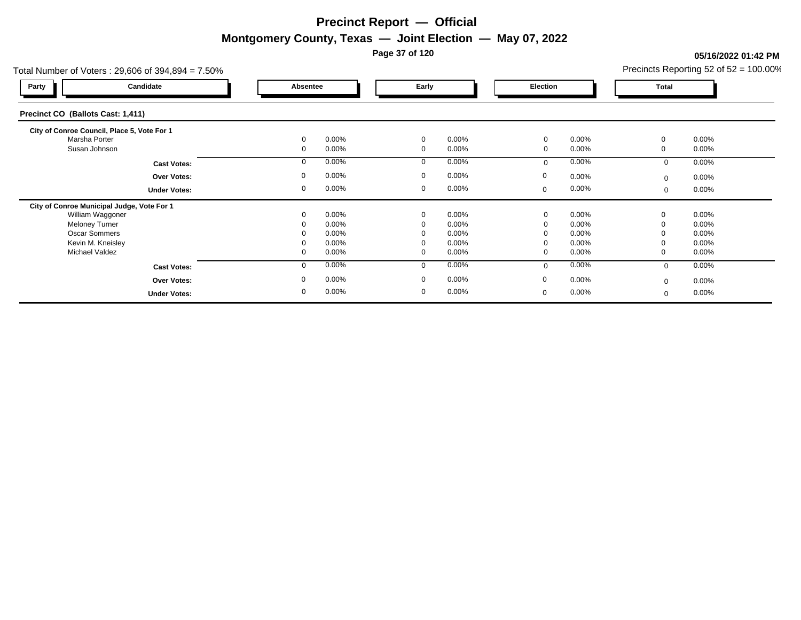**Page 37 of 120**

### **05/16/2022 01:42 PM**

| Total Number of Voters: 29,606 of 394,894 = 7.50% |                         | Precincts Reporting 52 of 52 = 100.00% |             |          |              |          |
|---------------------------------------------------|-------------------------|----------------------------------------|-------------|----------|--------------|----------|
| Candidate<br>Party                                | Absentee                | Early                                  | Election    |          | <b>Total</b> |          |
| Precinct CO (Ballots Cast: 1,411)                 |                         |                                        |             |          |              |          |
| City of Conroe Council, Place 5, Vote For 1       |                         |                                        |             |          |              |          |
| Marsha Porter                                     | $0.00\%$<br>$\Omega$    | $\mathbf 0$<br>$0.00\%$                | 0           | 0.00%    | 0            | $0.00\%$ |
| Susan Johnson                                     | 0.00%<br>$\mathbf 0$    | $0.00\%$<br>$\Omega$                   | 0           | 0.00%    | 0            | $0.00\%$ |
| <b>Cast Votes:</b>                                | 0.00%<br>$\Omega$       | $0.00\%$<br>$\Omega$                   | $\mathbf 0$ | 0.00%    | 0            | $0.00\%$ |
| <b>Over Votes:</b>                                | $0.00\%$<br>$\mathbf 0$ | $0.00\%$<br>$\Omega$                   | 0           | $0.00\%$ | $\mathbf{0}$ | $0.00\%$ |
| <b>Under Votes:</b>                               | 0.00%<br>0              | $0.00\%$<br>$\mathbf 0$                | 0           | $0.00\%$ | 0            | $0.00\%$ |
| City of Conroe Municipal Judge, Vote For 1        |                         |                                        |             |          |              |          |
| William Waggoner                                  | 0.00%                   | $0.00\%$<br>0                          | 0           | 0.00%    | 0            | $0.00\%$ |
| <b>Meloney Turner</b>                             | 0.00%<br>0              | $0.00\%$<br>0                          | 0           | 0.00%    | 0            | 0.00%    |
| <b>Oscar Sommers</b>                              | 0.00%                   | $0.00\%$<br>$\Omega$                   | 0           | 0.00%    | 0            | $0.00\%$ |
| Kevin M. Kneisley                                 | 0.00%                   | $0.00\%$<br>$\Omega$                   | $\mathbf 0$ | 0.00%    | 0            | $0.00\%$ |
| <b>Michael Valdez</b>                             | 0.00%<br>0              | $0.00\%$<br>$\mathbf{0}$               | 0           | $0.00\%$ | 0            | $0.00\%$ |
| <b>Cast Votes:</b>                                | 0.00%<br>$\mathbf 0$    | $0.00\%$<br>$\Omega$                   | $\mathbf 0$ | 0.00%    | $\mathbf{0}$ | $0.00\%$ |
| <b>Over Votes:</b>                                | $0.00\%$<br>0           | $0.00\%$<br>$\mathbf{0}$               | 0           | $0.00\%$ | $\mathbf{0}$ | $0.00\%$ |
| <b>Under Votes:</b>                               | 0.00%<br>0              | $0.00\%$<br>$\mathbf{0}$               | 0           | 0.00%    | 0            | $0.00\%$ |
|                                                   |                         |                                        |             |          |              |          |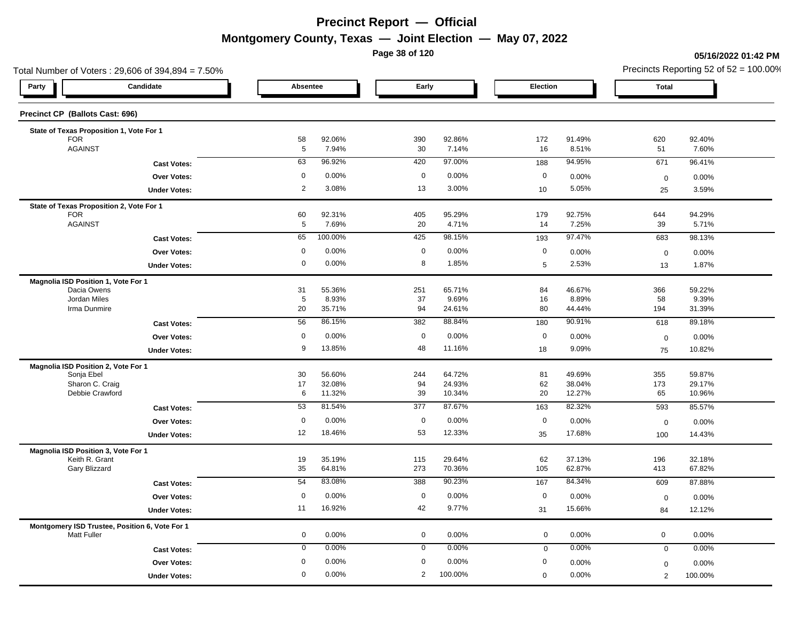**Page 38 of 120**

### **05/16/2022 01:42 PM**

| Total Number of Voters: 29,606 of 394,894 = 7.50%                    |                   |                  |             |                  |             |                  | Precincts Reporting 52 of $52 = 100.00\%$ |                  |  |
|----------------------------------------------------------------------|-------------------|------------------|-------------|------------------|-------------|------------------|-------------------------------------------|------------------|--|
| Candidate<br>Party                                                   | Absentee          |                  | Early       |                  | Election    |                  | <b>Total</b>                              |                  |  |
| Precinct CP (Ballots Cast: 696)                                      |                   |                  |             |                  |             |                  |                                           |                  |  |
| State of Texas Proposition 1, Vote For 1                             |                   |                  |             |                  |             |                  |                                           |                  |  |
| <b>FOR</b><br><b>AGAINST</b>                                         | 58<br>$\,$ 5 $\,$ | 92.06%<br>7.94%  | 390<br>30   | 92.86%<br>7.14%  | 172<br>16   | 91.49%<br>8.51%  | 620<br>51                                 | 92.40%<br>7.60%  |  |
| <b>Cast Votes:</b>                                                   | 63                | 96.92%           | 420         | 97.00%           | 188         | 94.95%           | 671                                       | 96.41%           |  |
| Over Votes:                                                          | 0                 | 0.00%            | $\mathbf 0$ | 0.00%            | $\mathbf 0$ | 0.00%            | $\pmb{0}$                                 | 0.00%            |  |
| <b>Under Votes:</b>                                                  | $\overline{2}$    | 3.08%            | 13          | 3.00%            | 10          | 5.05%            | 25                                        | 3.59%            |  |
|                                                                      |                   |                  |             |                  |             |                  |                                           |                  |  |
| State of Texas Proposition 2, Vote For 1<br><b>FOR</b>               | 60                | 92.31%           | 405         | 95.29%           | 179         | 92.75%           | 644                                       | 94.29%           |  |
| <b>AGAINST</b>                                                       | $\overline{5}$    | 7.69%            | 20          | 4.71%            | 14          | 7.25%            | 39                                        | 5.71%            |  |
| <b>Cast Votes:</b>                                                   | 65                | 100.00%          | 425         | 98.15%           | 193         | 97.47%           | 683                                       | 98.13%           |  |
| Over Votes:                                                          | $\mathbf 0$       | 0.00%            | $\mathbf 0$ | 0.00%            | $\mathbf 0$ | 0.00%            | $\mathbf 0$                               | 0.00%            |  |
| <b>Under Votes:</b>                                                  | $\mathbf 0$       | 0.00%            | 8           | 1.85%            | 5           | 2.53%            | 13                                        | 1.87%            |  |
| Magnolia ISD Position 1, Vote For 1                                  |                   |                  |             |                  |             |                  |                                           |                  |  |
| Dacia Owens                                                          | 31                | 55.36%           | 251         | 65.71%           | 84          | 46.67%           | 366                                       | 59.22%           |  |
| Jordan Miles                                                         | 5                 | 8.93%            | 37          | 9.69%            | 16          | 8.89%            | 58                                        | 9.39%            |  |
| Irma Dunmire                                                         | 20                | 35.71%           | 94          | 24.61%           | 80          | 44.44%           | 194                                       | 31.39%           |  |
| <b>Cast Votes:</b>                                                   | 56                | 86.15%           | 382         | 88.84%           | 180         | 90.91%           | 618                                       | 89.18%           |  |
| Over Votes:                                                          | 0                 | 0.00%            | $\mathbf 0$ | 0.00%            | $\mathbf 0$ | 0.00%            | $\mathbf 0$                               | 0.00%            |  |
| <b>Under Votes:</b>                                                  | 9                 | 13.85%           | 48          | 11.16%           | 18          | 9.09%            | 75                                        | 10.82%           |  |
| Magnolia ISD Position 2, Vote For 1                                  |                   |                  |             |                  |             |                  |                                           |                  |  |
| Sonja Ebel<br>Sharon C. Craig                                        | 30<br>17          | 56.60%<br>32.08% | 244<br>94   | 64.72%<br>24.93% | 81<br>62    | 49.69%<br>38.04% | 355<br>173                                | 59.87%<br>29.17% |  |
| Debbie Crawford                                                      | 6                 | 11.32%           | 39          | 10.34%           | 20          | 12.27%           | 65                                        | 10.96%           |  |
| <b>Cast Votes:</b>                                                   | 53                | 81.54%           | 377         | 87.67%           | 163         | 82.32%           | 593                                       | 85.57%           |  |
| Over Votes:                                                          | $\mathbf 0$       | 0.00%            | $\mathbf 0$ | 0.00%            | $\mathbf 0$ | 0.00%            | $\mathbf 0$                               | 0.00%            |  |
| <b>Under Votes:</b>                                                  | 12                | 18.46%           | 53          | 12.33%           | 35          | 17.68%           | 100                                       | 14.43%           |  |
| Magnolia ISD Position 3, Vote For 1                                  |                   |                  |             |                  |             |                  |                                           |                  |  |
| Keith R. Grant                                                       | 19                | 35.19%           | 115         | 29.64%           | 62          | 37.13%           | 196                                       | 32.18%           |  |
| Gary Blizzard                                                        | 35                | 64.81%           | 273         | 70.36%           | 105         | 62.87%           | 413                                       | 67.82%           |  |
| <b>Cast Votes:</b>                                                   | 54                | 83.08%           | 388         | 90.23%           | 167         | 84.34%           | 609                                       | 87.88%           |  |
| <b>Over Votes:</b>                                                   | $\mathbf 0$       | 0.00%            | $\mathbf 0$ | 0.00%            | $\mathbf 0$ | 0.00%            | $\mathbf 0$                               | 0.00%            |  |
| <b>Under Votes:</b>                                                  | 11                | 16.92%           | 42          | 9.77%            | 31          | 15.66%           | 84                                        | 12.12%           |  |
| Montgomery ISD Trustee, Position 6, Vote For 1<br><b>Matt Fuller</b> | 0                 | 0.00%            | 0           | 0.00%            | $\mathbf 0$ | 0.00%            | $\mathsf 0$                               | 0.00%            |  |
| <b>Cast Votes:</b>                                                   | $\mathbf 0$       | 0.00%            | $\mathbf 0$ | 0.00%            | $\mathbf 0$ | 0.00%            | $\mathbf 0$                               | 0.00%            |  |
| <b>Over Votes:</b>                                                   | 0                 | 0.00%            | $\mathbf 0$ | 0.00%            | 0           | 0.00%            | $\mathbf 0$                               | 0.00%            |  |
| <b>Under Votes:</b>                                                  | $\mathbf 0$       | 0.00%            | 2           | 100.00%          | $\mathbf 0$ | 0.00%            | 2                                         | 100.00%          |  |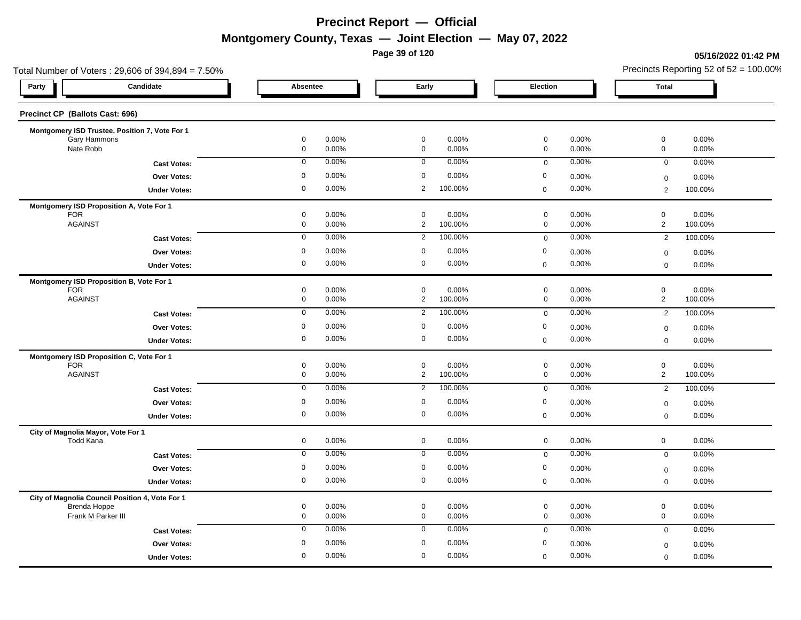**Page 39 of 120**

#### **05/16/2022 01:42 PM**

| Total Number of Voters: 29,606 of 394,894 = 7.50%               |                                   |                            |                |                               |                  |                                            |                |                                       | Precincts Reporting 52 of $52 = 100.00\%$ |
|-----------------------------------------------------------------|-----------------------------------|----------------------------|----------------|-------------------------------|------------------|--------------------------------------------|----------------|---------------------------------------|-------------------------------------------|
| Party                                                           | Candidate                         | Absentee                   |                | Early                         |                  | Election                                   |                | <b>Total</b>                          |                                           |
| Precinct CP (Ballots Cast: 696)                                 |                                   |                            |                |                               |                  |                                            |                |                                       |                                           |
| Montgomery ISD Trustee, Position 7, Vote For 1                  |                                   |                            |                |                               |                  |                                            |                |                                       |                                           |
| Gary Hammons<br>Nate Robb                                       |                                   | 0<br>$\mathsf{O}\xspace$   | 0.00%<br>0.00% | $\mathbf 0$<br>$\mathsf 0$    | 0.00%<br>0.00%   | $\mathbf 0$<br>$\mathsf{O}\xspace$         | 0.00%<br>0.00% | $\mathbf 0$<br>$\mathsf{O}\xspace$    | 0.00%<br>0.00%                            |
|                                                                 | <b>Cast Votes:</b>                | $\mathbf 0$                | 0.00%          | $\mathbf 0$                   | 0.00%            | $\mathbf 0$                                | 0.00%          | $\mathbf 0$                           | 0.00%                                     |
|                                                                 | Over Votes:                       | $\pmb{0}$                  | 0.00%          | $\mathbf 0$                   | 0.00%            | $\mathbf 0$                                | 0.00%          | $\mathsf 0$                           | 0.00%                                     |
|                                                                 | <b>Under Votes:</b>               | 0                          | 0.00%          | $\overline{2}$                | 100.00%          | $\mathbf 0$                                | 0.00%          | $\overline{2}$                        | 100.00%                                   |
| Montgomery ISD Proposition A, Vote For 1                        |                                   |                            |                |                               |                  |                                            |                |                                       |                                           |
| <b>FOR</b><br><b>AGAINST</b>                                    |                                   | 0<br>$\mathsf{O}\xspace$   | 0.00%<br>0.00% | $\mathbf 0$<br>$\overline{2}$ | 0.00%<br>100.00% | $\mathbf 0$<br>$\mathsf{O}\xspace$         | 0.00%<br>0.00% | $\mathsf 0$<br>$\overline{2}$         | 0.00%<br>100.00%                          |
|                                                                 | <b>Cast Votes:</b>                | $\mathbf 0$                | 0.00%          | $\overline{2}$                | 100.00%          | $\mathsf 0$                                | 0.00%          | $\overline{2}$                        | 100.00%                                   |
|                                                                 | Over Votes:                       | $\mathbf 0$                | 0.00%          | $\mathbf 0$                   | 0.00%            | $\mathbf 0$                                | 0.00%          | $\mathbf 0$                           | 0.00%                                     |
|                                                                 | <b>Under Votes:</b>               | $\mathbf 0$                | 0.00%          | $\mathbf 0$                   | 0.00%            | $\mathbf 0$                                | 0.00%          | $\mathbf 0$                           | 0.00%                                     |
| Montgomery ISD Proposition B, Vote For 1                        |                                   |                            |                |                               |                  |                                            |                |                                       |                                           |
| <b>FOR</b><br><b>AGAINST</b>                                    |                                   | 0<br>$\mathsf{O}\xspace$   | 0.00%<br>0.00% | $\mathbf 0$<br>$\overline{2}$ | 0.00%<br>100.00% | $\mathsf{O}\xspace$<br>$\mathsf{O}\xspace$ | 0.00%<br>0.00% | $\mathsf{O}\xspace$<br>$\overline{2}$ | 0.00%<br>100.00%                          |
|                                                                 |                                   | $\mathbf 0$                | 0.00%          | $\overline{2}$                | 100.00%          | $\mathsf 0$                                | 0.00%          | $\overline{2}$                        | 100.00%                                   |
|                                                                 | <b>Cast Votes:</b><br>Over Votes: | $\mathbf 0$                | 0.00%          | $\mathbf 0$                   | 0.00%            | $\mathbf 0$                                | 0.00%          |                                       |                                           |
|                                                                 | <b>Under Votes:</b>               | 0                          | 0.00%          | $\mathbf 0$                   | 0.00%            | $\mathbf 0$                                | 0.00%          | $\pmb{0}$<br>$\mathbf 0$              | 0.00%<br>0.00%                            |
|                                                                 |                                   |                            |                |                               |                  |                                            |                |                                       |                                           |
| Montgomery ISD Proposition C, Vote For 1<br><b>FOR</b>          |                                   | $\mathsf{O}\xspace$        | 0.00%          | $\mathbf 0$                   | 0.00%            | $\mathsf{O}\xspace$                        | 0.00%          | $\mathsf{O}\xspace$                   | 0.00%                                     |
| <b>AGAINST</b>                                                  |                                   | 0                          | 0.00%          | $\overline{2}$                | 100.00%          | $\mathbf 0$                                | 0.00%          | $\overline{c}$                        | 100.00%                                   |
|                                                                 | <b>Cast Votes:</b>                | $\mathbf 0$                | 0.00%          | $\overline{2}$                | 100.00%          | $\mathsf 0$                                | 0.00%          | $\overline{2}$                        | 100.00%                                   |
|                                                                 | Over Votes:                       | $\mathbf 0$                | 0.00%          | $\mathbf 0$                   | 0.00%            | $\mathbf 0$                                | 0.00%          | $\mathbf 0$                           | 0.00%                                     |
|                                                                 | <b>Under Votes:</b>               | 0                          | 0.00%          | $\mathbf 0$                   | 0.00%            | $\pmb{0}$                                  | 0.00%          | $\mathbf 0$                           | 0.00%                                     |
| City of Magnolia Mayor, Vote For 1<br><b>Todd Kana</b>          |                                   |                            |                |                               |                  |                                            | 0.00%          |                                       |                                           |
|                                                                 |                                   | $\mathbf 0$<br>$\mathbf 0$ | 0.00%<br>0.00% | $\mathbf 0$<br>$\mathbf 0$    | 0.00%<br>0.00%   | $\mathbf 0$                                | 0.00%          | $\mathbf 0$                           | 0.00%<br>0.00%                            |
|                                                                 | <b>Cast Votes:</b>                |                            |                |                               |                  | $\mathsf 0$                                |                | $\mathbf 0$                           |                                           |
|                                                                 | Over Votes:                       | $\mathbf 0$<br>0           | 0.00%<br>0.00% | $\mathbf 0$<br>$\mathbf 0$    | 0.00%<br>0.00%   | $\mathbf 0$<br>$\mathbf 0$                 | 0.00%<br>0.00% | $\boldsymbol{0}$                      | 0.00%                                     |
|                                                                 | <b>Under Votes:</b>               |                            |                |                               |                  |                                            |                | $\mathsf 0$                           | 0.00%                                     |
| City of Magnolia Council Position 4, Vote For 1<br>Brenda Hoppe |                                   | 0                          | 0.00%          | $\mathbf 0$                   | 0.00%            | $\mathsf{O}\xspace$                        | 0.00%          | $\mathsf{O}\xspace$                   | 0.00%                                     |
| Frank M Parker III                                              |                                   | 0                          | 0.00%          | $\mathbf 0$                   | 0.00%            | $\mathbf 0$                                | 0.00%          | $\mathbf 0$                           | 0.00%                                     |
|                                                                 | <b>Cast Votes:</b>                | $\mathbf 0$                | 0.00%          | $\mathbf 0$                   | 0.00%            | $\mathbf 0$                                | 0.00%          | $\mathbf 0$                           | 0.00%                                     |
|                                                                 | Over Votes:                       | 0                          | 0.00%          | $\mathbf 0$                   | 0.00%            | $\mathbf 0$                                | 0.00%          | $\mathbf 0$                           | 0.00%                                     |
|                                                                 | <b>Under Votes:</b>               | 0                          | 0.00%          | $\mathbf 0$                   | 0.00%            | $\boldsymbol{0}$                           | 0.00%          | $\mathbf 0$                           | 0.00%                                     |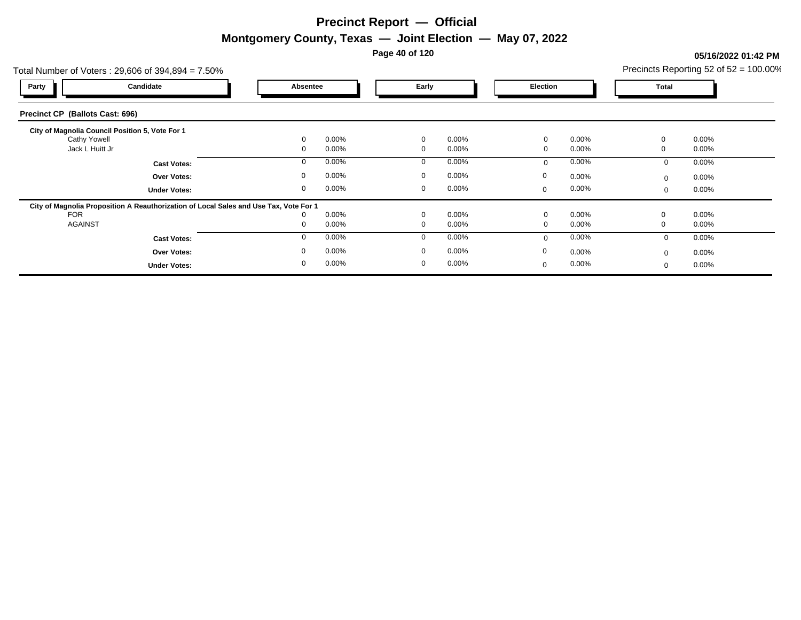**Page 40 of 120**

### **05/16/2022 01:42 PM**

|                                                                        | Total Number of Voters: 29,606 of 394,894 = 7.50%                                     |             |          |              |          |              |       |          | Precincts Reporting 52 of $52 = 100.00\%$ |
|------------------------------------------------------------------------|---------------------------------------------------------------------------------------|-------------|----------|--------------|----------|--------------|-------|----------|-------------------------------------------|
| Party                                                                  | Candidate                                                                             | Absentee    |          | Early        |          | Election     |       | Total    |                                           |
| Precinct CP (Ballots Cast: 696)                                        |                                                                                       |             |          |              |          |              |       |          |                                           |
| City of Magnolia Council Position 5, Vote For 1<br><b>Cathy Yowell</b> |                                                                                       |             | $0.00\%$ | 0            | $0.00\%$ | 0            | 0.00% | $\Omega$ | $0.00\%$                                  |
| Jack L Huitt Jr                                                        |                                                                                       | $\Omega$    | $0.00\%$ | 0            | $0.00\%$ | 0            | 0.00% | 0        | $0.00\%$                                  |
|                                                                        | <b>Cast Votes:</b>                                                                    | 0           | $0.00\%$ | 0            | 0.00%    | $\mathbf 0$  | 0.00% | $\Omega$ | $0.00\%$                                  |
|                                                                        | <b>Over Votes:</b>                                                                    | $\mathbf 0$ | $0.00\%$ | 0            | $0.00\%$ | 0            | 0.00% | $\Omega$ | $0.00\%$                                  |
|                                                                        | <b>Under Votes:</b>                                                                   | $\Omega$    | $0.00\%$ | $\mathbf{0}$ | $0.00\%$ | $\mathbf 0$  | 0.00% |          | $0.00\%$                                  |
|                                                                        | City of Magnolia Proposition A Reauthorization of Local Sales and Use Tax, Vote For 1 |             |          |              |          |              |       |          |                                           |
| <b>FOR</b>                                                             |                                                                                       |             | $0.00\%$ | $\mathbf 0$  | $0.00\%$ | $\Omega$     | 0.00% | $\Omega$ | $0.00\%$                                  |
| <b>AGAINST</b>                                                         |                                                                                       | 0           | $0.00\%$ | $\mathbf{0}$ | 0.00%    | $\mathbf{0}$ | 0.00% |          | $0.00\%$                                  |
|                                                                        | <b>Cast Votes:</b>                                                                    | $\Omega$    | $0.00\%$ | 0            | 0.00%    | $\mathbf 0$  | 0.00% | $\Omega$ | $0.00\%$                                  |
|                                                                        | <b>Over Votes:</b>                                                                    |             | $0.00\%$ | $\mathbf{0}$ | $0.00\%$ | 0            | 0.00% |          | $0.00\%$                                  |
|                                                                        | <b>Under Votes:</b>                                                                   | 0           | $0.00\%$ | 0            | 0.00%    | 0            | 0.00% |          | $0.00\%$                                  |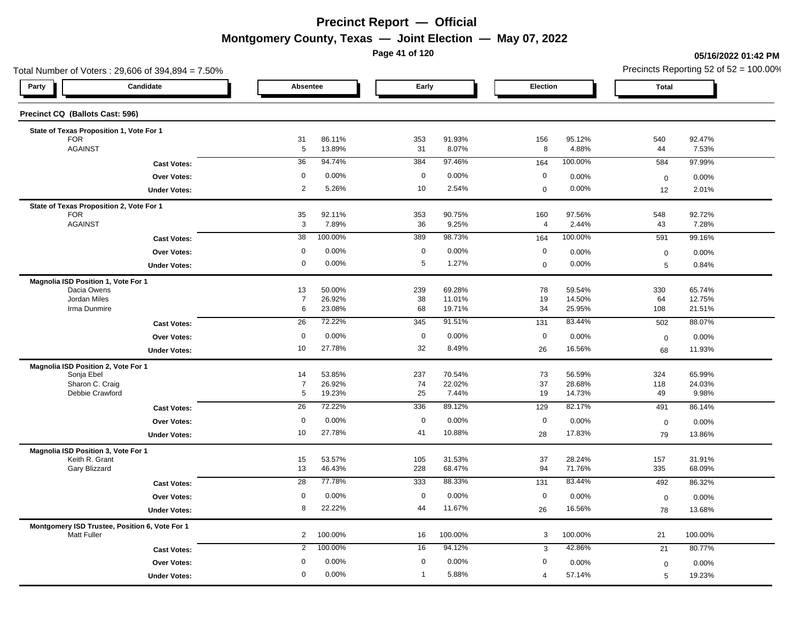**Page 41 of 120**

### **05/16/2022 01:42 PM**

|                                                                      | Total Number of Voters: 29,606 of 394,894 = 7.50% |                      |                  |              |                 |                |                 | Precincts Reporting 52 of $52 = 100.00\%$ |                 |  |
|----------------------------------------------------------------------|---------------------------------------------------|----------------------|------------------|--------------|-----------------|----------------|-----------------|-------------------------------------------|-----------------|--|
| Party                                                                | Candidate                                         | Absentee             |                  | Early        |                 | Election       |                 | <b>Total</b>                              |                 |  |
| Precinct CQ (Ballots Cast: 596)                                      |                                                   |                      |                  |              |                 |                |                 |                                           |                 |  |
| State of Texas Proposition 1, Vote For 1                             |                                                   |                      |                  |              |                 |                |                 |                                           |                 |  |
| <b>FOR</b><br><b>AGAINST</b>                                         |                                                   | 31<br>$\overline{5}$ | 86.11%<br>13.89% | 353<br>31    | 91.93%<br>8.07% | 156<br>8       | 95.12%<br>4.88% | 540<br>44                                 | 92.47%<br>7.53% |  |
|                                                                      | <b>Cast Votes:</b>                                | 36                   | 94.74%           | 384          | 97.46%          | 164            | 100.00%         | 584                                       | 97.99%          |  |
|                                                                      | Over Votes:                                       | 0                    | 0.00%            | $\mathbf 0$  | 0.00%           | $\mathbf 0$    | 0.00%           |                                           |                 |  |
|                                                                      |                                                   | $\overline{2}$       | 5.26%            | 10           | 2.54%           | $\mathbf 0$    | 0.00%           | $\boldsymbol{0}$                          | 0.00%<br>2.01%  |  |
|                                                                      | <b>Under Votes:</b>                               |                      |                  |              |                 |                |                 | 12                                        |                 |  |
| State of Texas Proposition 2, Vote For 1<br><b>FOR</b>               |                                                   | 35                   | 92.11%           | 353          | 90.75%          | 160            | 97.56%          | 548                                       | 92.72%          |  |
| <b>AGAINST</b>                                                       |                                                   | 3                    | 7.89%            | 36           | 9.25%           | $\overline{4}$ | 2.44%           | 43                                        | 7.28%           |  |
|                                                                      | <b>Cast Votes:</b>                                | 38                   | 100.00%          | 389          | 98.73%          | 164            | 100.00%         | 591                                       | 99.16%          |  |
|                                                                      | Over Votes:                                       | $\mathbf 0$          | 0.00%            | $\mathbf 0$  | 0.00%           | $\mathbf 0$    | 0.00%           | $\boldsymbol{0}$                          | 0.00%           |  |
|                                                                      | <b>Under Votes:</b>                               | $\mathbf 0$          | 0.00%            | 5            | 1.27%           | $\mathbf 0$    | 0.00%           | 5                                         | 0.84%           |  |
|                                                                      |                                                   |                      |                  |              |                 |                |                 |                                           |                 |  |
| Magnolia ISD Position 1, Vote For 1<br>Dacia Owens                   |                                                   | 13                   | 50.00%           | 239          | 69.28%          | 78             | 59.54%          | 330                                       | 65.74%          |  |
| Jordan Miles                                                         |                                                   | $\overline{7}$       | 26.92%           | 38           | 11.01%          | 19             | 14.50%          | 64                                        | 12.75%          |  |
| Irma Dunmire                                                         |                                                   | 6                    | 23.08%           | 68           | 19.71%          | 34             | 25.95%          | 108                                       | 21.51%          |  |
|                                                                      | <b>Cast Votes:</b>                                | 26                   | 72.22%           | 345          | 91.51%          | 131            | 83.44%          | 502                                       | 88.07%          |  |
|                                                                      | Over Votes:                                       | 0                    | 0.00%            | $\mathbf 0$  | 0.00%           | $\mathbf 0$    | 0.00%           | $\mathbf 0$                               | 0.00%           |  |
|                                                                      | <b>Under Votes:</b>                               | 10                   | 27.78%           | 32           | 8.49%           | 26             | 16.56%          | 68                                        | 11.93%          |  |
| Magnolia ISD Position 2, Vote For 1                                  |                                                   |                      |                  |              |                 |                |                 |                                           |                 |  |
| Sonja Ebel                                                           |                                                   | 14                   | 53.85%           | 237          | 70.54%          | 73             | 56.59%          | 324                                       | 65.99%          |  |
| Sharon C. Craig                                                      |                                                   | $\overline{7}$       | 26.92%           | 74           | 22.02%          | 37             | 28.68%          | 118                                       | 24.03%          |  |
| Debbie Crawford                                                      |                                                   | $5\phantom{.0}$      | 19.23%           | 25           | 7.44%           | 19             | 14.73%          | 49                                        | 9.98%           |  |
|                                                                      | <b>Cast Votes:</b>                                | 26                   | 72.22%           | 336          | 89.12%          | 129            | 82.17%          | 491                                       | 86.14%          |  |
|                                                                      | Over Votes:                                       | $\mathbf 0$          | 0.00%            | $\mathbf 0$  | 0.00%           | $\mathbf 0$    | 0.00%           | $\mathbf 0$                               | 0.00%           |  |
|                                                                      | <b>Under Votes:</b>                               | 10                   | 27.78%           | 41           | 10.88%          | 28             | 17.83%          | 79                                        | 13.86%          |  |
| Magnolia ISD Position 3, Vote For 1                                  |                                                   |                      |                  |              |                 |                |                 |                                           |                 |  |
| Keith R. Grant                                                       |                                                   | 15                   | 53.57%           | 105          | 31.53%          | 37             | 28.24%          | 157                                       | 31.91%          |  |
| Gary Blizzard                                                        |                                                   | 13                   | 46.43%           | 228          | 68.47%          | 94             | 71.76%          | 335                                       | 68.09%          |  |
|                                                                      | <b>Cast Votes:</b>                                | 28                   | 77.78%           | 333          | 88.33%          | 131            | 83.44%          | 492                                       | 86.32%          |  |
|                                                                      | <b>Over Votes:</b>                                | 0                    | 0.00%            | $\mathbf 0$  | 0.00%           | $\mathbf 0$    | 0.00%           | $\mathbf 0$                               | 0.00%           |  |
|                                                                      | <b>Under Votes:</b>                               | 8                    | 22.22%           | 44           | 11.67%          | 26             | 16.56%          | 78                                        | 13.68%          |  |
| Montgomery ISD Trustee, Position 6, Vote For 1<br><b>Matt Fuller</b> |                                                   | $\overline{2}$       | 100.00%          | 16           | 100.00%         | 3              | 100.00%         | 21                                        | 100.00%         |  |
|                                                                      | <b>Cast Votes:</b>                                | $\overline{2}$       | 100.00%          | 16           | 94.12%          | 3              | 42.86%          | 21                                        | 80.77%          |  |
|                                                                      | <b>Over Votes:</b>                                | 0                    | 0.00%            | $\mathbf 0$  | 0.00%           | 0              | 0.00%           | $\mathbf 0$                               | 0.00%           |  |
|                                                                      | <b>Under Votes:</b>                               | $\mathbf 0$          | 0.00%            | $\mathbf{1}$ | 5.88%           | 4              | 57.14%          | 5                                         | 19.23%          |  |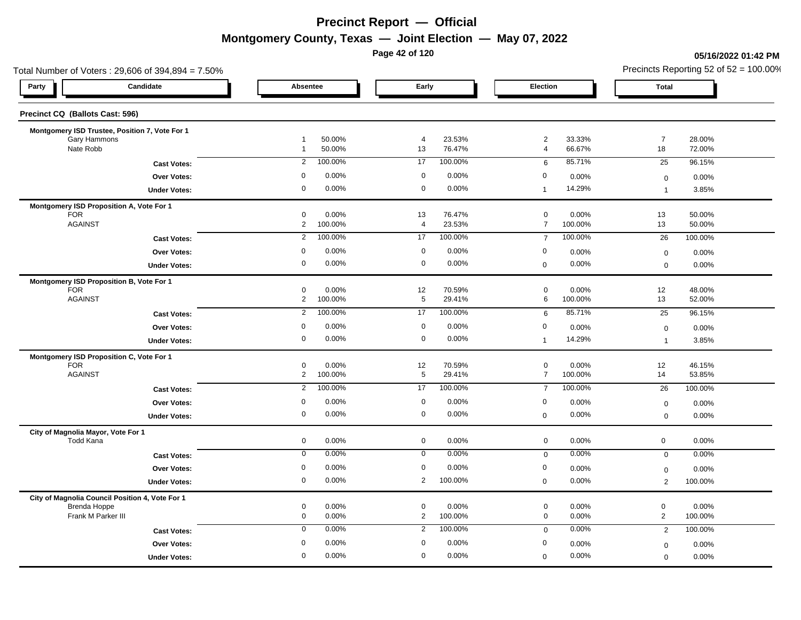**Page 42 of 120**

### **05/16/2022 01:42 PM**

|                                 |                                                                                                                                                                                                                                                                                                                                                                                                                                                                                            |                                                                                                                                                         |                                                                                                                                                 |                                                                                                                                                                                       |                                                                                                                                                  |                                                                                                                                                                                      | Precincts Reporting 52 of $52 = 100.00\%$                                                                                                               |                                                                                                                                                                                  |  |
|---------------------------------|--------------------------------------------------------------------------------------------------------------------------------------------------------------------------------------------------------------------------------------------------------------------------------------------------------------------------------------------------------------------------------------------------------------------------------------------------------------------------------------------|---------------------------------------------------------------------------------------------------------------------------------------------------------|-------------------------------------------------------------------------------------------------------------------------------------------------|---------------------------------------------------------------------------------------------------------------------------------------------------------------------------------------|--------------------------------------------------------------------------------------------------------------------------------------------------|--------------------------------------------------------------------------------------------------------------------------------------------------------------------------------------|---------------------------------------------------------------------------------------------------------------------------------------------------------|----------------------------------------------------------------------------------------------------------------------------------------------------------------------------------|--|
|                                 |                                                                                                                                                                                                                                                                                                                                                                                                                                                                                            |                                                                                                                                                         |                                                                                                                                                 |                                                                                                                                                                                       |                                                                                                                                                  |                                                                                                                                                                                      | <b>Total</b>                                                                                                                                            |                                                                                                                                                                                  |  |
|                                 |                                                                                                                                                                                                                                                                                                                                                                                                                                                                                            |                                                                                                                                                         |                                                                                                                                                 |                                                                                                                                                                                       |                                                                                                                                                  |                                                                                                                                                                                      |                                                                                                                                                         |                                                                                                                                                                                  |  |
|                                 |                                                                                                                                                                                                                                                                                                                                                                                                                                                                                            |                                                                                                                                                         |                                                                                                                                                 |                                                                                                                                                                                       |                                                                                                                                                  |                                                                                                                                                                                      |                                                                                                                                                         |                                                                                                                                                                                  |  |
|                                 | $\mathbf{1}$                                                                                                                                                                                                                                                                                                                                                                                                                                                                               | 50.00%                                                                                                                                                  | 13                                                                                                                                              | 76.47%                                                                                                                                                                                | $\overline{4}$                                                                                                                                   | 66.67%                                                                                                                                                                               | 18                                                                                                                                                      | 28.00%<br>72.00%                                                                                                                                                                 |  |
| <b>Cast Votes:</b>              | $\overline{2}$                                                                                                                                                                                                                                                                                                                                                                                                                                                                             | 100.00%                                                                                                                                                 | 17                                                                                                                                              | 100.00%                                                                                                                                                                               | $6\phantom{.}6$                                                                                                                                  | 85.71%                                                                                                                                                                               | 25                                                                                                                                                      | 96.15%                                                                                                                                                                           |  |
| Over Votes:                     | $\Omega$                                                                                                                                                                                                                                                                                                                                                                                                                                                                                   | 0.00%                                                                                                                                                   | $\mathbf 0$                                                                                                                                     | 0.00%                                                                                                                                                                                 | $\mathbf 0$                                                                                                                                      | 0.00%                                                                                                                                                                                | $\mathbf 0$                                                                                                                                             | 0.00%                                                                                                                                                                            |  |
| <b>Under Votes:</b>             | 0                                                                                                                                                                                                                                                                                                                                                                                                                                                                                          | 0.00%                                                                                                                                                   | $\mathbf 0$                                                                                                                                     | 0.00%                                                                                                                                                                                 | $\mathbf{1}$                                                                                                                                     | 14.29%                                                                                                                                                                               | $\overline{1}$                                                                                                                                          | 3.85%                                                                                                                                                                            |  |
|                                 |                                                                                                                                                                                                                                                                                                                                                                                                                                                                                            |                                                                                                                                                         |                                                                                                                                                 |                                                                                                                                                                                       |                                                                                                                                                  |                                                                                                                                                                                      |                                                                                                                                                         | 50.00%                                                                                                                                                                           |  |
|                                 | $\overline{2}$                                                                                                                                                                                                                                                                                                                                                                                                                                                                             | 100.00%                                                                                                                                                 | 4                                                                                                                                               | 23.53%                                                                                                                                                                                | $\overline{7}$                                                                                                                                   | 100.00%                                                                                                                                                                              | 13                                                                                                                                                      | 50.00%                                                                                                                                                                           |  |
| <b>Cast Votes:</b>              | $\overline{2}$                                                                                                                                                                                                                                                                                                                                                                                                                                                                             | 100.00%                                                                                                                                                 | 17                                                                                                                                              | 100.00%                                                                                                                                                                               | $\overline{7}$                                                                                                                                   | 100.00%                                                                                                                                                                              | 26                                                                                                                                                      | 100.00%                                                                                                                                                                          |  |
| Over Votes:                     | 0                                                                                                                                                                                                                                                                                                                                                                                                                                                                                          | 0.00%                                                                                                                                                   | $\mathbf 0$                                                                                                                                     | 0.00%                                                                                                                                                                                 | $\boldsymbol{0}$                                                                                                                                 | 0.00%                                                                                                                                                                                |                                                                                                                                                         | 0.00%                                                                                                                                                                            |  |
| <b>Under Votes:</b>             | 0                                                                                                                                                                                                                                                                                                                                                                                                                                                                                          | 0.00%                                                                                                                                                   | $\mathbf 0$                                                                                                                                     | 0.00%                                                                                                                                                                                 | $\mathbf 0$                                                                                                                                      | 0.00%                                                                                                                                                                                | $\mathbf 0$                                                                                                                                             | 0.00%                                                                                                                                                                            |  |
|                                 |                                                                                                                                                                                                                                                                                                                                                                                                                                                                                            |                                                                                                                                                         |                                                                                                                                                 |                                                                                                                                                                                       |                                                                                                                                                  |                                                                                                                                                                                      |                                                                                                                                                         |                                                                                                                                                                                  |  |
|                                 |                                                                                                                                                                                                                                                                                                                                                                                                                                                                                            |                                                                                                                                                         |                                                                                                                                                 |                                                                                                                                                                                       |                                                                                                                                                  |                                                                                                                                                                                      |                                                                                                                                                         | 48.00%<br>52.00%                                                                                                                                                                 |  |
|                                 |                                                                                                                                                                                                                                                                                                                                                                                                                                                                                            |                                                                                                                                                         |                                                                                                                                                 |                                                                                                                                                                                       |                                                                                                                                                  |                                                                                                                                                                                      |                                                                                                                                                         | 96.15%                                                                                                                                                                           |  |
|                                 |                                                                                                                                                                                                                                                                                                                                                                                                                                                                                            |                                                                                                                                                         |                                                                                                                                                 |                                                                                                                                                                                       |                                                                                                                                                  |                                                                                                                                                                                      |                                                                                                                                                         | 0.00%                                                                                                                                                                            |  |
| <b>Under Votes:</b>             | 0                                                                                                                                                                                                                                                                                                                                                                                                                                                                                          | 0.00%                                                                                                                                                   | $\mathbf 0$                                                                                                                                     | 0.00%                                                                                                                                                                                 | $\mathbf{1}$                                                                                                                                     | 14.29%                                                                                                                                                                               | $\overline{1}$                                                                                                                                          | 3.85%                                                                                                                                                                            |  |
|                                 |                                                                                                                                                                                                                                                                                                                                                                                                                                                                                            |                                                                                                                                                         |                                                                                                                                                 |                                                                                                                                                                                       |                                                                                                                                                  |                                                                                                                                                                                      |                                                                                                                                                         |                                                                                                                                                                                  |  |
|                                 | 0                                                                                                                                                                                                                                                                                                                                                                                                                                                                                          | 0.00%                                                                                                                                                   | 12                                                                                                                                              | 70.59%                                                                                                                                                                                | $\mathbf 0$                                                                                                                                      | 0.00%                                                                                                                                                                                | 12                                                                                                                                                      | 46.15%                                                                                                                                                                           |  |
|                                 |                                                                                                                                                                                                                                                                                                                                                                                                                                                                                            |                                                                                                                                                         |                                                                                                                                                 |                                                                                                                                                                                       |                                                                                                                                                  |                                                                                                                                                                                      |                                                                                                                                                         | 53.85%                                                                                                                                                                           |  |
|                                 |                                                                                                                                                                                                                                                                                                                                                                                                                                                                                            |                                                                                                                                                         |                                                                                                                                                 |                                                                                                                                                                                       |                                                                                                                                                  |                                                                                                                                                                                      |                                                                                                                                                         | 100.00%                                                                                                                                                                          |  |
|                                 |                                                                                                                                                                                                                                                                                                                                                                                                                                                                                            |                                                                                                                                                         |                                                                                                                                                 |                                                                                                                                                                                       |                                                                                                                                                  |                                                                                                                                                                                      | $\mathbf 0$                                                                                                                                             | 0.00%                                                                                                                                                                            |  |
|                                 |                                                                                                                                                                                                                                                                                                                                                                                                                                                                                            |                                                                                                                                                         |                                                                                                                                                 |                                                                                                                                                                                       |                                                                                                                                                  |                                                                                                                                                                                      |                                                                                                                                                         | 0.00%                                                                                                                                                                            |  |
|                                 | $\mathbf 0$                                                                                                                                                                                                                                                                                                                                                                                                                                                                                | 0.00%                                                                                                                                                   | $\mathbf 0$                                                                                                                                     | 0.00%                                                                                                                                                                                 | $\mathbf 0$                                                                                                                                      | 0.00%                                                                                                                                                                                | $\mathbf 0$                                                                                                                                             | 0.00%                                                                                                                                                                            |  |
|                                 | $\mathbf 0$                                                                                                                                                                                                                                                                                                                                                                                                                                                                                | 0.00%                                                                                                                                                   | $\mathbf 0$                                                                                                                                     | 0.00%                                                                                                                                                                                 | $\mathbf 0$                                                                                                                                      | 0.00%                                                                                                                                                                                | $\mathbf 0$                                                                                                                                             | 0.00%                                                                                                                                                                            |  |
|                                 | $\mathbf 0$                                                                                                                                                                                                                                                                                                                                                                                                                                                                                | 0.00%                                                                                                                                                   | $\mathbf 0$                                                                                                                                     | 0.00%                                                                                                                                                                                 | 0                                                                                                                                                |                                                                                                                                                                                      |                                                                                                                                                         | 0.00%                                                                                                                                                                            |  |
| <b>Under Votes:</b>             | 0                                                                                                                                                                                                                                                                                                                                                                                                                                                                                          | 0.00%                                                                                                                                                   | $\overline{2}$                                                                                                                                  | 100.00%                                                                                                                                                                               | $\mathbf 0$                                                                                                                                      | 0.00%                                                                                                                                                                                | $\overline{2}$                                                                                                                                          | 100.00%                                                                                                                                                                          |  |
|                                 |                                                                                                                                                                                                                                                                                                                                                                                                                                                                                            |                                                                                                                                                         |                                                                                                                                                 |                                                                                                                                                                                       |                                                                                                                                                  |                                                                                                                                                                                      |                                                                                                                                                         |                                                                                                                                                                                  |  |
|                                 | 0                                                                                                                                                                                                                                                                                                                                                                                                                                                                                          | 0.00%                                                                                                                                                   | $\mathbf 0$                                                                                                                                     | 0.00%                                                                                                                                                                                 | $\mathbf 0$                                                                                                                                      | 0.00%                                                                                                                                                                                | $\mathbf 0$                                                                                                                                             | 0.00%<br>100.00%                                                                                                                                                                 |  |
|                                 |                                                                                                                                                                                                                                                                                                                                                                                                                                                                                            |                                                                                                                                                         |                                                                                                                                                 |                                                                                                                                                                                       |                                                                                                                                                  |                                                                                                                                                                                      |                                                                                                                                                         | 100.00%                                                                                                                                                                          |  |
|                                 |                                                                                                                                                                                                                                                                                                                                                                                                                                                                                            |                                                                                                                                                         |                                                                                                                                                 |                                                                                                                                                                                       |                                                                                                                                                  |                                                                                                                                                                                      |                                                                                                                                                         |                                                                                                                                                                                  |  |
|                                 |                                                                                                                                                                                                                                                                                                                                                                                                                                                                                            |                                                                                                                                                         |                                                                                                                                                 |                                                                                                                                                                                       |                                                                                                                                                  |                                                                                                                                                                                      |                                                                                                                                                         | 0.00%<br>0.00%                                                                                                                                                                   |  |
| Precinct CQ (Ballots Cast: 596) | Candidate<br>Montgomery ISD Trustee, Position 7, Vote For 1<br>Montgomery ISD Proposition A, Vote For 1<br>Montgomery ISD Proposition B, Vote For 1<br><b>Cast Votes:</b><br>Over Votes:<br>Montgomery ISD Proposition C, Vote For 1<br><b>Cast Votes:</b><br>Over Votes:<br><b>Under Votes:</b><br>City of Magnolia Mayor, Vote For 1<br><b>Cast Votes:</b><br>Over Votes:<br>City of Magnolia Council Position 4, Vote For 1<br><b>Cast Votes:</b><br>Over Votes:<br><b>Under Votes:</b> | $\overline{1}$<br>0<br>0<br>$\overline{2}$<br>$\overline{2}$<br>0<br>$\overline{2}$<br>$\overline{2}$<br>0<br>$\mathbf 0$<br>0<br>$\mathbf 0$<br>0<br>0 | Absentee<br>50.00%<br>0.00%<br>0.00%<br>100.00%<br>100.00%<br>0.00%<br>100.00%<br>100.00%<br>0.00%<br>0.00%<br>0.00%<br>0.00%<br>0.00%<br>0.00% | $\overline{4}$<br>13<br>12<br>5<br>$\overline{17}$<br>$\mathbf 0$<br>$\sqrt{5}$<br>17<br>$\mathbf 0$<br>$\mathbf 0$<br>$\overline{2}$<br>$\overline{2}$<br>$\mathbf 0$<br>$\mathbf 0$ | Early<br>23.53%<br>76.47%<br>70.59%<br>29.41%<br>100.00%<br>0.00%<br>29.41%<br>100.00%<br>0.00%<br>0.00%<br>100.00%<br>100.00%<br>0.00%<br>0.00% | $\overline{a}$<br>$\mathbf 0$<br>$\mathbf 0$<br>6<br>6<br>0<br>$\overline{7}$<br>$\overline{7}$<br>$\boldsymbol{0}$<br>$\mathbf 0$<br>$\mathbf 0$<br>$\mathbf 0$<br>0<br>$\mathbf 0$ | Election<br>33.33%<br>0.00%<br>0.00%<br>100.00%<br>85.71%<br>0.00%<br>100.00%<br>100.00%<br>0.00%<br>0.00%<br>0.00%<br>0.00%<br>0.00%<br>0.00%<br>0.00% | $\overline{7}$<br>13<br>$\mathsf 0$<br>12<br>13<br>25<br>$\mathbf 0$<br>14<br>26<br>$\mathbf 0$<br>$\mathbf 0$<br>$\overline{c}$<br>$\overline{2}$<br>$\mathbf 0$<br>$\mathbf 0$ |  |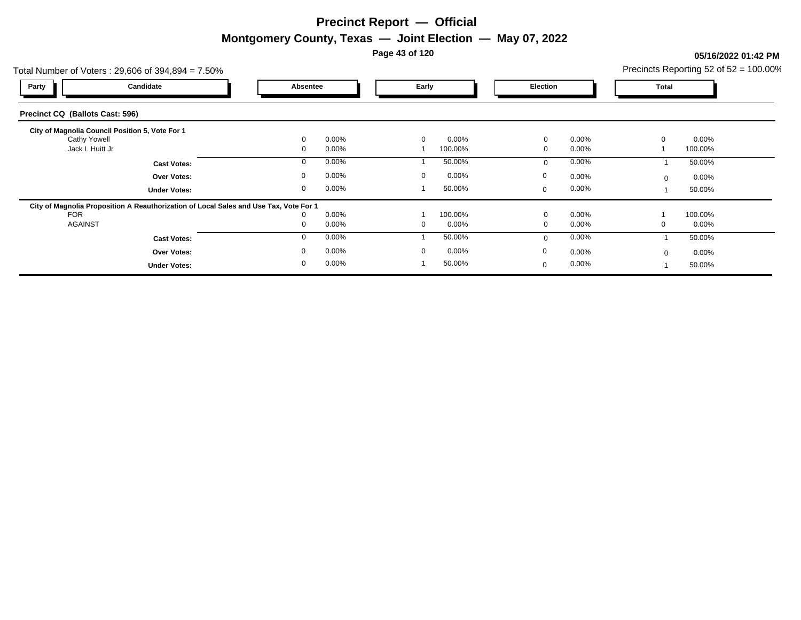**Page 43 of 120**

### **05/16/2022 01:42 PM**

|                                                                                    | Total Number of Voters: $29,606$ of $394,894 = 7.50\%$                                |                            |                   |             |                     |                  |                   | Precincts Reporting 52 of $52 = 100.00\%$ |                     |  |
|------------------------------------------------------------------------------------|---------------------------------------------------------------------------------------|----------------------------|-------------------|-------------|---------------------|------------------|-------------------|-------------------------------------------|---------------------|--|
| Party                                                                              | Candidate                                                                             | Absentee                   |                   | Early       |                     | Election         |                   | Total                                     |                     |  |
| Precinct CQ (Ballots Cast: 596)                                                    |                                                                                       |                            |                   |             |                     |                  |                   |                                           |                     |  |
| City of Magnolia Council Position 5, Vote For 1<br>Cathy Yowell<br>Jack L Huitt Jr |                                                                                       | $\mathbf 0$<br>$\mathbf 0$ | 0.00%<br>0.00%    | $\mathbf 0$ | 0.00%<br>100.00%    | $\mathbf 0$<br>0 | 0.00%<br>0.00%    |                                           | 0.00%<br>100.00%    |  |
|                                                                                    | <b>Cast Votes:</b>                                                                    | $\mathbf 0$                | 0.00%             |             | 50.00%              | $\mathbf 0$      | 0.00%             |                                           | 50.00%              |  |
|                                                                                    | <b>Over Votes:</b>                                                                    | 0                          | 0.00%             | $\mathbf 0$ | $0.00\%$            | 0                | $0.00\%$          | $\Omega$                                  | $0.00\%$            |  |
|                                                                                    | <b>Under Votes:</b>                                                                   | 0                          | 0.00%             |             | 50.00%              | $\mathbf 0$      | $0.00\%$          |                                           | 50.00%              |  |
|                                                                                    | City of Magnolia Proposition A Reauthorization of Local Sales and Use Tax, Vote For 1 |                            |                   |             |                     |                  |                   |                                           |                     |  |
| <b>FOR</b><br><b>AGAINST</b>                                                       |                                                                                       | 0<br>0                     | $0.00\%$<br>0.00% | 0           | 100.00%<br>$0.00\%$ | $\mathbf 0$<br>0 | $0.00\%$<br>0.00% |                                           | 100.00%<br>$0.00\%$ |  |
|                                                                                    | <b>Cast Votes:</b>                                                                    | 0                          | 0.00%             |             | 50.00%              | $\mathbf 0$      | 0.00%             |                                           | 50.00%              |  |
|                                                                                    | <b>Over Votes:</b>                                                                    | 0                          | 0.00%             | $\Omega$    | 0.00%               | $\mathbf 0$      | 0.00%             |                                           | $0.00\%$            |  |
|                                                                                    | <b>Under Votes:</b>                                                                   | 0                          | 0.00%             |             | 50.00%              | $\mathbf 0$      | 0.00%             |                                           | 50.00%              |  |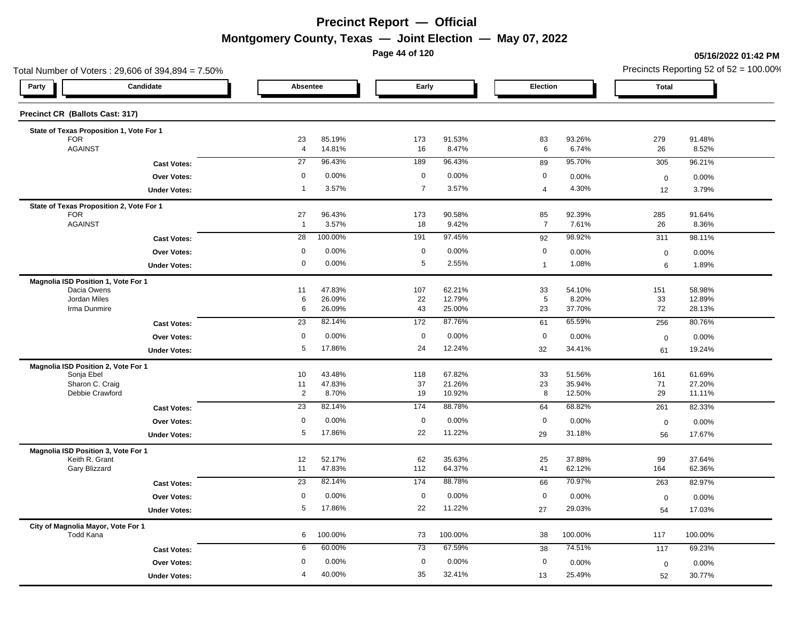**Page 44 of 120**

### **05/16/2022 01:42 PM**

| Total Number of Voters: 29,606 of 394,894 = 7.50%      |                      |                  |                 |                 |                       |                 | Precincts Reporting 52 of $52 = 100.00\%$ |                 |  |
|--------------------------------------------------------|----------------------|------------------|-----------------|-----------------|-----------------------|-----------------|-------------------------------------------|-----------------|--|
| Candidate<br>Party                                     | Absentee             |                  | Early           |                 | Election              |                 | <b>Total</b>                              |                 |  |
| Precinct CR (Ballots Cast: 317)                        |                      |                  |                 |                 |                       |                 |                                           |                 |  |
| State of Texas Proposition 1, Vote For 1               |                      |                  |                 |                 |                       |                 |                                           |                 |  |
| <b>FOR</b><br><b>AGAINST</b>                           | 23<br>$\overline{4}$ | 85.19%<br>14.81% | 173<br>16       | 91.53%<br>8.47% | 83<br>$6\phantom{.}6$ | 93.26%<br>6.74% | 279<br>26                                 | 91.48%<br>8.52% |  |
| <b>Cast Votes:</b>                                     | 27                   | 96.43%           | 189             | 96.43%          | 89                    | 95.70%          | 305                                       | 96.21%          |  |
| Over Votes:                                            | 0                    | 0.00%            | $\mathbf 0$     | 0.00%           | $\mathbf 0$           | 0.00%           |                                           |                 |  |
|                                                        | $\overline{1}$       | 3.57%            | $\overline{7}$  | 3.57%           | $\overline{4}$        | 4.30%           | $\mathbf 0$<br>12                         | 0.00%<br>3.79%  |  |
| <b>Under Votes:</b>                                    |                      |                  |                 |                 |                       |                 |                                           |                 |  |
| State of Texas Proposition 2, Vote For 1<br><b>FOR</b> | 27                   | 96.43%           | 173             | 90.58%          | 85                    | 92.39%          | 285                                       | 91.64%          |  |
| <b>AGAINST</b>                                         | $\overline{1}$       | 3.57%            | 18              | 9.42%           | $\overline{7}$        | 7.61%           | 26                                        | 8.36%           |  |
| <b>Cast Votes:</b>                                     | 28                   | 100.00%          | 191             | 97.45%          | 92                    | 98.92%          | 311                                       | 98.11%          |  |
| Over Votes:                                            | $\mathbf 0$          | 0.00%            | $\mathbf 0$     | 0.00%           | $\mathbf 0$           | 0.00%           | $\pmb{0}$                                 | 0.00%           |  |
| <b>Under Votes:</b>                                    | $\mathsf{O}\xspace$  | 0.00%            | $\sqrt{5}$      | 2.55%           | $\mathbf{1}$          | 1.08%           | 6                                         | 1.89%           |  |
|                                                        |                      |                  |                 |                 |                       |                 |                                           |                 |  |
| Magnolia ISD Position 1, Vote For 1<br>Dacia Owens     | 11                   | 47.83%           | 107             | 62.21%          | 33                    | 54.10%          | 151                                       | 58.98%          |  |
| Jordan Miles                                           | 6                    | 26.09%           | 22              | 12.79%          | $5\phantom{.0}$       | 8.20%           | 33                                        | 12.89%          |  |
| Irma Dunmire                                           | 6                    | 26.09%           | 43              | 25.00%          | 23                    | 37.70%          | 72                                        | 28.13%          |  |
| <b>Cast Votes:</b>                                     | $\overline{23}$      | 82.14%           | 172             | 87.76%          | 61                    | 65.59%          | 256                                       | 80.76%          |  |
| Over Votes:                                            | 0                    | 0.00%            | $\mathbf 0$     | 0.00%           | $\mathbf 0$           | 0.00%           | $\pmb{0}$                                 | 0.00%           |  |
| <b>Under Votes:</b>                                    | 5                    | 17.86%           | 24              | 12.24%          | 32                    | 34.41%          | 61                                        | 19.24%          |  |
| Magnolia ISD Position 2, Vote For 1                    |                      |                  |                 |                 |                       |                 |                                           |                 |  |
| Sonja Ebel                                             | 10                   | 43.48%           | 118             | 67.82%          | 33                    | 51.56%          | 161                                       | 61.69%          |  |
| Sharon C. Craig                                        | 11                   | 47.83%           | 37              | 21.26%          | 23                    | 35.94%          | 71                                        | 27.20%          |  |
| Debbie Crawford                                        | $\overline{2}$       | 8.70%            | 19              | 10.92%          | 8                     | 12.50%          | 29                                        | 11.11%          |  |
| <b>Cast Votes:</b>                                     | 23                   | 82.14%           | 174             | 88.78%          | 64                    | 68.82%          | 261                                       | 82.33%          |  |
| Over Votes:                                            | $\mathbf 0$          | 0.00%            | $\mathbf 0$     | 0.00%           | $\mathbf 0$           | 0.00%           | $\mathbf 0$                               | 0.00%           |  |
| <b>Under Votes:</b>                                    | 5                    | 17.86%           | 22              | 11.22%          | 29                    | 31.18%          | 56                                        | 17.67%          |  |
| Magnolia ISD Position 3, Vote For 1                    |                      |                  |                 |                 |                       |                 |                                           |                 |  |
| Keith R. Grant                                         | 12                   | 52.17%           | 62              | 35.63%          | 25                    | 37.88%          | 99                                        | 37.64%          |  |
| Gary Blizzard                                          | 11                   | 47.83%           | 112             | 64.37%          | 41                    | 62.12%          | 164                                       | 62.36%          |  |
| <b>Cast Votes:</b>                                     | $\overline{23}$      | 82.14%           | 174             | 88.78%          | 66                    | 70.97%          | 263                                       | 82.97%          |  |
| Over Votes:                                            | $\mathbf 0$          | 0.00%            | $\mathbf 0$     | 0.00%           | $\mathbf 0$           | 0.00%           | $\mathbf 0$                               | 0.00%           |  |
| <b>Under Votes:</b>                                    | 5                    | 17.86%           | 22              | 11.22%          | 27                    | 29.03%          | 54                                        | 17.03%          |  |
| City of Magnolia Mayor, Vote For 1<br><b>Todd Kana</b> | 6                    | 100.00%          | 73              | 100.00%         | 38                    | 100.00%         | 117                                       | 100.00%         |  |
| <b>Cast Votes:</b>                                     | 6                    | 60.00%           | $\overline{73}$ | 67.59%          | 38                    | 74.51%          | 117                                       | 69.23%          |  |
| Over Votes:                                            | $\mathbf 0$          | 0.00%            | $\mathbf 0$     | 0.00%           | $\mathbf 0$           | 0.00%           | $\mathbf 0$                               | 0.00%           |  |
|                                                        | 4                    | 40.00%           | 35              | 32.41%          | 13                    | 25.49%          | 52                                        | 30.77%          |  |
| <b>Under Votes:</b>                                    |                      |                  |                 |                 |                       |                 |                                           |                 |  |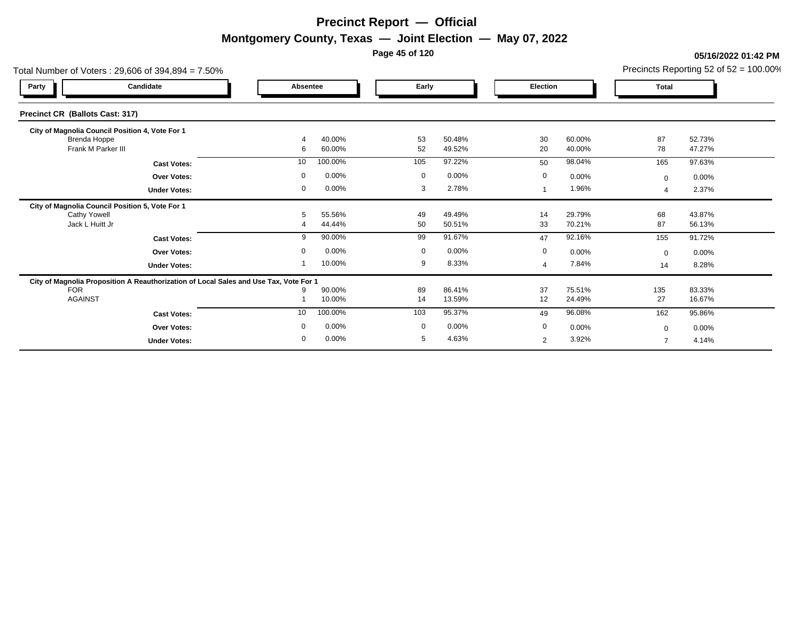**Page 45 of 120**

### **05/16/2022 01:42 PM**

| Total Number of Voters: 29,606 of 394,894 = 7.50%                                     | Precincts Reporting 52 of 52 = 100.00% |                  |             |                  |                |                  |              |                  |
|---------------------------------------------------------------------------------------|----------------------------------------|------------------|-------------|------------------|----------------|------------------|--------------|------------------|
| Candidate<br>Party                                                                    | Absentee                               |                  | Early       |                  | Election       |                  | <b>Total</b> |                  |
| Precinct CR (Ballots Cast: 317)                                                       |                                        |                  |             |                  |                |                  |              |                  |
| City of Magnolia Council Position 4, Vote For 1                                       |                                        |                  |             |                  |                |                  |              |                  |
| Brenda Hoppe<br>Frank M Parker III                                                    | 4                                      | 40.00%<br>60.00% | 53<br>52    | 50.48%<br>49.52% | 30<br>20       | 60.00%<br>40.00% | 87<br>78     | 52.73%<br>47.27% |
|                                                                                       | 6                                      |                  |             |                  |                |                  |              |                  |
| <b>Cast Votes:</b>                                                                    | 10                                     | 100.00%          | 105         | 97.22%           | 50             | 98.04%           | 165          | 97.63%           |
| <b>Over Votes:</b>                                                                    | 0                                      | 0.00%            | $\mathbf 0$ | 0.00%            | $\mathbf 0$    | 0.00%            | $\mathbf 0$  | $0.00\%$         |
| <b>Under Votes:</b>                                                                   | 0                                      | 0.00%            | 3           | 2.78%            |                | 1.96%            |              | 2.37%            |
| City of Magnolia Council Position 5, Vote For 1                                       |                                        |                  |             |                  |                |                  |              |                  |
| <b>Cathy Yowell</b>                                                                   | 5                                      | 55.56%           | 49          | 49.49%           | 14             | 29.79%           | 68           | 43.87%           |
| Jack L Huitt Jr                                                                       | 4                                      | 44.44%           | 50          | 50.51%           | 33             | 70.21%           | 87           | 56.13%           |
| <b>Cast Votes:</b>                                                                    | 9                                      | 90.00%           | 99          | 91.67%           | 47             | 92.16%           | 155          | 91.72%           |
| <b>Over Votes:</b>                                                                    | 0                                      | 0.00%            | $\mathbf 0$ | 0.00%            | $\mathbf 0$    | 0.00%            | $\mathbf 0$  | 0.00%            |
| <b>Under Votes:</b>                                                                   |                                        | 10.00%           | 9           | 8.33%            | 4              | 7.84%            | 14           | 8.28%            |
| City of Magnolia Proposition A Reauthorization of Local Sales and Use Tax, Vote For 1 |                                        |                  |             |                  |                |                  |              |                  |
| <b>FOR</b>                                                                            | 9                                      | 90.00%           | 89          | 86.41%           | 37             | 75.51%           | 135          | 83.33%           |
| <b>AGAINST</b>                                                                        |                                        | 10.00%           | 14          | 13.59%           | 12             | 24.49%           | 27           | 16.67%           |
| <b>Cast Votes:</b>                                                                    | 10                                     | 100.00%          | 103         | 95.37%           | 49             | 96.08%           | 162          | 95.86%           |
| <b>Over Votes:</b>                                                                    | 0                                      | 0.00%            | $\mathbf 0$ | 0.00%            | $\mathbf 0$    | 0.00%            | $\mathbf 0$  | 0.00%            |
| <b>Under Votes:</b>                                                                   | 0                                      | 0.00%            | 5           | 4.63%            | $\overline{2}$ | 3.92%            |              | 4.14%            |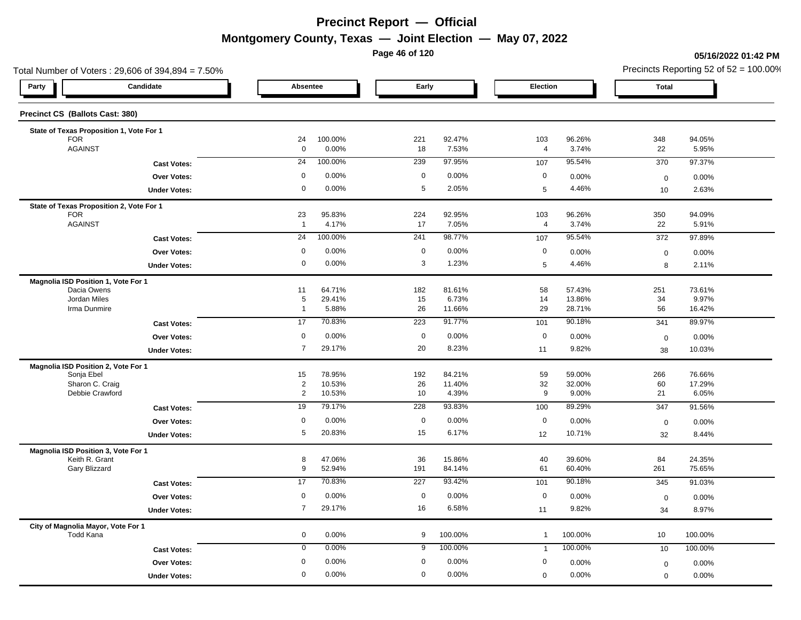**Page 46 of 120**

### **05/16/2022 01:42 PM**

|                                                        | Total Number of Voters: 29,606 of 394,894 = 7.50% |                           |                  |             |                 |                       |                 | Precincts Reporting 52 of $52 = 100.00\%$ |                 |  |
|--------------------------------------------------------|---------------------------------------------------|---------------------------|------------------|-------------|-----------------|-----------------------|-----------------|-------------------------------------------|-----------------|--|
| Party                                                  | Candidate                                         | Absentee                  |                  | Early       |                 | Election              |                 | <b>Total</b>                              |                 |  |
| Precinct CS (Ballots Cast: 380)                        |                                                   |                           |                  |             |                 |                       |                 |                                           |                 |  |
| State of Texas Proposition 1, Vote For 1               |                                                   |                           |                  |             |                 |                       |                 |                                           |                 |  |
| <b>FOR</b><br><b>AGAINST</b>                           |                                                   | 24<br>$\mathsf{O}\xspace$ | 100.00%<br>0.00% | 221<br>18   | 92.47%<br>7.53% | 103<br>$\overline{4}$ | 96.26%<br>3.74% | 348<br>22                                 | 94.05%<br>5.95% |  |
|                                                        | <b>Cast Votes:</b>                                | 24                        | 100.00%          | 239         | 97.95%          | 107                   | 95.54%          | 370                                       | 97.37%          |  |
|                                                        | Over Votes:                                       | 0                         | 0.00%            | $\mathbf 0$ | 0.00%           | $\mathbf 0$           | 0.00%           |                                           |                 |  |
|                                                        |                                                   | 0                         | 0.00%            | 5           | 2.05%           | 5                     | 4.46%           | $\pmb{0}$<br>10                           | 0.00%<br>2.63%  |  |
|                                                        | <b>Under Votes:</b>                               |                           |                  |             |                 |                       |                 |                                           |                 |  |
| State of Texas Proposition 2, Vote For 1<br><b>FOR</b> |                                                   | 23                        | 95.83%           | 224         | 92.95%          | 103                   | 96.26%          | 350                                       | 94.09%          |  |
| <b>AGAINST</b>                                         |                                                   | $\overline{1}$            | 4.17%            | 17          | 7.05%           | $\overline{4}$        | 3.74%           | 22                                        | 5.91%           |  |
|                                                        | <b>Cast Votes:</b>                                | 24                        | 100.00%          | 241         | 98.77%          | 107                   | 95.54%          | 372                                       | 97.89%          |  |
|                                                        | Over Votes:                                       | $\mathbf 0$               | 0.00%            | $\mathbf 0$ | 0.00%           | $\mathbf 0$           | 0.00%           | $\pmb{0}$                                 | 0.00%           |  |
|                                                        | <b>Under Votes:</b>                               | $\mathbf 0$               | 0.00%            | 3           | 1.23%           | 5                     | 4.46%           | 8                                         | 2.11%           |  |
|                                                        |                                                   |                           |                  |             |                 |                       |                 |                                           |                 |  |
| Magnolia ISD Position 1, Vote For 1<br>Dacia Owens     |                                                   | 11                        | 64.71%           | 182         | 81.61%          | 58                    | 57.43%          | 251                                       | 73.61%          |  |
| Jordan Miles                                           |                                                   | 5                         | 29.41%           | 15          | 6.73%           | 14                    | 13.86%          | 34                                        | 9.97%           |  |
| Irma Dunmire                                           |                                                   | $\mathbf{1}$              | 5.88%            | 26          | 11.66%          | 29                    | 28.71%          | 56                                        | 16.42%          |  |
|                                                        | <b>Cast Votes:</b>                                | 17                        | 70.83%           | 223         | 91.77%          | 101                   | 90.18%          | 341                                       | 89.97%          |  |
|                                                        | Over Votes:                                       | 0                         | 0.00%            | $\mathbf 0$ | 0.00%           | $\mathbf 0$           | 0.00%           | $\mathbf 0$                               | 0.00%           |  |
|                                                        | <b>Under Votes:</b>                               | $\overline{7}$            | 29.17%           | 20          | 8.23%           | 11                    | 9.82%           | 38                                        | 10.03%          |  |
| Magnolia ISD Position 2, Vote For 1                    |                                                   |                           |                  |             |                 |                       |                 |                                           |                 |  |
| Sonja Ebel                                             |                                                   | 15                        | 78.95%           | 192         | 84.21%          | 59                    | 59.00%          | 266                                       | 76.66%          |  |
| Sharon C. Craig                                        |                                                   | $\overline{2}$            | 10.53%           | 26          | 11.40%          | 32                    | 32.00%          | 60                                        | 17.29%          |  |
| Debbie Crawford                                        |                                                   | $\overline{2}$            | 10.53%           | 10          | 4.39%           | 9                     | 9.00%           | 21                                        | 6.05%           |  |
|                                                        | <b>Cast Votes:</b>                                | 19                        | 79.17%           | 228         | 93.83%          | 100                   | 89.29%          | 347                                       | 91.56%          |  |
|                                                        | Over Votes:                                       | $\mathbf 0$               | 0.00%            | $\mathbf 0$ | 0.00%           | $\mathbf 0$           | 0.00%           | $\boldsymbol{0}$                          | 0.00%           |  |
|                                                        | <b>Under Votes:</b>                               | 5                         | 20.83%           | 15          | 6.17%           | 12                    | 10.71%          | 32                                        | 8.44%           |  |
| Magnolia ISD Position 3, Vote For 1                    |                                                   |                           |                  |             |                 |                       |                 |                                           |                 |  |
| Keith R. Grant                                         |                                                   | 8                         | 47.06%           | 36          | 15.86%          | 40                    | 39.60%          | 84                                        | 24.35%          |  |
| Gary Blizzard                                          |                                                   | 9                         | 52.94%           | 191         | 84.14%          | 61                    | 60.40%          | 261                                       | 75.65%          |  |
|                                                        | <b>Cast Votes:</b>                                | 17                        | 70.83%           | 227         | 93.42%          | 101                   | 90.18%          | 345                                       | 91.03%          |  |
|                                                        | <b>Over Votes:</b>                                | 0                         | 0.00%            | $\mathbf 0$ | 0.00%           | $\mathbf 0$           | 0.00%           | $\mathbf 0$                               | 0.00%           |  |
|                                                        | <b>Under Votes:</b>                               | $\overline{7}$            | 29.17%           | 16          | 6.58%           | 11                    | 9.82%           | 34                                        | 8.97%           |  |
| City of Magnolia Mayor, Vote For 1<br><b>Todd Kana</b> |                                                   | 0                         | 0.00%            | 9           | 100.00%         | $\overline{1}$        | 100.00%         | 10                                        | 100.00%         |  |
|                                                        | <b>Cast Votes:</b>                                | $\mathbf 0$               | 0.00%            | 9           | 100.00%         | $\overline{1}$        | 100.00%         | 10                                        | 100.00%         |  |
|                                                        | <b>Over Votes:</b>                                | 0                         | 0.00%            | $\mathbf 0$ | 0.00%           | 0                     | 0.00%           | $\mathbf 0$                               | 0.00%           |  |
|                                                        | <b>Under Votes:</b>                               | $\mathbf 0$               | 0.00%            | $\mathbf 0$ | 0.00%           | $\mathbf 0$           | 0.00%           | $\mathbf 0$                               | 0.00%           |  |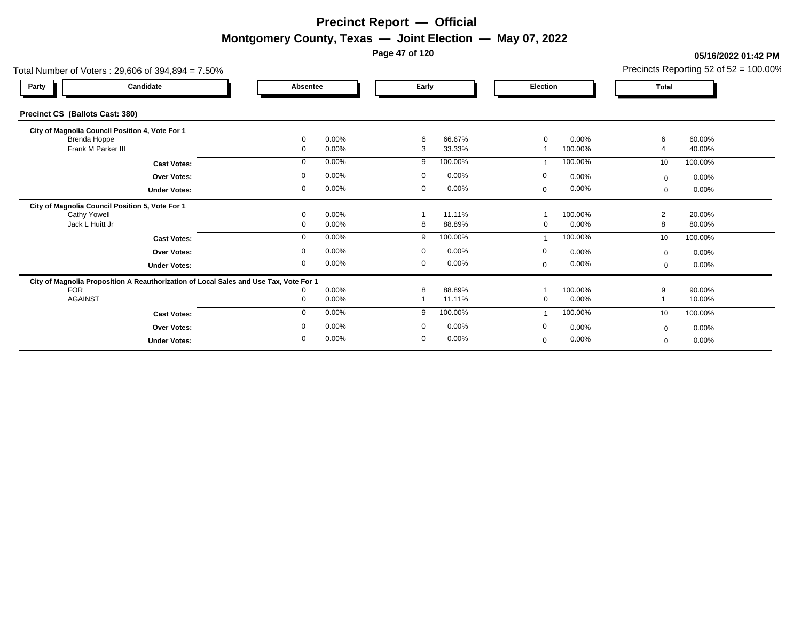**Page 47 of 120**

#### Total Number of Voters : 29,606 of 394,894 = 7.50% Precincts Reporting 52 of 52 = 100.00% **Party Candidate Absentee Early Election Total Precinct CS (Ballots Cast: 380) City of Magnolia Council Position 4, Vote For 1** Brenda Hoppe 0 0.00% 6 66.67% 0 0.00% 6 60.00% Frank M Parker III 0 0.00% 3 33.33% 1 100.00% 4 40.00% **Cast Votes:** 0 0.00% 9 100.00% 1 100.00% 10 100.00% **Under Votes: Over Votes:** 0.00% 0.00% 0.00% 0.00% 0.00% 0.00% 0.00% 0.00% 0.00% 0.00% 0.00% 0.00% 0.00% 0.00% 0.00% 0.00% 0.00% 0.00% 0.00% 0.00% 0.00% 0.00% 0.00% 0.00% 0.00% 0.00% 0.00% 0.00% 0.00% 0.00% 0.00% 0.00% 0.00% 0.00% 0.00 0.00% 0 0.00% 0 0.00% 0 0.00% 0 0.00% 0.00% 0 0.00%  $0$  0.00%  $0$  0.00%  $0$  0.00%  $0$  0.00%  $0$  0.00%  $0$  0.00% 0 0.00% 0.00% **City of Magnolia Council Position 5, Vote For 1** Cathy Yowell 0 0.00% 1 11.11% 1 100.00% 2 20.00% Jack L Huitt Jr 0 0.00% 8 88.89% 0 0.00% 8 80.00% **Cast Votes:** 0 0.00% 9 100.00% 1 100.00% 10 100.00% **Under Votes: Over Votes:** 0.00% 0.00% 0.00% 0.00% 0.00% 0.00% 0.00% 0.00% 0.00% 0.00% 0.00% 0.00% 0.00% 0.00% 0.00% 0.00% 0.00% 0.00% 0.00% 0.00% 0.00% 0.00% 0.00% 0.00% 0.00% 0.00% 0.00% 0.00% 0.00% 0.00% 0.00% 0.00% 0.00% 0.00% 0.00 0.00% 0 0.00% 0 0.00% 0 0.00% 0  $0.00\%$  0.00% 0 0.00%  $0$  0.00%  $0$  0.00%  $0$  0.00%  $0$  0.00%  $0$  0.00%  $0$  0.00% 0 0.00% 0.00% **City of Magnolia Proposition A Reauthorization of Local Sales and Use Tax, Vote For 1** FOR 0 0.00% 8 88.89% 1 100.00% 9 90.00% AGAINST 0 0.00% 1 11.11% 0 0.00% 1 10.00% **Cast Votes:** 0 0.00% 9 100.00% 1 100.00% 10 100.00% **Under Votes: Over Votes:** 0.00% 0.00% 0.00% 0.00% 0.00% 0.00% 0.00% 0.00% 0.00% 0.00% 0.00% 0.00% 0.00% 0.00% 0.00% 0.00% 0.00% 0.00% 0.00% 0.00% 0.00% 0.00% 0.00% 0.00% 0.00% 0.00% 0.00% 0.00% 0.00% 0.00% 0.00% 0.00% 0.00% 0.00% 0.00 0.00% 0 0.00% 0 0.00% 0.00% 0 0.00% 0.00%  $0.00\%$  $0$  0.00%  $0$  0.00%  $0$  0.00%  $0$  0.00%  $0$  0.00%  $0$  0.00% 0 0.00%  $0.00%$  $\Omega$

**05/16/2022 01:42 PM**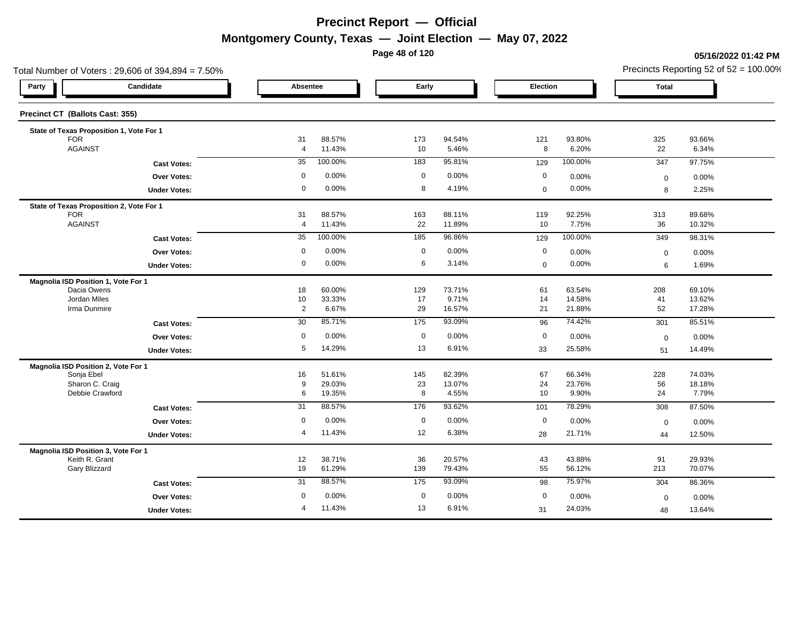**Page 48 of 120**

### **05/16/2022 01:42 PM**

|                                     | Total Number of Voters: 29,606 of 394,894 = 7.50% |                 |                  |                  |                  |             |                  |              | Precincts Reporting 52 of $52 = 100.00\%$ |
|-------------------------------------|---------------------------------------------------|-----------------|------------------|------------------|------------------|-------------|------------------|--------------|-------------------------------------------|
| Party                               | Candidate                                         | Absentee        |                  | Early            |                  | Election    |                  | <b>Total</b> |                                           |
| Precinct CT (Ballots Cast: 355)     |                                                   |                 |                  |                  |                  |             |                  |              |                                           |
|                                     | State of Texas Proposition 1, Vote For 1          |                 |                  |                  |                  |             |                  |              |                                           |
| <b>FOR</b><br><b>AGAINST</b>        |                                                   | 31              | 88.57%           | 173              | 94.54%           | 121         | 93.80%           | 325          | 93.66%                                    |
|                                     |                                                   | $\overline{4}$  | 11.43%           | 10               | 5.46%            | 8           | 6.20%            | 22           | 6.34%                                     |
|                                     | <b>Cast Votes:</b>                                | 35              | 100.00%          | 183              | 95.81%           | 129         | 100.00%          | 347          | 97.75%                                    |
|                                     | Over Votes:                                       | 0               | 0.00%            | $\mathbf 0$      | 0.00%            | $\mathbf 0$ | 0.00%            | $\mathbf 0$  | 0.00%                                     |
|                                     | <b>Under Votes:</b>                               | 0               | 0.00%            | 8                | 4.19%            | $\mathbf 0$ | 0.00%            | 8            | 2.25%                                     |
|                                     | State of Texas Proposition 2, Vote For 1          |                 |                  |                  |                  |             |                  |              |                                           |
| <b>FOR</b>                          |                                                   | 31              | 88.57%           | 163              | 88.11%           | 119         | 92.25%           | 313          | 89.68%                                    |
| <b>AGAINST</b>                      |                                                   | $\overline{4}$  | 11.43%           | 22               | 11.89%           | 10          | 7.75%            | 36           | 10.32%                                    |
|                                     | <b>Cast Votes:</b>                                | 35              | 100.00%          | 185              | 96.86%           | 129         | 100.00%          | 349          | 98.31%                                    |
|                                     | <b>Over Votes:</b>                                | $\mathbf 0$     | 0.00%            | $\mathbf 0$      | 0.00%            | $\mathbf 0$ | 0.00%            | $\mathbf 0$  | 0.00%                                     |
|                                     | <b>Under Votes:</b>                               | 0               | 0.00%            | 6                | 3.14%            | $\mathbf 0$ | 0.00%            | 6            | 1.69%                                     |
| Magnolia ISD Position 1, Vote For 1 |                                                   |                 |                  |                  |                  |             |                  |              |                                           |
| Dacia Owens                         |                                                   | 18              | 60.00%           | 129              | 73.71%           | 61          | 63.54%           | 208          | 69.10%                                    |
| Jordan Miles<br>Irma Dunmire        |                                                   | 10              | 33.33%           | 17               | 9.71%            | 14          | 14.58%           | 41           | 13.62%                                    |
|                                     |                                                   | $\overline{c}$  | 6.67%            | 29               | 16.57%           | 21          | 21.88%           | 52           | 17.28%                                    |
|                                     | <b>Cast Votes:</b>                                | 30              | 85.71%           | 175              | 93.09%           | 96          | 74.42%           | 301          | 85.51%                                    |
|                                     | Over Votes:                                       | 0               | 0.00%            | $\mathbf 0$      | 0.00%            | $\mathbf 0$ | 0.00%            | $\mathbf 0$  | 0.00%                                     |
|                                     | <b>Under Votes:</b>                               | 5               | 14.29%           | 13               | 6.91%            | 33          | 25.58%           | 51           | 14.49%                                    |
| Magnolia ISD Position 2, Vote For 1 |                                                   |                 |                  |                  |                  |             |                  |              |                                           |
| Sonja Ebel                          |                                                   | 16              | 51.61%           | 145              | 82.39%           | 67          | 66.34%           | 228          | 74.03%                                    |
|                                     | Sharon C. Craig<br>Debbie Crawford                | 9<br>6          | 29.03%<br>19.35% | 23<br>8          | 13.07%<br>4.55%  | 24<br>10    | 23.76%<br>9.90%  | 56<br>24     | 18.18%<br>7.79%                           |
|                                     | <b>Cast Votes:</b>                                | $\overline{31}$ | 88.57%           | 176              | 93.62%           | 101         | 78.29%           | 308          | 87.50%                                    |
|                                     | <b>Over Votes:</b>                                | $\mathbf 0$     | 0.00%            | $\boldsymbol{0}$ | 0.00%            | $\mathbf 0$ | 0.00%            |              |                                           |
|                                     |                                                   | $\overline{4}$  | 11.43%           | 12               | 6.38%            |             | 21.71%           | $\mathbf 0$  | 0.00%                                     |
|                                     | <b>Under Votes:</b>                               |                 |                  |                  |                  | 28          |                  | 44           | 12.50%                                    |
| Magnolia ISD Position 3, Vote For 1 |                                                   |                 | 38.71%           |                  |                  |             |                  |              |                                           |
| Gary Blizzard                       | Keith R. Grant                                    | 12<br>19        | 61.29%           | 36<br>139        | 20.57%<br>79.43% | 43<br>55    | 43.88%<br>56.12% | 91<br>213    | 29.93%<br>70.07%                          |
|                                     |                                                   | 31              | 88.57%           | 175              | 93.09%           | 98          | 75.97%           | 304          | 86.36%                                    |
|                                     | <b>Cast Votes:</b>                                |                 |                  |                  |                  |             |                  |              |                                           |
|                                     | <b>Over Votes:</b>                                | 0               | 0.00%            | $\mathbf 0$      | 0.00%            | $\mathbf 0$ | 0.00%            | $\mathbf 0$  | 0.00%                                     |
|                                     | <b>Under Votes:</b>                               | $\overline{4}$  | 11.43%           | 13               | 6.91%            | 31          | 24.03%           | 48           | 13.64%                                    |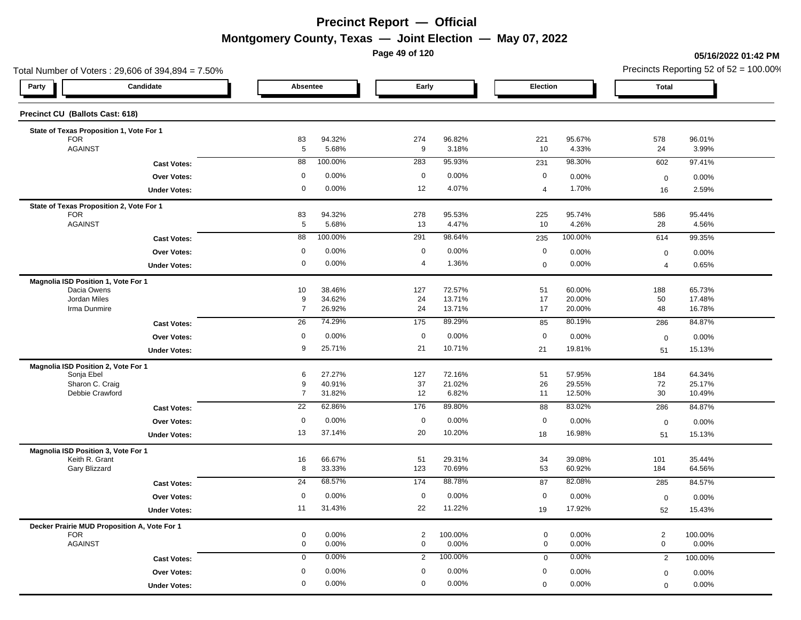**Page 49 of 120**

### **05/16/2022 01:42 PM**

| Total Number of Voters: 29,606 of 394,894 = 7.50%          |                     |                     |                  |                |                  |             | Precincts Reporting 52 of $52 = 100.00\%$ |                |                  |
|------------------------------------------------------------|---------------------|---------------------|------------------|----------------|------------------|-------------|-------------------------------------------|----------------|------------------|
| Candidate<br>Party                                         |                     | Absentee            |                  | Early          |                  | Election    |                                           | Total          |                  |
| Precinct CU (Ballots Cast: 618)                            |                     |                     |                  |                |                  |             |                                           |                |                  |
| State of Texas Proposition 1, Vote For 1                   |                     |                     |                  |                |                  |             |                                           |                |                  |
| <b>FOR</b>                                                 |                     | 83                  | 94.32%           | 274            | 96.82%           | 221         | 95.67%                                    | 578            | 96.01%           |
| <b>AGAINST</b>                                             |                     | $5\phantom{.0}$     | 5.68%            | 9              | 3.18%            | 10          | 4.33%                                     | 24             | 3.99%            |
|                                                            | <b>Cast Votes:</b>  | 88                  | 100.00%          | 283            | 95.93%           | 231         | 98.30%                                    | 602            | 97.41%           |
|                                                            | <b>Over Votes:</b>  | $\mathbf 0$         | 0.00%            | $\mathbf 0$    | 0.00%            | $\mathbf 0$ | 0.00%                                     | $\mathbf 0$    | 0.00%            |
|                                                            | <b>Under Votes:</b> | 0                   | 0.00%            | 12             | 4.07%            | 4           | 1.70%                                     | 16             | 2.59%            |
| State of Texas Proposition 2, Vote For 1                   |                     |                     |                  |                |                  |             |                                           |                |                  |
| <b>FOR</b><br><b>AGAINST</b>                               |                     | 83                  | 94.32%<br>5.68%  | 278            | 95.53%           | 225         | 95.74%<br>4.26%                           | 586            | 95.44%           |
|                                                            |                     | $\overline{5}$      |                  | 13             | 4.47%            | 10          |                                           | 28             | 4.56%            |
|                                                            | <b>Cast Votes:</b>  | 88                  | 100.00%          | 291            | 98.64%           | 235         | 100.00%                                   | 614            | 99.35%           |
|                                                            | Over Votes:         | 0                   | 0.00%            | $\mathbf 0$    | 0.00%            | $\mathbf 0$ | 0.00%                                     | $\mathbf 0$    | 0.00%            |
|                                                            | <b>Under Votes:</b> | 0                   | 0.00%            | 4              | 1.36%            | $\mathbf 0$ | 0.00%                                     | $\overline{4}$ | 0.65%            |
| Magnolia ISD Position 1, Vote For 1                        |                     |                     |                  |                |                  |             |                                           |                |                  |
| Dacia Owens<br>Jordan Miles                                |                     | 10<br>9             | 38.46%<br>34.62% | 127<br>24      | 72.57%<br>13.71% | 51<br>17    | 60.00%<br>20.00%                          | 188<br>50      | 65.73%<br>17.48% |
| Irma Dunmire                                               |                     | $\overline{7}$      | 26.92%           | 24             | 13.71%           | 17          | 20.00%                                    | 48             | 16.78%           |
|                                                            | <b>Cast Votes:</b>  | 26                  | 74.29%           | 175            | 89.29%           | 85          | 80.19%                                    | 286            | 84.87%           |
|                                                            | Over Votes:         | $\mathbf 0$         | 0.00%            | $\mathbf 0$    | 0.00%            | $\mathbf 0$ | 0.00%                                     | $\mathbf 0$    | 0.00%            |
|                                                            | <b>Under Votes:</b> | 9                   | 25.71%           | 21             | 10.71%           | 21          | 19.81%                                    | 51             | 15.13%           |
| Magnolia ISD Position 2, Vote For 1                        |                     |                     |                  |                |                  |             |                                           |                |                  |
| Sonja Ebel                                                 |                     | 6                   | 27.27%           | 127            | 72.16%           | 51          | 57.95%                                    | 184            | 64.34%           |
| Sharon C. Craig<br>Debbie Crawford                         |                     | 9<br>$\overline{7}$ | 40.91%<br>31.82% | 37<br>12       | 21.02%<br>6.82%  | 26<br>11    | 29.55%<br>12.50%                          | 72<br>30       | 25.17%<br>10.49% |
|                                                            |                     | $\overline{22}$     | 62.86%           | 176            | 89.80%           |             | 83.02%                                    |                | 84.87%           |
|                                                            | <b>Cast Votes:</b>  |                     |                  |                |                  | 88          |                                           | 286            |                  |
|                                                            | <b>Over Votes:</b>  | $\mathbf 0$         | 0.00%            | $\mathbf 0$    | 0.00%            | $\mathbf 0$ | 0.00%                                     | $\mathbf 0$    | 0.00%            |
|                                                            | <b>Under Votes:</b> | 13                  | 37.14%           | 20             | 10.20%           | 18          | 16.98%                                    | 51             | 15.13%           |
| Magnolia ISD Position 3, Vote For 1<br>Keith R. Grant      |                     | 16                  | 66.67%           | 51             | 29.31%           | 34          | 39.08%                                    | 101            | 35.44%           |
| Gary Blizzard                                              |                     | 8                   | 33.33%           | 123            | 70.69%           | 53          | 60.92%                                    | 184            | 64.56%           |
|                                                            | <b>Cast Votes:</b>  | $\overline{24}$     | 68.57%           | 174            | 88.78%           | 87          | 82.08%                                    | 285            | 84.57%           |
|                                                            | Over Votes:         | 0                   | 0.00%            | $\mathbf 0$    | 0.00%            | $\mathbf 0$ | 0.00%                                     | $\mathbf 0$    | 0.00%            |
|                                                            | <b>Under Votes:</b> | 11                  | 31.43%           | 22             | 11.22%           | 19          | 17.92%                                    | 52             | 15.43%           |
|                                                            |                     |                     |                  |                |                  |             |                                           |                |                  |
| Decker Prairie MUD Proposition A, Vote For 1<br><b>FOR</b> |                     | $\mathbf 0$         | 0.00%            | $\overline{2}$ | 100.00%          | $\mathbf 0$ | 0.00%                                     | $\overline{2}$ | 100.00%          |
| <b>AGAINST</b>                                             |                     | 0                   | 0.00%            | $\mathbf 0$    | 0.00%            | $\mathbf 0$ | 0.00%                                     | $\mathbf 0$    | 0.00%            |
|                                                            | <b>Cast Votes:</b>  | $\mathbf 0$         | 0.00%            | $\overline{2}$ | 100.00%          | $\mathbf 0$ | 0.00%                                     | $\overline{2}$ | 100.00%          |
|                                                            | Over Votes:         | 0                   | 0.00%            | 0              | 0.00%            | 0           | 0.00%                                     | $\mathbf 0$    | 0.00%            |
|                                                            | <b>Under Votes:</b> | 0                   | $0.00\%$         | 0              | $0.00\%$         | 0           | 0.00%                                     | $\mathbf 0$    | 0.00%            |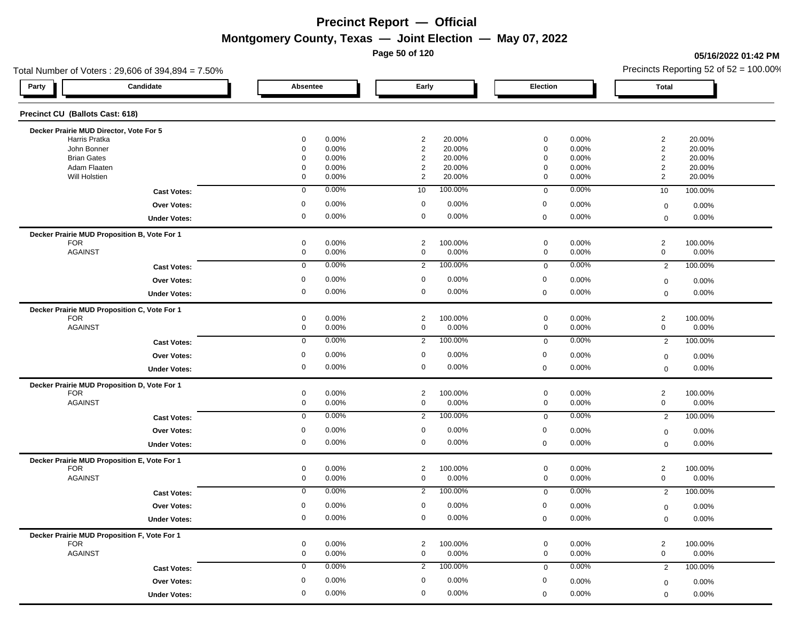**Page 50 of 120**

### **05/16/2022 01:42 PM**

| Total Number of Voters: 29,606 of 394,894 = 7.50% |                      |                |         |                      |                  | Precincts Reporting 52 of $52 = 100.00\%$ |
|---------------------------------------------------|----------------------|----------------|---------|----------------------|------------------|-------------------------------------------|
| Candidate<br>Party                                | Absentee             | Early          |         | Election             | Total            |                                           |
| Precinct CU (Ballots Cast: 618)                   |                      |                |         |                      |                  |                                           |
| Decker Prairie MUD Director, Vote For 5           |                      |                |         |                      |                  |                                           |
| Harris Pratka                                     | 0.00%<br>0           | $\overline{2}$ | 20.00%  | 0.00%<br>0           | $\overline{2}$   | 20.00%                                    |
| John Bonner                                       | 0.00%<br>$\mathbf 0$ | $\overline{c}$ | 20.00%  | $\mathbf 0$<br>0.00% | $\overline{2}$   | 20.00%                                    |
| <b>Brian Gates</b>                                | 0.00%<br>0           | $\overline{2}$ | 20.00%  | $\mathbf 0$<br>0.00% | $\overline{2}$   | 20.00%                                    |
| Adam Flaaten                                      | 0.00%<br>0           | $\overline{2}$ | 20.00%  | $\mathbf 0$<br>0.00% | $\overline{2}$   | 20.00%                                    |
| Will Holstien                                     | 0<br>0.00%           | $\overline{2}$ | 20.00%  | $\mathbf 0$<br>0.00% | 2                | 20.00%                                    |
| <b>Cast Votes:</b>                                | $\mathbf 0$<br>0.00% | 10             | 100.00% | 0.00%<br>$\mathbf 0$ | 10               | 100.00%                                   |
| Over Votes:                                       | 0.00%<br>0           | $\mathbf 0$    | 0.00%   | $\mathbf 0$<br>0.00% | $\mathbf 0$      | 0.00%                                     |
| <b>Under Votes:</b>                               | 0<br>0.00%           | $\mathbf 0$    | 0.00%   | 0.00%<br>$\mathbf 0$ | $\mathbf 0$      | 0.00%                                     |
| Decker Prairie MUD Proposition B, Vote For 1      |                      |                |         |                      |                  |                                           |
| <b>FOR</b>                                        | 0<br>0.00%           | $\overline{2}$ | 100.00% | $\mathbf 0$<br>0.00% | $\overline{2}$   | 100.00%                                   |
| <b>AGAINST</b>                                    | 0<br>0.00%           | $\mathbf 0$    | 0.00%   | $\mathbf 0$<br>0.00% | $\mathbf 0$      | 0.00%                                     |
| <b>Cast Votes:</b>                                | 0.00%<br>$\mathbf 0$ | $\overline{2}$ | 100.00% | 0.00%<br>$\mathbf 0$ | $\overline{2}$   | 100.00%                                   |
| Over Votes:                                       | 0.00%<br>0           | 0              | 0.00%   | 0<br>0.00%           | $\mathbf 0$      | 0.00%                                     |
| <b>Under Votes:</b>                               | 0.00%<br>0           | 0              | 0.00%   | 0.00%<br>$\mathbf 0$ | $\mathbf 0$      | 0.00%                                     |
| Decker Prairie MUD Proposition C, Vote For 1      |                      |                |         |                      |                  |                                           |
| <b>FOR</b>                                        | 0<br>0.00%           | $\overline{2}$ | 100.00% | $\mathbf 0$<br>0.00% | $\overline{2}$   | 100.00%                                   |
| <b>AGAINST</b>                                    | 0.00%<br>0           | $\mathbf 0$    | 0.00%   | $\mathbf 0$<br>0.00% | $\mathbf 0$      | 0.00%                                     |
| <b>Cast Votes:</b>                                | 0.00%<br>$\mathbf 0$ | $\overline{2}$ | 100.00% | 0.00%<br>$\mathbf 0$ | $\overline{2}$   | 100.00%                                   |
| Over Votes:                                       | 0.00%<br>0           | $\mathbf 0$    | 0.00%   | $\mathbf 0$<br>0.00% | $\boldsymbol{0}$ | 0.00%                                     |
| <b>Under Votes:</b>                               | 0<br>0.00%           | $\mathbf 0$    | 0.00%   | 0.00%<br>$\mathbf 0$ | $\mathbf 0$      | 0.00%                                     |
| Decker Prairie MUD Proposition D, Vote For 1      |                      |                |         |                      |                  |                                           |
| <b>FOR</b>                                        | 0<br>0.00%           | $\overline{2}$ | 100.00% | $\mathbf 0$<br>0.00% | $\overline{c}$   | 100.00%                                   |
| <b>AGAINST</b>                                    | 0<br>0.00%           | $\mathbf 0$    | 0.00%   | $\mathbf 0$<br>0.00% | $\mathbf 0$      | 0.00%                                     |
| <b>Cast Votes:</b>                                | 0.00%<br>$\mathbf 0$ | $\overline{2}$ | 100.00% | 0.00%<br>$\mathbf 0$ | $\overline{2}$   | 100.00%                                   |
| Over Votes:                                       | 0.00%<br>0           | 0              | 0.00%   | 0<br>0.00%           | $\mathbf 0$      | 0.00%                                     |
| <b>Under Votes:</b>                               | 0<br>0.00%           | $\mathbf 0$    | 0.00%   | 0.00%<br>$\mathbf 0$ | $\mathbf 0$      | 0.00%                                     |
| Decker Prairie MUD Proposition E, Vote For 1      |                      |                |         |                      |                  |                                           |
| <b>FOR</b>                                        | 0<br>0.00%           | $\overline{2}$ | 100.00% | $\mathbf 0$<br>0.00% | $\overline{2}$   | 100.00%                                   |
| <b>AGAINST</b>                                    | 0.00%<br>0           | 0              | 0.00%   | 0.00%<br>$\mathbf 0$ | $\mathbf 0$      | 0.00%                                     |
| <b>Cast Votes:</b>                                | 0.00%<br>0           | $\overline{2}$ | 100.00% | 0.00%<br>$\mathbf 0$ | $\overline{2}$   | 100.00%                                   |
| <b>Over Votes:</b>                                | 0.00%<br>0           | $\mathbf 0$    | 0.00%   | 0<br>0.00%           | $\mathbf 0$      | 0.00%                                     |
| <b>Under Votes:</b>                               | 0.00%<br>$\mathbf 0$ | $\mathbf 0$    | 0.00%   | 0.00%<br>$\Omega$    | $\mathbf 0$      | 0.00%                                     |
| Decker Prairie MUD Proposition F, Vote For 1      |                      |                |         |                      |                  |                                           |
| <b>FOR</b>                                        | 0.00%<br>0           | $\overline{2}$ | 100.00% | 0.00%<br>$\mathbf 0$ | $\overline{2}$   | 100.00%                                   |
| <b>AGAINST</b>                                    | 0<br>0.00%           | 0              | 0.00%   | $\mathbf 0$<br>0.00% | $\mathbf 0$      | 0.00%                                     |
| <b>Cast Votes:</b>                                | $\mathbf 0$<br>0.00% | $\overline{2}$ | 100.00% | 0.00%<br>$\mathbf 0$ | $\overline{2}$   | 100.00%                                   |
| Over Votes:                                       | 0.00%<br>0           | 0              | 0.00%   | 0<br>0.00%           | $\mathbf 0$      | $0.00\%$                                  |
|                                                   | 0<br>0.00%           | $\mathbf 0$    | 0.00%   | 0.00%<br>$\mathbf 0$ |                  | 0.00%                                     |
| <b>Under Votes:</b>                               |                      |                |         |                      | $\mathbf 0$      |                                           |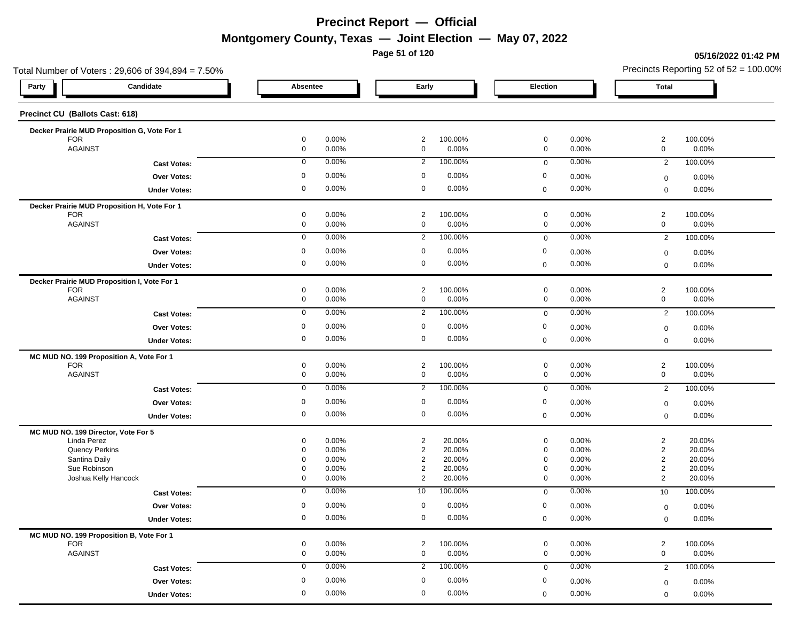**Page 51 of 120**

### **05/16/2022 01:42 PM**

| Total Number of Voters: 29,606 of 394,894 = 7.50%          |             |                                                    |                  |                            |                | Precincts Reporting 52 of $52 = 100.00\%$            |  |  |  |
|------------------------------------------------------------|-------------|----------------------------------------------------|------------------|----------------------------|----------------|------------------------------------------------------|--|--|--|
| Candidate<br>Party                                         | Absentee    | Early                                              |                  | Election                   |                | Total                                                |  |  |  |
| Precinct CU (Ballots Cast: 618)                            |             |                                                    |                  |                            |                |                                                      |  |  |  |
| Decker Prairie MUD Proposition G, Vote For 1               |             |                                                    |                  |                            |                |                                                      |  |  |  |
| <b>FOR</b>                                                 | 0           | 0.00%<br>$\overline{2}$                            | 100.00%          | $\mathbf 0$                | 0.00%          | $\overline{2}$<br>100.00%                            |  |  |  |
| <b>AGAINST</b>                                             | 0           | 0.00%<br>$\mathbf 0$                               | 0.00%            | $\mathbf 0$                | 0.00%          | $\mathbf 0$<br>0.00%                                 |  |  |  |
| <b>Cast Votes:</b>                                         | $\mathbf 0$ | 0.00%<br>$\overline{2}$                            | 100.00%          | $\mathbf 0$                | 0.00%          | 100.00%<br>$\overline{2}$                            |  |  |  |
| <b>Over Votes:</b>                                         | 0           | 0.00%<br>0                                         | 0.00%            | 0                          | 0.00%          | 0.00%<br>$\mathbf 0$                                 |  |  |  |
| <b>Under Votes:</b>                                        | 0           | 0.00%<br>0                                         | 0.00%            | $\mathbf 0$                | 0.00%          | $0.00\%$<br>$\mathbf 0$                              |  |  |  |
| Decker Prairie MUD Proposition H, Vote For 1               |             |                                                    |                  |                            |                |                                                      |  |  |  |
| <b>FOR</b><br><b>AGAINST</b>                               | 0<br>0      | 0.00%<br>$\overline{2}$<br>0.00%<br>0              | 100.00%<br>0.00% | $\mathbf 0$<br>$\mathbf 0$ | 0.00%<br>0.00% | $\overline{2}$<br>100.00%<br>$\mathbf 0$<br>0.00%    |  |  |  |
|                                                            | $\mathbf 0$ | 0.00%                                              | 100.00%          |                            | 0.00%          | 100.00%                                              |  |  |  |
| <b>Cast Votes:</b>                                         |             | $\overline{2}$                                     |                  | $\mathbf 0$                |                | $\overline{2}$                                       |  |  |  |
| <b>Over Votes:</b>                                         | 0           | 0.00%<br>$\mathbf 0$                               | 0.00%            | $\mathbf 0$                | 0.00%          | 0.00%<br>$\mathbf 0$                                 |  |  |  |
| <b>Under Votes:</b>                                        | 0           | 0.00%<br>$\mathbf 0$                               | 0.00%            | $\mathbf 0$                | 0.00%          | 0.00%<br>$\mathbf 0$                                 |  |  |  |
| Decker Prairie MUD Proposition I, Vote For 1<br><b>FOR</b> | 0           | 0.00%<br>$\overline{2}$                            | 100.00%          | $\mathbf 0$                | 0.00%          | $\overline{c}$<br>100.00%                            |  |  |  |
| <b>AGAINST</b>                                             | 0           | 0.00%<br>$\mathbf 0$                               | 0.00%            | $\mathbf 0$                | 0.00%          | $\mathbf 0$<br>0.00%                                 |  |  |  |
| <b>Cast Votes:</b>                                         | $\mathbf 0$ | 0.00%<br>$\overline{2}$                            | 100.00%          | $\mathbf 0$                | 0.00%          | 100.00%<br>$\overline{2}$                            |  |  |  |
| Over Votes:                                                | 0           | 0.00%<br>$\mathbf 0$                               | 0.00%            | $\mathbf 0$                | 0.00%          | 0.00%                                                |  |  |  |
|                                                            | 0           | 0.00%<br>$\mathbf 0$                               | 0.00%            |                            | 0.00%          | $\mathbf 0$                                          |  |  |  |
| <b>Under Votes:</b>                                        |             |                                                    |                  | $\mathbf 0$                |                | 0.00%<br>$\mathbf 0$                                 |  |  |  |
| MC MUD NO. 199 Proposition A, Vote For 1                   |             |                                                    |                  |                            |                |                                                      |  |  |  |
| <b>FOR</b><br><b>AGAINST</b>                               | 0<br>0      | 0.00%<br>$\overline{2}$<br>0.00%<br>$\mathbf 0$    | 100.00%<br>0.00% | $\mathbf 0$<br>$\mathbf 0$ | 0.00%<br>0.00% | $\overline{2}$<br>100.00%<br>$\mathbf 0$<br>0.00%    |  |  |  |
| <b>Cast Votes:</b>                                         | $\mathbf 0$ | 0.00%<br>$\overline{2}$                            | 100.00%          | $\mathbf 0$                | 0.00%          | $\overline{2}$<br>100.00%                            |  |  |  |
|                                                            | 0           | 0.00%<br>$\mathbf 0$                               | 0.00%            | $\mathbf 0$                | 0.00%          |                                                      |  |  |  |
| Over Votes:                                                | 0           | 0.00%<br>$\mathbf 0$                               | 0.00%            |                            | 0.00%          | 0.00%<br>$\mathbf 0$                                 |  |  |  |
| <b>Under Votes:</b>                                        |             |                                                    |                  | $\mathbf 0$                |                | 0.00%<br>$\mathbf 0$                                 |  |  |  |
| MC MUD NO. 199 Director, Vote For 5                        |             |                                                    |                  |                            |                |                                                      |  |  |  |
| Linda Perez<br>Quency Perkins                              | 0<br>0      | 0.00%<br>$\overline{2}$<br>0.00%<br>$\overline{c}$ | 20.00%<br>20.00% | $\mathbf 0$<br>$\mathbf 0$ | 0.00%<br>0.00% | $\overline{2}$<br>20.00%<br>$\overline{2}$<br>20.00% |  |  |  |
| Santina Daily                                              | 0           | 0.00%<br>$\overline{2}$                            | 20.00%           | $\mathbf 0$                | 0.00%          | $\overline{2}$<br>20.00%                             |  |  |  |
| Sue Robinson                                               | 0           | 0.00%<br>$\overline{2}$                            | 20.00%           | $\mathbf 0$                | 0.00%          | $\overline{c}$<br>20.00%                             |  |  |  |
| Joshua Kelly Hancock                                       | 0           | $\overline{2}$<br>0.00%                            | 20.00%           | $\mathbf 0$                | 0.00%          | $\overline{2}$<br>20.00%                             |  |  |  |
| <b>Cast Votes:</b>                                         | 0           | 0.00%<br>10                                        | 100.00%          | $\mathbf 0$                | 0.00%          | 10<br>100.00%                                        |  |  |  |
| <b>Over Votes:</b>                                         | 0           | 0.00%<br>$\mathbf 0$                               | 0.00%            | 0                          | 0.00%          | 0.00%<br>$\mathbf 0$                                 |  |  |  |
| <b>Under Votes:</b>                                        | $\mathbf 0$ | 0.00%<br>$\mathbf 0$                               | 0.00%            | $\Omega$                   | 0.00%          | 0.00%<br>$\mathbf 0$                                 |  |  |  |
| MC MUD NO. 199 Proposition B, Vote For 1                   |             |                                                    |                  |                            |                |                                                      |  |  |  |
| <b>FOR</b>                                                 | 0           | 0.00%<br>$\overline{2}$                            | 100.00%          | $\mathbf 0$                | 0.00%          | $\overline{2}$<br>100.00%                            |  |  |  |
| <b>AGAINST</b>                                             | 0           | 0.00%<br>$\mathbf 0$                               | 0.00%            | $\mathbf 0$                | 0.00%          | $\mathbf 0$<br>0.00%                                 |  |  |  |
| <b>Cast Votes:</b>                                         | $\mathbf 0$ | 0.00%<br>$\overline{2}$                            | 100.00%          | $\mathbf 0$                | 0.00%          | 100.00%<br>$\overline{2}$                            |  |  |  |
| Over Votes:                                                | 0           | 0.00%<br>0                                         | 0.00%            | 0                          | 0.00%          | $0.00\%$<br>$\mathbf 0$                              |  |  |  |
| <b>Under Votes:</b>                                        | 0           | 0.00%<br>$\mathbf 0$                               | 0.00%            | $\mathbf 0$                | 0.00%          | 0.00%<br>$\mathbf 0$                                 |  |  |  |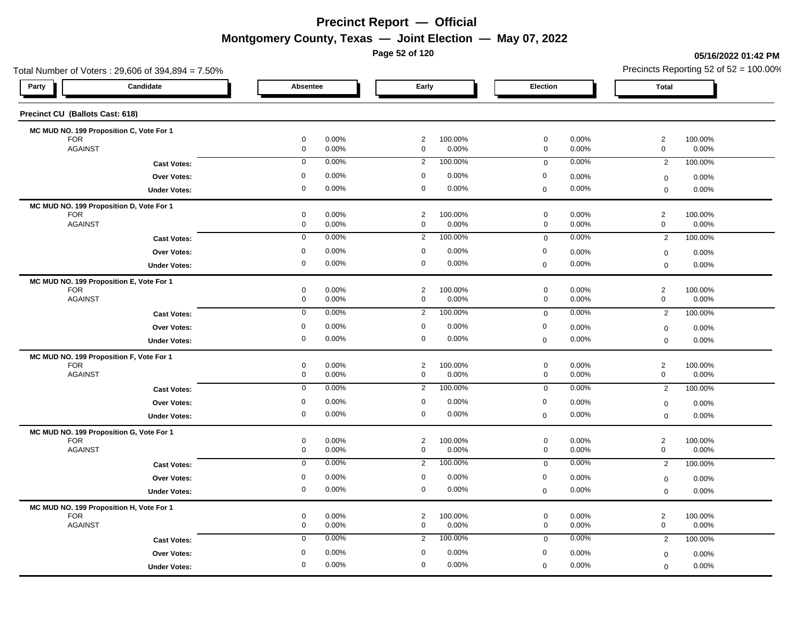**Page 52 of 120**

### **05/16/2022 01:42 PM**

| Total Number of Voters: 29,606 of 394,894 = 7.50%      |                                                      |                               |                  |                                                      | Precincts Reporting 52 of $52 = 100.00\%$        |                  |
|--------------------------------------------------------|------------------------------------------------------|-------------------------------|------------------|------------------------------------------------------|--------------------------------------------------|------------------|
| Candidate<br>Party                                     | Absentee                                             | Early                         |                  | Election                                             | <b>Total</b>                                     |                  |
| Precinct CU (Ballots Cast: 618)                        |                                                      |                               |                  |                                                      |                                                  |                  |
| MC MUD NO. 199 Proposition C, Vote For 1               |                                                      |                               |                  |                                                      |                                                  |                  |
| <b>FOR</b><br><b>AGAINST</b>                           | $\mathbf 0$<br>0.00%<br>$\mathsf{O}\xspace$<br>0.00% | $\overline{2}$<br>$\mathsf 0$ | 100.00%<br>0.00% | $\mathbf 0$<br>0.00%<br>$\mathsf{O}\xspace$<br>0.00% | $\overline{2}$<br>100.00%<br>$\mathsf{O}\xspace$ | 0.00%            |
|                                                        | $\mathbf 0$<br>0.00%                                 | $\overline{2}$                | 100.00%          | 0.00%<br>$\mathbf 0$                                 | $\overline{2}$                                   | 100.00%          |
| <b>Cast Votes:</b>                                     |                                                      | $\mathbf 0$                   |                  |                                                      |                                                  |                  |
| Over Votes:                                            | 0<br>0.00%                                           |                               | 0.00%            | $\boldsymbol{0}$<br>0.00%                            | $\boldsymbol{0}$                                 | 0.00%            |
| <b>Under Votes:</b>                                    | 0<br>0.00%                                           | $\mathbf 0$                   | 0.00%            | 0.00%<br>$\mathbf 0$                                 | $\mathbf 0$                                      | 0.00%            |
| MC MUD NO. 199 Proposition D, Vote For 1               |                                                      |                               |                  |                                                      |                                                  |                  |
| <b>FOR</b><br><b>AGAINST</b>                           | 0<br>0.00%<br>$\mathsf{O}\xspace$<br>0.00%           | $\overline{2}$<br>$\mathbf 0$ | 100.00%<br>0.00% | $\mathbf 0$<br>0.00%<br>$\mathsf{O}\xspace$<br>0.00% | $\overline{2}$<br>$\mathsf 0$                    | 100.00%<br>0.00% |
| <b>Cast Votes:</b>                                     | 0.00%<br>$\mathbf 0$                                 | $\overline{2}$                | 100.00%          | 0.00%<br>$\mathbf 0$                                 | $\overline{2}$                                   | 100.00%          |
| <b>Over Votes:</b>                                     | 0<br>0.00%                                           | $\mathbf 0$                   | 0.00%            | $\boldsymbol{0}$<br>0.00%                            |                                                  |                  |
|                                                        | 0<br>0.00%                                           | $\mathbf 0$                   | 0.00%            | 0.00%<br>$\mathbf 0$                                 | $\boldsymbol{0}$<br>$\mathbf 0$                  | 0.00%<br>0.00%   |
| <b>Under Votes:</b>                                    |                                                      |                               |                  |                                                      |                                                  |                  |
| MC MUD NO. 199 Proposition E, Vote For 1<br><b>FOR</b> | 0.00%<br>0                                           | 2                             | 100.00%          | $\mathbf 0$<br>0.00%                                 | $\overline{2}$                                   | 100.00%          |
| <b>AGAINST</b>                                         | $\mathsf{O}\xspace$<br>0.00%                         | $\mathbf 0$                   | 0.00%            | $\mathbf 0$<br>0.00%                                 | $\mathsf{O}\xspace$                              | 0.00%            |
| <b>Cast Votes:</b>                                     | 0.00%<br>$\mathbf 0$                                 | $\overline{2}$                | 100.00%          | 0.00%<br>$\mathbf 0$                                 | $\overline{2}$                                   | 100.00%          |
| Over Votes:                                            | 0.00%<br>$\mathbf 0$                                 | $\mathbf 0$                   | 0.00%            | $\mathbf 0$<br>0.00%                                 |                                                  | 0.00%            |
| <b>Under Votes:</b>                                    | 0<br>0.00%                                           | $\mathbf 0$                   | 0.00%            | 0.00%<br>$\mathbf 0$                                 | $\boldsymbol{0}$<br>$\mathbf 0$                  | 0.00%            |
|                                                        |                                                      |                               |                  |                                                      |                                                  |                  |
| MC MUD NO. 199 Proposition F, Vote For 1<br><b>FOR</b> | 0.00%<br>0                                           | $\overline{2}$                | 100.00%          | $\mathbf 0$<br>0.00%                                 | $\overline{2}$<br>100.00%                        |                  |
| <b>AGAINST</b>                                         | 0<br>0.00%                                           | $\mathbf 0$                   | 0.00%            | $\mathbf 0$<br>0.00%                                 | $\mathsf{O}\xspace$                              | 0.00%            |
| <b>Cast Votes:</b>                                     | 0.00%<br>$\mathbf 0$                                 | $\overline{2}$                | 100.00%          | 0.00%<br>$\mathbf 0$                                 | $\overline{2}$                                   | 100.00%          |
| Over Votes:                                            | 0.00%<br>$\mathbf 0$                                 | $\mathbf 0$                   | 0.00%            | $\mathbf 0$<br>0.00%                                 | $\boldsymbol{0}$                                 | 0.00%            |
| <b>Under Votes:</b>                                    | 0<br>0.00%                                           | $\mathbf 0$                   | 0.00%            | 0.00%<br>$\boldsymbol{0}$                            | $\mathbf 0$                                      | 0.00%            |
|                                                        |                                                      |                               |                  |                                                      |                                                  |                  |
| MC MUD NO. 199 Proposition G, Vote For 1<br><b>FOR</b> | $\mathbf 0$<br>0.00%                                 | $\overline{c}$                | 100.00%          | $\mathbf 0$<br>0.00%                                 | $\overline{c}$                                   | 100.00%          |
| <b>AGAINST</b>                                         | 0<br>0.00%                                           | $\mathbf 0$                   | 0.00%            | $\mathbf 0$<br>0.00%                                 | $\mathbf 0$                                      | 0.00%            |
| <b>Cast Votes:</b>                                     | 0.00%<br>$\mathbf 0$                                 | $\overline{2}$                | 100.00%          | 0.00%<br>$\mathsf 0$                                 | $\overline{2}$                                   | 100.00%          |
| Over Votes:                                            | 0.00%<br>$\mathbf 0$                                 | $\mathbf 0$                   | 0.00%            | $\mathbf 0$<br>0.00%                                 | $\mathbf 0$                                      | 0.00%            |
| <b>Under Votes:</b>                                    | 0<br>0.00%                                           | $\mathbf 0$                   | 0.00%            | 0.00%<br>$\pmb{0}$                                   | $\mathbf 0$                                      | 0.00%            |
| MC MUD NO. 199 Proposition H, Vote For 1               |                                                      |                               |                  |                                                      |                                                  |                  |
| <b>FOR</b>                                             | $\mathbf 0$<br>0.00%                                 | $\overline{c}$                | 100.00%          | $\mathbf 0$<br>0.00%                                 | $\overline{c}$                                   | 100.00%          |
| <b>AGAINST</b>                                         | 0<br>0.00%                                           | $\mathbf 0$                   | 0.00%            | $\mathbf 0$<br>0.00%                                 | $\mathbf 0$                                      | 0.00%            |
| <b>Cast Votes:</b>                                     | 0.00%<br>$\mathbf 0$                                 | $\overline{2}$                | 100.00%          | 0.00%<br>$\mathbf 0$                                 | $\overline{2}$                                   | 100.00%          |
| <b>Over Votes:</b>                                     | 0.00%<br>$\mathbf 0$                                 | $\mathbf 0$                   | 0.00%            | 0<br>0.00%                                           | $\mathbf 0$                                      | $0.00\%$         |
| <b>Under Votes:</b>                                    | 0.00%<br>0                                           | $\mathbf 0$                   | 0.00%            | 0.00%<br>$\mathbf 0$                                 | $\mathbf 0$                                      | 0.00%            |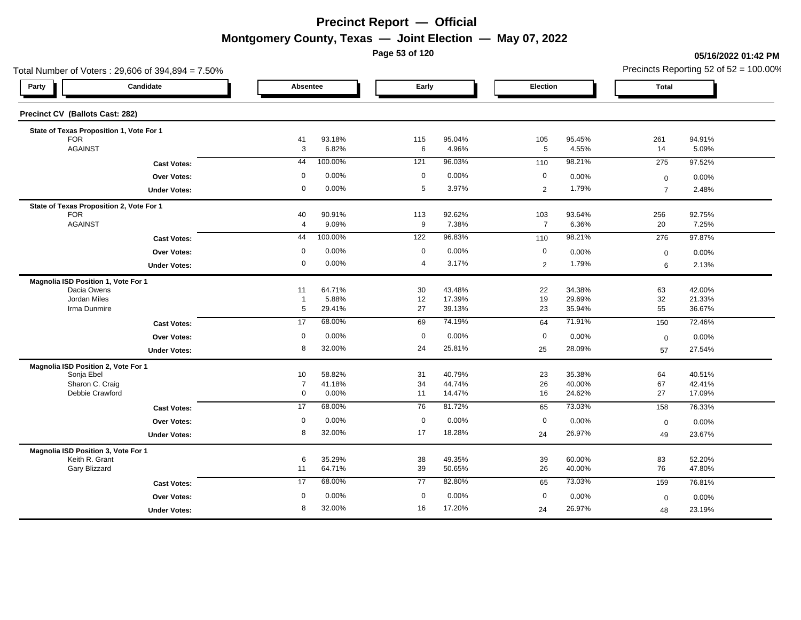**Page 53 of 120**

### **05/16/2022 01:42 PM**

| Candidate<br>Party |                                                                                                                                                                                                                                                                                                                                                                                                                |                                                                                                                                   | Early                                                                                                                                                               |                                                                                                    | Election                                                                                                                                       |                                                                                                                                                  | <b>Total</b>                                                                                                                                   |                                                                                                                    |
|--------------------|----------------------------------------------------------------------------------------------------------------------------------------------------------------------------------------------------------------------------------------------------------------------------------------------------------------------------------------------------------------------------------------------------------------|-----------------------------------------------------------------------------------------------------------------------------------|---------------------------------------------------------------------------------------------------------------------------------------------------------------------|----------------------------------------------------------------------------------------------------|------------------------------------------------------------------------------------------------------------------------------------------------|--------------------------------------------------------------------------------------------------------------------------------------------------|------------------------------------------------------------------------------------------------------------------------------------------------|--------------------------------------------------------------------------------------------------------------------|
|                    |                                                                                                                                                                                                                                                                                                                                                                                                                |                                                                                                                                   |                                                                                                                                                                     |                                                                                                    |                                                                                                                                                |                                                                                                                                                  |                                                                                                                                                |                                                                                                                    |
|                    |                                                                                                                                                                                                                                                                                                                                                                                                                |                                                                                                                                   |                                                                                                                                                                     |                                                                                                    |                                                                                                                                                |                                                                                                                                                  |                                                                                                                                                |                                                                                                                    |
|                    |                                                                                                                                                                                                                                                                                                                                                                                                                |                                                                                                                                   |                                                                                                                                                                     |                                                                                                    |                                                                                                                                                |                                                                                                                                                  |                                                                                                                                                | 94.91%                                                                                                             |
|                    |                                                                                                                                                                                                                                                                                                                                                                                                                |                                                                                                                                   |                                                                                                                                                                     |                                                                                                    |                                                                                                                                                |                                                                                                                                                  |                                                                                                                                                | 5.09%                                                                                                              |
|                    |                                                                                                                                                                                                                                                                                                                                                                                                                |                                                                                                                                   |                                                                                                                                                                     |                                                                                                    |                                                                                                                                                |                                                                                                                                                  |                                                                                                                                                | 97.52%                                                                                                             |
|                    | 0                                                                                                                                                                                                                                                                                                                                                                                                              | 0.00%                                                                                                                             | $\mathbf 0$                                                                                                                                                         | 0.00%                                                                                              | $\mathbf 0$                                                                                                                                    | 0.00%                                                                                                                                            | $\mathsf 0$                                                                                                                                    | 0.00%                                                                                                              |
|                    | 0                                                                                                                                                                                                                                                                                                                                                                                                              | 0.00%                                                                                                                             | 5                                                                                                                                                                   | 3.97%                                                                                              | $\overline{2}$                                                                                                                                 | 1.79%                                                                                                                                            | $\overline{7}$                                                                                                                                 | 2.48%                                                                                                              |
|                    |                                                                                                                                                                                                                                                                                                                                                                                                                |                                                                                                                                   |                                                                                                                                                                     |                                                                                                    |                                                                                                                                                |                                                                                                                                                  |                                                                                                                                                |                                                                                                                    |
|                    | 40                                                                                                                                                                                                                                                                                                                                                                                                             | 90.91%                                                                                                                            | 113                                                                                                                                                                 | 92.62%                                                                                             |                                                                                                                                                | 93.64%                                                                                                                                           | 256                                                                                                                                            | 92.75%                                                                                                             |
|                    |                                                                                                                                                                                                                                                                                                                                                                                                                |                                                                                                                                   |                                                                                                                                                                     |                                                                                                    |                                                                                                                                                |                                                                                                                                                  |                                                                                                                                                | 7.25%                                                                                                              |
|                    | 44                                                                                                                                                                                                                                                                                                                                                                                                             | 100.00%                                                                                                                           | 122                                                                                                                                                                 | 96.83%                                                                                             | 110                                                                                                                                            | 98.21%                                                                                                                                           | 276                                                                                                                                            | 97.87%                                                                                                             |
|                    | $\mathbf 0$                                                                                                                                                                                                                                                                                                                                                                                                    | 0.00%                                                                                                                             | $\mathbf 0$                                                                                                                                                         | 0.00%                                                                                              | $\mathbf 0$                                                                                                                                    | 0.00%                                                                                                                                            | $\mathbf 0$                                                                                                                                    | 0.00%                                                                                                              |
|                    | 0                                                                                                                                                                                                                                                                                                                                                                                                              | 0.00%                                                                                                                             | 4                                                                                                                                                                   | 3.17%                                                                                              | $\overline{2}$                                                                                                                                 | 1.79%                                                                                                                                            | 6                                                                                                                                              | 2.13%                                                                                                              |
|                    |                                                                                                                                                                                                                                                                                                                                                                                                                |                                                                                                                                   |                                                                                                                                                                     |                                                                                                    |                                                                                                                                                |                                                                                                                                                  |                                                                                                                                                |                                                                                                                    |
|                    | 11                                                                                                                                                                                                                                                                                                                                                                                                             |                                                                                                                                   |                                                                                                                                                                     |                                                                                                    |                                                                                                                                                |                                                                                                                                                  |                                                                                                                                                | 42.00%                                                                                                             |
|                    |                                                                                                                                                                                                                                                                                                                                                                                                                |                                                                                                                                   |                                                                                                                                                                     |                                                                                                    |                                                                                                                                                |                                                                                                                                                  |                                                                                                                                                | 21.33%<br>36.67%                                                                                                   |
|                    |                                                                                                                                                                                                                                                                                                                                                                                                                |                                                                                                                                   |                                                                                                                                                                     |                                                                                                    |                                                                                                                                                |                                                                                                                                                  |                                                                                                                                                |                                                                                                                    |
|                    |                                                                                                                                                                                                                                                                                                                                                                                                                |                                                                                                                                   |                                                                                                                                                                     |                                                                                                    |                                                                                                                                                |                                                                                                                                                  |                                                                                                                                                | 72.46%                                                                                                             |
|                    |                                                                                                                                                                                                                                                                                                                                                                                                                |                                                                                                                                   |                                                                                                                                                                     |                                                                                                    |                                                                                                                                                | 0.00%                                                                                                                                            | $\mathbf 0$                                                                                                                                    | 0.00%                                                                                                              |
|                    |                                                                                                                                                                                                                                                                                                                                                                                                                |                                                                                                                                   | 24                                                                                                                                                                  |                                                                                                    | 25                                                                                                                                             | 28.09%                                                                                                                                           | 57                                                                                                                                             | 27.54%                                                                                                             |
|                    |                                                                                                                                                                                                                                                                                                                                                                                                                |                                                                                                                                   |                                                                                                                                                                     |                                                                                                    |                                                                                                                                                |                                                                                                                                                  |                                                                                                                                                |                                                                                                                    |
|                    |                                                                                                                                                                                                                                                                                                                                                                                                                |                                                                                                                                   |                                                                                                                                                                     |                                                                                                    |                                                                                                                                                |                                                                                                                                                  |                                                                                                                                                | 40.51%<br>42.41%                                                                                                   |
|                    | 0                                                                                                                                                                                                                                                                                                                                                                                                              | 0.00%                                                                                                                             | 11                                                                                                                                                                  | 14.47%                                                                                             | 16                                                                                                                                             | 24.62%                                                                                                                                           | 27                                                                                                                                             | 17.09%                                                                                                             |
|                    | 17                                                                                                                                                                                                                                                                                                                                                                                                             | 68.00%                                                                                                                            | 76                                                                                                                                                                  | 81.72%                                                                                             |                                                                                                                                                | 73.03%                                                                                                                                           |                                                                                                                                                | 76.33%                                                                                                             |
|                    |                                                                                                                                                                                                                                                                                                                                                                                                                |                                                                                                                                   |                                                                                                                                                                     |                                                                                                    |                                                                                                                                                |                                                                                                                                                  |                                                                                                                                                | 0.00%                                                                                                              |
|                    | 8                                                                                                                                                                                                                                                                                                                                                                                                              | 32.00%                                                                                                                            | 17                                                                                                                                                                  | 18.28%                                                                                             |                                                                                                                                                |                                                                                                                                                  |                                                                                                                                                | 23.67%                                                                                                             |
|                    |                                                                                                                                                                                                                                                                                                                                                                                                                |                                                                                                                                   |                                                                                                                                                                     |                                                                                                    |                                                                                                                                                |                                                                                                                                                  |                                                                                                                                                |                                                                                                                    |
|                    |                                                                                                                                                                                                                                                                                                                                                                                                                |                                                                                                                                   |                                                                                                                                                                     |                                                                                                    |                                                                                                                                                |                                                                                                                                                  |                                                                                                                                                | 52.20%                                                                                                             |
|                    | 11                                                                                                                                                                                                                                                                                                                                                                                                             | 64.71%                                                                                                                            | 39                                                                                                                                                                  | 50.65%                                                                                             | 26                                                                                                                                             | 40.00%                                                                                                                                           | 76                                                                                                                                             | 47.80%                                                                                                             |
|                    | 17                                                                                                                                                                                                                                                                                                                                                                                                             | 68.00%                                                                                                                            | 77                                                                                                                                                                  | 82.80%                                                                                             | 65                                                                                                                                             | 73.03%                                                                                                                                           | 159                                                                                                                                            | 76.81%                                                                                                             |
|                    | $\mathbf 0$                                                                                                                                                                                                                                                                                                                                                                                                    |                                                                                                                                   | $\mathbf 0$                                                                                                                                                         | 0.00%                                                                                              | $\mathbf 0$                                                                                                                                    |                                                                                                                                                  |                                                                                                                                                | 0.00%                                                                                                              |
|                    |                                                                                                                                                                                                                                                                                                                                                                                                                |                                                                                                                                   |                                                                                                                                                                     |                                                                                                    |                                                                                                                                                |                                                                                                                                                  |                                                                                                                                                | 23.19%                                                                                                             |
|                    | State of Texas Proposition 1, Vote For 1<br><b>Cast Votes:</b><br>Over Votes:<br><b>Under Votes:</b><br>State of Texas Proposition 2, Vote For 1<br><b>Cast Votes:</b><br>Over Votes:<br><b>Under Votes:</b><br><b>Cast Votes:</b><br>Over Votes:<br><b>Under Votes:</b><br><b>Cast Votes:</b><br><b>Over Votes:</b><br><b>Under Votes:</b><br><b>Cast Votes:</b><br><b>Over Votes:</b><br><b>Under Votes:</b> | 41<br>3<br>44<br>$\overline{4}$<br>$\overline{1}$<br>5<br>17<br>$\mathbf 0$<br>8<br>10<br>$\overline{7}$<br>$\mathbf 0$<br>6<br>8 | Absentee<br>93.18%<br>6.82%<br>100.00%<br>9.09%<br>64.71%<br>5.88%<br>29.41%<br>68.00%<br>0.00%<br>32.00%<br>58.82%<br>41.18%<br>0.00%<br>35.29%<br>0.00%<br>32.00% | 115<br>6<br>121<br>9<br>30<br>12<br>27<br>69<br>$\mathbf 0$<br>31<br>34<br>$\mathbf 0$<br>38<br>16 | 95.04%<br>4.96%<br>96.03%<br>7.38%<br>43.48%<br>17.39%<br>39.13%<br>74.19%<br>0.00%<br>25.81%<br>40.79%<br>44.74%<br>0.00%<br>49.35%<br>17.20% | 105<br>$5\phantom{.0}$<br>110<br>103<br>$\overline{7}$<br>22<br>19<br>23<br>64<br>$\mathbf 0$<br>23<br>26<br>65<br>$\mathbf 0$<br>24<br>39<br>24 | 95.45%<br>4.55%<br>98.21%<br>6.36%<br>34.38%<br>29.69%<br>35.94%<br>71.91%<br>35.38%<br>40.00%<br>0.00%<br>26.97%<br>60.00%<br>0.00%<br>26.97% | 261<br>14<br>275<br>20<br>63<br>32<br>55<br>150<br>64<br>67<br>158<br>$\mathbf 0$<br>49<br>83<br>$\mathbf 0$<br>48 |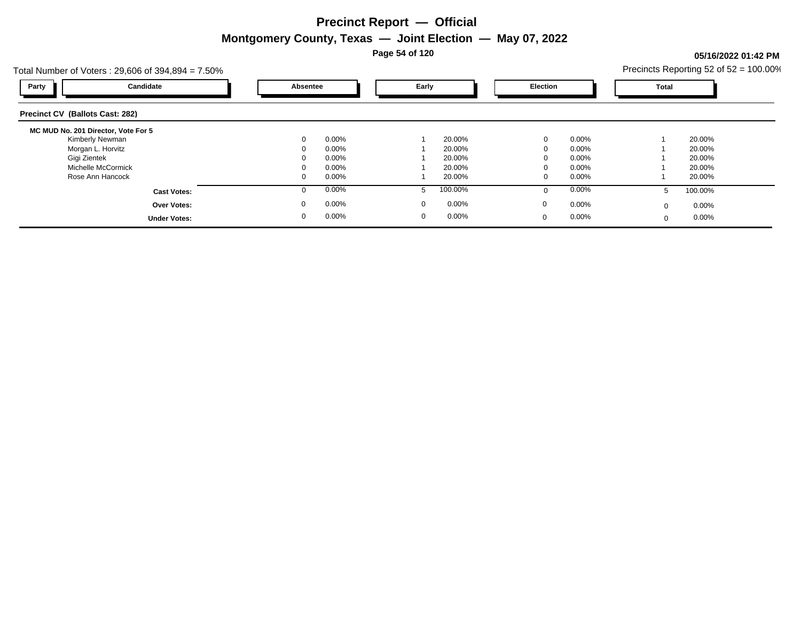**Page 54 of 120**

### **05/16/2022 01:42 PM**

| Total Number of Voters: $29,606$ of $394,894 = 7.50\%$ |              |       |             |          |             |          |          | Precincts Reporting 52 of $52 = 100.00\%$ |
|--------------------------------------------------------|--------------|-------|-------------|----------|-------------|----------|----------|-------------------------------------------|
| Candidate<br>Party                                     | Absentee     |       | Early       |          | Election    |          | Total    |                                           |
| <b>Precinct CV (Ballots Cast: 282)</b>                 |              |       |             |          |             |          |          |                                           |
| MC MUD No. 201 Director, Vote For 5                    |              |       |             |          |             |          |          |                                           |
| Kimberly Newman                                        | $\mathbf{0}$ | 0.00% |             | 20.00%   | $\mathbf 0$ | 0.00%    |          | 20.00%                                    |
| Morgan L. Horvitz                                      |              | 0.00% |             | 20.00%   |             | 0.00%    |          | 20.00%                                    |
| Gigi Zientek                                           |              | 0.00% |             | 20.00%   |             | 0.00%    |          | 20.00%                                    |
| Michelle McCormick                                     |              | 0.00% |             | 20.00%   |             | 0.00%    |          | 20.00%                                    |
| Rose Ann Hancock                                       | 0            | 0.00% |             | 20.00%   | 0           | $0.00\%$ |          | 20.00%                                    |
| <b>Cast Votes:</b>                                     | U            | 0.00% |             | 100.00%  | $\Omega$    | 0.00%    |          | 100.00%                                   |
| <b>Over Votes:</b>                                     | $\mathbf 0$  | 0.00% | $\mathbf 0$ | $0.00\%$ | $\mathbf 0$ | $0.00\%$ | $\Omega$ | $0.00\%$                                  |
| <b>Under Votes:</b>                                    | 0            | 0.00% | $\mathbf 0$ | $0.00\%$ | $\mathbf 0$ | 0.00%    | $\Omega$ | $0.00\%$                                  |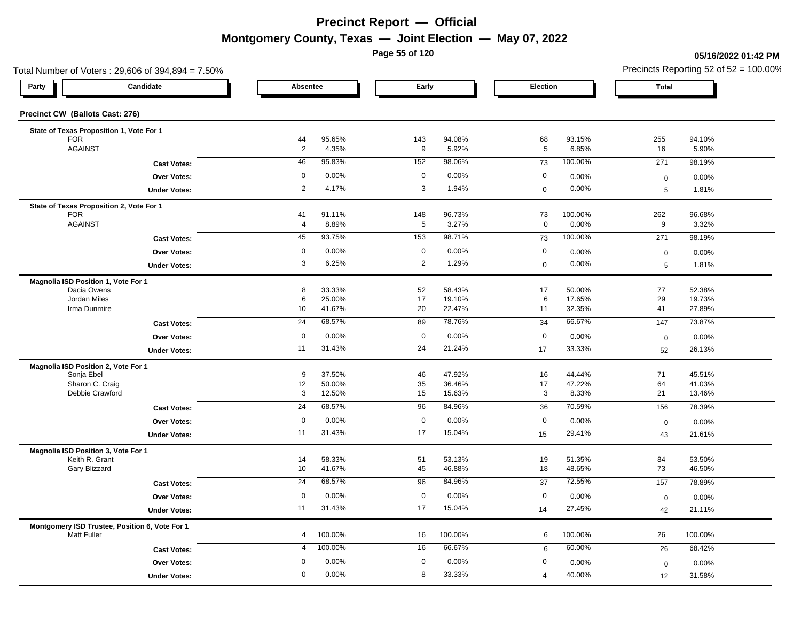**Page 55 of 120**

### **05/16/2022 01:42 PM**

| Total Number of Voters: 29,606 of 394,894 = 7.50%                    |                  |                  |                |                 |                      |                 | Precincts Reporting 52 of $52 = 100.00\%$ |                  |  |  |
|----------------------------------------------------------------------|------------------|------------------|----------------|-----------------|----------------------|-----------------|-------------------------------------------|------------------|--|--|
| Candidate<br>Party                                                   |                  | Absentee         |                | Early           | Election             |                 | <b>Total</b>                              |                  |  |  |
| Precinct CW (Ballots Cast: 276)                                      |                  |                  |                |                 |                      |                 |                                           |                  |  |  |
| State of Texas Proposition 1, Vote For 1                             |                  |                  |                |                 |                      |                 |                                           |                  |  |  |
| <b>FOR</b><br><b>AGAINST</b>                                         | 44<br>$\sqrt{2}$ | 95.65%<br>4.35%  | 143<br>9       | 94.08%<br>5.92% | 68<br>$\overline{5}$ | 93.15%<br>6.85% | 255<br>16                                 | 94.10%<br>5.90%  |  |  |
| <b>Cast Votes:</b>                                                   | 46               | 95.83%           | 152            | 98.06%          | 73                   | 100.00%         | 271                                       | 98.19%           |  |  |
|                                                                      | $\mathbf 0$      | 0.00%            | $\mathbf 0$    | 0.00%           | $\mathbf 0$          | 0.00%           |                                           |                  |  |  |
| Over Votes:                                                          | $\overline{2}$   | 4.17%            | 3              | 1.94%           | $\boldsymbol{0}$     | 0.00%           | $\mathbf 0$                               | 0.00%            |  |  |
| <b>Under Votes:</b>                                                  |                  |                  |                |                 |                      |                 | 5                                         | 1.81%            |  |  |
| State of Texas Proposition 2, Vote For 1<br><b>FOR</b>               | 41               | 91.11%           | 148            | 96.73%          | 73                   | 100.00%         | 262                                       | 96.68%           |  |  |
| <b>AGAINST</b>                                                       | $\overline{4}$   | 8.89%            | 5              | 3.27%           | $\mathbf 0$          | 0.00%           | 9                                         | 3.32%            |  |  |
| <b>Cast Votes:</b>                                                   | 45               | 93.75%           | 153            | 98.71%          | 73                   | 100.00%         | 271                                       | 98.19%           |  |  |
| Over Votes:                                                          | $\mathbf 0$      | 0.00%            | $\mathbf 0$    | 0.00%           | $\mathbf 0$          | 0.00%           | $\boldsymbol{0}$                          | 0.00%            |  |  |
| <b>Under Votes:</b>                                                  | 3                | 6.25%            | $\overline{2}$ | 1.29%           | $\mathbf 0$          | 0.00%           | 5                                         | 1.81%            |  |  |
|                                                                      |                  |                  |                |                 |                      |                 |                                           |                  |  |  |
| Magnolia ISD Position 1, Vote For 1<br>Dacia Owens                   | 8                | 33.33%           | 52             | 58.43%          | 17                   | 50.00%          | 77                                        | 52.38%           |  |  |
| Jordan Miles                                                         | 6                | 25.00%           | 17             | 19.10%          | 6                    | 17.65%          | 29                                        | 19.73%           |  |  |
| Irma Dunmire                                                         | 10               | 41.67%           | 20             | 22.47%          | 11                   | 32.35%          | 41                                        | 27.89%           |  |  |
| <b>Cast Votes:</b>                                                   | 24               | 68.57%           | 89             | 78.76%          | 34                   | 66.67%          | 147                                       | 73.87%           |  |  |
| Over Votes:                                                          | $\mathbf 0$      | 0.00%            | $\mathbf 0$    | 0.00%           | $\mathbf 0$          | 0.00%           | $\mathbf 0$                               | 0.00%            |  |  |
| <b>Under Votes:</b>                                                  | 11               | 31.43%           | 24             | 21.24%          | $17$                 | 33.33%          | 52                                        | 26.13%           |  |  |
| Magnolia ISD Position 2, Vote For 1                                  |                  |                  |                |                 |                      |                 |                                           |                  |  |  |
| Sonja Ebel                                                           | 9                | 37.50%           | 46             | 47.92%          | 16                   | 44.44%          | 71                                        | 45.51%           |  |  |
| Sharon C. Craig                                                      | 12               | 50.00%           | 35             | 36.46%          | 17                   | 47.22%          | 64                                        | 41.03%           |  |  |
| Debbie Crawford                                                      | 3                | 12.50%           | 15             | 15.63%          | $\mathbf{3}$         | 8.33%           | 21                                        | 13.46%           |  |  |
| <b>Cast Votes:</b>                                                   | $\overline{24}$  | 68.57%           | 96             | 84.96%          | 36                   | 70.59%          | 156                                       | 78.39%           |  |  |
| Over Votes:                                                          | $\mathbf 0$      | 0.00%            | $\mathbf 0$    | 0.00%           | $\mathbf 0$          | 0.00%           | $\mathbf 0$                               | 0.00%            |  |  |
| <b>Under Votes:</b>                                                  | 11               | 31.43%           | 17             | 15.04%          | 15                   | 29.41%          | 43                                        | 21.61%           |  |  |
| Magnolia ISD Position 3, Vote For 1                                  |                  |                  |                |                 |                      |                 |                                           |                  |  |  |
| Keith R. Grant                                                       | 14               | 58.33%<br>41.67% | 51<br>45       | 53.13%          | 19                   | 51.35%          | 84                                        | 53.50%<br>46.50% |  |  |
| Gary Blizzard                                                        | 10               |                  |                | 46.88%          | 18                   | 48.65%          | 73                                        |                  |  |  |
| <b>Cast Votes:</b>                                                   | $\overline{24}$  | 68.57%           | 96             | 84.96%          | 37                   | 72.55%          | 157                                       | 78.89%           |  |  |
| <b>Over Votes:</b>                                                   | $\mathbf 0$      | 0.00%            | $\mathbf 0$    | 0.00%           | $\mathbf 0$          | 0.00%           | $\mathbf 0$                               | 0.00%            |  |  |
| <b>Under Votes:</b>                                                  | 11               | 31.43%           | 17             | 15.04%          | 14                   | 27.45%          | 42                                        | 21.11%           |  |  |
| Montgomery ISD Trustee, Position 6, Vote For 1<br><b>Matt Fuller</b> | $\overline{4}$   | 100.00%          | 16             | 100.00%         | 6                    | 100.00%         | 26                                        | 100.00%          |  |  |
| <b>Cast Votes:</b>                                                   | 4                | 100.00%          | 16             | 66.67%          | 6                    | 60.00%          | 26                                        | 68.42%           |  |  |
| <b>Over Votes:</b>                                                   | 0                | 0.00%            | $\mathbf 0$    | 0.00%           | 0                    | 0.00%           | $\mathbf 0$                               | 0.00%            |  |  |
| <b>Under Votes:</b>                                                  | $\mathbf 0$      | 0.00%            | 8              | 33.33%          | $\overline{4}$       | 40.00%          | 12                                        | 31.58%           |  |  |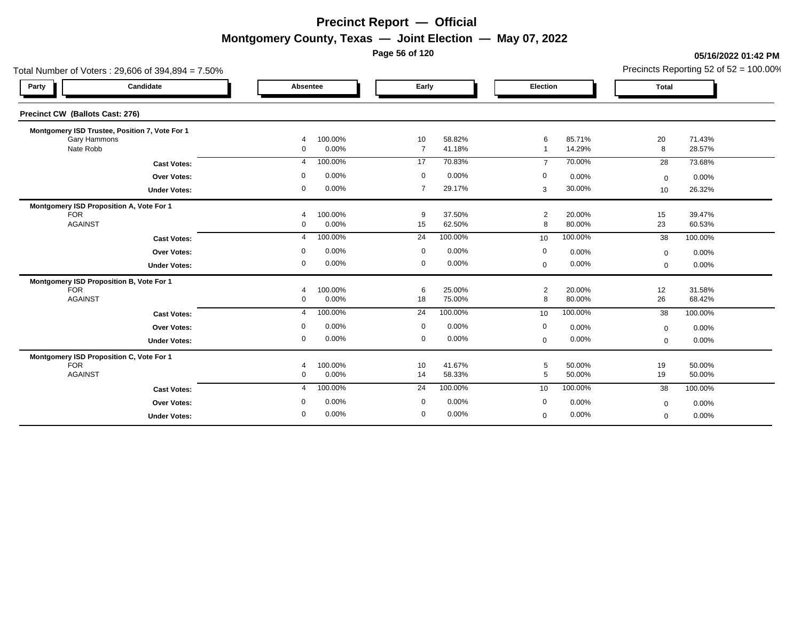**Page 56 of 120**

### **05/16/2022 01:42 PM**

| Total Number of Voters: 29,606 of 394,894 = 7.50% |                                         |                                          |                               | Precincts Reporting 52 of $52 = 100.00\%$ |
|---------------------------------------------------|-----------------------------------------|------------------------------------------|-------------------------------|-------------------------------------------|
| Candidate<br>Party                                | Absentee                                | Early                                    | Election                      | Total                                     |
| Precinct CW (Ballots Cast: 276)                   |                                         |                                          |                               |                                           |
| Montgomery ISD Trustee, Position 7, Vote For 1    |                                         |                                          |                               |                                           |
| Gary Hammons<br>Nate Robb                         | 100.00%<br>$\overline{4}$<br>0.00%<br>0 | 10<br>58.82%<br>41.18%<br>$\overline{7}$ | 85.71%<br>6<br>14.29%         | 20<br>71.43%<br>8<br>28.57%               |
|                                                   |                                         |                                          |                               |                                           |
| <b>Cast Votes:</b>                                | 100.00%                                 | 17                                       | 70.00%                        | 73.68%                                    |
|                                                   | 4                                       | 70.83%                                   | $\overline{7}$                | 28                                        |
| <b>Over Votes:</b>                                | 0.00%                                   | $\mathbf 0$                              | 0                             | $0.00\%$                                  |
|                                                   | $\Omega$                                | 0.00%                                    | 0.00%                         | $\mathbf 0$                               |
| <b>Under Votes:</b>                               | 0.00%                                   | $\overline{7}$                           | 30.00%                        | 26.32%                                    |
|                                                   | 0                                       | 29.17%                                   | 3                             | 10 <sup>10</sup>                          |
| Montgomery ISD Proposition A, Vote For 1          |                                         |                                          |                               |                                           |
| <b>FOR</b><br><b>AGAINST</b>                      | 100.00%<br>4                            | 37.50%<br>9                              | $\overline{2}$<br>20.00%<br>8 | 15<br>39.47%                              |
|                                                   | 0.00%<br>$\Omega$                       | 15<br>62.50%                             | 80.00%                        | 23<br>60.53%                              |
| <b>Cast Votes:</b>                                | 100.00%                                 | 100.00%                                  | 100.00%                       | 38                                        |
|                                                   | 4                                       | 24                                       | 10                            | 100.00%                                   |
| <b>Over Votes:</b>                                | 0.00%                                   | 0.00%                                    | $\mathbf 0$                   | 0.00%                                     |
|                                                   | $\Omega$                                | 0                                        | 0.00%                         | $\mathbf 0$                               |
| <b>Under Votes:</b>                               | 0.00%                                   | $\mathbf 0$                              | 0.00%                         | 0.00%                                     |
|                                                   | 0                                       | 0.00%                                    | $\mathbf 0$                   | $\mathbf 0$                               |
| Montgomery ISD Proposition B, Vote For 1          |                                         |                                          |                               |                                           |
| <b>FOR</b>                                        | 100.00%                                 | 6                                        | 20.00%                        | 12                                        |
| <b>AGAINST</b>                                    | ⊿                                       | 25.00%                                   | $\overline{2}$                | 31.58%                                    |
|                                                   | 0.00%                                   | 18                                       | 8                             | 26                                        |
|                                                   | $\mathbf{0}$                            | 75.00%                                   | 80.00%                        | 68.42%                                    |
| <b>Cast Votes:</b>                                | 100.00%                                 | 100.00%                                  | 100.00%                       | 100.00%                                   |
|                                                   | $\overline{4}$                          | 24                                       | 10                            | 38                                        |
| <b>Over Votes:</b>                                | 0.00%                                   | $\mathbf 0$                              | $\boldsymbol{0}$              | 0.00%                                     |
|                                                   | 0                                       | 0.00%                                    | 0.00%                         | $\mathbf 0$                               |
| <b>Under Votes:</b>                               | 0.00%                                   | 0                                        | 0.00%                         | 0.00%                                     |
|                                                   | 0                                       | 0.00%                                    | $\mathbf 0$                   | $\mathbf 0$                               |
| Montgomery ISD Proposition C, Vote For 1          |                                         |                                          |                               |                                           |
| <b>FOR</b>                                        | 100.00%                                 | 41.67%                                   | 5                             | 19                                        |
|                                                   | 4                                       | 10                                       | 50.00%                        | 50.00%                                    |
| <b>AGAINST</b>                                    | 0                                       | 14                                       | 5                             | 19                                        |
|                                                   | 0.00%                                   | 58.33%                                   | 50.00%                        | 50.00%                                    |
| <b>Cast Votes:</b>                                | 100.00%                                 | 100.00%                                  | 100.00%                       | 38                                        |
|                                                   | $\overline{4}$                          | 24                                       | 10                            | 100.00%                                   |
| <b>Over Votes:</b>                                | 0.00%                                   | 0.00%                                    | $\mathbf 0$                   | 0.00%                                     |
|                                                   | $\Omega$                                | $\mathbf 0$                              | 0.00%                         | $\mathbf 0$                               |
| <b>Under Votes:</b>                               | 0.00%                                   | 0                                        | 0.00%                         | 0.00%                                     |
|                                                   | 0                                       | 0.00%                                    | $\mathbf 0$                   | $\mathbf 0$                               |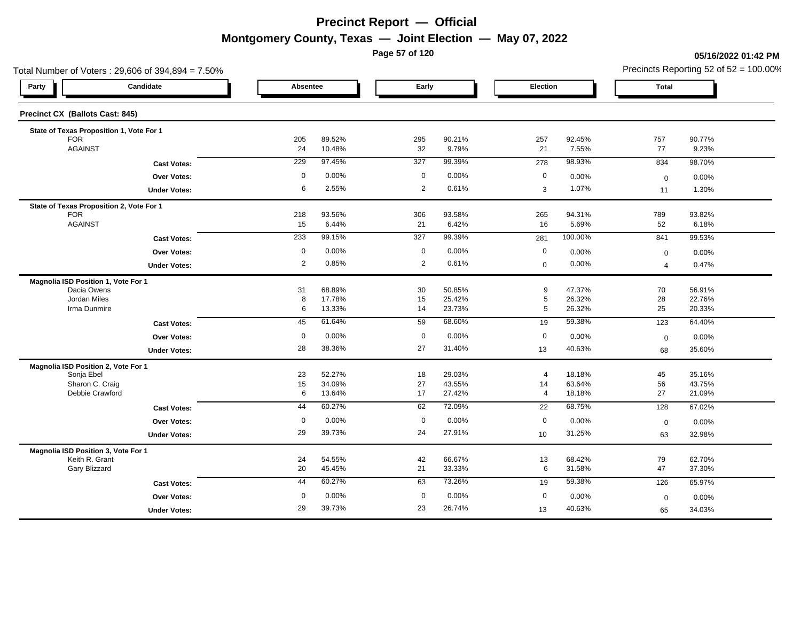**Page 57 of 120**

### **05/16/2022 01:42 PM**

|                                                       | Total Number of Voters: 29,606 of 394,894 = 7.50% |             |                  |                |                  |                      |                  |                | Precincts Reporting 52 of $52 = 100.00\%$ |
|-------------------------------------------------------|---------------------------------------------------|-------------|------------------|----------------|------------------|----------------------|------------------|----------------|-------------------------------------------|
| Party                                                 | Candidate                                         | Absentee    |                  | Early          |                  | Election             |                  | Total          |                                           |
| Precinct CX (Ballots Cast: 845)                       |                                                   |             |                  |                |                  |                      |                  |                |                                           |
| State of Texas Proposition 1, Vote For 1              |                                                   |             |                  |                |                  |                      |                  |                |                                           |
| <b>FOR</b>                                            |                                                   | 205         | 89.52%           | 295            | 90.21%           | 257                  | 92.45%           | 757            | 90.77%                                    |
| <b>AGAINST</b>                                        |                                                   | 24          | 10.48%           | 32             | 9.79%            | 21                   | 7.55%            | 77             | 9.23%                                     |
|                                                       | <b>Cast Votes:</b>                                | 229         | 97.45%           | 327            | 99.39%           | 278                  | 98.93%           | 834            | 98.70%                                    |
|                                                       | <b>Over Votes:</b>                                | $\mathbf 0$ | 0.00%            | $\mathbf 0$    | 0.00%            | 0                    | 0.00%            | $\mathbf 0$    | 0.00%                                     |
|                                                       | <b>Under Votes:</b>                               | 6           | 2.55%            | $\overline{2}$ | 0.61%            | 3                    | 1.07%            | 11             | 1.30%                                     |
| State of Texas Proposition 2, Vote For 1              |                                                   |             |                  |                |                  |                      |                  |                |                                           |
| <b>FOR</b>                                            |                                                   | 218         | 93.56%           | 306            | 93.58%           | 265                  | 94.31%           | 789            | 93.82%                                    |
| <b>AGAINST</b>                                        |                                                   | 15          | 6.44%            | 21             | 6.42%            | 16                   | 5.69%            | 52             | 6.18%                                     |
|                                                       | <b>Cast Votes:</b>                                | 233         | 99.15%           | 327            | 99.39%           | 281                  | 100.00%          | 841            | 99.53%                                    |
|                                                       | Over Votes:                                       | $\mathbf 0$ | 0.00%            | $\mathbf 0$    | 0.00%            | $\mathbf 0$          | 0.00%            | $\mathbf 0$    | 0.00%                                     |
|                                                       | <b>Under Votes:</b>                               | 2           | 0.85%            | $\overline{2}$ | 0.61%            | $\mathbf 0$          | 0.00%            | $\overline{4}$ | 0.47%                                     |
| Magnolia ISD Position 1, Vote For 1                   |                                                   |             |                  |                |                  |                      |                  |                |                                           |
| Dacia Owens                                           |                                                   | 31          | 68.89%           | 30             | 50.85%           | 9                    | 47.37%           | 70             | 56.91%                                    |
| Jordan Miles                                          |                                                   | 8           | 17.78%           | 15             | 25.42%           | $\,$ 5 $\,$          | 26.32%           | 28             | 22.76%                                    |
| Irma Dunmire                                          |                                                   | 6           | 13.33%           | 14             | 23.73%           | 5                    | 26.32%           | 25             | 20.33%                                    |
|                                                       | <b>Cast Votes:</b>                                | 45          | 61.64%           | 59             | 68.60%           | 19                   | 59.38%           | 123            | 64.40%                                    |
|                                                       | Over Votes:                                       | $\mathbf 0$ | 0.00%            | $\mathbf 0$    | 0.00%            | $\mathbf 0$          | 0.00%            | $\mathbf 0$    | 0.00%                                     |
|                                                       | <b>Under Votes:</b>                               | 28          | 38.36%           | 27             | 31.40%           | 13                   | 40.63%           | 68             | 35.60%                                    |
| Magnolia ISD Position 2, Vote For 1                   |                                                   |             |                  |                |                  |                      |                  |                |                                           |
| Sonja Ebel<br>Sharon C. Craig                         |                                                   | 23<br>15    | 52.27%<br>34.09% | 18<br>27       | 29.03%<br>43.55% | $\overline{4}$<br>14 | 18.18%<br>63.64% | 45             | 35.16%<br>43.75%                          |
| Debbie Crawford                                       |                                                   | 6           | 13.64%           | 17             | 27.42%           | $\overline{a}$       | 18.18%           | 56<br>27       | 21.09%                                    |
|                                                       | <b>Cast Votes:</b>                                | 44          | 60.27%           | 62             | 72.09%           | 22                   | 68.75%           | 128            | 67.02%                                    |
|                                                       | <b>Over Votes:</b>                                | $\mathbf 0$ | 0.00%            | $\mathbf 0$    | 0.00%            | $\mathbf 0$          | 0.00%            | $\mathbf 0$    | 0.00%                                     |
|                                                       | <b>Under Votes:</b>                               | 29          | 39.73%           | 24             | 27.91%           | 10                   | 31.25%           | 63             | 32.98%                                    |
|                                                       |                                                   |             |                  |                |                  |                      |                  |                |                                           |
| Magnolia ISD Position 3, Vote For 1<br>Keith R. Grant |                                                   | 24          | 54.55%           | 42             | 66.67%           | 13                   | 68.42%           | 79             | 62.70%                                    |
| Gary Blizzard                                         |                                                   | 20          | 45.45%           | 21             | 33.33%           | 6                    | 31.58%           | 47             | 37.30%                                    |
|                                                       | <b>Cast Votes:</b>                                | 44          | 60.27%           | 63             | 73.26%           | 19                   | 59.38%           | 126            | 65.97%                                    |
|                                                       | Over Votes:                                       | 0           | 0.00%            | $\mathbf 0$    | 0.00%            | $\mathbf 0$          | 0.00%            | $\mathbf 0$    | 0.00%                                     |
|                                                       | <b>Under Votes:</b>                               | 29          | 39.73%           | 23             | 26.74%           | 13                   | 40.63%           | 65             | 34.03%                                    |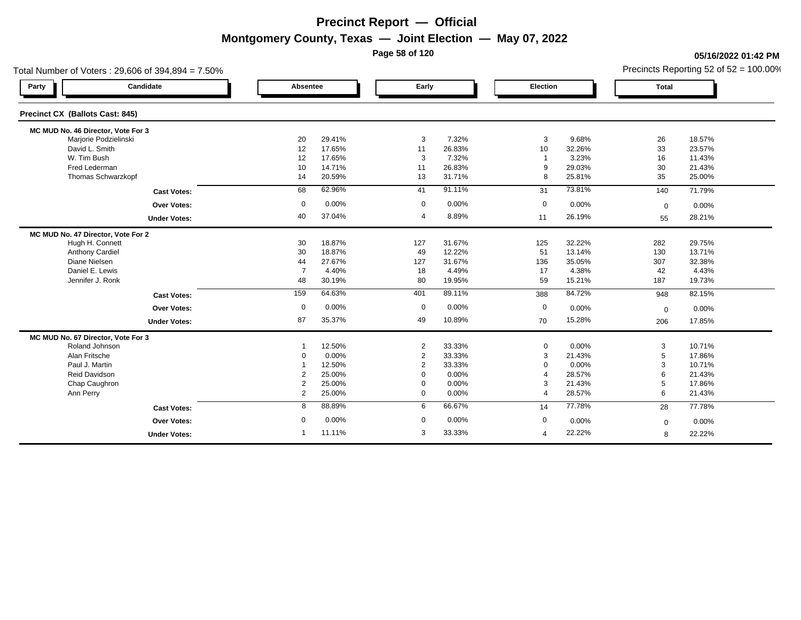**Page 58 of 120**

### **05/16/2022 01:42 PM**

| Total Number of Voters: 29,606 of 394,894 = 7.50% |                |        |                |        |                         |        |              | Precincts Reporting 52 of $52 = 100.00\%$ |
|---------------------------------------------------|----------------|--------|----------------|--------|-------------------------|--------|--------------|-------------------------------------------|
| Candidate<br>Party                                | Absentee       |        | Early          |        | Election                |        | <b>Total</b> |                                           |
| Precinct CX (Ballots Cast: 845)                   |                |        |                |        |                         |        |              |                                           |
| MC MUD No. 46 Director, Vote For 3                |                |        |                |        |                         |        |              |                                           |
| Marjorie Podzielinski                             | 20             | 29.41% | 3              | 7.32%  | 3                       | 9.68%  | 26           | 18.57%                                    |
| David L. Smith                                    | 12             | 17.65% | 11             | 26.83% | 10                      | 32.26% | 33           | 23.57%                                    |
| W. Tim Bush                                       | 12             | 17.65% | 3              | 7.32%  | $\overline{\mathbf{1}}$ | 3.23%  | 16           | 11.43%                                    |
| Fred Lederman                                     | 10             | 14.71% | 11             | 26.83% | 9                       | 29.03% | 30           | 21.43%                                    |
| Thomas Schwarzkopf                                | 14             | 20.59% | 13             | 31.71% | 8                       | 25.81% | 35           | 25.00%                                    |
| <b>Cast Votes:</b>                                | 68             | 62.96% | 41             | 91.11% | 31                      | 73.81% | 140          | 71.79%                                    |
| <b>Over Votes:</b>                                | $\mathbf 0$    | 0.00%  | $\mathbf 0$    | 0.00%  | $\mathbf 0$             | 0.00%  | $\mathbf 0$  | 0.00%                                     |
| <b>Under Votes:</b>                               | 40             | 37.04% | $\overline{4}$ | 8.89%  | 11                      | 26.19% | 55           | 28.21%                                    |
| MC MUD No. 47 Director, Vote For 2                |                |        |                |        |                         |        |              |                                           |
| Hugh H. Connett                                   | 30             | 18.87% | 127            | 31.67% | 125                     | 32.22% | 282          | 29.75%                                    |
| <b>Anthony Cardiel</b>                            | 30             | 18.87% | 49             | 12.22% | 51                      | 13.14% | 130          | 13.71%                                    |
| Diane Nielsen                                     | 44             | 27.67% | 127            | 31.67% | 136                     | 35.05% | 307          | 32.38%                                    |
| Daniel E. Lewis                                   | $\overline{7}$ | 4.40%  | 18             | 4.49%  | 17                      | 4.38%  | 42           | 4.43%                                     |
| Jennifer J. Ronk                                  | 48             | 30.19% | 80             | 19.95% | 59                      | 15.21% | 187          | 19.73%                                    |
| <b>Cast Votes:</b>                                | 159            | 64.63% | 401            | 89.11% | 388                     | 84.72% | 948          | 82.15%                                    |
| Over Votes:                                       | $\mathbf 0$    | 0.00%  | $\mathbf 0$    | 0.00%  | $\mathbf 0$             | 0.00%  | $\mathbf 0$  | 0.00%                                     |
| <b>Under Votes:</b>                               | 87             | 35.37% | 49             | 10.89% | 70                      | 15.28% | 206          | 17.85%                                    |
| MC MUD No. 67 Director, Vote For 3                |                |        |                |        |                         |        |              |                                           |
| Roland Johnson                                    |                | 12.50% | 2              | 33.33% | $\mathbf 0$             | 0.00%  | 3            | 10.71%                                    |
| Alan Fritsche                                     | $\Omega$       | 0.00%  | $\overline{2}$ | 33.33% | 3                       | 21.43% | 5            | 17.86%                                    |
| Paul J. Martin                                    |                | 12.50% | 2              | 33.33% | $\Omega$                | 0.00%  | 3            | 10.71%                                    |
| Reid Davidson                                     | $\overline{2}$ | 25.00% | $\mathbf 0$    | 0.00%  | $\overline{4}$          | 28.57% | 6            | 21.43%                                    |
| Chap Caughron                                     | $\overline{2}$ | 25.00% | 0              | 0.00%  | 3                       | 21.43% | 5            | 17.86%                                    |
| Ann Perry                                         | $\overline{2}$ | 25.00% | $\mathbf 0$    | 0.00%  | $\overline{4}$          | 28.57% | 6            | 21.43%                                    |
| <b>Cast Votes:</b>                                | 8              | 88.89% | 6              | 66.67% | 14                      | 77.78% | 28           | 77.78%                                    |
| Over Votes:                                       | 0              | 0.00%  | 0              | 0.00%  | 0                       | 0.00%  | $\mathbf 0$  | 0.00%                                     |
|                                                   |                | 11.11% |                | 33.33% |                         |        |              |                                           |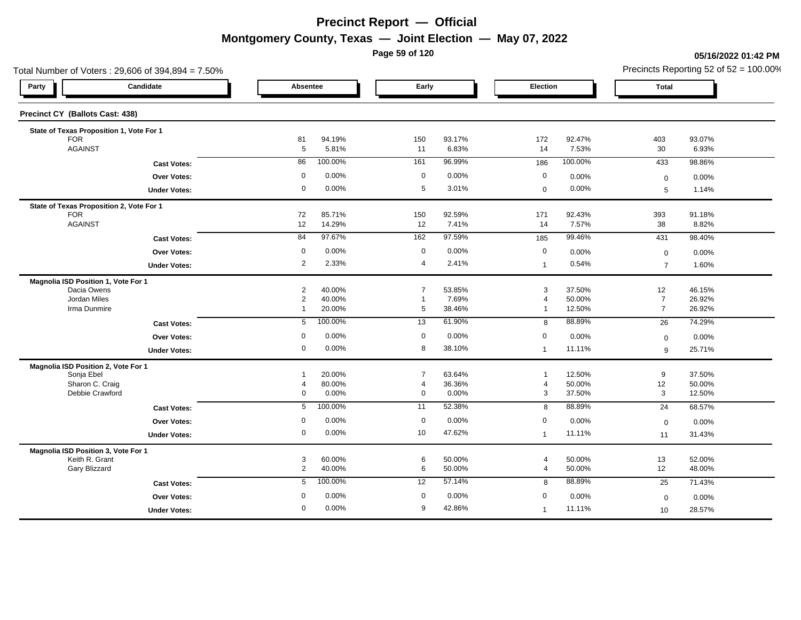**Page 59 of 120**

### **05/16/2022 01:42 PM**

| Total Number of Voters: 29,606 of 394,894 = 7.50% |                                                                                                                                                                                                                                                                                                 |                                                                                                                                                                                   |                                                                                                                                                                                            |                                                                                                                                           |                                                                                                                                                                  |                                                                                                                                                                 |                                                                                                                                                                               | Precincts Reporting 52 of $52 = 100.00\%$                                                                                                    |
|---------------------------------------------------|-------------------------------------------------------------------------------------------------------------------------------------------------------------------------------------------------------------------------------------------------------------------------------------------------|-----------------------------------------------------------------------------------------------------------------------------------------------------------------------------------|--------------------------------------------------------------------------------------------------------------------------------------------------------------------------------------------|-------------------------------------------------------------------------------------------------------------------------------------------|------------------------------------------------------------------------------------------------------------------------------------------------------------------|-----------------------------------------------------------------------------------------------------------------------------------------------------------------|-------------------------------------------------------------------------------------------------------------------------------------------------------------------------------|----------------------------------------------------------------------------------------------------------------------------------------------|
|                                                   |                                                                                                                                                                                                                                                                                                 |                                                                                                                                                                                   |                                                                                                                                                                                            |                                                                                                                                           | Election                                                                                                                                                         |                                                                                                                                                                 | <b>Total</b>                                                                                                                                                                  |                                                                                                                                              |
|                                                   |                                                                                                                                                                                                                                                                                                 |                                                                                                                                                                                   |                                                                                                                                                                                            |                                                                                                                                           |                                                                                                                                                                  |                                                                                                                                                                 |                                                                                                                                                                               |                                                                                                                                              |
|                                                   |                                                                                                                                                                                                                                                                                                 |                                                                                                                                                                                   |                                                                                                                                                                                            |                                                                                                                                           |                                                                                                                                                                  |                                                                                                                                                                 |                                                                                                                                                                               |                                                                                                                                              |
|                                                   |                                                                                                                                                                                                                                                                                                 |                                                                                                                                                                                   |                                                                                                                                                                                            |                                                                                                                                           |                                                                                                                                                                  |                                                                                                                                                                 |                                                                                                                                                                               | 93.07%                                                                                                                                       |
|                                                   |                                                                                                                                                                                                                                                                                                 |                                                                                                                                                                                   |                                                                                                                                                                                            |                                                                                                                                           |                                                                                                                                                                  |                                                                                                                                                                 |                                                                                                                                                                               | 6.93%                                                                                                                                        |
|                                                   |                                                                                                                                                                                                                                                                                                 |                                                                                                                                                                                   |                                                                                                                                                                                            |                                                                                                                                           |                                                                                                                                                                  |                                                                                                                                                                 |                                                                                                                                                                               | 98.86%                                                                                                                                       |
|                                                   | 0                                                                                                                                                                                                                                                                                               | 0.00%                                                                                                                                                                             | $\mathbf 0$                                                                                                                                                                                | 0.00%                                                                                                                                     | $\mathbf 0$                                                                                                                                                      | 0.00%                                                                                                                                                           | $\mathbf 0$                                                                                                                                                                   | 0.00%                                                                                                                                        |
|                                                   | 0                                                                                                                                                                                                                                                                                               | 0.00%                                                                                                                                                                             | 5                                                                                                                                                                                          | 3.01%                                                                                                                                     | $\mathbf 0$                                                                                                                                                      | 0.00%                                                                                                                                                           | 5                                                                                                                                                                             | 1.14%                                                                                                                                        |
|                                                   |                                                                                                                                                                                                                                                                                                 |                                                                                                                                                                                   |                                                                                                                                                                                            |                                                                                                                                           |                                                                                                                                                                  |                                                                                                                                                                 |                                                                                                                                                                               |                                                                                                                                              |
|                                                   |                                                                                                                                                                                                                                                                                                 |                                                                                                                                                                                   | 150                                                                                                                                                                                        |                                                                                                                                           |                                                                                                                                                                  |                                                                                                                                                                 | 393                                                                                                                                                                           | 91.18%                                                                                                                                       |
|                                                   |                                                                                                                                                                                                                                                                                                 |                                                                                                                                                                                   |                                                                                                                                                                                            |                                                                                                                                           |                                                                                                                                                                  |                                                                                                                                                                 |                                                                                                                                                                               | 8.82%                                                                                                                                        |
|                                                   |                                                                                                                                                                                                                                                                                                 |                                                                                                                                                                                   |                                                                                                                                                                                            |                                                                                                                                           | 185                                                                                                                                                              |                                                                                                                                                                 | 431                                                                                                                                                                           | 98.40%                                                                                                                                       |
|                                                   | $\mathbf 0$                                                                                                                                                                                                                                                                                     | 0.00%                                                                                                                                                                             | $\mathbf 0$                                                                                                                                                                                | 0.00%                                                                                                                                     | $\mathbf 0$                                                                                                                                                      | 0.00%                                                                                                                                                           | $\mathbf 0$                                                                                                                                                                   | 0.00%                                                                                                                                        |
|                                                   | $\overline{2}$                                                                                                                                                                                                                                                                                  | 2.33%                                                                                                                                                                             | $\overline{4}$                                                                                                                                                                             | 2.41%                                                                                                                                     | $\mathbf{1}$                                                                                                                                                     | 0.54%                                                                                                                                                           | $\overline{7}$                                                                                                                                                                | 1.60%                                                                                                                                        |
|                                                   |                                                                                                                                                                                                                                                                                                 |                                                                                                                                                                                   |                                                                                                                                                                                            |                                                                                                                                           |                                                                                                                                                                  |                                                                                                                                                                 |                                                                                                                                                                               |                                                                                                                                              |
|                                                   |                                                                                                                                                                                                                                                                                                 |                                                                                                                                                                                   |                                                                                                                                                                                            |                                                                                                                                           |                                                                                                                                                                  |                                                                                                                                                                 |                                                                                                                                                                               | 46.15%                                                                                                                                       |
|                                                   |                                                                                                                                                                                                                                                                                                 |                                                                                                                                                                                   |                                                                                                                                                                                            |                                                                                                                                           |                                                                                                                                                                  |                                                                                                                                                                 |                                                                                                                                                                               | 26.92%<br>26.92%                                                                                                                             |
|                                                   |                                                                                                                                                                                                                                                                                                 |                                                                                                                                                                                   |                                                                                                                                                                                            |                                                                                                                                           |                                                                                                                                                                  |                                                                                                                                                                 |                                                                                                                                                                               |                                                                                                                                              |
|                                                   |                                                                                                                                                                                                                                                                                                 |                                                                                                                                                                                   |                                                                                                                                                                                            |                                                                                                                                           |                                                                                                                                                                  |                                                                                                                                                                 |                                                                                                                                                                               | 74.29%                                                                                                                                       |
|                                                   | 0                                                                                                                                                                                                                                                                                               |                                                                                                                                                                                   | $\mathbf 0$                                                                                                                                                                                | 0.00%                                                                                                                                     | $\mathbf 0$                                                                                                                                                      | 0.00%                                                                                                                                                           | $\mathbf 0$                                                                                                                                                                   | 0.00%                                                                                                                                        |
|                                                   | 0                                                                                                                                                                                                                                                                                               | 0.00%                                                                                                                                                                             | 8                                                                                                                                                                                          | 38.10%                                                                                                                                    | $\mathbf{1}$                                                                                                                                                     | 11.11%                                                                                                                                                          | 9                                                                                                                                                                             | 25.71%                                                                                                                                       |
|                                                   |                                                                                                                                                                                                                                                                                                 |                                                                                                                                                                                   |                                                                                                                                                                                            |                                                                                                                                           |                                                                                                                                                                  |                                                                                                                                                                 |                                                                                                                                                                               |                                                                                                                                              |
|                                                   |                                                                                                                                                                                                                                                                                                 |                                                                                                                                                                                   |                                                                                                                                                                                            |                                                                                                                                           |                                                                                                                                                                  |                                                                                                                                                                 |                                                                                                                                                                               | 37.50%                                                                                                                                       |
|                                                   |                                                                                                                                                                                                                                                                                                 |                                                                                                                                                                                   |                                                                                                                                                                                            |                                                                                                                                           |                                                                                                                                                                  |                                                                                                                                                                 |                                                                                                                                                                               | 50.00%<br>12.50%                                                                                                                             |
|                                                   |                                                                                                                                                                                                                                                                                                 |                                                                                                                                                                                   |                                                                                                                                                                                            |                                                                                                                                           |                                                                                                                                                                  |                                                                                                                                                                 |                                                                                                                                                                               | 68.57%                                                                                                                                       |
|                                                   |                                                                                                                                                                                                                                                                                                 |                                                                                                                                                                                   |                                                                                                                                                                                            |                                                                                                                                           |                                                                                                                                                                  |                                                                                                                                                                 |                                                                                                                                                                               | $0.00\%$                                                                                                                                     |
|                                                   | $\mathbf 0$                                                                                                                                                                                                                                                                                     |                                                                                                                                                                                   | 10 <sup>1</sup>                                                                                                                                                                            | 47.62%                                                                                                                                    |                                                                                                                                                                  |                                                                                                                                                                 |                                                                                                                                                                               | 31.43%                                                                                                                                       |
|                                                   |                                                                                                                                                                                                                                                                                                 |                                                                                                                                                                                   |                                                                                                                                                                                            |                                                                                                                                           |                                                                                                                                                                  |                                                                                                                                                                 |                                                                                                                                                                               |                                                                                                                                              |
|                                                   |                                                                                                                                                                                                                                                                                                 |                                                                                                                                                                                   |                                                                                                                                                                                            |                                                                                                                                           |                                                                                                                                                                  |                                                                                                                                                                 |                                                                                                                                                                               | 52.00%                                                                                                                                       |
|                                                   | $\overline{2}$                                                                                                                                                                                                                                                                                  | 40.00%                                                                                                                                                                            | 6                                                                                                                                                                                          | 50.00%                                                                                                                                    | $\overline{4}$                                                                                                                                                   | 50.00%                                                                                                                                                          | 12                                                                                                                                                                            | 48.00%                                                                                                                                       |
|                                                   | $5\phantom{.0}$                                                                                                                                                                                                                                                                                 | 100.00%                                                                                                                                                                           | 12                                                                                                                                                                                         | 57.14%                                                                                                                                    | 8                                                                                                                                                                | 88.89%                                                                                                                                                          | 25                                                                                                                                                                            | 71.43%                                                                                                                                       |
|                                                   | 0                                                                                                                                                                                                                                                                                               | 0.00%                                                                                                                                                                             | $\mathbf 0$                                                                                                                                                                                | 0.00%                                                                                                                                     | $\mathbf 0$                                                                                                                                                      |                                                                                                                                                                 |                                                                                                                                                                               | 0.00%                                                                                                                                        |
| <b>Under Votes:</b>                               | $\mathbf 0$                                                                                                                                                                                                                                                                                     | 0.00%                                                                                                                                                                             | 9                                                                                                                                                                                          | 42.86%                                                                                                                                    |                                                                                                                                                                  | 11.11%                                                                                                                                                          |                                                                                                                                                                               | 28.57%                                                                                                                                       |
|                                                   | <b>Cast Votes:</b><br>Over Votes:<br><b>Under Votes:</b><br><b>Cast Votes:</b><br><b>Over Votes:</b><br><b>Under Votes:</b><br><b>Cast Votes:</b><br>Over Votes:<br><b>Under Votes:</b><br><b>Cast Votes:</b><br>Over Votes:<br><b>Under Votes:</b><br><b>Cast Votes:</b><br><b>Over Votes:</b> | 81<br>$5\phantom{.0}$<br>86<br>72<br>12<br>84<br>$\overline{\mathbf{c}}$<br>$\overline{c}$<br>$\mathbf{1}$<br>5<br>$\overline{1}$<br>$\overline{4}$<br>0<br>5<br>$\mathbf 0$<br>3 | Absentee<br>94.19%<br>5.81%<br>100.00%<br>85.71%<br>14.29%<br>97.67%<br>40.00%<br>40.00%<br>20.00%<br>100.00%<br>0.00%<br>20.00%<br>80.00%<br>0.00%<br>100.00%<br>0.00%<br>0.00%<br>60.00% | 150<br>11<br>161<br>12<br>162<br>$\overline{7}$<br>$\mathbf 1$<br>5<br>13<br>$\overline{7}$<br>4<br>$\mathbf 0$<br>11<br>$\mathbf 0$<br>6 | Early<br>93.17%<br>6.83%<br>96.99%<br>92.59%<br>7.41%<br>97.59%<br>53.85%<br>7.69%<br>38.46%<br>61.90%<br>63.64%<br>36.36%<br>0.00%<br>52.38%<br>0.00%<br>50.00% | 172<br>14<br>186<br>171<br>14<br>3<br>4<br>$\mathbf 1$<br>8<br>1<br>4<br>$\mathbf{3}$<br>8<br>$\mathbf 0$<br>$\overline{1}$<br>$\overline{4}$<br>$\overline{1}$ | 92.47%<br>7.53%<br>100.00%<br>92.43%<br>7.57%<br>99.46%<br>37.50%<br>50.00%<br>12.50%<br>88.89%<br>12.50%<br>50.00%<br>37.50%<br>88.89%<br>0.00%<br>11.11%<br>50.00%<br>0.00% | 403<br>30<br>433<br>38<br>12<br>$\overline{7}$<br>$\overline{7}$<br>26<br>9<br>12<br>3<br>24<br>$\mathbf 0$<br>11<br>13<br>$\mathbf 0$<br>10 |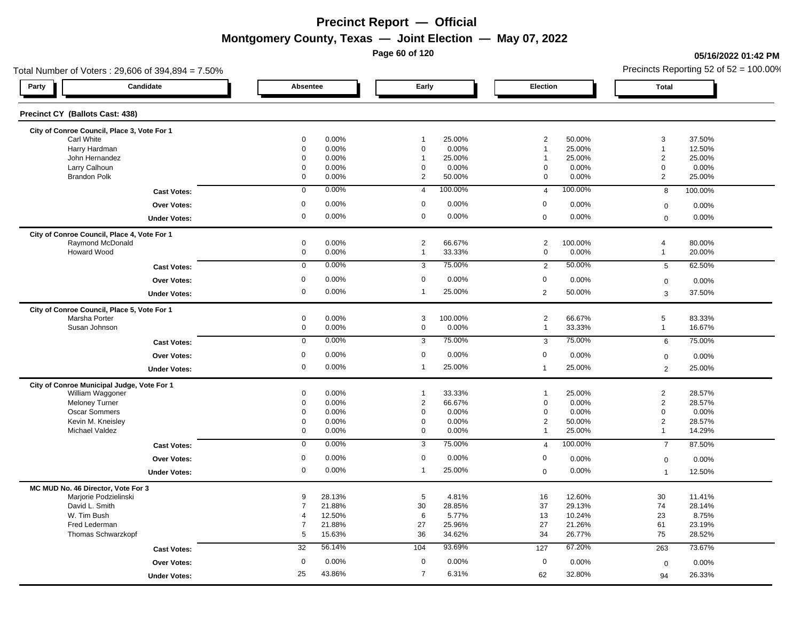**Page 60 of 120**

### **05/16/2022 01:42 PM**

| Total Number of Voters: 29,606 of 394,894 = 7.50%              |                     |                |                               |                 |                                  |                  |                              | Precincts Reporting 52 of $52 = 100.00\%$ |
|----------------------------------------------------------------|---------------------|----------------|-------------------------------|-----------------|----------------------------------|------------------|------------------------------|-------------------------------------------|
| Candidate<br>Party                                             | Absentee            |                | Early                         |                 | Election                         |                  | <b>Total</b>                 |                                           |
| Precinct CY (Ballots Cast: 438)                                |                     |                |                               |                 |                                  |                  |                              |                                           |
| City of Conroe Council, Place 3, Vote For 1                    |                     |                |                               |                 |                                  |                  |                              |                                           |
| Carl White                                                     | 0<br>$\mathbf 0$    | 0.00%          | $\mathbf{1}$                  | 25.00%          | $\overline{2}$<br>$\overline{1}$ | 50.00%           | $\mathbf{3}$<br>$\mathbf{1}$ | 37.50%<br>12.50%                          |
| Harry Hardman<br>John Hernandez                                | 0                   | 0.00%<br>0.00% | $\mathbf 0$<br>$\overline{1}$ | 0.00%<br>25.00% | 1                                | 25.00%<br>25.00% | $\overline{2}$               | 25.00%                                    |
| Larry Calhoun                                                  | 0                   | 0.00%          | $\mathbf 0$                   | 0.00%           | 0                                | 0.00%            | $\mathbf 0$                  | 0.00%                                     |
| <b>Brandon Polk</b>                                            | 0                   | 0.00%          | 2                             | 50.00%          | $\mathbf 0$                      | 0.00%            | $\overline{2}$               | 25.00%                                    |
|                                                                |                     |                |                               |                 |                                  |                  |                              |                                           |
| <b>Cast Votes:</b>                                             | 0                   | 0.00%          | $\overline{4}$                | 100.00%         | $\overline{4}$                   | 100.00%          | 8                            | 100.00%                                   |
| Over Votes:                                                    | 0                   | 0.00%          | $\mathbf 0$                   | 0.00%           | $\mathbf 0$                      | 0.00%            | $\mathbf 0$                  | 0.00%                                     |
| <b>Under Votes:</b>                                            | $\mathsf{O}\xspace$ | 0.00%          | $\mathbf 0$                   | 0.00%           | $\mathbf 0$                      | 0.00%            | $\mathbf 0$                  | 0.00%                                     |
| City of Conroe Council, Place 4, Vote For 1                    |                     |                |                               |                 |                                  |                  |                              |                                           |
| Raymond McDonald                                               | $\mathbf 0$         | 0.00%          | $\overline{2}$                | 66.67%          | $\overline{2}$                   | 100.00%          | $\overline{4}$               | 80.00%                                    |
| Howard Wood                                                    | 0                   | 0.00%          | $\mathbf{1}$                  | 33.33%          | $\mathsf{O}\xspace$              | 0.00%            | $\mathbf{1}$                 | 20.00%                                    |
| <b>Cast Votes:</b>                                             | $\mathbf 0$         | 0.00%          | 3                             | 75.00%          | 2                                | 50.00%           | 5                            | 62.50%                                    |
| Over Votes:                                                    | $\mathbf 0$         | 0.00%          | $\mathbf 0$                   | 0.00%           | $\mathbf 0$                      | 0.00%            | $\mathbf 0$                  | 0.00%                                     |
| <b>Under Votes:</b>                                            | 0                   | 0.00%          | $\mathbf{1}$                  | 25.00%          | $\overline{2}$                   | 50.00%           | $\mathbf{3}$                 | 37.50%                                    |
| City of Conroe Council, Place 5, Vote For 1                    |                     |                |                               |                 |                                  |                  |                              |                                           |
| Marsha Porter                                                  | $\mathbf 0$         | 0.00%          | 3                             | 100.00%         | $\overline{2}$                   | 66.67%           | $5\phantom{.0}$              | 83.33%                                    |
| Susan Johnson                                                  | $\mathbf 0$         | 0.00%          | $\mathbf 0$                   | 0.00%           | $\mathbf{1}$                     | 33.33%           | $\overline{1}$               | 16.67%                                    |
| <b>Cast Votes:</b>                                             | $\mathsf 0$         | 0.00%          | 3                             | 75.00%          | $\mathbf{3}$                     | 75.00%           | 6                            | 75.00%                                    |
| Over Votes:                                                    | $\mathbf 0$         | 0.00%          | $\mathbf 0$                   | 0.00%           | $\boldsymbol{0}$                 | 0.00%            | $\mathbf 0$                  | 0.00%                                     |
| <b>Under Votes:</b>                                            | 0                   | 0.00%          | $\mathbf{1}$                  | 25.00%          | $\mathbf{1}$                     | 25.00%           | 2                            | 25.00%                                    |
|                                                                |                     |                |                               |                 |                                  |                  |                              |                                           |
| City of Conroe Municipal Judge, Vote For 1<br>William Waggoner | 0                   | 0.00%          | $\overline{1}$                | 33.33%          | $\mathbf{1}$                     | 25.00%           | $\overline{2}$               | 28.57%                                    |
| <b>Meloney Turner</b>                                          | $\mathbf 0$         | 0.00%          | $\overline{2}$                | 66.67%          | $\mathbf 0$                      | 0.00%            | $\overline{2}$               | 28.57%                                    |
| Oscar Sommers                                                  | 0                   | 0.00%          | $\mathbf 0$                   | 0.00%           | $\mathbf 0$                      | 0.00%            | $\mathbf 0$                  | 0.00%                                     |
| Kevin M. Kneisley                                              | 0                   | 0.00%          | $\mathbf 0$                   | 0.00%           | $\overline{2}$                   | 50.00%           | $\overline{2}$               | 28.57%                                    |
| Michael Valdez                                                 | 0                   | 0.00%          | $\mathbf 0$                   | 0.00%           | $\overline{1}$                   | 25.00%           | $\mathbf{1}$                 | 14.29%                                    |
| <b>Cast Votes:</b>                                             | $\mathbf 0$         | 0.00%          | $\overline{3}$                | 75.00%          | $\overline{4}$                   | 100.00%          | $\overline{7}$               | 87.50%                                    |
| <b>Over Votes:</b>                                             | 0                   | 0.00%          | $\mathbf 0$                   | 0.00%           | 0                                | 0.00%            | $\mathsf 0$                  | 0.00%                                     |
| <b>Under Votes:</b>                                            | 0                   | 0.00%          | $\mathbf{1}$                  | 25.00%          | $\boldsymbol{0}$                 | 0.00%            | $\overline{1}$               | 12.50%                                    |
|                                                                |                     |                |                               |                 |                                  |                  |                              |                                           |
| MC MUD No. 46 Director, Vote For 3<br>Marjorie Podzielinski    | 9                   | 28.13%         | 5                             | 4.81%           | 16                               | 12.60%           | 30                           | 11.41%                                    |
| David L. Smith                                                 | $\overline{7}$      | 21.88%         | 30                            | 28.85%          | 37                               | 29.13%           | 74                           | 28.14%                                    |
| W. Tim Bush                                                    | $\overline{4}$      | 12.50%         | 6                             | 5.77%           | 13                               | 10.24%           | 23                           | 8.75%                                     |
| Fred Lederman                                                  | $\overline{7}$      | 21.88%         | 27                            | 25.96%          | 27                               | 21.26%           | 61                           | 23.19%                                    |
| Thomas Schwarzkopf                                             | 5                   | 15.63%         | 36                            | 34.62%          | 34                               | 26.77%           | 75                           | 28.52%                                    |
| <b>Cast Votes:</b>                                             | 32                  | 56.14%         | 104                           | 93.69%          | 127                              | 67.20%           | 263                          | 73.67%                                    |
| <b>Over Votes:</b>                                             | $\mathbf 0$         | 0.00%          | $\mathbf 0$                   | 0.00%           | $\mathbf 0$                      | 0.00%            | $\mathbf 0$                  | 0.00%                                     |
|                                                                | 25                  | 43.86%         | $\overline{7}$                | 6.31%           |                                  |                  |                              |                                           |
| <b>Under Votes:</b>                                            |                     |                |                               |                 | 62                               | 32.80%           | 94                           | 26.33%                                    |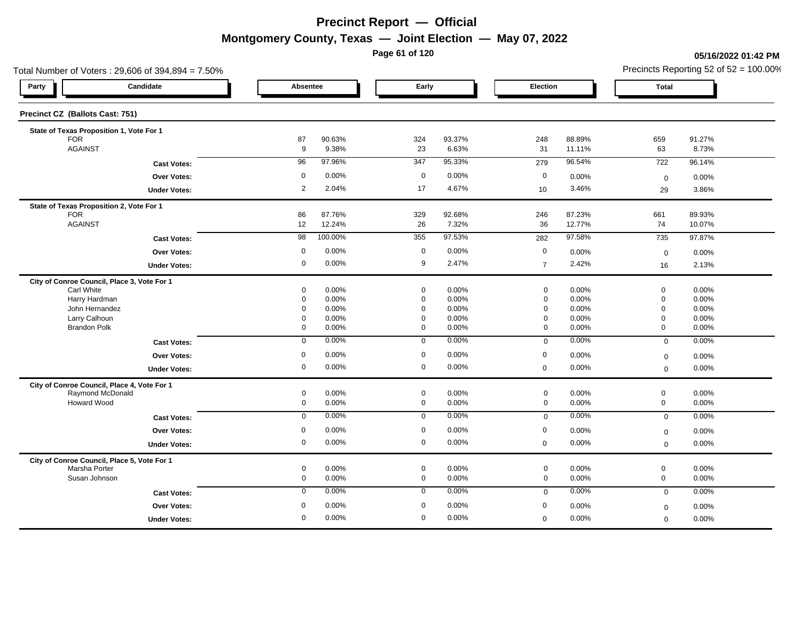**Page 61 of 120**

#### **05/16/2022 01:42 PM**

|                                 | Total Number of Voters: 29,606 of 394,894 = 7.50% |                |                 |                            |                 |                                    |                |                            | Precincts Reporting 52 of $52 = 100.00\%$ |
|---------------------------------|---------------------------------------------------|----------------|-----------------|----------------------------|-----------------|------------------------------------|----------------|----------------------------|-------------------------------------------|
| Party                           | Candidate                                         | Absentee       |                 | Early                      |                 | Election                           |                | <b>Total</b>               |                                           |
| Precinct CZ (Ballots Cast: 751) |                                                   |                |                 |                            |                 |                                    |                |                            |                                           |
|                                 | State of Texas Proposition 1, Vote For 1          |                |                 |                            |                 |                                    |                |                            |                                           |
| <b>FOR</b><br><b>AGAINST</b>    |                                                   | 87             | 90.63%<br>9.38% | 324<br>23                  | 93.37%<br>6.63% | 248                                | 88.89%         | 659<br>63                  | 91.27%                                    |
|                                 |                                                   | 9              |                 |                            |                 | 31                                 | 11.11%         |                            | 8.73%                                     |
|                                 | <b>Cast Votes:</b>                                | 96             | 97.96%          | 347                        | 95.33%          | 279                                | 96.54%         | 722                        | 96.14%                                    |
|                                 | <b>Over Votes:</b>                                | $\mathsf 0$    | 0.00%           | $\mathbf 0$                | 0.00%           | $\mathbf 0$                        | 0.00%          | $\mathbf 0$                | 0.00%                                     |
|                                 | <b>Under Votes:</b>                               | $\overline{2}$ | 2.04%           | 17                         | 4.67%           | 10                                 | 3.46%          | 29                         | 3.86%                                     |
|                                 | State of Texas Proposition 2, Vote For 1          |                |                 |                            |                 |                                    |                |                            |                                           |
| <b>FOR</b><br><b>AGAINST</b>    |                                                   | 86             | 87.76%          | 329                        | 92.68%          | 246                                | 87.23%         | 661                        | 89.93%                                    |
|                                 |                                                   | 12             | 12.24%          | 26                         | 7.32%           | 36                                 | 12.77%         | 74                         | 10.07%                                    |
|                                 | <b>Cast Votes:</b>                                | 98             | 100.00%         | 355                        | 97.53%          | 282                                | 97.58%         | 735                        | 97.87%                                    |
|                                 | Over Votes:                                       | 0              | 0.00%           | $\mathbf 0$                | 0.00%           | $\mathbf 0$                        | 0.00%          | $\boldsymbol{0}$           | 0.00%                                     |
|                                 | <b>Under Votes:</b>                               | 0              | 0.00%           | 9                          | 2.47%           | $\overline{7}$                     | 2.42%          | 16                         | 2.13%                                     |
|                                 | City of Conroe Council, Place 3, Vote For 1       |                |                 |                            |                 |                                    |                |                            |                                           |
| Carl White                      |                                                   | 0              | 0.00%           | $\mathbf 0$                | 0.00%           | $\mathbf 0$                        | 0.00%          | $\mathbf 0$                | 0.00%                                     |
|                                 | Harry Hardman<br>John Hernandez                   | 0<br>0         | 0.00%<br>0.00%  | $\mathbf 0$<br>$\mathbf 0$ | 0.00%<br>0.00%  | $\mathsf{O}\xspace$<br>$\mathbf 0$ | 0.00%<br>0.00% | $\mathbf 0$<br>$\mathbf 0$ | 0.00%<br>0.00%                            |
|                                 | Larry Calhoun                                     | 0              | 0.00%           | $\mathbf 0$                | 0.00%           | $\mathbf 0$                        | 0.00%          | $\mathbf 0$                | 0.00%                                     |
|                                 | <b>Brandon Polk</b>                               | 0              | 0.00%           | $\mathbf 0$                | 0.00%           | $\mathbf 0$                        | 0.00%          | $\mathbf 0$                | 0.00%                                     |
|                                 | <b>Cast Votes:</b>                                | $\mathbf 0$    | 0.00%           | $\mathbf{0}$               | 0.00%           | $\mathbf 0$                        | 0.00%          | $\mathbf 0$                | 0.00%                                     |
|                                 | Over Votes:                                       | $\mathbf 0$    | 0.00%           | $\mathbf 0$                | 0.00%           | $\mathbf 0$                        | 0.00%          | $\mathbf 0$                | 0.00%                                     |
|                                 | <b>Under Votes:</b>                               | 0              | 0.00%           | $\mathbf 0$                | 0.00%           | $\mathbf 0$                        | 0.00%          | $\mathbf 0$                | 0.00%                                     |
|                                 | City of Conroe Council, Place 4, Vote For 1       |                |                 |                            |                 |                                    |                |                            |                                           |
|                                 | Raymond McDonald                                  | $\mathbf 0$    | 0.00%           | $\mathsf 0$                | 0.00%           | $\mathbf 0$                        | 0.00%          | $\mathsf{O}\xspace$        | 0.00%                                     |
|                                 | <b>Howard Wood</b>                                | 0              | 0.00%           | $\mathbf 0$                | 0.00%           | $\mathbf 0$                        | 0.00%          | $\mathbf 0$                | 0.00%                                     |
|                                 | <b>Cast Votes:</b>                                | $\mathbf 0$    | 0.00%           | $\mathbf 0$                | 0.00%           | $\mathbf 0$                        | 0.00%          | $\mathbf 0$                | 0.00%                                     |
|                                 | Over Votes:                                       | $\mathbf 0$    | 0.00%           | $\mathbf 0$                | 0.00%           | $\mathbf 0$                        | 0.00%          | $\mathbf 0$                | 0.00%                                     |
|                                 | <b>Under Votes:</b>                               | $\mathbf 0$    | 0.00%           | $\mathbf 0$                | 0.00%           | $\mathbf 0$                        | 0.00%          | $\mathbf 0$                | 0.00%                                     |
|                                 | City of Conroe Council, Place 5, Vote For 1       |                |                 |                            |                 |                                    |                |                            |                                           |
|                                 | Marsha Porter                                     | 0              | 0.00%           | $\mathsf 0$                | 0.00%           | $\mathbf 0$                        | 0.00%          | $\mathsf{O}\xspace$        | 0.00%                                     |
|                                 | Susan Johnson                                     | 0              | 0.00%           | $\mathbf 0$                | 0.00%           | $\mathbf 0$                        | 0.00%          | $\mathbf 0$                | 0.00%                                     |
|                                 | <b>Cast Votes:</b>                                | $\mathbf 0$    | 0.00%           | $\mathbf 0$                | 0.00%           | $\mathbf 0$                        | 0.00%          | $\overline{0}$             | 0.00%                                     |
|                                 | <b>Over Votes:</b>                                | $\mathbf 0$    | 0.00%           | $\mathbf 0$                | 0.00%           | $\mathbf 0$                        | 0.00%          | $\mathbf 0$                | 0.00%                                     |
|                                 | <b>Under Votes:</b>                               | 0              | 0.00%           | $\mathbf 0$                | 0.00%           | $\mathbf 0$                        | 0.00%          | $\mathbf{0}$               | 0.00%                                     |
|                                 |                                                   |                |                 |                            |                 |                                    |                |                            |                                           |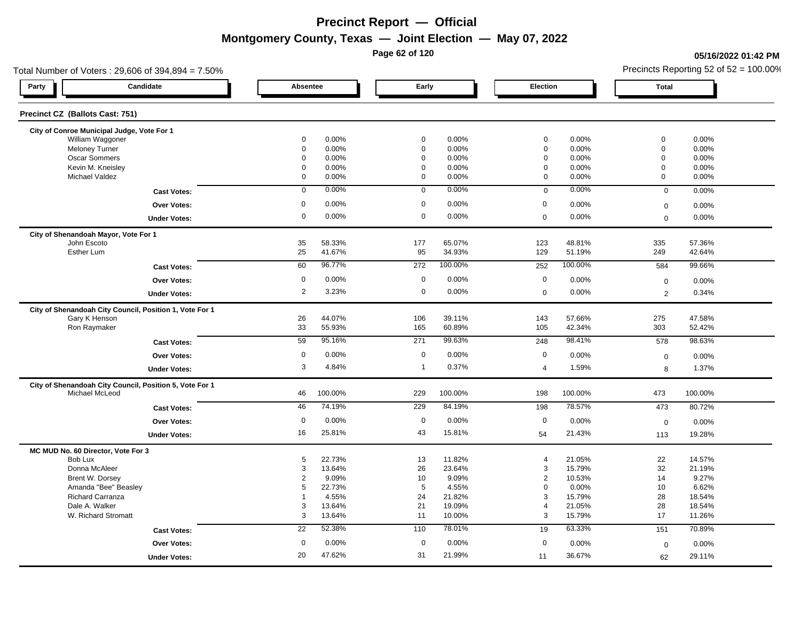**Page 62 of 120**

### **05/16/2022 01:42 PM**

| Total Number of Voters: 29,606 of 394,894 = 7.50%       |                  |                |                            |                |                            |                | Precincts Reporting 52 of $52 = 100.00\%$ |                |  |
|---------------------------------------------------------|------------------|----------------|----------------------------|----------------|----------------------------|----------------|-------------------------------------------|----------------|--|
| Candidate<br>Party                                      | Absentee         |                | Early                      |                | Election                   |                | Total                                     |                |  |
| Precinct CZ (Ballots Cast: 751)                         |                  |                |                            |                |                            |                |                                           |                |  |
| City of Conroe Municipal Judge, Vote For 1              |                  |                |                            |                |                            |                |                                           |                |  |
| William Waggoner<br><b>Meloney Turner</b>               | 0<br>$\mathbf 0$ | 0.00%<br>0.00% | $\mathbf 0$<br>$\mathbf 0$ | 0.00%<br>0.00% | $\mathbf 0$<br>$\mathbf 0$ | 0.00%<br>0.00% | $\mathbf 0$<br>$\mathbf 0$                | 0.00%<br>0.00% |  |
| Oscar Sommers                                           | 0                | 0.00%          | $\mathbf 0$                | 0.00%          | $\mathbf 0$                | 0.00%          | $\mathbf 0$                               | 0.00%          |  |
| Kevin M. Kneisley                                       | 0                | 0.00%          | $\mathbf 0$                | 0.00%          | $\mathbf 0$                | 0.00%          | $\mathbf 0$                               | 0.00%          |  |
| Michael Valdez                                          | 0                | 0.00%          | $\mathbf 0$                | 0.00%          | $\mathbf 0$                | 0.00%          | $\mathbf 0$                               | 0.00%          |  |
| <b>Cast Votes:</b>                                      | $\mathbf 0$      | 0.00%          | $\mathbf 0$                | 0.00%          | $\mathbf 0$                | 0.00%          | $\mathbf 0$                               | 0.00%          |  |
| <b>Over Votes:</b>                                      | $\mathbf 0$      | 0.00%          | $\mathbf 0$                | 0.00%          | $\boldsymbol{0}$           | 0.00%          | $\mathbf 0$                               | 0.00%          |  |
| <b>Under Votes:</b>                                     | 0                | 0.00%          | $\mathbf 0$                | 0.00%          | $\mathbf 0$                | 0.00%          | $\mathbf 0$                               | $0.00\%$       |  |
|                                                         |                  |                |                            |                |                            |                |                                           |                |  |
| City of Shenandoah Mayor, Vote For 1<br>John Escoto     | 35               | 58.33%         | 177                        | 65.07%         | 123                        | 48.81%         | 335                                       | 57.36%         |  |
| Esther Lum                                              | 25               | 41.67%         | 95                         | 34.93%         | 129                        | 51.19%         | 249                                       | 42.64%         |  |
|                                                         |                  |                |                            |                |                            |                |                                           |                |  |
| <b>Cast Votes:</b>                                      | 60               | 96.77%         | 272                        | 100.00%        | 252                        | 100.00%        | 584                                       | 99.66%         |  |
| <b>Over Votes:</b>                                      | $\mathbf 0$      | 0.00%          | $\mathbf 0$                | 0.00%          | $\boldsymbol{0}$           | 0.00%          | $\mathbf 0$                               | 0.00%          |  |
| <b>Under Votes:</b>                                     | $\overline{2}$   | 3.23%          | $\mathbf 0$                | 0.00%          | $\mathbf 0$                | 0.00%          | 2                                         | 0.34%          |  |
| City of Shenandoah City Council, Position 1, Vote For 1 |                  |                |                            |                |                            |                |                                           |                |  |
| Gary K Henson                                           | 26               | 44.07%         | 106                        | 39.11%         | 143                        | 57.66%         | 275                                       | 47.58%         |  |
| Ron Raymaker                                            | 33               | 55.93%         | 165                        | 60.89%         | 105                        | 42.34%         | 303                                       | 52.42%         |  |
| <b>Cast Votes:</b>                                      | 59               | 95.16%         | 271                        | 99.63%         | 248                        | 98.41%         | 578                                       | 98.63%         |  |
| <b>Over Votes:</b>                                      | $\mathbf 0$      | 0.00%          | $\mathbf 0$                | 0.00%          | $\mathbf 0$                | 0.00%          | $\mathbf 0$                               | 0.00%          |  |
| <b>Under Votes:</b>                                     | 3                | 4.84%          | $\mathbf{1}$               | 0.37%          | $\overline{4}$             | 1.59%          | 8                                         | 1.37%          |  |
| City of Shenandoah City Council, Position 5, Vote For 1 |                  |                |                            |                |                            |                |                                           |                |  |
| Michael McLeod                                          | 46               | 100.00%        | 229                        | 100.00%        | 198                        | 100.00%        | 473                                       | 100.00%        |  |
| <b>Cast Votes:</b>                                      | 46               | 74.19%         | 229                        | 84.19%         | 198                        | 78.57%         | 473                                       | 80.72%         |  |
| <b>Over Votes:</b>                                      | $\mathbf 0$      | 0.00%          | $\mathbf 0$                | 0.00%          | $\mathbf 0$                | 0.00%          | $\boldsymbol{0}$                          | 0.00%          |  |
| <b>Under Votes:</b>                                     | 16               | 25.81%         | 43                         | 15.81%         | 54                         | 21.43%         | 113                                       | 19.28%         |  |
|                                                         |                  |                |                            |                |                            |                |                                           |                |  |
| MC MUD No. 60 Director, Vote For 3<br>Bob Lux           | 5                | 22.73%         | 13                         | 11.82%         | $\overline{4}$             | 21.05%         | 22                                        | 14.57%         |  |
| Donna McAleer                                           | 3                | 13.64%         | 26                         | 23.64%         | 3                          | 15.79%         | 32                                        | 21.19%         |  |
| Brent W. Dorsey                                         | $\overline{2}$   | 9.09%          | 10                         | 9.09%          | $\overline{2}$             | 10.53%         | 14                                        | 9.27%          |  |
| Amanda "Bee" Beasley                                    | 5                | 22.73%         | 5                          | 4.55%          | $\mathbf 0$                | 0.00%          | 10                                        | 6.62%          |  |
| <b>Richard Carranza</b>                                 | 1                | 4.55%          | 24                         | 21.82%         | 3                          | 15.79%         | 28                                        | 18.54%         |  |
| Dale A. Walker                                          | 3                | 13.64%         | 21                         | 19.09%         | $\overline{4}$             | 21.05%         | 28                                        | 18.54%         |  |
| W. Richard Stromatt                                     | 3                | 13.64%         | 11                         | 10.00%         | $\mathbf{3}$               | 15.79%         | 17                                        | 11.26%         |  |
| <b>Cast Votes:</b>                                      | 22               | 52.38%         | 110                        | 78.01%         | 19                         | 63.33%         | 151                                       | 70.89%         |  |
| <b>Over Votes:</b>                                      | $\mathbf 0$      | 0.00%          | $\mathbf 0$                | 0.00%          | $\mathbf 0$                | 0.00%          | $\mathbf 0$                               | 0.00%          |  |
|                                                         |                  |                |                            |                |                            |                |                                           |                |  |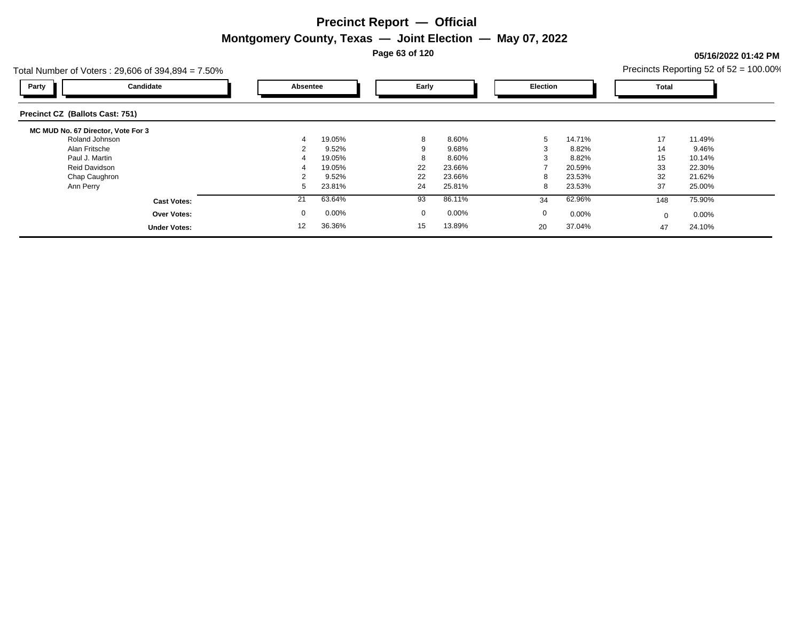**Page 63 of 120**

### **05/16/2022 01:42 PM**

| Total Number of Voters: $29,606$ of $394,894 = 7.50\%$ |    |          |              |          |             |        |          | Precincts Reporting 52 of 52 = 100.00% |  |
|--------------------------------------------------------|----|----------|--------------|----------|-------------|--------|----------|----------------------------------------|--|
| Candidate<br>Party                                     |    | Absentee | Early        |          | Election    |        | Total    |                                        |  |
| Precinct CZ (Ballots Cast: 751)                        |    |          |              |          |             |        |          |                                        |  |
| MC MUD No. 67 Director, Vote For 3                     |    |          |              |          |             |        |          |                                        |  |
| Roland Johnson                                         |    | 19.05%   | 8            | 8.60%    | -5          | 14.71% | 17       | 11.49%                                 |  |
| Alan Fritsche                                          |    | 9.52%    |              | 9.68%    |             | 8.82%  | 14       | 9.46%                                  |  |
| Paul J. Martin                                         |    | 19.05%   |              | 8.60%    |             | 8.82%  | 15       | 10.14%                                 |  |
| Reid Davidson                                          |    | 19.05%   | 22           | 23.66%   |             | 20.59% | 33       | 22.30%                                 |  |
| Chap Caughron                                          |    | 9.52%    | 22           | 23.66%   | 8           | 23.53% | 32       | 21.62%                                 |  |
| Ann Perry                                              | 5  | 23.81%   | 24           | 25.81%   | 8           | 23.53% | 37       | 25.00%                                 |  |
| <b>Cast Votes:</b>                                     | 21 | 63.64%   | 93           | 86.11%   | 34          | 62.96% | 148      | 75.90%                                 |  |
| <b>Over Votes:</b>                                     | 0  | 0.00%    | $\mathbf{0}$ | $0.00\%$ | $\mathbf 0$ | 0.00%  | $\Omega$ | $0.00\%$                               |  |
| <b>Under Votes:</b>                                    | 12 | 36.36%   | 15           | 13.89%   | 20          | 37.04% | 47       | 24.10%                                 |  |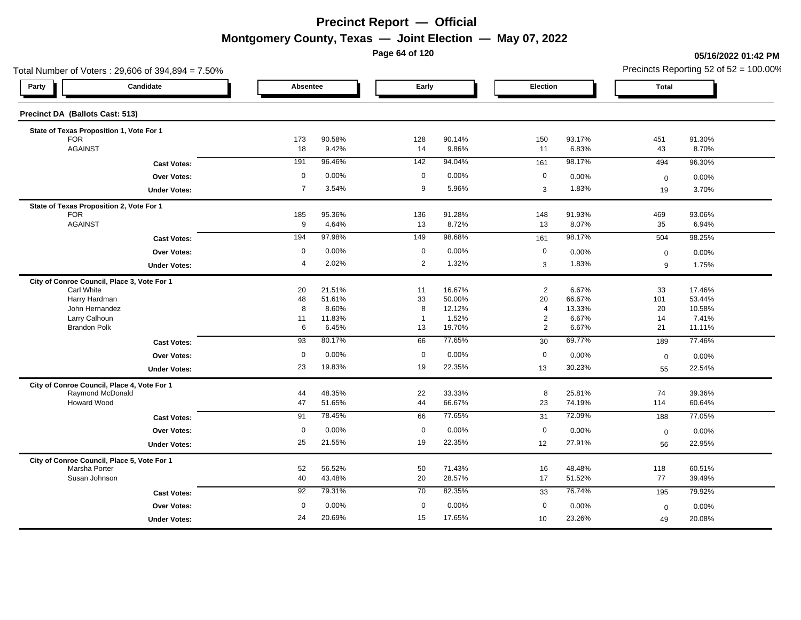**Page 64 of 120**

### **05/16/2022 01:42 PM**

|                                 | Total Number of Voters: 29,606 of 394,894 = 7.50% |                |                  |                     |                  |                                  |                  |              | Precincts Reporting 52 of $52 = 100.00\%$ |
|---------------------------------|---------------------------------------------------|----------------|------------------|---------------------|------------------|----------------------------------|------------------|--------------|-------------------------------------------|
| Party                           | Candidate                                         | Absentee       |                  | Early               |                  | Election                         |                  | <b>Total</b> |                                           |
| Precinct DA (Ballots Cast: 513) |                                                   |                |                  |                     |                  |                                  |                  |              |                                           |
|                                 | State of Texas Proposition 1, Vote For 1          |                |                  |                     |                  |                                  |                  |              |                                           |
| <b>FOR</b>                      |                                                   | 173            | 90.58%           | 128                 | 90.14%           | 150                              | 93.17%           | 451          | 91.30%                                    |
| <b>AGAINST</b>                  |                                                   | 18             | 9.42%            | 14                  | 9.86%            | 11                               | 6.83%            | 43           | 8.70%                                     |
|                                 | <b>Cast Votes:</b>                                | 191            | 96.46%           | 142                 | 94.04%           | 161                              | 98.17%           | 494          | 96.30%                                    |
|                                 | Over Votes:                                       | $\mathbf 0$    | 0.00%            | $\mathbf 0$         | 0.00%            | $\mathbf 0$                      | 0.00%            | $\mathbf 0$  | 0.00%                                     |
|                                 | <b>Under Votes:</b>                               | $\overline{7}$ | 3.54%            | 9                   | 5.96%            | 3                                | 1.83%            | 19           | 3.70%                                     |
|                                 | State of Texas Proposition 2, Vote For 1          |                |                  |                     |                  |                                  |                  |              |                                           |
| <b>FOR</b>                      |                                                   | 185            | 95.36%           | 136                 | 91.28%           | 148                              | 91.93%           | 469          | 93.06%                                    |
| <b>AGAINST</b>                  |                                                   | 9              | 4.64%            | 13                  | 8.72%            | 13                               | 8.07%            | 35           | 6.94%                                     |
|                                 | <b>Cast Votes:</b>                                | 194            | 97.98%           | 149                 | 98.68%           | 161                              | 98.17%           | 504          | 98.25%                                    |
|                                 | <b>Over Votes:</b>                                | $\mathbf 0$    | 0.00%            | $\mathbf 0$         | 0.00%            | $\mathbf 0$                      | 0.00%            | $\mathbf 0$  | 0.00%                                     |
|                                 | <b>Under Votes:</b>                               | $\overline{4}$ | 2.02%            | $\overline{2}$      | 1.32%            | $\sqrt{3}$                       | 1.83%            | 9            | 1.75%                                     |
|                                 | City of Conroe Council, Place 3, Vote For 1       |                |                  |                     |                  |                                  |                  |              |                                           |
| Carl White                      |                                                   | 20             | 21.51%           | 11                  | 16.67%           | $\overline{2}$                   | 6.67%            | 33           | 17.46%                                    |
|                                 | Harry Hardman                                     | 48             | 51.61%           | 33                  | 50.00%           | 20                               | 66.67%           | 101          | 53.44%                                    |
|                                 | John Hernandez                                    | 8              | 8.60%            | 8<br>$\overline{1}$ | 12.12%           | $\overline{4}$                   | 13.33%           | 20           | 10.58%                                    |
|                                 | Larry Calhoun<br><b>Brandon Polk</b>              | 11<br>6        | 11.83%<br>6.45%  | 13                  | 1.52%<br>19.70%  | $\overline{a}$<br>$\overline{2}$ | 6.67%<br>6.67%   | 14<br>21     | 7.41%<br>11.11%                           |
|                                 | <b>Cast Votes:</b>                                | 93             | 80.17%           | 66                  | 77.65%           | 30                               | 69.77%           | 189          | 77.46%                                    |
|                                 | Over Votes:                                       | $\mathbf 0$    | 0.00%            | $\mathbf 0$         | 0.00%            | $\mathbf 0$                      | 0.00%            |              |                                           |
|                                 |                                                   | 23             | 19.83%           | 19                  | 22.35%           |                                  | 30.23%           | $\mathbf 0$  | 0.00%                                     |
|                                 | <b>Under Votes:</b>                               |                |                  |                     |                  | 13                               |                  | 55           | 22.54%                                    |
|                                 | City of Conroe Council, Place 4, Vote For 1       |                |                  |                     |                  |                                  |                  |              |                                           |
|                                 | Raymond McDonald<br>Howard Wood                   | 44<br>47       | 48.35%<br>51.65% | 22<br>44            | 33.33%<br>66.67% | 8<br>23                          | 25.81%<br>74.19% | 74<br>114    | 39.36%<br>60.64%                          |
|                                 |                                                   |                | 78.45%           | 66                  | 77.65%           |                                  | 72.09%           |              |                                           |
|                                 | <b>Cast Votes:</b>                                | 91             |                  |                     |                  | 31                               |                  | 188          | 77.05%                                    |
|                                 | Over Votes:                                       | $\mathbf 0$    | 0.00%            | $\mathbf 0$         | 0.00%            | $\mathbf 0$                      | 0.00%            | $\mathbf 0$  | 0.00%                                     |
|                                 | <b>Under Votes:</b>                               | 25             | 21.55%           | 19                  | 22.35%           | 12                               | 27.91%           | 56           | 22.95%                                    |
|                                 | City of Conroe Council, Place 5, Vote For 1       |                |                  |                     |                  |                                  |                  |              |                                           |
|                                 | Marsha Porter<br>Susan Johnson                    | 52<br>40       | 56.52%<br>43.48% | 50<br>20            | 71.43%<br>28.57% | 16<br>17                         | 48.48%<br>51.52% | 118<br>77    | 60.51%<br>39.49%                          |
|                                 |                                                   |                |                  |                     |                  |                                  |                  |              |                                           |
|                                 | <b>Cast Votes:</b>                                | 92             | 79.31%           | 70                  | 82.35%           | 33                               | 76.74%           | 195          | 79.92%                                    |
|                                 | Over Votes:                                       | $\mathbf 0$    | 0.00%            | $\mathbf 0$         | 0.00%            | $\mathbf 0$                      | 0.00%            | $\mathbf 0$  | 0.00%                                     |
|                                 | <b>Under Votes:</b>                               | 24             | 20.69%           | 15                  | 17.65%           | 10                               | 23.26%           | 49           | 20.08%                                    |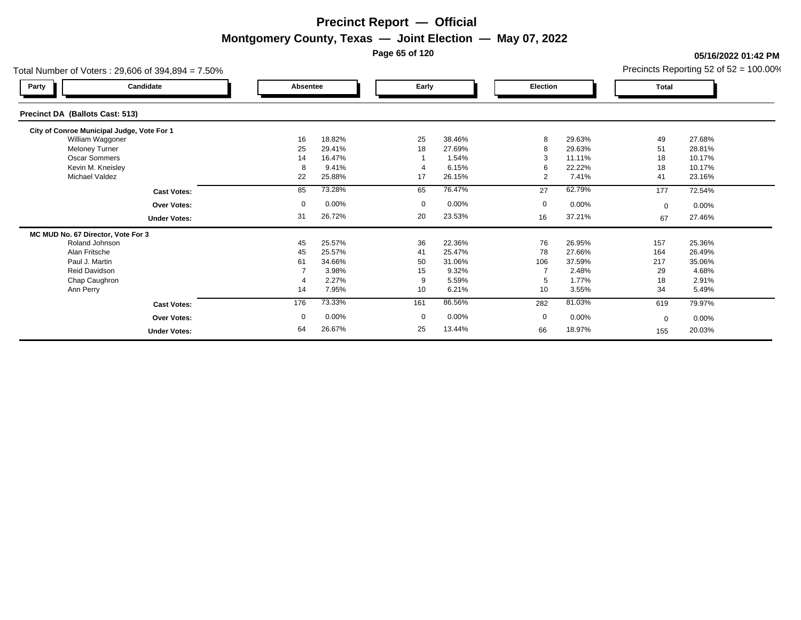**Page 65 of 120**

**05/16/2022 01:42 PM**

| Total Number of Voters: 29,606 of 394,894 = 7.50% |             |          |              |          |          |        |              | Precincts Reporting 52 of 52 = 100.00% |
|---------------------------------------------------|-------------|----------|--------------|----------|----------|--------|--------------|----------------------------------------|
| Candidate<br>Party                                | Absentee    |          | Early        |          | Election |        | <b>Total</b> |                                        |
| Precinct DA (Ballots Cast: 513)                   |             |          |              |          |          |        |              |                                        |
| City of Conroe Municipal Judge, Vote For 1        |             |          |              |          |          |        |              |                                        |
| William Waggoner                                  | 16          | 18.82%   | 25           | 38.46%   | 8        | 29.63% | 49           | 27.68%                                 |
| <b>Meloney Turner</b>                             | 25          | 29.41%   | 18           | 27.69%   | 8        | 29.63% | 51           | 28.81%                                 |
| <b>Oscar Sommers</b>                              | 14          | 16.47%   |              | 1.54%    | 3        | 11.11% | 18           | 10.17%                                 |
| Kevin M. Kneisley                                 | 8           | 9.41%    |              | 6.15%    | 6        | 22.22% | 18           | 10.17%                                 |
| Michael Valdez                                    | 22          | 25.88%   | 17           | 26.15%   | 2        | 7.41%  | 41           | 23.16%                                 |
| <b>Cast Votes:</b>                                | 85          | 73.28%   | 65           | 76.47%   | 27       | 62.79% | 177          | 72.54%                                 |
| <b>Over Votes:</b>                                | $\mathbf 0$ | $0.00\%$ | $\mathbf 0$  | $0.00\%$ | 0        | 0.00%  | $\mathbf 0$  | $0.00\%$                               |
| <b>Under Votes:</b>                               | 31          | 26.72%   | 20           | 23.53%   | 16       | 37.21% | 67           | 27.46%                                 |
| MC MUD No. 67 Director, Vote For 3                |             |          |              |          |          |        |              |                                        |
| Roland Johnson                                    | 45          | 25.57%   | 36           | 22.36%   | 76       | 26.95% | 157          | 25.36%                                 |
| Alan Fritsche                                     | 45          | 25.57%   | 41           | 25.47%   | 78       | 27.66% | 164          | 26.49%                                 |
| Paul J. Martin                                    | 61          | 34.66%   | 50           | 31.06%   | 106      | 37.59% | 217          | 35.06%                                 |
| Reid Davidson                                     |             | 3.98%    | 15           | 9.32%    |          | 2.48%  | 29           | 4.68%                                  |
| Chap Caughron                                     |             | 2.27%    | 9            | 5.59%    | 5        | 1.77%  | 18           | 2.91%                                  |
| Ann Perry                                         | 14          | 7.95%    | 10           | 6.21%    | 10       | 3.55%  | 34           | 5.49%                                  |
| <b>Cast Votes:</b>                                | 176         | 73.33%   | 161          | 86.56%   | 282      | 81.03% | 619          | 79.97%                                 |
| Over Votes:                                       | $\mathbf 0$ | 0.00%    | $\mathbf{0}$ | 0.00%    | 0        | 0.00%  | $\Omega$     | $0.00\%$                               |
| <b>Under Votes:</b>                               | 64          | 26.67%   | 25           | 13.44%   | 66       | 18.97% | 155          | 20.03%                                 |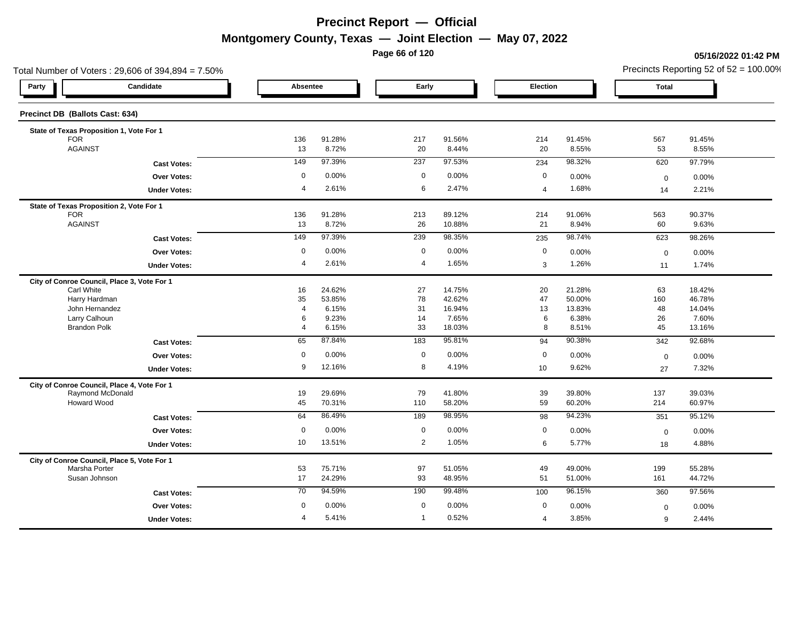**Page 66 of 120**

### **05/16/2022 01:42 PM**

|                                 | Total Number of Voters: 29,606 of 394,894 = 7.50% |                      |                 |                |                  |                |                  |              | Precincts Reporting 52 of $52 = 100.00\%$ |
|---------------------------------|---------------------------------------------------|----------------------|-----------------|----------------|------------------|----------------|------------------|--------------|-------------------------------------------|
| Party                           | Candidate                                         | Absentee             |                 | Early          |                  | Election       |                  | <b>Total</b> |                                           |
| Precinct DB (Ballots Cast: 634) |                                                   |                      |                 |                |                  |                |                  |              |                                           |
|                                 | State of Texas Proposition 1, Vote For 1          |                      |                 |                |                  |                |                  |              |                                           |
| <b>FOR</b>                      |                                                   | 136                  | 91.28%          | 217            | 91.56%           | 214            | 91.45%           | 567          | 91.45%                                    |
| <b>AGAINST</b>                  |                                                   | 13                   | 8.72%           | 20             | 8.44%            | 20             | 8.55%            | 53           | 8.55%                                     |
|                                 | <b>Cast Votes:</b>                                | 149                  | 97.39%          | 237            | 97.53%           | 234            | 98.32%           | 620          | 97.79%                                    |
|                                 | <b>Over Votes:</b>                                | $\mathbf 0$          | 0.00%           | $\mathbf 0$    | 0.00%            | $\mathbf 0$    | 0.00%            | $\mathbf 0$  | 0.00%                                     |
|                                 | <b>Under Votes:</b>                               | $\overline{4}$       | 2.61%           | 6              | 2.47%            | $\overline{4}$ | 1.68%            | 14           | 2.21%                                     |
|                                 | State of Texas Proposition 2, Vote For 1          |                      |                 |                |                  |                |                  |              |                                           |
| <b>FOR</b>                      |                                                   | 136                  | 91.28%          | 213            | 89.12%           | 214            | 91.06%           | 563          | 90.37%                                    |
| <b>AGAINST</b>                  |                                                   | 13                   | 8.72%           | 26             | 10.88%           | 21             | 8.94%            | 60           | 9.63%                                     |
|                                 | <b>Cast Votes:</b>                                | 149                  | 97.39%          | 239            | 98.35%           | 235            | 98.74%           | 623          | 98.26%                                    |
|                                 | Over Votes:                                       | 0                    | 0.00%           | $\mathbf 0$    | 0.00%            | $\mathbf 0$    | 0.00%            | $\mathbf 0$  | 0.00%                                     |
|                                 | <b>Under Votes:</b>                               | $\overline{4}$       | 2.61%           | $\overline{4}$ | 1.65%            | $\sqrt{3}$     | 1.26%            | 11           | 1.74%                                     |
|                                 | City of Conroe Council, Place 3, Vote For 1       |                      |                 |                |                  |                |                  |              |                                           |
| Carl White                      |                                                   | 16                   | 24.62%          | 27             | 14.75%           | 20             | 21.28%           | 63           | 18.42%                                    |
|                                 | Harry Hardman<br>John Hernandez                   | 35<br>$\overline{4}$ | 53.85%<br>6.15% | 78<br>31       | 42.62%<br>16.94% | 47<br>13       | 50.00%<br>13.83% | 160<br>48    | 46.78%<br>14.04%                          |
| Larry Calhoun                   |                                                   | 6                    | 9.23%           | 14             | 7.65%            | 6              | 6.38%            | 26           | 7.60%                                     |
| <b>Brandon Polk</b>             |                                                   | $\overline{4}$       | 6.15%           | 33             | 18.03%           | 8              | 8.51%            | 45           | 13.16%                                    |
|                                 | <b>Cast Votes:</b>                                | 65                   | 87.84%          | 183            | 95.81%           | 94             | 90.38%           | 342          | 92.68%                                    |
|                                 | Over Votes:                                       | $\mathbf 0$          | 0.00%           | $\mathbf 0$    | 0.00%            | $\mathbf 0$    | 0.00%            | $\mathbf 0$  | 0.00%                                     |
|                                 | <b>Under Votes:</b>                               | 9                    | 12.16%          | 8              | 4.19%            | 10             | 9.62%            | 27           | 7.32%                                     |
|                                 | City of Conroe Council, Place 4, Vote For 1       |                      |                 |                |                  |                |                  |              |                                           |
|                                 | Raymond McDonald                                  | 19                   | 29.69%          | 79             | 41.80%           | 39             | 39.80%           | 137          | 39.03%                                    |
|                                 | <b>Howard Wood</b>                                | 45                   | 70.31%          | 110            | 58.20%           | 59             | 60.20%           | 214          | 60.97%                                    |
|                                 | <b>Cast Votes:</b>                                | 64                   | 86.49%          | 189            | 98.95%           | 98             | 94.23%           | 351          | 95.12%                                    |
|                                 | Over Votes:                                       | $\mathbf 0$          | 0.00%           | $\mathbf 0$    | 0.00%            | $\mathbf 0$    | 0.00%            | $\mathbf 0$  | 0.00%                                     |
|                                 | <b>Under Votes:</b>                               | 10                   | 13.51%          | $\overline{2}$ | 1.05%            | 6              | 5.77%            | 18           | 4.88%                                     |
|                                 | City of Conroe Council, Place 5, Vote For 1       |                      |                 |                |                  |                |                  |              |                                           |
|                                 | Marsha Porter                                     | 53                   | 75.71%          | 97             | 51.05%           | 49             | 49.00%           | 199          | 55.28%                                    |
|                                 | Susan Johnson                                     | 17                   | 24.29%          | 93             | 48.95%           | 51             | 51.00%           | 161          | 44.72%                                    |
|                                 | <b>Cast Votes:</b>                                | 70                   | 94.59%          | 190            | 99.48%           | 100            | 96.15%           | 360          | 97.56%                                    |
|                                 | <b>Over Votes:</b>                                | $\mathbf 0$          | 0.00%           | $\mathbf 0$    | 0.00%            | $\mathbf 0$    | 0.00%            | $\mathbf 0$  | 0.00%                                     |
|                                 | <b>Under Votes:</b>                               | $\overline{4}$       | 5.41%           | $\mathbf{1}$   | 0.52%            | $\overline{4}$ | 3.85%            | 9            | 2.44%                                     |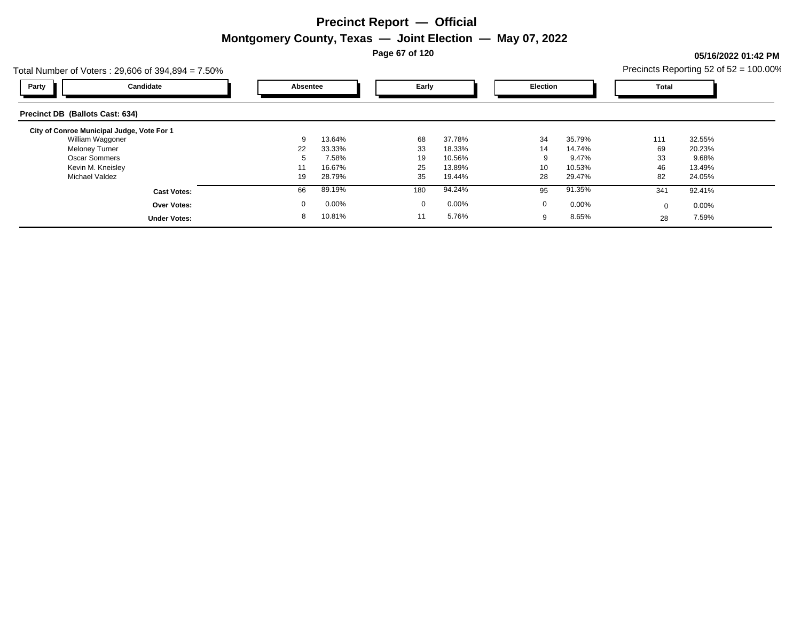**Page 67 of 120**

### **05/16/2022 01:42 PM**

| Total Number of Voters: $29,606$ of $394,894 = 7.50\%$ |          |        |             |        |          |        |              | Precincts Reporting 52 of $52 = 100.00\%$ |
|--------------------------------------------------------|----------|--------|-------------|--------|----------|--------|--------------|-------------------------------------------|
| Candidate<br>Party                                     | Absentee |        | Early       |        | Election |        | <b>Total</b> |                                           |
| Precinct DB (Ballots Cast: 634)                        |          |        |             |        |          |        |              |                                           |
| City of Conroe Municipal Judge, Vote For 1             |          |        |             |        |          |        |              |                                           |
| William Waggoner                                       | 9        | 13.64% | 68          | 37.78% | 34       | 35.79% | 111          | 32.55%                                    |
| <b>Meloney Turner</b>                                  | 22       | 33.33% | 33          | 18.33% | 14       | 14.74% | 69           | 20.23%                                    |
| <b>Oscar Sommers</b>                                   | b        | 7.58%  | 19          | 10.56% | 9        | 9.47%  | 33           | 9.68%                                     |
| Kevin M. Kneisley                                      |          | 16.67% | 25          | 13.89% | 10       | 10.53% | 46           | 13.49%                                    |
| Michael Valdez                                         | 19       | 28.79% | 35          | 19.44% | 28       | 29.47% | 82           | 24.05%                                    |
| <b>Cast Votes:</b>                                     | 66       | 89.19% | 180         | 94.24% | 95       | 91.35% | 341          | 92.41%                                    |
| <b>Over Votes:</b>                                     | 0        | 0.00%  | $\mathbf 0$ | 0.00%  | 0        | 0.00%  | $\Omega$     | $0.00\%$                                  |
| <b>Under Votes:</b>                                    | 8        | 10.81% |             | 5.76%  | 9        | 8.65%  | 28           | 7.59%                                     |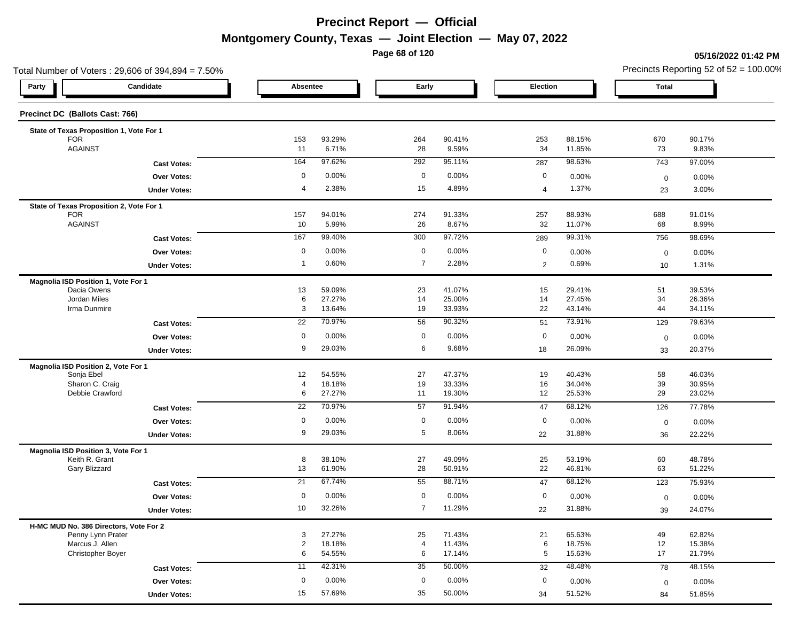**Page 68 of 120**

**05/16/2022 01:42 PM**

| Total Number of Voters: 29,606 of 394,894 = 7.50%           |                     |                      |                  |                |                  |                |                  |                   | Precincts Reporting 52 of 52 = 100.00% |
|-------------------------------------------------------------|---------------------|----------------------|------------------|----------------|------------------|----------------|------------------|-------------------|----------------------------------------|
| Party                                                       | Candidate           | Absentee             |                  | Early          |                  | Election       |                  | <b>Total</b>      |                                        |
| Precinct DC (Ballots Cast: 766)                             |                     |                      |                  |                |                  |                |                  |                   |                                        |
| State of Texas Proposition 1, Vote For 1                    |                     |                      |                  |                |                  |                |                  |                   |                                        |
| <b>FOR</b><br><b>AGAINST</b>                                |                     | 153<br>11            | 93.29%<br>6.71%  | 264            | 90.41%<br>9.59%  | 253<br>34      | 88.15%<br>11.85% | 670               | 90.17%<br>9.83%                        |
|                                                             |                     |                      |                  | 28             |                  |                |                  | 73                |                                        |
|                                                             | <b>Cast Votes:</b>  | 164                  | 97.62%           | 292            | 95.11%           | 287            | 98.63%           | 743               | 97.00%                                 |
|                                                             | Over Votes:         | 0                    | 0.00%            | $\mathbf 0$    | 0.00%            | 0              | 0.00%            | $\mathbf 0$       | 0.00%                                  |
|                                                             | <b>Under Votes:</b> | $\overline{4}$       | 2.38%            | 15             | 4.89%            | $\overline{4}$ | 1.37%            | 23                | 3.00%                                  |
| State of Texas Proposition 2, Vote For 1                    |                     |                      |                  |                |                  |                |                  |                   |                                        |
| <b>FOR</b><br><b>AGAINST</b>                                |                     | 157<br>10            | 94.01%<br>5.99%  | 274<br>26      | 91.33%<br>8.67%  | 257<br>32      | 88.93%<br>11.07% | 688               | 91.01%<br>8.99%                        |
|                                                             |                     |                      |                  |                |                  |                |                  | 68                |                                        |
|                                                             | <b>Cast Votes:</b>  | 167                  | 99.40%           | 300            | 97.72%           | 289            | 99.31%           | 756               | 98.69%                                 |
|                                                             | Over Votes:         | $\mathbf 0$          | 0.00%            | $\mathbf 0$    | 0.00%            | 0              | 0.00%            | $\boldsymbol{0}$  | 0.00%                                  |
|                                                             | <b>Under Votes:</b> | $\overline{1}$       | 0.60%            | $\overline{7}$ | 2.28%            | $\overline{2}$ | 0.69%            | 10                | 1.31%                                  |
| Magnolia ISD Position 1, Vote For 1                         |                     |                      |                  |                |                  |                |                  |                   |                                        |
| Dacia Owens<br>Jordan Miles                                 |                     | 13<br>6              | 59.09%<br>27.27% | 23<br>14       | 41.07%<br>25.00% | 15<br>14       | 29.41%<br>27.45% | 51<br>34          | 39.53%<br>26.36%                       |
| Irma Dunmire                                                |                     | 3                    | 13.64%           | 19             | 33.93%           | 22             | 43.14%           | 44                | 34.11%                                 |
|                                                             | <b>Cast Votes:</b>  | 22                   | 70.97%           | 56             | 90.32%           | 51             | 73.91%           | 129               | 79.63%                                 |
|                                                             | <b>Over Votes:</b>  | $\mathbf 0$          | 0.00%            | $\mathbf 0$    | 0.00%            | 0              | 0.00%            |                   |                                        |
|                                                             |                     | 9                    | 29.03%           | 6              | 9.68%            |                | 26.09%           | $\mathbf 0$       | 0.00%                                  |
|                                                             | <b>Under Votes:</b> |                      |                  |                |                  | 18             |                  | 33                | 20.37%                                 |
| Magnolia ISD Position 2, Vote For 1                         |                     |                      | 54.55%           |                | 47.37%           |                | 40.43%           |                   | 46.03%                                 |
| Sonja Ebel<br>Sharon C. Craig                               |                     | 12<br>$\overline{4}$ | 18.18%           | 27<br>19       | 33.33%           | 19<br>16       | 34.04%           | 58<br>$39\,$      | 30.95%                                 |
| Debbie Crawford                                             |                     | 6                    | 27.27%           | 11             | 19.30%           | 12             | 25.53%           | 29                | 23.02%                                 |
|                                                             | <b>Cast Votes:</b>  | 22                   | 70.97%           | 57             | 91.94%           | 47             | 68.12%           | 126               | 77.78%                                 |
|                                                             | Over Votes:         | $\mathbf 0$          | 0.00%            | $\mathbf 0$    | 0.00%            | 0              | 0.00%            |                   |                                        |
|                                                             |                     | 9                    | 29.03%           | 5              | 8.06%            | 22             | 31.88%           | $\mathbf 0$       | 0.00%                                  |
|                                                             | <b>Under Votes:</b> |                      |                  |                |                  |                |                  | 36                | 22.22%                                 |
| Magnolia ISD Position 3, Vote For 1<br>Keith R. Grant       |                     | 8                    | 38.10%           |                | 49.09%           |                | 53.19%           |                   | 48.78%                                 |
| Gary Blizzard                                               |                     | 13                   | 61.90%           | 27<br>28       | 50.91%           | 25<br>22       | 46.81%           | 60<br>63          | 51.22%                                 |
|                                                             | <b>Cast Votes:</b>  | 21                   | 67.74%           | 55             | 88.71%           | 47             | 68.12%           | 123               | 75.93%                                 |
|                                                             | <b>Over Votes:</b>  | $\mathbf 0$          | 0.00%            | $\mathbf 0$    | 0.00%            | 0              | 0.00%            |                   | 0.00%                                  |
|                                                             | <b>Under Votes:</b> | 10                   | 32.26%           | $\overline{7}$ | 11.29%           | 22             | 31.88%           | $\mathbf 0$<br>39 | 24.07%                                 |
|                                                             |                     |                      |                  |                |                  |                |                  |                   |                                        |
| H-MC MUD No. 386 Directors, Vote For 2<br>Penny Lynn Prater |                     | 3                    | 27.27%           | 25             | 71.43%           | 21             | 65.63%           | 49                | 62.82%                                 |
| Marcus J. Allen                                             |                     | $\overline{2}$       | 18.18%           | $\overline{4}$ | 11.43%           | 6              | 18.75%           | 12                | 15.38%                                 |
| Christopher Boyer                                           |                     | 6                    | 54.55%           | 6              | 17.14%           | 5              | 15.63%           | 17                | 21.79%                                 |
|                                                             | <b>Cast Votes:</b>  | 11                   | 42.31%           | 35             | 50.00%           | 32             | 48.48%           | 78                | 48.15%                                 |
|                                                             | Over Votes:         | $\mathbf 0$          | 0.00%            | $\mathbf 0$    | 0.00%            | 0              | 0.00%            | $\mathbf 0$       | 0.00%                                  |
|                                                             | <b>Under Votes:</b> | 15                   | 57.69%           | 35             | 50.00%           | 34             | 51.52%           | 84                | 51.85%                                 |
|                                                             |                     |                      |                  |                |                  |                |                  |                   |                                        |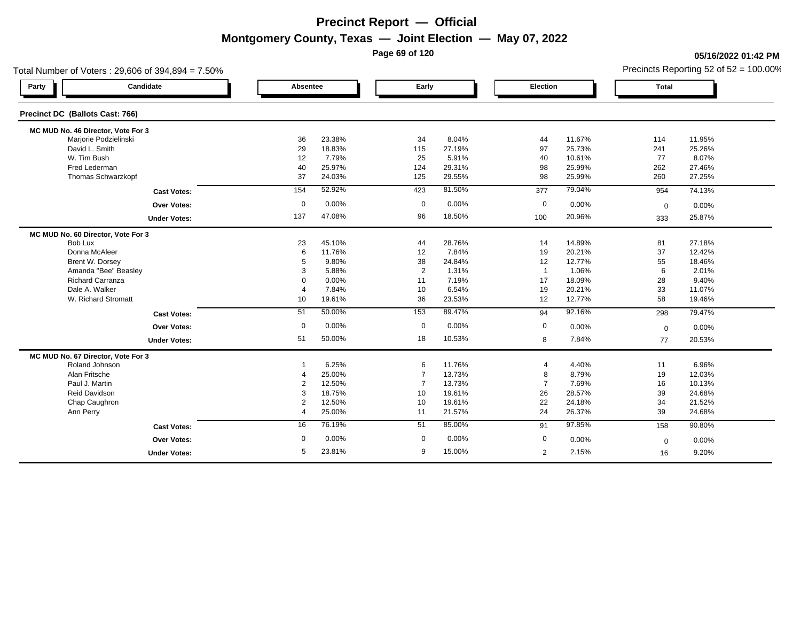**Page 69 of 120**

### **05/16/2022 01:42 PM**

| Total Number of Voters: 29,606 of 394,894 = 7.50% |                |        |                |        |                  |        | Precincts Reporting 52 of $52 = 100.00\%$ |        |  |
|---------------------------------------------------|----------------|--------|----------------|--------|------------------|--------|-------------------------------------------|--------|--|
| Candidate<br>Party                                | Absentee       |        | Early          |        | Election         |        | <b>Total</b>                              |        |  |
| Precinct DC (Ballots Cast: 766)                   |                |        |                |        |                  |        |                                           |        |  |
| MC MUD No. 46 Director, Vote For 3                |                |        |                |        |                  |        |                                           |        |  |
| Marjorie Podzielinski                             | 36             | 23.38% | 34             | 8.04%  | 44               | 11.67% | 114                                       | 11.95% |  |
| David L. Smith                                    | 29             | 18.83% | 115            | 27.19% | 97               | 25.73% | 241                                       | 25.26% |  |
| W. Tim Bush                                       | 12             | 7.79%  | 25             | 5.91%  | 40               | 10.61% | 77                                        | 8.07%  |  |
| Fred Lederman                                     | 40             | 25.97% | 124            | 29.31% | 98               | 25.99% | 262                                       | 27.46% |  |
| Thomas Schwarzkopf                                | 37             | 24.03% | 125            | 29.55% | 98               | 25.99% | 260                                       | 27.25% |  |
| <b>Cast Votes:</b>                                | 154            | 52.92% | 423            | 81.50% | 377              | 79.04% | 954                                       | 74.13% |  |
| <b>Over Votes:</b>                                | $\mathbf 0$    | 0.00%  | $\mathbf 0$    | 0.00%  | $\boldsymbol{0}$ | 0.00%  | $\mathbf 0$                               | 0.00%  |  |
| <b>Under Votes:</b>                               | 137            | 47.08% | 96             | 18.50% | 100              | 20.96% | 333                                       | 25.87% |  |
| MC MUD No. 60 Director, Vote For 3                |                |        |                |        |                  |        |                                           |        |  |
| Bob Lux                                           | 23             | 45.10% | 44             | 28.76% | 14               | 14.89% | 81                                        | 27.18% |  |
| Donna McAleer                                     | 6              | 11.76% | 12             | 7.84%  | 19               | 20.21% | 37                                        | 12.42% |  |
| Brent W. Dorsey                                   | 5              | 9.80%  | 38             | 24.84% | 12               | 12.77% | 55                                        | 18.46% |  |
| Amanda "Bee" Beasley                              | 3              | 5.88%  | 2              | 1.31%  | $\overline{1}$   | 1.06%  | 6                                         | 2.01%  |  |
| Richard Carranza                                  | $\Omega$       | 0.00%  | 11             | 7.19%  | 17               | 18.09% | 28                                        | 9.40%  |  |
| Dale A. Walker                                    | $\overline{4}$ | 7.84%  | 10             | 6.54%  | 19               | 20.21% | 33                                        | 11.07% |  |
| W. Richard Stromatt                               | 10             | 19.61% | 36             | 23.53% | 12               | 12.77% | 58                                        | 19.46% |  |
| <b>Cast Votes:</b>                                | 51             | 50.00% | 153            | 89.47% | 94               | 92.16% | 298                                       | 79.47% |  |
| <b>Over Votes:</b>                                | 0              | 0.00%  | $\mathbf 0$    | 0.00%  | 0                | 0.00%  | $\mathbf 0$                               | 0.00%  |  |
| <b>Under Votes:</b>                               | 51             | 50.00% | 18             | 10.53% | 8                | 7.84%  | 77                                        | 20.53% |  |
| MC MUD No. 67 Director, Vote For 3                |                |        |                |        |                  |        |                                           |        |  |
| Roland Johnson                                    |                | 6.25%  | 6              | 11.76% | 4                | 4.40%  | 11                                        | 6.96%  |  |
| Alan Fritsche                                     | 4              | 25.00% | 7              | 13.73% | 8                | 8.79%  | 19                                        | 12.03% |  |
| Paul J. Martin                                    | 2              | 12.50% | $\overline{7}$ | 13.73% | $\overline{7}$   | 7.69%  | 16                                        | 10.13% |  |
| Reid Davidson                                     | 3              | 18.75% | 10             | 19.61% | 26               | 28.57% | 39                                        | 24.68% |  |
| Chap Caughron                                     | 2              | 12.50% | 10             | 19.61% | 22               | 24.18% | 34                                        | 21.52% |  |
| Ann Perry                                         | $\overline{4}$ | 25.00% | 11             | 21.57% | 24               | 26.37% | 39                                        | 24.68% |  |
| <b>Cast Votes:</b>                                | 16             | 76.19% | 51             | 85.00% | 91               | 97.85% | 158                                       | 90.80% |  |
| <b>Over Votes:</b>                                | 0              | 0.00%  | 0              | 0.00%  | $\mathbf 0$      | 0.00%  | $\mathbf 0$                               | 0.00%  |  |
| <b>Under Votes:</b>                               | 5              | 23.81% | 9              | 15.00% | 2                | 2.15%  | 16                                        | 9.20%  |  |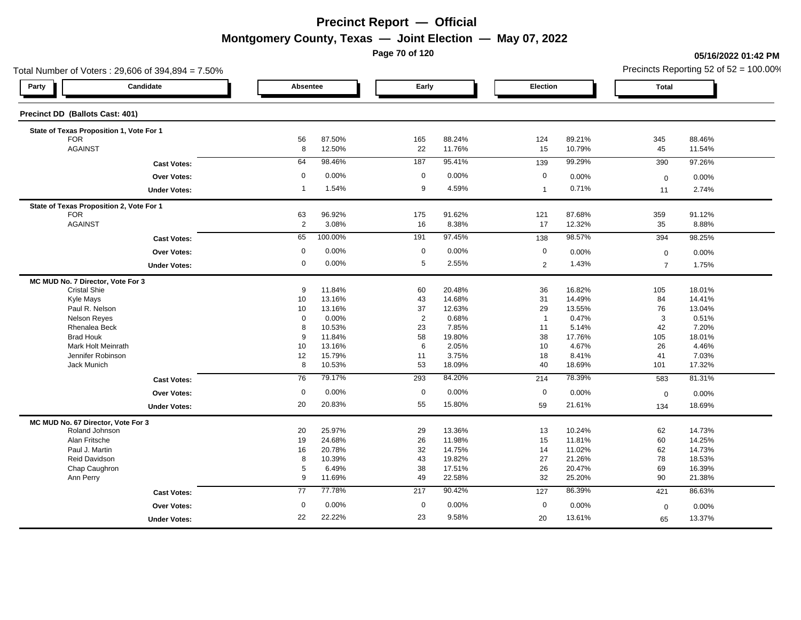**Page 70 of 120**

### **05/16/2022 01:42 PM**

|                                    | Total Number of Voters: 29,606 of 394,894 = 7.50% |                 |         |                |        |                |        |                | Precincts Reporting 52 of $52 = 100.00\%$ |
|------------------------------------|---------------------------------------------------|-----------------|---------|----------------|--------|----------------|--------|----------------|-------------------------------------------|
| Party                              | Candidate                                         | Absentee        |         | Early          |        | Election       |        | <b>Total</b>   |                                           |
| Precinct DD (Ballots Cast: 401)    |                                                   |                 |         |                |        |                |        |                |                                           |
|                                    | State of Texas Proposition 1, Vote For 1          |                 |         |                |        |                |        |                |                                           |
| <b>FOR</b>                         |                                                   | 56              | 87.50%  | 165            | 88.24% | 124            | 89.21% | 345            | 88.46%                                    |
| <b>AGAINST</b>                     |                                                   | 8               | 12.50%  | 22             | 11.76% | 15             | 10.79% | 45             | 11.54%                                    |
|                                    | <b>Cast Votes:</b>                                | 64              | 98.46%  | 187            | 95.41% | 139            | 99.29% | 390            | 97.26%                                    |
|                                    | <b>Over Votes:</b>                                | $\mathbf 0$     | 0.00%   | $\mathbf 0$    | 0.00%  | $\mathbf 0$    | 0.00%  | $\mathbf 0$    | 0.00%                                     |
|                                    | <b>Under Votes:</b>                               | $\overline{1}$  | 1.54%   | 9              | 4.59%  | $\mathbf{1}$   | 0.71%  | 11             | 2.74%                                     |
|                                    | State of Texas Proposition 2, Vote For 1          |                 |         |                |        |                |        |                |                                           |
| <b>FOR</b>                         |                                                   | 63              | 96.92%  | 175            | 91.62% | 121            | 87.68% | 359            | 91.12%                                    |
| <b>AGAINST</b>                     |                                                   | $\overline{2}$  | 3.08%   | 16             | 8.38%  | 17             | 12.32% | 35             | 8.88%                                     |
|                                    | <b>Cast Votes:</b>                                | 65              | 100.00% | 191            | 97.45% | 138            | 98.57% | 394            | 98.25%                                    |
|                                    | <b>Over Votes:</b>                                | $\mathbf 0$     | 0.00%   | $\mathbf 0$    | 0.00%  | 0              | 0.00%  | $\mathbf 0$    | 0.00%                                     |
|                                    | <b>Under Votes:</b>                               | 0               | 0.00%   | 5              | 2.55%  | $\overline{2}$ | 1.43%  | $\overline{7}$ | 1.75%                                     |
| MC MUD No. 7 Director, Vote For 3  |                                                   |                 |         |                |        |                |        |                |                                           |
| <b>Cristal Shie</b>                |                                                   | 9               | 11.84%  | 60             | 20.48% | 36             | 16.82% | 105            | 18.01%                                    |
| Kyle Mays                          |                                                   | 10              | 13.16%  | 43             | 14.68% | 31             | 14.49% | 84             | 14.41%                                    |
|                                    | Paul R. Nelson                                    | 10              | 13.16%  | 37             | 12.63% | 29             | 13.55% | 76             | 13.04%                                    |
| <b>Nelson Reves</b>                |                                                   | 0               | 0.00%   | $\overline{2}$ | 0.68%  | $\overline{1}$ | 0.47%  | 3              | 0.51%                                     |
|                                    | Rhenalea Beck                                     | 8               | 10.53%  | 23             | 7.85%  | 11             | 5.14%  | 42             | 7.20%                                     |
| <b>Brad Houk</b>                   |                                                   | 9               | 11.84%  | 58             | 19.80% | 38             | 17.76% | 105            | 18.01%                                    |
|                                    | Mark Holt Meinrath                                | 10              | 13.16%  | 6              | 2.05%  | 10             | 4.67%  | 26             | 4.46%                                     |
|                                    | Jennifer Robinson                                 | 12              | 15.79%  | 11             | 3.75%  | 18             | 8.41%  | 41             | 7.03%                                     |
| Jack Munich                        |                                                   | 8               | 10.53%  | 53             | 18.09% | 40             | 18.69% | 101            | 17.32%                                    |
|                                    | <b>Cast Votes:</b>                                | 76              | 79.17%  | 293            | 84.20% | 214            | 78.39% | 583            | 81.31%                                    |
|                                    | <b>Over Votes:</b>                                | $\mathbf 0$     | 0.00%   | $\mathbf 0$    | 0.00%  | $\mathbf 0$    | 0.00%  | $\mathbf 0$    | 0.00%                                     |
|                                    | <b>Under Votes:</b>                               | 20              | 20.83%  | 55             | 15.80% | 59             | 21.61% | 134            | 18.69%                                    |
| MC MUD No. 67 Director, Vote For 3 |                                                   |                 |         |                |        |                |        |                |                                           |
|                                    | Roland Johnson                                    | 20              | 25.97%  | 29             | 13.36% | 13             | 10.24% | 62             | 14.73%                                    |
| Alan Fritsche                      |                                                   | 19              | 24.68%  | 26             | 11.98% | 15             | 11.81% | 60             | 14.25%                                    |
| Paul J. Martin                     |                                                   | 16              | 20.78%  | 32             | 14.75% | 14             | 11.02% | 62             | 14.73%                                    |
| <b>Reid Davidson</b>               |                                                   | 8               | 10.39%  | 43             | 19.82% | 27             | 21.26% | 78             | 18.53%                                    |
|                                    | Chap Caughron                                     | 5               | 6.49%   | 38             | 17.51% | 26             | 20.47% | 69             | 16.39%                                    |
| Ann Perry                          |                                                   | 9               | 11.69%  | 49             | 22.58% | 32             | 25.20% | 90             | 21.38%                                    |
|                                    | <b>Cast Votes:</b>                                | $\overline{77}$ | 77.78%  | 217            | 90.42% | 127            | 86.39% | 421            | 86.63%                                    |
|                                    | Over Votes:                                       | $\mathbf 0$     | 0.00%   | $\mathbf 0$    | 0.00%  | $\mathbf 0$    | 0.00%  | $\mathbf 0$    | 0.00%                                     |
|                                    | <b>Under Votes:</b>                               | 22              | 22.22%  | 23             | 9.58%  | 20             | 13.61% | 65             | 13.37%                                    |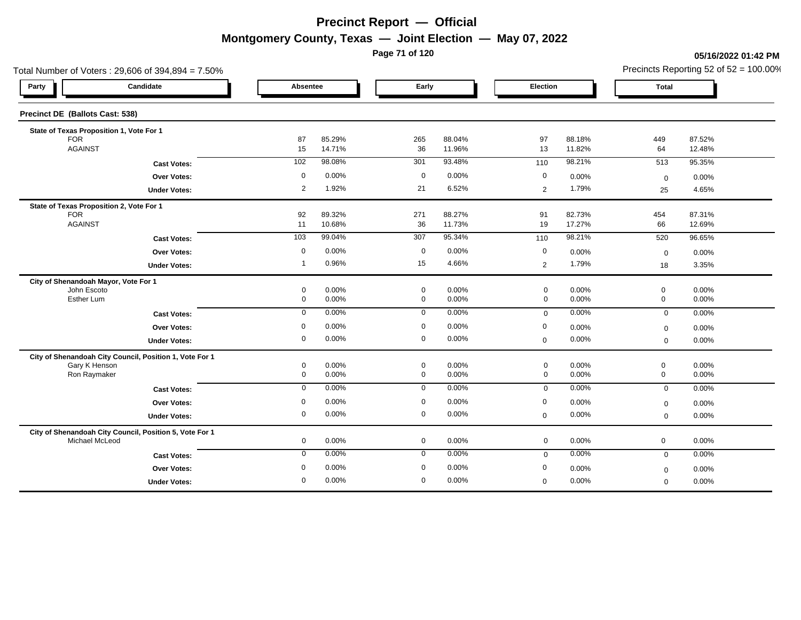**Page 71 of 120**

### **05/16/2022 01:42 PM**

| Total Number of Voters: 29,606 of 394,894 = 7.50%       |                |                  |             |                  |                |                  | Precincts Reporting 52 of $52 = 100.00\%$ |                  |  |
|---------------------------------------------------------|----------------|------------------|-------------|------------------|----------------|------------------|-------------------------------------------|------------------|--|
| Candidate<br>Party                                      | Absentee       |                  | Early       |                  | Election       |                  | <b>Total</b>                              |                  |  |
| Precinct DE (Ballots Cast: 538)                         |                |                  |             |                  |                |                  |                                           |                  |  |
| State of Texas Proposition 1, Vote For 1                |                |                  |             |                  |                |                  |                                           |                  |  |
| <b>FOR</b><br><b>AGAINST</b>                            | 87<br>15       | 85.29%<br>14.71% | 265<br>36   | 88.04%<br>11.96% | 97<br>13       | 88.18%<br>11.82% | 449<br>64                                 | 87.52%<br>12.48% |  |
|                                                         | 102            | 98.08%           | 301         | 93.48%           | 110            | 98.21%           | 513                                       | 95.35%           |  |
| <b>Cast Votes:</b>                                      |                |                  |             |                  |                |                  |                                           |                  |  |
| Over Votes:                                             | 0              | 0.00%            | $\mathbf 0$ | 0.00%            | $\mathbf 0$    | 0.00%            | $\mathbf 0$                               | 0.00%            |  |
| <b>Under Votes:</b>                                     | $\overline{2}$ | 1.92%            | 21          | 6.52%            | 2              | 1.79%            | 25                                        | 4.65%            |  |
| State of Texas Proposition 2, Vote For 1                |                |                  |             |                  |                |                  |                                           |                  |  |
| <b>FOR</b><br><b>AGAINST</b>                            | 92<br>11       | 89.32%<br>10.68% | 271<br>36   | 88.27%<br>11.73% | 91<br>19       | 82.73%<br>17.27% | 454<br>66                                 | 87.31%<br>12.69% |  |
|                                                         |                |                  |             |                  |                |                  |                                           |                  |  |
| <b>Cast Votes:</b>                                      | $103$          | 99.04%           | 307         | 95.34%           | 110            | 98.21%           | 520                                       | 96.65%           |  |
| <b>Over Votes:</b>                                      | $\mathbf 0$    | 0.00%            | $\mathbf 0$ | 0.00%            | $\mathbf 0$    | 0.00%            | $\mathbf 0$                               | 0.00%            |  |
| <b>Under Votes:</b>                                     | $\overline{1}$ | 0.96%            | 15          | 4.66%            | $\overline{2}$ | 1.79%            | 18                                        | 3.35%            |  |
| City of Shenandoah Mayor, Vote For 1                    |                |                  |             |                  |                |                  |                                           |                  |  |
| John Escoto                                             | 0              | 0.00%            | $\mathbf 0$ | 0.00%            | $\mathbf 0$    | 0.00%            | $\mathbf 0$                               | 0.00%            |  |
| Esther Lum                                              | 0              | 0.00%            | $\mathbf 0$ | 0.00%            | $\mathbf 0$    | 0.00%            | $\mathbf 0$                               | 0.00%            |  |
| <b>Cast Votes:</b>                                      | $\mathbf 0$    | 0.00%            | $\mathbf 0$ | 0.00%            | $\mathbf 0$    | 0.00%            | $\mathbf 0$                               | 0.00%            |  |
| <b>Over Votes:</b>                                      | $\mathbf 0$    | 0.00%            | $\mathbf 0$ | 0.00%            | $\mathbf 0$    | 0.00%            | $\mathbf 0$                               | 0.00%            |  |
| <b>Under Votes:</b>                                     | 0              | 0.00%            | $\mathbf 0$ | 0.00%            | $\mathbf 0$    | 0.00%            | $\mathbf 0$                               | 0.00%            |  |
| City of Shenandoah City Council, Position 1, Vote For 1 |                |                  |             |                  |                |                  |                                           |                  |  |
| Gary K Henson                                           | 0              | 0.00%            | $\mathbf 0$ | 0.00%            | $\pmb{0}$      | 0.00%            | $\mathbf 0$                               | 0.00%            |  |
| Ron Raymaker                                            | 0              | 0.00%            | $\mathbf 0$ | 0.00%            | $\mathbf 0$    | 0.00%            | $\mathbf 0$                               | 0.00%            |  |
| <b>Cast Votes:</b>                                      | $\mathbf 0$    | 0.00%            | $\mathbf 0$ | 0.00%            | $\mathbf 0$    | 0.00%            | $\overline{0}$                            | 0.00%            |  |
| Over Votes:                                             | 0              | 0.00%            | $\mathbf 0$ | 0.00%            | 0              | 0.00%            | $\mathbf 0$                               | 0.00%            |  |
| <b>Under Votes:</b>                                     | 0              | 0.00%            | $\mathbf 0$ | 0.00%            | $\mathbf 0$    | 0.00%            | $\mathbf 0$                               | 0.00%            |  |
| City of Shenandoah City Council, Position 5, Vote For 1 |                |                  |             |                  |                |                  |                                           |                  |  |
| Michael McLeod                                          | $\mathbf 0$    | 0.00%            | $\mathbf 0$ | 0.00%            | $\mathbf 0$    | 0.00%            | $\mathbf 0$                               | 0.00%            |  |
| <b>Cast Votes:</b>                                      | $\mathbf 0$    | 0.00%            | $\mathbf 0$ | 0.00%            | $\mathbf 0$    | 0.00%            | $\mathbf 0$                               | 0.00%            |  |
| Over Votes:                                             | 0              | 0.00%            | $\mathbf 0$ | 0.00%            | $\mathbf 0$    | 0.00%            | $\boldsymbol{0}$                          | 0.00%            |  |
| <b>Under Votes:</b>                                     | $\mathbf 0$    | 0.00%            | $\mathbf 0$ | 0.00%            | $\mathbf 0$    | 0.00%            | $\mathbf 0$                               | 0.00%            |  |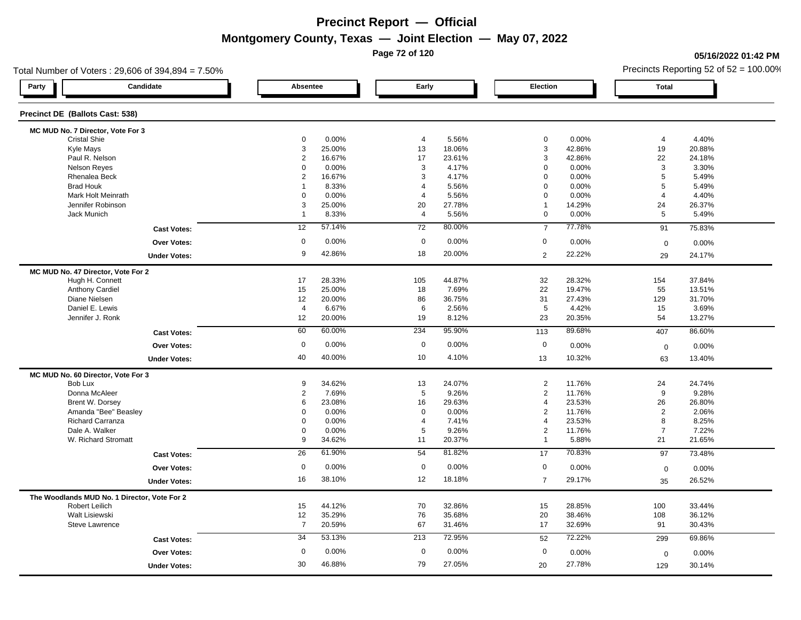**Page 72 of 120**

### **05/16/2022 01:42 PM**

| Total Number of Voters: 29,606 of 394,894 = 7.50% |                |        |                 |        |                 |        |                | Precincts Reporting 52 of $52 = 100.00\%$ |
|---------------------------------------------------|----------------|--------|-----------------|--------|-----------------|--------|----------------|-------------------------------------------|
| Candidate<br>Party                                | Absentee       |        | Early           |        | Election        |        | <b>Total</b>   |                                           |
| Precinct DE (Ballots Cast: 538)                   |                |        |                 |        |                 |        |                |                                           |
| MC MUD No. 7 Director, Vote For 3                 |                |        |                 |        |                 |        |                |                                           |
| <b>Cristal Shie</b>                               | 0              | 0.00%  | 4               | 5.56%  | $\pmb{0}$       | 0.00%  | $\overline{4}$ | 4.40%                                     |
| Kyle Mays                                         | 3              | 25.00% | 13              | 18.06% | $\mathsf 3$     | 42.86% | 19             | 20.88%                                    |
| Paul R. Nelson                                    | $\overline{2}$ | 16.67% | 17              | 23.61% | 3               | 42.86% | 22             | 24.18%                                    |
| <b>Nelson Reyes</b>                               | 0              | 0.00%  | 3               | 4.17%  | $\mathbf 0$     | 0.00%  | $\mathbf{3}$   | 3.30%                                     |
| Rhenalea Beck                                     | $\overline{2}$ | 16.67% | 3               | 4.17%  | $\mathbf 0$     | 0.00%  | $\overline{5}$ | 5.49%                                     |
| <b>Brad Houk</b>                                  | $\overline{1}$ | 8.33%  | $\overline{4}$  | 5.56%  | $\mathbf 0$     | 0.00%  | 5              | 5.49%                                     |
| Mark Holt Meinrath                                | 0              | 0.00%  | $\overline{4}$  | 5.56%  | $\mathbf 0$     | 0.00%  | $\overline{4}$ | 4.40%                                     |
| Jennifer Robinson                                 | 3              | 25.00% | 20              | 27.78% | $\mathbf{1}$    | 14.29% | 24             | 26.37%                                    |
| Jack Munich                                       | $\overline{1}$ | 8.33%  | $\overline{4}$  | 5.56%  | $\mathbf 0$     | 0.00%  | 5              | 5.49%                                     |
| <b>Cast Votes:</b>                                | 12             | 57.14% | $\overline{72}$ | 80.00% | $\overline{7}$  | 77.78% | 91             | 75.83%                                    |
| <b>Over Votes:</b>                                | $\mathbf 0$    | 0.00%  | $\mathbf 0$     | 0.00%  | 0               | 0.00%  | $\mathbf 0$    | 0.00%                                     |
| <b>Under Votes:</b>                               | 9              | 42.86% | 18              | 20.00% | $\overline{2}$  | 22.22% | 29             | 24.17%                                    |
| MC MUD No. 47 Director, Vote For 2                |                |        |                 |        |                 |        |                |                                           |
| Hugh H. Connett                                   | 17             | 28.33% | 105             | 44.87% | 32              | 28.32% | 154            | 37.84%                                    |
| <b>Anthony Cardiel</b>                            | 15             | 25.00% | 18              | 7.69%  | 22              | 19.47% | 55             | 13.51%                                    |
| Diane Nielsen                                     | 12             | 20.00% | 86              | 36.75% | 31              | 27.43% | 129            | 31.70%                                    |
| Daniel E. Lewis                                   | $\overline{4}$ | 6.67%  | 6               | 2.56%  | $5\phantom{.0}$ | 4.42%  | 15             | 3.69%                                     |
| Jennifer J. Ronk                                  | 12             | 20.00% | 19              | 8.12%  | 23              | 20.35% | 54             | 13.27%                                    |
| <b>Cast Votes:</b>                                | 60             | 60.00% | 234             | 95.90% | 113             | 89.68% | 407            | 86.60%                                    |
| <b>Over Votes:</b>                                | $\mathbf 0$    | 0.00%  | $\mathbf 0$     | 0.00%  | $\mathbf 0$     | 0.00%  | $\mathbf 0$    | 0.00%                                     |
| <b>Under Votes:</b>                               | 40             | 40.00% | 10              | 4.10%  | 13              | 10.32% | 63             | 13.40%                                    |
| MC MUD No. 60 Director, Vote For 3                |                |        |                 |        |                 |        |                |                                           |
| Bob Lux                                           | 9              | 34.62% | 13              | 24.07% | 2               | 11.76% | 24             | 24.74%                                    |
| Donna McAleer                                     | $\overline{2}$ | 7.69%  | 5               | 9.26%  | $\overline{2}$  | 11.76% | 9              | 9.28%                                     |
| Brent W. Dorsey                                   | 6              | 23.08% | 16              | 29.63% | 4               | 23.53% | 26             | 26.80%                                    |
| Amanda "Bee" Beasley                              | 0              | 0.00%  | $\mathbf 0$     | 0.00%  | 2               | 11.76% | $\overline{2}$ | 2.06%                                     |
| <b>Richard Carranza</b>                           | $\Omega$       | 0.00%  | $\overline{4}$  | 7.41%  | $\overline{4}$  | 23.53% | 8              | 8.25%                                     |
| Dale A. Walker                                    | 0              | 0.00%  | 5               | 9.26%  | $\overline{2}$  | 11.76% | $\overline{7}$ | 7.22%                                     |
| W. Richard Stromatt                               | 9              | 34.62% | 11              | 20.37% | $\mathbf{1}$    | 5.88%  | 21             | 21.65%                                    |
| <b>Cast Votes:</b>                                | 26             | 61.90% | 54              | 81.82% | 17              | 70.83% | 97             | 73.48%                                    |
| <b>Over Votes:</b>                                | $\mathbf 0$    | 0.00%  | $\mathbf 0$     | 0.00%  | $\mathbf 0$     | 0.00%  | $\mathbf 0$    | 0.00%                                     |
| <b>Under Votes:</b>                               | 16             | 38.10% | 12              | 18.18% | $\overline{7}$  | 29.17% | 35             | 26.52%                                    |
| The Woodlands MUD No. 1 Director, Vote For 2      |                |        |                 |        |                 |        |                |                                           |
| <b>Robert Leilich</b>                             | 15             | 44.12% | 70              | 32.86% | 15              | 28.85% | 100            | 33.44%                                    |
| Walt Lisiewski                                    | 12             | 35.29% | 76              | 35.68% | 20              | 38.46% | 108            | 36.12%                                    |
| <b>Steve Lawrence</b>                             | $\overline{7}$ | 20.59% | 67              | 31.46% | 17              | 32.69% | 91             | 30.43%                                    |
| <b>Cast Votes:</b>                                | 34             | 53.13% | 213             | 72.95% | 52              | 72.22% | 299            | 69.86%                                    |
| <b>Over Votes:</b>                                | $\mathbf 0$    | 0.00%  | $\mathbf 0$     | 0.00%  | $\mathbf 0$     | 0.00%  | $\mathbf 0$    | 0.00%                                     |
| <b>Under Votes:</b>                               | 30             | 46.88% | 79              | 27.05% | 20              | 27.78% | 129            | 30.14%                                    |
|                                                   |                |        |                 |        |                 |        |                |                                           |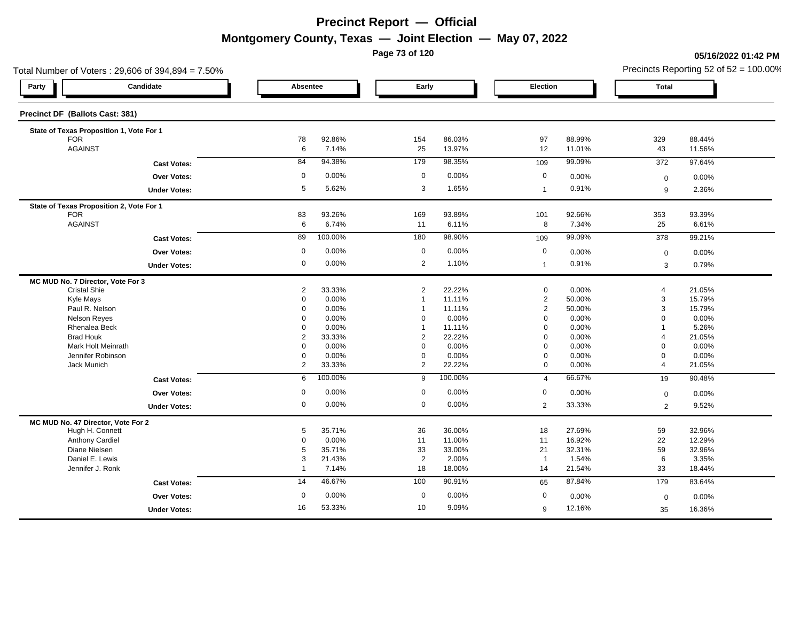**Page 73 of 120**

#### **05/16/2022 01:42 PM**

|                                                          | Total Number of Voters: 29,606 of 394,894 = 7.50% |                |                               |                |          |                |        |                | Precincts Reporting 52 of $52 = 100.00\%$ |
|----------------------------------------------------------|---------------------------------------------------|----------------|-------------------------------|----------------|----------|----------------|--------|----------------|-------------------------------------------|
| Party                                                    | Candidate                                         |                | Absentee<br>Early<br>Election |                |          | Total          |        |                |                                           |
| Precinct DF (Ballots Cast: 381)                          |                                                   |                |                               |                |          |                |        |                |                                           |
|                                                          | State of Texas Proposition 1, Vote For 1          |                |                               |                |          |                |        |                |                                           |
| <b>FOR</b>                                               |                                                   | 78             | 92.86%                        | 154            | 86.03%   | 97             | 88.99% | 329            | 88.44%                                    |
| <b>AGAINST</b>                                           |                                                   | 6              | 7.14%                         | 25             | 13.97%   | 12             | 11.01% | 43             | 11.56%                                    |
|                                                          | <b>Cast Votes:</b>                                | 84             | 94.38%                        | 179            | 98.35%   | 109            | 99.09% | 372            | 97.64%                                    |
|                                                          | <b>Over Votes:</b>                                | $\mathbf 0$    | 0.00%                         | $\mathbf 0$    | 0.00%    | $\mathbf 0$    | 0.00%  | $\mathbf 0$    | 0.00%                                     |
|                                                          | <b>Under Votes:</b>                               | 5              | 5.62%                         | 3              | 1.65%    | $\mathbf{1}$   | 0.91%  | 9              | 2.36%                                     |
|                                                          | State of Texas Proposition 2, Vote For 1          |                |                               |                |          |                |        |                |                                           |
| <b>FOR</b>                                               |                                                   | 83             | 93.26%                        | 169            | 93.89%   | 101            | 92.66% | 353            | 93.39%                                    |
| <b>AGAINST</b>                                           |                                                   | 6              | 6.74%                         | 11             | 6.11%    | 8              | 7.34%  | 25             | 6.61%                                     |
|                                                          | <b>Cast Votes:</b>                                | 89             | 100.00%                       | 180            | 98.90%   | 109            | 99.09% | 378            | 99.21%                                    |
|                                                          | Over Votes:                                       | $\mathbf 0$    | 0.00%                         | $\mathbf 0$    | 0.00%    | $\mathbf 0$    | 0.00%  | $\mathbf 0$    | 0.00%                                     |
|                                                          | <b>Under Votes:</b>                               | 0              | 0.00%                         | 2              | 1.10%    | $\mathbf{1}$   | 0.91%  | 3              | 0.79%                                     |
|                                                          |                                                   |                |                               |                |          |                |        |                |                                           |
| MC MUD No. 7 Director, Vote For 3<br><b>Cristal Shie</b> |                                                   | $\overline{2}$ | 33.33%                        | $\overline{2}$ | 22.22%   | $\mathbf 0$    | 0.00%  | $\overline{4}$ | 21.05%                                    |
| Kyle Mays                                                |                                                   | $\Omega$       | 0.00%                         | $\mathbf 1$    | 11.11%   | $\overline{2}$ | 50.00% | $\mathbf 3$    | 15.79%                                    |
| Paul R. Nelson                                           |                                                   | 0              | 0.00%                         | $\mathbf 1$    | 11.11%   | $\overline{2}$ | 50.00% | 3              | 15.79%                                    |
| <b>Nelson Reyes</b>                                      |                                                   | $\Omega$       | 0.00%                         | $\Omega$       | 0.00%    | $\mathbf 0$    | 0.00%  | $\mathbf 0$    | 0.00%                                     |
| Rhenalea Beck                                            |                                                   | $\mathbf 0$    | 0.00%                         | $\mathbf{1}$   | 11.11%   | $\mathbf 0$    | 0.00%  | $\overline{1}$ | 5.26%                                     |
| <b>Brad Houk</b>                                         |                                                   | $\overline{2}$ | 33.33%                        | $\overline{2}$ | 22.22%   | $\mathbf 0$    | 0.00%  | $\overline{4}$ | 21.05%                                    |
|                                                          | Mark Holt Meinrath                                | 0              | 0.00%                         | $\mathbf 0$    | 0.00%    | $\mathbf 0$    | 0.00%  | $\mathbf 0$    | 0.00%                                     |
|                                                          | Jennifer Robinson                                 | 0              | 0.00%                         | $\mathbf 0$    | $0.00\%$ | $\mathbf 0$    | 0.00%  | $\mathbf 0$    | 0.00%                                     |
| Jack Munich                                              |                                                   | 2              | 33.33%                        | 2              | 22.22%   | $\mathbf 0$    | 0.00%  | $\overline{4}$ | 21.05%                                    |
|                                                          |                                                   | 6              | 100.00%                       | 9              | 100.00%  |                | 66.67% |                | 90.48%                                    |
|                                                          | <b>Cast Votes:</b>                                |                |                               |                |          | $\overline{4}$ |        | 19             |                                           |
|                                                          | <b>Over Votes:</b>                                | 0              | 0.00%                         | $\mathbf 0$    | 0.00%    | 0              | 0.00%  | $\mathbf 0$    | 0.00%                                     |
|                                                          | <b>Under Votes:</b>                               | 0              | 0.00%                         | $\mathbf 0$    | 0.00%    | 2              | 33.33% | 2              | 9.52%                                     |
| MC MUD No. 47 Director, Vote For 2                       |                                                   |                |                               |                |          |                |        |                |                                           |
| Hugh H. Connett                                          |                                                   | 5              | 35.71%                        | 36             | 36.00%   | 18             | 27.69% | 59             | 32.96%                                    |
| <b>Anthony Cardiel</b>                                   |                                                   | 0              | 0.00%                         | 11             | 11.00%   | 11             | 16.92% | 22             | 12.29%                                    |
| Diane Nielsen                                            |                                                   | 5              | 35.71%                        | 33             | 33.00%   | 21             | 32.31% | 59             | 32.96%                                    |
| Daniel E. Lewis                                          |                                                   | 3              | 21.43%                        | $\overline{2}$ | 2.00%    | $\overline{1}$ | 1.54%  | 6              | 3.35%                                     |
| Jennifer J. Ronk                                         |                                                   | $\overline{1}$ | 7.14%                         | 18             | 18.00%   | 14             | 21.54% | 33             | 18.44%                                    |
|                                                          | <b>Cast Votes:</b>                                | 14             | 46.67%                        | 100            | 90.91%   | 65             | 87.84% | 179            | 83.64%                                    |
|                                                          | Over Votes:                                       | 0              | 0.00%                         | 0              | 0.00%    | $\mathbf 0$    | 0.00%  | $\mathbf 0$    | 0.00%                                     |
|                                                          | <b>Under Votes:</b>                               | 16             | 53.33%                        | 10             | 9.09%    | 9              | 12.16% | 35             | 16.36%                                    |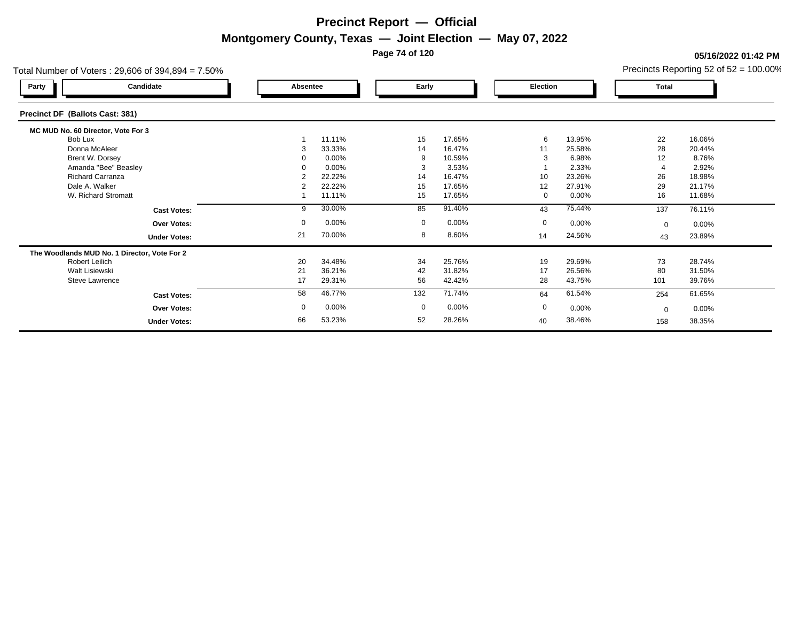**Page 74 of 120**

#### **05/16/2022 01:42 PM**

| Total Number of Voters: 29,606 of 394,894 = 7.50% |                |          |              |          |             |          |             | Precincts Reporting 52 of $52 = 100.00\%$ |
|---------------------------------------------------|----------------|----------|--------------|----------|-------------|----------|-------------|-------------------------------------------|
| Candidate<br>Party                                | Absentee       |          | Early        |          | Election    |          | Total       |                                           |
| Precinct DF (Ballots Cast: 381)                   |                |          |              |          |             |          |             |                                           |
| MC MUD No. 60 Director, Vote For 3                |                |          |              |          |             |          |             |                                           |
| Bob Lux                                           |                | 11.11%   | 15           | 17.65%   | 6           | 13.95%   | 22          | 16.06%                                    |
| Donna McAleer                                     | З              | 33.33%   | 14           | 16.47%   | 11          | 25.58%   | 28          | 20.44%                                    |
| Brent W. Dorsey                                   |                | 0.00%    | 9            | 10.59%   | 3           | 6.98%    | 12          | 8.76%                                     |
| Amanda "Bee" Beasley                              |                | 0.00%    |              | 3.53%    |             | 2.33%    |             | 2.92%                                     |
| <b>Richard Carranza</b>                           |                | 22.22%   | 14           | 16.47%   | 10          | 23.26%   | 26          | 18.98%                                    |
| Dale A. Walker                                    | $\overline{2}$ | 22.22%   | 15           | 17.65%   | 12          | 27.91%   | 29          | 21.17%                                    |
| W. Richard Stromatt                               |                | 11.11%   | 15           | 17.65%   | 0           | $0.00\%$ | 16          | 11.68%                                    |
| <b>Cast Votes:</b>                                | 9              | 30.00%   | 85           | 91.40%   | 43          | 75.44%   | 137         | 76.11%                                    |
| <b>Over Votes:</b>                                | 0              | 0.00%    | $\mathbf{0}$ | 0.00%    | $\mathbf 0$ | $0.00\%$ | $\mathbf 0$ | $0.00\%$                                  |
| <b>Under Votes:</b>                               | 21             | 70.00%   | 8            | 8.60%    | 14          | 24.56%   | 43          | 23.89%                                    |
| The Woodlands MUD No. 1 Director, Vote For 2      |                |          |              |          |             |          |             |                                           |
| <b>Robert Leilich</b>                             | 20             | 34.48%   | 34           | 25.76%   | 19          | 29.69%   | 73          | 28.74%                                    |
| Walt Lisiewski                                    | 21             | 36.21%   | 42           | 31.82%   | 17          | 26.56%   | 80          | 31.50%                                    |
| Steve Lawrence                                    | 17             | 29.31%   | 56           | 42.42%   | 28          | 43.75%   | 101         | 39.76%                                    |
| <b>Cast Votes:</b>                                | 58             | 46.77%   | 132          | 71.74%   | 64          | 61.54%   | 254         | 61.65%                                    |
| <b>Over Votes:</b>                                | 0              | $0.00\%$ | $\mathbf{0}$ | $0.00\%$ | $\mathbf 0$ | 0.00%    | $\mathbf 0$ | $0.00\%$                                  |
| <b>Under Votes:</b>                               | 66             | 53.23%   | 52           | 28.26%   | 40          | 38.46%   | 158         | 38.35%                                    |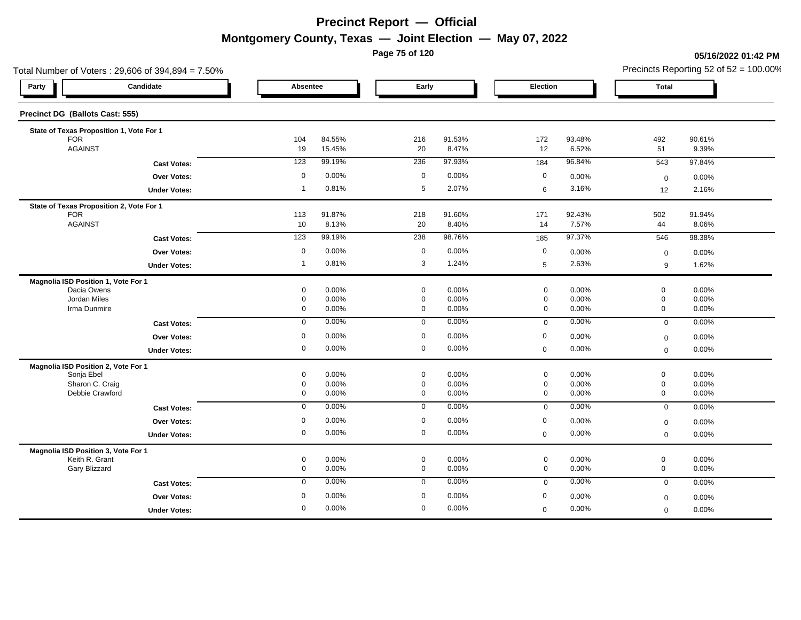**Page 75 of 120**

#### **05/16/2022 01:42 PM**

|                                     | Total Number of Voters: 29,606 of 394,894 = 7.50% |                |                |                            |                |                            |                |                            | Precincts Reporting 52 of $52 = 100.00\%$ |
|-------------------------------------|---------------------------------------------------|----------------|----------------|----------------------------|----------------|----------------------------|----------------|----------------------------|-------------------------------------------|
| Party                               | Candidate                                         | Absentee       |                | Early                      |                | Election                   |                | <b>Total</b>               |                                           |
| Precinct DG (Ballots Cast: 555)     |                                                   |                |                |                            |                |                            |                |                            |                                           |
|                                     | State of Texas Proposition 1, Vote For 1          |                |                |                            |                |                            |                |                            |                                           |
| <b>FOR</b>                          |                                                   | 104            | 84.55%         | 216                        | 91.53%         | 172                        | 93.48%         | 492                        | 90.61%                                    |
| <b>AGAINST</b>                      |                                                   | 19             | 15.45%         | 20                         | 8.47%          | 12                         | 6.52%          | 51                         | 9.39%                                     |
|                                     | <b>Cast Votes:</b>                                | 123            | 99.19%         | 236                        | 97.93%         | 184                        | 96.84%         | 543                        | 97.84%                                    |
|                                     | <b>Over Votes:</b>                                | $\mathbf 0$    | 0.00%          | $\mathbf 0$                | 0.00%          | 0                          | 0.00%          | $\mathbf 0$                | 0.00%                                     |
|                                     | <b>Under Votes:</b>                               | $\overline{1}$ | 0.81%          | 5                          | 2.07%          | 6                          | 3.16%          | 12                         | 2.16%                                     |
|                                     | State of Texas Proposition 2, Vote For 1          |                |                |                            |                |                            |                |                            |                                           |
| <b>FOR</b>                          |                                                   | 113            | 91.87%         | 218                        | 91.60%         | 171                        | 92.43%         | 502                        | 91.94%                                    |
| <b>AGAINST</b>                      |                                                   | 10             | 8.13%          | 20                         | 8.40%          | 14                         | 7.57%          | 44                         | 8.06%                                     |
|                                     | <b>Cast Votes:</b>                                | 123            | 99.19%         | 238                        | 98.76%         | 185                        | 97.37%         | 546                        | 98.38%                                    |
|                                     | Over Votes:                                       | $\mathbf 0$    | 0.00%          | $\mathbf 0$                | 0.00%          | $\mathbf 0$                | 0.00%          | $\mathbf 0$                | 0.00%                                     |
|                                     | <b>Under Votes:</b>                               | $\overline{1}$ | 0.81%          | 3                          | 1.24%          | 5                          | 2.63%          | 9                          | 1.62%                                     |
| Magnolia ISD Position 1, Vote For 1 |                                                   |                |                |                            |                |                            |                |                            |                                           |
| Dacia Owens                         |                                                   | 0              | 0.00%          | $\mathbf 0$                | 0.00%          | $\mathbf 0$                | 0.00%          | $\mathbf 0$                | 0.00%                                     |
| Jordan Miles<br>Irma Dunmire        |                                                   | 0<br>0         | 0.00%<br>0.00% | $\mathbf 0$<br>0           | 0.00%<br>0.00% | $\mathbf 0$<br>$\mathbf 0$ | 0.00%<br>0.00% | $\mathbf 0$<br>$\mathbf 0$ | 0.00%<br>0.00%                            |
|                                     |                                                   |                | 0.00%          |                            | 0.00%          |                            | 0.00%          |                            |                                           |
|                                     | <b>Cast Votes:</b>                                | 0              |                | 0                          |                | $\mathbf 0$                |                | $\mathbf 0$                | 0.00%                                     |
|                                     | Over Votes:                                       | $\mathbf 0$    | 0.00%          | $\mathbf 0$                | 0.00%          | $\mathbf 0$                | 0.00%          | $\mathbf 0$                | 0.00%                                     |
|                                     | <b>Under Votes:</b>                               | 0              | 0.00%          | $\mathbf 0$                | 0.00%          | $\mathbf 0$                | 0.00%          | $\mathbf 0$                | 0.00%                                     |
| Magnolia ISD Position 2, Vote For 1 |                                                   |                |                |                            |                |                            |                |                            |                                           |
| Sonja Ebel<br>Sharon C. Craig       |                                                   | 0<br>0         | 0.00%<br>0.00% | $\mathbf 0$<br>$\mathbf 0$ | 0.00%<br>0.00% | $\pmb{0}$<br>$\mathbf 0$   | 0.00%<br>0.00% | $\mathbf 0$<br>$\mathbf 0$ | 0.00%<br>0.00%                            |
| Debbie Crawford                     |                                                   | 0              | 0.00%          | $\mathbf 0$                | 0.00%          | $\mathbf 0$                | 0.00%          | $\mathbf 0$                | 0.00%                                     |
|                                     | <b>Cast Votes:</b>                                | 0              | 0.00%          | $\mathbf 0$                | 0.00%          | $\mathbf 0$                | 0.00%          | $\mathbf 0$                | 0.00%                                     |
|                                     | <b>Over Votes:</b>                                | $\mathbf 0$    | 0.00%          | $\mathbf 0$                | 0.00%          | $\mathbf 0$                | 0.00%          | $\mathbf 0$                | 0.00%                                     |
|                                     | <b>Under Votes:</b>                               | 0              | 0.00%          | $\mathbf 0$                | 0.00%          | $\mathbf 0$                | 0.00%          | $\mathbf 0$                | 0.00%                                     |
| Magnolia ISD Position 3, Vote For 1 |                                                   |                |                |                            |                |                            |                |                            |                                           |
| Keith R. Grant                      |                                                   | 0              | 0.00%          | $\mathbf 0$                | 0.00%          | $\mathbf 0$                | 0.00%          | $\mathbf 0$                | 0.00%                                     |
| Gary Blizzard                       |                                                   | 0              | 0.00%          | $\mathbf 0$                | 0.00%          | $\mathbf 0$                | 0.00%          | $\mathbf 0$                | 0.00%                                     |
|                                     | <b>Cast Votes:</b>                                | $\mathbf 0$    | 0.00%          | $\mathbf 0$                | 0.00%          | $\mathbf 0$                | 0.00%          | $\mathbf 0$                | 0.00%                                     |
|                                     | Over Votes:                                       | 0              | 0.00%          | $\mathbf 0$                | 0.00%          | 0                          | 0.00%          | $\mathbf 0$                | 0.00%                                     |
|                                     | <b>Under Votes:</b>                               | 0              | 0.00%          | $\mathbf 0$                | 0.00%          | $\mathbf 0$                | 0.00%          | $\mathbf 0$                | 0.00%                                     |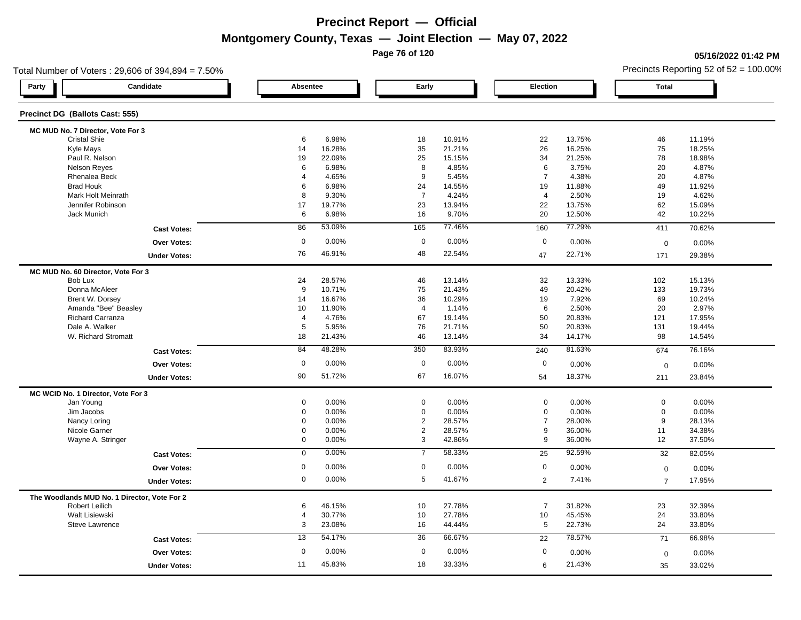**Page 76 of 120**

### **05/16/2022 01:42 PM**

| Total Number of Voters: 29,606 of 394,894 = 7.50% |                |        |                |        |                 |        |                  | Precincts Reporting 52 of $52 = 100.00\%$ |
|---------------------------------------------------|----------------|--------|----------------|--------|-----------------|--------|------------------|-------------------------------------------|
| Candidate<br>Party                                | Absentee       |        | Early          |        | Election        |        | <b>Total</b>     |                                           |
| Precinct DG (Ballots Cast: 555)                   |                |        |                |        |                 |        |                  |                                           |
| MC MUD No. 7 Director, Vote For 3                 |                |        |                |        |                 |        |                  |                                           |
| <b>Cristal Shie</b>                               | 6              | 6.98%  | 18             | 10.91% | 22              | 13.75% | 46               | 11.19%                                    |
| Kyle Mays                                         | 14             | 16.28% | 35             | 21.21% | 26              | 16.25% | 75               | 18.25%                                    |
| Paul R. Nelson                                    | 19             | 22.09% | 25             | 15.15% | 34              | 21.25% | 78               | 18.98%                                    |
| <b>Nelson Reyes</b>                               | 6              | 6.98%  | 8              | 4.85%  | 6               | 3.75%  | 20               | 4.87%                                     |
| Rhenalea Beck                                     | $\overline{4}$ | 4.65%  | 9              | 5.45%  | $\overline{7}$  | 4.38%  | 20               | 4.87%                                     |
| <b>Brad Houk</b>                                  | 6              | 6.98%  | 24             | 14.55% | 19              | 11.88% | 49               | 11.92%                                    |
| Mark Holt Meinrath                                | 8              | 9.30%  | $\overline{7}$ | 4.24%  | $\overline{4}$  | 2.50%  | 19               | 4.62%                                     |
| Jennifer Robinson                                 | 17             | 19.77% | 23             | 13.94% | 22              | 13.75% | 62               | 15.09%                                    |
| Jack Munich                                       | 6              | 6.98%  | 16             | 9.70%  | 20              | 12.50% | 42               | 10.22%                                    |
| <b>Cast Votes:</b>                                | 86             | 53.09% | 165            | 77.46% | 160             | 77.29% | 411              | 70.62%                                    |
| <b>Over Votes:</b>                                | $\mathbf 0$    | 0.00%  | $\mathbf 0$    | 0.00%  | 0               | 0.00%  | $\mathbf 0$      | 0.00%                                     |
| <b>Under Votes:</b>                               | 76             | 46.91% | 48             | 22.54% | 47              | 22.71% | 171              | 29.38%                                    |
| MC MUD No. 60 Director, Vote For 3                |                |        |                |        |                 |        |                  |                                           |
| Bob Lux                                           | 24             | 28.57% | 46             | 13.14% | 32              | 13.33% | 102              | 15.13%                                    |
| Donna McAleer                                     | 9              | 10.71% | 75             | 21.43% | 49              | 20.42% | 133              | 19.73%                                    |
| Brent W. Dorsey                                   | 14             | 16.67% | 36             | 10.29% | 19              | 7.92%  | 69               | 10.24%                                    |
| Amanda "Bee" Beasley                              | 10             | 11.90% | $\overline{4}$ | 1.14%  | 6               | 2.50%  | 20               | 2.97%                                     |
| <b>Richard Carranza</b>                           | $\overline{4}$ | 4.76%  | 67             | 19.14% | 50              | 20.83% | 121              | 17.95%                                    |
| Dale A. Walker                                    | 5              | 5.95%  | 76             | 21.71% | 50              | 20.83% | 131              | 19.44%                                    |
| W. Richard Stromatt                               | 18             | 21.43% | 46             | 13.14% | 34              | 14.17% | 98               | 14.54%                                    |
| <b>Cast Votes:</b>                                | 84             | 48.28% | 350            | 83.93% | 240             | 81.63% | 674              | 76.16%                                    |
| <b>Over Votes:</b>                                | $\mathbf 0$    | 0.00%  | $\mathbf 0$    | 0.00%  | $\mathbf 0$     | 0.00%  | $\mathbf 0$      | 0.00%                                     |
| <b>Under Votes:</b>                               | 90             | 51.72% | 67             | 16.07% | 54              | 18.37% | 211              | 23.84%                                    |
| MC WCID No. 1 Director, Vote For 3                |                |        |                |        |                 |        |                  |                                           |
| Jan Young                                         | 0              | 0.00%  | $\mathbf 0$    | 0.00%  | $\mathbf 0$     | 0.00%  | $\mathbf 0$      | 0.00%                                     |
| Jim Jacobs                                        | 0              | 0.00%  | $\mathbf 0$    | 0.00%  | $\mathbf 0$     | 0.00%  | $\mathbf 0$      | 0.00%                                     |
| Nancy Loring                                      | $\mathbf{0}$   | 0.00%  | $\overline{2}$ | 28.57% | $\overline{7}$  | 28.00% | 9                | 28.13%                                    |
| Nicole Garner                                     | 0              | 0.00%  | $\overline{2}$ | 28.57% | 9               | 36.00% | 11               | 34.38%                                    |
| Wayne A. Stringer                                 | 0              | 0.00%  | 3              | 42.86% | 9               | 36.00% | 12               | 37.50%                                    |
| <b>Cast Votes:</b>                                | $\mathbf 0$    | 0.00%  | $\overline{7}$ | 58.33% | 25              | 92.59% | 32               | 82.05%                                    |
| <b>Over Votes:</b>                                | $\mathbf 0$    | 0.00%  | $\mathbf 0$    | 0.00%  | $\mathbf 0$     | 0.00%  | $\boldsymbol{0}$ | 0.00%                                     |
| <b>Under Votes:</b>                               | 0              | 0.00%  | 5              | 41.67% | $\overline{2}$  | 7.41%  | $\overline{7}$   | 17.95%                                    |
| The Woodlands MUD No. 1 Director, Vote For 2      |                |        |                |        |                 |        |                  |                                           |
| <b>Robert Leilich</b>                             | 6              | 46.15% | 10             | 27.78% | $\overline{7}$  | 31.82% | 23               | 32.39%                                    |
| Walt Lisiewski                                    | 4              | 30.77% | 10             | 27.78% | 10              | 45.45% | 24               | 33.80%                                    |
| <b>Steve Lawrence</b>                             | 3              | 23.08% | 16             | 44.44% | $5\phantom{.0}$ | 22.73% | 24               | 33.80%                                    |
| <b>Cast Votes:</b>                                | 13             | 54.17% | 36             | 66.67% | 22              | 78.57% | 71               | 66.98%                                    |
| Over Votes:                                       | $\mathbf 0$    | 0.00%  | $\mathbf 0$    | 0.00%  | $\mathbf 0$     | 0.00%  | $\mathbf 0$      | 0.00%                                     |
| <b>Under Votes:</b>                               | 11             | 45.83% | 18             | 33.33% | 6               | 21.43% | 35               | 33.02%                                    |
|                                                   |                |        |                |        |                 |        |                  |                                           |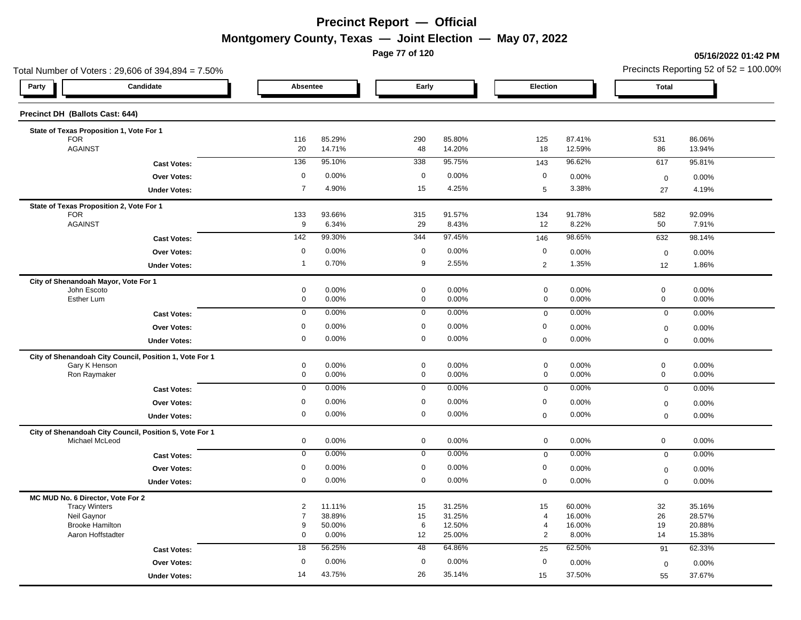**Page 77 of 120**

#### **05/16/2022 01:42 PM**

|                                                         | Total Number of Voters: 29,606 of 394,894 = 7.50% |                     |                  |                            |                  |                            |                  | Precincts Reporting 52 of $52 = 100.00\%$ |                  |  |
|---------------------------------------------------------|---------------------------------------------------|---------------------|------------------|----------------------------|------------------|----------------------------|------------------|-------------------------------------------|------------------|--|
| Party                                                   | Candidate                                         | Absentee            |                  | Early                      |                  | Election                   |                  | <b>Total</b>                              |                  |  |
| Precinct DH (Ballots Cast: 644)                         |                                                   |                     |                  |                            |                  |                            |                  |                                           |                  |  |
| State of Texas Proposition 1, Vote For 1                |                                                   |                     |                  |                            |                  |                            |                  |                                           |                  |  |
| <b>FOR</b><br><b>AGAINST</b>                            |                                                   | 116<br>20           | 85.29%<br>14.71% | 290<br>48                  | 85.80%<br>14.20% | 125<br>18                  | 87.41%<br>12.59% | 531<br>86                                 | 86.06%<br>13.94% |  |
|                                                         | <b>Cast Votes:</b>                                | 136                 | 95.10%           | 338                        | 95.75%           | 143                        | 96.62%           | 617                                       | 95.81%           |  |
|                                                         | Over Votes:                                       | 0                   | 0.00%            | $\mathbf 0$                | 0.00%            | $\mathbf 0$                | 0.00%            | $\boldsymbol{0}$                          | 0.00%            |  |
|                                                         | <b>Under Votes:</b>                               | $\overline{7}$      | 4.90%            | 15                         | 4.25%            | 5                          | 3.38%            | 27                                        | 4.19%            |  |
| State of Texas Proposition 2, Vote For 1                |                                                   |                     |                  |                            |                  |                            |                  |                                           |                  |  |
| <b>FOR</b>                                              |                                                   | 133                 | 93.66%           | 315                        | 91.57%           | 134                        | 91.78%           | 582                                       | 92.09%           |  |
| <b>AGAINST</b>                                          |                                                   | 9                   | 6.34%            | 29                         | 8.43%            | 12                         | 8.22%            | 50                                        | 7.91%            |  |
|                                                         | <b>Cast Votes:</b>                                | $142$               | 99.30%           | 344                        | 97.45%           | 146                        | 98.65%           | 632                                       | 98.14%           |  |
|                                                         | Over Votes:                                       | $\mathbf 0$         | 0.00%            | $\mathbf 0$                | 0.00%            | $\mathbf 0$                | 0.00%            | $\mathbf 0$                               | 0.00%            |  |
|                                                         | <b>Under Votes:</b>                               | $\overline{1}$      | 0.70%            | $\boldsymbol{9}$           | 2.55%            | $\overline{2}$             | 1.35%            | 12                                        | 1.86%            |  |
| City of Shenandoah Mayor, Vote For 1                    |                                                   |                     |                  |                            |                  |                            |                  |                                           |                  |  |
| John Escoto<br>Esther Lum                               |                                                   | 0<br>$\mathbf 0$    | 0.00%<br>0.00%   | $\mathbf 0$<br>$\mathbf 0$ | 0.00%<br>0.00%   | $\mathbf 0$<br>$\mathbf 0$ | 0.00%<br>0.00%   | $\mathbf 0$<br>$\mathbf 0$                | 0.00%<br>0.00%   |  |
|                                                         | <b>Cast Votes:</b>                                | $\mathbf 0$         | 0.00%            | $\mathbf 0$                | 0.00%            | $\mathbf 0$                | 0.00%            | $\mathbf 0$                               | 0.00%            |  |
|                                                         | Over Votes:                                       | $\mathsf{O}\xspace$ | 0.00%            | $\mathsf 0$                | 0.00%            | $\mathbf 0$                | 0.00%            | $\mathbf 0$                               | 0.00%            |  |
|                                                         | <b>Under Votes:</b>                               | 0                   | 0.00%            | $\mathbf 0$                | 0.00%            | $\mathbf 0$                | 0.00%            | $\mathbf 0$                               | 0.00%            |  |
| City of Shenandoah City Council, Position 1, Vote For 1 |                                                   |                     |                  |                            |                  |                            |                  |                                           |                  |  |
| Gary K Henson                                           |                                                   | 0                   | 0.00%            | $\mathbf 0$                | 0.00%            | $\mathsf{O}\xspace$        | 0.00%            | $\mathsf{O}\xspace$                       | 0.00%            |  |
| Ron Raymaker                                            |                                                   | $\pmb{0}$           | 0.00%            | $\mathbf 0$                | 0.00%            | $\mathbf 0$                | 0.00%            | $\mathbf 0$                               | 0.00%            |  |
|                                                         | <b>Cast Votes:</b>                                | $\mathbf 0$         | 0.00%            | $\mathbf 0$                | 0.00%            | $\mathsf 0$                | 0.00%            | $\mathbf 0$                               | 0.00%            |  |
|                                                         | Over Votes:                                       | 0                   | 0.00%            | $\mathbf 0$                | 0.00%            | 0                          | 0.00%            | $\mathsf 0$                               | 0.00%            |  |
|                                                         | <b>Under Votes:</b>                               | 0                   | 0.00%            | $\mathbf 0$                | 0.00%            | $\pmb{0}$                  | 0.00%            | $\mathbf 0$                               | 0.00%            |  |
| City of Shenandoah City Council, Position 5, Vote For 1 |                                                   |                     |                  |                            |                  |                            |                  |                                           |                  |  |
| Michael McLeod                                          |                                                   | $\mathbf 0$         | 0.00%            | $\mathbf 0$                | 0.00%            | $\mathbf 0$                | 0.00%            | $\mathbf 0$                               | 0.00%            |  |
|                                                         | <b>Cast Votes:</b>                                | $\mathbf 0$         | 0.00%            | $\mathbf 0$                | 0.00%            | $\mathsf 0$                | 0.00%            | $\mathsf 0$                               | 0.00%            |  |
|                                                         | Over Votes:                                       | 0                   | 0.00%            | $\mathbf 0$                | 0.00%            | $\mathbf 0$                | 0.00%            | $\mathbf 0$                               | 0.00%            |  |
|                                                         | <b>Under Votes:</b>                               | $\mathbf 0$         | 0.00%            | $\mathbf 0$                | 0.00%            | $\mathbf 0$                | 0.00%            | $\mathbf 0$                               | 0.00%            |  |
| MC MUD No. 6 Director, Vote For 2                       |                                                   |                     |                  |                            |                  |                            |                  |                                           |                  |  |
| <b>Tracy Winters</b><br>Neil Gaynor                     |                                                   | 2<br>$\overline{7}$ | 11.11%<br>38.89% | 15<br>15                   | 31.25%<br>31.25% | 15<br>$\overline{4}$       | 60.00%<br>16.00% | 32<br>26                                  | 35.16%<br>28.57% |  |
| <b>Brooke Hamilton</b>                                  |                                                   | 9                   | 50.00%           | 6                          | 12.50%           | $\overline{4}$             | 16.00%           | 19                                        | 20.88%           |  |
| Aaron Hoffstadter                                       |                                                   | 0                   | 0.00%            | 12                         | 25.00%           | $\overline{2}$             | 8.00%            | 14                                        | 15.38%           |  |
|                                                         | <b>Cast Votes:</b>                                | 18                  | 56.25%           | 48                         | 64.86%           | 25                         | 62.50%           | 91                                        | 62.33%           |  |
|                                                         | <b>Over Votes:</b>                                | 0                   | 0.00%            | $\mathbf 0$                | 0.00%            | $\mathbf 0$                | 0.00%            | $\mathsf 0$                               | 0.00%            |  |
|                                                         | <b>Under Votes:</b>                               | 14                  | 43.75%           | 26                         | 35.14%           | 15                         | 37.50%           | 55                                        | 37.67%           |  |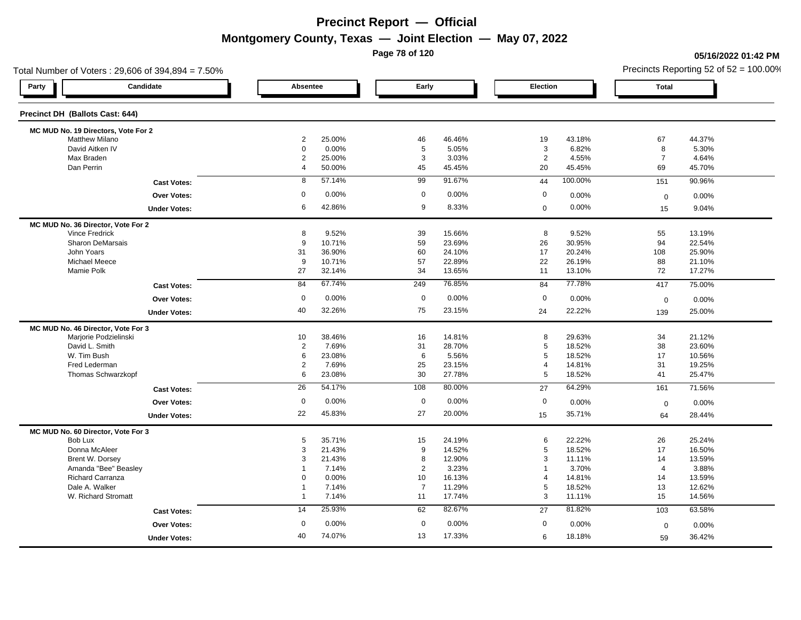**Page 78 of 120**

#### **05/16/2022 01:42 PM**

|                                     | Total Number of Voters: 29,606 of 394,894 = 7.50% |                                  |                  |                |                 |                     |                 |                     | Precincts Reporting 52 of $52 = 100.00\%$ |
|-------------------------------------|---------------------------------------------------|----------------------------------|------------------|----------------|-----------------|---------------------|-----------------|---------------------|-------------------------------------------|
| Party                               | Candidate                                         | Absentee                         |                  | Early          |                 | Election            |                 | <b>Total</b>        |                                           |
| Precinct DH (Ballots Cast: 644)     |                                                   |                                  |                  |                |                 |                     |                 |                     |                                           |
| MC MUD No. 19 Directors, Vote For 2 |                                                   |                                  |                  |                |                 |                     |                 |                     |                                           |
| <b>Matthew Milano</b>               |                                                   | 2                                | 25.00%           | 46             | 46.46%          | 19                  | 43.18%          | 67                  | 44.37%                                    |
| David Aitken IV                     |                                                   | $\mathbf 0$                      | 0.00%            | 5              | 5.05%           | 3<br>$\overline{2}$ | 6.82%           | 8<br>$\overline{7}$ | 5.30%                                     |
| Max Braden<br>Dan Perrin            |                                                   | $\overline{2}$<br>$\overline{4}$ | 25.00%<br>50.00% | 3<br>45        | 3.03%<br>45.45% | 20                  | 4.55%<br>45.45% | 69                  | 4.64%<br>45.70%                           |
|                                     |                                                   |                                  |                  |                |                 |                     |                 |                     |                                           |
|                                     | <b>Cast Votes:</b>                                | 8                                | 57.14%           | 99             | 91.67%          | 44                  | 100.00%         | 151                 | 90.96%                                    |
|                                     | <b>Over Votes:</b>                                | $\mathbf 0$                      | 0.00%            | $\mathbf 0$    | 0.00%           | 0                   | 0.00%           | $\mathbf 0$         | $0.00\%$                                  |
|                                     | <b>Under Votes:</b>                               | 6                                | 42.86%           | 9              | 8.33%           | $\mathbf 0$         | 0.00%           | 15                  | 9.04%                                     |
| MC MUD No. 36 Director, Vote For 2  |                                                   |                                  |                  |                |                 |                     |                 |                     |                                           |
| <b>Vince Fredrick</b>               |                                                   | 8                                | 9.52%            | 39             | 15.66%          | 8                   | 9.52%           | 55                  | 13.19%                                    |
|                                     | <b>Sharon DeMarsais</b>                           | 9                                | 10.71%           | 59             | 23.69%          | 26                  | 30.95%          | 94                  | 22.54%                                    |
| John Yoars                          |                                                   | 31                               | 36.90%           | 60             | 24.10%          | 17                  | 20.24%          | 108                 | 25.90%                                    |
| Michael Meece                       |                                                   | 9                                | 10.71%           | 57             | 22.89%          | 22                  | 26.19%          | 88                  | 21.10%                                    |
| Mamie Polk                          |                                                   | 27                               | 32.14%           | 34             | 13.65%          | 11                  | 13.10%          | 72                  | 17.27%                                    |
|                                     | <b>Cast Votes:</b>                                | 84                               | 67.74%           | 249            | 76.85%          | 84                  | 77.78%          | 417                 | 75.00%                                    |
|                                     | <b>Over Votes:</b>                                | 0                                | 0.00%            | $\mathbf 0$    | $0.00\%$        | $\mathbf 0$         | 0.00%           | $\mathbf 0$         | 0.00%                                     |
|                                     | <b>Under Votes:</b>                               | 40                               | 32.26%           | 75             | 23.15%          | 24                  | 22.22%          | 139                 | 25.00%                                    |
| MC MUD No. 46 Director, Vote For 3  |                                                   |                                  |                  |                |                 |                     |                 |                     |                                           |
|                                     | Marjorie Podzielinski                             | 10                               | 38.46%           | 16             | 14.81%          | 8                   | 29.63%          | 34                  | 21.12%                                    |
| David L. Smith                      |                                                   | $\overline{2}$                   | 7.69%            | 31             | 28.70%          | $\,$ 5 $\,$         | 18.52%          | 38                  | 23.60%                                    |
| W. Tim Bush                         |                                                   | 6                                | 23.08%           | 6              | 5.56%           | 5                   | 18.52%          | 17                  | 10.56%                                    |
| Fred Lederman                       |                                                   | $\overline{c}$                   | 7.69%            | 25             | 23.15%          | $\overline{4}$      | 14.81%          | 31                  | 19.25%                                    |
|                                     | Thomas Schwarzkopf                                | 6                                | 23.08%           | 30             | 27.78%          | $5\phantom{.0}$     | 18.52%          | 41                  | 25.47%                                    |
|                                     | <b>Cast Votes:</b>                                | 26                               | 54.17%           | 108            | 80.00%          | 27                  | 64.29%          | 161                 | 71.56%                                    |
|                                     | <b>Over Votes:</b>                                | $\mathbf 0$                      | 0.00%            | $\mathbf 0$    | $0.00\%$        | $\mathbf 0$         | 0.00%           | $\mathbf 0$         | 0.00%                                     |
|                                     | <b>Under Votes:</b>                               | 22                               | 45.83%           | 27             | 20.00%          | 15                  | 35.71%          | 64                  | 28.44%                                    |
| MC MUD No. 60 Director, Vote For 3  |                                                   |                                  |                  |                |                 |                     |                 |                     |                                           |
| Bob Lux                             |                                                   | 5                                | 35.71%           | 15             | 24.19%          | 6                   | 22.22%          | 26                  | 25.24%                                    |
| Donna McAleer                       |                                                   | 3                                | 21.43%           | 9              | 14.52%          | $\,$ 5 $\,$         | 18.52%          | 17                  | 16.50%                                    |
|                                     | Brent W. Dorsey                                   | 3                                | 21.43%           | 8              | 12.90%          | 3                   | 11.11%          | 14                  | 13.59%                                    |
|                                     | Amanda "Bee" Beasley                              |                                  | 7.14%            | $\overline{2}$ | 3.23%           |                     | 3.70%           | $\overline{4}$      | 3.88%                                     |
|                                     | Richard Carranza                                  | 0                                | 0.00%            | 10             | 16.13%          | 4                   | 14.81%          | 14                  | 13.59%                                    |
| Dale A. Walker                      |                                                   | $\overline{1}$                   | 7.14%            | $\overline{7}$ | 11.29%          | $\sqrt{5}$          | 18.52%          | 13                  | 12.62%                                    |
|                                     | W. Richard Stromatt                               | $\overline{1}$                   | 7.14%            | 11             | 17.74%          | 3                   | 11.11%          | 15                  | 14.56%                                    |
|                                     | <b>Cast Votes:</b>                                | 14                               | 25.93%           | 62             | 82.67%          | 27                  | 81.82%          | 103                 | 63.58%                                    |
|                                     | <b>Over Votes:</b>                                | $\mathbf 0$                      | 0.00%            | $\mathbf 0$    | 0.00%           | $\boldsymbol{0}$    | 0.00%           | $\mathbf 0$         | 0.00%                                     |
|                                     | <b>Under Votes:</b>                               | 40                               | 74.07%           | 13             | 17.33%          | 6                   | 18.18%          | 59                  | 36.42%                                    |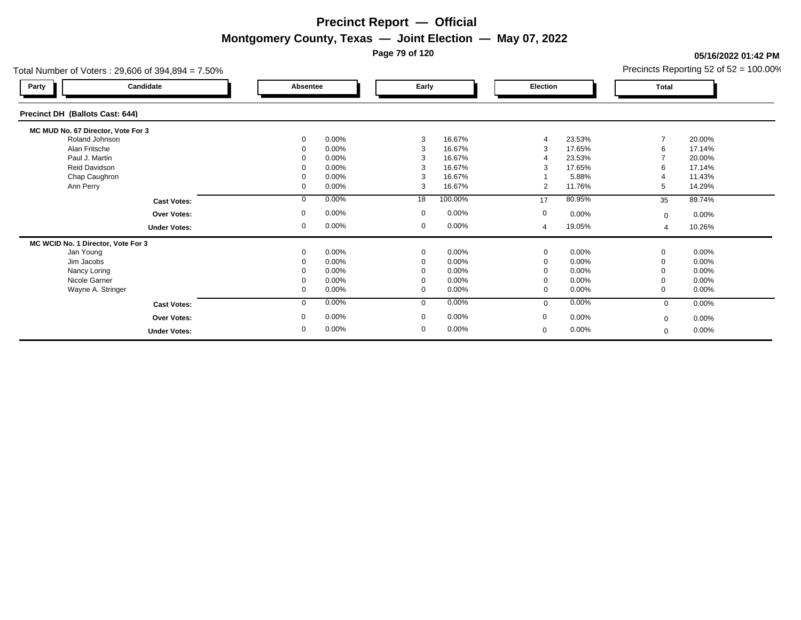**Page 79 of 120**

#### **05/16/2022 01:42 PM**

| Total Number of Voters: $29,606$ of $394,894 = 7.50\%$ |              |          |             |          |                |          |              | Precincts Reporting 52 of 52 = 100.00% |
|--------------------------------------------------------|--------------|----------|-------------|----------|----------------|----------|--------------|----------------------------------------|
| Candidate<br>Party                                     | Absentee     |          | Early       |          | Election       |          | Total        |                                        |
| Precinct DH (Ballots Cast: 644)                        |              |          |             |          |                |          |              |                                        |
| MC MUD No. 67 Director, Vote For 3                     |              |          |             |          |                |          |              |                                        |
| Roland Johnson                                         | 0            | $0.00\%$ | 3           | 16.67%   |                | 23.53%   |              | 20.00%                                 |
| Alan Fritsche                                          |              | 0.00%    | 3           | 16.67%   | 3              | 17.65%   | 6            | 17.14%                                 |
| Paul J. Martin                                         |              | $0.00\%$ |             | 16.67%   |                | 23.53%   |              | 20.00%                                 |
| <b>Reid Davidson</b>                                   |              | 0.00%    |             | 16.67%   | 3              | 17.65%   | 6            | 17.14%                                 |
| Chap Caughron                                          |              | 0.00%    | 3           | 16.67%   |                | 5.88%    | Δ            | 11.43%                                 |
| Ann Perry                                              | 0            | 0.00%    | 3           | 16.67%   | $\overline{2}$ | 11.76%   | 5            | 14.29%                                 |
| <b>Cast Votes:</b>                                     | $\mathbf{0}$ | 0.00%    | 18          | 100.00%  | 17             | 80.95%   | 35           | 89.74%                                 |
| Over Votes:                                            | 0            | $0.00\%$ | $\mathbf 0$ | $0.00\%$ | 0              | 0.00%    | $\mathbf 0$  | 0.00%                                  |
| <b>Under Votes:</b>                                    | 0            | $0.00\%$ | 0           | $0.00\%$ | 4              | 19.05%   | 4            | 10.26%                                 |
| MC WCID No. 1 Director, Vote For 3                     |              |          |             |          |                |          |              |                                        |
| Jan Young                                              | 0            | 0.00%    | $\mathbf 0$ | 0.00%    | $\mathbf 0$    | 0.00%    | $\mathbf 0$  | $0.00\%$                               |
| Jim Jacobs                                             |              | 0.00%    | $\Omega$    | 0.00%    | 0              | 0.00%    |              | 0.00%                                  |
| Nancy Loring                                           | 0            | 0.00%    |             | 0.00%    | $\mathbf 0$    | 0.00%    |              | 0.00%                                  |
| Nicole Garner                                          |              | 0.00%    |             | 0.00%    | 0              | 0.00%    |              | 0.00%                                  |
| Wayne A. Stringer                                      | 0            | $0.00\%$ | $\Omega$    | 0.00%    | $\mathbf 0$    | $0.00\%$ | $\Omega$     | $0.00\%$                               |
| <b>Cast Votes:</b>                                     | $\mathbf{0}$ | $0.00\%$ | $\Omega$    | 0.00%    | $\mathbf{0}$   | 0.00%    | $\mathbf{0}$ | 0.00%                                  |
| <b>Over Votes:</b>                                     | 0            | 0.00%    | $\mathbf 0$ | 0.00%    | $\mathbf 0$    | $0.00\%$ | $\mathbf{0}$ | 0.00%                                  |
| <b>Under Votes:</b>                                    | 0            | 0.00%    | 0           | 0.00%    | $\mathbf 0$    | 0.00%    | $\Omega$     | 0.00%                                  |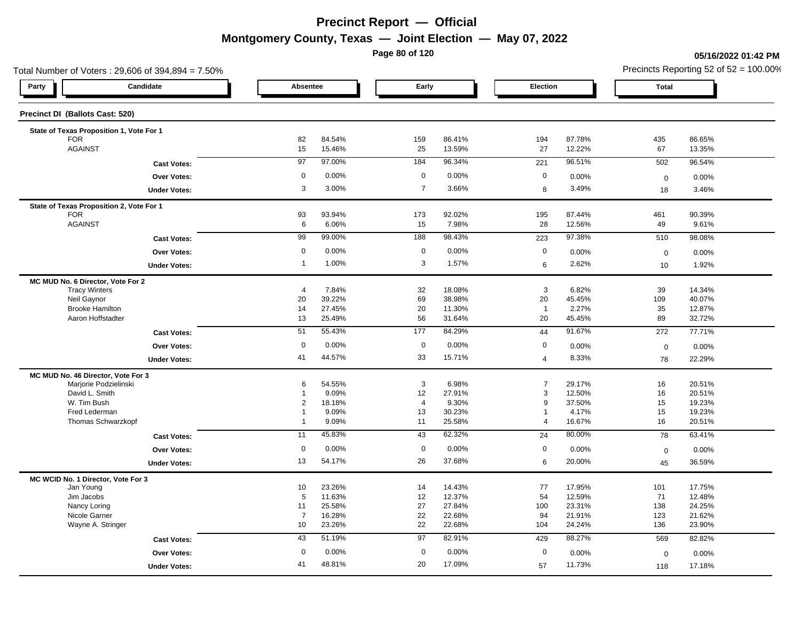**Page 80 of 120**

**05/16/2022 01:42 PM**

|                                                           | Total Number of Voters: 29,606 of 394,894 = 7.50% |                |        |                |        |                |        |                  | Precincts Reporting 52 of 52 = 100.00% |  |  |
|-----------------------------------------------------------|---------------------------------------------------|----------------|--------|----------------|--------|----------------|--------|------------------|----------------------------------------|--|--|
| Party                                                     | Candidate                                         | Absentee       |        | Early          |        | Election       |        | Total            |                                        |  |  |
| Precinct DI (Ballots Cast: 520)                           |                                                   |                |        |                |        |                |        |                  |                                        |  |  |
|                                                           | State of Texas Proposition 1, Vote For 1          |                |        |                |        |                |        |                  |                                        |  |  |
| <b>FOR</b>                                                |                                                   | 82             | 84.54% | 159            | 86.41% | 194            | 87.78% | 435              | 86.65%                                 |  |  |
| <b>AGAINST</b>                                            |                                                   | 15             | 15.46% | 25             | 13.59% | 27             | 12.22% | 67               | 13.35%                                 |  |  |
|                                                           | <b>Cast Votes:</b>                                | 97             | 97.00% | 184            | 96.34% | 221            | 96.51% | 502              | 96.54%                                 |  |  |
|                                                           | Over Votes:                                       | $\mathbf 0$    | 0.00%  | $\mathbf 0$    | 0.00%  | 0              | 0.00%  | $\boldsymbol{0}$ | 0.00%                                  |  |  |
|                                                           | <b>Under Votes:</b>                               | 3              | 3.00%  | $\overline{7}$ | 3.66%  | 8              | 3.49%  | 18               | 3.46%                                  |  |  |
|                                                           | State of Texas Proposition 2, Vote For 1          |                |        |                |        |                |        |                  |                                        |  |  |
| <b>FOR</b>                                                |                                                   | 93             | 93.94% | 173            | 92.02% | 195            | 87.44% | 461              | 90.39%                                 |  |  |
| <b>AGAINST</b>                                            |                                                   | 6              | 6.06%  | 15             | 7.98%  | 28             | 12.56% | 49               | 9.61%                                  |  |  |
|                                                           | <b>Cast Votes:</b>                                | 99             | 99.00% | 188            | 98.43% | 223            | 97.38% | 510              | 98.08%                                 |  |  |
|                                                           | Over Votes:                                       | $\mathbf 0$    | 0.00%  | $\mathbf 0$    | 0.00%  | $\mathbf 0$    | 0.00%  | $\boldsymbol{0}$ | 0.00%                                  |  |  |
|                                                           | <b>Under Votes:</b>                               | $\overline{1}$ | 1.00%  | $\mathbf{3}$   | 1.57%  | 6              | 2.62%  | 10               | 1.92%                                  |  |  |
|                                                           |                                                   |                |        |                |        |                |        |                  |                                        |  |  |
| MC MUD No. 6 Director, Vote For 2<br><b>Tracy Winters</b> |                                                   | $\overline{4}$ | 7.84%  | 32             | 18.08% | 3              | 6.82%  | 39               | 14.34%                                 |  |  |
| Neil Gaynor                                               |                                                   | 20             | 39.22% | 69             | 38.98% | 20             | 45.45% | 109              | 40.07%                                 |  |  |
| <b>Brooke Hamilton</b>                                    |                                                   | 14             | 27.45% | 20             | 11.30% | $\overline{1}$ | 2.27%  | 35               | 12.87%                                 |  |  |
|                                                           | Aaron Hoffstadter                                 | 13             | 25.49% | 56             | 31.64% | 20             | 45.45% | 89               | 32.72%                                 |  |  |
|                                                           | <b>Cast Votes:</b>                                | 51             | 55.43% | 177            | 84.29% | 44             | 91.67% | 272              | 77.71%                                 |  |  |
|                                                           | <b>Over Votes:</b>                                | $\Omega$       | 0.00%  | $\mathbf 0$    | 0.00%  | $\mathbf 0$    | 0.00%  | $\mathbf 0$      | 0.00%                                  |  |  |
|                                                           | <b>Under Votes:</b>                               | 41             | 44.57% | 33             | 15.71% | $\overline{4}$ | 8.33%  | 78               | 22.29%                                 |  |  |
| MC MUD No. 46 Director, Vote For 3                        |                                                   |                |        |                |        |                |        |                  |                                        |  |  |
|                                                           | Marjorie Podzielinski                             | 6              | 54.55% | 3              | 6.98%  | $\overline{7}$ | 29.17% | 16               | 20.51%                                 |  |  |
| David L. Smith                                            |                                                   |                | 9.09%  | 12             | 27.91% | 3              | 12.50% | 16               | 20.51%                                 |  |  |
| W. Tim Bush                                               |                                                   | 2              | 18.18% | $\overline{4}$ | 9.30%  | 9              | 37.50% | 15               | 19.23%                                 |  |  |
| Fred Lederman                                             |                                                   | 1              | 9.09%  | 13             | 30.23% | $\overline{4}$ | 4.17%  | 15               | 19.23%                                 |  |  |
|                                                           | <b>Thomas Schwarzkopf</b>                         |                | 9.09%  | 11             | 25.58% |                | 16.67% | 16               | 20.51%                                 |  |  |
|                                                           | <b>Cast Votes:</b>                                | 11             | 45.83% | 43             | 62.32% | 24             | 80.00% | 78               | 63.41%                                 |  |  |
|                                                           | Over Votes:                                       | $\mathbf 0$    | 0.00%  | $\overline{0}$ | 0.00%  | $\mathbf 0$    | 0.00%  | $\mathbf 0$      | 0.00%                                  |  |  |
|                                                           | <b>Under Votes:</b>                               | 13             | 54.17% | 26             | 37.68% | 6              | 20.00% | 45               | 36.59%                                 |  |  |
| MC WCID No. 1 Director, Vote For 3                        |                                                   |                |        |                |        |                |        |                  |                                        |  |  |
| Jan Young                                                 |                                                   | 10             | 23.26% | 14             | 14.43% | 77             | 17.95% | 101              | 17.75%                                 |  |  |
| Jim Jacobs                                                |                                                   | 5              | 11.63% | 12             | 12.37% | 54             | 12.59% | 71               | 12.48%                                 |  |  |
| Nancy Loring                                              |                                                   | 11             | 25.58% | 27             | 27.84% | 100            | 23.31% | 138              | 24.25%                                 |  |  |
| Nicole Garner                                             |                                                   | $\overline{7}$ | 16.28% | 22             | 22.68% | 94             | 21.91% | 123              | 21.62%                                 |  |  |
|                                                           | Wayne A. Stringer                                 | 10             | 23.26% | 22             | 22.68% | 104            | 24.24% | 136              | 23.90%                                 |  |  |
|                                                           | <b>Cast Votes:</b>                                | 43             | 51.19% | 97             | 82.91% | 429            | 88.27% | 569              | 82.82%                                 |  |  |
|                                                           | Over Votes:                                       | $\mathbf 0$    | 0.00%  | $\mathbf 0$    | 0.00%  | 0              | 0.00%  | $\mathbf 0$      | 0.00%                                  |  |  |
|                                                           | <b>Under Votes:</b>                               | 41             | 48.81% | 20             | 17.09% | 57             | 11.73% | 118              | 17.18%                                 |  |  |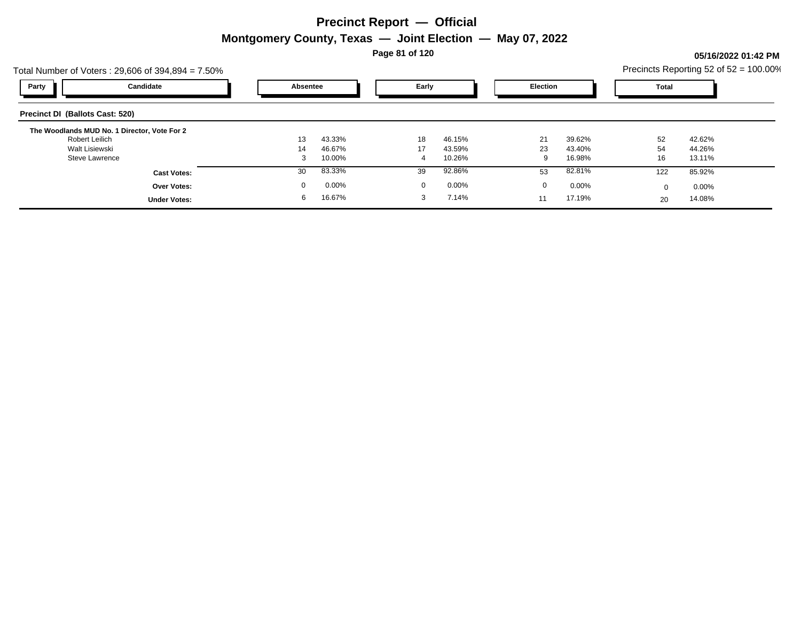**Page 81 of 120**

### **05/16/2022 01:42 PM**

|                                        | Total Number of Voters: $29,606$ of $394,894 = 7.50\%$ |          |        |                 |        |          |        |       | Precincts Reporting 52 of $52 = 100.00\%$ |  |
|----------------------------------------|--------------------------------------------------------|----------|--------|-----------------|--------|----------|--------|-------|-------------------------------------------|--|
| Party                                  | Candidate                                              | Absentee |        | Early           |        | Election |        | Total |                                           |  |
| <b>Precinct DI (Ballots Cast: 520)</b> |                                                        |          |        |                 |        |          |        |       |                                           |  |
|                                        | The Woodlands MUD No. 1 Director, Vote For 2           |          |        |                 |        |          |        |       |                                           |  |
| Robert Leilich                         |                                                        | 13       | 43.33% | 18              | 46.15% | 21       | 39.62% | 52    | 42.62%                                    |  |
| Walt Lisiewski                         |                                                        | 14       | 46.67% | 17 <sup>2</sup> | 43.59% | 23       | 43.40% | 54    | 44.26%                                    |  |
| <b>Steve Lawrence</b>                  |                                                        | ີ<br>J   | 10.00% | 4               | 10.26% | 9        | 16.98% | 16    | 13.11%                                    |  |
|                                        | <b>Cast Votes:</b>                                     | 30       | 83.33% | 39              | 92.86% | 53       | 82.81% | 122   | 85.92%                                    |  |
|                                        | <b>Over Votes:</b>                                     |          | 0.00%  | $\Omega$        | 0.00%  | $\Omega$ | 0.00%  |       | $0.00\%$                                  |  |
|                                        | <b>Under Votes:</b>                                    | 6        | 16.67% | 3               | 7.14%  | 11       | 17.19% | 20    | 14.08%                                    |  |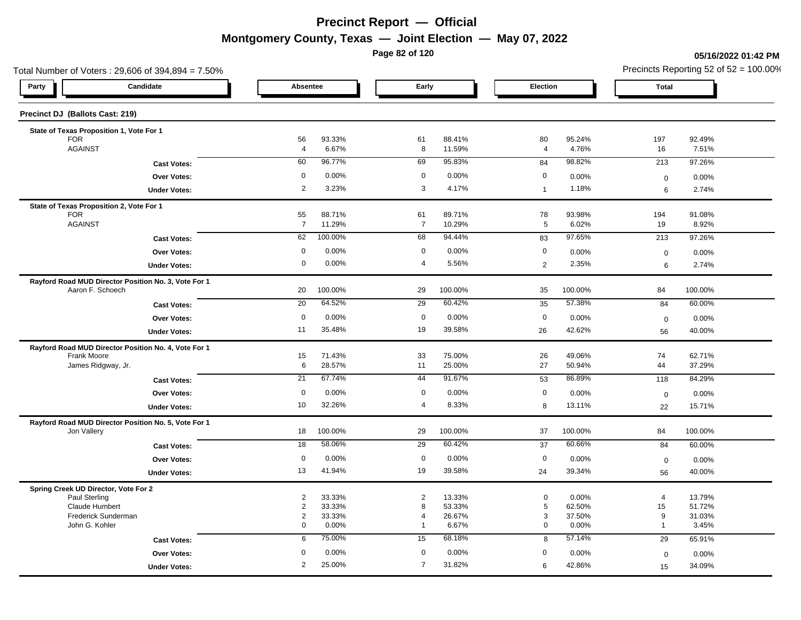**Page 82 of 120**

#### **05/16/2022 01:42 PM**

| Total Number of Voters: 29,606 of 394,894 = 7.50%                        |                     |                      |                  |                      |                  |                       |                 |                  | Precincts Reporting 52 of $52 = 100.00\%$ |
|--------------------------------------------------------------------------|---------------------|----------------------|------------------|----------------------|------------------|-----------------------|-----------------|------------------|-------------------------------------------|
| Candidate<br>Party                                                       |                     | Absentee             |                  | Early                |                  | Election              |                 | <b>Total</b>     |                                           |
| Precinct DJ (Ballots Cast: 219)                                          |                     |                      |                  |                      |                  |                       |                 |                  |                                           |
| State of Texas Proposition 1, Vote For 1                                 |                     |                      |                  |                      |                  |                       |                 |                  |                                           |
| <b>FOR</b><br><b>AGAINST</b>                                             |                     | 56<br>$\overline{4}$ | 93.33%<br>6.67%  | 61<br>8              | 88.41%<br>11.59% | 80<br>$\overline{4}$  | 95.24%<br>4.76% | 197<br>16        | 92.49%<br>7.51%                           |
|                                                                          |                     | 60                   | 96.77%           | 69                   | 95.83%           |                       | 98.82%          |                  | 97.26%                                    |
|                                                                          | <b>Cast Votes:</b>  |                      |                  |                      |                  | 84                    |                 | 213              |                                           |
|                                                                          | <b>Over Votes:</b>  | $\mathbf 0$          | 0.00%            | $\mathbf 0$          | 0.00%            | 0                     | 0.00%           | $\boldsymbol{0}$ | 0.00%                                     |
|                                                                          | <b>Under Votes:</b> | $\overline{2}$       | 3.23%            | 3                    | 4.17%            | $\mathbf{1}$          | 1.18%           | 6                | 2.74%                                     |
| State of Texas Proposition 2, Vote For 1                                 |                     |                      |                  |                      |                  |                       |                 |                  |                                           |
| <b>FOR</b><br><b>AGAINST</b>                                             |                     | 55<br>$\overline{7}$ | 88.71%<br>11.29% | 61<br>$\overline{7}$ | 89.71%<br>10.29% | 78<br>$5\phantom{.0}$ | 93.98%<br>6.02% | 194<br>19        | 91.08%<br>8.92%                           |
|                                                                          |                     | 62                   | 100.00%          | 68                   | 94.44%           |                       | 97.65%          | 213              | 97.26%                                    |
|                                                                          | <b>Cast Votes:</b>  |                      |                  |                      |                  | 83                    |                 |                  |                                           |
|                                                                          | <b>Over Votes:</b>  | 0                    | 0.00%            | $\mathbf 0$          | 0.00%            | $\mathbf 0$           | 0.00%           | $\mathbf 0$      | 0.00%                                     |
|                                                                          | <b>Under Votes:</b> | 0                    | 0.00%            | $\overline{4}$       | 5.56%            | $\overline{2}$        | 2.35%           | 6                | 2.74%                                     |
| Rayford Road MUD Director Position No. 3, Vote For 1<br>Aaron F. Schoech |                     | 20                   | 100.00%          | 29                   | 100.00%          | 35                    | 100.00%         | 84               | 100.00%                                   |
|                                                                          | <b>Cast Votes:</b>  | $\overline{20}$      | 64.52%           | 29                   | 60.42%           | 35                    | 57.38%          | 84               | 60.00%                                    |
|                                                                          | Over Votes:         | $\mathbf 0$          | 0.00%            | $\mathbf 0$          | 0.00%            | $\mathbf 0$           | 0.00%           | $\mathbf 0$      | 0.00%                                     |
|                                                                          | <b>Under Votes:</b> | 11                   | 35.48%           | 19                   | 39.58%           | 26                    | 42.62%          | 56               | 40.00%                                    |
| Rayford Road MUD Director Position No. 4, Vote For 1                     |                     |                      |                  |                      |                  |                       |                 |                  |                                           |
| Frank Moore                                                              |                     | 15                   | 71.43%           | 33                   | 75.00%           | 26                    | 49.06%          | 74               | 62.71%                                    |
| James Ridgway, Jr.                                                       |                     | 6                    | 28.57%           | 11                   | 25.00%           | 27                    | 50.94%          | 44               | 37.29%                                    |
|                                                                          | <b>Cast Votes:</b>  | 21                   | 67.74%           | 44                   | 91.67%           | 53                    | 86.89%          | 118              | 84.29%                                    |
|                                                                          | Over Votes:         | $\mathbf 0$          | 0.00%            | $\mathbf 0$          | 0.00%            | $\mathbf 0$           | 0.00%           | $\boldsymbol{0}$ | 0.00%                                     |
|                                                                          | <b>Under Votes:</b> | 10                   | 32.26%           | $\overline{4}$       | 8.33%            | 8                     | 13.11%          | 22               | 15.71%                                    |
| Rayford Road MUD Director Position No. 5, Vote For 1                     |                     |                      |                  |                      |                  |                       |                 |                  |                                           |
| Jon Vallery                                                              |                     | 18                   | 100.00%          | 29                   | 100.00%          | 37                    | 100.00%         | 84               | 100.00%                                   |
|                                                                          | <b>Cast Votes:</b>  | 18                   | 58.06%           | 29                   | 60.42%           | 37                    | 60.66%          | 84               | 60.00%                                    |
|                                                                          | Over Votes:         | $\mathsf{O}$         | 0.00%            | $\mathbf 0$          | 0.00%            | $\mathbf 0$           | 0.00%           | $\mathbf 0$      | 0.00%                                     |
|                                                                          | <b>Under Votes:</b> | 13                   | 41.94%           | 19                   | 39.58%           | 24                    | 39.34%          | 56               | 40.00%                                    |
| Spring Creek UD Director, Vote For 2                                     |                     |                      |                  |                      |                  |                       |                 |                  |                                           |
| Paul Sterling                                                            |                     | $\overline{2}$       | 33.33%           | $\overline{2}$       | 13.33%           | $\mathbf 0$           | 0.00%           | $\overline{4}$   | 13.79%                                    |
| <b>Claude Humbert</b>                                                    |                     | 2                    | 33.33%           | 8                    | 53.33%           | $\,$ 5 $\,$           | 62.50%          | 15               | 51.72%                                    |
| Frederick Sunderman                                                      |                     | $\overline{2}$       | 33.33%           | $\overline{4}$       | 26.67%           | 3                     | 37.50%          | 9                | 31.03%                                    |
| John G. Kohler                                                           |                     | 0                    | 0.00%            | $\mathbf{1}$         | 6.67%            | $\mathbf 0$           | 0.00%           | $\mathbf{1}$     | 3.45%                                     |
|                                                                          | <b>Cast Votes:</b>  | 6                    | 75.00%           | 15                   | 68.18%           | 8                     | 57.14%          | 29               | 65.91%                                    |
|                                                                          | <b>Over Votes:</b>  | $\Omega$             | 0.00%            | $\mathbf 0$          | 0.00%            | 0                     | 0.00%           | $\mathbf 0$      | 0.00%                                     |
|                                                                          | <b>Under Votes:</b> | 2                    | 25.00%           | $\overline{7}$       | 31.82%           | 6                     | 42.86%          | 15               | 34.09%                                    |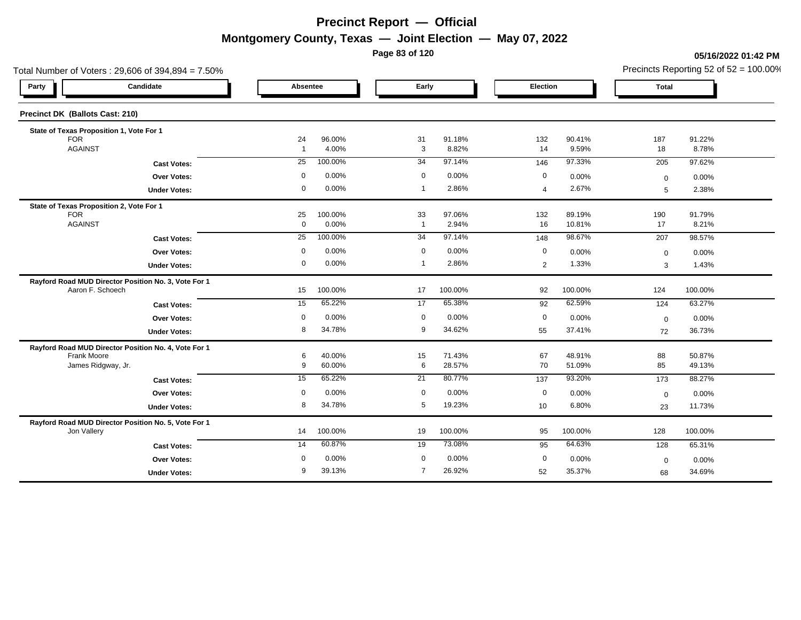**Page 83 of 120**

#### **05/16/2022 01:42 PM**

| Total Number of Voters: 29,606 of 394,894 = 7.50%    |                   |                  |                      |                  |                  |                  | Precincts Reporting 52 of $52 = 100.00\%$ |                  |  |
|------------------------------------------------------|-------------------|------------------|----------------------|------------------|------------------|------------------|-------------------------------------------|------------------|--|
| Candidate<br>Party                                   | Absentee          |                  | Early                |                  | Election         |                  | <b>Total</b>                              |                  |  |
| Precinct DK (Ballots Cast: 210)                      |                   |                  |                      |                  |                  |                  |                                           |                  |  |
| State of Texas Proposition 1, Vote For 1             |                   |                  |                      |                  |                  |                  |                                           |                  |  |
| <b>FOR</b>                                           | 24                | 96.00%           | 31                   | 91.18%           | 132              | 90.41%           | 187                                       | 91.22%           |  |
| <b>AGAINST</b>                                       | $\overline{1}$    | 4.00%            | 3                    | 8.82%            | 14               | 9.59%            | 18                                        | 8.78%            |  |
| <b>Cast Votes:</b>                                   | $\overline{25}$   | 100.00%          | 34                   | 97.14%           | 146              | 97.33%           | 205                                       | 97.62%           |  |
| <b>Over Votes:</b>                                   | $\mathbf 0$       | 0.00%            | $\mathbf 0$          | 0.00%            | $\boldsymbol{0}$ | 0.00%            | $\mathbf 0$                               | 0.00%            |  |
| <b>Under Votes:</b>                                  | 0                 | 0.00%            | $\mathbf{1}$         | 2.86%            | 4                | 2.67%            | 5                                         | 2.38%            |  |
| State of Texas Proposition 2, Vote For 1             |                   |                  |                      |                  |                  |                  |                                           |                  |  |
| <b>FOR</b><br><b>AGAINST</b>                         | 25<br>$\mathbf 0$ | 100.00%<br>0.00% | 33<br>$\overline{1}$ | 97.06%<br>2.94%  | 132<br>16        | 89.19%<br>10.81% | 190<br>17                                 | 91.79%<br>8.21%  |  |
|                                                      | 25                | 100.00%          | 34                   | 97.14%           |                  | 98.67%           |                                           |                  |  |
| <b>Cast Votes:</b>                                   |                   |                  |                      |                  | 148              |                  | 207                                       | 98.57%           |  |
| <b>Over Votes:</b>                                   | 0                 | 0.00%            | $\mathbf 0$          | 0.00%            | $\mathbf 0$      | 0.00%            | $\mathbf 0$                               | 0.00%            |  |
| <b>Under Votes:</b>                                  | 0                 | 0.00%            | $\overline{1}$       | 2.86%            | $\overline{2}$   | 1.33%            | 3                                         | 1.43%            |  |
| Rayford Road MUD Director Position No. 3, Vote For 1 |                   |                  |                      |                  |                  |                  |                                           |                  |  |
| Aaron F. Schoech                                     | 15                | 100.00%          | 17                   | 100.00%          | 92               | 100.00%          | 124                                       | 100.00%          |  |
| <b>Cast Votes:</b>                                   | 15                | 65.22%           | $\overline{17}$      | 65.38%           | 92               | 62.59%           | 124                                       | 63.27%           |  |
| <b>Over Votes:</b>                                   | $\mathbf 0$       | 0.00%            | $\mathbf 0$          | 0.00%            | $\boldsymbol{0}$ | 0.00%            | $\mathbf 0$                               | 0.00%            |  |
| <b>Under Votes:</b>                                  | 8                 | 34.78%           | 9                    | 34.62%           | 55               | 37.41%           | 72                                        | 36.73%           |  |
| Rayford Road MUD Director Position No. 4, Vote For 1 |                   |                  |                      |                  |                  |                  |                                           |                  |  |
| Frank Moore<br>James Ridgway, Jr.                    | 6<br>9            | 40.00%<br>60.00% | 15<br>6              | 71.43%<br>28.57% | 67<br>70         | 48.91%<br>51.09% | 88<br>85                                  | 50.87%<br>49.13% |  |
|                                                      |                   |                  |                      | 80.77%           |                  |                  |                                           |                  |  |
| <b>Cast Votes:</b>                                   | 15                | 65.22%           | 21                   |                  | 137              | 93.20%           | 173                                       | 88.27%           |  |
| <b>Over Votes:</b>                                   | $\mathbf 0$       | 0.00%            | $\mathbf 0$          | 0.00%            | $\mathbf 0$      | 0.00%            | $\mathbf 0$                               | 0.00%            |  |
| <b>Under Votes:</b>                                  | 8                 | 34.78%           | 5                    | 19.23%           | 10               | 6.80%            | 23                                        | 11.73%           |  |
| Rayford Road MUD Director Position No. 5, Vote For 1 |                   |                  |                      |                  |                  |                  |                                           |                  |  |
| Jon Vallery                                          | 14                | 100.00%          | 19                   | 100.00%          | 95               | 100.00%          | 128                                       | 100.00%          |  |
| <b>Cast Votes:</b>                                   | 14                | 60.87%           | 19                   | 73.08%           | 95               | 64.63%           | 128                                       | 65.31%           |  |
| <b>Over Votes:</b>                                   | 0                 | 0.00%            | 0                    | 0.00%            | $\mathbf 0$      | 0.00%            | $\mathbf 0$                               | 0.00%            |  |
| <b>Under Votes:</b>                                  | 9                 | 39.13%           | $\overline{7}$       | 26.92%           | 52               | 35.37%           | 68                                        | 34.69%           |  |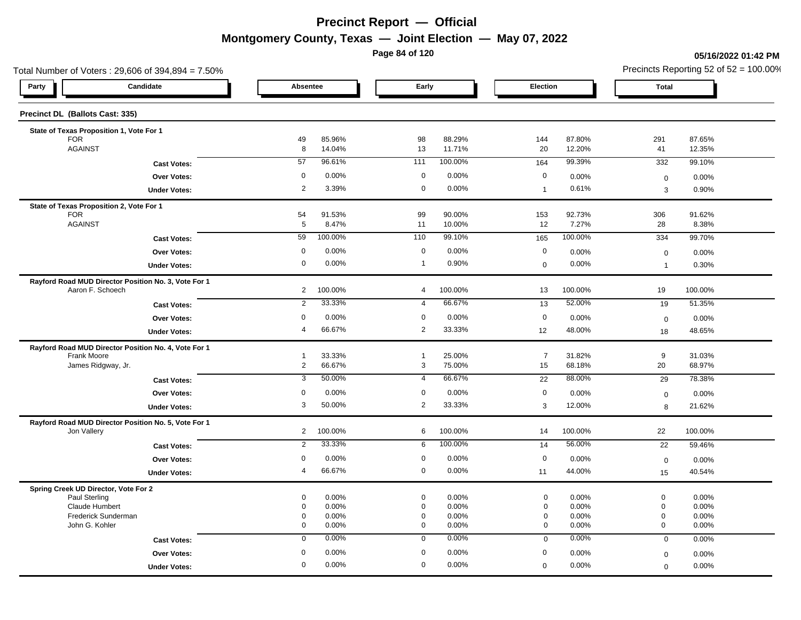**Page 84 of 120**

#### **05/16/2022 01:42 PM**

| Total Number of Voters: 29,606 of 394,894 = 7.50%                        |                       |                  |                            |                  |                            |                  |                            | Precincts Reporting 52 of $52 = 100.00\%$ |
|--------------------------------------------------------------------------|-----------------------|------------------|----------------------------|------------------|----------------------------|------------------|----------------------------|-------------------------------------------|
| Candidate<br>Party                                                       | Absentee              |                  | Early                      |                  | Election                   |                  | <b>Total</b>               |                                           |
| Precinct DL (Ballots Cast: 335)                                          |                       |                  |                            |                  |                            |                  |                            |                                           |
| State of Texas Proposition 1, Vote For 1                                 |                       |                  |                            |                  |                            |                  |                            |                                           |
| <b>FOR</b><br><b>AGAINST</b>                                             | 49<br>8               | 85.96%<br>14.04% | 98<br>13                   | 88.29%<br>11.71% | 144<br>20                  | 87.80%<br>12.20% | 291<br>41                  | 87.65%<br>12.35%                          |
|                                                                          | 57                    | 96.61%           | 111                        | 100.00%          |                            | 99.39%           |                            | 99.10%                                    |
| <b>Cast Votes:</b>                                                       |                       |                  |                            |                  | 164                        |                  | 332                        |                                           |
| <b>Over Votes:</b>                                                       | 0                     | 0.00%            | $\mathbf 0$                | 0.00%            | $\mathbf 0$                | 0.00%            | $\boldsymbol{0}$           | 0.00%                                     |
| <b>Under Votes:</b>                                                      | $\overline{2}$        | 3.39%            | $\mathbf 0$                | 0.00%            | $\mathbf{1}$               | 0.61%            | 3                          | 0.90%                                     |
| State of Texas Proposition 2, Vote For 1                                 |                       |                  |                            |                  |                            |                  |                            |                                           |
| <b>FOR</b><br><b>AGAINST</b>                                             | 54<br>$5\phantom{.0}$ | 91.53%<br>8.47%  | 99<br>11                   | 90.00%<br>10.00% | 153<br>12                  | 92.73%<br>7.27%  | 306<br>28                  | 91.62%<br>8.38%                           |
| <b>Cast Votes:</b>                                                       | 59                    | 100.00%          | 110                        | 99.10%           | 165                        | 100.00%          | 334                        | 99.70%                                    |
|                                                                          | $\mathbf 0$           | 0.00%            | $\mathbf 0$                | 0.00%            | $\mathbf 0$                | 0.00%            |                            |                                           |
| <b>Over Votes:</b>                                                       | 0                     | 0.00%            | $\mathbf{1}$               | 0.90%            |                            | 0.00%            | $\mathbf 0$                | 0.00%                                     |
| <b>Under Votes:</b>                                                      |                       |                  |                            |                  | $\mathbf 0$                |                  | $\overline{1}$             | 0.30%                                     |
| Rayford Road MUD Director Position No. 3, Vote For 1<br>Aaron F. Schoech | $\overline{2}$        | 100.00%          | $\overline{4}$             | 100.00%          | 13                         | 100.00%          | 19                         | 100.00%                                   |
| <b>Cast Votes:</b>                                                       | $\overline{2}$        | 33.33%           | $\overline{4}$             | 66.67%           | 13                         | 52.00%           | 19                         | 51.35%                                    |
| Over Votes:                                                              | $\Omega$              | 0.00%            | $\mathbf 0$                | 0.00%            | $\mathbf 0$                | 0.00%            | $\mathbf 0$                | 0.00%                                     |
| <b>Under Votes:</b>                                                      | $\overline{4}$        | 66.67%           | $\overline{2}$             | 33.33%           | 12                         | 48.00%           | 18                         | 48.65%                                    |
| Rayford Road MUD Director Position No. 4, Vote For 1                     |                       |                  |                            |                  |                            |                  |                            |                                           |
| Frank Moore                                                              | $\overline{1}$        | 33.33%           | $\mathbf{1}$               | 25.00%           | $\overline{7}$             | 31.82%           | 9                          | 31.03%                                    |
| James Ridgway, Jr.                                                       | $\overline{2}$        | 66.67%           | 3                          | 75.00%           | 15                         | 68.18%           | 20                         | 68.97%                                    |
| <b>Cast Votes:</b>                                                       | 3                     | 50.00%           | 4                          | 66.67%           | 22                         | 88.00%           | 29                         | 78.38%                                    |
| Over Votes:                                                              | 0                     | 0.00%            | $\mathbf 0$                | 0.00%            | $\mathbf 0$                | 0.00%            | $\boldsymbol{0}$           | $0.00\%$                                  |
| <b>Under Votes:</b>                                                      | 3                     | 50.00%           | 2                          | 33.33%           | 3                          | 12.00%           | 8                          | 21.62%                                    |
| Rayford Road MUD Director Position No. 5, Vote For 1                     |                       |                  |                            |                  |                            |                  |                            |                                           |
| Jon Vallery                                                              | $\overline{2}$        | 100.00%          | 6                          | 100.00%          | 14                         | 100.00%          | 22                         | 100.00%                                   |
| <b>Cast Votes:</b>                                                       | 2                     | 33.33%           | 6                          | 100.00%          | 14                         | 56.00%           | 22                         | 59.46%                                    |
| Over Votes:                                                              | $\mathbf 0$           | 0.00%            | $\mathbf 0$                | 0.00%            | $\mathbf 0$                | 0.00%            | $\mathsf 0$                | 0.00%                                     |
| <b>Under Votes:</b>                                                      | $\overline{4}$        | 66.67%           | $\mathbf 0$                | 0.00%            | 11                         | 44.00%           | 15                         | 40.54%                                    |
| Spring Creek UD Director, Vote For 2                                     |                       |                  |                            |                  |                            |                  |                            |                                           |
| Paul Sterling                                                            | 0                     | 0.00%            | $\mathbf 0$                | 0.00%            | $\mathbf 0$                | 0.00%            | $\mathbf 0$                | 0.00%                                     |
| <b>Claude Humbert</b>                                                    | 0                     | 0.00%            | $\mathbf 0$                | 0.00%            | $\mathbf 0$                | 0.00%            | $\mathbf 0$                | 0.00%                                     |
| Frederick Sunderman                                                      | 0<br>0                | 0.00%            | $\mathbf 0$<br>$\mathbf 0$ | 0.00%            | $\mathbf 0$<br>$\mathbf 0$ | 0.00%            | $\mathbf 0$<br>$\mathbf 0$ | 0.00%                                     |
| John G. Kohler                                                           |                       | 0.00%            |                            | 0.00%            |                            | 0.00%            |                            | 0.00%                                     |
| <b>Cast Votes:</b>                                                       | $\mathbf 0$           | 0.00%            | $\mathbf 0$                | 0.00%            | $\mathbf 0$                | 0.00%            | $\mathbf 0$                | 0.00%                                     |
| <b>Over Votes:</b>                                                       | $\mathbf 0$           | 0.00%            | $\mathbf 0$                | 0.00%            | 0                          | 0.00%            | $\mathbf 0$                | 0.00%                                     |
| <b>Under Votes:</b>                                                      | 0                     | 0.00%            | $\mathbf 0$                | 0.00%            | $\mathbf 0$                | 0.00%            | $\mathbf 0$                | 0.00%                                     |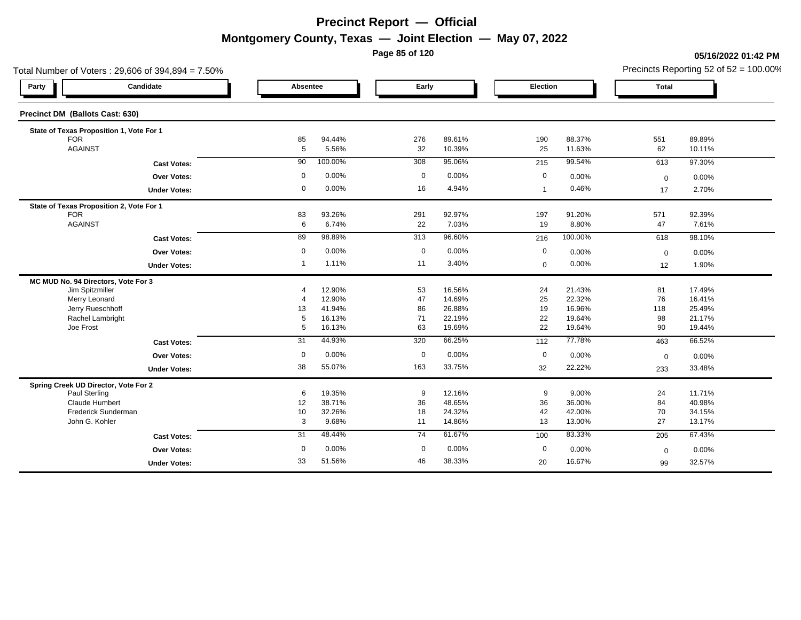**Page 85 of 120**

#### **05/16/2022 01:42 PM**

| Total Number of Voters: 29,606 of 394,894 = 7.50% |             |         |             |        |              |         | Precincts Reporting 52 of $52 = 100.00\%$ |        |  |
|---------------------------------------------------|-------------|---------|-------------|--------|--------------|---------|-------------------------------------------|--------|--|
| Candidate<br>Party                                | Absentee    |         | Early       |        | Election     |         | <b>Total</b>                              |        |  |
| Precinct DM (Ballots Cast: 630)                   |             |         |             |        |              |         |                                           |        |  |
| State of Texas Proposition 1, Vote For 1          |             |         |             |        |              |         |                                           |        |  |
| <b>FOR</b>                                        | 85          | 94.44%  | 276         | 89.61% | 190          | 88.37%  | 551                                       | 89.89% |  |
| <b>AGAINST</b>                                    | 5           | 5.56%   | 32          | 10.39% | 25           | 11.63%  | 62                                        | 10.11% |  |
| <b>Cast Votes:</b>                                | 90          | 100.00% | 308         | 95.06% | 215          | 99.54%  | 613                                       | 97.30% |  |
| <b>Over Votes:</b>                                | $\mathbf 0$ | 0.00%   | $\mathbf 0$ | 0.00%  | $\mathbf 0$  | 0.00%   | $\mathbf 0$                               | 0.00%  |  |
| <b>Under Votes:</b>                               | 0           | 0.00%   | 16          | 4.94%  | $\mathbf{1}$ | 0.46%   | 17                                        | 2.70%  |  |
| State of Texas Proposition 2, Vote For 1          |             |         |             |        |              |         |                                           |        |  |
| <b>FOR</b>                                        | 83          | 93.26%  | 291         | 92.97% | 197          | 91.20%  | 571                                       | 92.39% |  |
| <b>AGAINST</b>                                    | 6           | 6.74%   | 22          | 7.03%  | 19           | 8.80%   | 47                                        | 7.61%  |  |
| <b>Cast Votes:</b>                                | 89          | 98.89%  | 313         | 96.60% | 216          | 100.00% | 618                                       | 98.10% |  |
| <b>Over Votes:</b>                                | $\mathbf 0$ | 0.00%   | $\mathbf 0$ | 0.00%  | 0            | 0.00%   | $\mathbf 0$                               | 0.00%  |  |
| <b>Under Votes:</b>                               | 1           | 1.11%   | 11          | 3.40%  | $\mathbf 0$  | 0.00%   | 12                                        | 1.90%  |  |
| MC MUD No. 94 Directors, Vote For 3               |             |         |             |        |              |         |                                           |        |  |
| Jim Spitzmiller                                   | 4           | 12.90%  | 53          | 16.56% | 24           | 21.43%  | 81                                        | 17.49% |  |
| Merry Leonard                                     | 4           | 12.90%  | 47          | 14.69% | 25           | 22.32%  | 76                                        | 16.41% |  |
| Jerry Rueschhoff                                  | 13          | 41.94%  | 86          | 26.88% | 19           | 16.96%  | 118                                       | 25.49% |  |
| Rachel Lambright                                  | 5           | 16.13%  | 71          | 22.19% | 22           | 19.64%  | 98                                        | 21.17% |  |
| Joe Frost                                         | 5           | 16.13%  | 63          | 19.69% | 22           | 19.64%  | 90                                        | 19.44% |  |
| <b>Cast Votes:</b>                                | 31          | 44.93%  | 320         | 66.25% | 112          | 77.78%  | 463                                       | 66.52% |  |
| Over Votes:                                       | $\mathbf 0$ | 0.00%   | $\mathbf 0$ | 0.00%  | $\mathbf 0$  | 0.00%   | $\mathbf 0$                               | 0.00%  |  |
| <b>Under Votes:</b>                               | 38          | 55.07%  | 163         | 33.75% | 32           | 22.22%  | 233                                       | 33.48% |  |
| Spring Creek UD Director, Vote For 2              |             |         |             |        |              |         |                                           |        |  |
| Paul Sterling                                     | 6           | 19.35%  | 9           | 12.16% | 9            | 9.00%   | 24                                        | 11.71% |  |
| <b>Claude Humbert</b>                             | 12          | 38.71%  | 36          | 48.65% | 36           | 36.00%  | 84                                        | 40.98% |  |
| Frederick Sunderman                               | 10          | 32.26%  | 18          | 24.32% | 42           | 42.00%  | 70                                        | 34.15% |  |
| John G. Kohler                                    | 3           | 9.68%   | 11          | 14.86% | 13           | 13.00%  | 27                                        | 13.17% |  |
| <b>Cast Votes:</b>                                | 31          | 48.44%  | 74          | 61.67% | 100          | 83.33%  | 205                                       | 67.43% |  |
| Over Votes:                                       | $\mathbf 0$ | 0.00%   | $\mathbf 0$ | 0.00%  | $\mathbf 0$  | 0.00%   | $\mathbf 0$                               | 0.00%  |  |
| <b>Under Votes:</b>                               | 33          | 51.56%  | 46          | 38.33% | 20           | 16.67%  | 99                                        | 32.57% |  |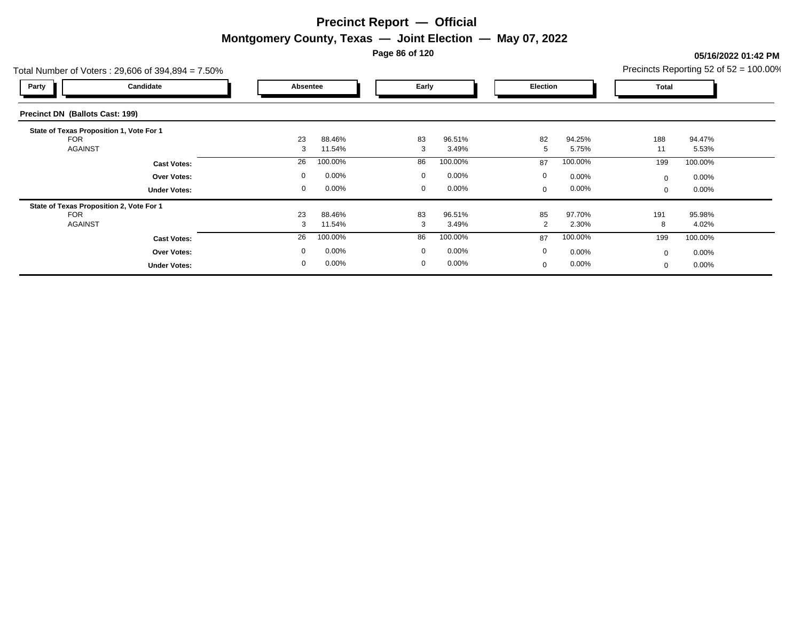**Page 86 of 120**

### **05/16/2022 01:42 PM**

| Candidate                                |             |                                                   |              |                 |             |                 | Total     |                 |                                           |
|------------------------------------------|-------------|---------------------------------------------------|--------------|-----------------|-------------|-----------------|-----------|-----------------|-------------------------------------------|
| <b>Precinct DN (Ballots Cast: 199)</b>   |             |                                                   |              |                 |             |                 |           |                 |                                           |
| State of Texas Proposition 1, Vote For 1 | 23<br>3     | 88.46%<br>11.54%                                  | 83<br>3      | 96.51%<br>3.49% | 82<br>5     | 94.25%<br>5.75% | 188<br>11 | 94.47%<br>5.53% |                                           |
| <b>Cast Votes:</b>                       | 26          | 100.00%                                           | 86           | 100.00%         | 87          | 100.00%         | 199       | 100.00%         |                                           |
| <b>Over Votes:</b>                       | 0           | $0.00\%$                                          | 0            | $0.00\%$        | 0           | 0.00%           | $\Omega$  | $0.00\%$        |                                           |
| <b>Under Votes:</b>                      | $\mathbf 0$ | $0.00\%$                                          | $\mathbf 0$  | $0.00\%$        | $\mathbf 0$ | 0.00%           | $\Omega$  | $0.00\%$        |                                           |
| State of Texas Proposition 2, Vote For 1 | 23          | 88.46%                                            | 83           | 96.51%          | 85          | 97.70%          | 191       | 95.98%          |                                           |
|                                          | 3           | 11.54%                                            | 3            | 3.49%           | 2           | 2.30%           | 8         | 4.02%           |                                           |
| <b>Cast Votes:</b>                       | 26          | 100.00%                                           | 86           | 100.00%         | 87          | 100.00%         | 199       | 100.00%         |                                           |
| <b>Over Votes:</b>                       | $\mathbf 0$ | $0.00\%$                                          | $\mathbf{0}$ | 0.00%           | 0           | 0.00%           | $\Omega$  | $0.00\%$        |                                           |
| <b>Under Votes:</b>                      |             | $0.00\%$                                          | 0            | 0.00%           | 0           | 0.00%           |           | $0.00\%$        |                                           |
|                                          |             | Total Number of Voters: 29,606 of 394,894 = 7.50% | Absentee     |                 | Early       |                 | Election  |                 | Precincts Reporting 52 of $52 = 100.00\%$ |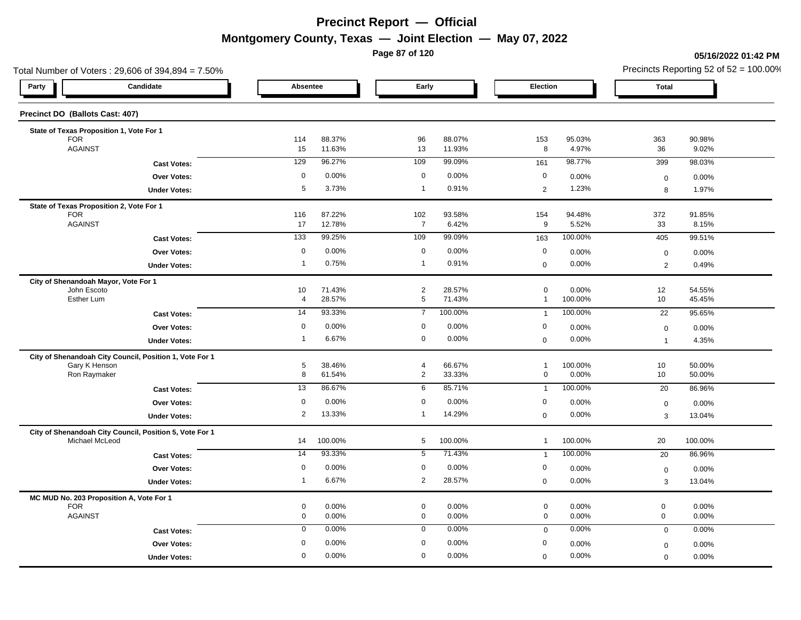**Page 87 of 120**

#### **05/16/2022 01:42 PM**

| Total Number of Voters: 29,606 of 394,894 = 7.50%                         |                     |                  |                  |                            |                  |                                 |                  |                                  | Precincts Reporting 52 of $52 = 100.00\%$ |
|---------------------------------------------------------------------------|---------------------|------------------|------------------|----------------------------|------------------|---------------------------------|------------------|----------------------------------|-------------------------------------------|
| Candidate<br>Party                                                        |                     | Absentee         |                  |                            | Early            |                                 | Election         |                                  |                                           |
| Precinct DO (Ballots Cast: 407)                                           |                     |                  |                  |                            |                  |                                 |                  |                                  |                                           |
| State of Texas Proposition 1, Vote For 1                                  |                     |                  |                  |                            |                  |                                 |                  |                                  |                                           |
| <b>FOR</b><br><b>AGAINST</b>                                              |                     | 114<br>15        | 88.37%<br>11.63% | 96<br>13                   | 88.07%<br>11.93% | 153<br>8                        | 95.03%<br>4.97%  | 363<br>36                        | 90.98%<br>9.02%                           |
|                                                                           | <b>Cast Votes:</b>  | 129              | 96.27%           | 109                        | 99.09%           | 161                             | 98.77%           | 399                              | 98.03%                                    |
|                                                                           | Over Votes:         | $\mathbf 0$      | 0.00%            | $\mathbf 0$                | 0.00%            | $\mathbf 0$                     | 0.00%            | $\boldsymbol{0}$                 | 0.00%                                     |
|                                                                           | <b>Under Votes:</b> | 5                | 3.73%            | $\overline{1}$             | 0.91%            | $\overline{2}$                  | 1.23%            | 8                                | 1.97%                                     |
| State of Texas Proposition 2, Vote For 1                                  |                     |                  |                  |                            |                  |                                 |                  |                                  |                                           |
| <b>FOR</b><br><b>AGAINST</b>                                              |                     | 116<br>17        | 87.22%<br>12.78% | 102<br>$\overline{7}$      | 93.58%<br>6.42%  | 154<br>9                        | 94.48%<br>5.52%  | 372<br>33                        | 91.85%<br>8.15%                           |
|                                                                           | <b>Cast Votes:</b>  | 133              | 99.25%           | 109                        | 99.09%           | 163                             | 100.00%          | 405                              | 99.51%                                    |
|                                                                           | <b>Over Votes:</b>  | $\mathbf 0$      | 0.00%            | $\mathbf 0$                | 0.00%            | $\mathbf 0$                     | 0.00%            | $\boldsymbol{0}$                 | 0.00%                                     |
|                                                                           | <b>Under Votes:</b> | $\mathbf{1}$     | 0.75%            | $\mathbf{1}$               | 0.91%            | $\mathbf 0$                     | 0.00%            | 2                                | 0.49%                                     |
| City of Shenandoah Mayor, Vote For 1                                      |                     |                  |                  |                            |                  |                                 |                  |                                  |                                           |
| John Escoto<br>Esther Lum                                                 |                     | 10<br>4          | 71.43%<br>28.57% | $\overline{2}$<br>5        | 28.57%<br>71.43% | $\mathbf 0$<br>$\mathbf{1}$     | 0.00%<br>100.00% | 12<br>10                         | 54.55%<br>45.45%                          |
| <b>Cast Votes:</b>                                                        |                     | 14               | 93.33%           | $\overline{7}$             | 100.00%          | $\overline{1}$                  | 100.00%          | 22                               | 95.65%                                    |
|                                                                           | <b>Over Votes:</b>  | $\mathbf 0$      | 0.00%            | $\mathbf 0$                | 0.00%            | $\mathbf 0$                     | 0.00%            |                                  |                                           |
|                                                                           | <b>Under Votes:</b> | $\overline{1}$   | 6.67%            | $\mathbf 0$                | 0.00%            | $\mathbf 0$                     | 0.00%            | $\boldsymbol{0}$<br>$\mathbf{1}$ | 0.00%<br>4.35%                            |
| City of Shenandoah City Council, Position 1, Vote For 1                   |                     |                  |                  |                            |                  |                                 |                  |                                  |                                           |
| Gary K Henson                                                             |                     | 5                | 38.46%           | $\overline{4}$             | 66.67%           | $\overline{1}$                  | 100.00%          | 10                               | 50.00%                                    |
| Ron Raymaker                                                              |                     | 8                | 61.54%           | $\overline{2}$             | 33.33%           | $\mathbf 0$                     | 0.00%            | 10 <sup>1</sup>                  | 50.00%                                    |
|                                                                           | <b>Cast Votes:</b>  | 13               | 86.67%           | 6                          | 85.71%           | $\overline{1}$                  | 100.00%          | 20                               | 86.96%                                    |
|                                                                           | <b>Over Votes:</b>  | 0                | 0.00%            | $\mathbf 0$                | 0.00%            | $\mathbf 0$                     | 0.00%            | $\boldsymbol{0}$                 | 0.00%                                     |
|                                                                           | <b>Under Votes:</b> | $\overline{2}$   | 13.33%           | $\mathbf{1}$               | 14.29%           | $\mathbf 0$                     | 0.00%            | 3                                | 13.04%                                    |
| City of Shenandoah City Council, Position 5, Vote For 1<br>Michael McLeod |                     | 14               | 100.00%          | 5                          | 100.00%          | $\mathbf{1}$                    | 100.00%          | 20                               | 100.00%                                   |
|                                                                           | <b>Cast Votes:</b>  | 14               | 93.33%           | 5                          | 71.43%           | $\overline{1}$                  | 100.00%          | 20                               | 86.96%                                    |
|                                                                           | Over Votes:         | $\mathbf 0$      | 0.00%            | $\mathbf 0$                | 0.00%            | $\boldsymbol{0}$                | 0.00%            | $\mathbf 0$                      | 0.00%                                     |
|                                                                           | <b>Under Votes:</b> | $\overline{1}$   | 6.67%            | $\overline{2}$             | 28.57%           | $\mathbf 0$                     | 0.00%            | 3                                | 13.04%                                    |
| MC MUD No. 203 Proposition A, Vote For 1                                  |                     |                  |                  |                            |                  |                                 |                  |                                  |                                           |
| <b>FOR</b><br><b>AGAINST</b>                                              |                     | 0                | 0.00%            | $\mathbf 0$                | 0.00%            | $\mathbf 0$                     | 0.00%            | $\pmb{0}$                        | 0.00%                                     |
|                                                                           |                     | 0<br>$\mathbf 0$ | 0.00%<br>0.00%   | $\mathbf 0$<br>$\mathbf 0$ | 0.00%<br>0.00%   | $\mathbf 0$                     | 0.00%<br>0.00%   | $\mathbf 0$<br>$\mathbf 0$       | 0.00%<br>0.00%                            |
|                                                                           | <b>Cast Votes:</b>  | $\mathbf 0$      | 0.00%            | $\mathbf 0$                | 0.00%            | $\mathbf 0$<br>$\boldsymbol{0}$ |                  |                                  |                                           |
|                                                                           | Over Votes:         | $\mathbf 0$      | 0.00%            | $\mathbf 0$                | 0.00%            |                                 | 0.00%            | $\mathbf 0$                      | 0.00%                                     |
|                                                                           | <b>Under Votes:</b> |                  |                  |                            |                  | $\mathbf 0$                     | 0.00%            | $\mathbf 0$                      | 0.00%                                     |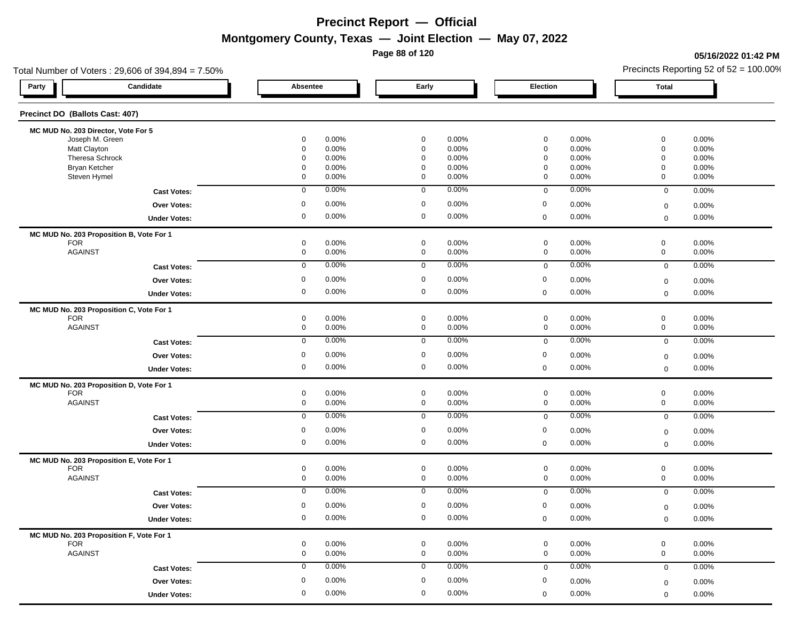**Page 88 of 120**

#### **05/16/2022 01:42 PM**

| Total Number of Voters: 29,606 of 394,894 = 7.50% |             |             |             | Precincts Reporting 52 of $52 = 100.00\%$ |
|---------------------------------------------------|-------------|-------------|-------------|-------------------------------------------|
| Candidate<br>Party                                | Absentee    | Early       | Election    | <b>Total</b>                              |
| Precinct DO (Ballots Cast: 407)                   |             |             |             |                                           |
| MC MUD No. 203 Director, Vote For 5               |             |             |             |                                           |
| Joseph M. Green                                   | 0.00%       | $\mathbf 0$ | 0.00%       | 0.00%                                     |
|                                                   | 0           | 0.00%       | $\mathbf 0$ | $\mathbf 0$                               |
| Matt Clayton                                      | 0.00%       | $\mathbf 0$ | $\mathbf 0$ | $\mathbf 0$                               |
|                                                   | $\mathbf 0$ | 0.00%       | 0.00%       | 0.00%                                     |
| Theresa Schrock                                   | 0.00%       | 0.00%       | $\mathbf 0$ | $\mathbf 0$                               |
|                                                   | 0           | 0           | 0.00%       | 0.00%                                     |
| Bryan Ketcher                                     | 0.00%       | $\mathbf 0$ | $\mathbf 0$ | $\mathbf 0$                               |
|                                                   | 0           | 0.00%       | 0.00%       | 0.00%                                     |
| Steven Hymel                                      | 0.00%       | $\mathbf 0$ | 0.00%       | $\mathbf 0$                               |
|                                                   | 0           | 0.00%       | $\mathbf 0$ | 0.00%                                     |
| <b>Cast Votes:</b>                                | $\mathbf 0$ | 0.00%       | 0.00%       | 0.00%                                     |
|                                                   | 0.00%       | $\mathbf 0$ | $\mathbf 0$ | $\overline{0}$                            |
| Over Votes:                                       | 0.00%       | $\mathbf 0$ | $\mathbf 0$ | 0.00%                                     |
|                                                   | 0           | 0.00%       | 0.00%       | $\mathbf 0$                               |
| <b>Under Votes:</b>                               | 0           | $\mathbf 0$ | 0.00%       | 0.00%                                     |
|                                                   | 0.00%       | 0.00%       | $\mathbf 0$ | $\mathbf 0$                               |
| MC MUD No. 203 Proposition B, Vote For 1          |             |             |             |                                           |
| <b>FOR</b>                                        | 0.00%       | 0           | 0.00%       | $\mathbf 0$                               |
|                                                   | 0           | 0.00%       | $\mathbf 0$ | 0.00%                                     |
| <b>AGAINST</b>                                    | 0           | $\mathbf 0$ | $\mathbf 0$ | $\mathbf 0$                               |
|                                                   | 0.00%       | 0.00%       | 0.00%       | 0.00%                                     |
| <b>Cast Votes:</b>                                | 0.00%       | 0.00%       | 0.00%       | 0.00%                                     |
|                                                   | $\mathbf 0$ | $\mathbf 0$ | $\mathbf 0$ | $\mathbf 0$                               |
| Over Votes:                                       | 0.00%       | $\mathbf 0$ | 0           | 0.00%                                     |
|                                                   | 0           | 0.00%       | 0.00%       | $\mathbf 0$                               |
| <b>Under Votes:</b>                               | 0.00%       | 0.00%       | 0.00%       | 0.00%                                     |
|                                                   | 0           | 0           | $\mathbf 0$ | $\mathbf 0$                               |
| MC MUD No. 203 Proposition C, Vote For 1          |             |             |             |                                           |
| <b>FOR</b>                                        | 0           | 0           | $\mathbf 0$ | $\mathbf 0$                               |
|                                                   | 0.00%       | 0.00%       | 0.00%       | 0.00%                                     |
| <b>AGAINST</b>                                    | 0.00%       | 0           | 0.00%       | 0                                         |
|                                                   | 0           | 0.00%       | $\mathbf 0$ | 0.00%                                     |
| <b>Cast Votes:</b>                                | 0.00%       | 0.00%       | 0.00%       | 0.00%                                     |
|                                                   | $\mathbf 0$ | $\mathbf 0$ | $\mathbf 0$ | $\overline{0}$                            |
| Over Votes:                                       | $\mathbf 0$ | $\mathbf 0$ | $\mathbf 0$ | 0.00%                                     |
|                                                   | 0.00%       | 0.00%       | 0.00%       | $\boldsymbol{0}$                          |
| <b>Under Votes:</b>                               | 0           | $\mathbf 0$ | 0.00%       | 0.00%                                     |
|                                                   | 0.00%       | 0.00%       | $\mathbf 0$ | $\mathbf 0$                               |
| MC MUD No. 203 Proposition D, Vote For 1          |             |             |             |                                           |
| <b>FOR</b>                                        | 0           | $\mathbf 0$ | $\mathbf 0$ | $\mathbf 0$                               |
|                                                   | 0.00%       | 0.00%       | 0.00%       | 0.00%                                     |
| <b>AGAINST</b>                                    | 0           | $\mathbf 0$ | $\mathbf 0$ | $\mathbf 0$                               |
|                                                   | 0.00%       | 0.00%       | 0.00%       | 0.00%                                     |
| <b>Cast Votes:</b>                                | 0.00%       | 0.00%       | 0.00%       | 0.00%                                     |
|                                                   | $\mathbf 0$ | $\mathbf 0$ | $\mathbf 0$ | $\mathbf 0$                               |
| <b>Over Votes:</b>                                | $\mathbf 0$ | $\mathbf 0$ | $\mathbf 0$ | 0.00%                                     |
|                                                   | 0.00%       | 0.00%       | 0.00%       | $\mathbf 0$                               |
| <b>Under Votes:</b>                               | 0.00%       | $\mathbf 0$ | 0.00%       | 0.00%                                     |
|                                                   | 0           | 0.00%       | $\mathbf 0$ | $\mathbf 0$                               |
|                                                   |             |             |             |                                           |
| MC MUD No. 203 Proposition E, Vote For 1          | 0           | 0           | 0.00%       | $\mathbf 0$                               |
| <b>FOR</b>                                        | 0.00%       | 0.00%       | $\mathbf 0$ | 0.00%                                     |
| <b>AGAINST</b>                                    | $\mathbf 0$ | 0.00%       | 0.00%       | 0.00%                                     |
|                                                   | 0.00%       | $\mathbf 0$ | $\mathbf 0$ | $\mathbf 0$                               |
| <b>Cast Votes:</b>                                | 0.00%       | 0.00%       | 0.00%       | 0.00%                                     |
|                                                   | $\mathbf 0$ | 0           | $\mathbf 0$ | $\mathbf 0$                               |
| <b>Over Votes:</b>                                | 0.00%       | $\mathbf 0$ | 0           | 0.00%                                     |
|                                                   | 0           | 0.00%       | 0.00%       | $\mathbf 0$                               |
| <b>Under Votes:</b>                               | 0.00%       | 0.00%       | 0.00%       | 0.00%                                     |
|                                                   | $\mathbf 0$ | $\mathbf 0$ | $\Omega$    | $\mathbf 0$                               |
|                                                   |             |             |             |                                           |
| MC MUD No. 203 Proposition F, Vote For 1          | 0.00%       | $\mathbf 0$ | $\mathbf 0$ | $\mathbf 0$                               |
| <b>FOR</b>                                        | 0           | 0.00%       | 0.00%       | 0.00%                                     |
| <b>AGAINST</b>                                    | 0           | 0.00%       | $\mathbf 0$ | $\mathbf 0$                               |
|                                                   | 0.00%       | 0           | 0.00%       | 0.00%                                     |
| <b>Cast Votes:</b>                                | 0.00%       | 0.00%       | 0.00%       | 0.00%                                     |
|                                                   | $\mathbf 0$ | 0           | $\mathbf 0$ | $\mathbf 0$                               |
| Over Votes:                                       | 0.00%       | 0.00%       | 0           | $0.00\%$                                  |
|                                                   | 0           | 0           | 0.00%       | $\mathbf 0$                               |
| <b>Under Votes:</b>                               | 0           | $\mathbf 0$ | 0.00%       | 0.00%                                     |
|                                                   | 0.00%       | 0.00%       | $\mathbf 0$ | $\mathbf 0$                               |
|                                                   |             |             |             |                                           |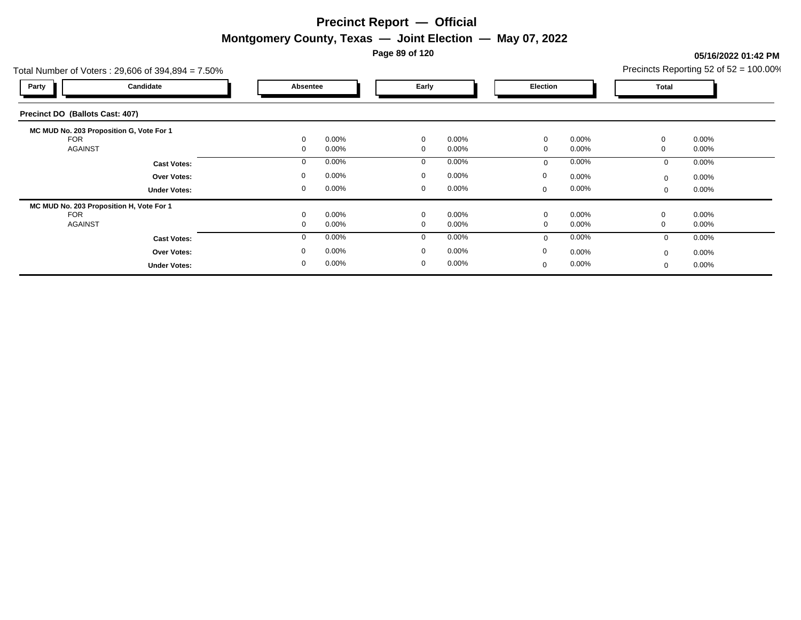**Page 89 of 120**

#### Total Number of Voters : 29,606 of 394,894 = 7.50% Precincts Reporting 52 of 52 = 100.00% **Party Candidate Absentee Early Election Total Precinct DO (Ballots Cast: 407) MC MUD No. 203 Proposition G, Vote For 1**  ${\sf FOR}$  , and the contract of the contract of  $0$  or  $0.00\%$  .  $0$  or  $0.00\%$  .  $0$  or  $0.00\%$  . On  $0.00\%$ AGAINST 0 0.00% 0 0.00% 0 0.00% 0 0.00% **Cast Votes:** 0 0.00% 0 0.00% 0 0.00% 0 0.00% **Under Votes: Over Votes:** 0.00% 0.00% 0.00% 0.00% 0.00% 0.00% 0.00% 0.00% 0.00% 0.00% 0.00% 0.00% 0.00% 0.00% 0.00% 0.00% 0.00% 0.00% 0.00% 0.00% 0.00% 0.00% 0.00% 0.00% 0.00% 0.00% 0.00% 0.00% 0.00% 0.00% 0.00% 0.00% 0.00% 0.00% 0.00 0.00% 0 0.00% 0 0.00% 0 0.00% 0 0.00% 0.00% 0 0.00%  $0$  0.00%  $0$  0.00%  $0$  0.00%  $0$  0.00%  $0$  0.00%  $0$  0.00% 0 0.00%  $0.00%$ **MC MUD No. 203 Proposition H, Vote For 1**  ${\sf FOR}$  , and the contract of the contract of  $0$  or  $0.00\%$  .  $0$  or  $0.00\%$  .  $0$  or  $0.00\%$  . On  $0.00\%$ AGAINST 0 0.00% 0 0.00% 0 0.00% 0 0.00% **Cast Votes:** 0 0.00% 0 0.00% 0 0.00% 0 0.00% **Under Votes: Over Votes:** 0.00% 0.00% 0.00% 0.00% 0.00% 0.00% 0.00% 0.00% 0.00% 0.00% 0.00% 0.00% 0.00% 0.00% 0.00% 0.00% 0.00% 0.00% 0.00% 0.00% 0.00% 0.00% 0.00% 0.00% 0.00% 0.00% 0.00% 0.00% 0.00% 0.00% 0.00% 0.00% 0.00% 0.00% 0.00 0.00% 0 0.00% 0 0.00% 0.00% 0  $0.00\%$  0.00% 0 0.00%  $0$  0.00%  $0$  0.00%  $0$  0.00%  $0$  0.00%  $0$  0.00%  $0$  0.00% 0 0.00% 0.00% 0

**05/16/2022 01:42 PM**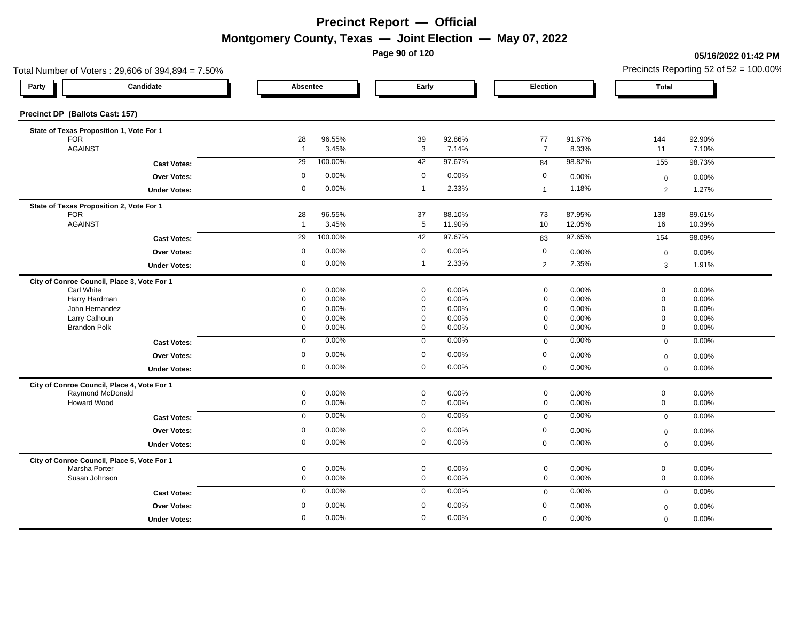**Page 90 of 120**

**05/16/2022 01:42 PM**

|                                          | Total Number of Voters: 29,606 of 394,894 = 7.50%               |                         |                 |                            |                 |                      |                 |                            | Precincts Reporting 52 of 52 = 100.00% |
|------------------------------------------|-----------------------------------------------------------------|-------------------------|-----------------|----------------------------|-----------------|----------------------|-----------------|----------------------------|----------------------------------------|
| Party                                    | Candidate                                                       | Absentee                |                 | Early                      |                 | Election             |                 | <b>Total</b>               |                                        |
| Precinct DP (Ballots Cast: 157)          |                                                                 |                         |                 |                            |                 |                      |                 |                            |                                        |
| State of Texas Proposition 1, Vote For 1 |                                                                 |                         |                 |                            |                 |                      |                 |                            |                                        |
| <b>FOR</b><br><b>AGAINST</b>             |                                                                 | 28<br>$\overline{1}$    | 96.55%<br>3.45% | 39<br>3                    | 92.86%<br>7.14% | 77<br>$\overline{7}$ | 91.67%<br>8.33% | 144<br>11                  | 92.90%<br>7.10%                        |
|                                          |                                                                 |                         |                 |                            | 97.67%          |                      | 98.82%          |                            |                                        |
|                                          | <b>Cast Votes:</b>                                              | 29                      | 100.00%         | 42                         |                 | 84                   |                 | 155                        | 98.73%                                 |
|                                          | Over Votes:                                                     | $\mathbf 0$             | 0.00%           | $\mathbf 0$                | 0.00%           | 0                    | 0.00%           | $\mathbf 0$                | 0.00%                                  |
|                                          | <b>Under Votes:</b>                                             | $\mathbf 0$             | 0.00%           | $\overline{1}$             | 2.33%           | $\overline{1}$       | 1.18%           | $\overline{2}$             | 1.27%                                  |
| State of Texas Proposition 2, Vote For 1 |                                                                 |                         |                 |                            |                 |                      |                 |                            |                                        |
| <b>FOR</b>                               |                                                                 | 28                      | 96.55%          | 37                         | 88.10%          | 73                   | 87.95%          | 138                        | 89.61%                                 |
| <b>AGAINST</b>                           |                                                                 | $\overline{1}$          | 3.45%           | $5\phantom{.0}$            | 11.90%          | 10                   | 12.05%          | 16                         | 10.39%                                 |
|                                          | <b>Cast Votes:</b>                                              | 29                      | 100.00%         | 42                         | 97.67%          | 83                   | 97.65%          | 154                        | 98.09%                                 |
|                                          | <b>Over Votes:</b>                                              | $\mathbf 0$             | 0.00%           | $\mathbf 0$                | 0.00%           | $\mathbf 0$          | 0.00%           | $\Omega$                   | 0.00%                                  |
|                                          | <b>Under Votes:</b>                                             | $\mathbf 0$             | 0.00%           | $\overline{1}$             | 2.33%           | $\overline{2}$       | 2.35%           | 3                          | 1.91%                                  |
|                                          | City of Conroe Council, Place 3, Vote For 1                     |                         |                 |                            |                 |                      |                 |                            |                                        |
| <b>Carl White</b>                        |                                                                 | $\mathbf 0$             | 0.00%           | $\mathbf 0$                | 0.00%           | $\mathbf 0$          | 0.00%           | $\mathbf 0$                | 0.00%                                  |
| Harry Hardman<br>John Hernandez          |                                                                 | $\mathbf 0$<br>$\Omega$ | 0.00%<br>0.00%  | $\mathbf 0$<br>$\mathbf 0$ | 0.00%<br>0.00%  | $\Omega$<br>$\Omega$ | 0.00%<br>0.00%  | $\mathbf 0$<br>$\mathbf 0$ | 0.00%<br>0.00%                         |
| Larry Calhoun                            |                                                                 | $\mathbf 0$             | 0.00%           | $\mathbf 0$                | 0.00%           | $\Omega$             | 0.00%           | $\mathsf 0$                | 0.00%                                  |
| <b>Brandon Polk</b>                      |                                                                 | $\overline{0}$          | 0.00%           | $\mathbf 0$                | 0.00%           | $\mathbf 0$          | 0.00%           | $\mathbf 0$                | 0.00%                                  |
|                                          | <b>Cast Votes:</b>                                              | $\mathbf 0$             | 0.00%           | $\overline{0}$             | 0.00%           | $\mathbf 0$          | 0.00%           | $\overline{0}$             | 0.00%                                  |
|                                          | <b>Over Votes:</b>                                              | $\mathbf 0$             | 0.00%           | $\overline{0}$             | 0.00%           | 0                    | 0.00%           | $\mathbf 0$                | 0.00%                                  |
|                                          | <b>Under Votes:</b>                                             | $\mathbf 0$             | 0.00%           | $\mathbf 0$                | 0.00%           | $\mathbf 0$          | 0.00%           | $\mathbf 0$                | 0.00%                                  |
|                                          |                                                                 |                         |                 |                            |                 |                      |                 |                            |                                        |
|                                          | City of Conroe Council, Place 4, Vote For 1<br>Raymond McDonald | $\mathbf 0$             | 0.00%           | $\mathsf 0$                | 0.00%           | $\mathbf 0$          | 0.00%           | $\mathbf 0$                | 0.00%                                  |
| Howard Wood                              |                                                                 | $\mathsf 0$             | 0.00%           | $\mathsf 0$                | 0.00%           | $\mathsf{O}\xspace$  | 0.00%           | $\mathbf 0$                | 0.00%                                  |
|                                          | <b>Cast Votes:</b>                                              | $\mathbf 0$             | 0.00%           | $\overline{0}$             | 0.00%           | $\mathbf 0$          | 0.00%           | $\mathbf 0$                | 0.00%                                  |
|                                          | <b>Over Votes:</b>                                              | $\mathbf 0$             | 0.00%           | $\mathbf 0$                | 0.00%           | $\mathbf 0$          | 0.00%           | $\mathbf 0$                | 0.00%                                  |
|                                          | <b>Under Votes:</b>                                             | $\mathbf 0$             | 0.00%           | $\mathbf 0$                | 0.00%           | $\mathbf 0$          | 0.00%           | $\mathbf 0$                | 0.00%                                  |
|                                          | City of Conroe Council, Place 5, Vote For 1                     |                         |                 |                            |                 |                      |                 |                            |                                        |
| Marsha Porter                            |                                                                 | $\mathbf 0$             | 0.00%           | $\mathbf 0$                | 0.00%           | $\mathbf 0$          | 0.00%           | $\boldsymbol{0}$           | 0.00%                                  |
| Susan Johnson                            |                                                                 | $\mathbf 0$             | 0.00%           | $\mathsf 0$                | 0.00%           | $\mathsf{O}\xspace$  | 0.00%           | $\mathsf 0$                | 0.00%                                  |
|                                          | <b>Cast Votes:</b>                                              | $\mathbf 0$             | 0.00%           | $\mathsf 0$                | 0.00%           | $\mathbf 0$          | 0.00%           | $\mathsf 0$                | 0.00%                                  |
|                                          | Over Votes:                                                     | $\mathbf 0$             | 0.00%           | $\mathbf 0$                | 0.00%           | $\mathbf 0$          | 0.00%           | $\mathbf 0$                | 0.00%                                  |
|                                          | <b>Under Votes:</b>                                             | $\Omega$                | 0.00%           | $\mathbf 0$                | 0.00%           | $\mathbf 0$          | 0.00%           | $\mathbf 0$                | 0.00%                                  |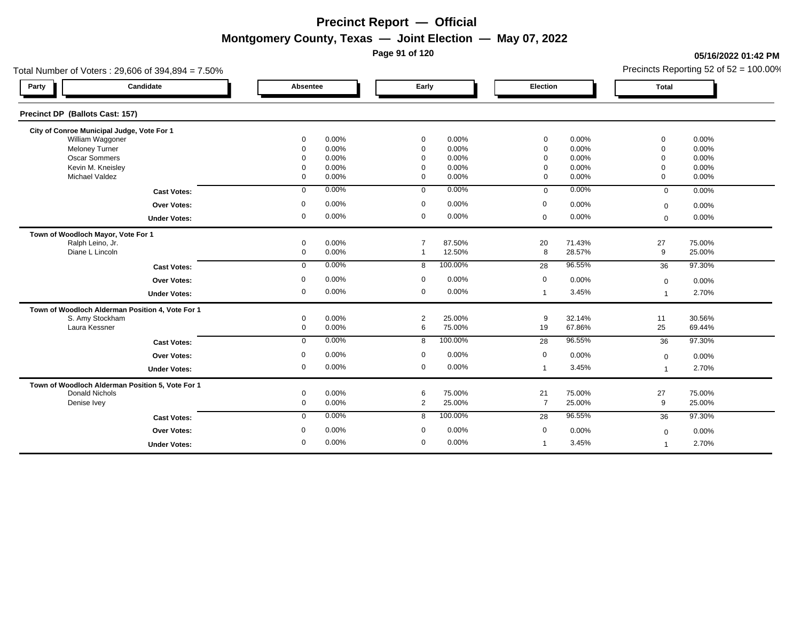**Page 91 of 120**

#### **05/16/2022 01:42 PM**

| Total Number of Voters: 29,606 of 394,894 = 7.50% |              |       |                |         |                |        |                | Precincts Reporting 52 of $52 = 100.00\%$ |
|---------------------------------------------------|--------------|-------|----------------|---------|----------------|--------|----------------|-------------------------------------------|
| Candidate<br>Party                                | Absentee     |       | Early          |         | Election       |        | <b>Total</b>   |                                           |
| Precinct DP (Ballots Cast: 157)                   |              |       |                |         |                |        |                |                                           |
| City of Conroe Municipal Judge, Vote For 1        |              |       |                |         |                |        |                |                                           |
| William Waggoner                                  | 0            | 0.00% | $\mathbf 0$    | 0.00%   | 0              | 0.00%  | 0              | 0.00%                                     |
| Meloney Turner                                    | $\Omega$     | 0.00% | $\mathbf 0$    | 0.00%   | $\mathbf 0$    | 0.00%  | $\overline{0}$ | 0.00%                                     |
| <b>Oscar Sommers</b>                              | $\Omega$     | 0.00% | $\Omega$       | 0.00%   | $\Omega$       | 0.00%  | $\Omega$       | 0.00%                                     |
| Kevin M. Kneisley                                 | $\Omega$     | 0.00% | $\Omega$       | 0.00%   | $\Omega$       | 0.00%  | $\Omega$       | 0.00%                                     |
| Michael Valdez                                    | $\mathbf 0$  | 0.00% | $\mathbf 0$    | 0.00%   | $\mathbf 0$    | 0.00%  | $\mathbf 0$    | 0.00%                                     |
| <b>Cast Votes:</b>                                | 0            | 0.00% | $\mathbf{0}$   | 0.00%   | $\mathbf 0$    | 0.00%  | $\mathbf 0$    | 0.00%                                     |
| <b>Over Votes:</b>                                | 0            | 0.00% | $\mathbf 0$    | 0.00%   | $\mathbf 0$    | 0.00%  | $\mathbf 0$    | 0.00%                                     |
| <b>Under Votes:</b>                               | $\mathbf 0$  | 0.00% | $\mathbf 0$    | 0.00%   | $\mathbf 0$    | 0.00%  | $\mathbf 0$    | 0.00%                                     |
| Town of Woodloch Mayor, Vote For 1                |              |       |                |         |                |        |                |                                           |
| Ralph Leino, Jr.                                  | 0            | 0.00% | $\overline{7}$ | 87.50%  | 20             | 71.43% | 27             | 75.00%                                    |
| Diane L Lincoln                                   | 0            | 0.00% | $\mathbf 1$    | 12.50%  | 8              | 28.57% | 9              | 25.00%                                    |
| <b>Cast Votes:</b>                                | 0            | 0.00% | 8              | 100.00% | 28             | 96.55% | 36             | 97.30%                                    |
| <b>Over Votes:</b>                                | 0            | 0.00% | $\mathbf 0$    | 0.00%   | $\mathbf 0$    | 0.00%  | $\mathbf 0$    | 0.00%                                     |
| <b>Under Votes:</b>                               | 0            | 0.00% | $\mathbf 0$    | 0.00%   | $\mathbf{1}$   | 3.45%  |                | 2.70%                                     |
| Town of Woodloch Alderman Position 4, Vote For 1  |              |       |                |         |                |        |                |                                           |
| S. Amy Stockham                                   | 0            | 0.00% | $\overline{2}$ | 25.00%  | 9              | 32.14% | 11             | 30.56%                                    |
| Laura Kessner                                     | 0            | 0.00% | 6              | 75.00%  | 19             | 67.86% | 25             | 69.44%                                    |
| <b>Cast Votes:</b>                                | $\mathbf 0$  | 0.00% | 8              | 100.00% | 28             | 96.55% | 36             | 97.30%                                    |
| Over Votes:                                       | $\mathbf 0$  | 0.00% | $\mathbf 0$    | 0.00%   | $\mathbf 0$    | 0.00%  | $\mathbf 0$    | 0.00%                                     |
| <b>Under Votes:</b>                               | 0            | 0.00% | $\mathbf{0}$   | 0.00%   | $\mathbf{1}$   | 3.45%  |                | 2.70%                                     |
| Town of Woodloch Alderman Position 5, Vote For 1  |              |       |                |         |                |        |                |                                           |
| Donald Nichols                                    | 0            | 0.00% | 6              | 75.00%  | 21             | 75.00% | 27             | 75.00%                                    |
| Denise Ivey                                       | 0            | 0.00% | $\overline{2}$ | 25.00%  | $\overline{7}$ | 25.00% | 9              | 25.00%                                    |
| <b>Cast Votes:</b>                                | $\mathbf 0$  | 0.00% | 8              | 100.00% | 28             | 96.55% | 36             | 97.30%                                    |
| <b>Over Votes:</b>                                | 0            | 0.00% | $\mathbf 0$    | 0.00%   | $\mathbf 0$    | 0.00%  | $\mathbf 0$    | 0.00%                                     |
| <b>Under Votes:</b>                               | $\mathbf{0}$ | 0.00% | 0              | 0.00%   | $\mathbf{1}$   | 3.45%  |                | 2.70%                                     |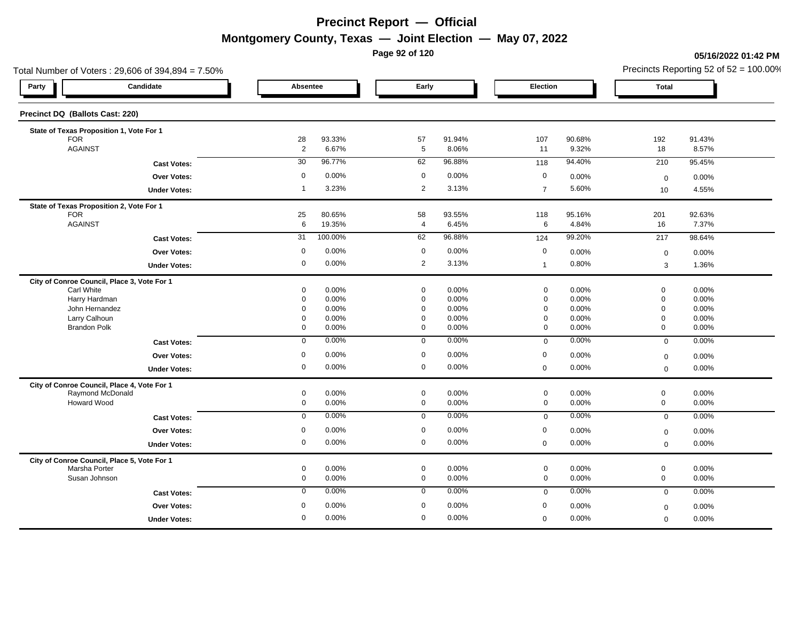**Page 92 of 120**

#### **05/16/2022 01:42 PM**

|                                 | Total Number of Voters: 29,606 of 394,894 = 7.50% |                      |                  |                            | Precincts Reporting 52 of $52 = 100.00\%$ |                                    |                 |                            |                 |
|---------------------------------|---------------------------------------------------|----------------------|------------------|----------------------------|-------------------------------------------|------------------------------------|-----------------|----------------------------|-----------------|
| Party                           | Candidate                                         | Absentee             |                  | Early                      |                                           | Election                           |                 | <b>Total</b>               |                 |
| Precinct DQ (Ballots Cast: 220) |                                                   |                      |                  |                            |                                           |                                    |                 |                            |                 |
|                                 | State of Texas Proposition 1, Vote For 1          |                      |                  |                            |                                           |                                    |                 |                            |                 |
| <b>FOR</b><br><b>AGAINST</b>    |                                                   | 28<br>$\overline{2}$ | 93.33%<br>6.67%  | 57<br>5                    | 91.94%<br>8.06%                           | 107<br>11                          | 90.68%<br>9.32% | 192<br>18                  | 91.43%<br>8.57% |
|                                 |                                                   | 30                   | 96.77%           | 62                         | 96.88%                                    |                                    | 94.40%          |                            |                 |
|                                 | <b>Cast Votes:</b>                                |                      |                  |                            |                                           | 118                                |                 | 210                        | 95.45%          |
|                                 | Over Votes:                                       | $\mathbf 0$          | 0.00%            | $\mathbf 0$                | 0.00%                                     | $\mathbf 0$                        | 0.00%           | $\mathbf 0$                | 0.00%           |
|                                 | <b>Under Votes:</b>                               | $\overline{1}$       | 3.23%            | $\overline{2}$             | 3.13%                                     | $\overline{7}$                     | 5.60%           | 10                         | 4.55%           |
|                                 | State of Texas Proposition 2, Vote For 1          |                      |                  |                            |                                           |                                    |                 |                            |                 |
| <b>FOR</b><br><b>AGAINST</b>    |                                                   | 25<br>$6\phantom{1}$ | 80.65%<br>19.35% | 58<br>$\overline{4}$       | 93.55%<br>6.45%                           | 118<br>$6\phantom{.}6$             | 95.16%<br>4.84% | 201<br>16                  | 92.63%<br>7.37% |
|                                 |                                                   | 31                   | 100.00%          | 62                         | 96.88%                                    |                                    | 99.20%          | 217                        | 98.64%          |
|                                 | <b>Cast Votes:</b>                                |                      |                  |                            |                                           | 124                                |                 |                            |                 |
|                                 | Over Votes:                                       | 0                    | 0.00%            | $\mathbf 0$                | 0.00%                                     | $\mathbf 0$                        | 0.00%           | $\boldsymbol{0}$           | 0.00%           |
|                                 | <b>Under Votes:</b>                               | 0                    | 0.00%            | 2                          | 3.13%                                     | $\mathbf{1}$                       | 0.80%           | 3                          | 1.36%           |
|                                 | City of Conroe Council, Place 3, Vote For 1       |                      |                  |                            |                                           |                                    |                 |                            |                 |
| Carl White<br>Harry Hardman     |                                                   | 0<br>0               | 0.00%<br>0.00%   | $\mathbf 0$<br>$\mathbf 0$ | 0.00%<br>0.00%                            | $\mathbf 0$<br>$\mathsf{O}\xspace$ | 0.00%<br>0.00%  | $\mathbf 0$<br>$\mathbf 0$ | 0.00%<br>0.00%  |
| John Hernandez                  |                                                   | 0                    | 0.00%            | $\mathbf 0$                | 0.00%                                     | $\mathbf 0$                        | 0.00%           | $\mathbf 0$                | 0.00%           |
| Larry Calhoun                   |                                                   | 0                    | 0.00%            | $\mathbf 0$                | 0.00%                                     | $\mathbf 0$                        | 0.00%           | $\mathbf 0$                | 0.00%           |
| <b>Brandon Polk</b>             |                                                   | 0                    | 0.00%            | $\mathbf 0$                | 0.00%                                     | $\mathbf 0$                        | 0.00%           | $\mathbf 0$                | 0.00%           |
|                                 | <b>Cast Votes:</b>                                | $\mathbf 0$          | 0.00%            | $\mathbf{0}$               | 0.00%                                     | $\mathbf 0$                        | 0.00%           | $\mathbf 0$                | 0.00%           |
|                                 | Over Votes:                                       | $\mathbf 0$          | 0.00%            | $\mathbf 0$                | 0.00%                                     | $\mathbf 0$                        | 0.00%           | $\mathbf 0$                | 0.00%           |
|                                 | <b>Under Votes:</b>                               | 0                    | 0.00%            | $\mathbf 0$                | 0.00%                                     | $\mathbf 0$                        | 0.00%           | $\mathbf 0$                | 0.00%           |
|                                 | City of Conroe Council, Place 4, Vote For 1       |                      |                  |                            |                                           |                                    |                 |                            |                 |
|                                 | Raymond McDonald                                  | $\mathbf 0$          | 0.00%            | $\mathsf 0$                | 0.00%                                     | $\mathbf 0$                        | 0.00%           | $\mathsf{O}\xspace$        | 0.00%           |
| <b>Howard Wood</b>              |                                                   | 0                    | 0.00%            | $\mathbf 0$                | 0.00%                                     | $\mathbf 0$                        | 0.00%           | $\mathbf 0$                | 0.00%           |
|                                 | <b>Cast Votes:</b>                                | $\mathbf 0$          | 0.00%            | $\mathbf 0$                | 0.00%                                     | $\mathbf 0$                        | 0.00%           | $\mathbf 0$                | 0.00%           |
|                                 | Over Votes:                                       | $\mathbf 0$          | 0.00%            | $\mathbf 0$                | 0.00%                                     | $\mathbf 0$                        | 0.00%           | $\mathbf 0$                | 0.00%           |
|                                 | <b>Under Votes:</b>                               | $\mathbf 0$          | 0.00%            | $\mathbf 0$                | 0.00%                                     | $\mathbf 0$                        | 0.00%           | $\mathbf 0$                | 0.00%           |
|                                 | City of Conroe Council, Place 5, Vote For 1       |                      |                  |                            |                                           |                                    |                 |                            |                 |
| Marsha Porter                   |                                                   | 0                    | 0.00%            | $\mathsf 0$                | 0.00%                                     | $\mathbf 0$                        | 0.00%           | $\mathsf{O}\xspace$        | 0.00%           |
| Susan Johnson                   |                                                   | 0                    | 0.00%            | $\mathbf 0$                | 0.00%                                     | $\mathbf 0$                        | 0.00%           | $\mathbf 0$                | 0.00%           |
|                                 | <b>Cast Votes:</b>                                | $\mathbf 0$          | 0.00%            | $\mathbf 0$                | 0.00%                                     | $\mathbf 0$                        | 0.00%           | $\mathbf{0}$               | 0.00%           |
|                                 | <b>Over Votes:</b>                                | $\mathbf 0$          | 0.00%            | $\mathbf 0$                | 0.00%                                     | $\mathbf 0$                        | 0.00%           | $\mathbf 0$                | 0.00%           |
|                                 | <b>Under Votes:</b>                               | 0                    | 0.00%            | $\mathbf 0$                | 0.00%                                     | $\mathbf 0$                        | 0.00%           | $\mathbf{0}$               | 0.00%           |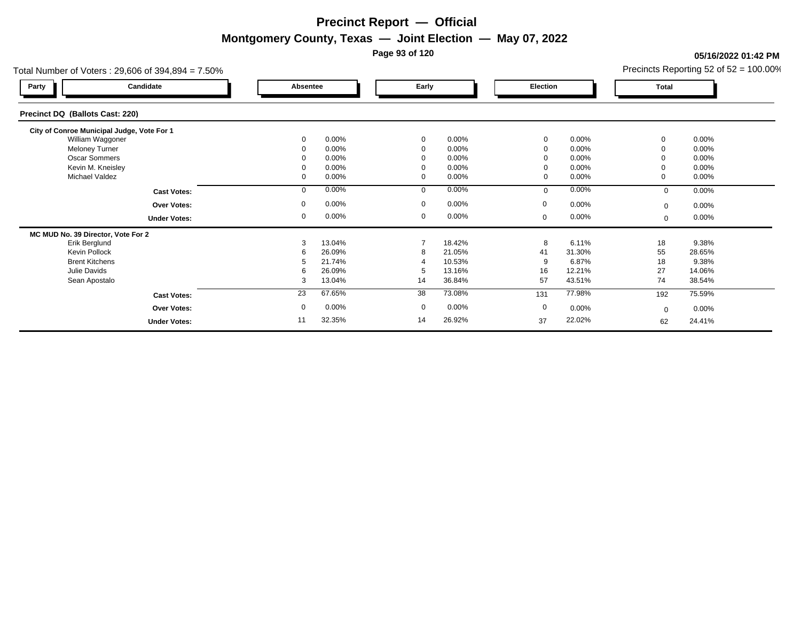**Page 93 of 120**

**05/16/2022 01:42 PM**

| Precincts Reporting 52 of $52 = 100.00\%$ |  |
|-------------------------------------------|--|
|                                           |  |

|                                            | Total Number of Voters: 29,606 of 394,894 = 7.50% |                 |          |                |          |                |        |              | Precincts Reporting 52 of 52 = 100.00% |
|--------------------------------------------|---------------------------------------------------|-----------------|----------|----------------|----------|----------------|--------|--------------|----------------------------------------|
| Party                                      | Candidate                                         | <b>Absentee</b> |          | Early          |          | Election       |        | <b>Total</b> |                                        |
| Precinct DQ (Ballots Cast: 220)            |                                                   |                 |          |                |          |                |        |              |                                        |
| City of Conroe Municipal Judge, Vote For 1 |                                                   |                 |          |                |          |                |        |              |                                        |
| William Waggoner                           |                                                   | $\mathbf 0$     | 0.00%    | $\mathbf{0}$   | 0.00%    | $\mathbf 0$    | 0.00%  | $\Omega$     | 0.00%                                  |
| <b>Meloney Turner</b>                      |                                                   | 0               | 0.00%    | $\mathbf 0$    | $0.00\%$ | $\mathbf 0$    | 0.00%  |              | 0.00%                                  |
| <b>Oscar Sommers</b>                       |                                                   |                 | 0.00%    | 0              | 0.00%    | $\overline{0}$ | 0.00%  |              | 0.00%                                  |
| Kevin M. Kneisley                          |                                                   | 0               | 0.00%    | $\mathbf 0$    | 0.00%    | 0              | 0.00%  |              | 0.00%                                  |
| Michael Valdez                             |                                                   | 0               | $0.00\%$ | $\mathbf 0$    | 0.00%    | $\mathbf 0$    | 0.00%  |              | $0.00\%$                               |
|                                            | <b>Cast Votes:</b>                                | $\mathbf 0$     | 0.00%    | $\Omega$       | 0.00%    | $\mathbf 0$    | 0.00%  | $\mathbf 0$  | 0.00%                                  |
|                                            | <b>Over Votes:</b>                                | 0               | 0.00%    | $\mathbf 0$    | $0.00\%$ | $\mathbf 0$    | 0.00%  | $\mathbf 0$  | 0.00%                                  |
|                                            | <b>Under Votes:</b>                               | 0               | 0.00%    | 0              | 0.00%    | $\mathbf 0$    | 0.00%  | $\mathbf 0$  | $0.00\%$                               |
| MC MUD No. 39 Director, Vote For 2         |                                                   |                 |          |                |          |                |        |              |                                        |
| Erik Berglund                              |                                                   | 3               | 13.04%   | $\overline{7}$ | 18.42%   | 8              | 6.11%  | 18           | 9.38%                                  |
| <b>Kevin Pollock</b>                       |                                                   | 6               | 26.09%   | 8              | 21.05%   | 41             | 31.30% | 55           | 28.65%                                 |
| <b>Brent Kitchens</b>                      |                                                   |                 | 21.74%   |                | 10.53%   | 9              | 6.87%  | 18           | 9.38%                                  |
| Julie Davids                               |                                                   | 6               | 26.09%   | 5              | 13.16%   | 16             | 12.21% | 27           | 14.06%                                 |
| Sean Apostalo                              |                                                   | 3               | 13.04%   | 14             | 36.84%   | 57             | 43.51% | 74           | 38.54%                                 |
|                                            | <b>Cast Votes:</b>                                | 23              | 67.65%   | 38             | 73.08%   | 131            | 77.98% | 192          | 75.59%                                 |
|                                            | <b>Over Votes:</b>                                | $\mathbf 0$     | 0.00%    | $\mathbf 0$    | $0.00\%$ | $\mathbf 0$    | 0.00%  | $\mathbf 0$  | $0.00\%$                               |
|                                            | <b>Under Votes:</b>                               | 11              | 32.35%   | 14             | 26.92%   | 37             | 22.02% | 62           | 24.41%                                 |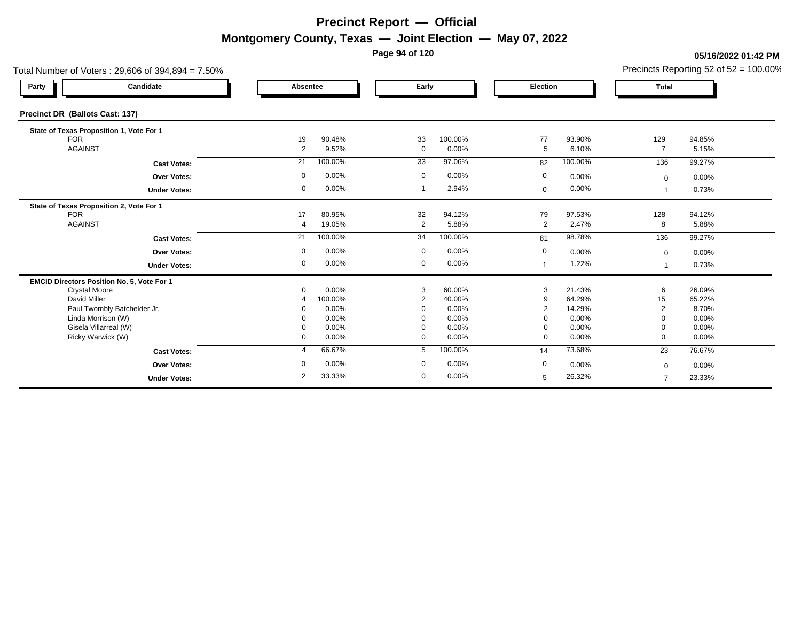**Page 94 of 120**

#### **05/16/2022 01:42 PM**

| Total Number of Voters: 29,606 of 394,894 = 7.50% |                |                  |                   |                  |                      |                  |                       | Precincts Reporting 52 of $52 = 100.00\%$ |
|---------------------------------------------------|----------------|------------------|-------------------|------------------|----------------------|------------------|-----------------------|-------------------------------------------|
| Candidate<br>Party                                | Absentee       |                  | Early             |                  | Election             |                  | <b>Total</b>          |                                           |
| Precinct DR (Ballots Cast: 137)                   |                |                  |                   |                  |                      |                  |                       |                                           |
| State of Texas Proposition 1, Vote For 1          |                |                  |                   |                  |                      |                  |                       |                                           |
| <b>FOR</b><br><b>AGAINST</b>                      | 19             | 90.48%           | 33<br>$\mathbf 0$ | 100.00%          | 77                   | 93.90%<br>6.10%  | 129<br>$\overline{7}$ | 94.85%                                    |
|                                                   | 2              | 9.52%            |                   | 0.00%            | $5\phantom{.0}$      |                  |                       | 5.15%                                     |
| <b>Cast Votes:</b>                                | 21             | 100.00%          | 33                | 97.06%           | 82                   | 100.00%          | 136                   | 99.27%                                    |
| Over Votes:                                       | 0              | 0.00%            | $\mathbf 0$       | 0.00%            | $\mathbf 0$          | 0.00%            | $\mathbf 0$           | 0.00%                                     |
| <b>Under Votes:</b>                               | 0              | 0.00%            | -1                | 2.94%            | $\mathbf 0$          | 0.00%            |                       | 0.73%                                     |
| State of Texas Proposition 2, Vote For 1          |                |                  |                   |                  |                      |                  |                       |                                           |
| <b>FOR</b><br><b>AGAINST</b>                      | 17<br>4        | 80.95%<br>19.05% | 32<br>2           | 94.12%<br>5.88%  | 79<br>$\overline{2}$ | 97.53%<br>2.47%  | 128<br>8              | 94.12%<br>5.88%                           |
|                                                   |                |                  |                   |                  |                      |                  |                       |                                           |
| <b>Cast Votes:</b>                                | 21             | 100.00%          | 34                | 100.00%          | 81                   | 98.78%           | 136                   | 99.27%                                    |
| <b>Over Votes:</b>                                | 0              | 0.00%            | $\mathbf 0$       | $0.00\%$         | 0                    | 0.00%            | $\mathbf 0$           | 0.00%                                     |
| <b>Under Votes:</b>                               | 0              | 0.00%            | 0                 | 0.00%            |                      | 1.22%            |                       | 0.73%                                     |
| EMCID Directors Position No. 5, Vote For 1        |                |                  |                   |                  |                      |                  |                       |                                           |
| <b>Crystal Moore</b><br>David Miller              | $\Omega$       | 0.00%<br>100.00% | 3                 | 60.00%<br>40.00% | 3<br>9               | 21.43%<br>64.29% | 6                     | 26.09%<br>65.22%                          |
| Paul Twombly Batchelder Jr.                       |                | 0.00%            | $\overline{2}$    | 0.00%            | $\overline{2}$       | 14.29%           | 15<br>2               | 8.70%                                     |
| Linda Morrison (W)                                |                | 0.00%            |                   | 0.00%            | $\Omega$             | 0.00%            |                       | 0.00%                                     |
| Gisela Villarreal (W)                             |                | 0.00%            |                   | 0.00%            | 0                    | 0.00%            |                       | 0.00%                                     |
| Ricky Warwick (W)                                 | 0              | 0.00%            | $\mathbf 0$       | 0.00%            | $\mathbf 0$          | 0.00%            | $\Omega$              | 0.00%                                     |
| <b>Cast Votes:</b>                                | $\overline{4}$ | 66.67%           | 5                 | 100.00%          | 14                   | 73.68%           | 23                    | 76.67%                                    |
| <b>Over Votes:</b>                                |                | 0.00%            | $\mathbf 0$       | 0.00%            | $\mathbf 0$          | 0.00%            | $\mathbf 0$           | 0.00%                                     |
| <b>Under Votes:</b>                               | 2              | 33.33%           | $\mathbf 0$       | 0.00%            | 5                    | 26.32%           | $\overline{7}$        | 23.33%                                    |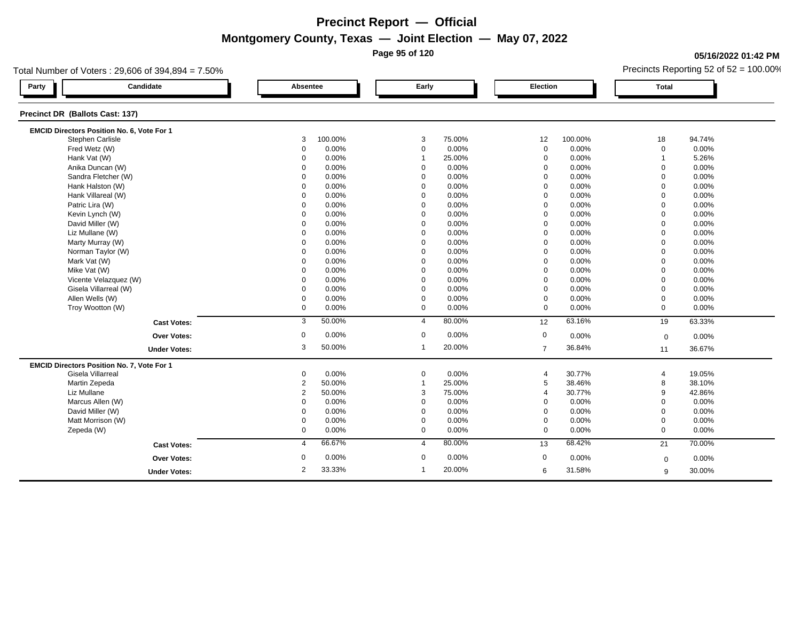**Page 95 of 120**

### **05/16/2022 01:42 PM**

| Total Number of Voters: 29,606 of 394,894 = 7.50% |                    |                |          |                |        |                 |         | Precincts Reporting 52 of $52 = 100.00\%$ |        |  |
|---------------------------------------------------|--------------------|----------------|----------|----------------|--------|-----------------|---------|-------------------------------------------|--------|--|
| Candidate<br>Party                                |                    |                | Absentee | Early          |        | <b>Election</b> |         | <b>Total</b>                              |        |  |
| Precinct DR (Ballots Cast: 137)                   |                    |                |          |                |        |                 |         |                                           |        |  |
| EMCID Directors Position No. 6, Vote For 1        |                    |                |          |                |        |                 |         |                                           |        |  |
| Stephen Carlisle                                  |                    | 3              | 100.00%  | 3              | 75.00% | 12              | 100.00% | 18                                        | 94.74% |  |
| Fred Wetz (W)                                     |                    | 0              | 0.00%    | $\mathbf 0$    | 0.00%  | $\mathbf 0$     | 0.00%   | $\mathbf 0$                               | 0.00%  |  |
| Hank Vat (W)                                      |                    | $\Omega$       | 0.00%    | $\overline{1}$ | 25.00% | $\mathbf 0$     | 0.00%   | $\overline{1}$                            | 5.26%  |  |
| Anika Duncan (W)                                  |                    | $\Omega$       | 0.00%    | $\mathbf 0$    | 0.00%  | $\mathbf 0$     | 0.00%   | $\Omega$                                  | 0.00%  |  |
| Sandra Fletcher (W)                               |                    | 0              | 0.00%    | 0              | 0.00%  | 0               | 0.00%   | $\mathbf 0$                               | 0.00%  |  |
| Hank Halston (W)                                  |                    | $\Omega$       | 0.00%    | $\Omega$       | 0.00%  | $\Omega$        | 0.00%   | $\Omega$                                  | 0.00%  |  |
| Hank Villareal (W)                                |                    | $\Omega$       | 0.00%    | $\mathbf 0$    | 0.00%  | $\mathbf 0$     | 0.00%   | $\Omega$                                  | 0.00%  |  |
| Patric Lira (W)                                   |                    | $\mathbf 0$    | 0.00%    | $\mathbf 0$    | 0.00%  | $\mathbf 0$     | 0.00%   | $\mathbf 0$                               | 0.00%  |  |
| Kevin Lynch (W)                                   |                    | $\Omega$       | 0.00%    | $\Omega$       | 0.00%  | $\Omega$        | 0.00%   | $\mathbf 0$                               | 0.00%  |  |
| David Miller (W)                                  |                    | $\Omega$       | 0.00%    | $\mathbf 0$    | 0.00%  | $\mathbf 0$     | 0.00%   | $\Omega$                                  | 0.00%  |  |
| Liz Mullane (W)                                   |                    | $\Omega$       | 0.00%    | $\mathbf 0$    | 0.00%  | $\mathbf 0$     | 0.00%   | $\mathbf 0$                               | 0.00%  |  |
| Marty Murray (W)                                  |                    | $\Omega$       | 0.00%    | $\mathbf 0$    | 0.00%  | $\mathbf 0$     | 0.00%   | $\Omega$                                  | 0.00%  |  |
| Norman Taylor (W)                                 |                    | $\Omega$       | 0.00%    | $\mathbf 0$    | 0.00%  | $\mathbf 0$     | 0.00%   | $\Omega$                                  | 0.00%  |  |
| Mark Vat (W)                                      |                    | $\Omega$       | 0.00%    | $\mathbf 0$    | 0.00%  | $\Omega$        | 0.00%   | $\Omega$                                  | 0.00%  |  |
| Mike Vat (W)                                      |                    | $\Omega$       | 0.00%    | $\Omega$       | 0.00%  | $\mathbf 0$     | 0.00%   | $\Omega$                                  | 0.00%  |  |
| Vicente Velazquez (W)                             |                    | $\Omega$       | 0.00%    | $\Omega$       | 0.00%  | $\mathbf 0$     | 0.00%   | $\Omega$                                  | 0.00%  |  |
| Gisela Villarreal (W)                             |                    | $\Omega$       | 0.00%    | $\mathbf 0$    | 0.00%  | $\mathbf 0$     | 0.00%   | $\Omega$                                  | 0.00%  |  |
| Allen Wells (W)                                   |                    | 0              | 0.00%    | $\mathbf 0$    | 0.00%  | $\mathbf 0$     | 0.00%   | $\mathbf 0$                               | 0.00%  |  |
| Troy Wootton (W)                                  |                    | $\mathbf 0$    | 0.00%    | $\mathbf 0$    | 0.00%  | $\mathbf 0$     | 0.00%   | $\mathbf 0$                               | 0.00%  |  |
|                                                   | <b>Cast Votes:</b> | 3              | 50.00%   | $\overline{4}$ | 80.00% | 12              | 63.16%  | 19                                        | 63.33% |  |
|                                                   | <b>Over Votes:</b> | 0              | 0.00%    | $\mathbf 0$    | 0.00%  | $\mathbf 0$     | 0.00%   | $\mathbf 0$                               | 0.00%  |  |
| <b>Under Votes:</b>                               |                    | 3              | 50.00%   | $\mathbf{1}$   | 20.00% | $\overline{7}$  | 36.84%  | 11                                        | 36.67% |  |
| EMCID Directors Position No. 7, Vote For 1        |                    |                |          |                |        |                 |         |                                           |        |  |
| Gisela Villarreal                                 |                    | 0              | 0.00%    | $\mathbf 0$    | 0.00%  | 4               | 30.77%  | $\overline{4}$                            | 19.05% |  |
| Martin Zepeda                                     |                    | $\overline{2}$ | 50.00%   | $\mathbf 1$    | 25.00% | 5               | 38.46%  | 8                                         | 38.10% |  |
| Liz Mullane                                       |                    | $\overline{2}$ | 50.00%   | 3              | 75.00% | $\overline{4}$  | 30.77%  | 9                                         | 42.86% |  |
| Marcus Allen (W)                                  |                    | $\Omega$       | 0.00%    | $\Omega$       | 0.00%  | $\mathbf 0$     | 0.00%   | $\Omega$                                  | 0.00%  |  |
| David Miller (W)                                  |                    | $\Omega$       | 0.00%    | $\mathbf 0$    | 0.00%  | $\mathbf 0$     | 0.00%   | $\Omega$                                  | 0.00%  |  |
| Matt Morrison (W)                                 |                    | 0              | 0.00%    | 0              | 0.00%  | $\mathbf 0$     | 0.00%   | $\mathbf 0$                               | 0.00%  |  |
| Zepeda (W)                                        |                    | 0              | 0.00%    | $\mathbf 0$    | 0.00%  | $\mathbf 0$     | 0.00%   | $\mathbf 0$                               | 0.00%  |  |
|                                                   | <b>Cast Votes:</b> | 4              | 66.67%   | $\overline{4}$ | 80.00% | 13              | 68.42%  | 21                                        | 70.00% |  |
|                                                   | <b>Over Votes:</b> | 0              | 0.00%    | $\mathbf 0$    | 0.00%  | 0               | 0.00%   | $\mathbf 0$                               | 0.00%  |  |
| <b>Under Votes:</b>                               |                    | $\overline{2}$ | 33.33%   | $\mathbf 1$    | 20.00% | 6               | 31.58%  | 9                                         | 30.00% |  |
|                                                   |                    |                |          |                |        |                 |         |                                           |        |  |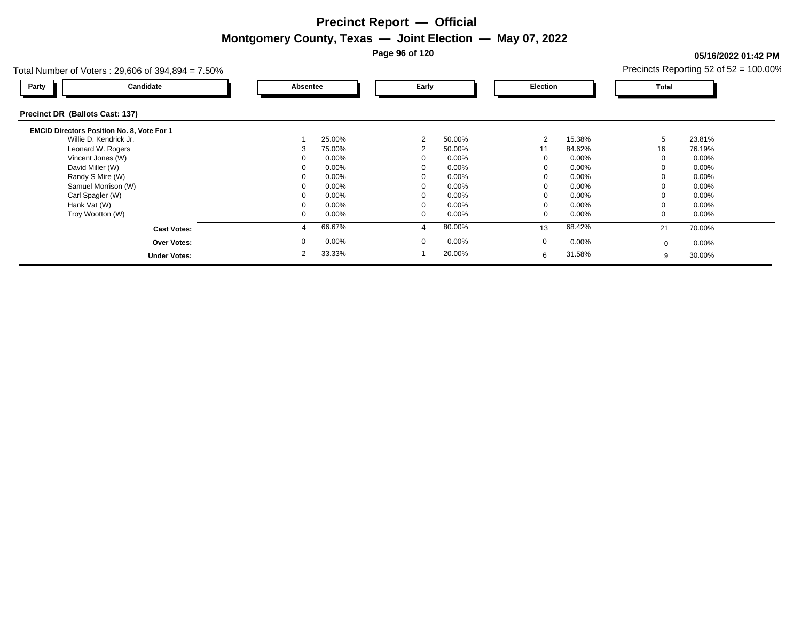**Page 96 of 120**

### **05/16/2022 01:42 PM**

|                          |                          |                      | Precincts Reporting 52 of $52 = 100.00\%$ |
|--------------------------|--------------------------|----------------------|-------------------------------------------|
| Absentee                 | Early                    | Election             | Total                                     |
|                          |                          |                      |                                           |
|                          |                          |                      |                                           |
| 25.00%                   | 2<br>50.00%              | 15.38%<br>2          | 23.81%<br>5                               |
| 75.00%                   | 50.00%<br>$\overline{2}$ | 11<br>84.62%         | 16<br>76.19%                              |
| 0.00%                    | 0.00%                    | 0.00%<br>$\Omega$    | $0.00\%$                                  |
| 0.00%                    | 0.00%                    | 0.00%                | $0.00\%$                                  |
| 0.00%                    | 0.00%                    | 0.00%<br>0           | $0.00\%$                                  |
| 0.00%                    | 0.00%                    | 0.00%                | $0.00\%$                                  |
| 0.00%                    | 0.00%                    | 0.00%<br>$\Omega$    | $0.00\%$                                  |
| $0.00\%$                 | 0.00%                    | 0.00%                | $0.00\%$                                  |
| 0.00%<br>0               | 0.00%<br>0               | 0.00%<br>0           | $0.00\%$                                  |
| 66.67%                   | 80.00%                   | 68.42%<br>13         | 70.00%<br>21                              |
| $0.00\%$                 | $0.00\%$<br>$\Omega$     | $\mathbf 0$<br>0.00% | $0.00\%$<br>$\Omega$                      |
| 33.33%<br>$\overline{2}$ | 20.00%                   | 31.58%<br>6          | 30.00%<br>9                               |
|                          |                          |                      |                                           |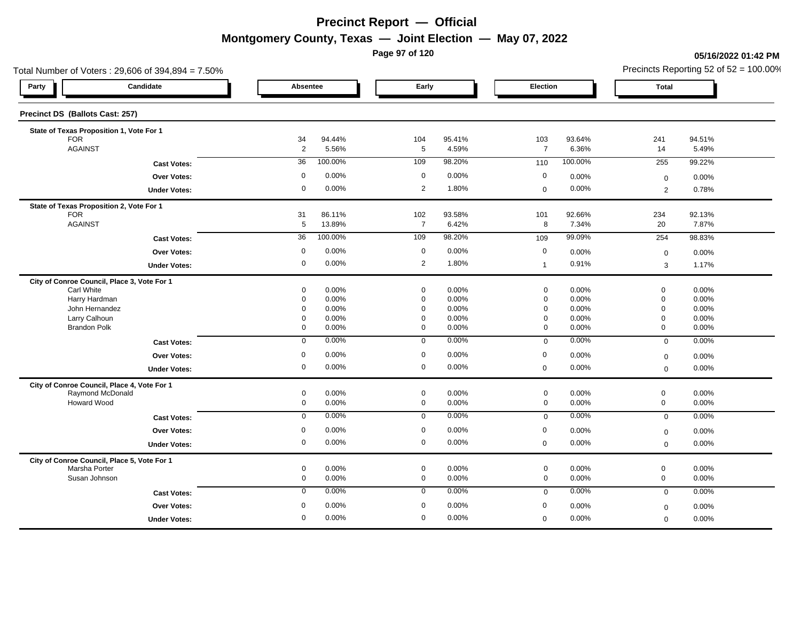**Page 97 of 120**

#### **05/16/2022 01:42 PM**

| Absentee    |                                                                                                                                     |                                                                                                                                            |                                                                                                                                                                                 |                                                                                                                                         |                                                                                                                                                                                                                        |                                                                                                                                          |                                                                                                                                                                                      |
|-------------|-------------------------------------------------------------------------------------------------------------------------------------|--------------------------------------------------------------------------------------------------------------------------------------------|---------------------------------------------------------------------------------------------------------------------------------------------------------------------------------|-----------------------------------------------------------------------------------------------------------------------------------------|------------------------------------------------------------------------------------------------------------------------------------------------------------------------------------------------------------------------|------------------------------------------------------------------------------------------------------------------------------------------|--------------------------------------------------------------------------------------------------------------------------------------------------------------------------------------|
|             |                                                                                                                                     | Early                                                                                                                                      |                                                                                                                                                                                 | Election                                                                                                                                |                                                                                                                                                                                                                        | <b>Total</b>                                                                                                                             |                                                                                                                                                                                      |
|             |                                                                                                                                     |                                                                                                                                            |                                                                                                                                                                                 |                                                                                                                                         |                                                                                                                                                                                                                        |                                                                                                                                          |                                                                                                                                                                                      |
|             |                                                                                                                                     |                                                                                                                                            |                                                                                                                                                                                 |                                                                                                                                         |                                                                                                                                                                                                                        |                                                                                                                                          |                                                                                                                                                                                      |
|             |                                                                                                                                     |                                                                                                                                            |                                                                                                                                                                                 |                                                                                                                                         |                                                                                                                                                                                                                        |                                                                                                                                          | 94.51%                                                                                                                                                                               |
|             |                                                                                                                                     |                                                                                                                                            |                                                                                                                                                                                 |                                                                                                                                         |                                                                                                                                                                                                                        |                                                                                                                                          | 5.49%                                                                                                                                                                                |
|             |                                                                                                                                     |                                                                                                                                            |                                                                                                                                                                                 |                                                                                                                                         |                                                                                                                                                                                                                        |                                                                                                                                          | 99.22%                                                                                                                                                                               |
|             |                                                                                                                                     |                                                                                                                                            |                                                                                                                                                                                 |                                                                                                                                         |                                                                                                                                                                                                                        | $\mathbf 0$                                                                                                                              | 0.00%                                                                                                                                                                                |
|             |                                                                                                                                     |                                                                                                                                            |                                                                                                                                                                                 |                                                                                                                                         |                                                                                                                                                                                                                        | $\overline{2}$                                                                                                                           | 0.78%                                                                                                                                                                                |
|             |                                                                                                                                     |                                                                                                                                            |                                                                                                                                                                                 |                                                                                                                                         |                                                                                                                                                                                                                        |                                                                                                                                          |                                                                                                                                                                                      |
|             |                                                                                                                                     |                                                                                                                                            |                                                                                                                                                                                 |                                                                                                                                         |                                                                                                                                                                                                                        |                                                                                                                                          | 92.13%<br>7.87%                                                                                                                                                                      |
|             |                                                                                                                                     |                                                                                                                                            |                                                                                                                                                                                 |                                                                                                                                         |                                                                                                                                                                                                                        |                                                                                                                                          |                                                                                                                                                                                      |
|             |                                                                                                                                     |                                                                                                                                            |                                                                                                                                                                                 |                                                                                                                                         |                                                                                                                                                                                                                        |                                                                                                                                          | 98.83%                                                                                                                                                                               |
|             |                                                                                                                                     |                                                                                                                                            |                                                                                                                                                                                 |                                                                                                                                         |                                                                                                                                                                                                                        | $\boldsymbol{0}$                                                                                                                         | 0.00%                                                                                                                                                                                |
|             |                                                                                                                                     |                                                                                                                                            |                                                                                                                                                                                 |                                                                                                                                         |                                                                                                                                                                                                                        | 3                                                                                                                                        | 1.17%                                                                                                                                                                                |
|             |                                                                                                                                     |                                                                                                                                            |                                                                                                                                                                                 |                                                                                                                                         |                                                                                                                                                                                                                        |                                                                                                                                          |                                                                                                                                                                                      |
|             |                                                                                                                                     |                                                                                                                                            |                                                                                                                                                                                 |                                                                                                                                         |                                                                                                                                                                                                                        |                                                                                                                                          | 0.00%                                                                                                                                                                                |
|             |                                                                                                                                     |                                                                                                                                            |                                                                                                                                                                                 |                                                                                                                                         |                                                                                                                                                                                                                        |                                                                                                                                          | 0.00%<br>0.00%                                                                                                                                                                       |
|             |                                                                                                                                     |                                                                                                                                            |                                                                                                                                                                                 |                                                                                                                                         |                                                                                                                                                                                                                        |                                                                                                                                          | 0.00%                                                                                                                                                                                |
| 0           | 0.00%                                                                                                                               | $\mathbf 0$                                                                                                                                | 0.00%                                                                                                                                                                           | $\mathbf 0$                                                                                                                             | 0.00%                                                                                                                                                                                                                  | $\mathbf 0$                                                                                                                              | 0.00%                                                                                                                                                                                |
| $\mathbf 0$ | 0.00%                                                                                                                               | $\mathbf{0}$                                                                                                                               | 0.00%                                                                                                                                                                           | $\mathbf 0$                                                                                                                             | 0.00%                                                                                                                                                                                                                  | $\mathbf 0$                                                                                                                              | 0.00%                                                                                                                                                                                |
| $\mathbf 0$ | 0.00%                                                                                                                               | $\mathbf 0$                                                                                                                                | 0.00%                                                                                                                                                                           | $\mathbf 0$                                                                                                                             | 0.00%                                                                                                                                                                                                                  |                                                                                                                                          | 0.00%                                                                                                                                                                                |
| 0           | 0.00%                                                                                                                               | $\mathbf 0$                                                                                                                                | 0.00%                                                                                                                                                                           | $\mathbf 0$                                                                                                                             | 0.00%                                                                                                                                                                                                                  | $\mathbf 0$                                                                                                                              | 0.00%                                                                                                                                                                                |
|             |                                                                                                                                     |                                                                                                                                            |                                                                                                                                                                                 |                                                                                                                                         |                                                                                                                                                                                                                        |                                                                                                                                          |                                                                                                                                                                                      |
|             |                                                                                                                                     |                                                                                                                                            |                                                                                                                                                                                 |                                                                                                                                         | 0.00%                                                                                                                                                                                                                  |                                                                                                                                          | 0.00%                                                                                                                                                                                |
| 0           | 0.00%                                                                                                                               | $\mathbf 0$                                                                                                                                | 0.00%                                                                                                                                                                           | $\mathbf 0$                                                                                                                             | 0.00%                                                                                                                                                                                                                  | $\mathbf 0$                                                                                                                              | 0.00%                                                                                                                                                                                |
| $\mathbf 0$ | 0.00%                                                                                                                               | $\mathbf 0$                                                                                                                                | 0.00%                                                                                                                                                                           | $\mathbf 0$                                                                                                                             | 0.00%                                                                                                                                                                                                                  | $\mathbf 0$                                                                                                                              | 0.00%                                                                                                                                                                                |
| $\mathbf 0$ | 0.00%                                                                                                                               | $\mathbf 0$                                                                                                                                | 0.00%                                                                                                                                                                           | $\mathbf 0$                                                                                                                             | 0.00%                                                                                                                                                                                                                  |                                                                                                                                          | 0.00%                                                                                                                                                                                |
| $\mathbf 0$ | 0.00%                                                                                                                               | $\mathbf 0$                                                                                                                                | 0.00%                                                                                                                                                                           | $\mathbf 0$                                                                                                                             | 0.00%                                                                                                                                                                                                                  | $\mathbf 0$                                                                                                                              | 0.00%                                                                                                                                                                                |
|             |                                                                                                                                     |                                                                                                                                            |                                                                                                                                                                                 |                                                                                                                                         |                                                                                                                                                                                                                        |                                                                                                                                          |                                                                                                                                                                                      |
| 0           | 0.00%                                                                                                                               | $\mathsf 0$                                                                                                                                | 0.00%                                                                                                                                                                           | $\mathbf 0$                                                                                                                             | 0.00%                                                                                                                                                                                                                  | $\mathsf{O}\xspace$                                                                                                                      | 0.00%                                                                                                                                                                                |
| 0           | 0.00%                                                                                                                               | $\mathbf 0$                                                                                                                                | 0.00%                                                                                                                                                                           | $\mathbf 0$                                                                                                                             | 0.00%                                                                                                                                                                                                                  | $\mathbf 0$                                                                                                                              | 0.00%                                                                                                                                                                                |
| $\mathbf 0$ | 0.00%                                                                                                                               | $\mathbf 0$                                                                                                                                | 0.00%                                                                                                                                                                           | $\mathbf 0$                                                                                                                             | 0.00%                                                                                                                                                                                                                  | $\mathbf{0}$                                                                                                                             | 0.00%                                                                                                                                                                                |
| $\mathbf 0$ | 0.00%                                                                                                                               | $\mathbf 0$                                                                                                                                | 0.00%                                                                                                                                                                           | $\mathbf 0$                                                                                                                             | 0.00%                                                                                                                                                                                                                  |                                                                                                                                          | 0.00%                                                                                                                                                                                |
| 0           | 0.00%                                                                                                                               | $\mathbf 0$                                                                                                                                | 0.00%                                                                                                                                                                           |                                                                                                                                         |                                                                                                                                                                                                                        |                                                                                                                                          | 0.00%                                                                                                                                                                                |
|             | 34<br>$\overline{2}$<br>36<br>$\mathbf 0$<br>0<br>31<br>$\overline{5}$<br>36<br>0<br>0<br>0<br>0<br>$\mathbf 0$<br>0<br>$\mathbf 0$ | 94.44%<br>5.56%<br>100.00%<br>0.00%<br>0.00%<br>86.11%<br>13.89%<br>100.00%<br>0.00%<br>0.00%<br>0.00%<br>0.00%<br>0.00%<br>0.00%<br>0.00% | 104<br>5<br>109<br>$\mathbf 0$<br>$\overline{2}$<br>102<br>$\overline{7}$<br>109<br>$\mathbf 0$<br>2<br>$\mathbf 0$<br>$\mathbf 0$<br>$\mathbf 0$<br>$\mathbf 0$<br>$\mathsf 0$ | 95.41%<br>4.59%<br>98.20%<br>0.00%<br>1.80%<br>93.58%<br>6.42%<br>98.20%<br>0.00%<br>1.80%<br>0.00%<br>0.00%<br>0.00%<br>0.00%<br>0.00% | 103<br>$\overline{7}$<br>110<br>$\mathbf 0$<br>$\mathsf{O}\xspace$<br>101<br>8<br>109<br>$\mathbf 0$<br>$\mathbf{1}$<br>$\mathbf 0$<br>$\mathsf{O}\xspace$<br>$\mathbf 0$<br>$\mathbf 0$<br>$\mathbf 0$<br>$\mathbf 0$ | 93.64%<br>6.36%<br>100.00%<br>0.00%<br>0.00%<br>92.66%<br>7.34%<br>99.09%<br>0.00%<br>0.91%<br>0.00%<br>0.00%<br>0.00%<br>0.00%<br>0.00% | 241<br>14<br>255<br>234<br>20<br>254<br>$\mathbf 0$<br>$\mathbf 0$<br>$\mathbf 0$<br>$\mathbf 0$<br>$\mathbf 0$<br>$\mathsf{O}\xspace$<br>$\mathbf 0$<br>$\mathbf 0$<br>$\mathbf{0}$ |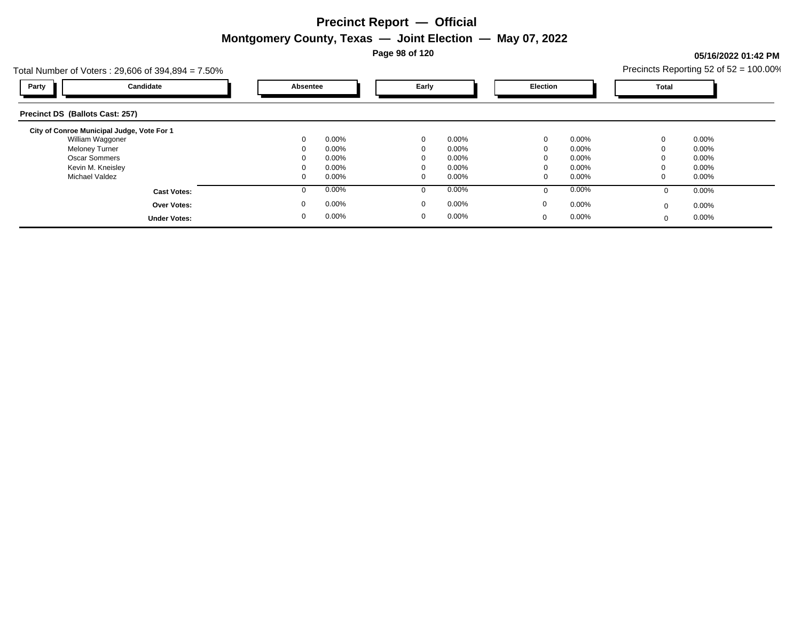**Page 98 of 120**

### **05/16/2022 01:42 PM**

|                                            | Total Number of Voters: $29,606$ of $394,894 = 7.50\%$ |             |          |              |          |             |          |          | Precincts Reporting 52 of $52 = 100.00\%$ |  |
|--------------------------------------------|--------------------------------------------------------|-------------|----------|--------------|----------|-------------|----------|----------|-------------------------------------------|--|
| Party                                      | Candidate                                              |             | Absentee |              | Early    |             | Election |          |                                           |  |
| Precinct DS (Ballots Cast: 257)            |                                                        |             |          |              |          |             |          |          |                                           |  |
| City of Conroe Municipal Judge, Vote For 1 |                                                        |             |          |              |          |             |          |          |                                           |  |
| William Waggoner                           |                                                        | $\mathbf 0$ | $0.00\%$ | $\mathbf{0}$ | $0.00\%$ | $\mathbf 0$ | 0.00%    |          | $0.00\%$                                  |  |
| <b>Meloney Turner</b>                      |                                                        |             | 0.00%    | $\Omega$     | $0.00\%$ | $\Omega$    | $0.00\%$ |          | $0.00\%$                                  |  |
| <b>Oscar Sommers</b>                       |                                                        |             | $0.00\%$ | $\Omega$     | $0.00\%$ | $\Omega$    | $0.00\%$ |          | $0.00\%$                                  |  |
| Kevin M. Kneisley                          |                                                        |             | 0.00%    | $\Omega$     | $0.00\%$ |             | $0.00\%$ |          | $0.00\%$                                  |  |
| Michael Valdez                             |                                                        |             | 0.00%    | 0            | $0.00\%$ | 0           | $0.00\%$ |          | $0.00\%$                                  |  |
|                                            | <b>Cast Votes:</b>                                     | O           | 0.00%    | $\Omega$     | 0.00%    | $\Omega$    | 0.00%    |          | $0.00\%$                                  |  |
|                                            | <b>Over Votes:</b>                                     | $\mathbf 0$ | 0.00%    | 0            | $0.00\%$ | 0           | 0.00%    | $\Omega$ | $0.00\%$                                  |  |
|                                            | <b>Under Votes:</b>                                    | 0           | 0.00%    | $\mathbf{0}$ | $0.00\%$ | $\mathbf 0$ | 0.00%    | $\Omega$ | $0.00\%$                                  |  |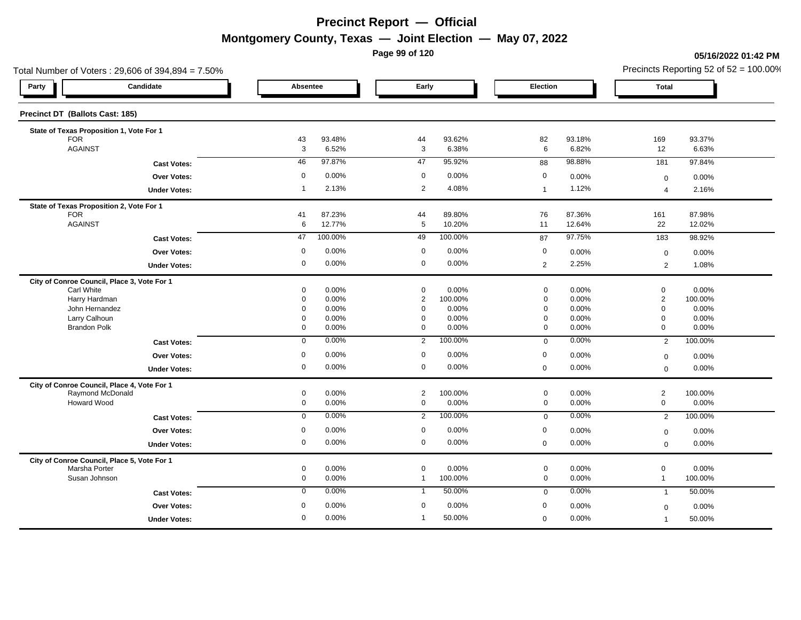**Page 99 of 120**

**05/16/2022 01:42 PM**

| Total Number of Voters: 29,606 of 394,894 = 7.50% |                                             |                         |                |                               |                  |                         |                |                               | Precincts Reporting 52 of 52 = 100.00% |
|---------------------------------------------------|---------------------------------------------|-------------------------|----------------|-------------------------------|------------------|-------------------------|----------------|-------------------------------|----------------------------------------|
| Party                                             | Candidate                                   | Absentee                |                | Early                         |                  | Election                |                | Total                         |                                        |
| Precinct DT (Ballots Cast: 185)                   |                                             |                         |                |                               |                  |                         |                |                               |                                        |
|                                                   | State of Texas Proposition 1, Vote For 1    |                         |                |                               |                  |                         |                |                               |                                        |
| <b>FOR</b><br><b>AGAINST</b>                      |                                             | 43                      | 93.48%         | 44                            | 93.62%           | 82                      | 93.18%         | 169                           | 93.37%                                 |
|                                                   |                                             | 3                       | 6.52%          | $\mathbf{3}$                  | 6.38%            | 6                       | 6.82%          | 12                            | 6.63%                                  |
|                                                   | <b>Cast Votes:</b>                          | 46                      | 97.87%         | 47                            | 95.92%           | 88                      | 98.88%         | 181                           | 97.84%                                 |
|                                                   | Over Votes:                                 | $\mathbf 0$             | 0.00%          | $\mathbf 0$                   | 0.00%            | 0                       | 0.00%          | $\mathbf 0$                   | 0.00%                                  |
|                                                   | <b>Under Votes:</b>                         | $\overline{1}$          | 2.13%          | $\overline{2}$                | 4.08%            | $\overline{1}$          | 1.12%          | $\overline{4}$                | 2.16%                                  |
|                                                   | State of Texas Proposition 2, Vote For 1    |                         |                |                               |                  |                         |                |                               |                                        |
| FOR                                               |                                             | 41                      | 87.23%         | 44                            | 89.80%           | 76                      | 87.36%         | 161                           | 87.98%                                 |
| <b>AGAINST</b>                                    |                                             | 6                       | 12.77%         | $5\phantom{.0}$               | 10.20%           | 11                      | 12.64%         | 22                            | 12.02%                                 |
|                                                   | <b>Cast Votes:</b>                          | 47                      | 100.00%        | 49                            | 100.00%          | 87                      | 97.75%         | $\overline{183}$              | 98.92%                                 |
|                                                   | Over Votes:                                 | $\mathbf 0$             | 0.00%          | $\mathbf 0$                   | 0.00%            | 0                       | 0.00%          | $\mathbf 0$                   | 0.00%                                  |
|                                                   | <b>Under Votes:</b>                         | $\mathbf 0$             | 0.00%          | $\mathbf 0$                   | 0.00%            | $\overline{2}$          | 2.25%          | $\overline{2}$                | 1.08%                                  |
|                                                   | City of Conroe Council, Place 3, Vote For 1 |                         |                |                               |                  |                         |                |                               |                                        |
| Carl White                                        |                                             | $\mathbf 0$<br>$\Omega$ | 0.00%          | $\mathbf 0$<br>$\overline{2}$ | 0.00%            | $\mathbf 0$<br>$\Omega$ | 0.00%          | $\mathbf 0$<br>$\overline{2}$ | 0.00%                                  |
| Harry Hardman<br>John Hernandez                   |                                             | $\mathbf 0$             | 0.00%<br>0.00% | $\mathbf 0$                   | 100.00%<br>0.00% | $\Omega$                | 0.00%<br>0.00% | $\mathbf 0$                   | 100.00%<br>0.00%                       |
| Larry Calhoun                                     |                                             | $\Omega$                | 0.00%          | $\overline{0}$                | 0.00%            | $\Omega$                | 0.00%          | $\mathbf 0$                   | 0.00%                                  |
| <b>Brandon Polk</b>                               |                                             | $\mathbf 0$             | 0.00%          | $\overline{0}$                | 0.00%            | $\mathbf 0$             | 0.00%          | $\mathbf 0$                   | 0.00%                                  |
|                                                   | <b>Cast Votes:</b>                          | $\overline{0}$          | 0.00%          | $\overline{2}$                | 100.00%          | $\mathbf 0$             | 0.00%          | $\overline{2}$                | 100.00%                                |
|                                                   | Over Votes:                                 | $\mathbf 0$             | 0.00%          | $\mathbf 0$                   | 0.00%            | 0                       | 0.00%          | $\mathbf 0$                   | 0.00%                                  |
|                                                   | <b>Under Votes:</b>                         | $\mathbf 0$             | 0.00%          | $\mathsf 0$                   | 0.00%            | $\mathbf 0$             | 0.00%          | $\mathbf 0$                   | 0.00%                                  |
|                                                   | City of Conroe Council, Place 4, Vote For 1 |                         |                |                               |                  |                         |                |                               |                                        |
|                                                   | Raymond McDonald                            | $\mathbf 0$             | 0.00%          | $\overline{2}$                | 100.00%          | $\mathbf 0$             | 0.00%          | $\overline{c}$                | 100.00%                                |
| Howard Wood                                       |                                             | $\mathsf 0$             | 0.00%          | $\mathsf 0$                   | 0.00%            | $\mathbf 0$             | 0.00%          | $\,0\,$                       | 0.00%                                  |
|                                                   | <b>Cast Votes:</b>                          | $\mathbf 0$             | 0.00%          | 2                             | 100.00%          | $\mathbf 0$             | 0.00%          | $\overline{2}$                | 100.00%                                |
|                                                   | Over Votes:                                 | $\mathbf 0$             | 0.00%          | $\overline{0}$                | 0.00%            | $\mathbf 0$             | 0.00%          | $\mathbf 0$                   | 0.00%                                  |
|                                                   | <b>Under Votes:</b>                         | $\mathbf 0$             | 0.00%          | $\overline{0}$                | 0.00%            | $\mathbf 0$             | 0.00%          | $\overline{0}$                | 0.00%                                  |
|                                                   | City of Conroe Council, Place 5, Vote For 1 |                         |                |                               |                  |                         |                |                               |                                        |
| Marsha Porter                                     |                                             | $\mathbf 0$             | 0.00%          | $\mathsf 0$                   | 0.00%            | $\mathbf 0$             | 0.00%          | $\mathsf 0$                   | 0.00%                                  |
| Susan Johnson                                     |                                             | $\mathbf 0$             | 0.00%          | $\overline{1}$                | 100.00%          | $\mathbf 0$             | 0.00%          | $\overline{1}$                | 100.00%                                |
|                                                   | <b>Cast Votes:</b>                          | $\mathbf 0$             | 0.00%          | $\overline{1}$                | 50.00%           | $\mathbf 0$             | 0.00%          | $\overline{1}$                | 50.00%                                 |
|                                                   | <b>Over Votes:</b>                          | $\mathbf 0$             | 0.00%          | $\mathbf 0$                   | 0.00%            | $\mathbf 0$             | 0.00%          | $\Omega$                      | 0.00%                                  |
|                                                   | <b>Under Votes:</b>                         | $\mathbf 0$             | 0.00%          | $\overline{1}$                | 50.00%           | $\mathbf 0$             | 0.00%          |                               | 50.00%                                 |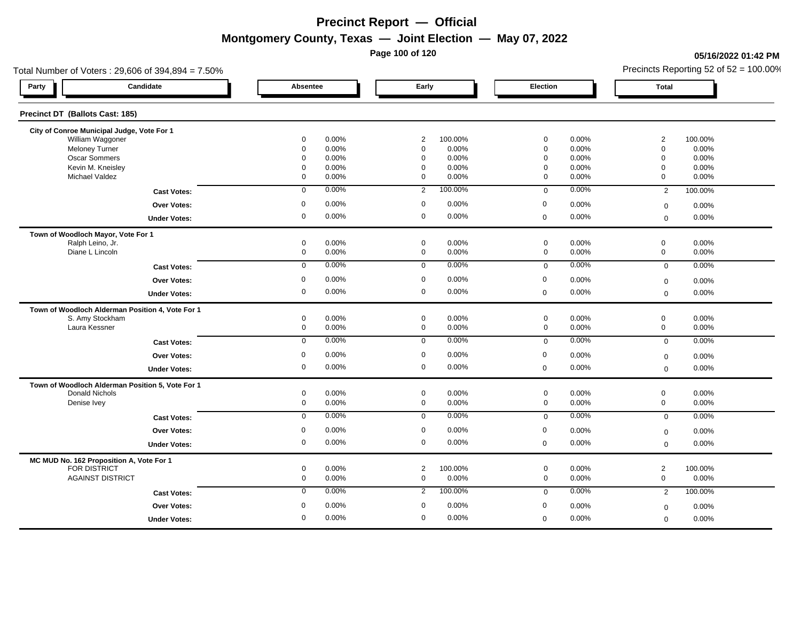**Page 100 of 120**

#### **05/16/2022 01:42 PM**

| Total Number of Voters: 29,606 of 394,894 = 7.50% |             |                |                     | Precincts Reporting 52 of $52 = 100.00\%$ |
|---------------------------------------------------|-------------|----------------|---------------------|-------------------------------------------|
| Candidate<br>Party                                | Absentee    | Early          | Election            | <b>Total</b>                              |
| Precinct DT (Ballots Cast: 185)                   |             |                |                     |                                           |
| City of Conroe Municipal Judge, Vote For 1        |             |                |                     |                                           |
| William Waggoner                                  | 0.00%       | $\overline{2}$ | $\mathbf 0$         | $\overline{2}$                            |
|                                                   | 0           | 100.00%        | 0.00%               | 100.00%                                   |
| <b>Meloney Turner</b>                             | 0.00%       | $\mathbf 0$    | $\mathbf 0$         | $\mathbf 0$                               |
|                                                   | $\mathbf 0$ | 0.00%          | 0.00%               | 0.00%                                     |
| <b>Oscar Sommers</b>                              | 0.00%       | 0.00%          | $\mathbf 0$         | $\Omega$                                  |
|                                                   | $\mathbf 0$ | $\Omega$       | 0.00%               | 0.00%                                     |
| Kevin M. Kneisley                                 | 0.00%       | 0.00%          | $\mathbf 0$         | 0.00%                                     |
|                                                   | $\mathbf 0$ | $\mathbf 0$    | 0.00%               | $\mathbf 0$                               |
| <b>Michael Valdez</b>                             | 0.00%       | 0.00%          | $\mathbf 0$         | 0.00%                                     |
|                                                   | $\mathbf 0$ | $\mathbf{0}$   | 0.00%               | $\mathbf 0$                               |
| <b>Cast Votes:</b>                                | $\mathbf 0$ | $\overline{2}$ | 0.00%               | 100.00%                                   |
|                                                   | 0.00%       | 100.00%        | $\mathbf 0$         | $\overline{2}$                            |
| <b>Over Votes:</b>                                | 0.00%       | $\mathbf 0$    | $\mathbf 0$         | 0.00%                                     |
|                                                   | 0           | 0.00%          | 0.00%               | $\mathbf 0$                               |
| <b>Under Votes:</b>                               | 0.00%       | 0.00%          | 0.00%               | 0.00%                                     |
|                                                   | 0           | $\mathbf 0$    | $\mathsf{O}\xspace$ | $\mathbf 0$                               |
| Town of Woodloch Mayor, Vote For 1                |             |                |                     |                                           |
| Ralph Leino, Jr.                                  | $\mathbf 0$ | $\mathbf 0$    | 0.00%               | $\mathbf 0$                               |
|                                                   | 0.00%       | 0.00%          | $\mathbf 0$         | 0.00%                                     |
| Diane L Lincoln                                   | 0.00%       | $\mathbf 0$    | $\mathbf 0$         | $\mathbf 0$                               |
|                                                   | 0           | 0.00%          | 0.00%               | 0.00%                                     |
| <b>Cast Votes:</b>                                | 0.00%       | 0.00%          | 0.00%               | 0.00%                                     |
|                                                   | $\mathbf 0$ | $\mathbf 0$    | $\mathbf 0$         | $\mathbf 0$                               |
| <b>Over Votes:</b>                                | 0.00%       | $\mathbf 0$    | $\mathbf 0$         | 0.00%                                     |
|                                                   | 0           | 0.00%          | 0.00%               | $\mathbf 0$                               |
| <b>Under Votes:</b>                               | 0           | 0.00%          | 0.00%               | 0.00%                                     |
|                                                   | 0.00%       | $\mathbf 0$    | $\mathbf 0$         | $\mathbf 0$                               |
| Town of Woodloch Alderman Position 4, Vote For 1  |             |                |                     |                                           |
| S. Amy Stockham                                   | 0           | $\mathbf 0$    | $\mathbf 0$         | $\mathbf 0$                               |
|                                                   | 0.00%       | 0.00%          | 0.00%               | 0.00%                                     |
| Laura Kessner                                     | 0           | $\mathbf 0$    | $\mathbf 0$         | $\mathbf 0$                               |
|                                                   | 0.00%       | 0.00%          | 0.00%               | 0.00%                                     |
| <b>Cast Votes:</b>                                | 0.00%       | 0.00%          | 0.00%               | 0.00%                                     |
|                                                   | $\mathbf 0$ | $\mathbf 0$    | $\mathbf 0$         | $\mathbf{0}$                              |
| <b>Over Votes:</b>                                | $\mathbf 0$ | $\mathbf 0$    | $\mathbf 0$         | 0.00%                                     |
|                                                   | 0.00%       | 0.00%          | 0.00%               | $\mathbf 0$                               |
| <b>Under Votes:</b>                               | 0           | $\mathbf 0$    | 0.00%               | 0.00%                                     |
|                                                   | 0.00%       | 0.00%          | $\mathbf 0$         | $\mathbf 0$                               |
| Town of Woodloch Alderman Position 5, Vote For 1  |             |                |                     |                                           |
| <b>Donald Nichols</b>                             | $\mathbf 0$ | $\mathbf 0$    | $\mathbf 0$         | $\mathbf 0$                               |
|                                                   | 0.00%       | 0.00%          | 0.00%               | 0.00%                                     |
| Denise Ivey                                       | 0.00%       | 0.00%          | 0.00%               | 0                                         |
|                                                   | $\mathbf 0$ | $\mathbf 0$    | $\mathbf 0$         | 0.00%                                     |
| <b>Cast Votes:</b>                                | 0.00%       | 0.00%          | 0.00%               | $\mathbf 0$                               |
|                                                   | $\mathbf 0$ | 0              | $\mathbf 0$         | 0.00%                                     |
| Over Votes:                                       | 0.00%       | $\mathbf 0$    | $\mathbf 0$         | 0.00%                                     |
|                                                   | $\mathbf 0$ | 0.00%          | 0.00%               | $\mathbf 0$                               |
| <b>Under Votes:</b>                               | $\mathbf 0$ | $\mathbf 0$    | 0.00%               | 0.00%                                     |
|                                                   | 0.00%       | 0.00%          | $\mathbf 0$         | $\mathbf 0$                               |
| MC MUD No. 162 Proposition A, Vote For 1          |             |                |                     |                                           |
| <b>FOR DISTRICT</b>                               | $\mathbf 0$ | $\overline{2}$ | $\mathbf 0$         | $\overline{2}$                            |
|                                                   | 0.00%       | 100.00%        | 0.00%               | 100.00%                                   |
| <b>AGAINST DISTRICT</b>                           | 0           | 0.00%          | $\mathbf 0$         | $\mathbf 0$                               |
|                                                   | 0.00%       | $\mathbf 0$    | 0.00%               | 0.00%                                     |
| <b>Cast Votes:</b>                                | 0.00%       | 100.00%        | 0.00%               | 2                                         |
|                                                   | $\mathbf 0$ | $\overline{2}$ | $\mathbf 0$         | 100.00%                                   |
| <b>Over Votes:</b>                                | 0.00%       | $\mathbf 0$    | $\mathbf 0$         | 0.00%                                     |
|                                                   | 0           | 0.00%          | 0.00%               | $\mathbf 0$                               |
| <b>Under Votes:</b>                               | 0           | $\mathbf 0$    | 0.00%               | $\mathbf 0$                               |
|                                                   | 0.00%       | 0.00%          | $\mathbf 0$         | 0.00%                                     |
|                                                   |             |                |                     |                                           |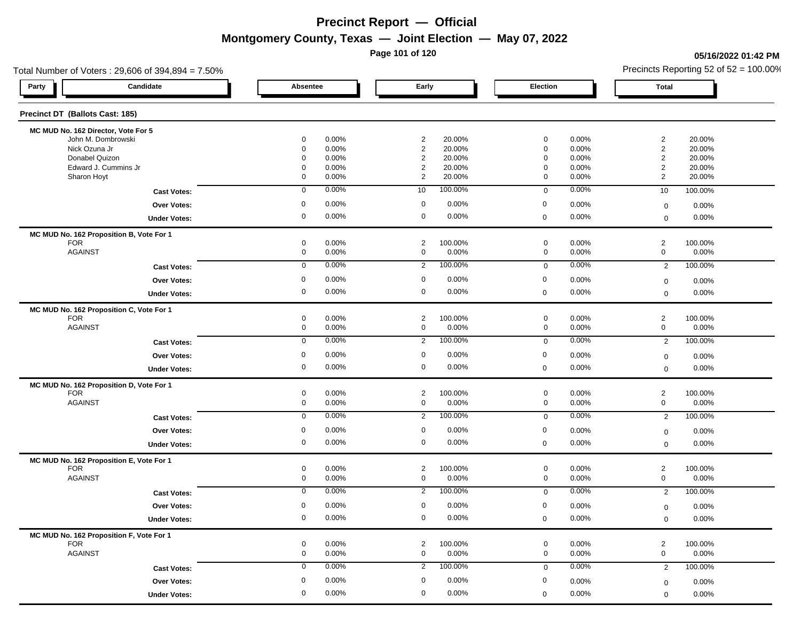**Page 101 of 120**

**05/16/2022 01:42 PM**

| Total Number of Voters: 29,606 of 394,894 = 7.50%      |             |       |                |         |             | Precincts Reporting 52 of $52 = 100.00\%$ |                |          |
|--------------------------------------------------------|-------------|-------|----------------|---------|-------------|-------------------------------------------|----------------|----------|
| Candidate<br>Party                                     | Absentee    |       |                | Early   |             |                                           | <b>Total</b>   |          |
| Precinct DT (Ballots Cast: 185)                        |             |       |                |         |             |                                           |                |          |
| MC MUD No. 162 Director, Vote For 5                    |             |       |                |         |             |                                           |                |          |
| John M. Dombrowski                                     | 0           | 0.00% | $\overline{2}$ | 20.00%  | 0           | 0.00%                                     | $\overline{2}$ | 20.00%   |
| Nick Ozuna Jr                                          | $\mathbf 0$ | 0.00% | $\overline{c}$ | 20.00%  | $\mathbf 0$ | 0.00%                                     | $\overline{2}$ | 20.00%   |
| Donabel Quizon                                         | 0           | 0.00% | $\overline{2}$ | 20.00%  | 0           | 0.00%                                     | $\overline{2}$ | 20.00%   |
| Edward J. Cummins Jr                                   | 0           | 0.00% | $\overline{c}$ | 20.00%  | 0           | 0.00%                                     | $\overline{2}$ | 20.00%   |
| Sharon Hoyt                                            | 0           | 0.00% | $\overline{2}$ | 20.00%  | $\mathbf 0$ | 0.00%                                     | 2              | 20.00%   |
| <b>Cast Votes:</b>                                     | $\mathbf 0$ | 0.00% | 10             | 100.00% | $\mathbf 0$ | 0.00%                                     | 10             | 100.00%  |
| Over Votes:                                            | 0           | 0.00% | $\mathbf 0$    | 0.00%   | $\mathbf 0$ | 0.00%                                     | $\mathbf 0$    | 0.00%    |
| <b>Under Votes:</b>                                    | 0           | 0.00% | $\mathbf 0$    | 0.00%   | $\mathbf 0$ | 0.00%                                     | $\mathbf 0$    | 0.00%    |
| MC MUD No. 162 Proposition B, Vote For 1               |             |       |                |         |             |                                           |                |          |
| <b>FOR</b>                                             | 0           | 0.00% | $\overline{2}$ | 100.00% | $\mathbf 0$ | 0.00%                                     | $\overline{2}$ | 100.00%  |
| <b>AGAINST</b>                                         | 0           | 0.00% | $\mathbf 0$    | 0.00%   | $\mathbf 0$ | 0.00%                                     | $\mathbf 0$    | 0.00%    |
| <b>Cast Votes:</b>                                     | $\mathbf 0$ | 0.00% | $\overline{2}$ | 100.00% | $\mathbf 0$ | 0.00%                                     | $\overline{2}$ | 100.00%  |
| Over Votes:                                            | 0           | 0.00% | 0              | 0.00%   | 0           | 0.00%                                     | $\mathbf 0$    | 0.00%    |
| <b>Under Votes:</b>                                    | 0           | 0.00% | 0              | 0.00%   | $\mathbf 0$ | 0.00%                                     | $\mathbf 0$    | 0.00%    |
| MC MUD No. 162 Proposition C, Vote For 1               |             |       |                |         |             |                                           |                |          |
| <b>FOR</b>                                             | 0           | 0.00% | $\overline{2}$ | 100.00% | $\mathbf 0$ | 0.00%                                     | $\overline{2}$ | 100.00%  |
| <b>AGAINST</b>                                         | 0           | 0.00% | $\mathbf 0$    | 0.00%   | $\mathbf 0$ | 0.00%                                     | $\mathbf 0$    | 0.00%    |
| <b>Cast Votes:</b>                                     | $\mathbf 0$ | 0.00% | $\overline{2}$ | 100.00% | $\mathbf 0$ | 0.00%                                     | $\overline{2}$ | 100.00%  |
| Over Votes:                                            | 0           | 0.00% | $\mathbf 0$    | 0.00%   | $\mathbf 0$ | 0.00%                                     | $\mathbf 0$    | 0.00%    |
| <b>Under Votes:</b>                                    | 0           | 0.00% | $\mathbf 0$    | 0.00%   | $\mathbf 0$ | 0.00%                                     | $\mathbf 0$    | 0.00%    |
| MC MUD No. 162 Proposition D, Vote For 1               |             |       |                |         |             |                                           |                |          |
| <b>FOR</b>                                             | 0           | 0.00% | $\overline{2}$ | 100.00% | $\mathbf 0$ | 0.00%                                     | $\overline{c}$ | 100.00%  |
| <b>AGAINST</b>                                         | 0           | 0.00% | $\mathbf 0$    | 0.00%   | $\mathbf 0$ | 0.00%                                     | $\mathbf 0$    | 0.00%    |
| <b>Cast Votes:</b>                                     | $\mathbf 0$ | 0.00% | $\overline{2}$ | 100.00% | $\mathbf 0$ | 0.00%                                     | $\overline{2}$ | 100.00%  |
| <b>Over Votes:</b>                                     | 0           | 0.00% | $\mathbf 0$    | 0.00%   | 0           | 0.00%                                     | $\mathbf 0$    | 0.00%    |
| <b>Under Votes:</b>                                    | 0           | 0.00% | $\mathbf 0$    | 0.00%   | $\mathbf 0$ | 0.00%                                     | $\mathbf 0$    | 0.00%    |
|                                                        |             |       |                |         |             |                                           |                |          |
| MC MUD No. 162 Proposition E, Vote For 1<br><b>FOR</b> | $\mathbf 0$ | 0.00% | $\overline{2}$ | 100.00% | $\mathbf 0$ | 0.00%                                     | $\overline{2}$ | 100.00%  |
| <b>AGAINST</b>                                         | 0           | 0.00% | 0              | 0.00%   | $\mathbf 0$ | 0.00%                                     | $\mathbf 0$    | 0.00%    |
| <b>Cast Votes:</b>                                     | 0           | 0.00% | $\overline{2}$ | 100.00% | $\mathbf 0$ | 0.00%                                     | $\overline{2}$ | 100.00%  |
| <b>Over Votes:</b>                                     | 0           | 0.00% | $\mathbf 0$    | 0.00%   | 0           | 0.00%                                     | $\mathbf 0$    | 0.00%    |
| <b>Under Votes:</b>                                    | $\mathbf 0$ | 0.00% | $\mathbf 0$    | 0.00%   | $\Omega$    | 0.00%                                     | $\mathbf 0$    | 0.00%    |
|                                                        |             |       |                |         |             |                                           |                |          |
| MC MUD No. 162 Proposition F, Vote For 1<br><b>FOR</b> | 0           | 0.00% | $\overline{2}$ | 100.00% | $\mathbf 0$ | 0.00%                                     | $\overline{2}$ | 100.00%  |
| <b>AGAINST</b>                                         | 0           | 0.00% | 0              | 0.00%   | $\mathbf 0$ | 0.00%                                     | $\mathbf 0$    | 0.00%    |
| <b>Cast Votes:</b>                                     | $\mathbf 0$ | 0.00% | $\overline{2}$ | 100.00% | $\mathbf 0$ | 0.00%                                     | $\overline{2}$ | 100.00%  |
| Over Votes:                                            | 0           | 0.00% | 0              | 0.00%   | 0           | 0.00%                                     |                | $0.00\%$ |
|                                                        | 0           | 0.00% | $\mathbf 0$    | 0.00%   | $\mathbf 0$ | 0.00%                                     | $\mathbf 0$    | 0.00%    |
| <b>Under Votes:</b>                                    |             |       |                |         |             |                                           | $\mathbf 0$    |          |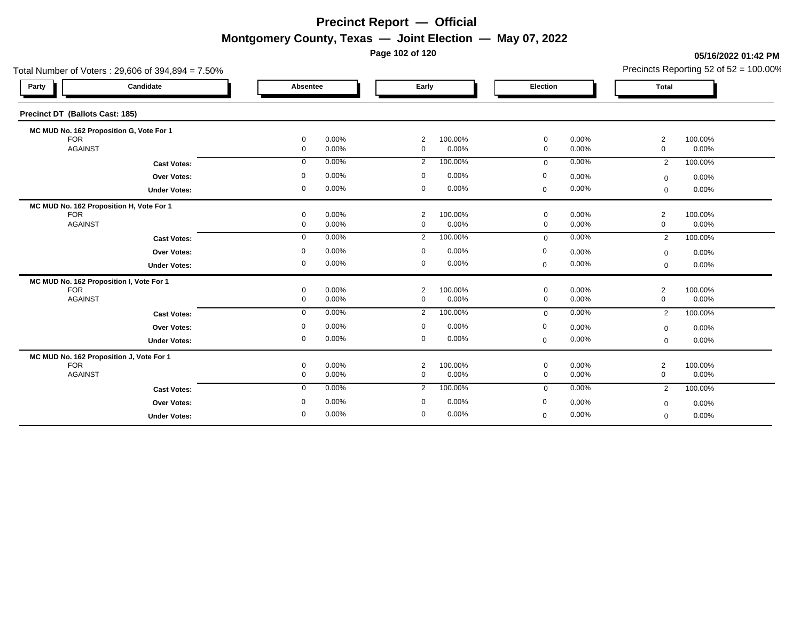**Page 102 of 120**

### **05/16/2022 01:42 PM**

| Total Number of Voters: 29,606 of 394,894 = 7.50% |              |       |                               |         |              | Precincts Reporting 52 of $52 = 100.00\%$ |                               |         |
|---------------------------------------------------|--------------|-------|-------------------------------|---------|--------------|-------------------------------------------|-------------------------------|---------|
| Candidate<br>Party                                | Absentee     |       | Early                         |         | Election     |                                           | <b>Total</b>                  |         |
| Precinct DT (Ballots Cast: 185)                   |              |       |                               |         |              |                                           |                               |         |
| MC MUD No. 162 Proposition G, Vote For 1          |              |       |                               |         |              |                                           |                               |         |
| <b>FOR</b>                                        | 0            | 0.00% | $\overline{2}$                | 100.00% | 0            | 0.00%                                     | $\overline{2}$                | 100.00% |
| <b>AGAINST</b>                                    | $\mathbf{0}$ | 0.00% | $\mathbf 0$                   | 0.00%   | $\mathbf 0$  | 0.00%                                     | $\mathbf 0$                   | 0.00%   |
| <b>Cast Votes:</b>                                | $\mathbf 0$  | 0.00% | 2                             | 100.00% | $\mathbf 0$  | 0.00%                                     | $\overline{2}$                | 100.00% |
| <b>Over Votes:</b>                                | 0            | 0.00% | $\mathbf 0$                   | 0.00%   | 0            | 0.00%                                     | $\mathbf 0$                   | 0.00%   |
| <b>Under Votes:</b>                               | 0            | 0.00% | $\mathbf 0$                   | 0.00%   | $\mathbf 0$  | 0.00%                                     | $\Omega$                      | 0.00%   |
| MC MUD No. 162 Proposition H, Vote For 1          |              |       |                               |         |              |                                           |                               |         |
| <b>FOR</b><br><b>AGAINST</b>                      | 0            | 0.00% | $\overline{2}$<br>$\mathbf 0$ | 100.00% | $\mathbf 0$  | 0.00%                                     | $\overline{2}$<br>$\mathbf 0$ | 100.00% |
|                                                   | 0            | 0.00% |                               | 0.00%   | $\mathbf 0$  | 0.00%                                     |                               | 0.00%   |
| <b>Cast Votes:</b>                                | 0            | 0.00% | 2                             | 100.00% | $\mathbf{0}$ | 0.00%                                     | 2                             | 100.00% |
| Over Votes:                                       | 0            | 0.00% | 0                             | 0.00%   | 0            | 0.00%                                     | $\mathbf 0$                   | 0.00%   |
| <b>Under Votes:</b>                               | 0            | 0.00% | $\mathbf 0$                   | 0.00%   | $\mathbf 0$  | 0.00%                                     | $\mathbf 0$                   | 0.00%   |
| MC MUD No. 162 Proposition I, Vote For 1          |              |       |                               |         |              |                                           |                               |         |
| <b>FOR</b>                                        | 0            | 0.00% | $\overline{2}$                | 100.00% | $\mathbf 0$  | 0.00%                                     | $\overline{2}$                | 100.00% |
| <b>AGAINST</b>                                    | 0            | 0.00% | $\mathbf 0$                   | 0.00%   | $\mathbf 0$  | 0.00%                                     | $\mathbf 0$                   | 0.00%   |
| <b>Cast Votes:</b>                                | $\mathbf 0$  | 0.00% | 2                             | 100.00% | $\mathbf 0$  | 0.00%                                     | $\overline{2}$                | 100.00% |
| <b>Over Votes:</b>                                | 0            | 0.00% | $\mathbf 0$                   | 0.00%   | 0            | 0.00%                                     | $\mathbf 0$                   | 0.00%   |
| <b>Under Votes:</b>                               | 0            | 0.00% | 0                             | 0.00%   | $\mathbf 0$  | 0.00%                                     | $\mathbf 0$                   | 0.00%   |
| MC MUD No. 162 Proposition J, Vote For 1          |              |       |                               |         |              |                                           |                               |         |
| <b>FOR</b>                                        | 0            | 0.00% | 2                             | 100.00% | 0            | 0.00%                                     | $\overline{2}$                | 100.00% |
| <b>AGAINST</b>                                    | 0            | 0.00% | $\mathbf 0$                   | 0.00%   | $\mathbf 0$  | 0.00%                                     | $\mathbf 0$                   | 0.00%   |
| <b>Cast Votes:</b>                                | $\mathbf 0$  | 0.00% | $\overline{2}$                | 100.00% | $\mathbf 0$  | 0.00%                                     | $\overline{2}$                | 100.00% |
| Over Votes:                                       | 0            | 0.00% | $\mathbf 0$                   | 0.00%   | $\mathbf 0$  | 0.00%                                     | $\mathbf 0$                   | 0.00%   |
| <b>Under Votes:</b>                               | $\mathbf{0}$ | 0.00% | 0                             | 0.00%   | $\mathbf 0$  | 0.00%                                     | $\mathbf 0$                   | 0.00%   |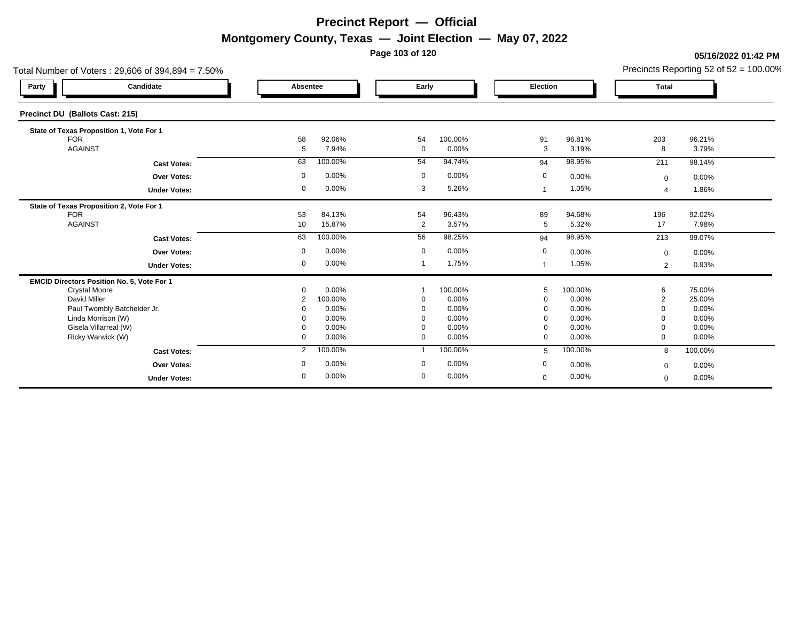**Page 103 of 120**

#### **05/16/2022 01:42 PM**

| 96.21%           |
|------------------|
| 3.79%            |
| 98.14%           |
| 0.00%            |
| 1.86%            |
|                  |
| 92.02%<br>7.98%  |
|                  |
| 99.07%           |
| 0.00%            |
| 0.93%            |
|                  |
| 75.00%<br>25.00% |
| $0.00\%$         |
| 0.00%            |
| 0.00%            |
| 0.00%            |
| 100.00%          |
| 0.00%            |
| 0.00%            |
|                  |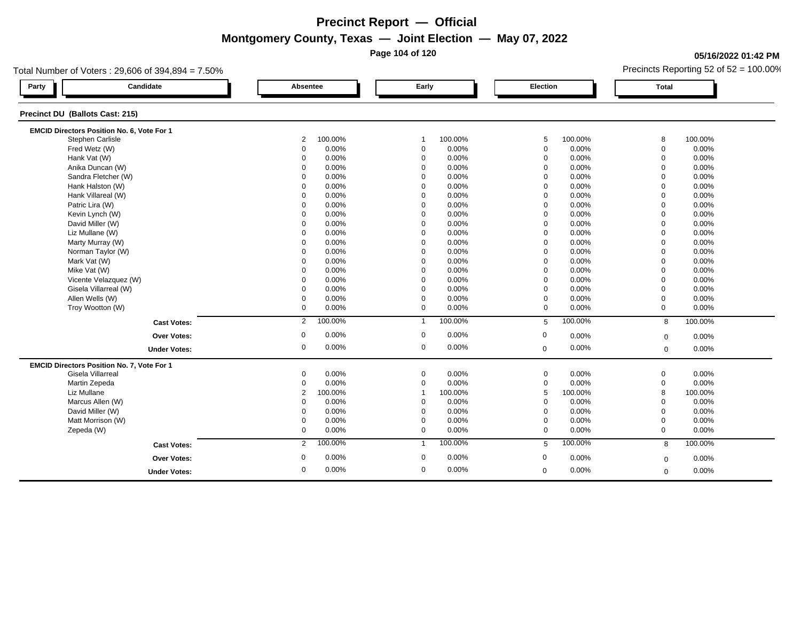**Page 104 of 120**

### **05/16/2022 01:42 PM**

| Candidate<br>Early<br>Party<br>Absentee<br><b>Election</b><br><b>Total</b><br>Precinct DU (Ballots Cast: 215)<br>EMCID Directors Position No. 6, Vote For 1<br>Stephen Carlisle<br>100.00%<br>100.00%<br>5<br>100.00%<br>8<br>2<br>$\mathbf 1$<br>Fred Wetz (W)<br>0.00%<br>0.00%<br>0.00%<br>0<br>$\mathbf 0$<br>$\mathbf 0$<br>0<br>Hank Vat (W)<br>0.00%<br>$\Omega$<br>0.00%<br>$\mathbf 0$<br>0.00%<br>0<br>$\Omega$<br>Anika Duncan (W)<br>0.00%<br>0.00%<br>$\Omega$<br>0.00%<br>$\Omega$<br>$\Omega$<br>$\mathbf 0$<br>Sandra Fletcher (W)<br>0.00%<br>0.00%<br>0.00%<br>$\Omega$<br>$\mathbf 0$<br>$\mathbf 0$<br>$\Omega$<br>Hank Halston (W)<br>0.00%<br>$\mathbf 0$<br>0.00%<br>$\Omega$<br>$\Omega$<br>0.00%<br>$\Omega$<br>0.00%<br>0.00%<br>Hank Villareal (W)<br>$\Omega$<br>$\Omega$<br>0.00%<br>$\Omega$<br>$\Omega$<br>Patric Lira (W)<br>0.00%<br>0.00%<br>$\mathbf 0$<br>0.00%<br>$\mathbf 0$<br>$\mathbf 0$<br>$\mathbf 0$<br>0.00%<br>$\mathbf 0$<br>0.00%<br>$\Omega$<br>Kevin Lynch (W)<br>$\Omega$<br>$\Omega$<br>0.00%<br>0.00%<br>0.00%<br>David Miller (W)<br>$\Omega$<br>$\mathbf 0$<br>0.00%<br>$\Omega$<br>$\Omega$<br>Liz Mullane (W)<br>0.00%<br>0.00%<br>0.00%<br>$\mathbf 0$<br>$\mathbf 0$<br>$\mathbf 0$<br>$\mathbf 0$<br>0.00%<br>0.00%<br>$\mathbf 0$<br>Marty Murray (W)<br>$\Omega$<br>$\mathbf 0$<br>0.00%<br>$\mathbf 0$<br>Norman Taylor (W)<br>0.00%<br>0.00%<br>$\Omega$<br>0.00%<br>$\Omega$<br>$\Omega$<br>$\Omega$<br>0.00%<br>$\mathbf 0$<br>0.00%<br>Mark Vat (W)<br>$\Omega$<br>$\mathbf 0$<br>0.00%<br>$\mathbf 0$<br>Mike Vat (W)<br>0.00%<br>0.00%<br>$\Omega$<br>$\mathbf 0$<br>0.00%<br>0<br>$\Omega$<br>Vicente Velazquez (W)<br>0.00%<br>0.00%<br>$\mathbf 0$<br>0.00%<br>$\Omega$<br>$\Omega$<br>$\Omega$<br>Gisela Villarreal (W)<br>0.00%<br>0.00%<br>0.00%<br>$\Omega$<br>$\mathbf 0$<br>$\mathbf 0$<br>$\mathbf 0$<br>Allen Wells (W)<br>0.00%<br>$\mathbf 0$<br>0.00%<br>0.00%<br>$\mathbf 0$<br>$\mathbf 0$<br>$\mathbf 0$<br>Troy Wootton (W)<br>0.00%<br>$\mathbf 0$<br>0.00%<br>0.00%<br>$\mathbf{0}$<br>$\Omega$<br>$\Omega$<br>100.00%<br>100.00%<br>100.00%<br>2<br>$\mathbf{1}$<br>$5\phantom{.0}$<br>8<br><b>Cast Votes:</b><br>0.00%<br>$\mathbf 0$<br>0.00%<br>0<br>0<br>0.00%<br>Over Votes:<br>$\mathbf 0$<br>0.00%<br>$\mathbf{0}$<br>0.00%<br>0<br>0.00%<br>$\mathbf 0$<br>$\mathbf 0$<br><b>Under Votes:</b><br>EMCID Directors Position No. 7, Vote For 1 |         |
|-----------------------------------------------------------------------------------------------------------------------------------------------------------------------------------------------------------------------------------------------------------------------------------------------------------------------------------------------------------------------------------------------------------------------------------------------------------------------------------------------------------------------------------------------------------------------------------------------------------------------------------------------------------------------------------------------------------------------------------------------------------------------------------------------------------------------------------------------------------------------------------------------------------------------------------------------------------------------------------------------------------------------------------------------------------------------------------------------------------------------------------------------------------------------------------------------------------------------------------------------------------------------------------------------------------------------------------------------------------------------------------------------------------------------------------------------------------------------------------------------------------------------------------------------------------------------------------------------------------------------------------------------------------------------------------------------------------------------------------------------------------------------------------------------------------------------------------------------------------------------------------------------------------------------------------------------------------------------------------------------------------------------------------------------------------------------------------------------------------------------------------------------------------------------------------------------------------------------------------------------------------------------------------------------------------------------------------------------------------------------------------------------------------------------------------------------|---------|
|                                                                                                                                                                                                                                                                                                                                                                                                                                                                                                                                                                                                                                                                                                                                                                                                                                                                                                                                                                                                                                                                                                                                                                                                                                                                                                                                                                                                                                                                                                                                                                                                                                                                                                                                                                                                                                                                                                                                                                                                                                                                                                                                                                                                                                                                                                                                                                                                                                               |         |
|                                                                                                                                                                                                                                                                                                                                                                                                                                                                                                                                                                                                                                                                                                                                                                                                                                                                                                                                                                                                                                                                                                                                                                                                                                                                                                                                                                                                                                                                                                                                                                                                                                                                                                                                                                                                                                                                                                                                                                                                                                                                                                                                                                                                                                                                                                                                                                                                                                               |         |
|                                                                                                                                                                                                                                                                                                                                                                                                                                                                                                                                                                                                                                                                                                                                                                                                                                                                                                                                                                                                                                                                                                                                                                                                                                                                                                                                                                                                                                                                                                                                                                                                                                                                                                                                                                                                                                                                                                                                                                                                                                                                                                                                                                                                                                                                                                                                                                                                                                               |         |
|                                                                                                                                                                                                                                                                                                                                                                                                                                                                                                                                                                                                                                                                                                                                                                                                                                                                                                                                                                                                                                                                                                                                                                                                                                                                                                                                                                                                                                                                                                                                                                                                                                                                                                                                                                                                                                                                                                                                                                                                                                                                                                                                                                                                                                                                                                                                                                                                                                               | 100.00% |
|                                                                                                                                                                                                                                                                                                                                                                                                                                                                                                                                                                                                                                                                                                                                                                                                                                                                                                                                                                                                                                                                                                                                                                                                                                                                                                                                                                                                                                                                                                                                                                                                                                                                                                                                                                                                                                                                                                                                                                                                                                                                                                                                                                                                                                                                                                                                                                                                                                               | 0.00%   |
|                                                                                                                                                                                                                                                                                                                                                                                                                                                                                                                                                                                                                                                                                                                                                                                                                                                                                                                                                                                                                                                                                                                                                                                                                                                                                                                                                                                                                                                                                                                                                                                                                                                                                                                                                                                                                                                                                                                                                                                                                                                                                                                                                                                                                                                                                                                                                                                                                                               | 0.00%   |
|                                                                                                                                                                                                                                                                                                                                                                                                                                                                                                                                                                                                                                                                                                                                                                                                                                                                                                                                                                                                                                                                                                                                                                                                                                                                                                                                                                                                                                                                                                                                                                                                                                                                                                                                                                                                                                                                                                                                                                                                                                                                                                                                                                                                                                                                                                                                                                                                                                               | 0.00%   |
|                                                                                                                                                                                                                                                                                                                                                                                                                                                                                                                                                                                                                                                                                                                                                                                                                                                                                                                                                                                                                                                                                                                                                                                                                                                                                                                                                                                                                                                                                                                                                                                                                                                                                                                                                                                                                                                                                                                                                                                                                                                                                                                                                                                                                                                                                                                                                                                                                                               | 0.00%   |
|                                                                                                                                                                                                                                                                                                                                                                                                                                                                                                                                                                                                                                                                                                                                                                                                                                                                                                                                                                                                                                                                                                                                                                                                                                                                                                                                                                                                                                                                                                                                                                                                                                                                                                                                                                                                                                                                                                                                                                                                                                                                                                                                                                                                                                                                                                                                                                                                                                               | 0.00%   |
|                                                                                                                                                                                                                                                                                                                                                                                                                                                                                                                                                                                                                                                                                                                                                                                                                                                                                                                                                                                                                                                                                                                                                                                                                                                                                                                                                                                                                                                                                                                                                                                                                                                                                                                                                                                                                                                                                                                                                                                                                                                                                                                                                                                                                                                                                                                                                                                                                                               | 0.00%   |
|                                                                                                                                                                                                                                                                                                                                                                                                                                                                                                                                                                                                                                                                                                                                                                                                                                                                                                                                                                                                                                                                                                                                                                                                                                                                                                                                                                                                                                                                                                                                                                                                                                                                                                                                                                                                                                                                                                                                                                                                                                                                                                                                                                                                                                                                                                                                                                                                                                               | 0.00%   |
|                                                                                                                                                                                                                                                                                                                                                                                                                                                                                                                                                                                                                                                                                                                                                                                                                                                                                                                                                                                                                                                                                                                                                                                                                                                                                                                                                                                                                                                                                                                                                                                                                                                                                                                                                                                                                                                                                                                                                                                                                                                                                                                                                                                                                                                                                                                                                                                                                                               | 0.00%   |
|                                                                                                                                                                                                                                                                                                                                                                                                                                                                                                                                                                                                                                                                                                                                                                                                                                                                                                                                                                                                                                                                                                                                                                                                                                                                                                                                                                                                                                                                                                                                                                                                                                                                                                                                                                                                                                                                                                                                                                                                                                                                                                                                                                                                                                                                                                                                                                                                                                               | 0.00%   |
|                                                                                                                                                                                                                                                                                                                                                                                                                                                                                                                                                                                                                                                                                                                                                                                                                                                                                                                                                                                                                                                                                                                                                                                                                                                                                                                                                                                                                                                                                                                                                                                                                                                                                                                                                                                                                                                                                                                                                                                                                                                                                                                                                                                                                                                                                                                                                                                                                                               | 0.00%   |
|                                                                                                                                                                                                                                                                                                                                                                                                                                                                                                                                                                                                                                                                                                                                                                                                                                                                                                                                                                                                                                                                                                                                                                                                                                                                                                                                                                                                                                                                                                                                                                                                                                                                                                                                                                                                                                                                                                                                                                                                                                                                                                                                                                                                                                                                                                                                                                                                                                               | 0.00%   |
|                                                                                                                                                                                                                                                                                                                                                                                                                                                                                                                                                                                                                                                                                                                                                                                                                                                                                                                                                                                                                                                                                                                                                                                                                                                                                                                                                                                                                                                                                                                                                                                                                                                                                                                                                                                                                                                                                                                                                                                                                                                                                                                                                                                                                                                                                                                                                                                                                                               | 0.00%   |
|                                                                                                                                                                                                                                                                                                                                                                                                                                                                                                                                                                                                                                                                                                                                                                                                                                                                                                                                                                                                                                                                                                                                                                                                                                                                                                                                                                                                                                                                                                                                                                                                                                                                                                                                                                                                                                                                                                                                                                                                                                                                                                                                                                                                                                                                                                                                                                                                                                               | 0.00%   |
|                                                                                                                                                                                                                                                                                                                                                                                                                                                                                                                                                                                                                                                                                                                                                                                                                                                                                                                                                                                                                                                                                                                                                                                                                                                                                                                                                                                                                                                                                                                                                                                                                                                                                                                                                                                                                                                                                                                                                                                                                                                                                                                                                                                                                                                                                                                                                                                                                                               | 0.00%   |
|                                                                                                                                                                                                                                                                                                                                                                                                                                                                                                                                                                                                                                                                                                                                                                                                                                                                                                                                                                                                                                                                                                                                                                                                                                                                                                                                                                                                                                                                                                                                                                                                                                                                                                                                                                                                                                                                                                                                                                                                                                                                                                                                                                                                                                                                                                                                                                                                                                               | 0.00%   |
|                                                                                                                                                                                                                                                                                                                                                                                                                                                                                                                                                                                                                                                                                                                                                                                                                                                                                                                                                                                                                                                                                                                                                                                                                                                                                                                                                                                                                                                                                                                                                                                                                                                                                                                                                                                                                                                                                                                                                                                                                                                                                                                                                                                                                                                                                                                                                                                                                                               | 0.00%   |
|                                                                                                                                                                                                                                                                                                                                                                                                                                                                                                                                                                                                                                                                                                                                                                                                                                                                                                                                                                                                                                                                                                                                                                                                                                                                                                                                                                                                                                                                                                                                                                                                                                                                                                                                                                                                                                                                                                                                                                                                                                                                                                                                                                                                                                                                                                                                                                                                                                               | 0.00%   |
|                                                                                                                                                                                                                                                                                                                                                                                                                                                                                                                                                                                                                                                                                                                                                                                                                                                                                                                                                                                                                                                                                                                                                                                                                                                                                                                                                                                                                                                                                                                                                                                                                                                                                                                                                                                                                                                                                                                                                                                                                                                                                                                                                                                                                                                                                                                                                                                                                                               | 0.00%   |
|                                                                                                                                                                                                                                                                                                                                                                                                                                                                                                                                                                                                                                                                                                                                                                                                                                                                                                                                                                                                                                                                                                                                                                                                                                                                                                                                                                                                                                                                                                                                                                                                                                                                                                                                                                                                                                                                                                                                                                                                                                                                                                                                                                                                                                                                                                                                                                                                                                               | 100.00% |
|                                                                                                                                                                                                                                                                                                                                                                                                                                                                                                                                                                                                                                                                                                                                                                                                                                                                                                                                                                                                                                                                                                                                                                                                                                                                                                                                                                                                                                                                                                                                                                                                                                                                                                                                                                                                                                                                                                                                                                                                                                                                                                                                                                                                                                                                                                                                                                                                                                               | 0.00%   |
|                                                                                                                                                                                                                                                                                                                                                                                                                                                                                                                                                                                                                                                                                                                                                                                                                                                                                                                                                                                                                                                                                                                                                                                                                                                                                                                                                                                                                                                                                                                                                                                                                                                                                                                                                                                                                                                                                                                                                                                                                                                                                                                                                                                                                                                                                                                                                                                                                                               | 0.00%   |
|                                                                                                                                                                                                                                                                                                                                                                                                                                                                                                                                                                                                                                                                                                                                                                                                                                                                                                                                                                                                                                                                                                                                                                                                                                                                                                                                                                                                                                                                                                                                                                                                                                                                                                                                                                                                                                                                                                                                                                                                                                                                                                                                                                                                                                                                                                                                                                                                                                               |         |
| Gisela Villarreal<br>0.00%<br>0<br>0.00%<br>$\mathbf 0$<br>$\mathbf 0$<br>0.00%<br>$\mathbf 0$                                                                                                                                                                                                                                                                                                                                                                                                                                                                                                                                                                                                                                                                                                                                                                                                                                                                                                                                                                                                                                                                                                                                                                                                                                                                                                                                                                                                                                                                                                                                                                                                                                                                                                                                                                                                                                                                                                                                                                                                                                                                                                                                                                                                                                                                                                                                                | 0.00%   |
| 0.00%<br>0.00%<br>0.00%<br>Martin Zepeda<br>0<br>$\mathbf 0$<br>$\mathbf 0$<br>$\mathbf 0$                                                                                                                                                                                                                                                                                                                                                                                                                                                                                                                                                                                                                                                                                                                                                                                                                                                                                                                                                                                                                                                                                                                                                                                                                                                                                                                                                                                                                                                                                                                                                                                                                                                                                                                                                                                                                                                                                                                                                                                                                                                                                                                                                                                                                                                                                                                                                    | 0.00%   |
| Liz Mullane<br>100.00%<br>8<br>$\overline{2}$<br>100.00%<br>5<br>100.00%<br>-1                                                                                                                                                                                                                                                                                                                                                                                                                                                                                                                                                                                                                                                                                                                                                                                                                                                                                                                                                                                                                                                                                                                                                                                                                                                                                                                                                                                                                                                                                                                                                                                                                                                                                                                                                                                                                                                                                                                                                                                                                                                                                                                                                                                                                                                                                                                                                                | 100.00% |
| Marcus Allen (W)<br>0.00%<br>0.00%<br>0.00%<br>$\Omega$<br>$\Omega$<br>$\mathbf 0$<br>$\Omega$                                                                                                                                                                                                                                                                                                                                                                                                                                                                                                                                                                                                                                                                                                                                                                                                                                                                                                                                                                                                                                                                                                                                                                                                                                                                                                                                                                                                                                                                                                                                                                                                                                                                                                                                                                                                                                                                                                                                                                                                                                                                                                                                                                                                                                                                                                                                                | 0.00%   |
| 0.00%<br>David Miller (W)<br>0.00%<br>0.00%<br>$\mathbf 0$<br>$\Omega$<br>$\Omega$<br>$\mathbf 0$                                                                                                                                                                                                                                                                                                                                                                                                                                                                                                                                                                                                                                                                                                                                                                                                                                                                                                                                                                                                                                                                                                                                                                                                                                                                                                                                                                                                                                                                                                                                                                                                                                                                                                                                                                                                                                                                                                                                                                                                                                                                                                                                                                                                                                                                                                                                             | 0.00%   |
| Matt Morrison (W)<br>0<br>0.00%<br>0.00%<br>$\mathbf 0$<br>0.00%<br>$\mathbf 0$<br>$\mathbf 0$                                                                                                                                                                                                                                                                                                                                                                                                                                                                                                                                                                                                                                                                                                                                                                                                                                                                                                                                                                                                                                                                                                                                                                                                                                                                                                                                                                                                                                                                                                                                                                                                                                                                                                                                                                                                                                                                                                                                                                                                                                                                                                                                                                                                                                                                                                                                                | 0.00%   |
| 0<br>0.00%<br>0.00%<br>$\mathbf 0$<br>0.00%<br>$\mathbf 0$<br>Zepeda (W)<br>$\mathbf 0$                                                                                                                                                                                                                                                                                                                                                                                                                                                                                                                                                                                                                                                                                                                                                                                                                                                                                                                                                                                                                                                                                                                                                                                                                                                                                                                                                                                                                                                                                                                                                                                                                                                                                                                                                                                                                                                                                                                                                                                                                                                                                                                                                                                                                                                                                                                                                       | 0.00%   |
| 100.00%<br>100.00%<br>100.00%<br>2<br>$\mathbf{1}$<br>5<br>8<br><b>Cast Votes:</b>                                                                                                                                                                                                                                                                                                                                                                                                                                                                                                                                                                                                                                                                                                                                                                                                                                                                                                                                                                                                                                                                                                                                                                                                                                                                                                                                                                                                                                                                                                                                                                                                                                                                                                                                                                                                                                                                                                                                                                                                                                                                                                                                                                                                                                                                                                                                                            | 100.00% |
| 0.00%<br>$\mathbf 0$<br>0.00%<br>0<br>0<br>Over Votes:<br>0.00%<br>$\mathbf 0$                                                                                                                                                                                                                                                                                                                                                                                                                                                                                                                                                                                                                                                                                                                                                                                                                                                                                                                                                                                                                                                                                                                                                                                                                                                                                                                                                                                                                                                                                                                                                                                                                                                                                                                                                                                                                                                                                                                                                                                                                                                                                                                                                                                                                                                                                                                                                                | 0.00%   |
| 0<br>0.00%<br>$\mathbf 0$<br>0.00%<br>0.00%<br>$\mathbf 0$<br><b>Under Votes:</b><br>$\mathbf 0$                                                                                                                                                                                                                                                                                                                                                                                                                                                                                                                                                                                                                                                                                                                                                                                                                                                                                                                                                                                                                                                                                                                                                                                                                                                                                                                                                                                                                                                                                                                                                                                                                                                                                                                                                                                                                                                                                                                                                                                                                                                                                                                                                                                                                                                                                                                                              | 0.00%   |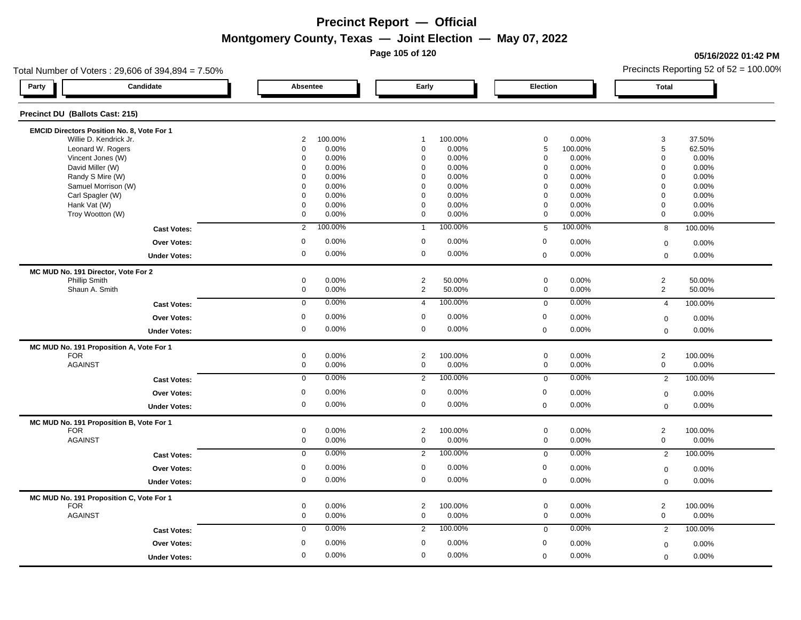**Page 105 of 120**

### **05/16/2022 01:42 PM**

| Total Number of Voters: 29,606 of 394,894 = 7.50% |                     |                |                  | Precincts Reporting 52 of $52 = 100.00\%$ |  |  |
|---------------------------------------------------|---------------------|----------------|------------------|-------------------------------------------|--|--|
| Candidate<br>Party                                | Absentee            | Early          | Election         | <b>Total</b>                              |  |  |
| Precinct DU (Ballots Cast: 215)                   |                     |                |                  |                                           |  |  |
| EMCID Directors Position No. 8, Vote For 1        |                     |                |                  |                                           |  |  |
| Willie D. Kendrick Jr.                            | $\overline{2}$      | 100.00%        | $\pmb{0}$        | 3                                         |  |  |
|                                                   | 100.00%             | $\overline{1}$ | 0.00%            | 37.50%                                    |  |  |
| Leonard W. Rogers                                 | $\mathbf 0$         | $\mathbf 0$    | $\,$ 5 $\,$      | $\sqrt{5}$                                |  |  |
|                                                   | 0.00%               | 0.00%          | 100.00%          | 62.50%                                    |  |  |
| Vincent Jones (W)                                 | 0                   | $\mathbf 0$    | $\mathbf 0$      | $\mathbf 0$                               |  |  |
|                                                   | 0.00%               | 0.00%          | 0.00%            | 0.00%                                     |  |  |
| David Miller (W)                                  | $\mathbf 0$         | $\mathbf 0$    | 0.00%            | $\mathbf 0$                               |  |  |
|                                                   | 0.00%               | 0.00%          | 0                | 0.00%                                     |  |  |
| Randy S Mire (W)                                  | 0.00%               | $\Omega$       | $\Omega$         | $\mathbf 0$                               |  |  |
|                                                   | $\Omega$            | 0.00%          | 0.00%            | 0.00%                                     |  |  |
| Samuel Morrison (W)                               | 0.00%               | $\mathbf 0$    | $\mathbf 0$      | $\mathbf 0$                               |  |  |
|                                                   | $\Omega$            | 0.00%          | 0.00%            | 0.00%                                     |  |  |
| Carl Spagler (W)                                  | $\Omega$            | $\mathbf 0$    | $\mathbf 0$      | $\mathbf 0$                               |  |  |
|                                                   | 0.00%               | 0.00%          | 0.00%            | 0.00%                                     |  |  |
| Hank Vat (W)                                      | $\mathbf 0$         | $\mathbf 0$    | $\mathbf 0$      | $\mathbf 0$                               |  |  |
|                                                   | 0.00%               | 0.00%          | 0.00%            | 0.00%                                     |  |  |
| Troy Wootton (W)                                  | 0                   | $\mathbf{0}$   | $\mathbf 0$      | $\mathbf 0$                               |  |  |
|                                                   | 0.00%               | 0.00%          | 0.00%            | 0.00%                                     |  |  |
| <b>Cast Votes:</b>                                | 100.00%             | 100.00%        | 100.00%          | 100.00%                                   |  |  |
|                                                   | $\overline{2}$      | $\mathbf{1}$   | $5\phantom{.0}$  | 8                                         |  |  |
| <b>Over Votes:</b>                                | $\mathbf 0$         | $\mathbf 0$    | $\mathbf 0$      | 0.00%                                     |  |  |
|                                                   | 0.00%               | 0.00%          | 0.00%            | $\mathbf 0$                               |  |  |
| <b>Under Votes:</b>                               | 0.00%               | 0.00%          | 0.00%            | 0.00%                                     |  |  |
|                                                   | 0                   | $\mathbf 0$    | $\mathbf 0$      | $\mathbf 0$                               |  |  |
| MC MUD No. 191 Director, Vote For 2               |                     |                |                  |                                           |  |  |
| Phillip Smith                                     | 0                   | $\overline{2}$ | $\mathsf 0$      | $\overline{c}$                            |  |  |
|                                                   | 0.00%               | 50.00%         | 0.00%            | 50.00%                                    |  |  |
| Shaun A. Smith                                    | $\mathbf 0$         | 2              | $\mathbf 0$      | 2                                         |  |  |
|                                                   | 0.00%               | 50.00%         | 0.00%            | 50.00%                                    |  |  |
| <b>Cast Votes:</b>                                | 0.00%               | $\overline{4}$ | 0.00%            | 100.00%                                   |  |  |
|                                                   | $\mathbf 0$         | 100.00%        | $\mathbf 0$      | $\overline{4}$                            |  |  |
| Over Votes:                                       | $\mathbf 0$         | $\mathbf 0$    | $\mathbf 0$      | 0.00%                                     |  |  |
|                                                   | 0.00%               | 0.00%          | 0.00%            | $\mathbf 0$                               |  |  |
| <b>Under Votes:</b>                               | $\mathsf{O}\xspace$ | $\mathbf 0$    | 0.00%            | $\mathbf 0$                               |  |  |
|                                                   | 0.00%               | 0.00%          | $\mathbf 0$      | 0.00%                                     |  |  |
| MC MUD No. 191 Proposition A, Vote For 1          |                     |                |                  |                                           |  |  |
| <b>FOR</b>                                        | 0                   | $\overline{2}$ | 0.00%            | $\sqrt{2}$                                |  |  |
|                                                   | 0.00%               | 100.00%        | $\mathbf 0$      | 100.00%                                   |  |  |
| <b>AGAINST</b>                                    | $\mathsf{O}\xspace$ | $\mathbf 0$    | $\mathbf 0$      | $\mathbf 0$                               |  |  |
|                                                   | 0.00%               | 0.00%          | 0.00%            | 0.00%                                     |  |  |
| <b>Cast Votes:</b>                                | 0.00%               | $\overline{2}$ | 0.00%            | 100.00%                                   |  |  |
|                                                   | $\overline{0}$      | 100.00%        | $\mathbf 0$      | 2                                         |  |  |
| Over Votes:                                       | 0.00%               | $\mathbf 0$    | $\boldsymbol{0}$ | 0.00%                                     |  |  |
|                                                   | $\mathbf 0$         | 0.00%          | 0.00%            | $\boldsymbol{0}$                          |  |  |
| <b>Under Votes:</b>                               | 0                   | $\mathbf 0$    | 0.00%            | 0.00%                                     |  |  |
|                                                   | 0.00%               | 0.00%          | $\mathbf 0$      | $\mathbf 0$                               |  |  |
| MC MUD No. 191 Proposition B, Vote For 1          |                     |                |                  |                                           |  |  |
| <b>FOR</b>                                        | 0.00%               | $\overline{2}$ | $\mathbf 0$      | $\overline{2}$                            |  |  |
|                                                   | 0                   | 100.00%        | 0.00%            | 100.00%                                   |  |  |
| <b>AGAINST</b>                                    | $\mathsf{O}\xspace$ | $\mathbf 0$    | 0.00%            | $\mathsf{O}\xspace$                       |  |  |
|                                                   | 0.00%               | 0.00%          | $\mathbf 0$      | 0.00%                                     |  |  |
| <b>Cast Votes:</b>                                | 0.00%               | $\overline{2}$ | 0.00%            | 100.00%                                   |  |  |
|                                                   | $\mathbf 0$         | 100.00%        | $\mathbf 0$      | $\overline{2}$                            |  |  |
| <b>Over Votes:</b>                                | 0.00%               | $\mathbf 0$    | $\mathbf 0$      | 0.00%                                     |  |  |
|                                                   | 0                   | 0.00%          | 0.00%            | $\mathbf 0$                               |  |  |
| <b>Under Votes:</b>                               | 0                   | $\mathbf 0$    | 0.00%            | 0.00%                                     |  |  |
|                                                   | 0.00%               | 0.00%          | $\mathbf 0$      | $\mathbf 0$                               |  |  |
| MC MUD No. 191 Proposition C, Vote For 1          |                     |                |                  |                                           |  |  |
| <b>FOR</b>                                        | 0                   | $\overline{2}$ | $\mathbf 0$      | $\overline{2}$                            |  |  |
|                                                   | 0.00%               | 100.00%        | 0.00%            | 100.00%                                   |  |  |
| <b>AGAINST</b>                                    | $\mathbf 0$         | $\mathbf 0$    | $\mathbf 0$      | $\mathbf{0}$                              |  |  |
|                                                   | 0.00%               | 0.00%          | 0.00%            | 0.00%                                     |  |  |
| <b>Cast Votes:</b>                                | 0.00%               | 100.00%        | 0.00%            | 100.00%                                   |  |  |
|                                                   | $\mathbf 0$         | $\overline{2}$ | $\mathbf 0$      | $\overline{2}$                            |  |  |
| <b>Over Votes:</b>                                | $\mathbf 0$         | $\mathbf 0$    | $\boldsymbol{0}$ | $\mathbf 0$                               |  |  |
|                                                   | 0.00%               | 0.00%          | 0.00%            | 0.00%                                     |  |  |
| <b>Under Votes:</b>                               | 0                   | $\mathbf 0$    | 0.00%            | 0.00%                                     |  |  |
|                                                   | 0.00%               | 0.00%          | $\mathbf 0$      | $\mathbf 0$                               |  |  |
|                                                   |                     |                |                  |                                           |  |  |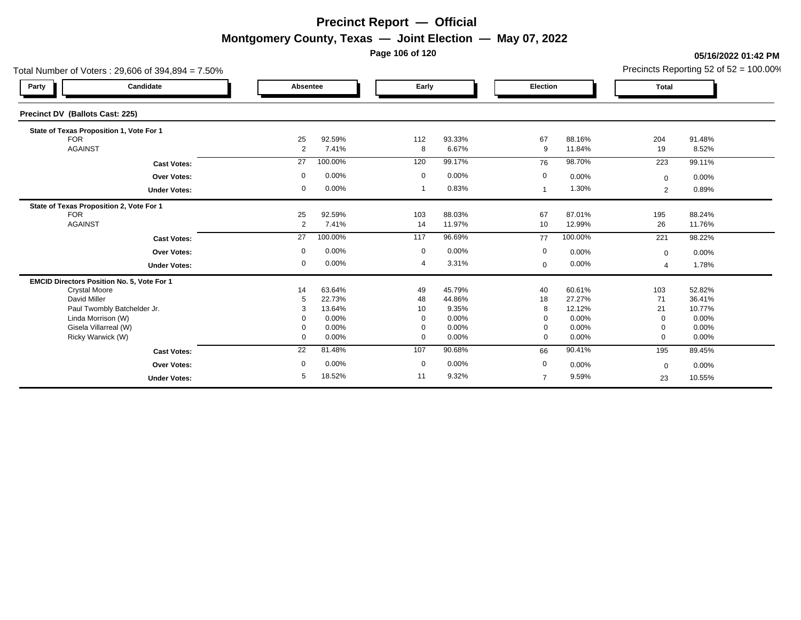**Page 106 of 120**

#### **05/16/2022 01:42 PM**

|                                             | Total Number of Voters: 29,606 of 394,894 = 7.50% |              |                  | Precincts Reporting 52 of $52 = 100.00\%$ |                  |                |                  |                          |                  |
|---------------------------------------------|---------------------------------------------------|--------------|------------------|-------------------------------------------|------------------|----------------|------------------|--------------------------|------------------|
| Party                                       | Candidate                                         | Absentee     |                  | Early                                     |                  | Election       |                  | <b>Total</b>             |                  |
| Precinct DV (Ballots Cast: 225)             |                                                   |              |                  |                                           |                  |                |                  |                          |                  |
| State of Texas Proposition 1, Vote For 1    |                                                   |              |                  |                                           |                  |                |                  |                          |                  |
| <b>FOR</b><br><b>AGAINST</b>                |                                                   | 25           | 92.59%           | 112                                       | 93.33%           | 67             | 88.16%           | 204                      | 91.48%           |
|                                             |                                                   | 2            | 7.41%            | 8                                         | 6.67%            | 9              | 11.84%           | 19                       | 8.52%            |
|                                             | <b>Cast Votes:</b>                                | 27           | 100.00%          | 120                                       | 99.17%           | 76             | 98.70%           | 223                      | 99.11%           |
|                                             | Over Votes:                                       | 0            | 0.00%            | $\mathbf 0$                               | 0.00%            | 0              | 0.00%            | $\mathbf 0$              | 0.00%            |
|                                             | <b>Under Votes:</b>                               | 0            | 0.00%            | $\mathbf 1$                               | 0.83%            | $\mathbf{1}$   | 1.30%            | 2                        | 0.89%            |
| State of Texas Proposition 2, Vote For 1    |                                                   |              |                  |                                           |                  |                |                  |                          |                  |
| <b>FOR</b><br><b>AGAINST</b>                |                                                   | 25<br>2      | 92.59%<br>7.41%  | 103<br>14                                 | 88.03%<br>11.97% | 67<br>10       | 87.01%<br>12.99% | 195<br>26                | 88.24%<br>11.76% |
|                                             |                                                   |              |                  |                                           |                  |                |                  |                          |                  |
|                                             | <b>Cast Votes:</b>                                | 27           | 100.00%          | 117                                       | 96.69%           | 77             | 100.00%          | 221                      | 98.22%           |
|                                             | <b>Over Votes:</b>                                | 0            | 0.00%            | $\mathbf 0$                               | 0.00%            | 0              | 0.00%            | $\mathbf 0$              | 0.00%            |
|                                             | <b>Under Votes:</b>                               | 0            | 0.00%            | 4                                         | 3.31%            | $\mathbf 0$    | 0.00%            | $\overline{\mathcal{A}}$ | 1.78%            |
| EMCID Directors Position No. 5, Vote For 1  |                                                   |              |                  |                                           |                  |                |                  |                          |                  |
| <b>Crystal Moore</b>                        |                                                   | 14           | 63.64%           | 49                                        | 45.79%           | 40             | 60.61%           | 103                      | 52.82%           |
| David Miller<br>Paul Twombly Batchelder Jr. |                                                   | 5<br>3       | 22.73%<br>13.64% | 48<br>10                                  | 44.86%<br>9.35%  | 18<br>8        | 27.27%<br>12.12% | 71<br>21                 | 36.41%<br>10.77% |
| Linda Morrison (W)                          |                                                   |              | 0.00%            | 0                                         | 0.00%            | 0              | 0.00%            | $\mathbf 0$              | 0.00%            |
| Gisela Villarreal (W)                       |                                                   | 0            | 0.00%            | 0                                         | 0.00%            | $\mathbf 0$    | 0.00%            | $\Omega$                 | 0.00%            |
| Ricky Warwick (W)                           |                                                   | $\mathbf{0}$ | 0.00%            | $\mathbf 0$                               | 0.00%            | $\mathbf 0$    | 0.00%            | $\mathbf 0$              | 0.00%            |
|                                             | <b>Cast Votes:</b>                                | 22           | 81.48%           | 107                                       | 90.68%           | 66             | 90.41%           | 195                      | 89.45%           |
|                                             | <b>Over Votes:</b>                                | 0            | 0.00%            | $\mathbf 0$                               | $0.00\%$         | $\mathbf 0$    | 0.00%            | $\mathbf 0$              | 0.00%            |
|                                             | <b>Under Votes:</b>                               | 5            | 18.52%           | 11                                        | 9.32%            | $\overline{7}$ | 9.59%            | 23                       | 10.55%           |
|                                             |                                                   |              |                  |                                           |                  |                |                  |                          |                  |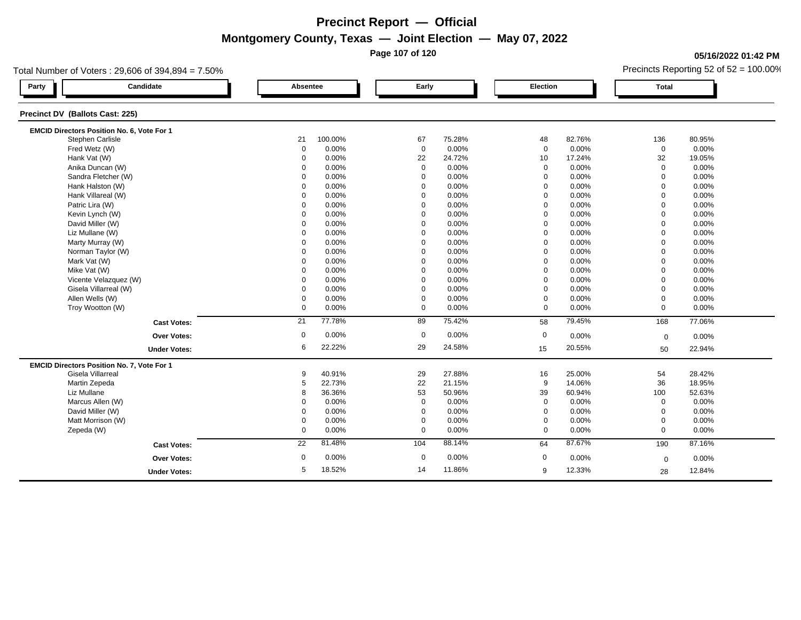**Page 107 of 120**

### **05/16/2022 01:42 PM**

| Candidate<br>Party<br>Precinct DV (Ballots Cast: 225)<br>EMCID Directors Position No. 6, Vote For 1<br>Stephen Carlisle<br>Fred Wetz (W)<br>Hank Vat (W)<br>Anika Duncan (W) | Absentee<br>21<br>0<br>$\mathbf 0$ | 100.00%<br>0.00% | Early<br>67 |        | <b>Election</b> |        | <b>Total</b>        |        |
|------------------------------------------------------------------------------------------------------------------------------------------------------------------------------|------------------------------------|------------------|-------------|--------|-----------------|--------|---------------------|--------|
|                                                                                                                                                                              |                                    |                  |             |        |                 |        |                     |        |
|                                                                                                                                                                              |                                    |                  |             |        |                 |        |                     |        |
|                                                                                                                                                                              |                                    |                  |             |        |                 |        |                     |        |
|                                                                                                                                                                              |                                    |                  |             | 75.28% | 48              | 82.76% | 136                 | 80.95% |
|                                                                                                                                                                              |                                    |                  | $\mathbf 0$ | 0.00%  | $\mathbf 0$     | 0.00%  | $\mathsf{O}\xspace$ | 0.00%  |
|                                                                                                                                                                              |                                    | 0.00%            | 22          | 24.72% | 10              | 17.24% | 32                  | 19.05% |
|                                                                                                                                                                              | $\Omega$                           | 0.00%            | $\mathbf 0$ | 0.00%  | $\mathbf 0$     | 0.00%  | $\mathbf 0$         | 0.00%  |
| Sandra Fletcher (W)                                                                                                                                                          | 0                                  | 0.00%            | $\mathbf 0$ | 0.00%  | $\mathbf 0$     | 0.00%  | $\mathbf 0$         | 0.00%  |
| Hank Halston (W)                                                                                                                                                             | $\Omega$                           | 0.00%            | $\Omega$    | 0.00%  | $\Omega$        | 0.00%  | $\Omega$            | 0.00%  |
| Hank Villareal (W)                                                                                                                                                           | $\Omega$                           | 0.00%            | $\mathbf 0$ | 0.00%  | $\mathbf 0$     | 0.00%  | $\mathbf 0$         | 0.00%  |
| Patric Lira (W)                                                                                                                                                              | $\mathbf 0$                        | 0.00%            | $\mathbf 0$ | 0.00%  | $\mathbf 0$     | 0.00%  | $\mathbf 0$         | 0.00%  |
| Kevin Lynch (W)                                                                                                                                                              | 0                                  | 0.00%            | $\mathbf 0$ | 0.00%  | $\Omega$        | 0.00%  | $\mathbf 0$         | 0.00%  |
| David Miller (W)                                                                                                                                                             | $\Omega$                           | 0.00%            | $\mathbf 0$ | 0.00%  | $\mathbf 0$     | 0.00%  | $\Omega$            | 0.00%  |
| Liz Mullane (W)                                                                                                                                                              | $\Omega$                           | 0.00%            | $\mathbf 0$ | 0.00%  | $\mathbf 0$     | 0.00%  | $\mathbf 0$         | 0.00%  |
| Marty Murray (W)                                                                                                                                                             | $\Omega$                           | 0.00%            | $\mathbf 0$ | 0.00%  | $\mathbf 0$     | 0.00%  | $\Omega$            | 0.00%  |
| Norman Taylor (W)                                                                                                                                                            | $\Omega$                           | 0.00%            | $\mathbf 0$ | 0.00%  | $\mathbf 0$     | 0.00%  | $\Omega$            | 0.00%  |
| Mark Vat (W)                                                                                                                                                                 | $\Omega$                           | 0.00%            | $\mathbf 0$ | 0.00%  | $\Omega$        | 0.00%  | $\Omega$            | 0.00%  |
| Mike Vat (W)                                                                                                                                                                 | $\Omega$                           | 0.00%            | $\Omega$    | 0.00%  | $\mathbf 0$     | 0.00%  | $\Omega$            | 0.00%  |
| Vicente Velazquez (W)                                                                                                                                                        | $\Omega$                           | 0.00%            | $\Omega$    | 0.00%  | $\mathbf 0$     | 0.00%  | $\Omega$            | 0.00%  |
| Gisela Villarreal (W)                                                                                                                                                        | $\Omega$                           | 0.00%            | $\mathbf 0$ | 0.00%  | $\mathbf 0$     | 0.00%  | $\Omega$            | 0.00%  |
| Allen Wells (W)                                                                                                                                                              | 0                                  | 0.00%            | $\mathbf 0$ | 0.00%  | $\mathbf 0$     | 0.00%  | $\mathbf 0$         | 0.00%  |
| Troy Wootton (W)                                                                                                                                                             | $\mathbf 0$                        | 0.00%            | $\mathbf 0$ | 0.00%  | $\mathbf 0$     | 0.00%  | $\mathbf 0$         | 0.00%  |
| <b>Cast Votes:</b>                                                                                                                                                           | 21                                 | 77.78%           | 89          | 75.42% | 58              | 79.45% | 168                 | 77.06% |
| <b>Over Votes:</b>                                                                                                                                                           | 0                                  | 0.00%            | $\mathbf 0$ | 0.00%  | $\mathbf 0$     | 0.00%  | $\mathbf 0$         | 0.00%  |
| <b>Under Votes:</b>                                                                                                                                                          | 6                                  | 22.22%           | 29          | 24.58% | 15              | 20.55% | 50                  | 22.94% |
| EMCID Directors Position No. 7, Vote For 1                                                                                                                                   |                                    |                  |             |        |                 |        |                     |        |
| Gisela Villarreal                                                                                                                                                            | 9                                  | 40.91%           | 29          | 27.88% | 16              | 25.00% | 54                  | 28.42% |
| Martin Zepeda                                                                                                                                                                | 5                                  | 22.73%           | 22          | 21.15% | 9               | 14.06% | 36                  | 18.95% |
| Liz Mullane                                                                                                                                                                  | 8                                  | 36.36%           | 53          | 50.96% | 39              | 60.94% | 100                 | 52.63% |
| Marcus Allen (W)                                                                                                                                                             | $\Omega$                           | 0.00%            | $\mathbf 0$ | 0.00%  | $\mathbf 0$     | 0.00%  | $\mathbf 0$         | 0.00%  |
| David Miller (W)                                                                                                                                                             | $\Omega$                           | 0.00%            | $\mathbf 0$ | 0.00%  | $\mathbf 0$     | 0.00%  | $\mathbf 0$         | 0.00%  |
| Matt Morrison (W)                                                                                                                                                            | 0                                  | 0.00%            | $\mathbf 0$ | 0.00%  | $\mathbf 0$     | 0.00%  | $\mathbf 0$         | 0.00%  |
| Zepeda (W)                                                                                                                                                                   | 0                                  | 0.00%            | $\mathbf 0$ | 0.00%  | $\mathbf 0$     | 0.00%  | $\mathbf 0$         | 0.00%  |
| <b>Cast Votes:</b>                                                                                                                                                           | 22                                 | 81.48%           | 104         | 88.14% | 64              | 87.67% | 190                 | 87.16% |
| <b>Over Votes:</b>                                                                                                                                                           | $\mathbf 0$                        | 0.00%            | $\mathbf 0$ | 0.00%  | 0               | 0.00%  | $\mathbf 0$         | 0.00%  |
| <b>Under Votes:</b>                                                                                                                                                          | 5                                  | 18.52%           | 14          | 11.86% | 9               | 12.33% | 28                  | 12.84% |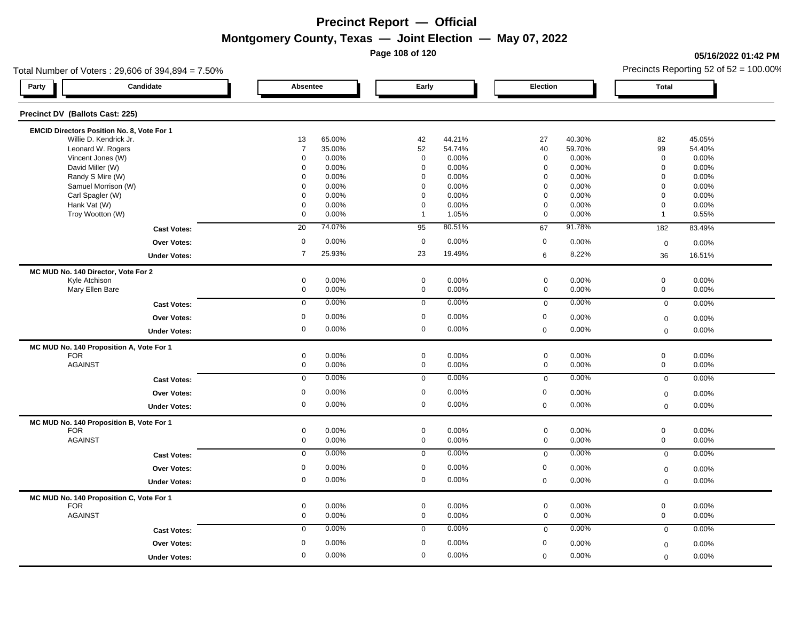**Page 108 of 120**

### **05/16/2022 01:42 PM**

| Total Number of Voters: 29,606 of 394,894 = 7.50% |                     |        |              |        |                  |        | Precincts Reporting 52 of $52 = 100.00\%$ |        |  |
|---------------------------------------------------|---------------------|--------|--------------|--------|------------------|--------|-------------------------------------------|--------|--|
| Candidate<br>Party                                | Absentee            |        | Early        |        | Election         |        | <b>Total</b>                              |        |  |
| Precinct DV (Ballots Cast: 225)                   |                     |        |              |        |                  |        |                                           |        |  |
| EMCID Directors Position No. 8, Vote For 1        |                     |        |              |        |                  |        |                                           |        |  |
| Willie D. Kendrick Jr.                            | 13                  | 65.00% | 42           | 44.21% | 27               | 40.30% | 82                                        | 45.05% |  |
| Leonard W. Rogers                                 | $\overline{7}$      | 35.00% | 52           | 54.74% | 40               | 59.70% | 99                                        | 54.40% |  |
| Vincent Jones (W)                                 | 0                   | 0.00%  | $\mathbf 0$  | 0.00%  | $\mathbf 0$      | 0.00%  | $\mathbf 0$                               | 0.00%  |  |
| David Miller (W)                                  | 0                   | 0.00%  | $\mathbf 0$  | 0.00%  | $\mathbf 0$      | 0.00%  | $\mathbf 0$                               | 0.00%  |  |
| Randy S Mire (W)                                  | $\Omega$            | 0.00%  | $\mathbf 0$  | 0.00%  | $\mathbf 0$      | 0.00%  | $\mathbf 0$                               | 0.00%  |  |
| Samuel Morrison (W)                               | $\Omega$            | 0.00%  | $\mathbf 0$  | 0.00%  | $\mathbf 0$      | 0.00%  | $\mathbf 0$                               | 0.00%  |  |
| Carl Spagler (W)                                  | $\Omega$            | 0.00%  | $\mathbf 0$  | 0.00%  | $\mathbf 0$      | 0.00%  | $\mathbf 0$                               | 0.00%  |  |
| Hank Vat (W)                                      | $\mathbf 0$         | 0.00%  | $\mathbf 0$  | 0.00%  | $\mathbf 0$      | 0.00%  | $\mathbf 0$                               | 0.00%  |  |
| Troy Wootton (W)                                  | 0                   | 0.00%  | $\mathbf{1}$ | 1.05%  | $\mathbf 0$      | 0.00%  | $\mathbf{1}$                              | 0.55%  |  |
| <b>Cast Votes:</b>                                | 20                  | 74.07% | 95           | 80.51% | 67               | 91.78% | 182                                       | 83.49% |  |
| <b>Over Votes:</b>                                | $\mathbf 0$         | 0.00%  | $\mathbf 0$  | 0.00%  | $\mathbf 0$      | 0.00%  | $\mathbf 0$                               | 0.00%  |  |
| <b>Under Votes:</b>                               | $\overline{7}$      | 25.93% | 23           | 19.49% | 6                | 8.22%  | 36                                        | 16.51% |  |
| MC MUD No. 140 Director, Vote For 2               |                     |        |              |        |                  |        |                                           |        |  |
| Kyle Atchison                                     | 0                   | 0.00%  | $\mathbf 0$  | 0.00%  | $\mathsf 0$      | 0.00%  | $\mathsf{O}\xspace$                       | 0.00%  |  |
| Mary Ellen Bare                                   | $\mathbf 0$         | 0.00%  | $\mathbf 0$  | 0.00%  | $\mathbf 0$      | 0.00%  | $\mathbf 0$                               | 0.00%  |  |
| <b>Cast Votes:</b>                                | $\mathbf 0$         | 0.00%  | $\mathbf 0$  | 0.00%  | $\mathbf 0$      | 0.00%  | $\mathbf 0$                               | 0.00%  |  |
| Over Votes:                                       | $\mathbf 0$         | 0.00%  | $\mathbf 0$  | 0.00%  | $\mathbf 0$      | 0.00%  | $\mathbf 0$                               | 0.00%  |  |
| <b>Under Votes:</b>                               | $\mathsf{O}\xspace$ | 0.00%  | $\mathbf 0$  | 0.00%  | $\mathbf 0$      | 0.00%  | $\mathsf 0$                               | 0.00%  |  |
| MC MUD No. 140 Proposition A, Vote For 1          |                     |        |              |        |                  |        |                                           |        |  |
| <b>FOR</b>                                        | 0                   | 0.00%  | $\mathsf 0$  | 0.00%  | $\mathbf 0$      | 0.00%  | $\mathsf{O}\xspace$                       | 0.00%  |  |
| <b>AGAINST</b>                                    | $\mathsf{O}\xspace$ | 0.00%  | $\mathbf 0$  | 0.00%  | $\mathbf 0$      | 0.00%  | $\mathbf 0$                               | 0.00%  |  |
| <b>Cast Votes:</b>                                | $\overline{0}$      | 0.00%  | $\mathbf 0$  | 0.00%  | $\mathbf 0$      | 0.00%  | $\mathbf 0$                               | 0.00%  |  |
| Over Votes:                                       | $\mathbf 0$         | 0.00%  | $\mathbf 0$  | 0.00%  | $\boldsymbol{0}$ | 0.00%  | $\boldsymbol{0}$                          | 0.00%  |  |
| <b>Under Votes:</b>                               | 0                   | 0.00%  | $\mathbf 0$  | 0.00%  | $\mathbf 0$      | 0.00%  | $\mathbf 0$                               | 0.00%  |  |
| MC MUD No. 140 Proposition B, Vote For 1          |                     |        |              |        |                  |        |                                           |        |  |
| <b>FOR</b>                                        | 0                   | 0.00%  | $\mathbf 0$  | 0.00%  | $\mathbf 0$      | 0.00%  | $\mathbf 0$                               | 0.00%  |  |
| <b>AGAINST</b>                                    | $\mathsf{O}\xspace$ | 0.00%  | $\mathbf 0$  | 0.00%  | $\mathbf 0$      | 0.00%  | $\mathsf{O}\xspace$                       | 0.00%  |  |
| <b>Cast Votes:</b>                                | $\mathbf 0$         | 0.00%  | $\mathbf 0$  | 0.00%  | $\mathbf 0$      | 0.00%  | $\mathbf 0$                               | 0.00%  |  |
| <b>Over Votes:</b>                                | 0                   | 0.00%  | $\mathbf 0$  | 0.00%  | $\mathbf 0$      | 0.00%  | $\mathbf 0$                               | 0.00%  |  |
| <b>Under Votes:</b>                               | 0                   | 0.00%  | $\mathbf 0$  | 0.00%  | $\mathbf 0$      | 0.00%  | $\mathbf 0$                               | 0.00%  |  |
| MC MUD No. 140 Proposition C, Vote For 1          |                     |        |              |        |                  |        |                                           |        |  |
| <b>FOR</b>                                        | 0                   | 0.00%  | $\mathbf 0$  | 0.00%  | $\mathbf 0$      | 0.00%  | $\mathbf 0$                               | 0.00%  |  |
| <b>AGAINST</b>                                    | $\mathbf 0$         | 0.00%  | $\mathbf 0$  | 0.00%  | $\mathbf 0$      | 0.00%  | $\mathbf{0}$                              | 0.00%  |  |
| <b>Cast Votes:</b>                                | $\mathbf 0$         | 0.00%  | $\mathbf 0$  | 0.00%  | $\mathbf 0$      | 0.00%  | $\mathbf 0$                               | 0.00%  |  |
| <b>Over Votes:</b>                                | $\mathbf 0$         | 0.00%  | $\mathbf 0$  | 0.00%  | $\boldsymbol{0}$ | 0.00%  | $\mathbf 0$                               | 0.00%  |  |
| <b>Under Votes:</b>                               | 0                   | 0.00%  | $\mathbf 0$  | 0.00%  | $\mathbf 0$      | 0.00%  | $\mathbf 0$                               | 0.00%  |  |
|                                                   |                     |        |              |        |                  |        |                                           |        |  |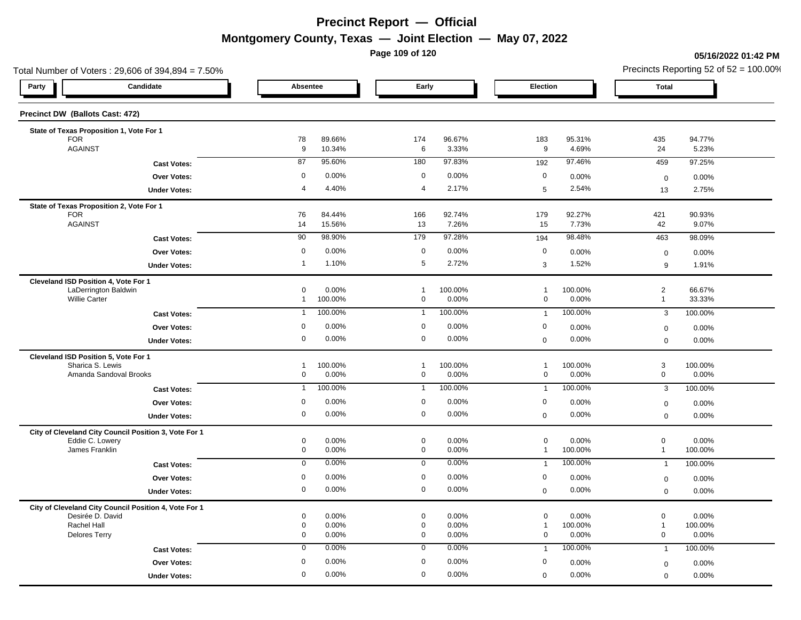**Page 109 of 120**

#### **05/16/2022 01:42 PM**

| Total Number of Voters: 29,606 of 394,894 = 7.50%        |                          |                  |                            |                  |                   |                  |                                    | Precincts Reporting 52 of 52 = 100.00% |
|----------------------------------------------------------|--------------------------|------------------|----------------------------|------------------|-------------------|------------------|------------------------------------|----------------------------------------|
| Candidate<br>Party                                       | Absentee                 |                  | Early                      |                  | Election          |                  | <b>Total</b>                       |                                        |
| Precinct DW (Ballots Cast: 472)                          |                          |                  |                            |                  |                   |                  |                                    |                                        |
| State of Texas Proposition 1, Vote For 1                 |                          |                  |                            |                  |                   |                  |                                    |                                        |
| <b>FOR</b><br><b>AGAINST</b>                             | 78<br>$9\,$              | 89.66%<br>10.34% | 174<br>$6\phantom{1}$      | 96.67%<br>3.33%  | 183<br>9          | 95.31%<br>4.69%  | 435<br>24                          | 94.77%<br>5.23%                        |
| <b>Cast Votes:</b>                                       | 87                       | 95.60%           | 180                        | 97.83%           | 192               | 97.46%           | 459                                | 97.25%                                 |
| Over Votes:                                              | $\mathbf 0$              | 0.00%            | $\mathbf 0$                | 0.00%            | $\pmb{0}$         | 0.00%            |                                    | 0.00%                                  |
| <b>Under Votes:</b>                                      | $\overline{4}$           | 4.40%            | $\overline{4}$             | 2.17%            | $5\phantom{.0}$   | 2.54%            | $\mathbf 0$<br>13                  | 2.75%                                  |
|                                                          |                          |                  |                            |                  |                   |                  |                                    |                                        |
| State of Texas Proposition 2, Vote For 1<br><b>FOR</b>   | 76                       | 84.44%           | 166                        | 92.74%           | 179               | 92.27%           | 421                                | 90.93%                                 |
| <b>AGAINST</b>                                           | 14                       | 15.56%           | 13                         | 7.26%            | 15                | 7.73%            | 42                                 | 9.07%                                  |
| <b>Cast Votes:</b>                                       | 90                       | 98.90%           | 179                        | 97.28%           | 194               | 98.48%           | 463                                | 98.09%                                 |
| Over Votes:                                              | $\mathbf 0$              | 0.00%            | $\mathbf 0$                | 0.00%            | $\mathbf 0$       | 0.00%            | $\mathbf 0$                        | 0.00%                                  |
| <b>Under Votes:</b>                                      | $\mathbf{1}$             | 1.10%            | $5\phantom{.0}$            | 2.72%            | $\mathbf{3}$      | 1.52%            | 9                                  | 1.91%                                  |
| Cleveland ISD Position 4, Vote For 1                     |                          |                  |                            |                  |                   |                  |                                    |                                        |
| LaDerrington Baldwin                                     | $\pmb{0}$                | 0.00%            | $\mathbf{1}$               | 100.00%          | $\mathbf{1}$      | 100.00%          | $\sqrt{2}$                         | 66.67%                                 |
| <b>Willie Carter</b>                                     | $\mathbf{1}$             | 100.00%          | $\mathsf 0$                | 0.00%            | $\mathsf{O}$      | 0.00%            | $\mathbf{1}$                       | 33.33%                                 |
| <b>Cast Votes:</b>                                       | $\mathbf{1}$             | 100.00%          | $\mathbf{1}$               | 100.00%          | $\overline{1}$    | 100.00%          | $\mathbf{3}$                       | 100.00%                                |
| Over Votes:                                              | $\mathbf 0$              | 0.00%            | $\mathbf 0$                | 0.00%            | $\pmb{0}$         | 0.00%            | $\mathbf 0$                        | 0.00%                                  |
| <b>Under Votes:</b>                                      | $\mathbf 0$              | 0.00%            | $\mathbf 0$                | 0.00%            | $\mathbf 0$       | 0.00%            | $\mathbf 0$                        | 0.00%                                  |
| Cleveland ISD Position 5, Vote For 1<br>Sharica S. Lewis | $\mathbf{1}$             |                  | $\overline{1}$             |                  | $\mathbf{1}$      | 100.00%          |                                    | 100.00%                                |
| Amanda Sandoval Brooks                                   | $\mathbf 0$              | 100.00%<br>0.00% | $\mathsf 0$                | 100.00%<br>0.00% | $\mathsf{O}$      | 0.00%            | $\mathbf 3$<br>$\mathsf{O}\xspace$ | 0.00%                                  |
| <b>Cast Votes:</b>                                       | $\overline{1}$           | 100.00%          | $\overline{1}$             | 100.00%          | $\overline{1}$    | 100.00%          | 3                                  | 100.00%                                |
| Over Votes:                                              | $\mathbf 0$              | 0.00%            | $\mathbf 0$                | 0.00%            | $\pmb{0}$         | 0.00%            | $\mathbf 0$                        | 0.00%                                  |
| <b>Under Votes:</b>                                      | $\mathbf 0$              | 0.00%            | $\mathbf 0$                | 0.00%            | $\mathbf 0$       | 0.00%            | $\mathbf 0$                        | 0.00%                                  |
| City of Cleveland City Council Position 3, Vote For 1    |                          |                  |                            |                  |                   |                  |                                    |                                        |
| Eddie C. Lowery                                          | $\pmb{0}$                | 0.00%            | $\mathbf 0$                | 0.00%            | 0                 | 0.00%            | $\mathbf 0$                        | 0.00%                                  |
| James Franklin                                           | $\mathbf 0$              | 0.00%            | $\mathbf 0$                | 0.00%            | $\mathbf{1}$      | 100.00%          | $\mathbf{1}$                       | 100.00%                                |
| <b>Cast Votes:</b>                                       | $\mathbf 0$              | 0.00%            | $\overline{0}$             | 0.00%            | $\overline{1}$    | 100.00%          | $\overline{1}$                     | 100.00%                                |
| Over Votes:                                              | $\mathbf 0$              | 0.00%            | $\mathbf 0$                | 0.00%            | $\mathbf 0$       | 0.00%            | $\boldsymbol{0}$                   | 0.00%                                  |
| <b>Under Votes:</b>                                      | $\mathbf 0$              | 0.00%            | $\mathbf 0$                | 0.00%            | $\mathbf 0$       | 0.00%            | $\mathbf 0$                        | 0.00%                                  |
| City of Cleveland City Council Position 4, Vote For 1    |                          |                  |                            |                  |                   |                  |                                    |                                        |
| Desirée D. David<br>Rachel Hall                          | $\pmb{0}$<br>$\mathbf 0$ | 0.00%<br>0.00%   | $\mathbf 0$<br>$\mathbf 0$ | 0.00%<br>0.00%   | 0<br>$\mathbf{1}$ | 0.00%<br>100.00% | $\pmb{0}$<br>$\mathbf{1}$          | 0.00%<br>100.00%                       |
| <b>Delores Terry</b>                                     | $\pmb{0}$                | 0.00%            | $\mathbf 0$                | 0.00%            | 0                 | 0.00%            | $\mathbf 0$                        | 0.00%                                  |
| <b>Cast Votes:</b>                                       | $\pmb{0}$                | 0.00%            | $\mathbf 0$                | 0.00%            | $\overline{1}$    | 100.00%          | $\overline{1}$                     | 100.00%                                |
| <b>Over Votes:</b>                                       | $\mathbf 0$              | 0.00%            | $\mathbf 0$                | 0.00%            | $\pmb{0}$         | 0.00%            | $\mathbf 0$                        | 0.00%                                  |
| <b>Under Votes:</b>                                      | $\mathbf 0$              | 0.00%            | $\mathbf 0$                | 0.00%            | $\mathbf 0$       | 0.00%            | $\mathbf 0$                        | 0.00%                                  |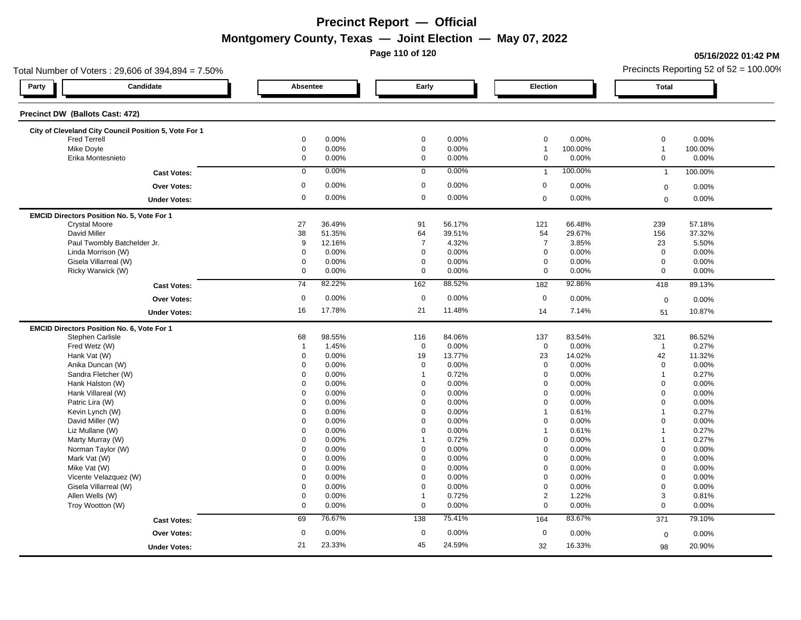**Page 110 of 120**

#### **05/16/2022 01:42 PM**

| Total Number of Voters: 29,606 of 394,894 = 7.50%     |                     |        |                |        |                     |         |                | Precincts Reporting 52 of $52 = 100.00\%$ |
|-------------------------------------------------------|---------------------|--------|----------------|--------|---------------------|---------|----------------|-------------------------------------------|
| Candidate<br>Party                                    | Absentee            |        | Early          |        | Election            |         | <b>Total</b>   |                                           |
| Precinct DW (Ballots Cast: 472)                       |                     |        |                |        |                     |         |                |                                           |
| City of Cleveland City Council Position 5, Vote For 1 |                     |        |                |        |                     |         |                |                                           |
| <b>Fred Terrell</b>                                   | 0                   | 0.00%  | $\mathbf 0$    | 0.00%  | $\pmb{0}$           | 0.00%   | $\mathbf 0$    | 0.00%                                     |
| Mike Doyle                                            | $\mathbf 0$         | 0.00%  | $\mathbf 0$    | 0.00%  | $\overline{1}$      | 100.00% | $\mathbf{1}$   | 100.00%                                   |
| Erika Montesnieto                                     | 0                   | 0.00%  | $\mathbf 0$    | 0.00%  | $\mathbf 0$         | 0.00%   | $\mathbf 0$    | 0.00%                                     |
| <b>Cast Votes:</b>                                    | $\mathbf 0$         | 0.00%  | $\mathbf 0$    | 0.00%  | $\overline{1}$      | 100.00% | $\mathbf{1}$   | 100.00%                                   |
| <b>Over Votes:</b>                                    | 0                   | 0.00%  | $\mathbf 0$    | 0.00%  | $\boldsymbol{0}$    | 0.00%   | $\mathbf 0$    | 0.00%                                     |
| <b>Under Votes:</b>                                   | 0                   | 0.00%  | $\mathbf 0$    | 0.00%  | $\mathbf 0$         | 0.00%   | $\mathbf 0$    | 0.00%                                     |
| EMCID Directors Position No. 5, Vote For 1            |                     |        |                |        |                     |         |                |                                           |
| <b>Crystal Moore</b>                                  | 27                  | 36.49% | 91             | 56.17% | 121                 | 66.48%  | 239            | 57.18%                                    |
| David Miller                                          | 38                  | 51.35% | 64             | 39.51% | 54                  | 29.67%  | 156            | 37.32%                                    |
| Paul Twombly Batchelder Jr.                           | 9                   | 12.16% | $\overline{7}$ | 4.32%  | $\overline{7}$      | 3.85%   | 23             | 5.50%                                     |
| Linda Morrison (W)                                    | $\mathsf{O}\xspace$ | 0.00%  | $\mathbf 0$    | 0.00%  | $\mathsf{O}\xspace$ | 0.00%   | $\mathbf 0$    | 0.00%                                     |
| Gisela Villarreal (W)                                 | $\mathbf 0$         | 0.00%  | $\mathbf 0$    | 0.00%  | $\mathbf 0$         | 0.00%   | $\mathbf 0$    | 0.00%                                     |
| Ricky Warwick (W)                                     | 0                   | 0.00%  | $\mathbf 0$    | 0.00%  | $\mathbf 0$         | 0.00%   | $\mathbf 0$    | 0.00%                                     |
| <b>Cast Votes:</b>                                    | 74                  | 82.22% | 162            | 88.52% | 182                 | 92.86%  | 418            | 89.13%                                    |
| <b>Over Votes:</b>                                    | $\mathsf 0$         | 0.00%  | $\mathbf 0$    | 0.00%  | $\mathbf 0$         | 0.00%   | $\mathbf 0$    | 0.00%                                     |
| <b>Under Votes:</b>                                   | 16                  | 17.78% | 21             | 11.48% | 14                  | 7.14%   | 51             | 10.87%                                    |
| EMCID Directors Position No. 6, Vote For 1            |                     |        |                |        |                     |         |                |                                           |
| Stephen Carlisle                                      | 68                  | 98.55% | 116            | 84.06% | 137                 | 83.54%  | 321            | 86.52%                                    |
| Fred Wetz (W)                                         | $\overline{1}$      | 1.45%  | $\mathbf 0$    | 0.00%  | $\mathbf 0$         | 0.00%   | $\overline{1}$ | 0.27%                                     |
| Hank Vat (W)                                          | 0                   | 0.00%  | 19             | 13.77% | 23                  | 14.02%  | 42             | 11.32%                                    |
| Anika Duncan (W)                                      | 0                   | 0.00%  | $\mathbf 0$    | 0.00%  | $\mathbf 0$         | 0.00%   | $\mathbf 0$    | 0.00%                                     |
| Sandra Fletcher (W)                                   | $\mathbf 0$         | 0.00%  | $\overline{1}$ | 0.72%  | $\mathbf 0$         | 0.00%   | $\overline{1}$ | 0.27%                                     |
| Hank Halston (W)                                      | $\Omega$            | 0.00%  | $\mathbf 0$    | 0.00%  | $\mathbf 0$         | 0.00%   | $\mathbf 0$    | 0.00%                                     |
| Hank Villareal (W)                                    | $\Omega$            | 0.00%  | $\mathbf 0$    | 0.00%  | $\mathbf 0$         | 0.00%   | $\mathbf 0$    | 0.00%                                     |
| Patric Lira (W)                                       | 0                   | 0.00%  | $\mathbf 0$    | 0.00%  | 0                   | 0.00%   | $\mathbf 0$    | 0.00%                                     |
| Kevin Lynch (W)                                       | 0                   | 0.00%  | 0              | 0.00%  | 1                   | 0.61%   | $\overline{1}$ | 0.27%                                     |
| David Miller (W)                                      | $\Omega$            | 0.00%  | $\mathbf 0$    | 0.00%  | $\mathbf 0$         | 0.00%   | $\mathbf 0$    | 0.00%                                     |
| Liz Mullane (W)                                       | $\mathbf 0$         | 0.00%  | $\Omega$       | 0.00%  | $\mathbf{1}$        | 0.61%   | $\overline{1}$ | 0.27%                                     |
| Marty Murray (W)                                      | $\mathbf 0$         | 0.00%  | $\mathbf{1}$   | 0.72%  | $\mathbf 0$         | 0.00%   | $\overline{1}$ | 0.27%                                     |
| Norman Taylor (W)                                     | $\Omega$            | 0.00%  | $\mathbf 0$    | 0.00%  | $\mathbf 0$         | 0.00%   | $\mathbf 0$    | 0.00%                                     |
| Mark Vat (W)                                          | $\Omega$            | 0.00%  | $\mathbf 0$    | 0.00%  | $\mathbf 0$         | 0.00%   | $\mathbf 0$    | 0.00%                                     |
| Mike Vat (W)                                          | 0                   | 0.00%  | $\mathbf 0$    | 0.00%  | $\mathbf 0$         | 0.00%   | $\mathbf 0$    | 0.00%                                     |
| Vicente Velazquez (W)                                 | $\mathbf 0$         | 0.00%  | $\mathbf 0$    | 0.00%  | $\mathbf 0$         | 0.00%   | $\mathbf 0$    | 0.00%                                     |
| Gisela Villarreal (W)                                 | 0                   | 0.00%  | $\mathbf 0$    | 0.00%  | $\mathbf 0$         | 0.00%   | $\mathbf 0$    | 0.00%                                     |
| Allen Wells (W)                                       | 0                   | 0.00%  | $\mathbf{1}$   | 0.72%  | $\overline{2}$      | 1.22%   | 3              | 0.81%                                     |
| Troy Wootton (W)                                      | 0                   | 0.00%  | $\mathbf 0$    | 0.00%  | $\mathbf 0$         | 0.00%   | $\mathbf 0$    | 0.00%                                     |
| <b>Cast Votes:</b>                                    | 69                  | 76.67% | 138            | 75.41% | 164                 | 83.67%  | 371            | 79.10%                                    |
| <b>Over Votes:</b>                                    | $\mathbf 0$         | 0.00%  | $\mathbf 0$    | 0.00%  | $\mathbf 0$         | 0.00%   | $\mathbf 0$    | 0.00%                                     |
|                                                       | 21                  | 23.33% | 45             | 24.59% | 32                  | 16.33%  | 98             | 20.90%                                    |
| <b>Under Votes:</b>                                   |                     |        |                |        |                     |         |                |                                           |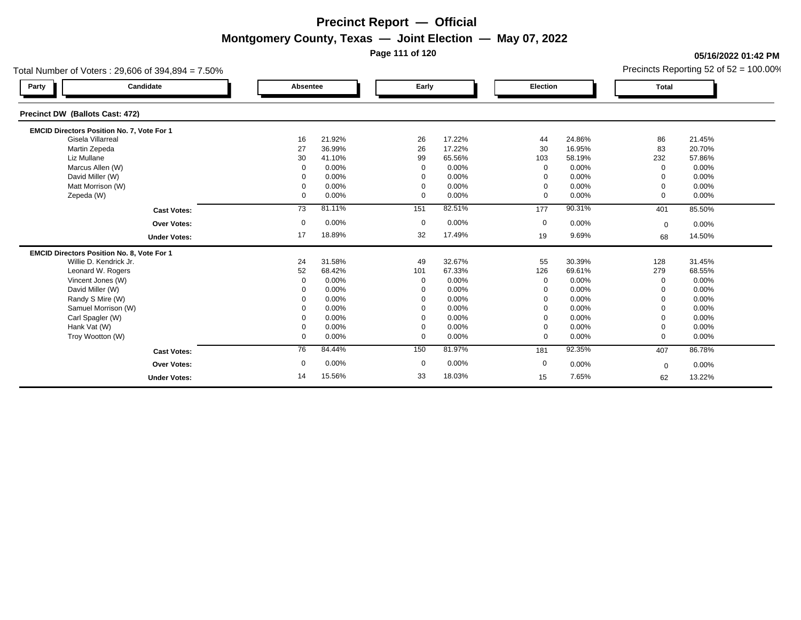**Page 111 of 120**

**05/16/2022 01:42 PM**

| Precincts Reporting 52 of $52 = 100.00\%$ |  |
|-------------------------------------------|--|
|                                           |  |

|                                 | Total Number of Voters: $29,606$ of $394,894 = 7.50\%$ |              |        |             |        |              |        |              | Precincts Reporting 52 of 52 = 100.00% |
|---------------------------------|--------------------------------------------------------|--------------|--------|-------------|--------|--------------|--------|--------------|----------------------------------------|
| Party                           | Candidate                                              | Absentee     |        | Early       |        | Election     |        | <b>Total</b> |                                        |
| Precinct DW (Ballots Cast: 472) |                                                        |              |        |             |        |              |        |              |                                        |
|                                 | EMCID Directors Position No. 7, Vote For 1             |              |        |             |        |              |        |              |                                        |
| Gisela Villarreal               |                                                        | 16           | 21.92% | 26          | 17.22% | 44           | 24.86% | 86           | 21.45%                                 |
| Martin Zepeda                   |                                                        | 27           | 36.99% | 26          | 17.22% | 30           | 16.95% | 83           | 20.70%                                 |
| Liz Mullane                     |                                                        | 30           | 41.10% | 99          | 65.56% | 103          | 58.19% | 232          | 57.86%                                 |
| Marcus Allen (W)                |                                                        | $\mathbf 0$  | 0.00%  | $\mathbf 0$ | 0.00%  | $\mathbf 0$  | 0.00%  | $\Omega$     | 0.00%                                  |
| David Miller (W)                |                                                        | $\Omega$     | 0.00%  | $\Omega$    | 0.00%  | $\mathbf 0$  | 0.00%  | $\Omega$     | 0.00%                                  |
|                                 | Matt Morrison (W)                                      | $\Omega$     | 0.00%  | $\Omega$    | 0.00%  | $\Omega$     | 0.00%  | $\Omega$     | 0.00%                                  |
| Zepeda (W)                      |                                                        | $\mathbf{0}$ | 0.00%  | $\Omega$    | 0.00%  | $\mathbf 0$  | 0.00%  | $\Omega$     | 0.00%                                  |
|                                 | <b>Cast Votes:</b>                                     | 73           | 81.11% | 151         | 82.51% | 177          | 90.31% | 401          | 85.50%                                 |
|                                 | Over Votes:                                            | $\mathbf 0$  | 0.00%  | $\mathbf 0$ | 0.00%  | $\mathbf 0$  | 0.00%  | $\mathbf 0$  | 0.00%                                  |
|                                 | <b>Under Votes:</b>                                    | 17           | 18.89% | 32          | 17.49% | 19           | 9.69%  | 68           | 14.50%                                 |
|                                 | <b>EMCID Directors Position No. 8, Vote For 1</b>      |              |        |             |        |              |        |              |                                        |
|                                 | Willie D. Kendrick Jr.                                 | 24           | 31.58% | 49          | 32.67% | 55           | 30.39% | 128          | 31.45%                                 |
|                                 | Leonard W. Rogers                                      | 52           | 68.42% | 101         | 67.33% | 126          | 69.61% | 279          | 68.55%                                 |
|                                 | Vincent Jones (W)                                      | $\Omega$     | 0.00%  | $\mathbf 0$ | 0.00%  | $\mathbf{0}$ | 0.00%  | $\Omega$     | 0.00%                                  |
| David Miller (W)                |                                                        |              | 0.00%  | $\Omega$    | 0.00%  | $\Omega$     | 0.00%  |              | 0.00%                                  |
| Randy S Mire (W)                |                                                        |              | 0.00%  | $\Omega$    | 0.00%  | $\Omega$     | 0.00%  |              | 0.00%                                  |
|                                 | Samuel Morrison (W)                                    |              | 0.00%  |             | 0.00%  | $\mathbf 0$  | 0.00%  | $\Omega$     | 0.00%                                  |
| Carl Spagler (W)                |                                                        | 0            | 0.00%  |             | 0.00%  | $\mathbf 0$  | 0.00%  |              | 0.00%                                  |
| Hank Vat (W)                    |                                                        | 0            | 0.00%  | $\Omega$    | 0.00%  | $\mathbf 0$  | 0.00%  | $\Omega$     | 0.00%                                  |
| Troy Wootton (W)                |                                                        | $\mathbf 0$  | 0.00%  | $\Omega$    | 0.00%  | $\mathbf 0$  | 0.00%  | $\Omega$     | 0.00%                                  |
|                                 | <b>Cast Votes:</b>                                     | 76           | 84.44% | 150         | 81.97% | 181          | 92.35% | 407          | 86.78%                                 |
|                                 | <b>Over Votes:</b>                                     | 0            | 0.00%  | $\mathbf 0$ | 0.00%  | 0            | 0.00%  | $\mathbf 0$  | 0.00%                                  |
|                                 | <b>Under Votes:</b>                                    | 14           | 15.56% | 33          | 18.03% | 15           | 7.65%  | 62           | 13.22%                                 |
|                                 |                                                        |              |        |             |        |              |        |              |                                        |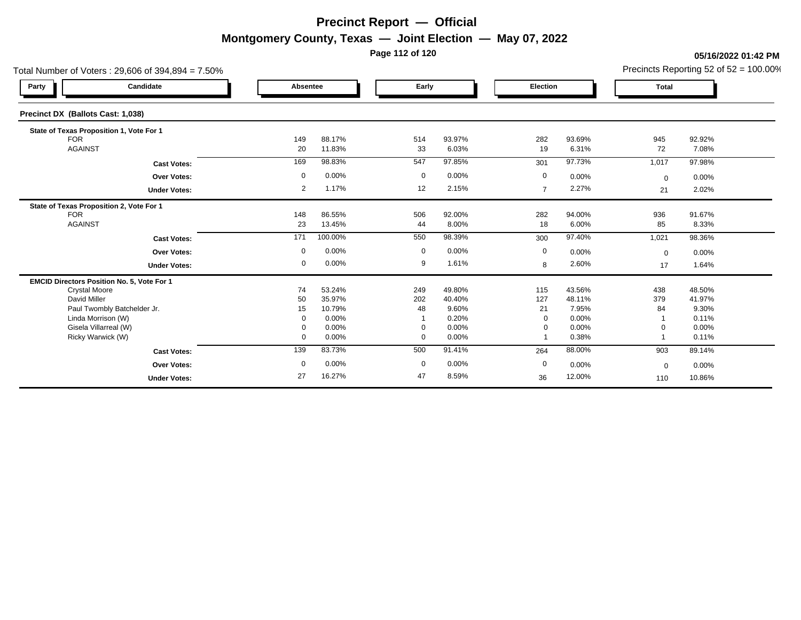**Page 112 of 120**

#### **05/16/2022 01:42 PM**

| Total Number of Voters: 29,606 of 394,894 = 7.50% |                     |              |                  |             |                 |                |                 |              | Precincts Reporting 52 of $52 = 100.00\%$ |
|---------------------------------------------------|---------------------|--------------|------------------|-------------|-----------------|----------------|-----------------|--------------|-------------------------------------------|
| Party                                             | Candidate           | Absentee     |                  | Early       |                 | Election       |                 | <b>Total</b> |                                           |
| Precinct DX (Ballots Cast: 1,038)                 |                     |              |                  |             |                 |                |                 |              |                                           |
| State of Texas Proposition 1, Vote For 1          |                     |              |                  |             |                 |                |                 |              |                                           |
| <b>FOR</b>                                        |                     | 149          | 88.17%           | 514         | 93.97%          | 282            | 93.69%          | 945          | 92.92%                                    |
| <b>AGAINST</b>                                    |                     | 20           | 11.83%           | 33          | 6.03%           | 19             | 6.31%           | 72           | 7.08%                                     |
|                                                   | <b>Cast Votes:</b>  | 169          | 98.83%           | 547         | 97.85%          | 301            | 97.73%          | 1,017        | 97.98%                                    |
|                                                   | Over Votes:         | 0            | 0.00%            | 0           | 0.00%           | 0              | 0.00%           | $\mathbf 0$  | 0.00%                                     |
|                                                   | <b>Under Votes:</b> | 2            | 1.17%            | 12          | 2.15%           | $\overline{7}$ | 2.27%           | 21           | 2.02%                                     |
| State of Texas Proposition 2, Vote For 1          |                     |              |                  |             |                 |                |                 |              |                                           |
| <b>FOR</b><br><b>AGAINST</b>                      |                     | 148<br>23    | 86.55%<br>13.45% | 506<br>44   | 92.00%<br>8.00% | 282<br>18      | 94.00%<br>6.00% | 936<br>85    | 91.67%<br>8.33%                           |
|                                                   |                     |              |                  |             |                 |                |                 |              |                                           |
|                                                   | <b>Cast Votes:</b>  | 171          | 100.00%          | 550         | 98.39%          | 300            | 97.40%          | 1,021        | 98.36%                                    |
|                                                   | <b>Over Votes:</b>  | 0            | 0.00%            | $\mathbf 0$ | 0.00%           | $\mathbf 0$    | 0.00%           | $\mathbf 0$  | 0.00%                                     |
|                                                   | <b>Under Votes:</b> | 0            | 0.00%            | 9           | 1.61%           | 8              | 2.60%           | 17           | 1.64%                                     |
| EMCID Directors Position No. 5, Vote For 1        |                     |              |                  |             |                 |                |                 |              |                                           |
| <b>Crystal Moore</b>                              |                     | 74           | 53.24%           | 249         | 49.80%          | 115            | 43.56%          | 438          | 48.50%                                    |
| David Miller<br>Paul Twombly Batchelder Jr.       |                     | 50<br>15     | 35.97%<br>10.79% | 202<br>48   | 40.40%<br>9.60% | 127<br>21      | 48.11%<br>7.95% | 379<br>84    | 41.97%<br>9.30%                           |
| Linda Morrison (W)                                |                     | 0            | 0.00%            |             | 0.20%           | $\mathbf 0$    | 0.00%           |              | 0.11%                                     |
| Gisela Villarreal (W)                             |                     | 0            | 0.00%            | $\mathbf 0$ | 0.00%           | $\mathbf 0$    | 0.00%           |              | 0.00%                                     |
| Ricky Warwick (W)                                 |                     | $\mathbf{0}$ | 0.00%            | $\mathbf 0$ | 0.00%           |                | 0.38%           |              | 0.11%                                     |
|                                                   | <b>Cast Votes:</b>  | 139          | 83.73%           | 500         | 91.41%          | 264            | 88.00%          | 903          | 89.14%                                    |
|                                                   | <b>Over Votes:</b>  | $\mathbf 0$  | 0.00%            | $\mathbf 0$ | $0.00\%$        | $\mathbf 0$    | 0.00%           | $\mathbf 0$  | 0.00%                                     |
|                                                   | <b>Under Votes:</b> | 27           | 16.27%           | 47          | 8.59%           | 36             | 12.00%          | 110          | 10.86%                                    |
|                                                   |                     |              |                  |             |                 |                |                 |              |                                           |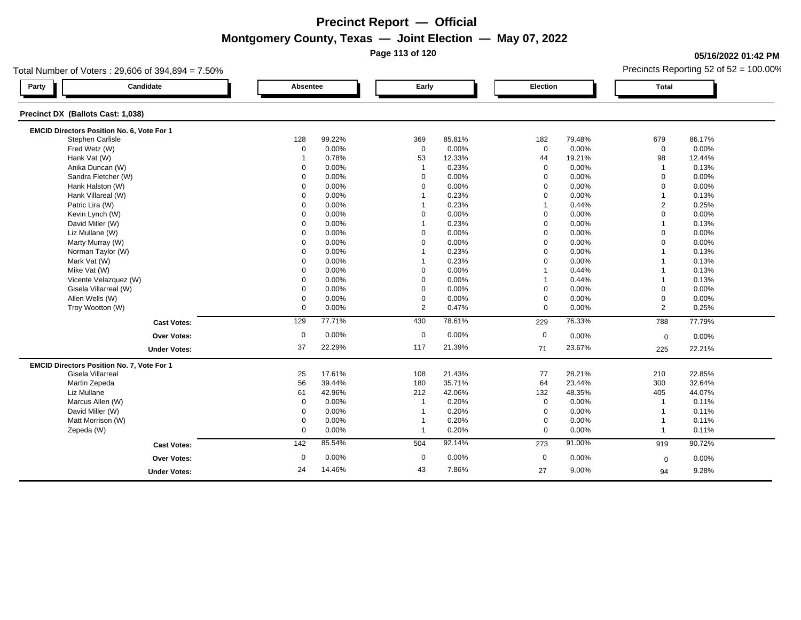**Page 113 of 120**

### **05/16/2022 01:42 PM**

|                                   | Total Number of Voters: 29,606 of 394,894 = 7.50% |                 |          |                |        |                 |        |                | Precincts Reporting 52 of $52 = 100.00\%$ |
|-----------------------------------|---------------------------------------------------|-----------------|----------|----------------|--------|-----------------|--------|----------------|-------------------------------------------|
| Party                             | Candidate                                         |                 | Absentee | Early          |        | <b>Election</b> |        | <b>Total</b>   |                                           |
| Precinct DX (Ballots Cast: 1,038) |                                                   |                 |          |                |        |                 |        |                |                                           |
|                                   | EMCID Directors Position No. 6, Vote For 1        |                 |          |                |        |                 |        |                |                                           |
|                                   | Stephen Carlisle                                  | 128             | 99.22%   | 369            | 85.81% | 182             | 79.48% | 679            | 86.17%                                    |
|                                   | Fred Wetz (W)                                     | 0               | 0.00%    | $\mathbf 0$    | 0.00%  | $\mathbf 0$     | 0.00%  | $\mathbf 0$    | 0.00%                                     |
|                                   | Hank Vat (W)                                      | $\overline{1}$  | 0.78%    | 53             | 12.33% | 44              | 19.21% | 98             | 12.44%                                    |
|                                   | Anika Duncan (W)                                  | $\Omega$        | 0.00%    | $\mathbf{1}$   | 0.23%  | $\mathbf 0$     | 0.00%  | $\overline{1}$ | 0.13%                                     |
|                                   | Sandra Fletcher (W)                               | 0               | 0.00%    | $\mathbf 0$    | 0.00%  | $\mathbf 0$     | 0.00%  | $\mathbf 0$    | 0.00%                                     |
|                                   | Hank Halston (W)                                  | $\Omega$        | 0.00%    | $\mathbf 0$    | 0.00%  | $\mathbf 0$     | 0.00%  | $\mathbf 0$    | 0.00%                                     |
|                                   | Hank Villareal (W)                                | $\Omega$        | 0.00%    | -1             | 0.23%  | $\Omega$        | 0.00%  | $\overline{1}$ | 0.13%                                     |
|                                   | Patric Lira (W)                                   | $\mathbf 0$     | 0.00%    |                | 0.23%  |                 | 0.44%  | $\overline{2}$ | 0.25%                                     |
|                                   | Kevin Lynch (W)                                   | $\Omega$        | 0.00%    | $\mathbf 0$    | 0.00%  | $\Omega$        | 0.00%  | $\mathbf 0$    | 0.00%                                     |
|                                   | David Miller (W)                                  | $\Omega$        | 0.00%    | $\overline{1}$ | 0.23%  | $\mathbf 0$     | 0.00%  | $\overline{1}$ | 0.13%                                     |
|                                   | Liz Mullane (W)                                   | 0               | 0.00%    | $\mathbf 0$    | 0.00%  | $\mathbf 0$     | 0.00%  | $\mathbf 0$    | 0.00%                                     |
|                                   | Marty Murray (W)                                  | $\mathbf 0$     | 0.00%    | $\mathbf 0$    | 0.00%  | $\mathbf 0$     | 0.00%  | $\mathbf 0$    | 0.00%                                     |
|                                   | Norman Taylor (W)                                 | $\Omega$        | 0.00%    | $\overline{1}$ | 0.23%  | $\mathbf 0$     | 0.00%  | $\overline{1}$ | 0.13%                                     |
|                                   | Mark Vat (W)                                      | $\Omega$        | 0.00%    | $\mathbf 1$    | 0.23%  | $\Omega$        | 0.00%  | $\mathbf{1}$   | 0.13%                                     |
|                                   | Mike Vat (W)                                      | 0               | 0.00%    | $\mathbf 0$    | 0.00%  |                 | 0.44%  | $\overline{1}$ | 0.13%                                     |
|                                   | Vicente Velazquez (W)                             | $\Omega$        | 0.00%    | $\Omega$       | 0.00%  |                 | 0.44%  | $\overline{1}$ | 0.13%                                     |
|                                   | Gisela Villarreal (W)                             | $\Omega$        | 0.00%    | $\mathbf 0$    | 0.00%  | $\mathbf 0$     | 0.00%  | $\mathbf 0$    | 0.00%                                     |
|                                   | Allen Wells (W)                                   | 0               | 0.00%    | $\mathbf 0$    | 0.00%  | $\mathbf 0$     | 0.00%  | $\mathbf 0$    | 0.00%                                     |
|                                   | Troy Wootton (W)                                  | $\mathbf 0$     | 0.00%    | 2              | 0.47%  | $\mathbf 0$     | 0.00%  | 2              | 0.25%                                     |
|                                   | <b>Cast Votes:</b>                                | 129             | 77.71%   | 430            | 78.61% | 229             | 76.33% | 788            | 77.79%                                    |
|                                   | Over Votes:                                       | $\mathbf 0$     | 0.00%    | $\mathbf 0$    | 0.00%  | $\mathbf 0$     | 0.00%  |                | 0.00%                                     |
|                                   |                                                   |                 |          |                |        |                 |        | $\mathbf 0$    |                                           |
|                                   | <b>Under Votes:</b>                               | 37              | 22.29%   | 117            | 21.39% | 71              | 23.67% | 225            | 22.21%                                    |
|                                   | EMCID Directors Position No. 7, Vote For 1        |                 |          |                |        |                 |        |                |                                           |
|                                   | Gisela Villarreal                                 | 25              | 17.61%   | 108            | 21.43% | 77              | 28.21% | 210            | 22.85%                                    |
|                                   | Martin Zepeda                                     | 56              | 39.44%   | 180            | 35.71% | 64              | 23.44% | 300            | 32.64%                                    |
| Liz Mullane                       |                                                   | 61              | 42.96%   | 212            | 42.06% | 132             | 48.35% | 405            | 44.07%                                    |
|                                   | Marcus Allen (W)                                  | 0               | 0.00%    | $\overline{1}$ | 0.20%  | $\mathbf 0$     | 0.00%  | $\overline{1}$ | 0.11%                                     |
|                                   | David Miller (W)                                  | 0               | 0.00%    |                | 0.20%  | $\mathbf 0$     | 0.00%  | $\overline{1}$ | 0.11%                                     |
|                                   | Matt Morrison (W)                                 | 0               | 0.00%    | $\overline{1}$ | 0.20%  | $\mathbf 0$     | 0.00%  | $\overline{1}$ | 0.11%                                     |
| Zepeda (W)                        |                                                   | $\mathbf 0$     | 0.00%    | $\mathbf{1}$   | 0.20%  | $\mathbf 0$     | 0.00%  | $\overline{1}$ | 0.11%                                     |
|                                   | <b>Cast Votes:</b>                                | $\frac{142}{2}$ | 85.54%   | 504            | 92.14% | 273             | 91.00% | 919            | 90.72%                                    |
|                                   | <b>Over Votes:</b>                                | 0               | 0.00%    | 0              | 0.00%  | $\mathbf 0$     | 0.00%  | $\mathbf 0$    | 0.00%                                     |
|                                   | <b>Under Votes:</b>                               | 24              | 14.46%   | 43             | 7.86%  | 27              | 9.00%  | 94             | 9.28%                                     |
|                                   |                                                   |                 |          |                |        |                 |        |                |                                           |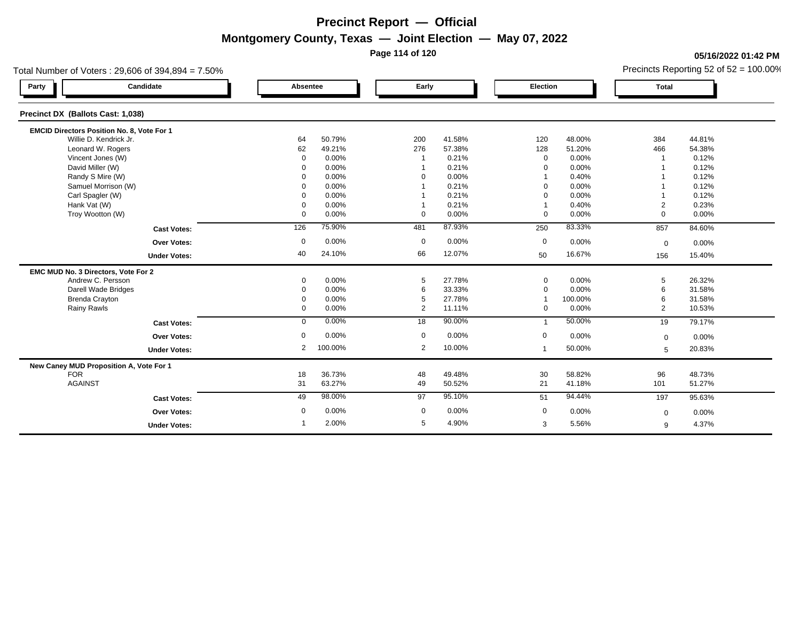**Page 114 of 120**

### **05/16/2022 01:42 PM**

|                                            | Total Number of Voters: 29,606 of 394,894 = 7.50% |                |         |             |        |                 |         |                | Precincts Reporting 52 of $52 = 100.00\%$ |
|--------------------------------------------|---------------------------------------------------|----------------|---------|-------------|--------|-----------------|---------|----------------|-------------------------------------------|
| Party                                      | Candidate                                         | Absentee       |         | Early       |        | <b>Election</b> |         | <b>Total</b>   |                                           |
| Precinct DX (Ballots Cast: 1,038)          |                                                   |                |         |             |        |                 |         |                |                                           |
| EMCID Directors Position No. 8, Vote For 1 |                                                   |                |         |             |        |                 |         |                |                                           |
| Willie D. Kendrick Jr.                     |                                                   | 64             | 50.79%  | 200         | 41.58% | 120             | 48.00%  | 384            | 44.81%                                    |
| Leonard W. Rogers                          |                                                   | 62             | 49.21%  | 276         | 57.38% | 128             | 51.20%  | 466            | 54.38%                                    |
| Vincent Jones (W)                          |                                                   | $\mathbf 0$    | 0.00%   | -1          | 0.21%  | $\mathbf 0$     | 0.00%   |                | 0.12%                                     |
| David Miller (W)                           |                                                   | $\Omega$       | 0.00%   |             | 0.21%  | $\Omega$        | 0.00%   |                | 0.12%                                     |
| Randy S Mire (W)                           |                                                   | $\Omega$       | 0.00%   | $\Omega$    | 0.00%  |                 | 0.40%   |                | 0.12%                                     |
| Samuel Morrison (W)                        |                                                   | $\Omega$       | 0.00%   |             | 0.21%  | $\Omega$        | 0.00%   |                | 0.12%                                     |
| Carl Spagler (W)                           |                                                   | $\Omega$       | 0.00%   |             | 0.21%  | $\Omega$        | 0.00%   |                | 0.12%                                     |
| Hank Vat (W)                               |                                                   | $\Omega$       | 0.00%   |             | 0.21%  |                 | 0.40%   | $\overline{2}$ | 0.23%                                     |
| Troy Wootton (W)                           |                                                   | $\mathbf 0$    | 0.00%   | $\Omega$    | 0.00%  | $\mathbf 0$     | 0.00%   | $\Omega$       | 0.00%                                     |
|                                            | <b>Cast Votes:</b>                                | 126            | 75.90%  | 481         | 87.93% | 250             | 83.33%  | 857            | 84.60%                                    |
|                                            | Over Votes:                                       | $\mathbf 0$    | 0.00%   | $\mathbf 0$ | 0.00%  | $\mathbf 0$     | 0.00%   | $\mathbf 0$    | 0.00%                                     |
|                                            | <b>Under Votes:</b>                               | 40             | 24.10%  | 66          | 12.07% | 50              | 16.67%  | 156            | 15.40%                                    |
| EMC MUD No. 3 Directors, Vote For 2        |                                                   |                |         |             |        |                 |         |                |                                           |
| Andrew C. Persson                          |                                                   | 0              | 0.00%   | 5           | 27.78% | $\mathbf 0$     | 0.00%   | 5              | 26.32%                                    |
| Darell Wade Bridges                        |                                                   | $\mathbf 0$    | 0.00%   | 6           | 33.33% | $\mathbf 0$     | 0.00%   | 6              | 31.58%                                    |
| <b>Brenda Crayton</b>                      |                                                   | $\Omega$       | 0.00%   | 5           | 27.78% |                 | 100.00% | 6              | 31.58%                                    |
| Rainy Rawls                                |                                                   | $\mathbf 0$    | 0.00%   | 2           | 11.11% | $\mathbf{0}$    | 0.00%   | 2              | 10.53%                                    |
|                                            | <b>Cast Votes:</b>                                | $\mathbf 0$    | 0.00%   | 18          | 90.00% | $\overline{1}$  | 50.00%  | 19             | 79.17%                                    |
|                                            | <b>Over Votes:</b>                                | 0              | 0.00%   | $\mathbf 0$ | 0.00%  | $\mathbf 0$     | 0.00%   | $\mathbf 0$    | 0.00%                                     |
|                                            | <b>Under Votes:</b>                               | $\overline{2}$ | 100.00% | 2           | 10.00% | $\mathbf{1}$    | 50.00%  | 5              | 20.83%                                    |
| New Caney MUD Proposition A, Vote For 1    |                                                   |                |         |             |        |                 |         |                |                                           |
| <b>FOR</b>                                 |                                                   | 18             | 36.73%  | 48          | 49.48% | 30              | 58.82%  | 96             | 48.73%                                    |
| <b>AGAINST</b>                             |                                                   | 31             | 63.27%  | 49          | 50.52% | 21              | 41.18%  | 101            | 51.27%                                    |
|                                            | <b>Cast Votes:</b>                                | 49             | 98.00%  | 97          | 95.10% | 51              | 94.44%  | 197            | 95.63%                                    |
|                                            | Over Votes:                                       | 0              | 0.00%   | 0           | 0.00%  | $\mathbf 0$     | 0.00%   | $\mathbf 0$    | 0.00%                                     |
|                                            | <b>Under Votes:</b>                               |                | 2.00%   | 5           | 4.90%  | 3               | 5.56%   | 9              | 4.37%                                     |
|                                            |                                                   |                |         |             |        |                 |         |                |                                           |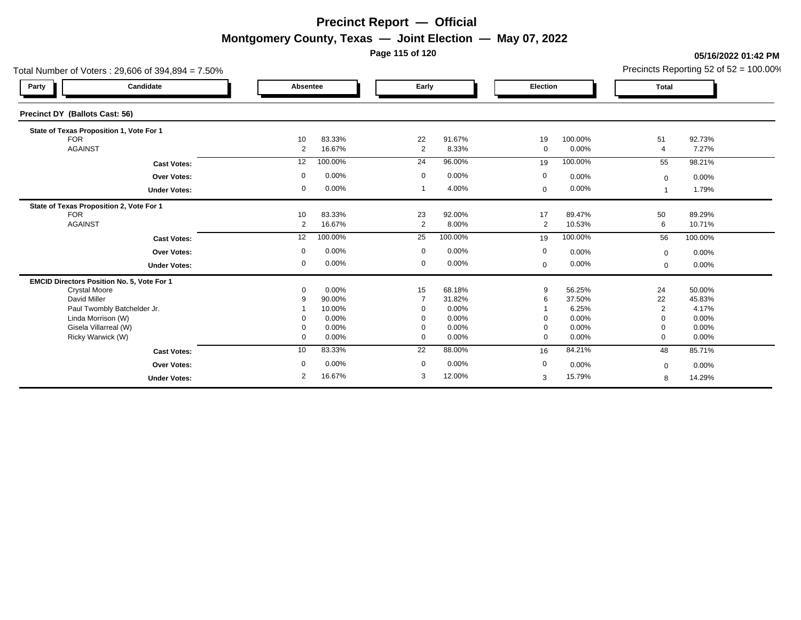**Page 115 of 120**

#### **05/16/2022 01:42 PM**

| Total Number of Voters: 29,606 of 394,894 = 7.50% |                     |                |                  |                      |                 |             |                  |                      | Precincts Reporting 52 of $52 = 100.00\%$ |
|---------------------------------------------------|---------------------|----------------|------------------|----------------------|-----------------|-------------|------------------|----------------------|-------------------------------------------|
| Candidate<br>Party                                |                     | Absentee       |                  | Early                |                 | Election    |                  | <b>Total</b>         |                                           |
| Precinct DY (Ballots Cast: 56)                    |                     |                |                  |                      |                 |             |                  |                      |                                           |
| State of Texas Proposition 1, Vote For 1          |                     |                |                  |                      |                 |             |                  |                      |                                           |
| <b>FOR</b><br><b>AGAINST</b>                      |                     | 10<br>2        | 83.33%<br>16.67% | 22<br>$\overline{2}$ | 91.67%<br>8.33% | 19<br>0     | 100.00%<br>0.00% | 51<br>$\overline{4}$ | 92.73%<br>7.27%                           |
|                                                   |                     |                |                  |                      |                 |             |                  |                      |                                           |
|                                                   | <b>Cast Votes:</b>  | 12             | 100.00%          | 24                   | 96.00%          | 19          | 100.00%          | 55                   | 98.21%                                    |
|                                                   | Over Votes:         | 0              | 0.00%            | $\mathbf 0$          | 0.00%           | $\mathbf 0$ | 0.00%            | $\mathbf 0$          | 0.00%                                     |
|                                                   | <b>Under Votes:</b> | 0              | 0.00%            |                      | 4.00%           | $\mathbf 0$ | 0.00%            |                      | 1.79%                                     |
| State of Texas Proposition 2, Vote For 1          |                     |                |                  |                      |                 |             |                  |                      |                                           |
| <b>FOR</b><br><b>AGAINST</b>                      |                     | 10<br>2        | 83.33%<br>16.67% | 23<br>2              | 92.00%<br>8.00% | 17<br>2     | 89.47%<br>10.53% | 50<br>6              | 89.29%<br>10.71%                          |
|                                                   |                     |                |                  |                      |                 |             |                  |                      |                                           |
|                                                   | <b>Cast Votes:</b>  | 12             | 100.00%          | 25                   | 100.00%         | 19          | 100.00%          | 56                   | 100.00%                                   |
|                                                   | Over Votes:         | 0              | 0.00%            | $\mathbf 0$          | 0.00%           | $\mathbf 0$ | 0.00%            | $\mathbf{0}$         | 0.00%                                     |
|                                                   | <b>Under Votes:</b> | 0              | 0.00%            | $\mathbf 0$          | 0.00%           | $\mathbf 0$ | 0.00%            | $\mathbf 0$          | 0.00%                                     |
| EMCID Directors Position No. 5, Vote For 1        |                     |                |                  |                      |                 |             |                  |                      |                                           |
| <b>Crystal Moore</b><br>David Miller              |                     | 0              | 0.00%            | 15                   | 68.18%          | 9           | 56.25%           | 24                   | 50.00%                                    |
| Paul Twombly Batchelder Jr.                       |                     | g              | 90.00%<br>10.00% | $\Omega$             | 31.82%<br>0.00% | 6           | 37.50%<br>6.25%  | 22<br>2              | 45.83%<br>4.17%                           |
| Linda Morrison (W)                                |                     |                | 0.00%            | $\Omega$             | 0.00%           | $\Omega$    | 0.00%            | $\Omega$             | 0.00%                                     |
| Gisela Villarreal (W)                             |                     | 0              | 0.00%            | 0                    | 0.00%           | $\mathbf 0$ | 0.00%            | $\mathbf 0$          | 0.00%                                     |
| Ricky Warwick (W)                                 |                     | 0              | 0.00%            | $\mathbf 0$          | 0.00%           | $\mathbf 0$ | 0.00%            | $\Omega$             | 0.00%                                     |
|                                                   | <b>Cast Votes:</b>  | 10             | 83.33%           | 22                   | 88.00%          | 16          | 84.21%           | 48                   | 85.71%                                    |
|                                                   | <b>Over Votes:</b>  | 0              | 0.00%            | $\mathbf 0$          | 0.00%           | $\mathbf 0$ | 0.00%            | $\mathbf 0$          | 0.00%                                     |
|                                                   | <b>Under Votes:</b> | $\overline{2}$ | 16.67%           | 3                    | 12.00%          | 3           | 15.79%           | 8                    | 14.29%                                    |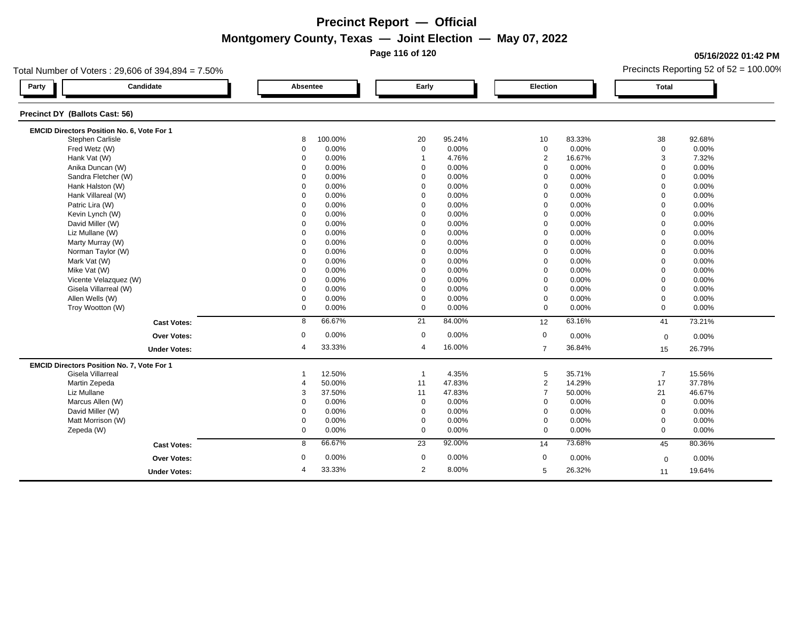**Page 116 of 120**

### **05/16/2022 01:42 PM**

| Total Number of Voters: 29,606 of 394,894 = 7.50% |                          |                         |                 | Precincts Reporting 52 of $52 = 100.00\%$ |
|---------------------------------------------------|--------------------------|-------------------------|-----------------|-------------------------------------------|
| Candidate<br>Party                                | Absentee                 | Early                   | <b>Election</b> | <b>Total</b>                              |
| Precinct DY (Ballots Cast: 56)                    |                          |                         |                 |                                           |
| <b>EMCID Directors Position No. 6, Vote For 1</b> |                          |                         |                 |                                           |
| Stephen Carlisle                                  | 8                        | 20                      | 10              | 38                                        |
|                                                   | 100.00%                  | 95.24%                  | 83.33%          | 92.68%                                    |
| Fred Wetz (W)                                     | 0.00%                    | $\boldsymbol{0}$        | 0.00%           | $\mathbf 0$                               |
|                                                   | $\mathbf 0$              | 0.00%                   | $\mathbf 0$     | 0.00%                                     |
| Hank Vat (W)                                      | $\Omega$                 | 4.76%                   | $\overline{2}$  | 3                                         |
|                                                   | 0.00%                    | $\overline{1}$          | 16.67%          | 7.32%                                     |
| Anika Duncan (W)                                  | $\Omega$                 | 0.00%                   | $\mathbf 0$     | $\mathbf 0$                               |
|                                                   | 0.00%                    | $\mathbf 0$             | 0.00%           | 0.00%                                     |
| Sandra Fletcher (W)                               | $\mathbf 0$              | $\mathbf 0$             | 0.00%           | $\mathbf 0$                               |
|                                                   | 0.00%                    | 0.00%                   | $\mathbf 0$     | 0.00%                                     |
| Hank Halston (W)                                  | $\Omega$                 | $\Omega$                | 0.00%           | $\mathbf 0$                               |
|                                                   | 0.00%                    | 0.00%                   | $\Omega$        | 0.00%                                     |
| Hank Villareal (W)                                | $\mathbf 0$              | $\mathbf 0$             | $\mathbf 0$     | $\mathbf 0$                               |
|                                                   | 0.00%                    | 0.00%                   | 0.00%           | 0.00%                                     |
| Patric Lira (W)                                   | 0.00%                    | $\mathbf 0$             | 0.00%           | 0.00%                                     |
|                                                   | $\mathbf 0$              | 0.00%                   | $\mathbf 0$     | $\mathbf 0$                               |
| Kevin Lynch (W)                                   | $\Omega$                 | 0.00%                   | $\Omega$        | $\mathbf 0$                               |
|                                                   | 0.00%                    | $\Omega$                | 0.00%           | 0.00%                                     |
| David Miller (W)                                  | $\Omega$                 | $\mathbf 0$             | $\mathbf 0$     | $\mathbf 0$                               |
|                                                   | 0.00%                    | 0.00%                   | 0.00%           | 0.00%                                     |
| Liz Mullane (W)                                   | 0.00%                    | $\mathbf 0$             | 0.00%           | 0.00%                                     |
|                                                   | $\Omega$                 | 0.00%                   | $\Omega$        | $\mathbf 0$                               |
| Marty Murray (W)                                  | $\Omega$                 | $\Omega$                | $\Omega$        | $\mathbf 0$                               |
|                                                   | 0.00%                    | 0.00%                   | 0.00%           | 0.00%                                     |
| Norman Taylor (W)                                 | $\Omega$                 | $\mathbf 0$             | $\Omega$        | $\mathbf 0$                               |
|                                                   | 0.00%                    | 0.00%                   | 0.00%           | 0.00%                                     |
| Mark Vat (W)                                      | $\Omega$                 | 0.00%                   | $\Omega$        | $\mathbf 0$                               |
|                                                   | 0.00%                    | $\mathbf{0}$            | 0.00%           | 0.00%                                     |
| Mike Vat (W)                                      | $\Omega$                 | $\mathbf 0$             | $\mathbf 0$     | $\mathbf 0$                               |
|                                                   | 0.00%                    | 0.00%                   | 0.00%           | 0.00%                                     |
| Vicente Velazquez (W)                             | 0.00%                    | $\mathbf 0$             | 0.00%           | $\mathbf 0$                               |
|                                                   | $\Omega$                 | 0.00%                   | $\mathbf 0$     | 0.00%                                     |
| Gisela Villarreal (W)                             | $\Omega$                 | $\mathbf 0$             | $\Omega$        | $\mathbf 0$                               |
|                                                   | 0.00%                    | 0.00%                   | 0.00%           | 0.00%                                     |
| Allen Wells (W)                                   | $\pmb{0}$                | $\mathbf 0$             | 0.00%           | 0.00%                                     |
|                                                   | 0.00%                    | 0.00%                   | $\mathbf 0$     | $\mathbf 0$                               |
| Troy Wootton (W)                                  | $\mathbf 0$              | $\mathbf 0$             | 0.00%           | $\mathbf 0$                               |
|                                                   | 0.00%                    | 0.00%                   | $\mathbf 0$     | 0.00%                                     |
| <b>Cast Votes:</b>                                | 66.67%                   | 84.00%                  | 63.16%          | 41                                        |
|                                                   | 8                        | 21                      | 12              | 73.21%                                    |
| <b>Over Votes:</b>                                | $\mathbf 0$              | $\mathbf 0$             | $\mathbf 0$     | 0.00%                                     |
|                                                   | 0.00%                    | 0.00%                   | 0.00%           | $\mathbf 0$                               |
| <b>Under Votes:</b>                               | 33.33%                   | 16.00%                  | 36.84%          | 26.79%                                    |
|                                                   | 4                        | $\overline{4}$          | $\overline{7}$  | 15                                        |
| <b>EMCID Directors Position No. 7, Vote For 1</b> |                          |                         |                 |                                           |
| Gisela Villarreal                                 | 12.50%                   | 4.35%                   | 5               | $\overline{7}$                            |
|                                                   | -1                       | $\overline{1}$          | 35.71%          | 15.56%                                    |
| Martin Zepeda                                     | 50.00%                   | 47.83%                  | $\overline{2}$  | 17                                        |
|                                                   | $\overline{4}$           | 11                      | 14.29%          | 37.78%                                    |
| Liz Mullane                                       | 37.50%                   | 11                      | $\overline{7}$  | 46.67%                                    |
|                                                   | 3                        | 47.83%                  | 50.00%          | 21                                        |
| Marcus Allen (W)                                  | $\Omega$                 | $\mathbf 0$             | 0.00%           | $\mathbf 0$                               |
|                                                   | 0.00%                    | 0.00%                   | $\mathbf 0$     | 0.00%                                     |
| David Miller (W)                                  | 0.00%                    | $\mathbf 0$             | 0.00%           | $\mathbf 0$                               |
|                                                   | $\mathbf 0$              | 0.00%                   | $\Omega$        | 0.00%                                     |
| Matt Morrison (W)                                 | 0.00%                    | $\mathbf 0$             | 0.00%           | 0.00%                                     |
|                                                   | $\mathbf 0$              | 0.00%                   | 0               | $\mathbf 0$                               |
| Zepeda (W)                                        | $\mathbf 0$              | $\mathbf 0$             | 0               | $\mathbf 0$                               |
|                                                   | 0.00%                    | 0.00%                   | 0.00%           | 0.00%                                     |
| <b>Cast Votes:</b>                                | 66.67%                   | 23                      | 73.68%          | 80.36%                                    |
|                                                   | 8                        | 92.00%                  | 14              | 45                                        |
| <b>Over Votes:</b>                                | $\mathbf 0$              | $\mathbf 0$             | $\mathbf 0$     | 0.00%                                     |
|                                                   | 0.00%                    | 0.00%                   | 0.00%           | $\mathbf 0$                               |
|                                                   | 33.33%<br>$\overline{4}$ | $\overline{2}$<br>8.00% | 26.32%<br>5     | 19.64%                                    |
| <b>Under Votes:</b>                               |                          |                         |                 | 11                                        |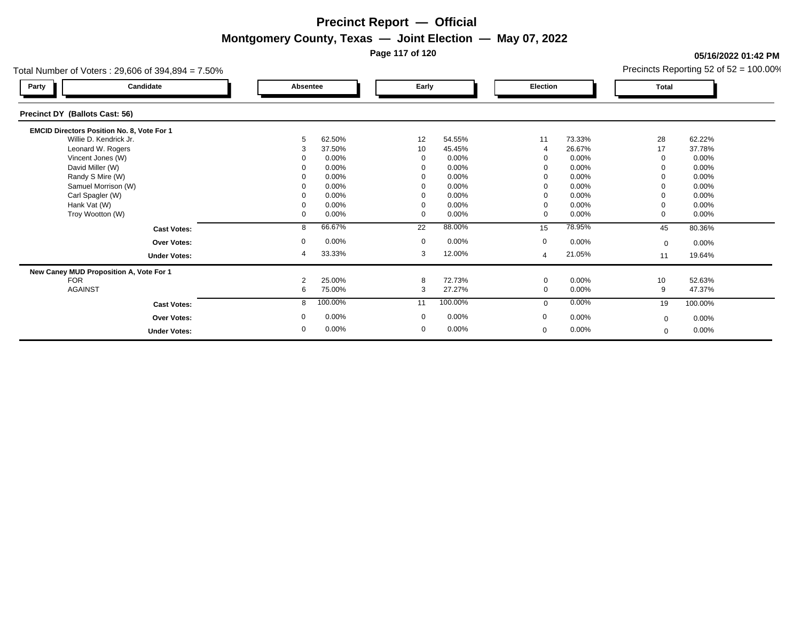**Page 117 of 120**

**05/16/2022 01:42 PM**

|  |  | Precincts Reporting 52 of $52 = 100.00\%$ |  |  |
|--|--|-------------------------------------------|--|--|
|--|--|-------------------------------------------|--|--|

| Total Number of Voters: $29,606$ of $394,894 = 7.50\%$ |                |          |              |         |                |          |             | Precincts Reporting 52 of $52 = 100.00\%$ |
|--------------------------------------------------------|----------------|----------|--------------|---------|----------------|----------|-------------|-------------------------------------------|
| Candidate<br>Party                                     | Absentee       |          | Early        |         | Election       |          | Total       |                                           |
| Precinct DY (Ballots Cast: 56)                         |                |          |              |         |                |          |             |                                           |
| EMCID Directors Position No. 8, Vote For 1             |                |          |              |         |                |          |             |                                           |
| Willie D. Kendrick Jr.                                 | 5              | 62.50%   | 12           | 54.55%  | 11             | 73.33%   | 28          | 62.22%                                    |
| Leonard W. Rogers                                      | 3              | 37.50%   | 10           | 45.45%  |                | 26.67%   | 17          | 37.78%                                    |
| Vincent Jones (W)                                      |                | 0.00%    |              | 0.00%   |                | 0.00%    |             | 0.00%                                     |
| David Miller (W)                                       |                | 0.00%    |              | 0.00%   |                | 0.00%    |             | $0.00\%$                                  |
| Randy S Mire (W)                                       |                | 0.00%    |              | 0.00%   |                | 0.00%    |             | 0.00%                                     |
| Samuel Morrison (W)                                    |                | 0.00%    |              | 0.00%   |                | 0.00%    |             | 0.00%                                     |
| Carl Spagler (W)                                       |                | 0.00%    |              | 0.00%   | 0              | 0.00%    |             | 0.00%                                     |
| Hank Vat (W)                                           |                | 0.00%    |              | 0.00%   | $\mathbf 0$    | 0.00%    |             | $0.00\%$                                  |
| Troy Wootton (W)                                       | 0              | 0.00%    | $\Omega$     | 0.00%   | $\mathbf 0$    | 0.00%    |             | $0.00\%$                                  |
| <b>Cast Votes:</b>                                     | 8              | 66.67%   | 22           | 88.00%  | 15             | 78.95%   | 45          | 80.36%                                    |
| <b>Over Votes:</b>                                     | 0              | $0.00\%$ | $\mathbf{0}$ | 0.00%   | $\mathbf 0$    | 0.00%    | $\mathbf 0$ | $0.00\%$                                  |
| <b>Under Votes:</b>                                    | 4              | 33.33%   | 3            | 12.00%  | $\overline{4}$ | 21.05%   | 11          | 19.64%                                    |
| New Caney MUD Proposition A, Vote For 1                |                |          |              |         |                |          |             |                                           |
| <b>FOR</b>                                             | $\overline{2}$ | 25.00%   | 8            | 72.73%  | $\mathbf 0$    | 0.00%    | 10          | 52.63%                                    |
| <b>AGAINST</b>                                         | 6              | 75.00%   | 3            | 27.27%  | 0              | $0.00\%$ | 9           | 47.37%                                    |
| <b>Cast Votes:</b>                                     | 8              | 100.00%  | 11           | 100.00% | $\mathbf{0}$   | 0.00%    | 19          | 100.00%                                   |
| <b>Over Votes:</b>                                     | 0              | 0.00%    | $\mathbf 0$  | 0.00%   | $\mathbf 0$    | $0.00\%$ | $\Omega$    | $0.00\%$                                  |
| <b>Under Votes:</b>                                    | 0              | $0.00\%$ | $\mathbf 0$  | 0.00%   | $\mathbf 0$    | 0.00%    | $\mathbf 0$ | $0.00\%$                                  |
|                                                        |                |          |              |         |                |          |             |                                           |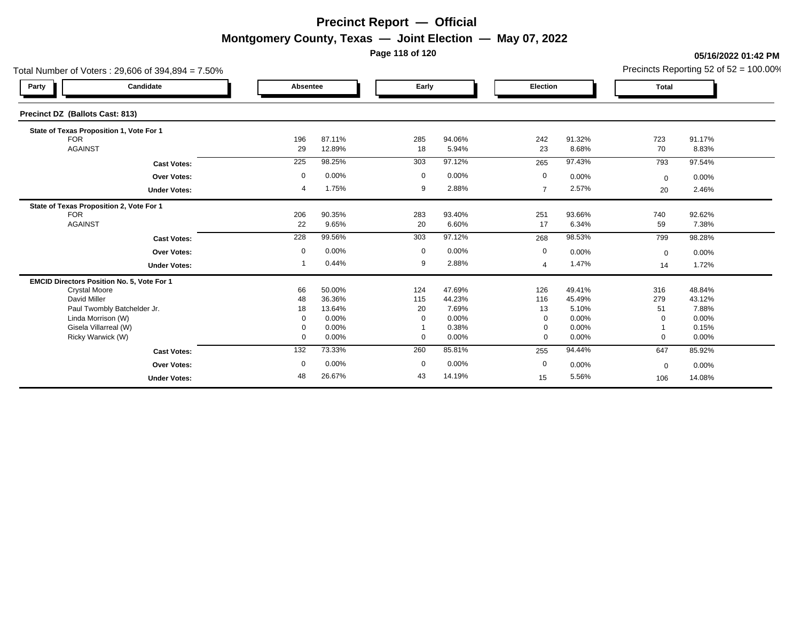**Page 118 of 120**

#### **05/16/2022 01:42 PM**

| Total Number of Voters: 29,606 of 394,894 = 7.50% |                     |           |                  |             |                  |                |                  |              | Precincts Reporting 52 of $52 = 100.00\%$ |
|---------------------------------------------------|---------------------|-----------|------------------|-------------|------------------|----------------|------------------|--------------|-------------------------------------------|
| Candidate<br>Party                                |                     | Absentee  |                  | Early       |                  | Election       |                  | <b>Total</b> |                                           |
| Precinct DZ (Ballots Cast: 813)                   |                     |           |                  |             |                  |                |                  |              |                                           |
| State of Texas Proposition 1, Vote For 1          |                     |           |                  |             |                  |                |                  |              |                                           |
| <b>FOR</b><br><b>AGAINST</b>                      |                     | 196       | 87.11%<br>12.89% | 285<br>18   | 94.06%<br>5.94%  | 242            | 91.32%<br>8.68%  | 723<br>70    | 91.17%<br>8.83%                           |
|                                                   |                     | 29        |                  |             |                  | 23             |                  |              |                                           |
|                                                   | <b>Cast Votes:</b>  | 225       | 98.25%           | 303         | 97.12%           | 265            | 97.43%           | 793          | 97.54%                                    |
|                                                   | Over Votes:         | 0         | 0.00%            | $\mathbf 0$ | 0.00%            | $\mathbf 0$    | 0.00%            | $\mathbf 0$  | 0.00%                                     |
|                                                   | <b>Under Votes:</b> | 4         | 1.75%            | 9           | 2.88%            | $\overline{7}$ | 2.57%            | 20           | 2.46%                                     |
| State of Texas Proposition 2, Vote For 1          |                     |           |                  |             |                  |                |                  |              |                                           |
| <b>FOR</b><br><b>AGAINST</b>                      |                     | 206<br>22 | 90.35%<br>9.65%  | 283<br>20   | 93.40%<br>6.60%  | 251<br>17      | 93.66%<br>6.34%  | 740<br>59    | 92.62%<br>7.38%                           |
|                                                   |                     |           |                  |             |                  |                |                  |              |                                           |
|                                                   | <b>Cast Votes:</b>  | 228       | 99.56%           | 303         | 97.12%           | 268            | 98.53%           | 799          | 98.28%                                    |
|                                                   | <b>Over Votes:</b>  | 0         | 0.00%            | $\mathbf 0$ | 0.00%            | $\mathbf 0$    | 0.00%            | $\mathbf 0$  | 0.00%                                     |
|                                                   | <b>Under Votes:</b> |           | 0.44%            | 9           | 2.88%            | $\overline{4}$ | 1.47%            | 14           | 1.72%                                     |
| EMCID Directors Position No. 5, Vote For 1        |                     |           |                  |             |                  |                |                  |              |                                           |
| <b>Crystal Moore</b><br>David Miller              |                     | 66        | 50.00%<br>36.36% | 124<br>115  | 47.69%<br>44.23% | 126<br>116     | 49.41%<br>45.49% | 316<br>279   | 48.84%<br>43.12%                          |
| Paul Twombly Batchelder Jr.                       |                     | 48<br>18  | 13.64%           | 20          | 7.69%            | 13             | 5.10%            | 51           | 7.88%                                     |
| Linda Morrison (W)                                |                     | $\Omega$  | 0.00%            | $\mathbf 0$ | 0.00%            | $\Omega$       | 0.00%            | $\Omega$     | 0.00%                                     |
| Gisela Villarreal (W)                             |                     | 0         | 0.00%            |             | 0.38%            | $\mathbf 0$    | 0.00%            |              | 0.15%                                     |
| Ricky Warwick (W)                                 |                     | 0         | 0.00%            | $\mathbf 0$ | 0.00%            | $\mathbf 0$    | 0.00%            | $\Omega$     | 0.00%                                     |
|                                                   | <b>Cast Votes:</b>  | 132       | 73.33%           | 260         | 85.81%           | 255            | 94.44%           | 647          | 85.92%                                    |
|                                                   | <b>Over Votes:</b>  | 0         | 0.00%            | $\mathbf 0$ | 0.00%            | $\mathbf 0$    | 0.00%            | $\mathbf 0$  | 0.00%                                     |
|                                                   | <b>Under Votes:</b> | 48        | 26.67%           | 43          | 14.19%           | 15             | 5.56%            | 106          | 14.08%                                    |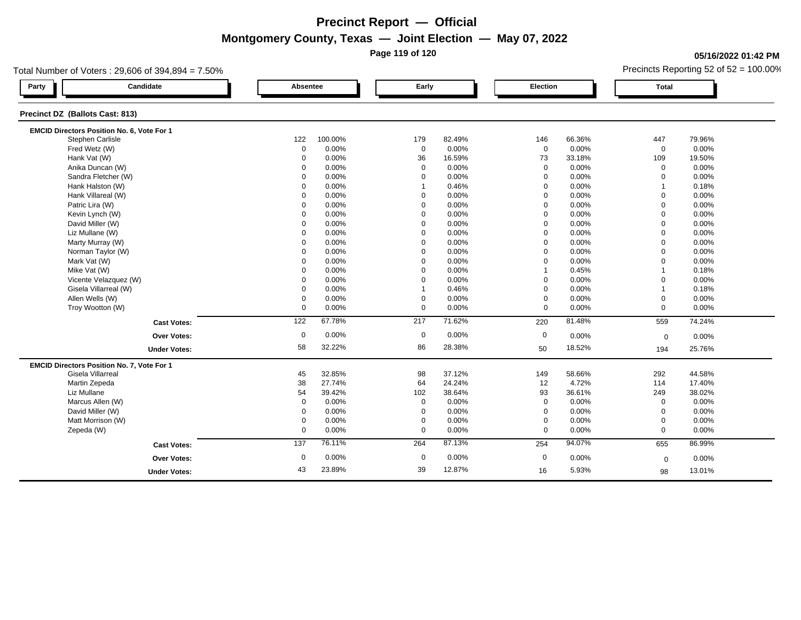**Page 119 of 120**

### **05/16/2022 01:42 PM**

| Total Number of Voters: 29,606 of 394,894 = 7.50% |                                            |                      |         |                |          |             |                 | Precincts Reporting 52 of $52 = 100.00\%$ |        |  |
|---------------------------------------------------|--------------------------------------------|----------------------|---------|----------------|----------|-------------|-----------------|-------------------------------------------|--------|--|
| Party                                             | Candidate                                  | Absentee             |         |                | Early    |             | <b>Election</b> |                                           |        |  |
| Precinct DZ (Ballots Cast: 813)                   |                                            |                      |         |                |          |             |                 |                                           |        |  |
|                                                   | EMCID Directors Position No. 6, Vote For 1 | 122                  |         |                |          |             |                 |                                           |        |  |
|                                                   | Stephen Carlisle                           |                      | 100.00% | 179            | 82.49%   | 146         | 66.36%          | 447                                       | 79.96% |  |
|                                                   | Fred Wetz (W)                              |                      | 0.00%   | $\mathbf 0$    | $0.00\%$ | $\mathbf 0$ | 0.00%           | $\mathbf 0$                               | 0.00%  |  |
|                                                   | Hank Vat (W)                               |                      | 0.00%   | 36             | 16.59%   | 73          | 33.18%          | 109                                       | 19.50% |  |
|                                                   | Anika Duncan (W)                           |                      | 0.00%   | $\mathbf 0$    | 0.00%    | $\mathbf 0$ | 0.00%           | $\mathbf 0$                               | 0.00%  |  |
|                                                   | Sandra Fletcher (W)                        |                      | 0.00%   | $\mathbf 0$    | 0.00%    | $\mathbf 0$ | 0.00%           | $\mathbf 0$                               | 0.00%  |  |
|                                                   | Hank Halston (W)                           |                      | 0.00%   | $\overline{1}$ | 0.46%    | $\mathbf 0$ | 0.00%           | $\overline{1}$                            | 0.18%  |  |
|                                                   | Hank Villareal (W)                         |                      | 0.00%   | $\mathbf 0$    | 0.00%    | $\mathbf 0$ | 0.00%           | $\Omega$                                  | 0.00%  |  |
|                                                   | Patric Lira (W)                            | 0                    | 0.00%   | $\mathbf 0$    | 0.00%    | $\mathbf 0$ | 0.00%           | $\mathbf 0$                               | 0.00%  |  |
|                                                   | Kevin Lynch (W)                            | $\Omega$<br>$\Omega$ | 0.00%   | $\mathbf 0$    | 0.00%    | $\mathbf 0$ | 0.00%           | $\mathbf 0$                               | 0.00%  |  |
|                                                   | David Miller (W)                           |                      | 0.00%   | $\Omega$       | 0.00%    | $\Omega$    | 0.00%           | $\Omega$                                  | 0.00%  |  |
|                                                   | Liz Mullane (W)                            |                      | 0.00%   | $\mathbf 0$    | 0.00%    | $\mathbf 0$ | 0.00%           | $\mathbf 0$                               | 0.00%  |  |
|                                                   | Marty Murray (W)                           |                      | 0.00%   | $\mathbf 0$    | 0.00%    | 0           | 0.00%           | $\Omega$                                  | 0.00%  |  |
|                                                   | Norman Taylor (W)                          |                      | 0.00%   | $\Omega$       | 0.00%    | $\Omega$    | 0.00%           | $\Omega$                                  | 0.00%  |  |
|                                                   | Mark Vat (W)                               |                      | 0.00%   | $\mathbf 0$    | 0.00%    | $\mathbf 0$ | 0.00%           | $\mathbf 0$                               | 0.00%  |  |
|                                                   | Mike Vat (W)                               | 0                    | 0.00%   | $\mathbf 0$    | 0.00%    |             | 0.45%           |                                           | 0.18%  |  |
|                                                   | Vicente Velazquez (W)                      | $\Omega$             | 0.00%   | $\Omega$       | 0.00%    | $\mathbf 0$ | 0.00%           | $\Omega$                                  | 0.00%  |  |
|                                                   | Gisela Villarreal (W)                      | $\Omega$             | 0.00%   |                | 0.46%    | $\mathbf 0$ | 0.00%           | $\overline{1}$                            | 0.18%  |  |
|                                                   | Allen Wells (W)                            | 0                    | 0.00%   | $\mathbf 0$    | 0.00%    | $\mathbf 0$ | 0.00%           | $\mathbf 0$                               | 0.00%  |  |
|                                                   | Troy Wootton (W)                           | 0                    | 0.00%   | $\mathbf 0$    | 0.00%    | $\mathbf 0$ | 0.00%           | $\mathbf 0$                               | 0.00%  |  |
|                                                   | <b>Cast Votes:</b>                         | 122                  | 67.78%  | 217            | 71.62%   | 220         | 81.48%          | 559                                       | 74.24% |  |
|                                                   | <b>Over Votes:</b>                         | $\mathbf 0$          | 0.00%   | $\mathbf 0$    | 0.00%    | $\mathbf 0$ | 0.00%           | $\mathbf 0$                               | 0.00%  |  |
|                                                   | <b>Under Votes:</b>                        | 58                   | 32.22%  | 86             | 28.38%   | 50          | 18.52%          | 194                                       | 25.76% |  |
|                                                   | EMCID Directors Position No. 7, Vote For 1 |                      |         |                |          |             |                 |                                           |        |  |
|                                                   | Gisela Villarreal                          | 45                   | 32.85%  | 98             | 37.12%   | 149         | 58.66%          | 292                                       | 44.58% |  |
|                                                   | Martin Zepeda                              | 38                   | 27.74%  | 64             | 24.24%   | 12          | 4.72%           | 114                                       | 17.40% |  |
| Liz Mullane                                       |                                            | 54                   | 39.42%  | 102            | 38.64%   | 93          | 36.61%          | 249                                       | 38.02% |  |
|                                                   | Marcus Allen (W)                           | 0                    | 0.00%   | $\mathbf 0$    | 0.00%    | $\mathbf 0$ | 0.00%           | $\mathbf 0$                               | 0.00%  |  |
|                                                   | David Miller (W)                           | $\mathbf 0$          | 0.00%   | $\mathbf 0$    | 0.00%    | $\mathbf 0$ | 0.00%           | $\Omega$                                  | 0.00%  |  |
|                                                   | Matt Morrison (W)                          | 0                    | 0.00%   | $\mathbf 0$    | 0.00%    | $\mathbf 0$ | 0.00%           | $\mathbf 0$                               | 0.00%  |  |
| Zepeda (W)                                        |                                            | 0                    | 0.00%   | $\mathbf 0$    | 0.00%    | $\mathbf 0$ | 0.00%           | $\mathbf 0$                               | 0.00%  |  |
|                                                   | <b>Cast Votes:</b>                         | $\overline{137}$     | 76.11%  | 264            | 87.13%   | 254         | 94.07%          | 655                                       | 86.99% |  |
|                                                   | Over Votes:                                | $\mathbf 0$          | 0.00%   | $\mathbf 0$    | 0.00%    | $\mathbf 0$ | 0.00%           | $\mathbf 0$                               | 0.00%  |  |
|                                                   | <b>Under Votes:</b>                        | 43                   | 23.89%  | 39             | 12.87%   | 16          | 5.93%           | 98                                        | 13.01% |  |
|                                                   |                                            |                      |         |                |          |             |                 |                                           |        |  |